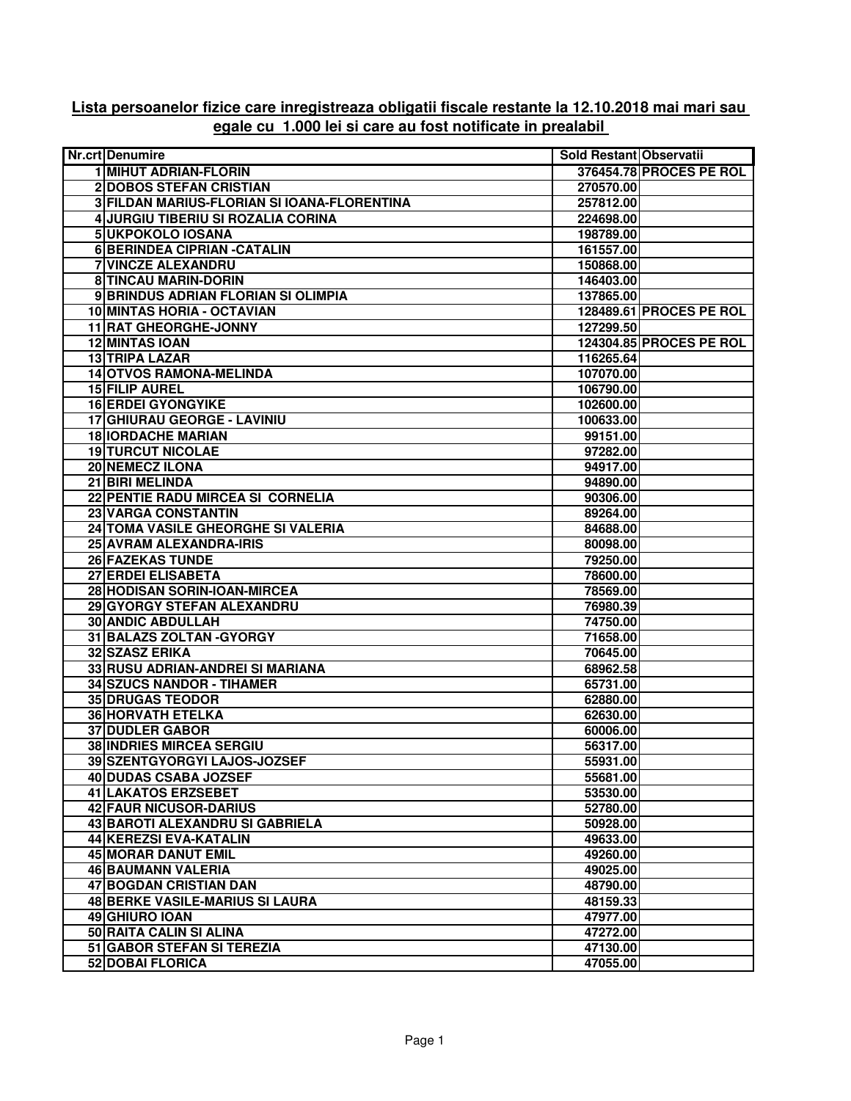## **Lista persoanelor fizice care inregistreaza obligatii fiscale restante la 12.10.2018 mai mari sau egale cu 1.000 lei si care au fost notificate in prealabil**

| <b>Nr.crt Denumire</b>                      | Sold Restant Observatii |                         |
|---------------------------------------------|-------------------------|-------------------------|
| 1 MIHUT ADRIAN-FLORIN                       |                         | 376454.78 PROCES PE ROL |
| <b>2 DOBOS STEFAN CRISTIAN</b>              | 270570.00               |                         |
| 3 FILDAN MARIUS-FLORIAN SI IOANA-FLORENTINA | 257812.00               |                         |
| 4 JURGIU TIBERIU SI ROZALIA CORINA          | 224698.00               |                         |
| 5 UKPOKOLO IOSANA                           | 198789.00               |                         |
| 6 BERINDEA CIPRIAN - CATALIN                | 161557.00               |                         |
| <b>7 VINCZE ALEXANDRU</b>                   | 150868.00               |                         |
| <b>8 TINCAU MARIN-DORIN</b>                 | 146403.00               |                         |
| 9 BRINDUS ADRIAN FLORIAN SI OLIMPIA         | 137865.00               |                         |
| 10 MINTAS HORIA - OCTAVIAN                  |                         | 128489.61 PROCES PE ROL |
| <b>11 RAT GHEORGHE-JONNY</b>                | 127299.50               |                         |
| <b>12 MINTAS IOAN</b>                       |                         | 124304.85 PROCES PE ROL |
| 13 TRIPA LAZAR                              | 116265.64               |                         |
| 14 OTVOS RAMONA-MELINDA                     | 107070.00               |                         |
| 15 FILIP AUREL                              | 106790.00               |                         |
| <b>16 ERDEI GYONGYIKE</b>                   | 102600.00               |                         |
| 17 GHIURAU GEORGE - LAVINIU                 | 100633.00               |                         |
| <b>18 IORDACHE MARIAN</b>                   | 99151.00                |                         |
| <b>19 TURCUT NICOLAE</b>                    |                         |                         |
| 20 NEMECZ ILONA                             | 97282.00<br>94917.00    |                         |
| 21 BIRI MELINDA                             | 94890.00                |                         |
|                                             |                         |                         |
| 22 PENTIE RADU MIRCEA SI CORNELIA           | 90306.00                |                         |
| 23 VARGA CONSTANTIN                         | 89264.00                |                         |
| 24 TOMA VASILE GHEORGHE SI VALERIA          | 84688.00                |                         |
| 25 AVRAM ALEXANDRA-IRIS                     | 80098.00                |                         |
| <b>26 FAZEKAS TUNDE</b>                     | 79250.00                |                         |
| 27 ERDEI ELISABETA                          | 78600.00                |                         |
| 28 HODISAN SORIN-IOAN-MIRCEA                | 78569.00                |                         |
| 29 GYORGY STEFAN ALEXANDRU                  | 76980.39                |                         |
| <b>30 ANDIC ABDULLAH</b>                    | 74750.00                |                         |
| 31 BALAZS ZOLTAN - GYORGY                   | 71658.00                |                         |
| <b>32 SZASZ ERIKA</b>                       | 70645.00                |                         |
| 33 RUSU ADRIAN-ANDREI SI MARIANA            | 68962.58                |                         |
| 34 SZUCS NANDOR - TIHAMER                   | 65731.00                |                         |
| <b>35 DRUGAS TEODOR</b>                     | 62880.00                |                         |
| <b>36 HORVATH ETELKA</b>                    | 62630.00                |                         |
| <b>37 DUDLER GABOR</b>                      | 60006.00                |                         |
| 38 INDRIES MIRCEA SERGIU                    | 56317.00                |                         |
| 39 SZENTGYORGYI LAJOS-JOZSEF                | 55931.00                |                         |
| <b>40 DUDAS CSABA JOZSEF</b>                | 55681.00                |                         |
| <b>41 LAKATOS ERZSEBET</b>                  | 53530.00                |                         |
| 42 FAUR NICUSOR-DARIUS                      | 52780.00                |                         |
| 43 BAROTI ALEXANDRU SI GABRIELA             | 50928.00                |                         |
| <b>44 KEREZSI EVA-KATALIN</b>               | 49633.00                |                         |
| <b>45 MORAR DANUT EMIL</b>                  | 49260.00                |                         |
| <b>46 BAUMANN VALERIA</b>                   | 49025.00                |                         |
| 47 BOGDAN CRISTIAN DAN                      | 48790.00                |                         |
| <b>48 BERKE VASILE-MARIUS SI LAURA</b>      | 48159.33                |                         |
| <b>49 GHIURO IOAN</b>                       | 47977.00                |                         |
| 50 RAITA CALIN SI ALINA                     | 47272.00                |                         |
| 51 GABOR STEFAN SI TEREZIA                  | 47130.00                |                         |
| 52 DOBAI FLORICA                            | 47055.00                |                         |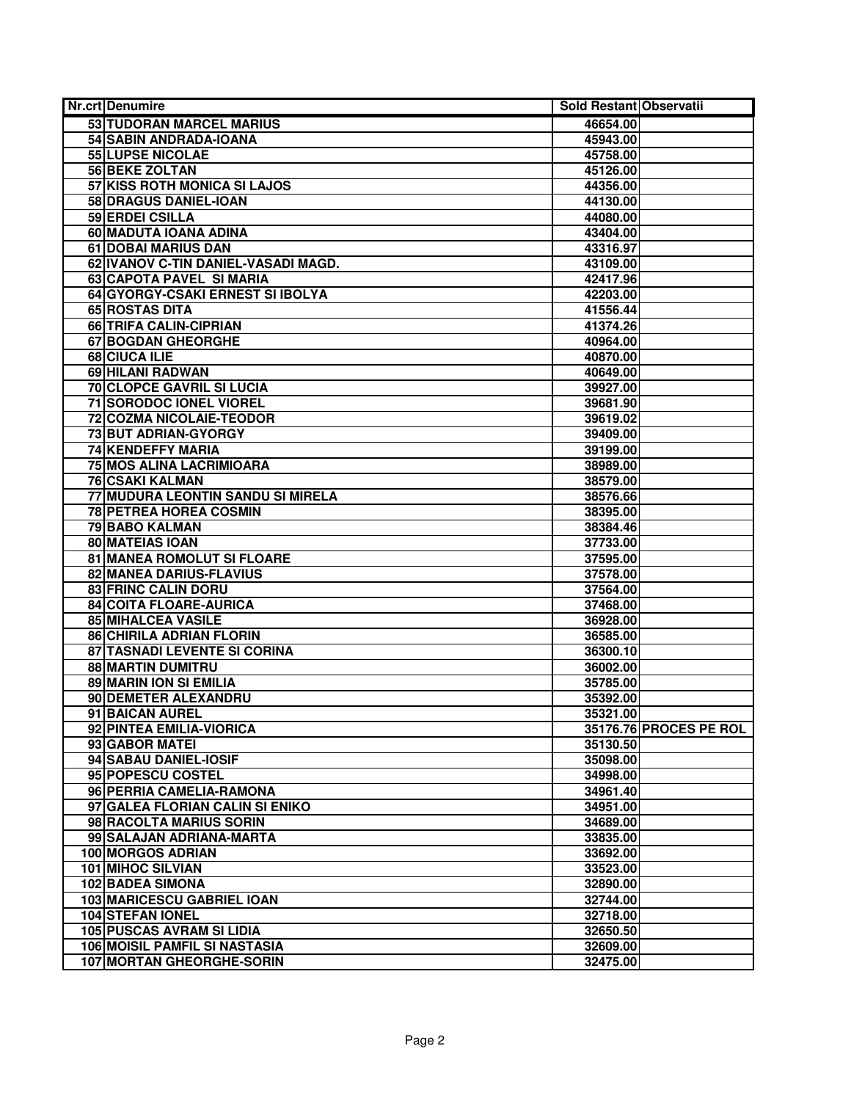| <b>Nr.crt Denumire</b>               | Sold Restant Observatii |                        |
|--------------------------------------|-------------------------|------------------------|
| 53 TUDORAN MARCEL MARIUS             | 46654.00                |                        |
| 54 SABIN ANDRADA-IOANA               | 45943.00                |                        |
| <b>55 LUPSE NICOLAE</b>              | 45758.00                |                        |
| 56 BEKE ZOLTAN                       | 45126.00                |                        |
| 57 KISS ROTH MONICA SI LAJOS         | 44356.00                |                        |
| 58 DRAGUS DANIEL-IOAN                | 44130.00                |                        |
| 59 ERDEI CSILLA                      | 44080.00                |                        |
| 60 MADUTA IOANA ADINA                | 43404.00                |                        |
| 61 DOBAI MARIUS DAN                  | 43316.97                |                        |
| 62 IVANOV C-TIN DANIEL-VASADI MAGD.  | 43109.00                |                        |
| 63 CAPOTA PAVEL SI MARIA             | 42417.96                |                        |
| 64 GYORGY-CSAKI ERNEST SI IBOLYA     | 42203.00                |                        |
| 65 ROSTAS DITA                       | 41556.44                |                        |
| 66 TRIFA CALIN-CIPRIAN               | 41374.26                |                        |
| <b>67 BOGDAN GHEORGHE</b>            | 40964.00                |                        |
| 68 CIUCA ILIE                        | 40870.00                |                        |
| 69 HILANI RADWAN                     | 40649.00                |                        |
| <b>70 CLOPCE GAVRIL SI LUCIA</b>     | 39927.00                |                        |
| 71 SORODOC IONEL VIOREL              | 39681.90                |                        |
| <b>72 COZMA NICOLAIE-TEODOR</b>      | 39619.02                |                        |
| 73 BUT ADRIAN-GYORGY                 | 39409.00                |                        |
| <b>74 KENDEFFY MARIA</b>             | 39199.00                |                        |
| 75 MOS ALINA LACRIMIOARA             | 38989.00                |                        |
| <b>76 CSAKI KALMAN</b>               | 38579.00                |                        |
| 77 MUDURA LEONTIN SANDU SI MIRELA    | 38576.66                |                        |
| <b>78 PETREA HOREA COSMIN</b>        | 38395.00                |                        |
| 79 BABO KALMAN                       | 38384.46                |                        |
| 80 MATEIAS IOAN                      | 37733.00                |                        |
| 81 MANEA ROMOLUT SI FLOARE           | 37595.00                |                        |
| 82 MANEA DARIUS-FLAVIUS              | 37578.00                |                        |
| <b>83 FRINC CALIN DORU</b>           | 37564.00                |                        |
| 84 COITA FLOARE-AURICA               | 37468.00                |                        |
| <b>85 MIHALCEA VASILE</b>            | 36928.00                |                        |
| 86 CHIRILA ADRIAN FLORIN             | 36585.00                |                        |
| 87 TASNADI LEVENTE SI CORINA         | 36300.10                |                        |
| <b>88 MARTIN DUMITRU</b>             | 36002.00                |                        |
| 89 MARIN ION SI EMILIA               | 35785.00                |                        |
| 90 DEMETER ALEXANDRU                 | 35392.00                |                        |
| 91 BAICAN AUREL                      | 35321.00                |                        |
| 92 PINTEA EMILIA-VIORICA             |                         | 35176.76 PROCES PE ROL |
| 93 GABOR MATEI                       | 35130.50                |                        |
| 94 SABAU DANIEL-IOSIF                | 35098.00                |                        |
| 95 POPESCU COSTEL                    | 34998.00                |                        |
| 96 PERRIA CAMELIA-RAMONA             | 34961.40                |                        |
| 97 GALEA FLORIAN CALIN SI ENIKO      | 34951.00                |                        |
| 98 RACOLTA MARIUS SORIN              | 34689.00                |                        |
| 99 SALAJAN ADRIANA-MARTA             | 33835.00                |                        |
| <b>100 MORGOS ADRIAN</b>             | 33692.00                |                        |
| 101 MIHOC SILVIAN                    | 33523.00                |                        |
| <b>102 BADEA SIMONA</b>              | 32890.00                |                        |
| <b>103 MARICESCU GABRIEL IOAN</b>    | 32744.00                |                        |
| <b>104 STEFAN IONEL</b>              | 32718.00                |                        |
| <b>105 PUSCAS AVRAM SI LIDIA</b>     | 32650.50                |                        |
| <b>106 MOISIL PAMFIL SI NASTASIA</b> | 32609.00                |                        |
| <b>107 MORTAN GHEORGHE-SORIN</b>     | 32475.00                |                        |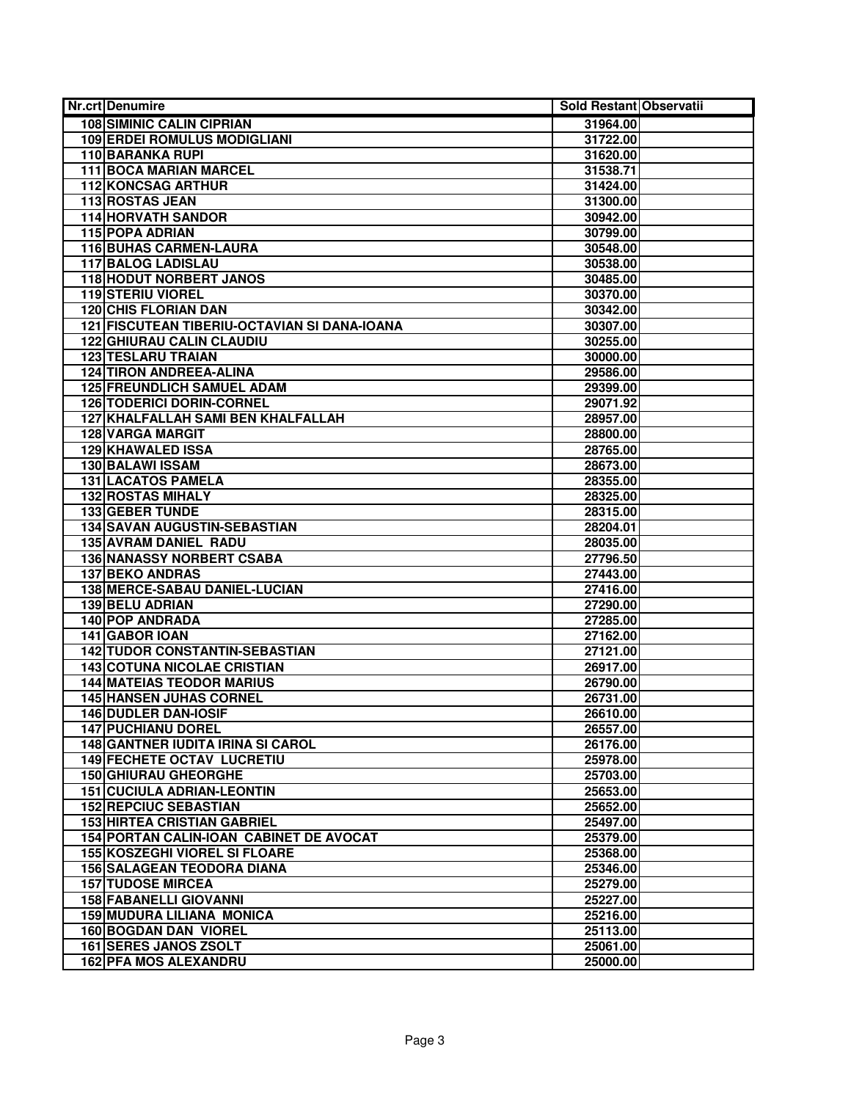| <b>Nr.crt Denumire</b>                       | Sold Restant Observatii |  |
|----------------------------------------------|-------------------------|--|
| <b>108 SIMINIC CALIN CIPRIAN</b>             | 31964.00                |  |
| <b>109 ERDEI ROMULUS MODIGLIANI</b>          | 31722.00                |  |
| <b>110 BARANKA RUPI</b>                      | 31620.00                |  |
| 111 BOCA MARIAN MARCEL                       | 31538.71                |  |
| <b>112 KONCSAG ARTHUR</b>                    | 31424.00                |  |
| <b>113 ROSTAS JEAN</b>                       | 31300.00                |  |
| <b>114 HORVATH SANDOR</b>                    | 30942.00                |  |
| 115 POPA ADRIAN                              | 30799.00                |  |
| <b>116 BUHAS CARMEN-LAURA</b>                | 30548.00                |  |
| <b>117 BALOG LADISLAU</b>                    | 30538.00                |  |
| <b>118 HODUT NORBERT JANOS</b>               | 30485.00                |  |
| <b>119 STERIU VIOREL</b>                     | 30370.00                |  |
| <b>120 CHIS FLORIAN DAN</b>                  | 30342.00                |  |
| 121 FISCUTEAN TIBERIU-OCTAVIAN SI DANA-IOANA | 30307.00                |  |
| <b>122 GHIURAU CALIN CLAUDIU</b>             | 30255.00                |  |
| <b>123 TESLARU TRAIAN</b>                    | 30000.00                |  |
| <b>124 TIRON ANDREEA-ALINA</b>               | 29586.00                |  |
| <b>125 FREUNDLICH SAMUEL ADAM</b>            | 29399.00                |  |
| <b>126 TODERICI DORIN-CORNEL</b>             | 29071.92                |  |
| 127 KHALFALLAH SAMI BEN KHALFALLAH           | 28957.00                |  |
| <b>128 VARGA MARGIT</b>                      | 28800.00                |  |
| 129 KHAWALED ISSA                            | 28765.00                |  |
| 130 BALAWI ISSAM                             | 28673.00                |  |
| <b>131 LACATOS PAMELA</b>                    | 28355.00                |  |
| <b>132 ROSTAS MIHALY</b>                     | 28325.00                |  |
| <b>133 GEBER TUNDE</b>                       | 28315.00                |  |
| <b>134 SAVAN AUGUSTIN-SEBASTIAN</b>          | 28204.01                |  |
| <b>135 AVRAM DANIEL RADU</b>                 | 28035.00                |  |
| <b>136 NANASSY NORBERT CSABA</b>             | 27796.50                |  |
| <b>137 BEKO ANDRAS</b>                       | 27443.00                |  |
| 138 MERCE-SABAU DANIEL-LUCIAN                | 27416.00                |  |
| <b>139 BELU ADRIAN</b>                       | 27290.00                |  |
| <b>140 POP ANDRADA</b>                       | 27285.00                |  |
| 141 GABOR IOAN                               | 27162.00                |  |
| <b>142 TUDOR CONSTANTIN-SEBASTIAN</b>        | 27121.00                |  |
| <b>143 COTUNA NICOLAE CRISTIAN</b>           | 26917.00                |  |
| <b>144 MATEIAS TEODOR MARIUS</b>             | 26790.00                |  |
| <b>145 HANSEN JUHAS CORNEL</b>               | 26731.00                |  |
| <b>146 DUDLER DAN-IOSIF</b>                  | 26610.00                |  |
| <b>147 PUCHIANU DOREL</b>                    | 26557.00                |  |
| 148 GANTNER IUDITA IRINA SI CAROL            | 26176.00                |  |
| <b>149 FECHETE OCTAV LUCRETIU</b>            | 25978.00                |  |
| <b>150 GHIURAU GHEORGHE</b>                  | 25703.00                |  |
| <b>151 CUCIULA ADRIAN-LEONTIN</b>            | 25653.00                |  |
| <b>152 REPCIUC SEBASTIAN</b>                 | 25652.00                |  |
| <b>153 HIRTEA CRISTIAN GABRIEL</b>           | 25497.00                |  |
| 154 PORTAN CALIN-IOAN CABINET DE AVOCAT      | 25379.00                |  |
| <b>155 KOSZEGHI VIOREL SI FLOARE</b>         | 25368.00                |  |
| <b>156 SALAGEAN TEODORA DIANA</b>            | 25346.00                |  |
| <b>157 TUDOSE MIRCEA</b>                     | 25279.00                |  |
| 158 FABANELLI GIOVANNI                       | 25227.00                |  |
| <b>159 MUDURA LILIANA MONICA</b>             | 25216.00                |  |
| <b>160 BOGDAN DAN VIOREL</b>                 | 25113.00                |  |
| 161 SERES JANOS ZSOLT                        | 25061.00                |  |
| <b>162 PFA MOS ALEXANDRU</b>                 | 25000.00                |  |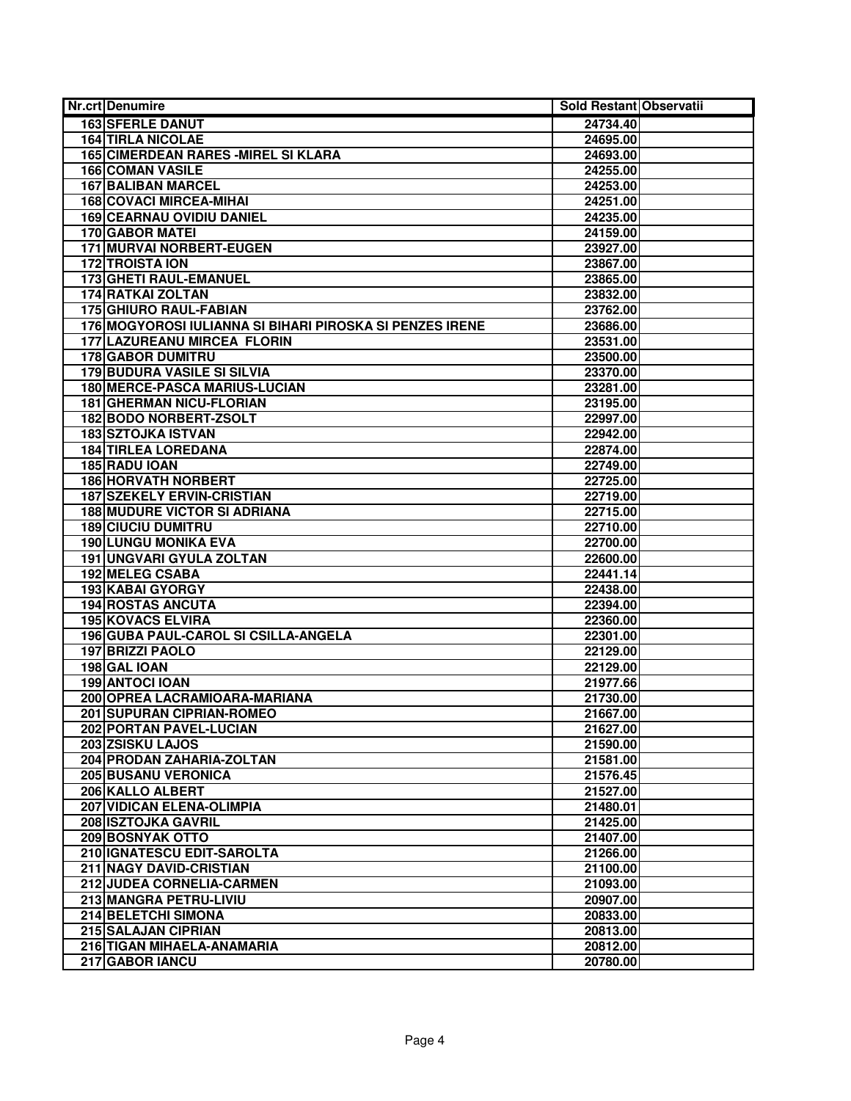| <b>Nr.crt Denumire</b>                                   | Sold Restant Observatii |  |
|----------------------------------------------------------|-------------------------|--|
| <b>163 SFERLE DANUT</b>                                  | 24734.40                |  |
| <b>164 TIRLA NICOLAE</b>                                 | 24695.00                |  |
| <b>165 CIMERDEAN RARES - MIREL SI KLARA</b>              | 24693.00                |  |
| <b>166 COMAN VASILE</b>                                  | 24255.00                |  |
| <b>167 BALIBAN MARCEL</b>                                | 24253.00                |  |
| 168 COVACI MIRCEA-MIHAI                                  | 24251.00                |  |
| <b>169 CEARNAU OVIDIU DANIEL</b>                         | 24235.00                |  |
| 170 GABOR MATEI                                          | 24159.00                |  |
| <b>171 MURVAI NORBERT-EUGEN</b>                          | 23927.00                |  |
| <b>172 TROISTA ION</b>                                   | 23867.00                |  |
| 173 GHETI RAUL-EMANUEL                                   | 23865.00                |  |
| <b>174 RATKAI ZOLTAN</b>                                 | 23832.00                |  |
| <b>175 GHIURO RAUL-FABIAN</b>                            | 23762.00                |  |
| 176 MOGYOROSI IULIANNA SI BIHARI PIROSKA SI PENZES IRENE | 23686.00                |  |
| <b>177 LAZUREANU MIRCEA FLORIN</b>                       | 23531.00                |  |
| <b>178 GABOR DUMITRU</b>                                 | 23500.00                |  |
| <b>179 BUDURA VASILE SI SILVIA</b>                       | 23370.00                |  |
| 180 MERCE-PASCA MARIUS-LUCIAN                            | 23281.00                |  |
| <b>181 GHERMAN NICU-FLORIAN</b>                          | 23195.00                |  |
| 182 BODO NORBERT-ZSOLT                                   | 22997.00                |  |
| <b>183 SZTOJKA ISTVAN</b>                                | 22942.00                |  |
| <b>184 TIRLEA LOREDANA</b>                               | 22874.00                |  |
| 185 RADU IOAN                                            | 22749.00                |  |
| <b>186 HORVATH NORBERT</b>                               | 22725.00                |  |
| <b>187 SZEKELY ERVIN-CRISTIAN</b>                        | 22719.00                |  |
| <b>188 MUDURE VICTOR SI ADRIANA</b>                      | 22715.00                |  |
| <b>189 CIUCIU DUMITRU</b>                                | 22710.00                |  |
| <b>190 LUNGU MONIKA EVA</b>                              | 22700.00                |  |
| 191 UNGVARI GYULA ZOLTAN                                 | 22600.00                |  |
| 192 MELEG CSABA                                          | 22441.14                |  |
| 193 KABAI GYORGY                                         | 22438.00                |  |
| <b>194 ROSTAS ANCUTA</b>                                 | 22394.00                |  |
| <b>195 KOVACS ELVIRA</b>                                 | 22360.00                |  |
| 196 GUBA PAUL-CAROL SI CSILLA-ANGELA                     | 22301.00                |  |
| <b>197 BRIZZI PAOLO</b>                                  | 22129.00                |  |
| 198 GAL IOAN                                             | 22129.00                |  |
| 199 ANTOCI IOAN                                          | 21977.66                |  |
| 200 OPREA LACRAMIOARA-MARIANA                            | 21730.00                |  |
| <b>201 SUPURAN CIPRIAN-ROMEO</b>                         | 21667.00                |  |
| 202 PORTAN PAVEL-LUCIAN                                  | 21627.00                |  |
| 203 ZSISKU LAJOS                                         | 21590.00                |  |
| 204 PRODAN ZAHARIA-ZOLTAN                                | 21581.00                |  |
| <b>205 BUSANU VERONICA</b>                               | 21576.45                |  |
| 206 KALLO ALBERT                                         | 21527.00                |  |
| 207 VIDICAN ELENA-OLIMPIA                                | 21480.01                |  |
| 208 ISZTOJKA GAVRIL                                      | 21425.00                |  |
| 209 BOSNYAK OTTO                                         | 21407.00                |  |
| 210 IGNATESCU EDIT-SAROLTA                               | 21266.00                |  |
| 211 NAGY DAVID-CRISTIAN                                  | 21100.00                |  |
| 212 JUDEA CORNELIA-CARMEN                                | 21093.00                |  |
| 213 MANGRA PETRU-LIVIU                                   | 20907.00                |  |
| 214 BELETCHI SIMONA                                      | 20833.00                |  |
| 215 SALAJAN CIPRIAN                                      | 20813.00                |  |
| 216 TIGAN MIHAELA-ANAMARIA                               | 20812.00                |  |
| 217 GABOR IANCU                                          | 20780.00                |  |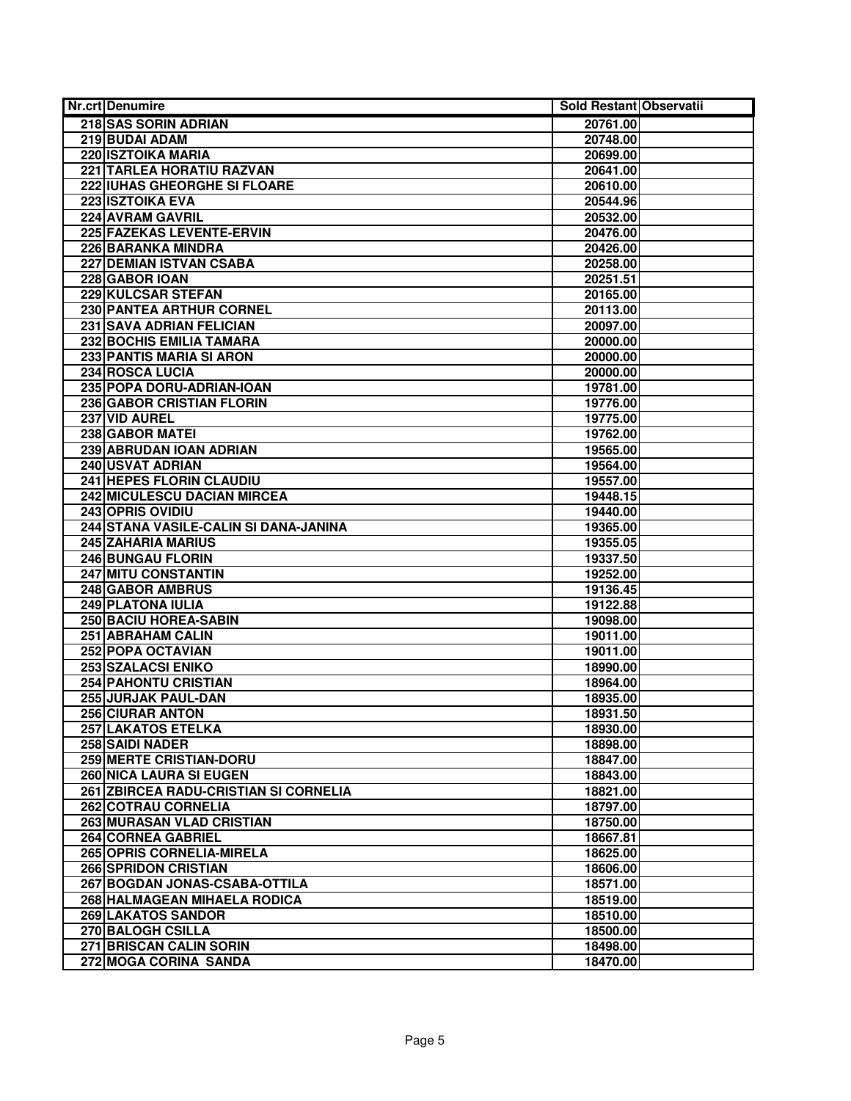| <b>Nr.crt Denumire</b>                | Sold Restant Observatii |  |
|---------------------------------------|-------------------------|--|
| 218 SAS SORIN ADRIAN                  | 20761.00                |  |
| 219 BUDAI ADAM                        | 20748.00                |  |
| <b>220 ISZTOIKA MARIA</b>             | 20699.00                |  |
| 221 TARLEA HORATIU RAZVAN             | 20641.00                |  |
| 222 IUHAS GHEORGHE SI FLOARE          | 20610.00                |  |
| <b>223 ISZTOIKA EVA</b>               | 20544.96                |  |
| <b>224 AVRAM GAVRIL</b>               | 20532.00                |  |
| 225 FAZEKAS LEVENTE-ERVIN             | 20476.00                |  |
| 226 BARANKA MINDRA                    | 20426.00                |  |
| 227 DEMIAN ISTVAN CSABA               | 20258.00                |  |
| 228 GABOR IOAN                        | 20251.51                |  |
| 229 KULCSAR STEFAN                    | 20165.00                |  |
| 230 PANTEA ARTHUR CORNEL              | 20113.00                |  |
| 231 SAVA ADRIAN FELICIAN              | 20097.00                |  |
| 232 BOCHIS EMILIA TAMARA              | 20000.00                |  |
| 233 PANTIS MARIA SI ARON              | 20000.00                |  |
| 234 ROSCA LUCIA                       | 20000.00                |  |
| 235 POPA DORU-ADRIAN-IOAN             | 19781.00                |  |
| <b>236 GABOR CRISTIAN FLORIN</b>      | 19776.00                |  |
| 237 VID AUREL                         | 19775.00                |  |
| <b>238 GABOR MATEI</b>                | 19762.00                |  |
| 239 ABRUDAN IOAN ADRIAN               | 19565.00                |  |
| 240 USVAT ADRIAN                      | 19564.00                |  |
| <b>241 HEPES FLORIN CLAUDIU</b>       | 19557.00                |  |
| <b>242 MICULESCU DACIAN MIRCEA</b>    | 19448.15                |  |
| 243 OPRIS OVIDIU                      | 19440.00                |  |
| 244 STANA VASILE-CALIN SI DANA-JANINA | 19365.00                |  |
| <b>245 ZAHARIA MARIUS</b>             | 19355.05                |  |
| 246 BUNGAU FLORIN                     | 19337.50                |  |
| 247 MITU CONSTANTIN                   | 19252.00                |  |
| 248 GABOR AMBRUS                      | 19136.45                |  |
| <b>249 PLATONA IULIA</b>              | 19122.88                |  |
| 250 BACIU HOREA-SABIN                 | 19098.00                |  |
| 251 ABRAHAM CALIN                     | 19011.00                |  |
| 252 POPA OCTAVIAN                     | 19011.00                |  |
| <b>253 SZALACSI ENIKO</b>             | 18990.00                |  |
| 254 PAHONTU CRISTIAN                  | 18964.00                |  |
| 255 JURJAK PAUL-DAN                   | 18935.00                |  |
| <b>256 CIURAR ANTON</b>               | 18931.50                |  |
| 257 LAKATOS ETELKA                    | 18930.00                |  |
| 258 SAIDI NADER                       | 18898.00                |  |
| 259 MERTE CRISTIAN-DORU               | 18847.00                |  |
| <b>260 NICA LAURA SI EUGEN</b>        | 18843.00                |  |
| 261 ZBIRCEA RADU-CRISTIAN SI CORNELIA | 18821.00                |  |
| <b>262 COTRAU CORNELIA</b>            | 18797.00                |  |
| 263 MURASAN VLAD CRISTIAN             | 18750.00                |  |
| 264 CORNEA GABRIEL                    | 18667.81                |  |
| 265 OPRIS CORNELIA-MIRELA             | 18625.00                |  |
| <b>266 SPRIDON CRISTIAN</b>           | 18606.00                |  |
| 267 BOGDAN JONAS-CSABA-OTTILA         | 18571.00                |  |
| 268 HALMAGEAN MIHAELA RODICA          | 18519.00                |  |
| <b>269 LAKATOS SANDOR</b>             | 18510.00                |  |
| <b>270 BALOGH CSILLA</b>              | 18500.00                |  |
| 271 BRISCAN CALIN SORIN               | 18498.00                |  |
| 272 MOGA CORINA SANDA                 | 18470.00                |  |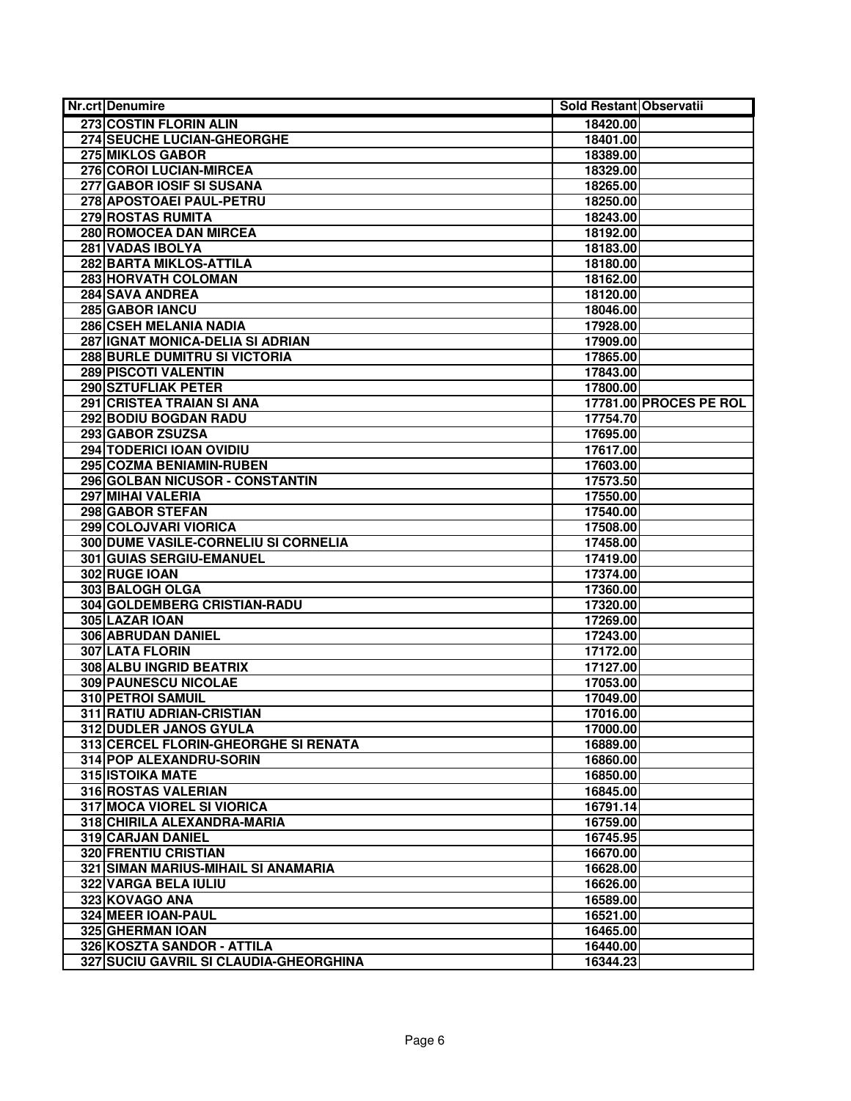| <b>Nr.crt Denumire</b>                 | Sold Restant Observatii |                               |
|----------------------------------------|-------------------------|-------------------------------|
| 273 COSTIN FLORIN ALIN                 | 18420.00                |                               |
| 274 SEUCHE LUCIAN-GHEORGHE             | 18401.00                |                               |
| <b>275 MIKLOS GABOR</b>                | 18389.00                |                               |
| 276 COROI LUCIAN-MIRCEA                | 18329.00                |                               |
| 277 GABOR IOSIF SI SUSANA              | 18265.00                |                               |
| 278 APOSTOAEI PAUL-PETRU               | 18250.00                |                               |
| 279 ROSTAS RUMITA                      | 18243.00                |                               |
| 280 ROMOCEA DAN MIRCEA                 | 18192.00                |                               |
| 281 VADAS IBOLYA                       | 18183.00                |                               |
| 282 BARTA MIKLOS-ATTILA                | 18180.00                |                               |
| 283 HORVATH COLOMAN                    | 18162.00                |                               |
| <b>284 SAVA ANDREA</b>                 | 18120.00                |                               |
| <b>285 GABOR IANCU</b>                 | 18046.00                |                               |
| 286 CSEH MELANIA NADIA                 | 17928.00                |                               |
| 287 IGNAT MONICA-DELIA SI ADRIAN       | 17909.00                |                               |
| 288 BURLE DUMITRU SI VICTORIA          | 17865.00                |                               |
| <b>289 PISCOTI VALENTIN</b>            | 17843.00                |                               |
| 290 SZTUFLIAK PETER                    | 17800.00                |                               |
| 291 CRISTEA TRAIAN SI ANA              |                         | <b>17781.00 PROCES PE ROL</b> |
| 292 BODIU BOGDAN RADU                  | 17754.70                |                               |
| 293 GABOR ZSUZSA                       | 17695.00                |                               |
| 294 TODERICI IOAN OVIDIU               | 17617.00                |                               |
| 295 COZMA BENIAMIN-RUBEN               | 17603.00                |                               |
| 296 GOLBAN NICUSOR - CONSTANTIN        | 17573.50                |                               |
| <b>297 MIHAI VALERIA</b>               | 17550.00                |                               |
| 298 GABOR STEFAN                       | 17540.00                |                               |
| 299 COLOJVARI VIORICA                  | 17508.00                |                               |
| 300 DUME VASILE-CORNELIU SI CORNELIA   | 17458.00                |                               |
| 301 GUIAS SERGIU-EMANUEL               | 17419.00                |                               |
| 302 RUGE IOAN                          | 17374.00                |                               |
| 303 BALOGH OLGA                        | 17360.00                |                               |
| 304 GOLDEMBERG CRISTIAN-RADU           | 17320.00                |                               |
| 305 LAZAR IOAN                         | 17269.00                |                               |
| 306 ABRUDAN DANIEL                     | 17243.00                |                               |
| <b>307 LATA FLORIN</b>                 | 17172.00                |                               |
| 308 ALBU INGRID BEATRIX                | 17127.00                |                               |
| 309 PAUNESCU NICOLAE                   | 17053.00                |                               |
| 310 PETROI SAMUIL                      | 17049.00                |                               |
| 311 RATIU ADRIAN-CRISTIAN              | 17016.00                |                               |
| 312 DUDLER JANOS GYULA                 | 17000.00                |                               |
| 313 CERCEL FLORIN-GHEORGHE SI RENATA   | 16889.00                |                               |
| 314 POP ALEXANDRU-SORIN                | 16860.00                |                               |
| 315 ISTOIKA MATE                       | 16850.00                |                               |
| 316 ROSTAS VALERIAN                    | 16845.00                |                               |
| <b>317 MOCA VIOREL SI VIORICA</b>      | 16791.14                |                               |
| 318 CHIRILA ALEXANDRA-MARIA            | 16759.00                |                               |
| <b>319 CARJAN DANIEL</b>               | 16745.95                |                               |
| <b>320 FRENTIU CRISTIAN</b>            | 16670.00                |                               |
| 321 SIMAN MARIUS-MIHAIL SI ANAMARIA    | 16628.00                |                               |
| 322 VARGA BELA IULIU                   | 16626.00                |                               |
| 323 KOVAGO ANA                         | 16589.00                |                               |
| 324 MEER IOAN-PAUL                     | 16521.00                |                               |
| 325 GHERMAN IOAN                       | 16465.00                |                               |
| 326 KOSZTA SANDOR - ATTILA             | 16440.00                |                               |
| 327 SUCIU GAVRIL SI CLAUDIA-GHEORGHINA | 16344.23                |                               |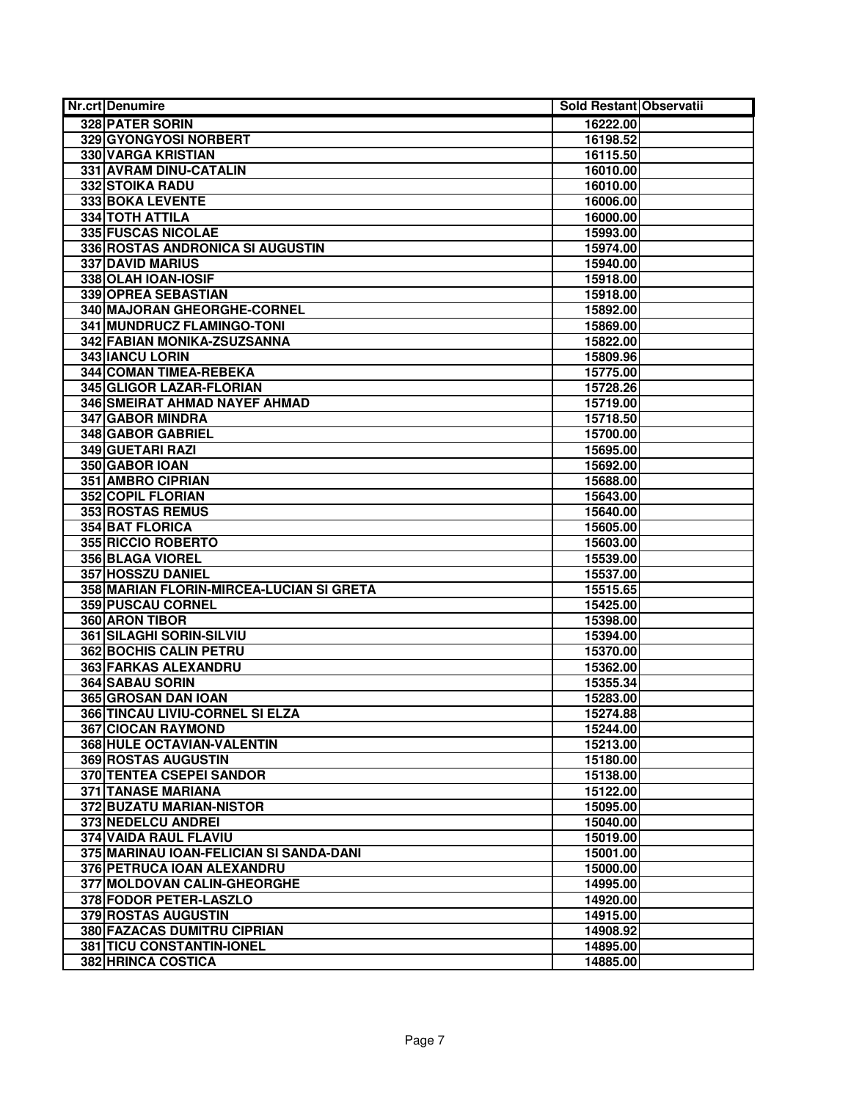| Nr.crt Denumire                          | Sold Restant Observatii |  |
|------------------------------------------|-------------------------|--|
| 328 PATER SORIN                          | 16222.00                |  |
| 329 GYONGYOSI NORBERT                    | 16198.52                |  |
| <b>330 VARGA KRISTIAN</b>                | 16115.50                |  |
| 331 AVRAM DINU-CATALIN                   | 16010.00                |  |
| <b>332 STOIKA RADU</b>                   | 16010.00                |  |
| 333 BOKA LEVENTE                         | 16006.00                |  |
| <b>334 TOTH ATTILA</b>                   | 16000.00                |  |
| 335 FUSCAS NICOLAE                       | 15993.00                |  |
| 336 ROSTAS ANDRONICA SI AUGUSTIN         | 15974.00                |  |
| <b>337 DAVID MARIUS</b>                  | 15940.00                |  |
| 338 OLAH IOAN-IOSIF                      | 15918.00                |  |
| 339 OPREA SEBASTIAN                      | 15918.00                |  |
| 340 MAJORAN GHEORGHE-CORNEL              | 15892.00                |  |
| 341 MUNDRUCZ FLAMINGO-TONI               | 15869.00                |  |
| 342 FABIAN MONIKA-ZSUZSANNA              | 15822.00                |  |
| 343 IANCU LORIN                          | 15809.96                |  |
| 344 COMAN TIMEA-REBEKA                   | 15775.00                |  |
| 345 GLIGOR LAZAR-FLORIAN                 | 15728.26                |  |
| 346 SMEIRAT AHMAD NAYEF AHMAD            | 15719.00                |  |
| 347 GABOR MINDRA                         | 15718.50                |  |
| 348 GABOR GABRIEL                        | 15700.00                |  |
| 349 GUETARI RAZI                         | 15695.00                |  |
| 350 GABOR IOAN                           | 15692.00                |  |
| <b>351 AMBRO CIPRIAN</b>                 | 15688.00                |  |
| <b>352 COPIL FLORIAN</b>                 | 15643.00                |  |
| <b>353 ROSTAS REMUS</b>                  | 15640.00                |  |
| <b>354 BAT FLORICA</b>                   | 15605.00                |  |
| 355 RICCIO ROBERTO                       | 15603.00                |  |
| 356 BLAGA VIOREL                         | 15539.00                |  |
| 357 HOSSZU DANIEL                        | 15537.00                |  |
| 358 MARIAN FLORIN-MIRCEA-LUCIAN SI GRETA | 15515.65                |  |
| <b>359 PUSCAU CORNEL</b>                 | 15425.00                |  |
| 360 ARON TIBOR                           | 15398.00                |  |
| 361 SILAGHI SORIN-SILVIU                 | 15394.00                |  |
| <b>362 BOCHIS CALIN PETRU</b>            | 15370.00                |  |
| <b>363 FARKAS ALEXANDRU</b>              | 15362.00                |  |
| <b>364 SABAU SORIN</b>                   | 15355.34                |  |
| 365 GROSAN DAN IOAN                      | 15283.00                |  |
| 366 TINCAU LIVIU-CORNEL SI ELZA          | 15274.88                |  |
| 367 CIOCAN RAYMOND                       | 15244.00                |  |
| 368 HULE OCTAVIAN-VALENTIN               | 15213.00                |  |
| <b>369 ROSTAS AUGUSTIN</b>               | 15180.00                |  |
| 370 TENTEA CSEPEI SANDOR                 | 15138.00                |  |
| <b>371 TANASE MARIANA</b>                | 15122.00                |  |
| 372 BUZATU MARIAN-NISTOR                 | 15095.00                |  |
| 373 NEDELCU ANDREI                       | 15040.00                |  |
| <b>374 VAIDA RAUL FLAVIU</b>             | 15019.00                |  |
| 375 MARINAU IOAN-FELICIAN SI SANDA-DANI  | 15001.00                |  |
| 376 PETRUCA IOAN ALEXANDRU               | 15000.00                |  |
| 377 MOLDOVAN CALIN-GHEORGHE              | 14995.00                |  |
| 378 FODOR PETER-LASZLO                   | 14920.00                |  |
| <b>379 ROSTAS AUGUSTIN</b>               | 14915.00                |  |
| 380 FAZACAS DUMITRU CIPRIAN              | 14908.92                |  |
| 381 TICU CONSTANTIN-IONEL                | 14895.00                |  |
| 382 HRINCA COSTICA                       | 14885.00                |  |
|                                          |                         |  |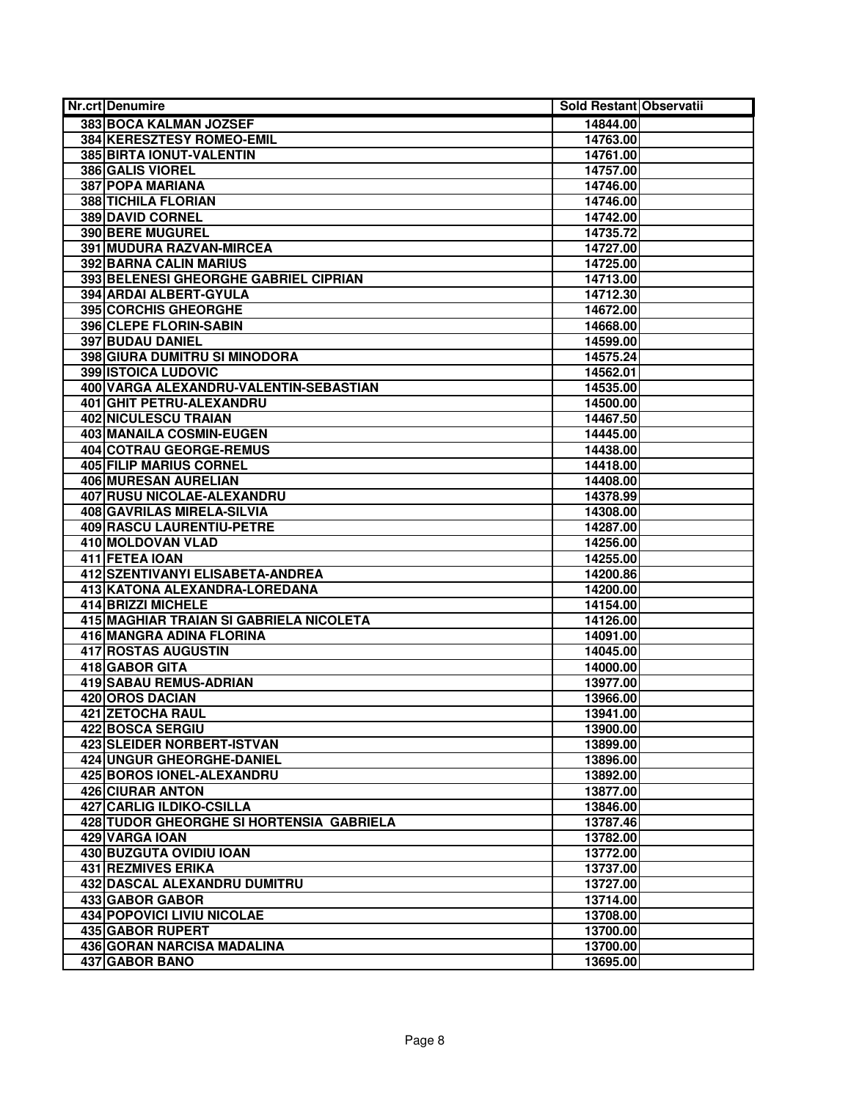| <b>Nr.crt Denumire</b>                   | Sold Restant Observatii |  |
|------------------------------------------|-------------------------|--|
| 383 BOCA KALMAN JOZSEF                   | 14844.00                |  |
| <b>384 KERESZTESY ROMEO-EMIL</b>         | 14763.00                |  |
| 385 BIRTA IONUT-VALENTIN                 | 14761.00                |  |
| 386 GALIS VIOREL                         | 14757.00                |  |
| <b>387 POPA MARIANA</b>                  | 14746.00                |  |
| <b>388 TICHILA FLORIAN</b>               | 14746.00                |  |
| <b>389 DAVID CORNEL</b>                  | 14742.00                |  |
| 390 BERE MUGUREL                         | 14735.72                |  |
| 391 MUDURA RAZVAN-MIRCEA                 | 14727.00                |  |
| 392 BARNA CALIN MARIUS                   | 14725.00                |  |
| 393 BELENESI GHEORGHE GABRIEL CIPRIAN    | 14713.00                |  |
| 394 ARDAI ALBERT-GYULA                   | 14712.30                |  |
| <b>395 CORCHIS GHEORGHE</b>              | 14672.00                |  |
| 396 CLEPE FLORIN-SABIN                   | 14668.00                |  |
| <b>397 BUDAU DANIEL</b>                  | 14599.00                |  |
| 398 GIURA DUMITRU SI MINODORA            | 14575.24                |  |
| <b>399 ISTOICA LUDOVIC</b>               | 14562.01                |  |
| 400 VARGA ALEXANDRU-VALENTIN-SEBASTIAN   | 14535.00                |  |
| 401 GHIT PETRU-ALEXANDRU                 | 14500.00                |  |
| <b>402 NICULESCU TRAIAN</b>              | 14467.50                |  |
| 403 MANAILA COSMIN-EUGEN                 | 14445.00                |  |
| 404 COTRAU GEORGE-REMUS                  | 14438.00                |  |
| <b>405 FILIP MARIUS CORNEL</b>           | 14418.00                |  |
| <b>406 MURESAN AURELIAN</b>              | 14408.00                |  |
| 407 RUSU NICOLAE-ALEXANDRU               | 14378.99                |  |
| 408 GAVRILAS MIRELA-SILVIA               | 14308.00                |  |
| <b>409 RASCU LAURENTIU-PETRE</b>         | 14287.00                |  |
| 410 MOLDOVAN VLAD                        | 14256.00                |  |
| 411 FETEA IOAN                           | 14255.00                |  |
| 412 SZENTIVANYI ELISABETA-ANDREA         | 14200.86                |  |
| 413 KATONA ALEXANDRA-LOREDANA            | 14200.00                |  |
| <b>414 BRIZZI MICHELE</b>                | 14154.00                |  |
| 415 MAGHIAR TRAIAN SI GABRIELA NICOLETA  | 14126.00                |  |
| 416 MANGRA ADINA FLORINA                 | 14091.00                |  |
| <b>417 ROSTAS AUGUSTIN</b>               | 14045.00                |  |
| 418 GABOR GITA                           | 14000.00                |  |
| 419 SABAU REMUS-ADRIAN                   | 13977.00                |  |
| <b>420 OROS DACIAN</b>                   | 13966.00                |  |
| <b>421 ZETOCHA RAUL</b>                  | 13941.00                |  |
| <b>422 BOSCA SERGIU</b>                  | 13900.00                |  |
| 423 SLEIDER NORBERT-ISTVAN               | 13899.00                |  |
| <b>424 UNGUR GHEORGHE-DANIEL</b>         | 13896.00                |  |
| 425 BOROS IONEL-ALEXANDRU                | 13892.00                |  |
| <b>426 CIURAR ANTON</b>                  | 13877.00                |  |
| 427 CARLIG ILDIKO-CSILLA                 | 13846.00                |  |
| 428 TUDOR GHEORGHE SI HORTENSIA GABRIELA | 13787.46                |  |
| 429 VARGA IOAN                           | 13782.00                |  |
| <b>430 BUZGUTA OVIDIU IOAN</b>           | 13772.00                |  |
| <b>431 REZMIVES ERIKA</b>                | 13737.00                |  |
| 432 DASCAL ALEXANDRU DUMITRU             | 13727.00                |  |
| <b>433 GABOR GABOR</b>                   | 13714.00                |  |
| <b>434 POPOVICI LIVIU NICOLAE</b>        | 13708.00                |  |
| <b>435 GABOR RUPERT</b>                  | 13700.00                |  |
| 436 GORAN NARCISA MADALINA               | 13700.00                |  |
| 437 GABOR BANO                           | 13695.00                |  |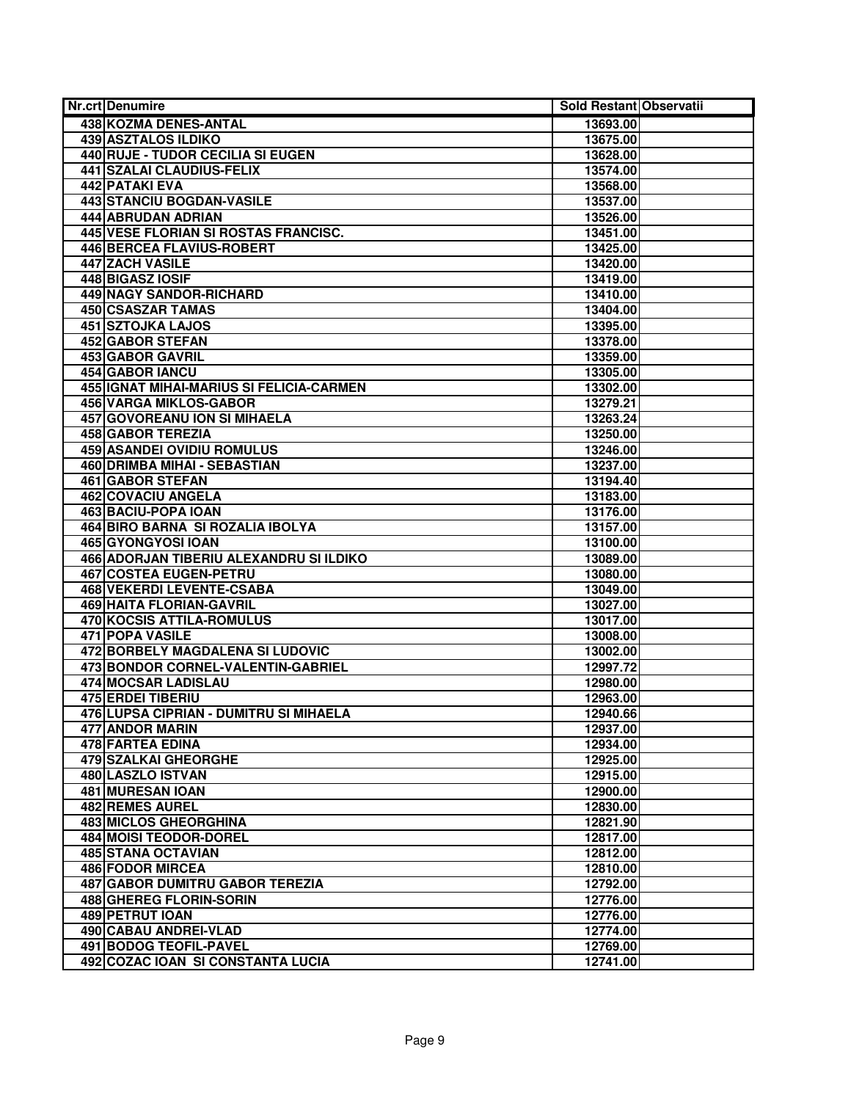| <b>Nr.crt Denumire</b>                                             | Sold Restant Observatii |  |
|--------------------------------------------------------------------|-------------------------|--|
| 438 KOZMA DENES-ANTAL                                              | 13693.00                |  |
| <b>439 ASZTALOS ILDIKO</b>                                         | 13675.00                |  |
| 440 RUJE - TUDOR CECILIA SI EUGEN                                  | 13628.00                |  |
| <b>441 SZALAI CLAUDIUS-FELIX</b>                                   | 13574.00                |  |
| <b>442 PATAKI EVA</b>                                              | 13568.00                |  |
| 443 STANCIU BOGDAN-VASILE                                          | 13537.00                |  |
| <b>444 ABRUDAN ADRIAN</b>                                          | 13526.00                |  |
| 445 VESE FLORIAN SI ROSTAS FRANCISC.                               | 13451.00                |  |
| 446 BERCEA FLAVIUS-ROBERT                                          | 13425.00                |  |
| 447 ZACH VASILE                                                    | 13420.00                |  |
| 448 BIGASZ IOSIF                                                   | 13419.00                |  |
| 449 NAGY SANDOR-RICHARD                                            | 13410.00                |  |
| <b>450 CSASZAR TAMAS</b>                                           | 13404.00                |  |
| <b>451 SZTOJKA LAJOS</b>                                           | 13395.00                |  |
| <b>452 GABOR STEFAN</b>                                            | 13378.00                |  |
| 453 GABOR GAVRIL                                                   | 13359.00                |  |
| 454 GABOR IANCU                                                    | 13305.00                |  |
| 455 IGNAT MIHAI-MARIUS SI FELICIA-CARMEN                           | 13302.00                |  |
| <b>456 VARGA MIKLOS-GABOR</b>                                      | 13279.21                |  |
| 457 GOVOREANU ION SI MIHAELA                                       | 13263.24                |  |
| 458 GABOR TEREZIA                                                  | 13250.00                |  |
| 459 ASANDEI OVIDIU ROMULUS                                         | 13246.00                |  |
| 460 DRIMBA MIHAI - SEBASTIAN                                       | 13237.00                |  |
| <b>461 GABOR STEFAN</b>                                            | 13194.40                |  |
| 462 COVACIU ANGELA                                                 | 13183.00                |  |
| 463 BACIU-POPA IOAN                                                | 13176.00                |  |
| 464 BIRO BARNA SI ROZALIA IBOLYA                                   | 13157.00                |  |
| <b>465 GYONGYOSI IOAN</b>                                          | 13100.00                |  |
| 466 ADORJAN TIBERIU ALEXANDRU SI ILDIKO                            | 13089.00                |  |
| 467 COSTEA EUGEN-PETRU                                             | 13080.00                |  |
| <b>468 VEKERDI LEVENTE-CSABA</b>                                   | 13049.00                |  |
| <b>469 HAITA FLORIAN-GAVRIL</b>                                    | 13027.00                |  |
| 470 KOCSIS ATTILA-ROMULUS                                          | 13017.00                |  |
| <b>471 POPA VASILE</b>                                             | 13008.00                |  |
| 472 BORBELY MAGDALENA SI LUDOVIC                                   | 13002.00                |  |
| 473 BONDOR CORNEL-VALENTIN-GABRIEL                                 | 12997.72                |  |
| 474 MOCSAR LADISLAU                                                | 12980.00                |  |
| <b>475 ERDEI TIBERIU</b>                                           | 12963.00                |  |
| 476 LUPSA CIPRIAN - DUMITRU SI MIHAELA                             | 12940.66                |  |
| 477 ANDOR MARIN                                                    | 12937.00                |  |
| 478 FARTEA EDINA                                                   | 12934.00                |  |
| 479 SZALKAI GHEORGHE                                               | 12925.00                |  |
| 480 LASZLO ISTVAN                                                  | 12915.00                |  |
| <b>481 MURESAN IOAN</b>                                            | 12900.00                |  |
| <b>482 REMES AUREL</b>                                             | 12830.00                |  |
| 483 MICLOS GHEORGHINA                                              | 12821.90                |  |
| 484 MOISI TEODOR-DOREL                                             | 12817.00                |  |
| <b>485 STANA OCTAVIAN</b>                                          | 12812.00                |  |
| <b>486 FODOR MIRCEA</b>                                            | 12810.00                |  |
| 487 GABOR DUMITRU GABOR TEREZIA                                    | 12792.00                |  |
| 488 GHEREG FLORIN-SORIN                                            | 12776.00                |  |
| <b>489 PETRUT IOAN</b>                                             | 12776.00                |  |
| <b>490 CABAU ANDREI-VLAD</b>                                       | 12774.00                |  |
|                                                                    |                         |  |
|                                                                    |                         |  |
| <b>491 BODOG TEOFIL-PAVEL</b><br>492 COZAC IOAN SI CONSTANTA LUCIA | 12769.00<br>12741.00    |  |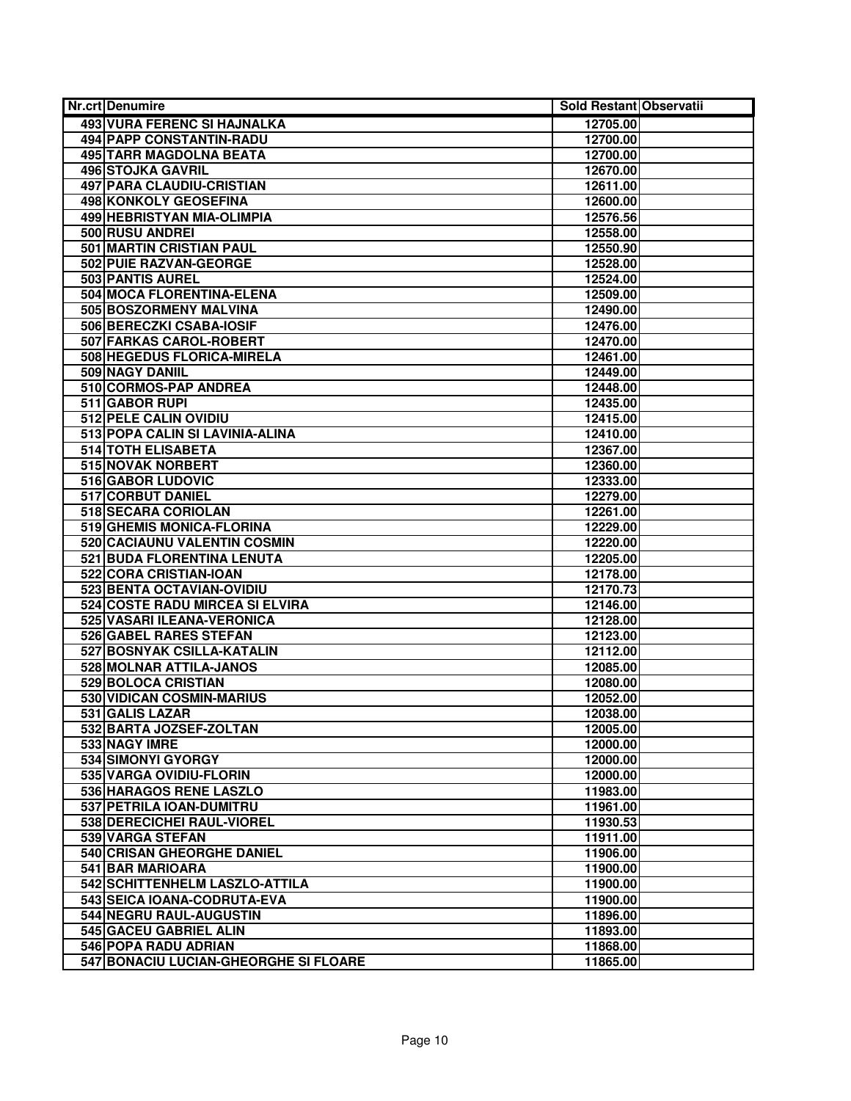| <b>Nr.crt Denumire</b>                | Sold Restant Observatii |  |
|---------------------------------------|-------------------------|--|
| <b>493 VURA FERENC SI HAJNALKA</b>    | 12705.00                |  |
| <b>494 PAPP CONSTANTIN-RADU</b>       | 12700.00                |  |
| <b>495 TARR MAGDOLNA BEATA</b>        | 12700.00                |  |
| <b>496 STOJKA GAVRIL</b>              | 12670.00                |  |
| 497 PARA CLAUDIU-CRISTIAN             | 12611.00                |  |
| 498 KONKOLY GEOSEFINA                 | 12600.00                |  |
| 499 HEBRISTYAN MIA-OLIMPIA            | 12576.56                |  |
| 500 RUSU ANDREI                       | 12558.00                |  |
| 501 MARTIN CRISTIAN PAUL              | 12550.90                |  |
| 502 PUIE RAZVAN-GEORGE                | 12528.00                |  |
| <b>503 PANTIS AUREL</b>               | 12524.00                |  |
| 504 MOCA FLORENTINA-ELENA             | 12509.00                |  |
| 505 BOSZORMENY MALVINA                | 12490.00                |  |
| 506 BERECZKI CSABA-IOSIF              | 12476.00                |  |
| 507 FARKAS CAROL-ROBERT               | 12470.00                |  |
| 508 HEGEDUS FLORICA-MIRELA            | 12461.00                |  |
| 509 NAGY DANIIL                       | 12449.00                |  |
| 510 CORMOS-PAP ANDREA                 | 12448.00                |  |
| 511 GABOR RUPI                        | 12435.00                |  |
| 512 PELE CALIN OVIDIU                 | 12415.00                |  |
| 513 POPA CALIN SI LAVINIA-ALINA       | 12410.00                |  |
| 514 TOTH ELISABETA                    | 12367.00                |  |
| <b>515 NOVAK NORBERT</b>              | 12360.00                |  |
| 516 GABOR LUDOVIC                     | 12333.00                |  |
| 517 CORBUT DANIEL                     | 12279.00                |  |
| 518 SECARA CORIOLAN                   | 12261.00                |  |
| 519 GHEMIS MONICA-FLORINA             | 12229.00                |  |
| 520 CACIAUNU VALENTIN COSMIN          | 12220.00                |  |
| 521 BUDA FLORENTINA LENUTA            | 12205.00                |  |
| 522 CORA CRISTIAN-IOAN                | 12178.00                |  |
| 523 BENTA OCTAVIAN-OVIDIU             | 12170.73                |  |
| 524 COSTE RADU MIRCEA SI ELVIRA       | 12146.00                |  |
| 525 VASARI ILEANA-VERONICA            | 12128.00                |  |
| 526 GABEL RARES STEFAN                | 12123.00                |  |
| 527 BOSNYAK CSILLA-KATALIN            | 12112.00                |  |
| 528 MOLNAR ATTILA-JANOS               | 12085.00                |  |
| 529 BOLOCA CRISTIAN                   | 12080.00                |  |
| 530 VIDICAN COSMIN-MARIUS             | 12052.00                |  |
| 531 GALIS LAZAR                       | 12038.00                |  |
| 532 BARTA JOZSEF-ZOLTAN               | 12005.00                |  |
| 533 NAGY IMRE                         | 12000.00                |  |
| 534 SIMONYI GYORGY                    | 12000.00                |  |
| 535 VARGA OVIDIU-FLORIN               | 12000.00                |  |
| 536 HARAGOS RENE LASZLO               | 11983.00                |  |
| 537 PETRILA IOAN-DUMITRU              | 11961.00                |  |
| 538 DERECICHEI RAUL-VIOREL            | 11930.53                |  |
| <b>539 VARGA STEFAN</b>               | 11911.00                |  |
| 540 CRISAN GHEORGHE DANIEL            | 11906.00                |  |
| 541 BAR MARIOARA                      | 11900.00                |  |
| 542 SCHITTENHELM LASZLO-ATTILA        | 11900.00                |  |
| 543 SEICA IOANA-CODRUTA-EVA           | 11900.00                |  |
| 544 NEGRU RAUL-AUGUSTIN               | 11896.00                |  |
| 545 GACEU GABRIEL ALIN                | 11893.00                |  |
| 546 POPA RADU ADRIAN                  | 11868.00                |  |
| 547 BONACIU LUCIAN-GHEORGHE SI FLOARE | 11865.00                |  |
|                                       |                         |  |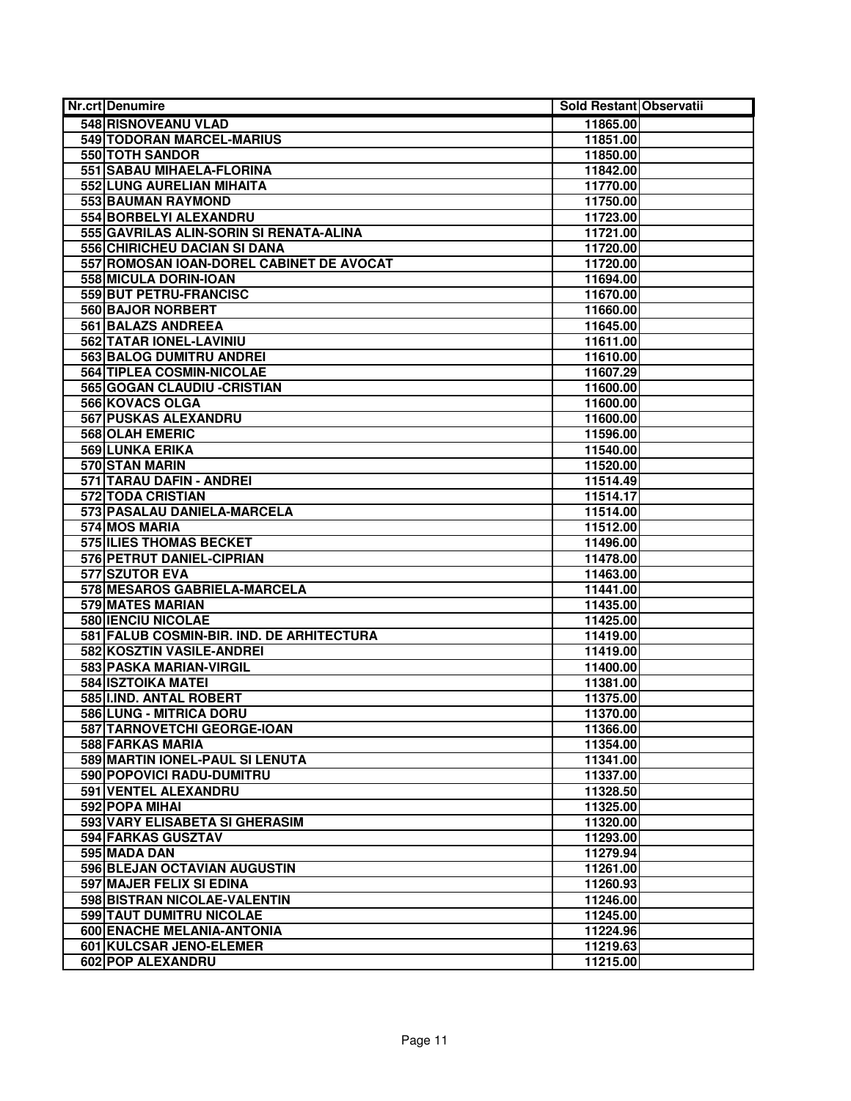| <b>Nr.crt Denumire</b>                    | Sold Restant Observatii |  |
|-------------------------------------------|-------------------------|--|
| <b>548 RISNOVEANU VLAD</b>                | 11865.00                |  |
| <b>549 TODORAN MARCEL-MARIUS</b>          | 11851.00                |  |
| <b>550 TOTH SANDOR</b>                    | 11850.00                |  |
| 551 SABAU MIHAELA-FLORINA                 | 11842.00                |  |
| <b>552 LUNG AURELIAN MIHAITA</b>          | 11770.00                |  |
| 553 BAUMAN RAYMOND                        | 11750.00                |  |
| 554 BORBELYI ALEXANDRU                    | 11723.00                |  |
| 555 GAVRILAS ALIN-SORIN SI RENATA-ALINA   | 11721.00                |  |
| 556 CHIRICHEU DACIAN SI DANA              | 11720.00                |  |
| 557 ROMOSAN IOAN-DOREL CABINET DE AVOCAT  | 11720.00                |  |
| 558 MICULA DORIN-IOAN                     | 11694.00                |  |
| 559 BUT PETRU-FRANCISC                    | 11670.00                |  |
| 560 BAJOR NORBERT                         | 11660.00                |  |
| 561 BALAZS ANDREEA                        | 11645.00                |  |
| 562 TATAR IONEL-LAVINIU                   | 11611.00                |  |
| 563 BALOG DUMITRU ANDREI                  | 11610.00                |  |
| 564 TIPLEA COSMIN-NICOLAE                 | 11607.29                |  |
| 565 GOGAN CLAUDIU - CRISTIAN              | 11600.00                |  |
| 566 KOVACS OLGA                           | 11600.00                |  |
| 567 PUSKAS ALEXANDRU                      | 11600.00                |  |
| 568 OLAH EMERIC                           | 11596.00                |  |
| 569 LUNKA ERIKA                           | 11540.00                |  |
| 570 STAN MARIN                            | 11520.00                |  |
| 571 TARAU DAFIN - ANDREI                  | 11514.49                |  |
| <b>572 TODA CRISTIAN</b>                  | 11514.17                |  |
| 573 PASALAU DANIELA-MARCELA               | 11514.00                |  |
| 574 MOS MARIA                             | 11512.00                |  |
| <b>575 ILIES THOMAS BECKET</b>            | 11496.00                |  |
| 576 PETRUT DANIEL-CIPRIAN                 | 11478.00                |  |
| 577 SZUTOR EVA                            | 11463.00                |  |
| 578 MESAROS GABRIELA-MARCELA              | 11441.00                |  |
| <b>579 MATES MARIAN</b>                   | 11435.00                |  |
| <b>580 IENCIU NICOLAE</b>                 | 11425.00                |  |
| 581 FALUB COSMIN-BIR. IND. DE ARHITECTURA | 11419.00                |  |
| 582 KOSZTIN VASILE-ANDREI                 | 11419.00                |  |
| 583 PASKA MARIAN-VIRGIL                   | 11400.00                |  |
| 584 ISZTOIKA MATEI                        | 11381.00                |  |
| 585 I.IND. ANTAL ROBERT                   | 11375.00                |  |
| 586 LUNG - MITRICA DORU                   | 11370.00                |  |
| 587 TARNOVETCHI GEORGE-IOAN               | 11366.00                |  |
| 588 FARKAS MARIA                          | 11354.00                |  |
| 589 MARTIN IONEL-PAUL SI LENUTA           | 11341.00                |  |
| 590 POPOVICI RADU-DUMITRU                 | 11337.00                |  |
| 591 VENTEL ALEXANDRU                      | 11328.50                |  |
| 592 POPA MIHAI                            | 11325.00                |  |
| 593 VARY ELISABETA SI GHERASIM            | 11320.00                |  |
| 594 FARKAS GUSZTAV                        | 11293.00                |  |
| 595 MADA DAN                              | 11279.94                |  |
| 596 BLEJAN OCTAVIAN AUGUSTIN              | 11261.00                |  |
| 597 MAJER FELIX SI EDINA                  | 11260.93                |  |
| 598 BISTRAN NICOLAE-VALENTIN              | 11246.00                |  |
| 599 TAUT DUMITRU NICOLAE                  | 11245.00                |  |
| 600 ENACHE MELANIA-ANTONIA                | 11224.96                |  |
| 601 KULCSAR JENO-ELEMER                   | 11219.63                |  |
| 602 POP ALEXANDRU                         | 11215.00                |  |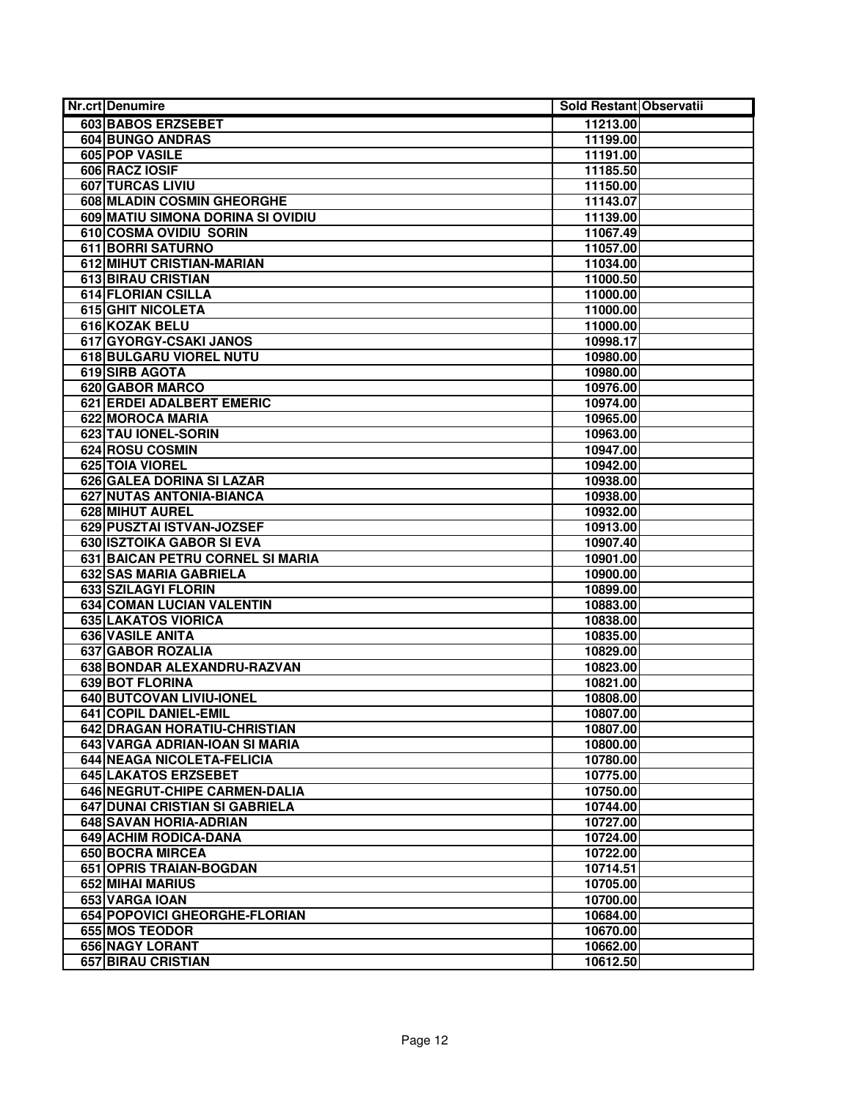| Nr.crt Denumire                   | Sold Restant Observatii |  |
|-----------------------------------|-------------------------|--|
| 603 BABOS ERZSEBET                | 11213.00                |  |
| <b>604 BUNGO ANDRAS</b>           | 11199.00                |  |
| 605 POP VASILE                    | 11191.00                |  |
| 606 RACZ IOSIF                    | 11185.50                |  |
| <b>607 TURCAS LIVIU</b>           | 11150.00                |  |
| <b>608 MLADIN COSMIN GHEORGHE</b> | 11143.07                |  |
| 609 MATIU SIMONA DORINA SI OVIDIU | 11139.00                |  |
| 610 COSMA OVIDIU SORIN            | 11067.49                |  |
| <b>611 BORRI SATURNO</b>          | 11057.00                |  |
| 612 MIHUT CRISTIAN-MARIAN         | 11034.00                |  |
| <b>613 BIRAU CRISTIAN</b>         | 11000.50                |  |
| <b>614 FLORIAN CSILLA</b>         | 11000.00                |  |
| <b>615 GHIT NICOLETA</b>          | 11000.00                |  |
| 616 KOZAK BELU                    | 11000.00                |  |
| 617 GYORGY-CSAKI JANOS            | 10998.17                |  |
| 618 BULGARU VIOREL NUTU           | 10980.00                |  |
| 619 SIRB AGOTA                    | 10980.00                |  |
| <b>620 GABOR MARCO</b>            | 10976.00                |  |
| <b>621 ERDEI ADALBERT EMERIC</b>  | 10974.00                |  |
| 622 MOROCA MARIA                  | 10965.00                |  |
| 623 TAU IONEL-SORIN               | 10963.00                |  |
| 624 ROSU COSMIN                   | 10947.00                |  |
| 625 TOIA VIOREL                   | 10942.00                |  |
| 626 GALEA DORINA SI LAZAR         | 10938.00                |  |
| 627 NUTAS ANTONIA-BIANCA          | 10938.00                |  |
| <b>628 MIHUT AUREL</b>            | 10932.00                |  |
| 629 PUSZTAI ISTVAN-JOZSEF         | 10913.00                |  |
| 630 ISZTOIKA GABOR SI EVA         | 10907.40                |  |
| 631 BAICAN PETRU CORNEL SI MARIA  | 10901.00                |  |
| 632 SAS MARIA GABRIELA            | 10900.00                |  |
| 633 SZILAGYI FLORIN               | 10899.00                |  |
| <b>634 COMAN LUCIAN VALENTIN</b>  | 10883.00                |  |
| 635 LAKATOS VIORICA               | 10838.00                |  |
| <b>636 VASILE ANITA</b>           | 10835.00                |  |
| 637 GABOR ROZALIA                 | 10829.00                |  |
| 638 BONDAR ALEXANDRU-RAZVAN       | 10823.00                |  |
| 639 BOT FLORINA                   | 10821.00                |  |
| 640 BUTCOVAN LIVIU-IONEL          | 10808.00                |  |
| 641 COPIL DANIEL-EMIL             | 10807.00                |  |
| 642 DRAGAN HORATIU-CHRISTIAN      | 10807.00                |  |
| 643 VARGA ADRIAN-IOAN SI MARIA    | 10800.00                |  |
| 644 NEAGA NICOLETA-FELICIA        | 10780.00                |  |
| 645 LAKATOS ERZSEBET              | 10775.00                |  |
| 646 NEGRUT-CHIPE CARMEN-DALIA     | 10750.00                |  |
| 647 DUNAI CRISTIAN SI GABRIELA    | 10744.00                |  |
| 648 SAVAN HORIA-ADRIAN            | 10727.00                |  |
| <b>649 ACHIM RODICA-DANA</b>      | 10724.00                |  |
| <b>650 BOCRA MIRCEA</b>           | 10722.00                |  |
| 651 OPRIS TRAIAN-BOGDAN           | 10714.51                |  |
| 652 MIHAI MARIUS                  | 10705.00                |  |
| 653 VARGA IOAN                    | 10700.00                |  |
| 654 POPOVICI GHEORGHE-FLORIAN     | 10684.00                |  |
| <b>655 MOS TEODOR</b>             | 10670.00                |  |
| 656 NAGY LORANT                   | 10662.00                |  |
| <b>657 BIRAU CRISTIAN</b>         | 10612.50                |  |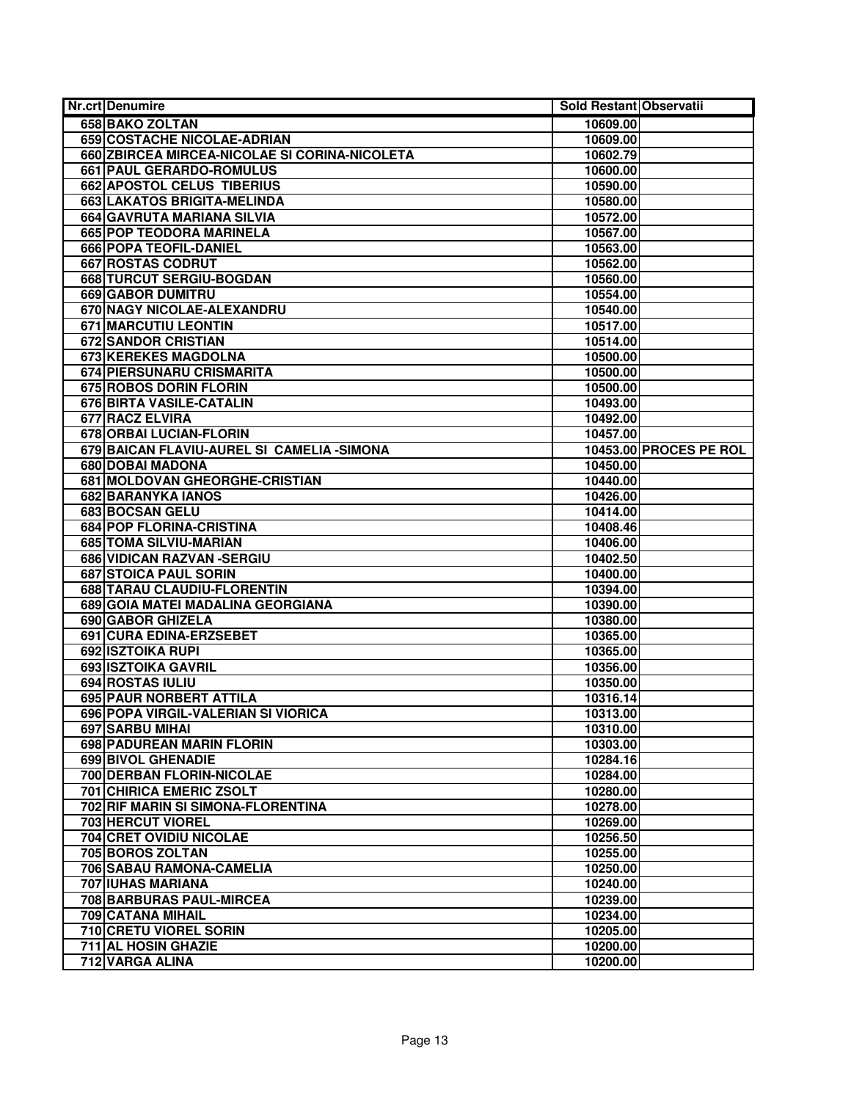| <b>Nr.crt Denumire</b>                               | Sold Restant Observatii |                        |
|------------------------------------------------------|-------------------------|------------------------|
| 658 BAKO ZOLTAN                                      | 10609.00                |                        |
| <b>659 COSTACHE NICOLAE-ADRIAN</b>                   | 10609.00                |                        |
| 660 ZBIRCEA MIRCEA-NICOLAE SI CORINA-NICOLETA        | 10602.79                |                        |
| 661 PAUL GERARDO-ROMULUS                             | 10600.00                |                        |
| 662 APOSTOL CELUS TIBERIUS                           | 10590.00                |                        |
| <b>663 LAKATOS BRIGITA-MELINDA</b>                   | 10580.00                |                        |
| 664 GAVRUTA MARIANA SILVIA                           | 10572.00                |                        |
| 665 POP TEODORA MARINELA                             | 10567.00                |                        |
| 666 POPA TEOFIL-DANIEL                               | 10563.00                |                        |
| 667 ROSTAS CODRUT                                    | 10562.00                |                        |
| 668 TURCUT SERGIU-BOGDAN                             | 10560.00                |                        |
| 669 GABOR DUMITRU                                    | 10554.00                |                        |
| 670 NAGY NICOLAE-ALEXANDRU                           | 10540.00                |                        |
| <b>671 MARCUTIU LEONTIN</b>                          | 10517.00                |                        |
| <b>672 SANDOR CRISTIAN</b>                           | 10514.00                |                        |
| 673 KEREKES MAGDOLNA                                 | 10500.00                |                        |
| 674 PIERSUNARU CRISMARITA                            | 10500.00                |                        |
| 675 ROBOS DORIN FLORIN                               | 10500.00                |                        |
| 676 BIRTA VASILE-CATALIN                             | 10493.00                |                        |
| <b>677 RACZ ELVIRA</b>                               | 10492.00                |                        |
| 678 ORBAI LUCIAN-FLORIN                              | 10457.00                |                        |
| 679 BAICAN FLAVIU-AUREL SI CAMELIA - SIMONA          |                         | 10453.00 PROCES PE ROL |
| 680 DOBAI MADONA                                     | 10450.00                |                        |
| 681 MOLDOVAN GHEORGHE-CRISTIAN                       | 10440.00                |                        |
| 682 BARANYKA IANOS                                   | 10426.00                |                        |
| <b>683 BOCSAN GELU</b>                               | 10414.00                |                        |
| 684 POP FLORINA-CRISTINA                             | 10408.46                |                        |
| 685 TOMA SILVIU-MARIAN                               | 10406.00                |                        |
| 686 VIDICAN RAZVAN - SERGIU                          | 10402.50                |                        |
| 687 STOICA PAUL SORIN                                | 10400.00                |                        |
| 688 TARAU CLAUDIU-FLORENTIN                          | 10394.00                |                        |
| 689 GOIA MATEI MADALINA GEORGIANA                    | 10390.00                |                        |
| <b>690 GABOR GHIZELA</b>                             | 10380.00                |                        |
| 691 CURA EDINA-ERZSEBET                              | 10365.00                |                        |
| 692 ISZTOIKA RUPI                                    | 10365.00                |                        |
| 693 ISZTOIKA GAVRIL                                  | 10356.00                |                        |
| 694 ROSTAS IULIU                                     | 10350.00                |                        |
| 695 PAUR NORBERT ATTILA                              | 10316.14                |                        |
| 696 POPA VIRGIL-VALERIAN SI VIORICA                  | 10313.00                |                        |
| 697 SARBU MIHAI                                      | 10310.00                |                        |
| 698 PADUREAN MARIN FLORIN                            | 10303.00                |                        |
| <b>699 BIVOL GHENADIE</b>                            | 10284.16                |                        |
| 700 DERBAN FLORIN-NICOLAE                            | 10284.00                |                        |
| 701 CHIRICA EMERIC ZSOLT                             | 10280.00                |                        |
| 702 RIF MARIN SI SIMONA-FLORENTINA                   | 10278.00                |                        |
| 703 HERCUT VIOREL<br><b>704 CRET OVIDIU NICOLAE</b>  | 10269.00                |                        |
|                                                      | 10256.50                |                        |
| 705 BOROS ZOLTAN                                     | 10255.00                |                        |
| 706 SABAU RAMONA-CAMELIA<br><b>707 IUHAS MARIANA</b> | 10250.00                |                        |
|                                                      | 10240.00                |                        |
| 708 BARBURAS PAUL-MIRCEA<br><b>709 CATANA MIHAIL</b> | 10239.00<br>10234.00    |                        |
| 710 CRETU VIOREL SORIN                               |                         |                        |
| 711 AL HOSIN GHAZIE                                  | 10205.00                |                        |
|                                                      | 10200.00                |                        |
| 712 VARGA ALINA                                      | 10200.00                |                        |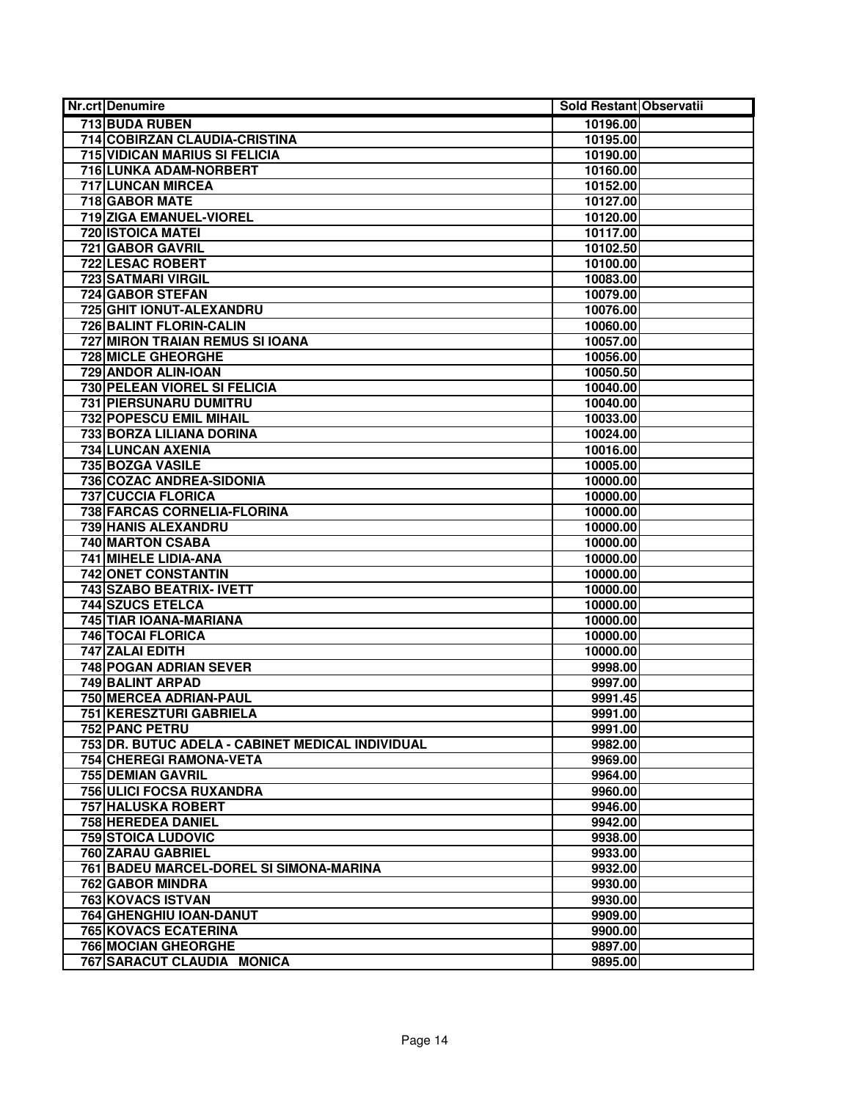| <b>Nr.crt Denumire</b>                           | Sold Restant Observatii |  |
|--------------------------------------------------|-------------------------|--|
| 713 BUDA RUBEN                                   | 10196.00                |  |
| 714 COBIRZAN CLAUDIA-CRISTINA                    | 10195.00                |  |
| <b>715 VIDICAN MARIUS SI FELICIA</b>             | 10190.00                |  |
| 716 LUNKA ADAM-NORBERT                           | 10160.00                |  |
| 717 LUNCAN MIRCEA                                | 10152.00                |  |
| <b>718 GABOR MATE</b>                            | 10127.00                |  |
| 719 ZIGA EMANUEL-VIOREL                          | 10120.00                |  |
| 720 ISTOICA MATEI                                | 10117.00                |  |
| 721 GABOR GAVRIL                                 | 10102.50                |  |
| 722 LESAC ROBERT                                 | 10100.00                |  |
| <b>723 SATMARI VIRGIL</b>                        | 10083.00                |  |
| <b>724 GABOR STEFAN</b>                          | 10079.00                |  |
| 725 GHIT IONUT-ALEXANDRU                         | 10076.00                |  |
| <b>726 BALINT FLORIN-CALIN</b>                   | 10060.00                |  |
| 727 MIRON TRAIAN REMUS SI IOANA                  | 10057.00                |  |
| 728 MICLE GHEORGHE                               | 10056.00                |  |
| 729 ANDOR ALIN-IOAN                              | 10050.50                |  |
| <b>730 PELEAN VIOREL SI FELICIA</b>              | 10040.00                |  |
| 731 PIERSUNARU DUMITRU                           | 10040.00                |  |
| 732 POPESCU EMIL MIHAIL                          | 10033.00                |  |
| 733 BORZA LILIANA DORINA                         | 10024.00                |  |
| 734 LUNCAN AXENIA                                | 10016.00                |  |
| 735 BOZGA VASILE                                 | 10005.00                |  |
| 736 COZAC ANDREA-SIDONIA                         | 10000.00                |  |
| <b>737 CUCCIA FLORICA</b>                        | 10000.00                |  |
| 738 FARCAS CORNELIA-FLORINA                      | 10000.00                |  |
| <b>739 HANIS ALEXANDRU</b>                       | 10000.00                |  |
| <b>740 MARTON CSABA</b>                          | 10000.00                |  |
| 741 MIHELE LIDIA-ANA                             | 10000.00                |  |
| 742 ONET CONSTANTIN                              | 10000.00                |  |
| 743 SZABO BEATRIX- IVETT                         | 10000.00                |  |
| <b>744 SZUCS ETELCA</b>                          | 10000.00                |  |
| 745 TIAR IOANA-MARIANA                           | 10000.00                |  |
| <b>746 TOCAI FLORICA</b>                         | 10000.00                |  |
| 747 ZALAI EDITH                                  | 10000.00                |  |
| <b>748 POGAN ADRIAN SEVER</b>                    | 9998.00                 |  |
| 749 BALINT ARPAD                                 | 9997.00                 |  |
| 750 MERCEA ADRIAN-PAUL                           | 9991.45                 |  |
| 751 KERESZTURI GABRIELA                          | 9991.00                 |  |
| 752 PANC PETRU                                   | 9991.00                 |  |
| 753 DR. BUTUC ADELA - CABINET MEDICAL INDIVIDUAL | 9982.00                 |  |
| 754 CHEREGI RAMONA-VETA                          | 9969.00                 |  |
| 755 DEMIAN GAVRIL                                | 9964.00                 |  |
| 756 ULICI FOCSA RUXANDRA                         | 9960.00                 |  |
| 757 HALUSKA ROBERT                               | 9946.00                 |  |
| 758 HEREDEA DANIEL                               | 9942.00                 |  |
| <b>759 STOICA LUDOVIC</b>                        | 9938.00                 |  |
| 760 ZARAU GABRIEL                                | 9933.00                 |  |
| 761 BADEU MARCEL-DOREL SI SIMONA-MARINA          | 9932.00                 |  |
| 762 GABOR MINDRA                                 | 9930.00                 |  |
| 763 KOVACS ISTVAN                                | 9930.00                 |  |
| 764 GHENGHIU IOAN-DANUT                          | 9909.00                 |  |
| <b>765 KOVACS ECATERINA</b>                      | 9900.00                 |  |
| <b>766 MOCIAN GHEORGHE</b>                       | 9897.00                 |  |
| 767 SARACUT CLAUDIA MONICA                       | 9895.00                 |  |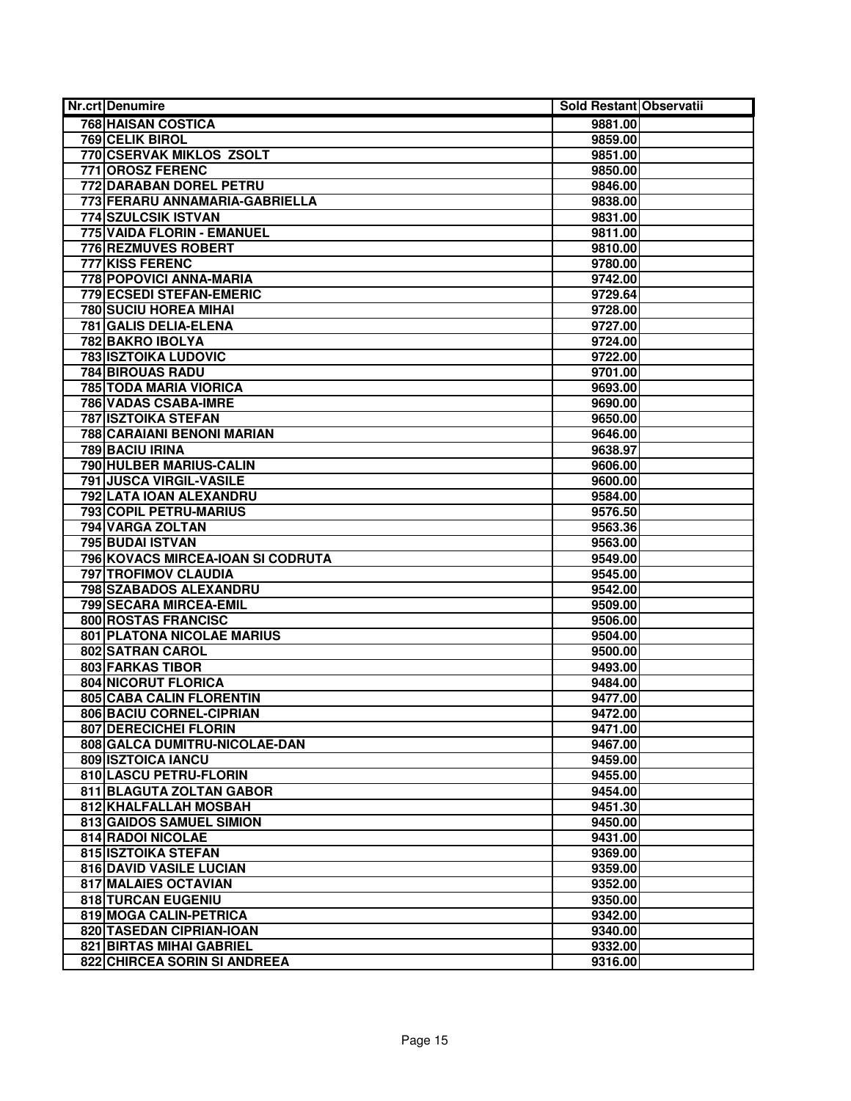| <b>Nr.crt Denumire</b>            | Sold Restant Observatii |  |
|-----------------------------------|-------------------------|--|
| 768 HAISAN COSTICA                | 9881.00                 |  |
| <b>769 CELIK BIROL</b>            | 9859.00                 |  |
| 770 CSERVAK MIKLOS ZSOLT          | 9851.00                 |  |
| 771 OROSZ FERENC                  | 9850.00                 |  |
| 772 DARABAN DOREL PETRU           | 9846.00                 |  |
| 773 FERARU ANNAMARIA-GABRIELLA    | 9838.00                 |  |
| 774 SZULCSIK ISTVAN               | 9831.00                 |  |
| 775 VAIDA FLORIN - EMANUEL        | 9811.00                 |  |
| 776 REZMUVES ROBERT               | 9810.00                 |  |
| <b>777 KISS FERENC</b>            | 9780.00                 |  |
| 778 POPOVICI ANNA-MARIA           | 9742.00                 |  |
| 779 ECSEDI STEFAN-EMERIC          | 9729.64                 |  |
| <b>780 SUCIU HOREA MIHAI</b>      | 9728.00                 |  |
| 781 GALIS DELIA-ELENA             | 9727.00                 |  |
| 782 BAKRO IBOLYA                  | 9724.00                 |  |
| <b>783 ISZTOIKA LUDOVIC</b>       | 9722.00                 |  |
| <b>784 BIROUAS RADU</b>           | 9701.00                 |  |
| <b>785 TODA MARIA VIORICA</b>     | 9693.00                 |  |
| 786 VADAS CSABA-IMRE              | 9690.00                 |  |
| <b>787 ISZTOIKA STEFAN</b>        | 9650.00                 |  |
| 788 CARAIANI BENONI MARIAN        | 9646.00                 |  |
| 789 BACIU IRINA                   | 9638.97                 |  |
| 790 HULBER MARIUS-CALIN           | 9606.00                 |  |
| 791 JUSCA VIRGIL-VASILE           | 9600.00                 |  |
| 792 LATA IOAN ALEXANDRU           | 9584.00                 |  |
| 793 COPIL PETRU-MARIUS            | 9576.50                 |  |
| 794 VARGA ZOLTAN                  | 9563.36                 |  |
| 795 BUDAI ISTVAN                  | 9563.00                 |  |
| 796 KOVACS MIRCEA-IOAN SI CODRUTA | 9549.00                 |  |
| 797 TROFIMOV CLAUDIA              | 9545.00                 |  |
| 798 SZABADOS ALEXANDRU            | 9542.00                 |  |
| 799 SECARA MIRCEA-EMIL            | 9509.00                 |  |
| 800 ROSTAS FRANCISC               | 9506.00                 |  |
| <b>801 PLATONA NICOLAE MARIUS</b> | 9504.00                 |  |
| 802 SATRAN CAROL                  | 9500.00                 |  |
| <b>803 FARKAS TIBOR</b>           | 9493.00                 |  |
| 804 NICORUT FLORICA               | 9484.00                 |  |
| 805 CABA CALIN FLORENTIN          | 9477.00                 |  |
| 806 BACIU CORNEL-CIPRIAN          | 9472.00                 |  |
| 807 DERECICHEI FLORIN             | 9471.00                 |  |
| 808 GALCA DUMITRU-NICOLAE-DAN     | 9467.00                 |  |
| 809 ISZTOICA IANCU                | 9459.00                 |  |
| 810 LASCU PETRU-FLORIN            | 9455.00                 |  |
| 811 BLAGUTA ZOLTAN GABOR          | 9454.00                 |  |
| 812 KHALFALLAH MOSBAH             | 9451.30                 |  |
| 813 GAIDOS SAMUEL SIMION          | 9450.00                 |  |
| 814 RADOI NICOLAE                 | 9431.00                 |  |
| 815 ISZTOIKA STEFAN               | 9369.00                 |  |
| 816 DAVID VASILE LUCIAN           | 9359.00                 |  |
| 817 MALAIES OCTAVIAN              | 9352.00                 |  |
| 818 TURCAN EUGENIU                | 9350.00                 |  |
| 819 MOGA CALIN-PETRICA            | 9342.00                 |  |
| 820 TASEDAN CIPRIAN-IOAN          | 9340.00                 |  |
| 821 BIRTAS MIHAI GABRIEL          | 9332.00                 |  |
| 822 CHIRCEA SORIN SI ANDREEA      | 9316.00                 |  |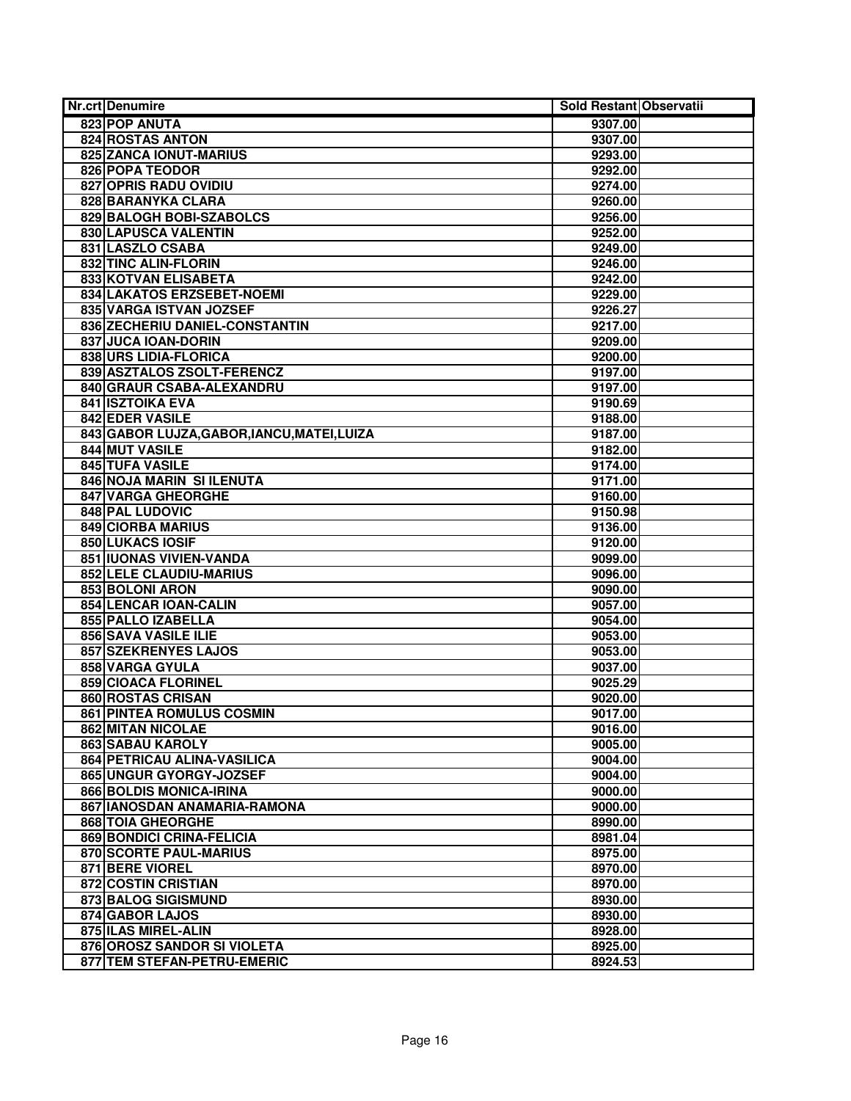| <b>Nr.crt Denumire</b>                      | Sold Restant Observatii |  |
|---------------------------------------------|-------------------------|--|
| 823 POP ANUTA                               | 9307.00                 |  |
| 824 ROSTAS ANTON                            | 9307.00                 |  |
| 825 ZANCA IONUT-MARIUS                      | 9293.00                 |  |
| <b>826 POPA TEODOR</b>                      | 9292.00                 |  |
| <b>827 OPRIS RADU OVIDIU</b>                | 9274.00                 |  |
| 828 BARANYKA CLARA                          | 9260.00                 |  |
| 829 BALOGH BOBI-SZABOLCS                    | 9256.00                 |  |
| 830 LAPUSCA VALENTIN                        | 9252.00                 |  |
| 831 LASZLO CSABA                            | 9249.00                 |  |
| 832 TINC ALIN-FLORIN                        | 9246.00                 |  |
| <b>833 KOTVAN ELISABETA</b>                 | 9242.00                 |  |
| 834 LAKATOS ERZSEBET-NOEMI                  | 9229.00                 |  |
| 835 VARGA ISTVAN JOZSEF                     | 9226.27                 |  |
| 836 ZECHERIU DANIEL-CONSTANTIN              | 9217.00                 |  |
| 837 JUCA IOAN-DORIN                         | 9209.00                 |  |
| 838 URS LIDIA-FLORICA                       | 9200.00                 |  |
| 839 ASZTALOS ZSOLT-FERENCZ                  | 9197.00                 |  |
| 840 GRAUR CSABA-ALEXANDRU                   | 9197.00                 |  |
| <b>841 ISZTOIKA EVA</b>                     | 9190.69                 |  |
| <b>842 EDER VASILE</b>                      | 9188.00                 |  |
| 843 GABOR LUJZA, GABOR, IANCU, MATEI, LUIZA | 9187.00                 |  |
| 844 MUT VASILE                              | 9182.00                 |  |
| 845 TUFA VASILE                             | 9174.00                 |  |
| 846 NOJA MARIN SI ILENUTA                   | 9171.00                 |  |
| 847 VARGA GHEORGHE                          | 9160.00                 |  |
| 848 PAL LUDOVIC                             | 9150.98                 |  |
| <b>849 CIORBA MARIUS</b>                    | 9136.00                 |  |
| <b>850 LUKACS IOSIF</b>                     | 9120.00                 |  |
| 851 IUONAS VIVIEN-VANDA                     | 9099.00                 |  |
| 852 LELE CLAUDIU-MARIUS                     | 9096.00                 |  |
| 853 BOLONI ARON                             | 9090.00                 |  |
| 854 LENCAR IOAN-CALIN                       | 9057.00                 |  |
| 855 PALLO IZABELLA                          | 9054.00                 |  |
| 856 SAVA VASILE ILIE                        | 9053.00                 |  |
| 857 SZEKRENYES LAJOS                        | 9053.00                 |  |
| 858 VARGA GYULA                             | 9037.00                 |  |
| 859 CIOACA FLORINEL                         | 9025.29                 |  |
| 860 ROSTAS CRISAN                           | 9020.00                 |  |
| <b>861 PINTEA ROMULUS COSMIN</b>            | 9017.00                 |  |
| 862 MITAN NICOLAE                           | 9016.00                 |  |
| 863 SABAU KAROLY                            | 9005.00                 |  |
| 864 PETRICAU ALINA-VASILICA                 | 9004.00                 |  |
| 865 UNGUR GYORGY-JOZSEF                     | 9004.00                 |  |
| 866 BOLDIS MONICA-IRINA                     | 9000.00                 |  |
| 867 IANOSDAN ANAMARIA-RAMONA                | 9000.00                 |  |
| <b>868 TOIA GHEORGHE</b>                    | 8990.00                 |  |
| 869 BONDICI CRINA-FELICIA                   | 8981.04                 |  |
| 870 SCORTE PAUL-MARIUS                      | 8975.00                 |  |
| 871 BERE VIOREL                             | 8970.00                 |  |
| 872 COSTIN CRISTIAN                         | 8970.00                 |  |
| 873 BALOG SIGISMUND                         | 8930.00                 |  |
| 874 GABOR LAJOS                             | 8930.00                 |  |
| 875 ILAS MIREL-ALIN                         | 8928.00                 |  |
| 876 OROSZ SANDOR SI VIOLETA                 | 8925.00                 |  |
| 877 TEM STEFAN-PETRU-EMERIC                 | 8924.53                 |  |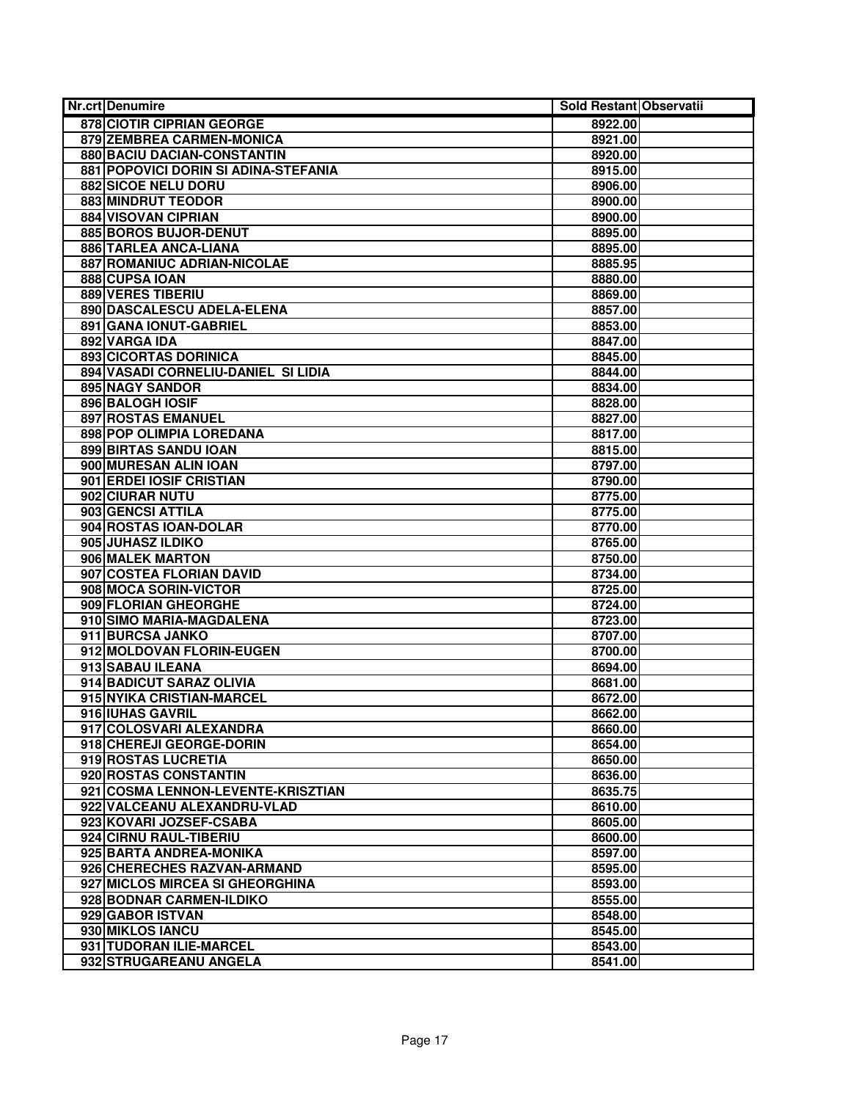| <b>Nr.crt Denumire</b>               | Sold Restant Observatii |  |
|--------------------------------------|-------------------------|--|
| 878 CIOTIR CIPRIAN GEORGE            | 8922.00                 |  |
| 879 ZEMBREA CARMEN-MONICA            | 8921.00                 |  |
| 880 BACIU DACIAN-CONSTANTIN          | 8920.00                 |  |
| 881 POPOVICI DORIN SI ADINA-STEFANIA | 8915.00                 |  |
| 882 SICOE NELU DORU                  | 8906.00                 |  |
| 883 MINDRUT TEODOR                   | 8900.00                 |  |
| <b>884 VISOVAN CIPRIAN</b>           | 8900.00                 |  |
| 885 BOROS BUJOR-DENUT                | 8895.00                 |  |
| 886 TARLEA ANCA-LIANA                | 8895.00                 |  |
| 887 ROMANIUC ADRIAN-NICOLAE          | 8885.95                 |  |
| 888 CUPSA IOAN                       | 8880.00                 |  |
| <b>889 VERES TIBERIU</b>             | 8869.00                 |  |
| 890 DASCALESCU ADELA-ELENA           | 8857.00                 |  |
| 891 GANA IONUT-GABRIEL               | 8853.00                 |  |
| 892 VARGA IDA                        | 8847.00                 |  |
| 893 CICORTAS DORINICA                | 8845.00                 |  |
| 894 VASADI CORNELIU-DANIEL SI LIDIA  | 8844.00                 |  |
| 895 NAGY SANDOR                      | 8834.00                 |  |
| 896 BALOGH IOSIF                     | 8828.00                 |  |
| <b>897 ROSTAS EMANUEL</b>            | 8827.00                 |  |
| 898 POP OLIMPIA LOREDANA             | 8817.00                 |  |
| 899 BIRTAS SANDU IOAN                | 8815.00                 |  |
| 900 MURESAN ALIN IOAN                | 8797.00                 |  |
| 901 ERDEI IOSIF CRISTIAN             | 8790.00                 |  |
| 902 CIURAR NUTU                      | 8775.00                 |  |
| 903 GENCSI ATTILA                    | 8775.00                 |  |
| 904 ROSTAS IOAN-DOLAR                | 8770.00                 |  |
| 905 JUHASZ ILDIKO                    | 8765.00                 |  |
| 906 MALEK MARTON                     | 8750.00                 |  |
| 907 COSTEA FLORIAN DAVID             | 8734.00                 |  |
| 908 MOCA SORIN-VICTOR                | 8725.00                 |  |
| 909 FLORIAN GHEORGHE                 | 8724.00                 |  |
| 910 SIMO MARIA-MAGDALENA             | 8723.00                 |  |
| 911 BURCSA JANKO                     | 8707.00                 |  |
| 912 MOLDOVAN FLORIN-EUGEN            | 8700.00                 |  |
| 913 SABAU ILEANA                     | 8694.00                 |  |
| 914 BADICUT SARAZ OLIVIA             | 8681.00                 |  |
| 915 NYIKA CRISTIAN-MARCEL            | 8672.00                 |  |
| 916 IUHAS GAVRIL                     | 8662.00                 |  |
| 917 COLOSVARI ALEXANDRA              | 8660.00                 |  |
| 918 CHEREJI GEORGE-DORIN             | 8654.00                 |  |
| 919 ROSTAS LUCRETIA                  | 8650.00                 |  |
| 920 ROSTAS CONSTANTIN                | 8636.00                 |  |
| 921 COSMA LENNON-LEVENTE-KRISZTIAN   | 8635.75                 |  |
| 922 VALCEANU ALEXANDRU-VLAD          | 8610.00                 |  |
| 923 KOVARI JOZSEF-CSABA              | 8605.00                 |  |
| 924 CIRNU RAUL-TIBERIU               | 8600.00                 |  |
| 925 BARTA ANDREA-MONIKA              | 8597.00                 |  |
| 926 CHERECHES RAZVAN-ARMAND          | 8595.00                 |  |
| 927 MICLOS MIRCEA SI GHEORGHINA      | 8593.00                 |  |
| 928 BODNAR CARMEN-ILDIKO             | 8555.00                 |  |
| 929 GABOR ISTVAN                     | 8548.00                 |  |
| 930 MIKLOS IANCU                     | 8545.00                 |  |
| 931 TUDORAN ILIE-MARCEL              | 8543.00                 |  |
| 932 STRUGAREANU ANGELA               | 8541.00                 |  |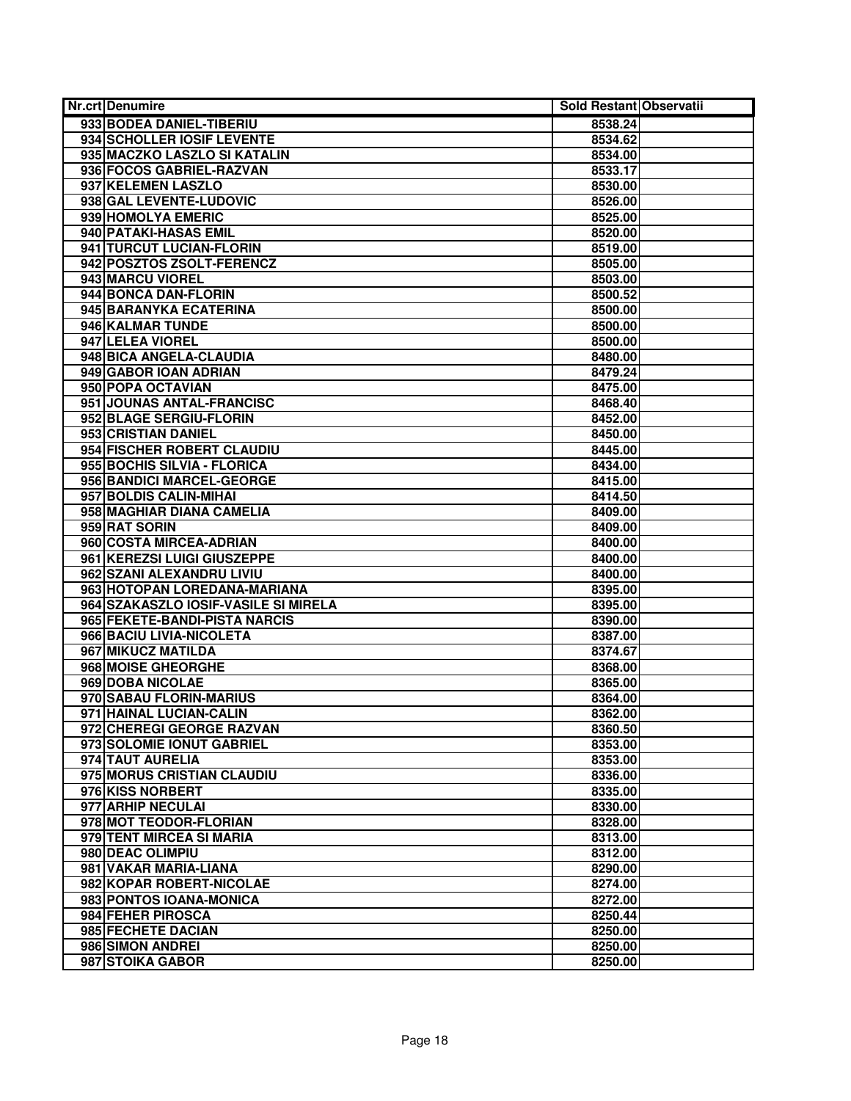| <b>Nr.crt Denumire</b>               | Sold Restant Observatii |  |
|--------------------------------------|-------------------------|--|
| 933 BODEA DANIEL-TIBERIU             | 8538.24                 |  |
| 934 SCHOLLER IOSIF LEVENTE           | 8534.62                 |  |
| 935 MACZKO LASZLO SI KATALIN         | 8534.00                 |  |
| 936 FOCOS GABRIEL-RAZVAN             | 8533.17                 |  |
| 937 KELEMEN LASZLO                   | 8530.00                 |  |
| 938 GAL LEVENTE-LUDOVIC              | 8526.00                 |  |
| 939 HOMOLYA EMERIC                   | 8525.00                 |  |
| 940 PATAKI-HASAS EMIL                | 8520.00                 |  |
| 941 TURCUT LUCIAN-FLORIN             | 8519.00                 |  |
| 942 POSZTOS ZSOLT-FERENCZ            | 8505.00                 |  |
| 943 MARCU VIOREL                     | 8503.00                 |  |
| 944 BONCA DAN-FLORIN                 | 8500.52                 |  |
| 945 BARANYKA ECATERINA               | 8500.00                 |  |
| 946 KALMAR TUNDE                     | 8500.00                 |  |
| 947 LELEA VIOREL                     | 8500.00                 |  |
| 948 BICA ANGELA-CLAUDIA              | 8480.00                 |  |
| 949 GABOR IOAN ADRIAN                | 8479.24                 |  |
| 950 POPA OCTAVIAN                    | 8475.00                 |  |
| 951 JOUNAS ANTAL-FRANCISC            | 8468.40                 |  |
| 952 BLAGE SERGIU-FLORIN              | 8452.00                 |  |
| 953 CRISTIAN DANIEL                  | 8450.00                 |  |
| 954 FISCHER ROBERT CLAUDIU           | 8445.00                 |  |
| 955 BOCHIS SILVIA - FLORICA          | 8434.00                 |  |
| 956 BANDICI MARCEL-GEORGE            | 8415.00                 |  |
| 957 BOLDIS CALIN-MIHAI               | 8414.50                 |  |
| 958 MAGHIAR DIANA CAMELIA            | 8409.00                 |  |
| 959 RAT SORIN                        | 8409.00                 |  |
| 960 COSTA MIRCEA-ADRIAN              | 8400.00                 |  |
| 961 KEREZSI LUIGI GIUSZEPPE          | 8400.00                 |  |
| 962 SZANI ALEXANDRU LIVIU            | 8400.00                 |  |
| 963 HOTOPAN LOREDANA-MARIANA         | 8395.00                 |  |
| 964 SZAKASZLO IOSIF-VASILE SI MIRELA | 8395.00                 |  |
| 965 FEKETE-BANDI-PISTA NARCIS        | 8390.00                 |  |
| 966 BACIU LIVIA-NICOLETA             | 8387.00                 |  |
| 967 MIKUCZ MATILDA                   | 8374.67                 |  |
| 968 MOISE GHEORGHE                   | 8368.00                 |  |
| 969 DOBA NICOLAE                     | 8365.00                 |  |
| 970 SABAU FLORIN-MARIUS              | 8364.00                 |  |
| 971 HAINAL LUCIAN-CALIN              | 8362.00                 |  |
| 972 CHEREGI GEORGE RAZVAN            | 8360.50                 |  |
| 973 SOLOMIE IONUT GABRIEL            | 8353.00                 |  |
| 974 TAUT AURELIA                     | 8353.00                 |  |
| 975 MORUS CRISTIAN CLAUDIU           | 8336.00                 |  |
| 976 KISS NORBERT                     | 8335.00                 |  |
| 977 ARHIP NECULAI                    | 8330.00                 |  |
| 978 MOT TEODOR-FLORIAN               | 8328.00                 |  |
| 979 TENT MIRCEA SI MARIA             | 8313.00                 |  |
| 980 DEAC OLIMPIU                     | 8312.00                 |  |
| 981 VAKAR MARIA-LIANA                | 8290.00                 |  |
| 982 KOPAR ROBERT-NICOLAE             | 8274.00                 |  |
| 983 PONTOS IOANA-MONICA              | 8272.00                 |  |
| 984 FEHER PIROSCA                    | 8250.44                 |  |
| 985 FECHETE DACIAN                   | 8250.00                 |  |
| 986 SIMON ANDREI                     | 8250.00                 |  |
| 987 STOIKA GABOR                     | 8250.00                 |  |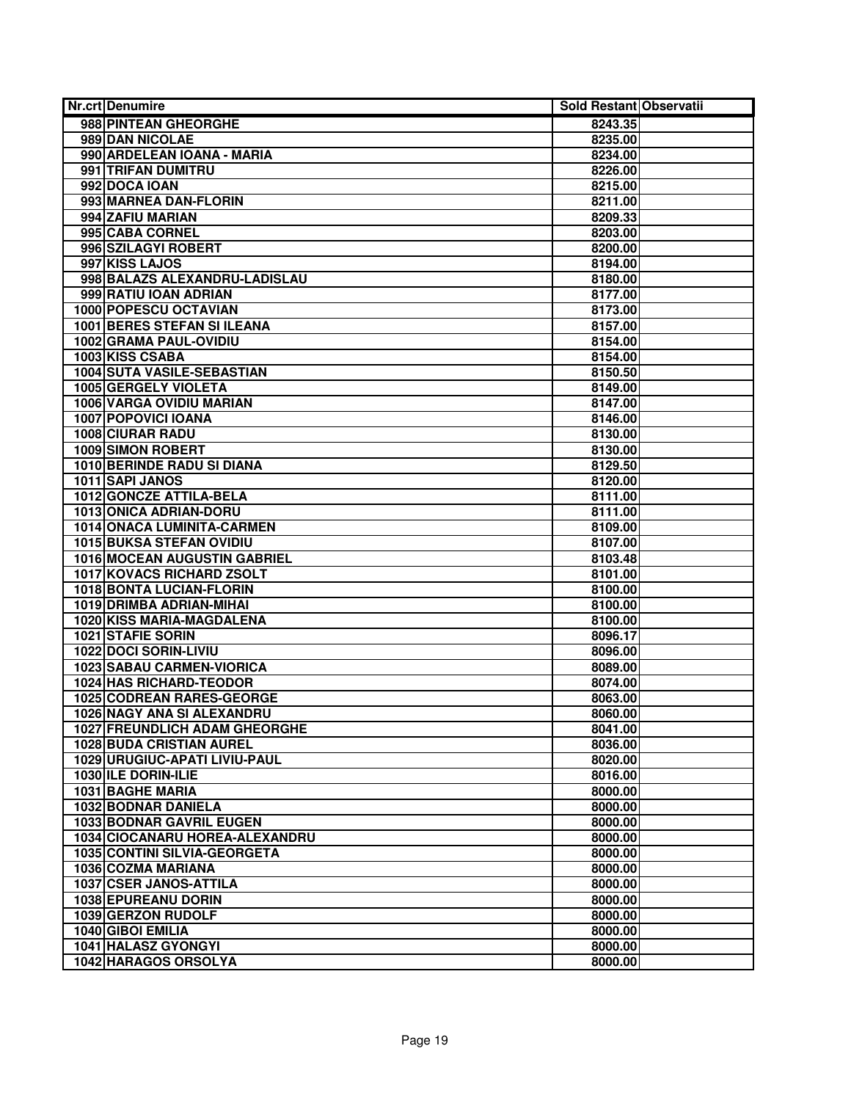| <b>Nr.crt Denumire</b>                                      | Sold Restant Observatii |  |
|-------------------------------------------------------------|-------------------------|--|
| 988 PINTEAN GHEORGHE                                        | 8243.35                 |  |
| 989 DAN NICOLAE                                             | 8235.00                 |  |
| 990 ARDELEAN IOANA - MARIA                                  | 8234.00                 |  |
| 991 TRIFAN DUMITRU                                          | 8226.00                 |  |
| 992 DOCA IOAN                                               | 8215.00                 |  |
| 993 MARNEA DAN-FLORIN                                       | 8211.00                 |  |
| 994 ZAFIU MARIAN                                            | 8209.33                 |  |
| 995 CABA CORNEL                                             | 8203.00                 |  |
| 996 SZILAGYI ROBERT                                         | 8200.00                 |  |
| 997 KISS LAJOS                                              | 8194.00                 |  |
| 998 BALAZS ALEXANDRU-LADISLAU                               | 8180.00                 |  |
| 999 RATIU IOAN ADRIAN                                       | 8177.00                 |  |
| 1000 POPESCU OCTAVIAN                                       | 8173.00                 |  |
| 1001 BERES STEFAN SI ILEANA                                 | 8157.00                 |  |
| 1002 GRAMA PAUL-OVIDIU                                      | 8154.00                 |  |
| 1003 KISS CSABA                                             | 8154.00                 |  |
| 1004 SUTA VASILE-SEBASTIAN                                  | 8150.50                 |  |
| 1005 GERGELY VIOLETA                                        | 8149.00                 |  |
| <b>1006 VARGA OVIDIU MARIAN</b>                             | 8147.00                 |  |
| 1007 POPOVICI IOANA                                         | 8146.00                 |  |
| <b>1008 CIURAR RADU</b>                                     | 8130.00                 |  |
| <b>1009 SIMON ROBERT</b>                                    | 8130.00                 |  |
| <b>1010 BERINDE RADU SI DIANA</b>                           | 8129.50                 |  |
| 1011 SAPI JANOS                                             | 8120.00                 |  |
| 1012 GONCZE ATTILA-BELA                                     | 8111.00                 |  |
| 1013 ONICA ADRIAN-DORU                                      | 8111.00                 |  |
| 1014 ONACA LUMINITA-CARMEN                                  | 8109.00                 |  |
| <b>1015 BUKSA STEFAN OVIDIU</b>                             | 8107.00                 |  |
| 1016 MOCEAN AUGUSTIN GABRIEL                                | 8103.48                 |  |
| 1017 KOVACS RICHARD ZSOLT                                   | 8101.00                 |  |
| <b>1018 BONTA LUCIAN-FLORIN</b><br>1019 DRIMBA ADRIAN-MIHAI | 8100.00                 |  |
| 1020 KISS MARIA-MAGDALENA                                   | 8100.00<br>8100.00      |  |
| <b>1021 STAFIE SORIN</b>                                    | 8096.17                 |  |
| 1022 DOCI SORIN-LIVIU                                       | 8096.00                 |  |
| <b>1023 SABAU CARMEN-VIORICA</b>                            | 8089.00                 |  |
| 1024 HAS RICHARD-TEODOR                                     | 8074.00                 |  |
| 1025 CODREAN RARES-GEORGE                                   | 8063.00                 |  |
| 1026 NAGY ANA SI ALEXANDRU                                  | 8060.00                 |  |
| <b>1027 FREUNDLICH ADAM GHEORGHE</b>                        | 8041.00                 |  |
| <b>1028 BUDA CRISTIAN AUREL</b>                             | 8036.00                 |  |
| 1029 URUGIUC-APATI LIVIU-PAUL                               | 8020.00                 |  |
| 1030 ILE DORIN-ILIE                                         | 8016.00                 |  |
| 1031 BAGHE MARIA                                            | 8000.00                 |  |
| 1032 BODNAR DANIELA                                         | 8000.00                 |  |
| <b>1033 BODNAR GAVRIL EUGEN</b>                             | 8000.00                 |  |
| 1034 CIOCANARU HOREA-ALEXANDRU                              | 8000.00                 |  |
| 1035 CONTINI SILVIA-GEORGETA                                | 8000.00                 |  |
| 1036 COZMA MARIANA                                          | 8000.00                 |  |
| 1037 CSER JANOS-ATTILA                                      | 8000.00                 |  |
| 1038 EPUREANU DORIN                                         | 8000.00                 |  |
| 1039 GERZON RUDOLF                                          | 8000.00                 |  |
| 1040 GIBOI EMILIA                                           | 8000.00                 |  |
| 1041 HALASZ GYONGYI                                         | 8000.00                 |  |
| 1042 HARAGOS ORSOLYA                                        | 8000.00                 |  |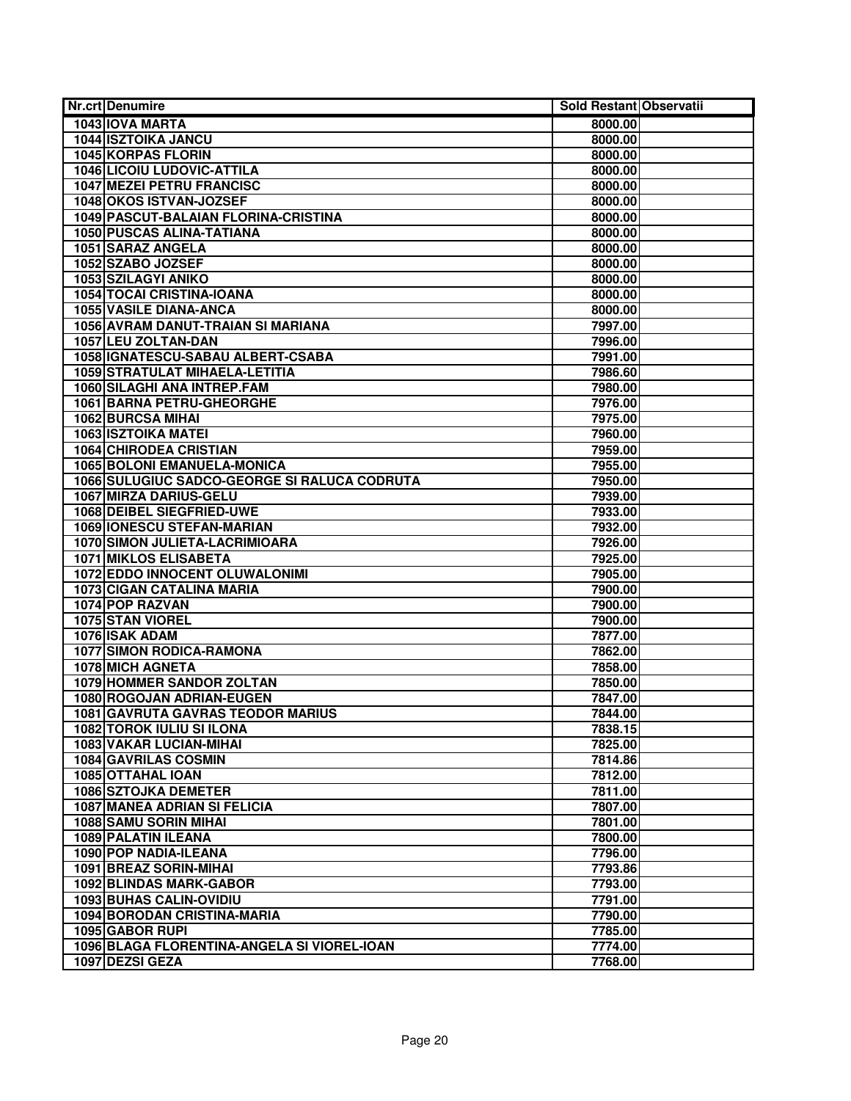| Nr.crt Denumire                              | Sold Restant Observatii |  |
|----------------------------------------------|-------------------------|--|
| 1043 IOVA MARTA                              | 8000.00                 |  |
| <b>1044 ISZTOIKA JANCU</b>                   | 8000.00                 |  |
| <b>1045 KORPAS FLORIN</b>                    | 8000.00                 |  |
| <b>1046 LICOIU LUDOVIC-ATTILA</b>            | 8000.00                 |  |
| <b>1047 MEZEI PETRU FRANCISC</b>             | 8000.00                 |  |
| 1048 OKOS ISTVAN-JOZSEF                      | 8000.00                 |  |
| 1049 PASCUT-BALAIAN FLORINA-CRISTINA         | 8000.00                 |  |
| 1050 PUSCAS ALINA-TATIANA                    | 8000.00                 |  |
| 1051 SARAZ ANGELA                            | 8000.00                 |  |
| 1052 SZABO JOZSEF                            | 8000.00                 |  |
| 1053 SZILAGYI ANIKO                          | 8000.00                 |  |
| <b>1054 TOCAI CRISTINA-IOANA</b>             | 8000.00                 |  |
| <b>1055 VASILE DIANA-ANCA</b>                | 8000.00                 |  |
| 1056 AVRAM DANUT-TRAIAN SI MARIANA           | 7997.00                 |  |
| 1057 LEU ZOLTAN-DAN                          | 7996.00                 |  |
| 1058 GNATESCU-SABAU ALBERT-CSABA             | 7991.00                 |  |
| 1059 STRATULAT MIHAELA-LETITIA               | 7986.60                 |  |
| 1060 SILAGHI ANA INTREP.FAM                  | 7980.00                 |  |
| 1061 BARNA PETRU-GHEORGHE                    | 7976.00                 |  |
| <b>1062 BURCSA MIHAI</b>                     | 7975.00                 |  |
| <b>1063 ISZTOIKA MATEI</b>                   | 7960.00                 |  |
| <b>1064 CHIRODEA CRISTIAN</b>                | 7959.00                 |  |
| <b>1065 BOLONI EMANUELA-MONICA</b>           | 7955.00                 |  |
| 1066 SULUGIUC SADCO-GEORGE SI RALUCA CODRUTA | 7950.00                 |  |
| 1067 MIRZA DARIUS-GELU                       | 7939.00                 |  |
| <b>1068 DEIBEL SIEGFRIED-UWE</b>             | 7933.00                 |  |
| <b>1069 IONESCU STEFAN-MARIAN</b>            | 7932.00                 |  |
| 1070 SIMON JULIETA-LACRIMIOARA               | 7926.00                 |  |
| <b>1071 MIKLOS ELISABETA</b>                 | 7925.00                 |  |
| 1072 EDDO INNOCENT OLUWALONIMI               | 7905.00                 |  |
| <b>1073 CIGAN CATALINA MARIA</b>             | 7900.00                 |  |
| 1074 POP RAZVAN                              | 7900.00                 |  |
| 1075 STAN VIOREL                             | 7900.00                 |  |
| 1076 ISAK ADAM                               | 7877.00                 |  |
| <b>1077 SIMON RODICA-RAMONA</b>              | 7862.00                 |  |
| <b>1078 MICH AGNETA</b>                      | 7858.00                 |  |
| 1079 HOMMER SANDOR ZOLTAN                    | 7850.00                 |  |
| 1080 ROGOJAN ADRIAN-EUGEN                    | 7847.00                 |  |
| 1081 GAVRUTA GAVRAS TEODOR MARIUS            | 7844.00                 |  |
| <b>1082 TOROK IULIU SI ILONA</b>             | 7838.15                 |  |
| 1083 VAKAR LUCIAN-MIHAI                      | 7825.00                 |  |
| <b>1084 GAVRILAS COSMIN</b>                  | 7814.86                 |  |
| 1085 OTTAHAL IOAN                            | 7812.00                 |  |
| <b>1086 SZTOJKA DEMETER</b>                  | 7811.00                 |  |
| <b>1087 MANEA ADRIAN SI FELICIA</b>          | 7807.00                 |  |
| <b>1088 SAMU SORIN MIHAI</b>                 | 7801.00                 |  |
| <b>1089 PALATIN ILEANA</b>                   | 7800.00                 |  |
| 1090 POP NADIA-ILEANA                        | 7796.00                 |  |
| 1091 BREAZ SORIN-MIHAI                       | 7793.86                 |  |
| 1092 BLINDAS MARK-GABOR                      | 7793.00                 |  |
| 1093 BUHAS CALIN-OVIDIU                      | 7791.00                 |  |
| 1094 BORODAN CRISTINA-MARIA                  | 7790.00                 |  |
| 1095 GABOR RUPI                              | 7785.00                 |  |
| 1096 BLAGA FLORENTINA-ANGELA SI VIOREL-IOAN  | 7774.00                 |  |
| 1097 DEZSI GEZA                              | 7768.00                 |  |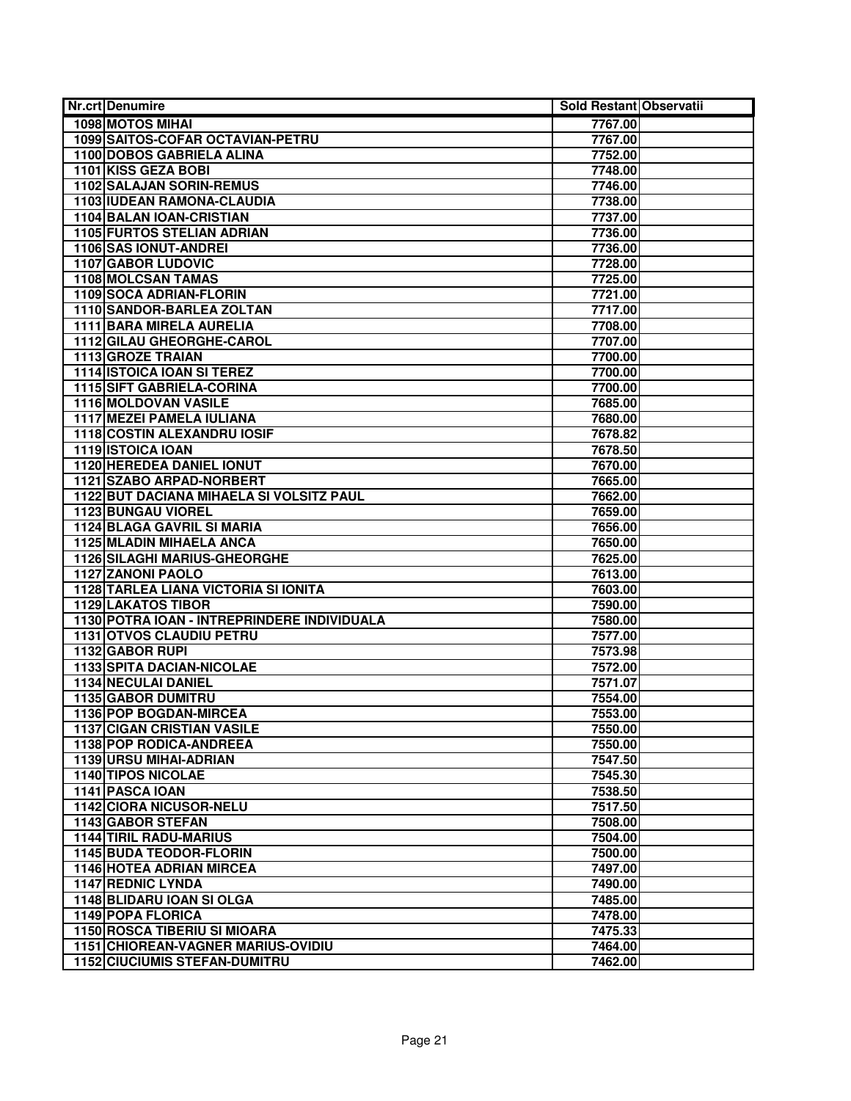| Nr.crt Denumire                                              | Sold Restant Observatii |
|--------------------------------------------------------------|-------------------------|
| 1098 MOTOS MIHAI                                             | 7767.00                 |
| 1099 SAITOS-COFAR OCTAVIAN-PETRU                             | 7767.00                 |
| <b>1100 DOBOS GABRIELA ALINA</b>                             | 7752.00                 |
| 1101 KISS GEZA BOBI                                          | 7748.00                 |
| 1102 SALAJAN SORIN-REMUS                                     | 7746.00                 |
| 1103 IUDEAN RAMONA-CLAUDIA                                   | 7738.00                 |
| 1104 BALAN IOAN-CRISTIAN                                     | 7737.00                 |
| 1105 FURTOS STELIAN ADRIAN                                   | 7736.00                 |
| 1106 SAS IONUT-ANDREI                                        | 7736.00                 |
| <b>1107 GABOR LUDOVIC</b>                                    | 7728.00                 |
| <b>1108 MOLCSAN TAMAS</b>                                    | 7725.00                 |
| 1109 SOCA ADRIAN-FLORIN                                      | 7721.00                 |
| 1110 SANDOR-BARLEA ZOLTAN                                    | 7717.00                 |
| 1111 BARA MIRELA AURELIA                                     | 7708.00                 |
| 1112 GILAU GHEORGHE-CAROL                                    | 7707.00                 |
| 1113 GROZE TRAIAN                                            | 7700.00                 |
| <b>1114 ISTOICA IOAN SI TEREZ</b>                            | 7700.00                 |
| <b>1115 SIFT GABRIELA-CORINA</b>                             | 7700.00                 |
| 1116 MOLDOVAN VASILE                                         | 7685.00                 |
| <b>1117 MEZEI PAMELA IULIANA</b>                             | 7680.00                 |
| 1118 COSTIN ALEXANDRU IOSIF                                  | 7678.82                 |
| 1119 ISTOICA IOAN                                            | 7678.50                 |
| <b>1120 HEREDEA DANIEL IONUT</b>                             | 7670.00                 |
| 1121 SZABO ARPAD-NORBERT                                     | 7665.00                 |
| 1122 BUT DACIANA MIHAELA SI VOLSITZ PAUL                     | 7662.00                 |
| 1123 BUNGAU VIOREL                                           | 7659.00                 |
| <b>1124 BLAGA GAVRIL SI MARIA</b>                            | 7656.00                 |
| <b>1125 MLADIN MIHAELA ANCA</b>                              | 7650.00                 |
| 1126 SILAGHI MARIUS-GHEORGHE                                 | 7625.00                 |
| 1127 ZANONI PAOLO                                            | 7613.00                 |
| <b>1128 TARLEA LIANA VICTORIA SI IONITA</b>                  | 7603.00                 |
| <b>1129 LAKATOS TIBOR</b>                                    | 7590.00                 |
| 1130 POTRA IOAN - INTREPRINDERE INDIVIDUALA                  | 7580.00                 |
| <b>1131 OTVOS CLAUDIU PETRU</b>                              | 7577.00                 |
| 1132 GABOR RUPI                                              | 7573.98                 |
| <b>1133 SPITA DACIAN-NICOLAE</b>                             | 7572.00                 |
| 1134 NECULAI DANIEL                                          | 7571.07                 |
| <b>1135 GABOR DUMITRU</b>                                    | 7554.00                 |
| 1136 POP BOGDAN-MIRCEA                                       | 7553.00                 |
| <b>1137 CIGAN CRISTIAN VASILE</b><br>1138 POP RODICA-ANDREEA | 7550.00<br>7550.00      |
| 1139 URSU MIHAI-ADRIAN                                       | 7547.50                 |
| <b>1140 TIPOS NICOLAE</b>                                    |                         |
| 1141 PASCA IOAN                                              | 7545.30<br>7538.50      |
| 1142 CIORA NICUSOR-NELU                                      | 7517.50                 |
| 1143 GABOR STEFAN                                            | 7508.00                 |
| <b>1144 TIRIL RADU-MARIUS</b>                                | 7504.00                 |
| <b>1145 BUDA TEODOR-FLORIN</b>                               | 7500.00                 |
| <b>1146 HOTEA ADRIAN MIRCEA</b>                              | 7497.00                 |
| <b>1147 REDNIC LYNDA</b>                                     | 7490.00                 |
| 1148 BLIDARU IOAN SI OLGA                                    | 7485.00                 |
| 1149 POPA FLORICA                                            | 7478.00                 |
| <b>1150 ROSCA TIBERIU SI MIOARA</b>                          | 7475.33                 |
| <b>1151 CHIOREAN-VAGNER MARIUS-OVIDIU</b>                    | 7464.00                 |
| <b>1152 CIUCIUMIS STEFAN-DUMITRU</b>                         | 7462.00                 |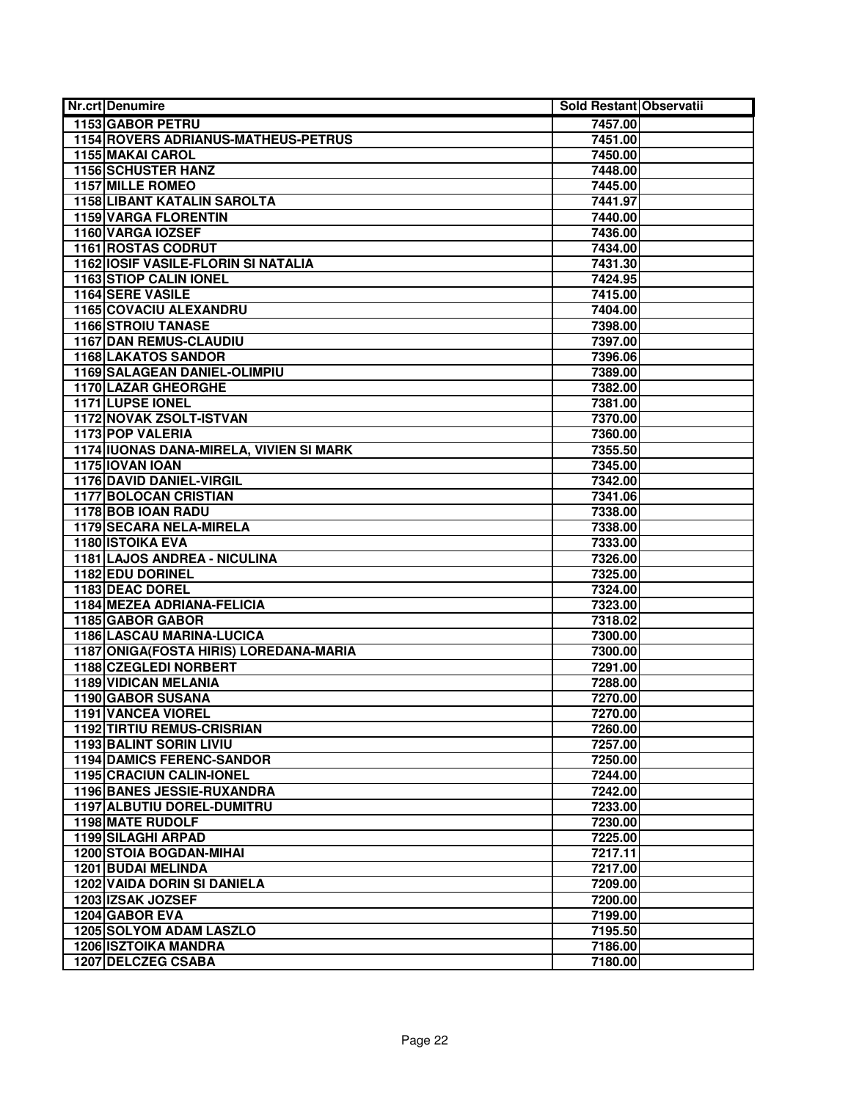| <b>Nr.crt Denumire</b>                     | Sold Restant Observatii |  |
|--------------------------------------------|-------------------------|--|
| <b>1153 GABOR PETRU</b>                    | 7457.00                 |  |
| <b>1154 ROVERS ADRIANUS-MATHEUS-PETRUS</b> | 7451.00                 |  |
| <b>1155 MAKAI CAROL</b>                    | 7450.00                 |  |
| 1156 SCHUSTER HANZ                         | 7448.00                 |  |
| <b>1157 MILLE ROMEO</b>                    | 7445.00                 |  |
| <b>1158 LIBANT KATALIN SAROLTA</b>         | 7441.97                 |  |
| <b>1159 VARGA FLORENTIN</b>                | 7440.00                 |  |
| 1160 VARGA IOZSEF                          | 7436.00                 |  |
| <b>1161 ROSTAS CODRUT</b>                  | 7434.00                 |  |
| 1162 IOSIF VASILE-FLORIN SI NATALIA        | 7431.30                 |  |
| 1163 STIOP CALIN IONEL                     | 7424.95                 |  |
| 1164 SERE VASILE                           | 7415.00                 |  |
| <b>1165 COVACIU ALEXANDRU</b>              | 7404.00                 |  |
| <b>1166 STROIU TANASE</b>                  | 7398.00                 |  |
| <b>1167 DAN REMUS-CLAUDIU</b>              | 7397.00                 |  |
| 1168 LAKATOS SANDOR                        | 7396.06                 |  |
| 1169 SALAGEAN DANIEL-OLIMPIU               | 7389.00                 |  |
| <b>1170 LAZAR GHEORGHE</b>                 | 7382.00                 |  |
| 1171 LUPSE IONEL                           | 7381.00                 |  |
| 1172 NOVAK ZSOLT-ISTVAN                    | 7370.00                 |  |
| 1173 POP VALERIA                           | 7360.00                 |  |
| 1174 IUONAS DANA-MIRELA, VIVIEN SI MARK    | 7355.50                 |  |
| 1175 IOVAN IOAN                            | 7345.00                 |  |
| <b>1176 DAVID DANIEL-VIRGIL</b>            | 7342.00                 |  |
| <b>1177 BOLOCAN CRISTIAN</b>               | 7341.06                 |  |
| 1178 BOB IOAN RADU                         | 7338.00                 |  |
| 1179 SECARA NELA-MIRELA                    | 7338.00                 |  |
| <b>1180 ISTOIKA EVA</b>                    | 7333.00                 |  |
| 1181 LAJOS ANDREA - NICULINA               | 7326.00                 |  |
| 1182 EDU DORINEL                           | 7325.00                 |  |
| 1183 DEAC DOREL                            | 7324.00                 |  |
| 1184 MEZEA ADRIANA-FELICIA                 | 7323.00                 |  |
| 1185 GABOR GABOR                           | 7318.02                 |  |
| <b>1186 LASCAU MARINA-LUCICA</b>           | 7300.00                 |  |
| 1187 ONIGA(FOSTA HIRIS) LOREDANA-MARIA     | 7300.00                 |  |
| 1188 CZEGLEDI NORBERT                      | 7291.00                 |  |
| 1189 VIDICAN MELANIA                       | 7288.00                 |  |
| 1190 GABOR SUSANA                          | 7270.00                 |  |
| <b>1191 VANCEA VIOREL</b>                  | 7270.00                 |  |
| <b>1192 TIRTIU REMUS-CRISRIAN</b>          | 7260.00                 |  |
| 1193 BALINT SORIN LIVIU                    | 7257.00                 |  |
| <b>1194 DAMICS FERENC-SANDOR</b>           | 7250.00                 |  |
| <b>1195 CRACIUN CALIN-IONEL</b>            | 7244.00                 |  |
| 1196 BANES JESSIE-RUXANDRA                 | 7242.00                 |  |
| 1197 ALBUTIU DOREL-DUMITRU                 | 7233.00                 |  |
| 1198 MATE RUDOLF                           | 7230.00                 |  |
| <b>1199 SILAGHI ARPAD</b>                  | 7225.00                 |  |
| <b>1200 STOIA BOGDAN-MIHAI</b>             | 7217.11                 |  |
| <b>1201 BUDAI MELINDA</b>                  | 7217.00                 |  |
| <b>1202 VAIDA DORIN SI DANIELA</b>         | 7209.00                 |  |
| 1203 IZSAK JOZSEF                          | 7200.00                 |  |
| 1204 GABOR EVA                             | 7199.00                 |  |
| <b>1205 SOLYOM ADAM LASZLO</b>             | 7195.50                 |  |
| <b>1206 ISZTOIKA MANDRA</b>                | 7186.00                 |  |
| 1207 DELCZEG CSABA                         | 7180.00                 |  |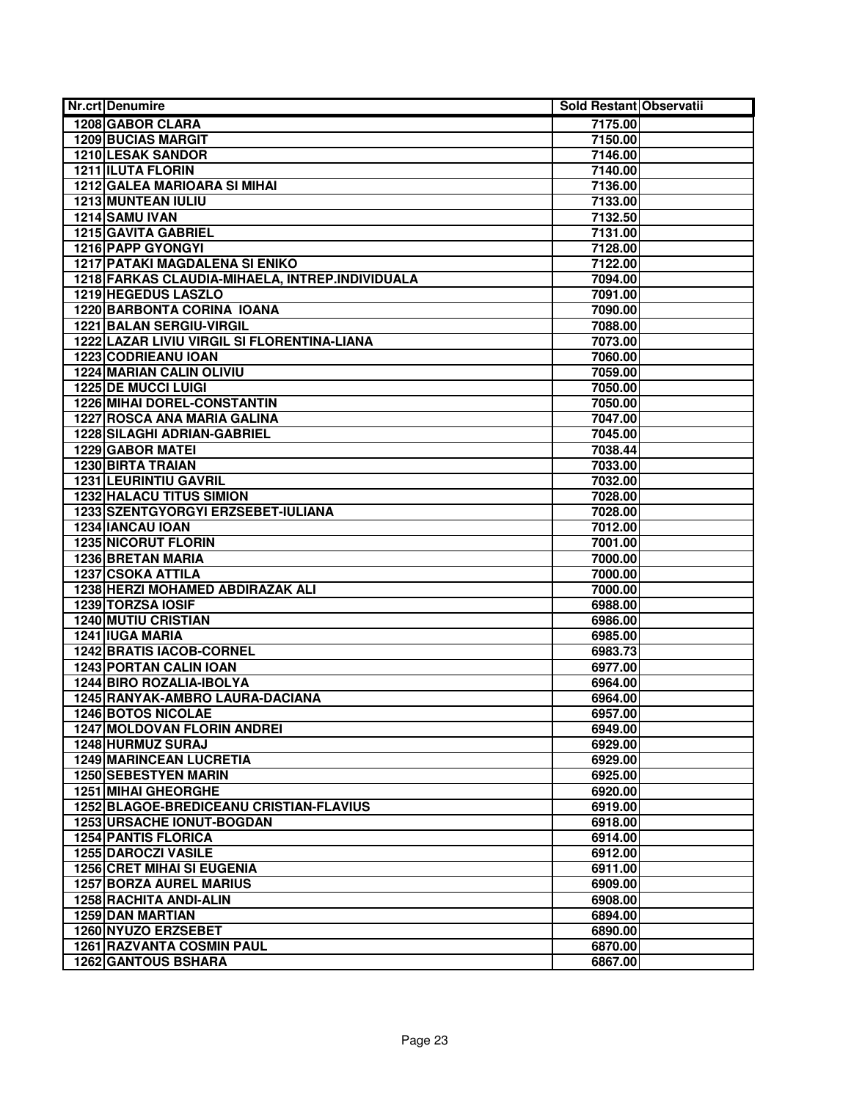| <b>Nr.crt Denumire</b>                          | Sold Restant Observatii |  |
|-------------------------------------------------|-------------------------|--|
| 1208 GABOR CLARA                                | 7175.00                 |  |
| <b>1209 BUCIAS MARGIT</b>                       | 7150.00                 |  |
| <b>1210 LESAK SANDOR</b>                        | 7146.00                 |  |
| <b>1211 ILUTA FLORIN</b>                        | 7140.00                 |  |
| <b>1212 GALEA MARIOARA SI MIHAI</b>             | 7136.00                 |  |
| 1213 MUNTEAN IULIU                              | 7133.00                 |  |
| 1214 SAMU IVAN                                  | 7132.50                 |  |
| 1215 GAVITA GABRIEL                             | 7131.00                 |  |
| 1216 PAPP GYONGYI                               | 7128.00                 |  |
| <b>1217 PATAKI MAGDALENA SI ENIKO</b>           | 7122.00                 |  |
| 1218 FARKAS CLAUDIA-MIHAELA, INTREP.INDIVIDUALA | 7094.00                 |  |
| 1219 HEGEDUS LASZLO                             | 7091.00                 |  |
| 1220 BARBONTA CORINA IOANA                      | 7090.00                 |  |
| 1221 BALAN SERGIU-VIRGIL                        | 7088.00                 |  |
| 1222 LAZAR LIVIU VIRGIL SI FLORENTINA-LIANA     | 7073.00                 |  |
| 1223 CODRIEANU IOAN                             | 7060.00                 |  |
| <b>1224 MARIAN CALIN OLIVIU</b>                 | 7059.00                 |  |
| <b>1225 DE MUCCI LUIGI</b>                      | 7050.00                 |  |
| <b>1226 MIHAI DOREL-CONSTANTIN</b>              | 7050.00                 |  |
| <b>1227 ROSCA ANA MARIA GALINA</b>              | 7047.00                 |  |
| 1228 SILAGHI ADRIAN-GABRIEL                     | 7045.00                 |  |
| 1229 GABOR MATEI                                | 7038.44                 |  |
| <b>1230 BIRTA TRAIAN</b>                        | 7033.00                 |  |
| <b>1231 LEURINTIU GAVRIL</b>                    | 7032.00                 |  |
| <b>1232 HALACU TITUS SIMION</b>                 | 7028.00                 |  |
| 1233 SZENTGYORGYI ERZSEBET-IULIANA              | 7028.00                 |  |
| 1234 IANCAU IOAN                                | 7012.00                 |  |
| <b>1235 NICORUT FLORIN</b>                      | 7001.00                 |  |
| <b>1236 BRETAN MARIA</b>                        | 7000.00                 |  |
| 1237 CSOKA ATTILA                               | 7000.00                 |  |
| 1238 HERZI MOHAMED ABDIRAZAK ALI                | 7000.00                 |  |
| 1239 TORZSA IOSIF                               | 6988.00                 |  |
| <b>1240 MUTIU CRISTIAN</b>                      | 6986.00                 |  |
| 1241 IUGA MARIA                                 | 6985.00                 |  |
| <b>1242 BRATIS IACOB-CORNEL</b>                 | 6983.73                 |  |
| <b>1243 PORTAN CALIN IOAN</b>                   | 6977.00                 |  |
| 1244 BIRO ROZALIA-IBOLYA                        | 6964.00                 |  |
| 1245 RANYAK-AMBRO LAURA-DACIANA                 | 6964.00                 |  |
| <b>1246 BOTOS NICOLAE</b>                       | 6957.00                 |  |
| <b>1247 MOLDOVAN FLORIN ANDREI</b>              | 6949.00                 |  |
| 1248 HURMUZ SURAJ                               | 6929.00                 |  |
| <b>1249 MARINCEAN LUCRETIA</b>                  | 6929.00                 |  |
| 1250 SEBESTYEN MARIN                            | 6925.00                 |  |
| <b>1251 MIHAI GHEORGHE</b>                      | 6920.00                 |  |
| 1252 BLAGOE-BREDICEANU CRISTIAN-FLAVIUS         | 6919.00                 |  |
| 1253 URSACHE IONUT-BOGDAN                       | 6918.00                 |  |
| <b>1254 PANTIS FLORICA</b>                      | 6914.00                 |  |
| <b>1255 DAROCZI VASILE</b>                      | 6912.00                 |  |
| <b>1256 CRET MIHAI SI EUGENIA</b>               | 6911.00                 |  |
| <b>1257 BORZA AUREL MARIUS</b>                  | 6909.00                 |  |
| 1258 RACHITA ANDI-ALIN                          | 6908.00                 |  |
| <b>1259 DAN MARTIAN</b>                         | 6894.00                 |  |
| 1260 NYUZO ERZSEBET                             | 6890.00                 |  |
| <b>1261 RAZVANTA COSMIN PAUL</b>                | 6870.00                 |  |
| <b>1262 GANTOUS BSHARA</b>                      | 6867.00                 |  |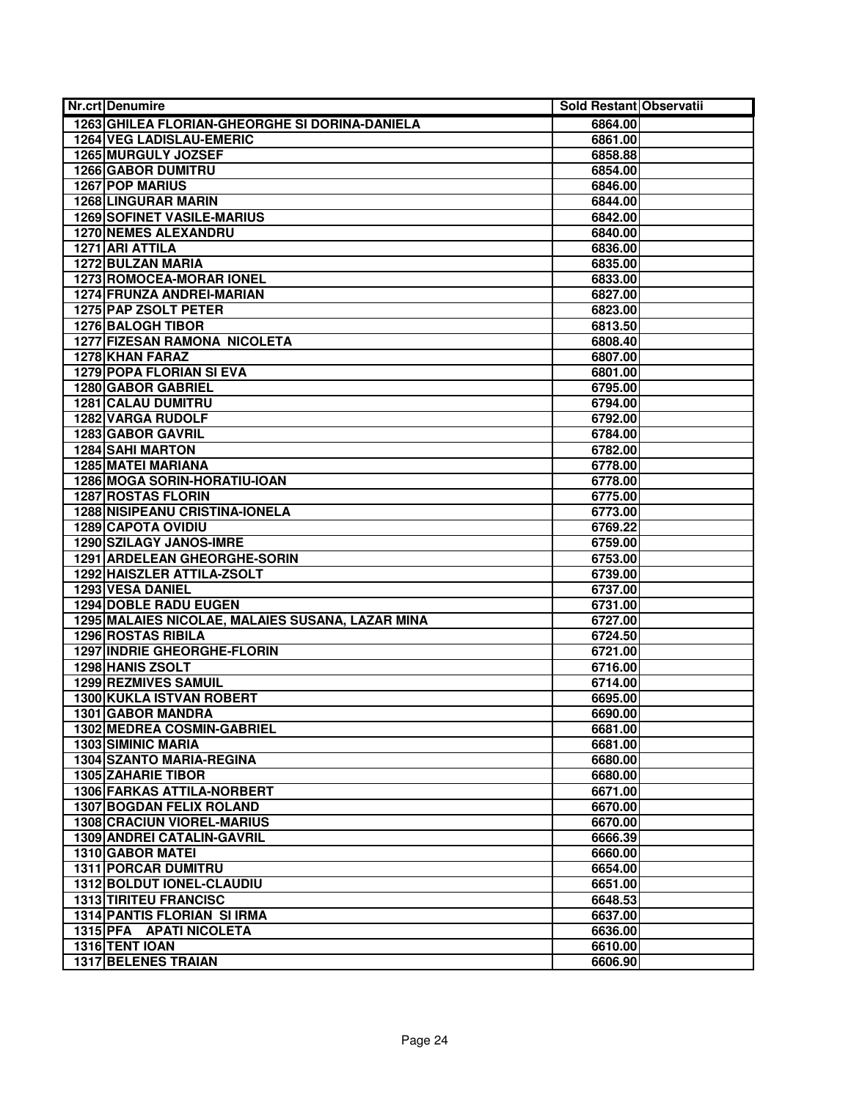| <b>Nr.crt Denumire</b>                                    | Sold Restant Observatii |  |
|-----------------------------------------------------------|-------------------------|--|
| 1263 GHILEA FLORIAN-GHEORGHE SI DORINA-DANIELA            | 6864.00                 |  |
| <b>1264 VEG LADISLAU-EMERIC</b>                           | 6861.00                 |  |
| 1265 MURGULY JOZSEF                                       | 6858.88                 |  |
| <b>1266 GABOR DUMITRU</b>                                 | 6854.00                 |  |
| <b>1267 POP MARIUS</b>                                    | 6846.00                 |  |
| <b>1268 LINGURAR MARIN</b>                                | 6844.00                 |  |
| <b>1269 SOFINET VASILE-MARIUS</b>                         | 6842.00                 |  |
| 1270 NEMES ALEXANDRU                                      | 6840.00                 |  |
| 1271 ARI ATTILA                                           | 6836.00                 |  |
| <b>1272 BULZAN MARIA</b>                                  | 6835.00                 |  |
| <b>1273 ROMOCEA-MORAR IONEL</b>                           | 6833.00                 |  |
| 1274 FRUNZA ANDREI-MARIAN                                 | 6827.00                 |  |
| 1275 PAP ZSOLT PETER                                      | 6823.00                 |  |
| <b>1276 BALOGH TIBOR</b>                                  | 6813.50                 |  |
| <b>1277 FIZESAN RAMONA NICOLETA</b>                       | 6808.40                 |  |
| 1278 KHAN FARAZ                                           | 6807.00                 |  |
| <b>1279 POPA FLORIAN SI EVA</b>                           | 6801.00                 |  |
| 1280 GABOR GABRIEL                                        | 6795.00                 |  |
| <b>1281 CALAU DUMITRU</b>                                 | 6794.00                 |  |
| 1282 VARGA RUDOLF                                         | 6792.00                 |  |
| 1283 GABOR GAVRIL                                         | 6784.00                 |  |
| <b>1284 SAHI MARTON</b>                                   | 6782.00                 |  |
| <b>1285 MATEI MARIANA</b>                                 | 6778.00                 |  |
| 1286 MOGA SORIN-HORATIU-IOAN                              | 6778.00                 |  |
| 1287 ROSTAS FLORIN                                        | 6775.00                 |  |
| <b>1288 NISIPEANU CRISTINA-IONELA</b>                     | 6773.00                 |  |
| <b>1289 CAPOTA OVIDIU</b>                                 | 6769.22                 |  |
| <b>1290 SZILAGY JANOS-IMRE</b>                            | 6759.00                 |  |
| 1291 ARDELEAN GHEORGHE-SORIN                              | 6753.00                 |  |
| 1292 HAISZLER ATTILA-ZSOLT                                | 6739.00                 |  |
| <b>1293 VESA DANIEL</b>                                   | 6737.00                 |  |
| <b>1294 DOBLE RADU EUGEN</b>                              | 6731.00                 |  |
| 1295 MALAIES NICOLAE, MALAIES SUSANA, LAZAR MINA          | 6727.00                 |  |
| <b>1296 ROSTAS RIBILA</b>                                 | 6724.50                 |  |
| 1297 INDRIE GHEORGHE-FLORIN                               | 6721.00                 |  |
| 1298 HANIS ZSOLT                                          | 6716.00                 |  |
| 1299 REZMIVES SAMUIL                                      | 6714.00                 |  |
| <b>1300 KUKLA ISTVAN ROBERT</b>                           | 6695.00                 |  |
| <b>1301 GABOR MANDRA</b>                                  | 6690.00                 |  |
| 1302 MEDREA COSMIN-GABRIEL                                | 6681.00                 |  |
| <b>1303 SIMINIC MARIA</b>                                 | 6681.00                 |  |
| 1304 SZANTO MARIA-REGINA                                  | 6680.00                 |  |
| <b>1305 ZAHARIE TIBOR</b>                                 | 6680.00                 |  |
| <b>1306 FARKAS ATTILA-NORBERT</b>                         | 6671.00                 |  |
| <b>1307 BOGDAN FELIX ROLAND</b>                           | 6670.00                 |  |
| <b>1308 CRACIUN VIOREL-MARIUS</b>                         | 6670.00                 |  |
| <b>1309 ANDREI CATALIN-GAVRIL</b>                         | 6666.39                 |  |
| 1310 GABOR MATEI                                          | 6660.00                 |  |
| <b>1311 PORCAR DUMITRU</b>                                | 6654.00                 |  |
| 1312 BOLDUT IONEL-CLAUDIU<br><b>1313 TIRITEU FRANCISC</b> | 6651.00                 |  |
|                                                           | 6648.53                 |  |
| <b>1314 PANTIS FLORIAN SI IRMA</b>                        | 6637.00                 |  |
| 1315 PFA APATI NICOLETA<br>1316 TENT IOAN                 | 6636.00                 |  |
|                                                           | 6610.00                 |  |
| 1317 BELENES TRAIAN                                       | 6606.90                 |  |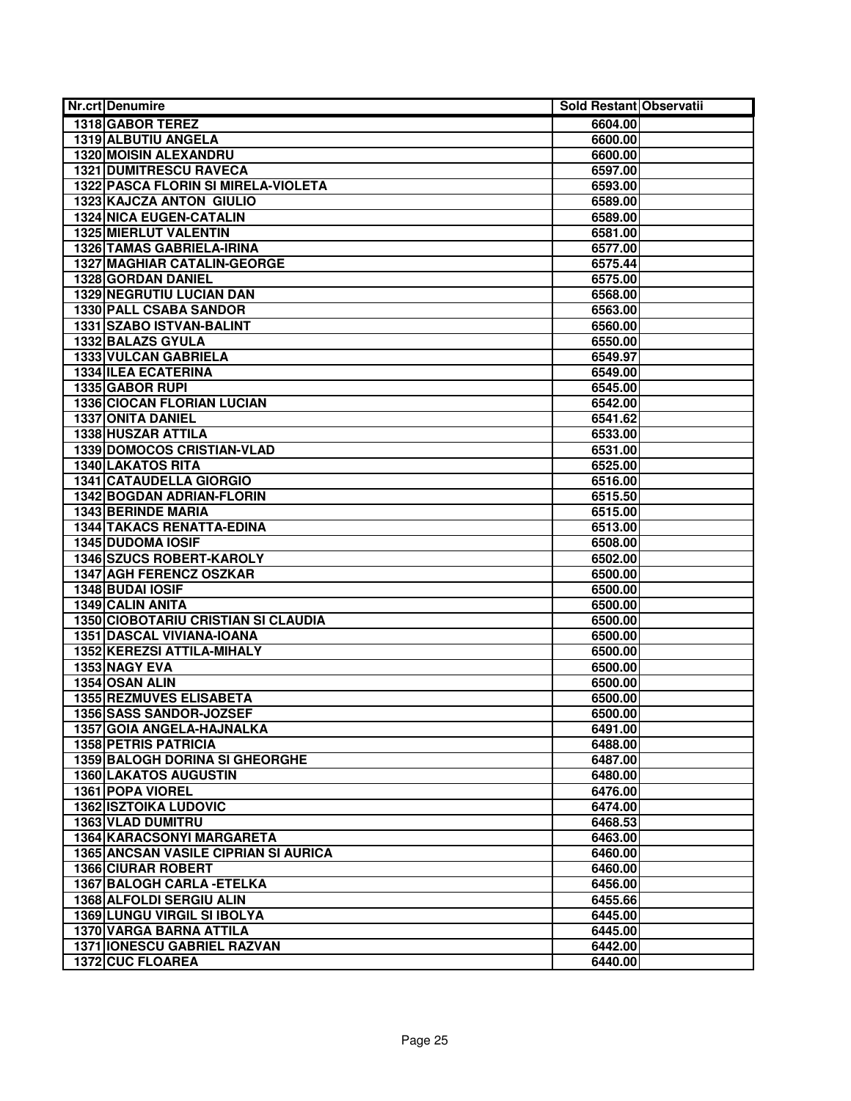| <b>Nr.crt Denumire</b>                      | Sold Restant Observatii |  |
|---------------------------------------------|-------------------------|--|
| 1318 GABOR TEREZ                            | 6604.00                 |  |
| 1319 ALBUTIU ANGELA                         | 6600.00                 |  |
| <b>1320 MOISIN ALEXANDRU</b>                | 6600.00                 |  |
| <b>1321 DUMITRESCU RAVECA</b>               | 6597.00                 |  |
| 1322 PASCA FLORIN SI MIRELA-VIOLETA         | 6593.00                 |  |
| <b>1323 KAJCZA ANTON GIULIO</b>             | 6589.00                 |  |
| <b>1324 NICA EUGEN-CATALIN</b>              | 6589.00                 |  |
| 1325 MIERLUT VALENTIN                       | 6581.00                 |  |
| <b>1326 TAMAS GABRIELA-IRINA</b>            | 6577.00                 |  |
| <b>1327 MAGHIAR CATALIN-GEORGE</b>          | 6575.44                 |  |
| 1328 GORDAN DANIEL                          | 6575.00                 |  |
| <b>1329 NEGRUTIU LUCIAN DAN</b>             | 6568.00                 |  |
| <b>1330 PALL CSABA SANDOR</b>               | 6563.00                 |  |
| 1331 SZABO ISTVAN-BALINT                    | 6560.00                 |  |
| 1332 BALAZS GYULA                           | 6550.00                 |  |
| 1333 VULCAN GABRIELA                        | 6549.97                 |  |
| <b>1334 ILEA ECATERINA</b>                  | 6549.00                 |  |
| 1335 GABOR RUPI                             | 6545.00                 |  |
| <b>1336 CIOCAN FLORIAN LUCIAN</b>           | 6542.00                 |  |
| <b>1337 ONITA DANIEL</b>                    | 6541.62                 |  |
| 1338 HUSZAR ATTILA                          | 6533.00                 |  |
| <b>1339 DOMOCOS CRISTIAN-VLAD</b>           | 6531.00                 |  |
| <b>1340 LAKATOS RITA</b>                    | 6525.00                 |  |
| <b>1341 CATAUDELLA GIORGIO</b>              | 6516.00                 |  |
| 1342 BOGDAN ADRIAN-FLORIN                   | 6515.50                 |  |
| <b>1343 BERINDE MARIA</b>                   | 6515.00                 |  |
| <b>1344 TAKACS RENATTA-EDINA</b>            | 6513.00                 |  |
| <b>1345 DUDOMA IOSIF</b>                    | 6508.00                 |  |
| 1346 SZUCS ROBERT-KAROLY                    | 6502.00                 |  |
| 1347 AGH FERENCZ OSZKAR                     | 6500.00                 |  |
| 1348 BUDAI IOSIF                            | 6500.00                 |  |
| 1349 CALIN ANITA                            | 6500.00                 |  |
| 1350 CIOBOTARIU CRISTIAN SI CLAUDIA         | 6500.00                 |  |
| <b>1351 DASCAL VIVIANA-IOANA</b>            | 6500.00                 |  |
| 1352 KEREZSI ATTILA-MIHALY                  | 6500.00                 |  |
| 1353 NAGY EVA                               | 6500.00                 |  |
| 1354 OSAN ALIN                              | 6500.00                 |  |
| <b>1355 REZMUVES ELISABETA</b>              | 6500.00                 |  |
| 1356 SASS SANDOR-JOZSEF                     | 6500.00                 |  |
| 1357 GOIA ANGELA-HAJNALKA                   | 6491.00                 |  |
| <b>1358 PETRIS PATRICIA</b>                 | 6488.00                 |  |
| 1359 BALOGH DORINA SI GHEORGHE              | 6487.00                 |  |
| <b>1360 LAKATOS AUGUSTIN</b>                | 6480.00                 |  |
| 1361 POPA VIOREL                            | 6476.00                 |  |
| <b>1362 ISZTOIKA LUDOVIC</b>                | 6474.00                 |  |
| 1363 VLAD DUMITRU                           | 6468.53                 |  |
| 1364 KARACSONYI MARGARETA                   | 6463.00                 |  |
| <b>1365 ANCSAN VASILE CIPRIAN SI AURICA</b> | 6460.00                 |  |
| <b>1366 CIURAR ROBERT</b>                   | 6460.00                 |  |
| 1367 BALOGH CARLA - ETELKA                  | 6456.00                 |  |
| 1368 ALFOLDI SERGIU ALIN                    | 6455.66                 |  |
| <b>1369 LUNGU VIRGIL SI IBOLYA</b>          | 6445.00                 |  |
| <b>1370 VARGA BARNA ATTILA</b>              | 6445.00                 |  |
| 1371 IONESCU GABRIEL RAZVAN                 | 6442.00                 |  |
| 1372 CUC FLOAREA                            | 6440.00                 |  |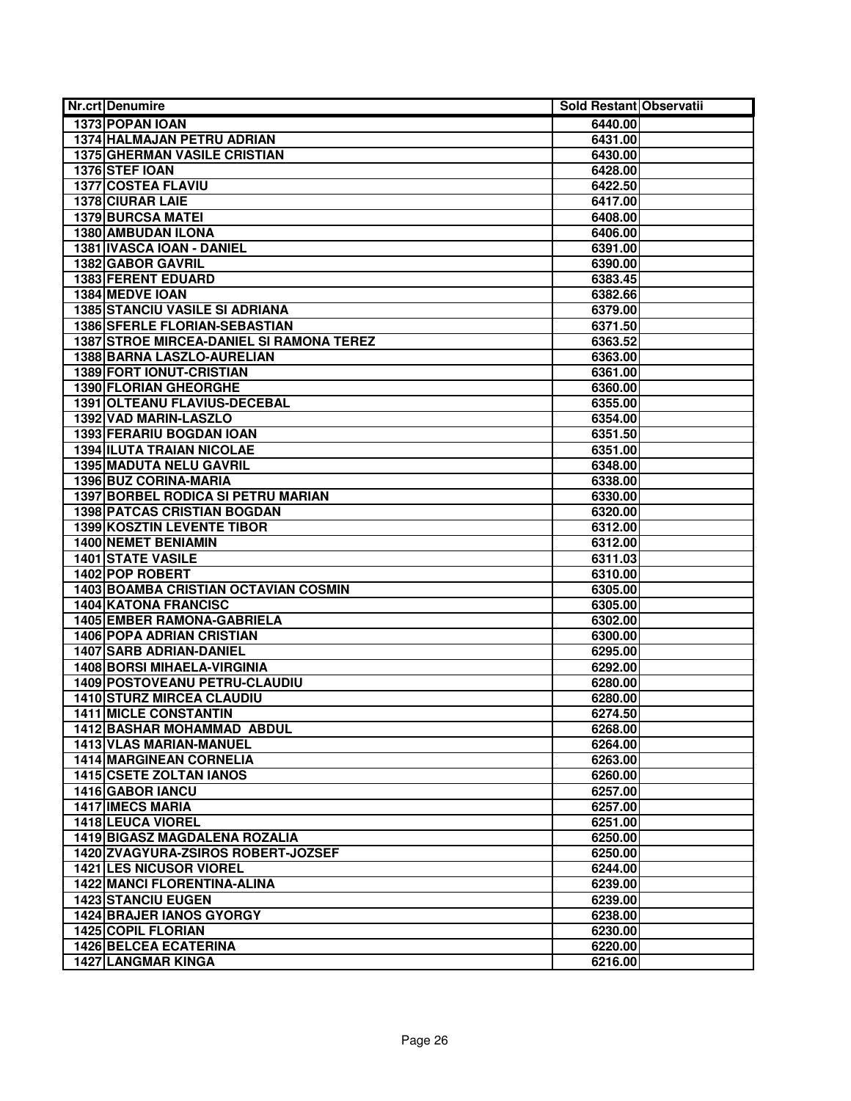| <b>Nr.crt Denumire</b>                   | Sold Restant Observatii |  |
|------------------------------------------|-------------------------|--|
| 1373 POPAN IOAN                          | 6440.00                 |  |
| 1374 HALMAJAN PETRU ADRIAN               | 6431.00                 |  |
| <b>1375 GHERMAN VASILE CRISTIAN</b>      | 6430.00                 |  |
| 1376 STEF IOAN                           | 6428.00                 |  |
| <b>1377 COSTEA FLAVIU</b>                | 6422.50                 |  |
| 1378 CIURAR LAIE                         | 6417.00                 |  |
| <b>1379 BURCSA MATEI</b>                 | 6408.00                 |  |
| 1380 AMBUDAN ILONA                       | 6406.00                 |  |
| 1381 IVASCA IOAN - DANIEL                | 6391.00                 |  |
| 1382 GABOR GAVRIL                        | 6390.00                 |  |
| <b>1383 FERENT EDUARD</b>                | 6383.45                 |  |
| 1384 MEDVE IOAN                          | 6382.66                 |  |
| <b>1385 STANCIU VASILE SI ADRIANA</b>    | 6379.00                 |  |
| <b>1386 SFERLE FLORIAN-SEBASTIAN</b>     | 6371.50                 |  |
| 1387 STROE MIRCEA-DANIEL SI RAMONA TEREZ | 6363.52                 |  |
| 1388 BARNA LASZLO-AURELIAN               | 6363.00                 |  |
| 1389 FORT IONUT-CRISTIAN                 | 6361.00                 |  |
| 1390 FLORIAN GHEORGHE                    | 6360.00                 |  |
| 1391 OLTEANU FLAVIUS-DECEBAL             | 6355.00                 |  |
| 1392 VAD MARIN-LASZLO                    | 6354.00                 |  |
| 1393 FERARIU BOGDAN IOAN                 | 6351.50                 |  |
| <b>1394 ILUTA TRAIAN NICOLAE</b>         | 6351.00                 |  |
| <b>1395 MADUTA NELU GAVRIL</b>           | 6348.00                 |  |
| 1396 BUZ CORINA-MARIA                    | 6338.00                 |  |
| 1397 BORBEL RODICA SI PETRU MARIAN       | 6330.00                 |  |
| <b>1398 PATCAS CRISTIAN BOGDAN</b>       | 6320.00                 |  |
| <b>1399 KOSZTIN LEVENTE TIBOR</b>        | 6312.00                 |  |
| <b>1400 NEMET BENIAMIN</b>               | 6312.00                 |  |
| <b>1401 STATE VASILE</b>                 | 6311.03                 |  |
| 1402 POP ROBERT                          | 6310.00                 |  |
| 1403 BOAMBA CRISTIAN OCTAVIAN COSMIN     | 6305.00                 |  |
| <b>1404 KATONA FRANCISC</b>              | 6305.00                 |  |
| 1405 EMBER RAMONA-GABRIELA               | 6302.00                 |  |
| <b>1406 POPA ADRIAN CRISTIAN</b>         | 6300.00                 |  |
| <b>1407 SARB ADRIAN-DANIEL</b>           | 6295.00                 |  |
| <b>1408 BORSI MIHAELA-VIRGINIA</b>       | 6292.00                 |  |
| 1409 POSTOVEANU PETRU-CLAUDIU            | 6280.00                 |  |
| <b>1410 STURZ MIRCEA CLAUDIU</b>         | 6280.00                 |  |
| <b>1411 MICLE CONSTANTIN</b>             | 6274.50                 |  |
| 1412 BASHAR MOHAMMAD ABDUL               | 6268.00                 |  |
| <b>1413 VLAS MARIAN-MANUEL</b>           | 6264.00                 |  |
| <b>1414 MARGINEAN CORNELIA</b>           | 6263.00                 |  |
| <b>1415 CSETE ZOLTAN IANOS</b>           | 6260.00                 |  |
| 1416 GABOR IANCU                         | 6257.00                 |  |
| <b>1417 IMECS MARIA</b>                  | 6257.00                 |  |
| 1418 LEUCA VIOREL                        | 6251.00                 |  |
| 1419 BIGASZ MAGDALENA ROZALIA            | 6250.00                 |  |
| 1420 ZVAGYURA-ZSIROS ROBERT-JOZSEF       | 6250.00                 |  |
| <b>1421 LES NICUSOR VIOREL</b>           | 6244.00                 |  |
| <b>1422 MANCI FLORENTINA-ALINA</b>       | 6239.00                 |  |
| <b>1423 STANCIU EUGEN</b>                | 6239.00                 |  |
| <b>1424 BRAJER IANOS GYORGY</b>          | 6238.00                 |  |
| <b>1425 COPIL FLORIAN</b>                | 6230.00                 |  |
| 1426 BELCEA ECATERINA                    | 6220.00                 |  |
| <b>1427 LANGMAR KINGA</b>                | 6216.00                 |  |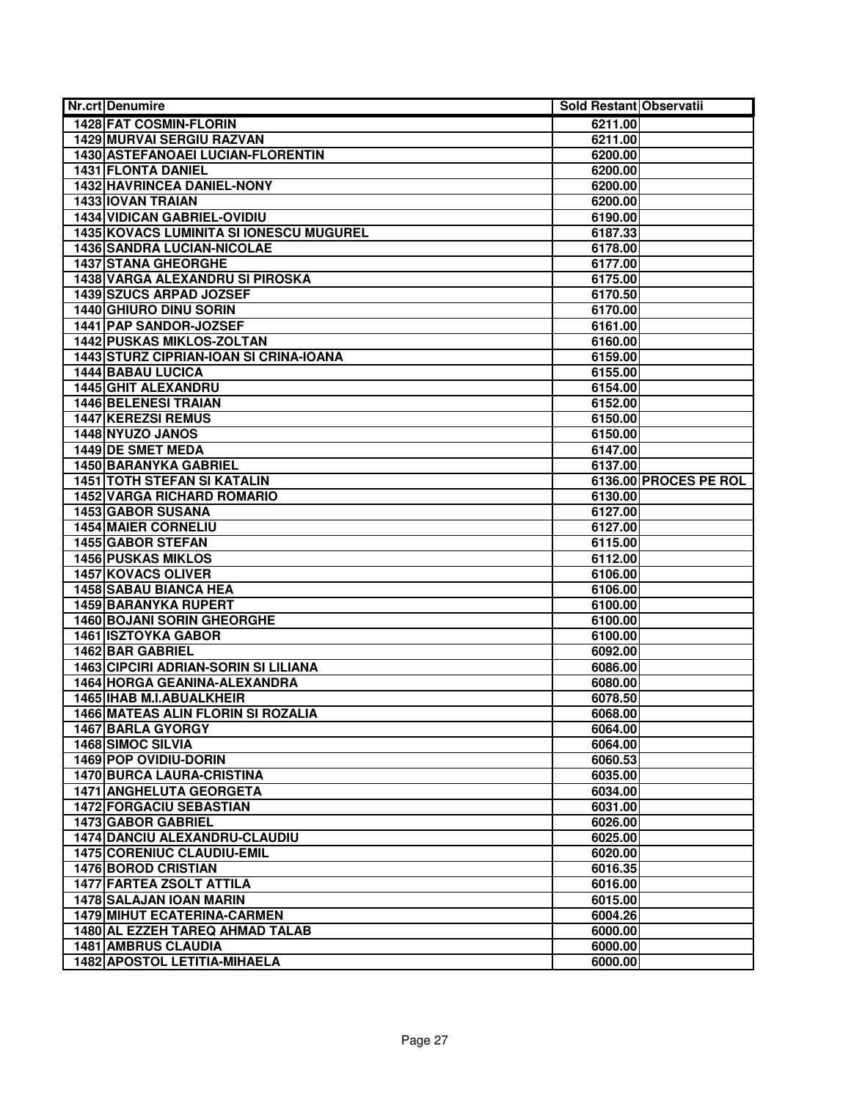| <b>Nr.crt Denumire</b>                      | Sold Restant Observatii |                       |
|---------------------------------------------|-------------------------|-----------------------|
| 1428 FAT COSMIN-FLORIN                      | 6211.00                 |                       |
| <b>1429 MURVAI SERGIU RAZVAN</b>            | 6211.00                 |                       |
| 1430 ASTEFANOAEI LUCIAN-FLORENTIN           | 6200.00                 |                       |
| 1431 FLONTA DANIEL                          | 6200.00                 |                       |
| 1432 HAVRINCEA DANIEL-NONY                  | 6200.00                 |                       |
| <b>1433 IOVAN TRAIAN</b>                    | 6200.00                 |                       |
| <b>1434 VIDICAN GABRIEL-OVIDIU</b>          | 6190.00                 |                       |
| 1435 KOVACS LUMINITA SI IONESCU MUGUREL     | 6187.33                 |                       |
| 1436 SANDRA LUCIAN-NICOLAE                  | 6178.00                 |                       |
| <b>1437 STANA GHEORGHE</b>                  | 6177.00                 |                       |
| <b>1438 VARGA ALEXANDRU SI PIROSKA</b>      | 6175.00                 |                       |
| 1439 SZUCS ARPAD JOZSEF                     | 6170.50                 |                       |
| 1440 GHIURO DINU SORIN                      | 6170.00                 |                       |
| 1441 PAP SANDOR-JOZSEF                      | 6161.00                 |                       |
| <b>1442 PUSKAS MIKLOS-ZOLTAN</b>            | 6160.00                 |                       |
| 1443 STURZ CIPRIAN-IOAN SI CRINA-IOANA      | 6159.00                 |                       |
| <b>1444 BABAU LUCICA</b>                    | 6155.00                 |                       |
| <b>1445 GHIT ALEXANDRU</b>                  | 6154.00                 |                       |
| <b>1446 BELENESI TRAIAN</b>                 | 6152.00                 |                       |
| <b>1447 KEREZSI REMUS</b>                   | 6150.00                 |                       |
| 1448 NYUZO JANOS                            | 6150.00                 |                       |
| 1449 DE SMET MEDA                           | 6147.00                 |                       |
| <b>1450 BARANYKA GABRIEL</b>                | 6137.00                 |                       |
| <b>1451 TOTH STEFAN SI KATALIN</b>          |                         | 6136.00 PROCES PE ROL |
| <b>1452 VARGA RICHARD ROMARIO</b>           | 6130.00                 |                       |
| 1453 GABOR SUSANA                           | 6127.00                 |                       |
| <b>1454 MAIER CORNELIU</b>                  | 6127.00                 |                       |
| <b>1455 GABOR STEFAN</b>                    | 6115.00                 |                       |
| <b>1456 PUSKAS MIKLOS</b>                   | 6112.00                 |                       |
| 1457 KOVACS OLIVER                          | 6106.00                 |                       |
| <b>1458 SABAU BIANCA HEA</b>                | 6106.00                 |                       |
| <b>1459 BARANYKA RUPERT</b>                 | 6100.00                 |                       |
| <b>1460 BOJANI SORIN GHEORGHE</b>           | 6100.00                 |                       |
| <b>1461 ISZTOYKA GABOR</b>                  | 6100.00                 |                       |
| <b>1462 BAR GABRIEL</b>                     | 6092.00                 |                       |
| <b>1463 CIPCIRI ADRIAN-SORIN SI LILIANA</b> | 6086.00                 |                       |
| 1464 HORGA GEANINA-ALEXANDRA                | 6080.00                 |                       |
| <b>1465 IHAB M.I.ABUALKHEIR</b>             | 6078.50                 |                       |
| 1466 MATEAS ALIN FLORIN SI ROZALIA          | 6068.00                 |                       |
| 1467 BARLA GYORGY                           | 6064.00                 |                       |
| 1468 SIMOC SILVIA                           | 6064.00                 |                       |
| 1469 POP OVIDIU-DORIN                       | 6060.53                 |                       |
| <b>1470 BURCA LAURA-CRISTINA</b>            | 6035.00                 |                       |
| <b>1471 ANGHELUTA GEORGETA</b>              | 6034.00                 |                       |
| <b>1472 FORGACIU SEBASTIAN</b>              | 6031.00                 |                       |
| 1473 GABOR GABRIEL                          | 6026.00                 |                       |
| <b>1474 DANCIU ALEXANDRU-CLAUDIU</b>        | 6025.00                 |                       |
| <b>1475 CORENIUC CLAUDIU-EMIL</b>           | 6020.00                 |                       |
| <b>1476 BOROD CRISTIAN</b>                  | 6016.35                 |                       |
| 1477 FARTEA ZSOLT ATTILA                    | 6016.00                 |                       |
| 1478 SALAJAN IOAN MARIN                     | 6015.00                 |                       |
| <b>1479 MIHUT ECATERINA-CARMEN</b>          | 6004.26                 |                       |
| 1480 AL EZZEH TAREQ AHMAD TALAB             | 6000.00                 |                       |
| <b>1481 AMBRUS CLAUDIA</b>                  | 6000.00                 |                       |
| 1482 APOSTOL LETITIA-MIHAELA                | 6000.00                 |                       |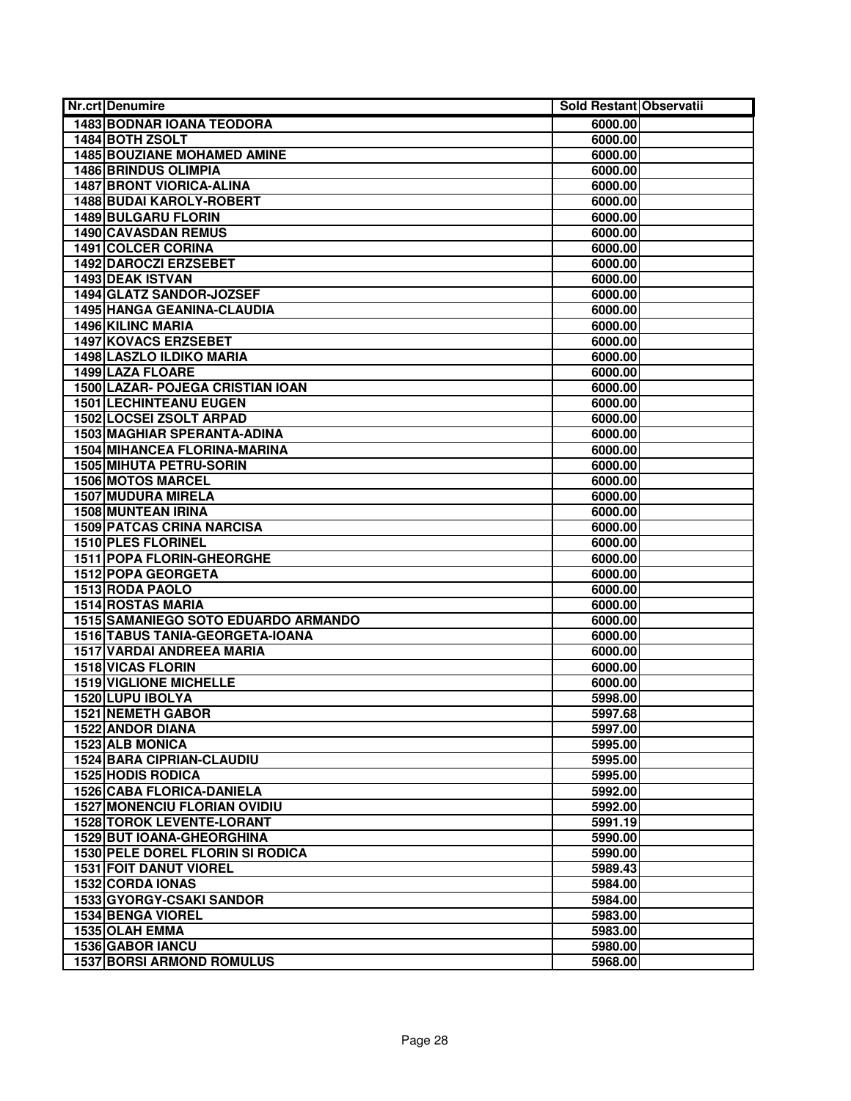| Nr.crt Denumire                         | Sold Restant Observatii |  |
|-----------------------------------------|-------------------------|--|
| <b>1483 BODNAR IOANA TEODORA</b>        | 6000.00                 |  |
| 1484 BOTH ZSOLT                         | 6000.00                 |  |
| <b>1485 BOUZIANE MOHAMED AMINE</b>      | 6000.00                 |  |
| <b>1486 BRINDUS OLIMPIA</b>             | 6000.00                 |  |
| <b>1487 BRONT VIORICA-ALINA</b>         | 6000.00                 |  |
| <b>1488 BUDAI KAROLY-ROBERT</b>         | 6000.00                 |  |
| <b>1489 BULGARU FLORIN</b>              | 6000.00                 |  |
| 1490 CAVASDAN REMUS                     | 6000.00                 |  |
| 1491 COLCER CORINA                      | 6000.00                 |  |
| <b>1492 DAROCZI ERZSEBET</b>            | 6000.00                 |  |
| 1493 DEAK ISTVAN                        | 6000.00                 |  |
| 1494 GLATZ SANDOR-JOZSEF                | 6000.00                 |  |
| <b>1495 HANGA GEANINA-CLAUDIA</b>       | 6000.00                 |  |
| <b>1496 KILINC MARIA</b>                | 6000.00                 |  |
| 1497 KOVACS ERZSEBET                    | 6000.00                 |  |
| 1498 LASZLO ILDIKO MARIA                | 6000.00                 |  |
| <b>1499 LAZA FLOARE</b>                 | 6000.00                 |  |
| 1500 LAZAR- POJEGA CRISTIAN IOAN        | 6000.00                 |  |
| <b>1501 LECHINTEANU EUGEN</b>           | 6000.00                 |  |
| <b>1502 LOCSEI ZSOLT ARPAD</b>          | 6000.00                 |  |
| 1503 MAGHIAR SPERANTA-ADINA             | 6000.00                 |  |
| <b>1504 MIHANCEA FLORINA-MARINA</b>     | 6000.00                 |  |
| <b>1505 MIHUTA PETRU-SORIN</b>          | 6000.00                 |  |
| <b>1506 MOTOS MARCEL</b>                | 6000.00                 |  |
| <b>1507 MUDURA MIRELA</b>               | 6000.00                 |  |
| <b>1508 MUNTEAN IRINA</b>               | 6000.00                 |  |
| <b>1509 PATCAS CRINA NARCISA</b>        | 6000.00                 |  |
| 1510 PLES FLORINEL                      | 6000.00                 |  |
| 1511 POPA FLORIN-GHEORGHE               | 6000.00                 |  |
| 1512 POPA GEORGETA                      | 6000.00                 |  |
| 1513 RODA PAOLO                         | 6000.00                 |  |
| <b>1514 ROSTAS MARIA</b>                | 6000.00                 |  |
| 1515 SAMANIEGO SOTO EDUARDO ARMANDO     | 6000.00                 |  |
| 1516 TABUS TANIA-GEORGETA-IOANA         | 6000.00                 |  |
| <b>1517 VARDAI ANDREEA MARIA</b>        | 6000.00                 |  |
| <b>1518 VICAS FLORIN</b>                | 6000.00                 |  |
| <b>1519 VIGLIONE MICHELLE</b>           | 6000.00                 |  |
| 1520 LUPU IBOLYA                        | 5998.00                 |  |
| <b>1521 NEMETH GABOR</b>                | 5997.68                 |  |
| 1522 ANDOR DIANA                        | 5997.00                 |  |
| 1523 ALB MONICA                         | 5995.00                 |  |
| <b>1524 BARA CIPRIAN-CLAUDIU</b>        | 5995.00                 |  |
| <b>1525 HODIS RODICA</b>                | 5995.00                 |  |
| <b>1526 CABA FLORICA-DANIELA</b>        | 5992.00                 |  |
| <b>1527 MONENCIU FLORIAN OVIDIU</b>     | 5992.00                 |  |
| <b>1528 TOROK LEVENTE-LORANT</b>        | 5991.19                 |  |
| 1529 BUT IOANA-GHEORGHINA               | 5990.00                 |  |
| <b>1530 PELE DOREL FLORIN SI RODICA</b> | 5990.00                 |  |
| <b>1531 FOIT DANUT VIOREL</b>           | 5989.43                 |  |
| <b>1532 CORDA IONAS</b>                 | 5984.00                 |  |
| 1533 GYORGY-CSAKI SANDOR                | 5984.00                 |  |
| <b>1534 BENGA VIOREL</b>                | 5983.00                 |  |
| 1535 OLAH EMMA                          | 5983.00                 |  |
| 1536 GABOR IANCU                        | 5980.00                 |  |
| <b>1537 BORSI ARMOND ROMULUS</b>        | 5968.00                 |  |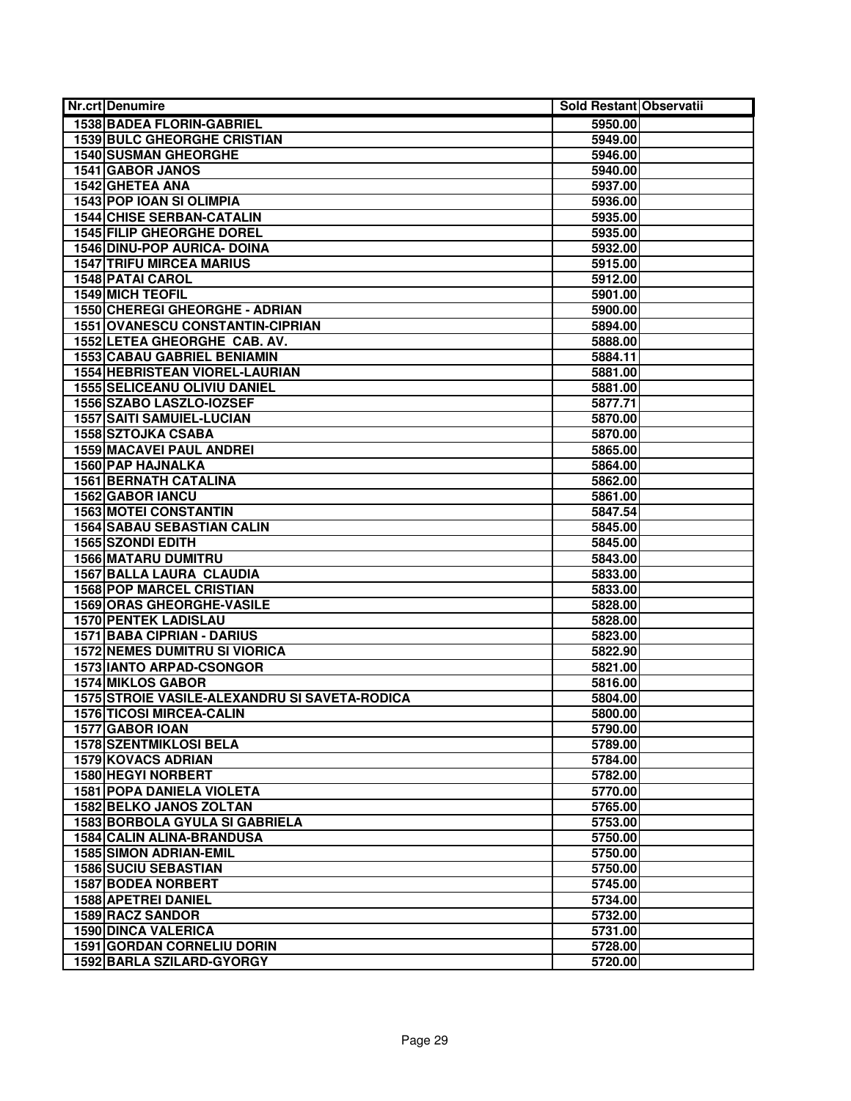| <b>Nr.crt Denumire</b>                        | Sold Restant Observatii |  |
|-----------------------------------------------|-------------------------|--|
| <b>1538 BADEA FLORIN-GABRIEL</b>              | 5950.00                 |  |
| <b>1539 BULC GHEORGHE CRISTIAN</b>            | 5949.00                 |  |
| <b>1540 SUSMAN GHEORGHE</b>                   | 5946.00                 |  |
| 1541 GABOR JANOS                              | 5940.00                 |  |
| <b>1542 GHETEA ANA</b>                        | 5937.00                 |  |
| 1543 POP IOAN SI OLIMPIA                      | 5936.00                 |  |
| <b>1544 CHISE SERBAN-CATALIN</b>              | 5935.00                 |  |
| <b>1545 FILIP GHEORGHE DOREL</b>              | 5935.00                 |  |
| 1546 DINU-POP AURICA- DOINA                   | 5932.00                 |  |
| <b>1547 TRIFU MIRCEA MARIUS</b>               | 5915.00                 |  |
| <b>1548 PATAI CAROL</b>                       | 5912.00                 |  |
| <b>1549 MICH TEOFIL</b>                       | 5901.00                 |  |
| 1550 CHEREGI GHEORGHE - ADRIAN                | 5900.00                 |  |
| 1551 OVANESCU CONSTANTIN-CIPRIAN              | 5894.00                 |  |
| 1552 LETEA GHEORGHE CAB. AV.                  | 5888.00                 |  |
| 1553 CABAU GABRIEL BENIAMIN                   | 5884.11                 |  |
| <b>1554 HEBRISTEAN VIOREL-LAURIAN</b>         | 5881.00                 |  |
| <b>1555 SELICEANU OLIVIU DANIEL</b>           | 5881.00                 |  |
| 1556 SZABO LASZLO-IOZSEF                      | 5877.71                 |  |
| <b>1557 SAITI SAMUIEL-LUCIAN</b>              | 5870.00                 |  |
| <b>1558 SZTOJKA CSABA</b>                     | 5870.00                 |  |
| <b>1559 MACAVEI PAUL ANDREI</b>               | 5865.00                 |  |
| 1560 PAP HAJNALKA                             | 5864.00                 |  |
| <b>1561 BERNATH CATALINA</b>                  | 5862.00                 |  |
| <b>1562 GABOR IANCU</b>                       | 5861.00                 |  |
| <b>1563 MOTEI CONSTANTIN</b>                  | 5847.54                 |  |
| <b>1564 SABAU SEBASTIAN CALIN</b>             | 5845.00                 |  |
| 1565 SZONDI EDITH                             | 5845.00                 |  |
| <b>1566 MATARU DUMITRU</b>                    | 5843.00                 |  |
| 1567 BALLA LAURA CLAUDIA                      | 5833.00                 |  |
| <b>1568 POP MARCEL CRISTIAN</b>               | 5833.00                 |  |
| <b>1569 ORAS GHEORGHE-VASILE</b>              | 5828.00                 |  |
| <b>1570 PENTEK LADISLAU</b>                   | 5828.00                 |  |
| <b>1571 BABA CIPRIAN - DARIUS</b>             | 5823.00                 |  |
| <b>1572 NEMES DUMITRU SI VIORICA</b>          | 5822.90                 |  |
| <b>1573 IANTO ARPAD-CSONGOR</b>               | 5821.00                 |  |
| <b>1574 MIKLOS GABOR</b>                      | 5816.00                 |  |
| 1575 STROIE VASILE-ALEXANDRU SI SAVETA-RODICA | 5804.00                 |  |
| <b>1576 TICOSI MIRCEA-CALIN</b>               | 5800.00                 |  |
| 1577 GABOR IOAN                               | 5790.00                 |  |
| <b>1578 SZENTMIKLOSI BELA</b>                 | 5789.00                 |  |
| 1579 KOVACS ADRIAN                            | 5784.00                 |  |
| 1580 HEGYI NORBERT                            | 5782.00                 |  |
| <b>1581 POPA DANIELA VIOLETA</b>              | 5770.00                 |  |
| 1582 BELKO JANOS ZOLTAN                       | 5765.00                 |  |
| 1583 BORBOLA GYULA SI GABRIELA                | 5753.00                 |  |
| <b>1584 CALIN ALINA-BRANDUSA</b>              | 5750.00                 |  |
| <b>1585 SIMON ADRIAN-EMIL</b>                 | 5750.00                 |  |
| <b>1586 SUCIU SEBASTIAN</b>                   | 5750.00                 |  |
| 1587 BODEA NORBERT                            | 5745.00                 |  |
| 1588 APETREI DANIEL                           | 5734.00                 |  |
| <b>1589 RACZ SANDOR</b>                       | 5732.00                 |  |
| <b>1590 DINCA VALERICA</b>                    | 5731.00                 |  |
| <b>1591 GORDAN CORNELIU DORIN</b>             | 5728.00                 |  |
| 1592 BARLA SZILARD-GYORGY                     | 5720.00                 |  |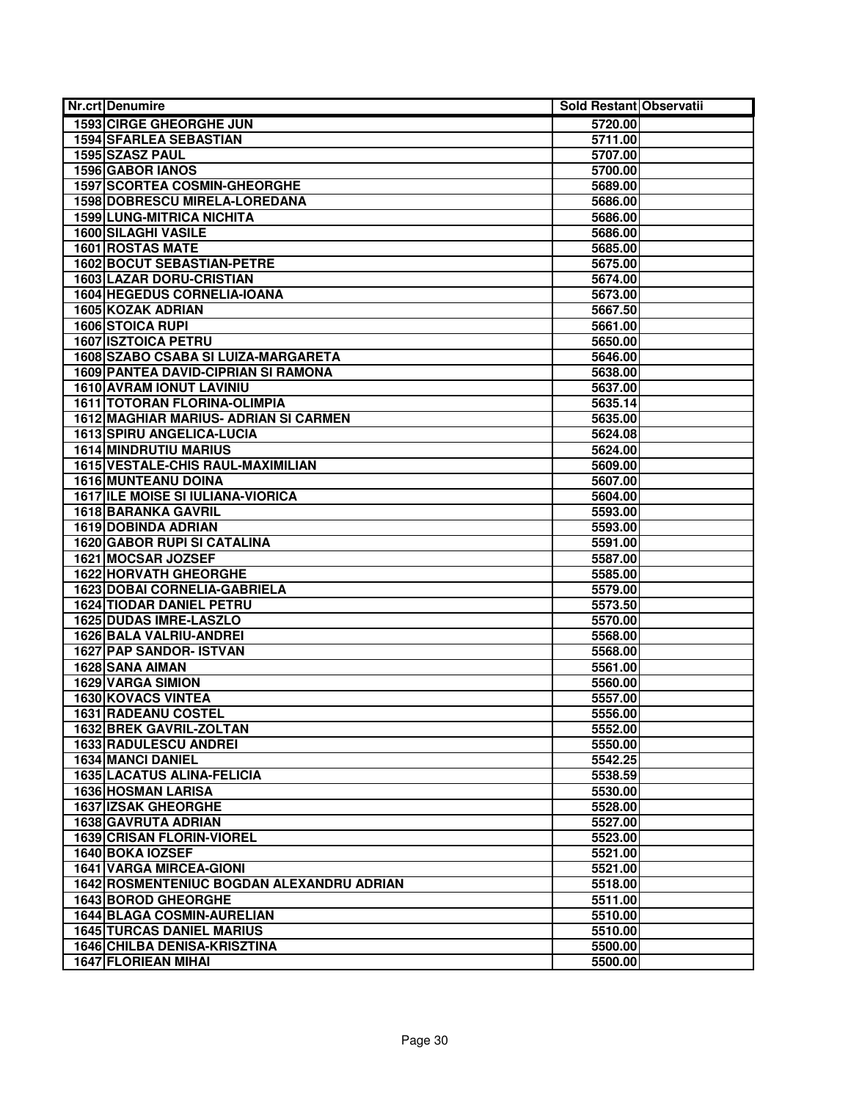| <b>Nr.crt Denumire</b>                           | Sold Restant Observatii |  |
|--------------------------------------------------|-------------------------|--|
| <b>1593 CIRGE GHEORGHE JUN</b>                   | 5720.00                 |  |
| <b>1594 SFARLEA SEBASTIAN</b>                    | 5711.00                 |  |
| 1595 SZASZ PAUL                                  | 5707.00                 |  |
| 1596 GABOR IANOS                                 | 5700.00                 |  |
| <b>1597 SCORTEA COSMIN-GHEORGHE</b>              | 5689.00                 |  |
| 1598 DOBRESCU MIRELA-LOREDANA                    | 5686.00                 |  |
| <b>1599 LUNG-MITRICA NICHITA</b>                 | 5686.00                 |  |
| 1600 SILAGHI VASILE                              | 5686.00                 |  |
| <b>1601 ROSTAS MATE</b>                          | 5685.00                 |  |
| <b>1602 BOCUT SEBASTIAN-PETRE</b>                | 5675.00                 |  |
| <b>1603 LAZAR DORU-CRISTIAN</b>                  | 5674.00                 |  |
| 1604 HEGEDUS CORNELIA-IOANA                      | 5673.00                 |  |
| <b>1605 KOZAK ADRIAN</b>                         | 5667.50                 |  |
| <b>1606 STOICA RUPI</b>                          | 5661.00                 |  |
| <b>1607 ISZTOICA PETRU</b>                       | 5650.00                 |  |
| 1608 SZABO CSABA SI LUIZA-MARGARETA              | 5646.00                 |  |
| 1609 PANTEA DAVID-CIPRIAN SI RAMONA              | 5638.00                 |  |
| <b>1610 AVRAM IONUT LAVINIU</b>                  | 5637.00                 |  |
| <b>1611 TOTORAN FLORINA-OLIMPIA</b>              | 5635.14                 |  |
| 1612 MAGHIAR MARIUS- ADRIAN SI CARMEN            | 5635.00                 |  |
| 1613 SPIRU ANGELICA-LUCIA                        | 5624.08                 |  |
| <b>1614 MINDRUTIU MARIUS</b>                     | 5624.00                 |  |
| 1615 VESTALE-CHIS RAUL-MAXIMILIAN                | 5609.00                 |  |
| <b>1616 MUNTEANU DOINA</b>                       | 5607.00                 |  |
| <b>1617 ILE MOISE SI IULIANA-VIORICA</b>         | 5604.00                 |  |
| 1618 BARANKA GAVRIL                              | 5593.00                 |  |
| <b>1619 DOBINDA ADRIAN</b>                       | 5593.00                 |  |
| <b>1620 GABOR RUPI SI CATALINA</b>               | 5591.00                 |  |
| 1621 MOCSAR JOZSEF                               | 5587.00                 |  |
| <b>1622 HORVATH GHEORGHE</b>                     | 5585.00                 |  |
| 1623 DOBAI CORNELIA-GABRIELA                     | 5579.00                 |  |
| <b>1624 TIODAR DANIEL PETRU</b>                  | 5573.50                 |  |
| <b>1625 DUDAS IMRE-LASZLO</b>                    | 5570.00                 |  |
| 1626 BALA VALRIU-ANDREI                          | 5568.00                 |  |
| 1627 PAP SANDOR- ISTVAN                          | 5568.00                 |  |
| 1628 SANA AIMAN                                  | 5561.00                 |  |
| 1629 VARGA SIMION                                | 5560.00                 |  |
| <b>1630 KOVACS VINTEA</b>                        | 5557.00                 |  |
| <b>1631 RADEANU COSTEL</b>                       | 5556.00                 |  |
| 1632 BREK GAVRIL-ZOLTAN                          | 5552.00                 |  |
| 1633 RADULESCU ANDREI                            | 5550.00                 |  |
| <b>1634 MANCI DANIEL</b>                         | 5542.25                 |  |
| <b>1635 LACATUS ALINA-FELICIA</b>                | 5538.59                 |  |
| <b>1636 HOSMAN LARISA</b>                        | 5530.00                 |  |
| <b>1637 IZSAK GHEORGHE</b>                       | 5528.00                 |  |
| 1638 GAVRUTA ADRIAN                              | 5527.00                 |  |
| 1639 CRISAN FLORIN-VIOREL                        | 5523.00                 |  |
| 1640 BOKA IOZSEF                                 | 5521.00                 |  |
| <b>1641 VARGA MIRCEA-GIONI</b>                   | 5521.00                 |  |
| <b>1642 ROSMENTENIUC BOGDAN ALEXANDRU ADRIAN</b> | 5518.00                 |  |
| 1643 BOROD GHEORGHE                              | 5511.00                 |  |
| <b>1644 BLAGA COSMIN-AURELIAN</b>                | 5510.00                 |  |
| <b>1645 TURCAS DANIEL MARIUS</b>                 | 5510.00                 |  |
| 1646 CHILBA DENISA-KRISZTINA                     | 5500.00                 |  |
| 1647 FLORIEAN MIHAI                              | 5500.00                 |  |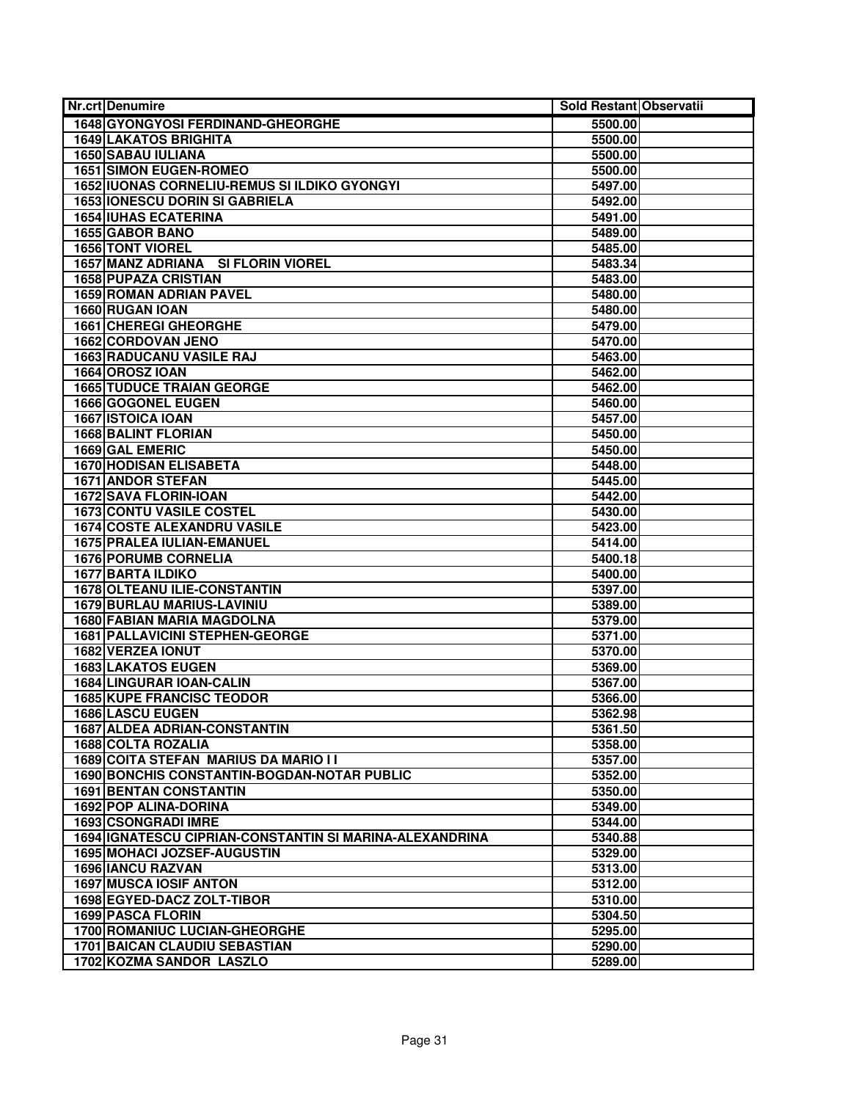| Nr.crt Denumire                                         | Sold Restant Observatii |  |
|---------------------------------------------------------|-------------------------|--|
| 1648 GYONGYOSI FERDINAND-GHEORGHE                       | 5500.00                 |  |
| <b>1649 LAKATOS BRIGHITA</b>                            | 5500.00                 |  |
| <b>1650 SABAU IULIANA</b>                               | 5500.00                 |  |
| <b>1651 SIMON EUGEN-ROMEO</b>                           | 5500.00                 |  |
| 1652 IUONAS CORNELIU-REMUS SI ILDIKO GYONGYI            | 5497.00                 |  |
| <b>1653 IONESCU DORIN SI GABRIELA</b>                   | 5492.00                 |  |
| <b>1654 IUHAS ECATERINA</b>                             | 5491.00                 |  |
| 1655 GABOR BANO                                         | 5489.00                 |  |
| <b>1656 TONT VIOREL</b>                                 | 5485.00                 |  |
| 1657 MANZ ADRIANA SI FLORIN VIOREL                      | 5483.34                 |  |
| <b>1658 PUPAZA CRISTIAN</b>                             | 5483.00                 |  |
| <b>1659 ROMAN ADRIAN PAVEL</b>                          | 5480.00                 |  |
| 1660 RUGAN IOAN                                         | 5480.00                 |  |
| 1661 CHEREGI GHEORGHE                                   |                         |  |
|                                                         | 5479.00                 |  |
| 1662 CORDOVAN JENO                                      | 5470.00                 |  |
| <b>1663 RADUCANU VASILE RAJ</b>                         | 5463.00                 |  |
| 1664 OROSZ IOAN                                         | 5462.00                 |  |
| <b>1665 TUDUCE TRAIAN GEORGE</b>                        | 5462.00                 |  |
| <b>1666 GOGONEL EUGEN</b>                               | 5460.00                 |  |
| <b>1667 ISTOICA IOAN</b>                                | 5457.00                 |  |
| <b>1668 BALINT FLORIAN</b>                              | 5450.00                 |  |
| 1669 GAL EMERIC                                         | 5450.00                 |  |
| <b>1670 HODISAN ELISABETA</b>                           | 5448.00                 |  |
| <b>1671 ANDOR STEFAN</b>                                | 5445.00                 |  |
| <b>1672 SAVA FLORIN-IOAN</b>                            | 5442.00                 |  |
| <b>1673 CONTU VASILE COSTEL</b>                         | 5430.00                 |  |
| <b>1674 COSTE ALEXANDRU VASILE</b>                      | 5423.00                 |  |
| <b>1675 PRALEA IULIAN-EMANUEL</b>                       | 5414.00                 |  |
| 1676 PORUMB CORNELIA                                    | 5400.18                 |  |
| <b>1677 BARTA ILDIKO</b>                                | 5400.00                 |  |
| <b>1678 OLTEANU ILIE-CONSTANTIN</b>                     | 5397.00                 |  |
| <b>1679 BURLAU MARIUS-LAVINIU</b>                       | 5389.00                 |  |
| <b>1680 FABIAN MARIA MAGDOLNA</b>                       | 5379.00                 |  |
| <b>1681 PALLAVICINI STEPHEN-GEORGE</b>                  | 5371.00                 |  |
| 1682 VERZEA IONUT                                       | 5370.00                 |  |
| <b>1683 LAKATOS EUGEN</b>                               | 5369.00                 |  |
| <b>1684 LINGURAR IOAN-CALIN</b>                         | 5367.00                 |  |
| <b>1685 KUPE FRANCISC TEODOR</b>                        | 5366.00                 |  |
| 1686 LASCU EUGEN                                        | 5362.98                 |  |
| <b>1687 ALDEA ADRIAN-CONSTANTIN</b>                     | 5361.50                 |  |
| <b>1688 COLTA ROZALIA</b>                               | 5358.00                 |  |
| 1689 COITA STEFAN MARIUS DA MARIO I I                   | 5357.00                 |  |
| <b>1690 BONCHIS CONSTANTIN-BOGDAN-NOTAR PUBLIC</b>      | 5352.00                 |  |
| <b>1691 BENTAN CONSTANTIN</b>                           | 5350.00                 |  |
| 1692 POP ALINA-DORINA                                   | 5349.00                 |  |
| <b>1693 CSONGRADI IMRE</b>                              | 5344.00                 |  |
| 1694 IGNATESCU CIPRIAN-CONSTANTIN SI MARINA-ALEXANDRINA | 5340.88                 |  |
| 1695 MOHACI JOZSEF-AUGUSTIN                             | 5329.00                 |  |
| <b>1696 IANCU RAZVAN</b>                                | 5313.00                 |  |
| <b>1697 MUSCA IOSIF ANTON</b>                           | 5312.00                 |  |
| 1698 EGYED-DACZ ZOLT-TIBOR                              | 5310.00                 |  |
| <b>1699 PASCA FLORIN</b>                                | 5304.50                 |  |
| <b>1700 ROMANIUC LUCIAN-GHEORGHE</b>                    | 5295.00                 |  |
| <b>1701 BAICAN CLAUDIU SEBASTIAN</b>                    | 5290.00                 |  |
| 1702 KOZMA SANDOR LASZLO                                | 5289.00                 |  |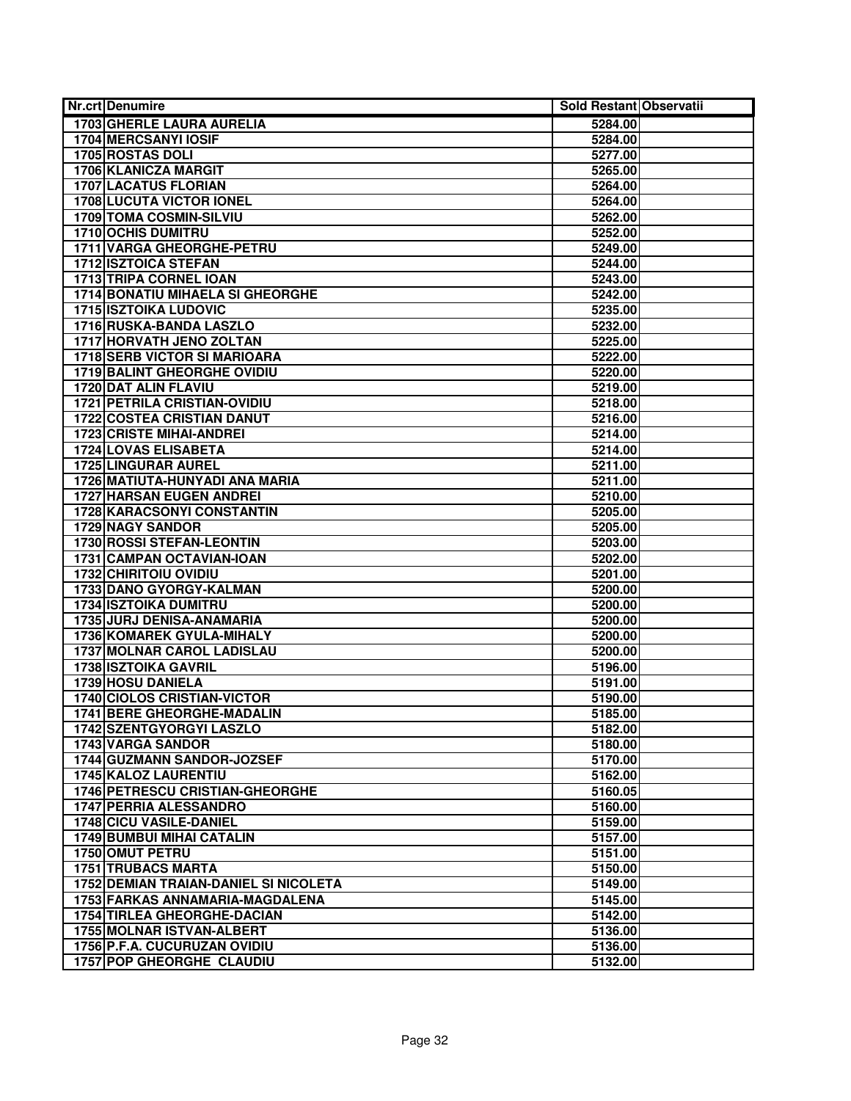| <b>1703 GHERLE LAURA AURELIA</b><br>5284.00<br><b>1704 MERCSANYI IOSIF</b><br>5284.00<br>1705 ROSTAS DOLI<br>5277.00<br>1706 KLANICZA MARGIT<br>5265.00<br><b>1707 LACATUS FLORIAN</b><br>5264.00<br><b>1708 LUCUTA VICTOR IONEL</b><br>5264.00<br><b>1709 TOMA COSMIN-SILVIU</b><br>5262.00<br>1710 OCHIS DUMITRU<br>5252.00<br>1711 VARGA GHEORGHE-PETRU<br>5249.00<br><b>1712 ISZTOICA STEFAN</b><br>5244.00<br>1713 TRIPA CORNEL IOAN<br>5243.00<br><b>1714 BONATIU MIHAELA SI GHEORGHE</b><br>5242.00<br><b>1715 ISZTOIKA LUDOVIC</b><br>5235.00<br>1716 RUSKA-BANDA LASZLO<br>5232.00<br>1717 HORVATH JENO ZOLTAN<br>5225.00<br><b>1718 SERB VICTOR SI MARIOARA</b><br>5222.00<br><b>1719 BALINT GHEORGHE OVIDIU</b><br>5220.00<br>1720 DAT ALIN FLAVIU<br>5219.00<br><b>1721 PETRILA CRISTIAN-OVIDIU</b><br>5218.00<br><b>1722 COSTEA CRISTIAN DANUT</b><br>5216.00<br><b>1723 CRISTE MIHAI-ANDREI</b><br>5214.00<br>1724 LOVAS ELISABETA<br>5214.00<br><b>1725 LINGURAR AUREL</b><br>5211.00<br>1726 MATIUTA-HUNYADI ANA MARIA<br>5211.00<br><b>1727 HARSAN EUGEN ANDREI</b><br>5210.00<br><b>1728 KARACSONYI CONSTANTIN</b><br>5205.00<br><b>1729 NAGY SANDOR</b><br>5205.00<br><b>1730 ROSSI STEFAN-LEONTIN</b><br>5203.00<br>1731 CAMPAN OCTAVIAN-IOAN<br>5202.00<br>1732 CHIRITOIU OVIDIU<br>5201.00<br>1733 DANO GYORGY-KALMAN<br>5200.00<br><b>1734 ISZTOIKA DUMITRU</b><br>5200.00<br>1735 JURJ DENISA-ANAMARIA<br>5200.00<br>1736 KOMAREK GYULA-MIHALY<br>5200.00<br><b>1737 MOLNAR CAROL LADISLAU</b><br>5200.00<br><b>1738 ISZTOIKA GAVRIL</b><br>5196.00<br>1739 HOSU DANIELA<br>5191.00<br><b>1740 CIOLOS CRISTIAN-VICTOR</b><br>5190.00<br>1741 BERE GHEORGHE-MADALIN<br>5185.00<br>1742 SZENTGYORGYI LASZLO<br>5182.00<br>1743 VARGA SANDOR<br>5180.00<br>1744 GUZMANN SANDOR-JOZSEF<br>5170.00<br>1745 KALOZ LAURENTIU<br>5162.00<br>1746 PETRESCU CRISTIAN-GHEORGHE<br>5160.05<br>1747 PERRIA ALESSANDRO<br>5160.00<br>1748 CICU VASILE-DANIEL<br>5159.00<br><b>1749 BUMBUI MIHAI CATALIN</b><br>5157.00<br><b>1750 OMUT PETRU</b><br>5151.00 | <b>Nr.crt Denumire</b>    | Sold Restant Observatii |  |
|-----------------------------------------------------------------------------------------------------------------------------------------------------------------------------------------------------------------------------------------------------------------------------------------------------------------------------------------------------------------------------------------------------------------------------------------------------------------------------------------------------------------------------------------------------------------------------------------------------------------------------------------------------------------------------------------------------------------------------------------------------------------------------------------------------------------------------------------------------------------------------------------------------------------------------------------------------------------------------------------------------------------------------------------------------------------------------------------------------------------------------------------------------------------------------------------------------------------------------------------------------------------------------------------------------------------------------------------------------------------------------------------------------------------------------------------------------------------------------------------------------------------------------------------------------------------------------------------------------------------------------------------------------------------------------------------------------------------------------------------------------------------------------------------------------------------------------------------------------------------------------------------------------------------------------------------------------------------------------------------------------------------------------------------------------------------------|---------------------------|-------------------------|--|
|                                                                                                                                                                                                                                                                                                                                                                                                                                                                                                                                                                                                                                                                                                                                                                                                                                                                                                                                                                                                                                                                                                                                                                                                                                                                                                                                                                                                                                                                                                                                                                                                                                                                                                                                                                                                                                                                                                                                                                                                                                                                       |                           |                         |  |
|                                                                                                                                                                                                                                                                                                                                                                                                                                                                                                                                                                                                                                                                                                                                                                                                                                                                                                                                                                                                                                                                                                                                                                                                                                                                                                                                                                                                                                                                                                                                                                                                                                                                                                                                                                                                                                                                                                                                                                                                                                                                       |                           |                         |  |
|                                                                                                                                                                                                                                                                                                                                                                                                                                                                                                                                                                                                                                                                                                                                                                                                                                                                                                                                                                                                                                                                                                                                                                                                                                                                                                                                                                                                                                                                                                                                                                                                                                                                                                                                                                                                                                                                                                                                                                                                                                                                       |                           |                         |  |
|                                                                                                                                                                                                                                                                                                                                                                                                                                                                                                                                                                                                                                                                                                                                                                                                                                                                                                                                                                                                                                                                                                                                                                                                                                                                                                                                                                                                                                                                                                                                                                                                                                                                                                                                                                                                                                                                                                                                                                                                                                                                       |                           |                         |  |
|                                                                                                                                                                                                                                                                                                                                                                                                                                                                                                                                                                                                                                                                                                                                                                                                                                                                                                                                                                                                                                                                                                                                                                                                                                                                                                                                                                                                                                                                                                                                                                                                                                                                                                                                                                                                                                                                                                                                                                                                                                                                       |                           |                         |  |
|                                                                                                                                                                                                                                                                                                                                                                                                                                                                                                                                                                                                                                                                                                                                                                                                                                                                                                                                                                                                                                                                                                                                                                                                                                                                                                                                                                                                                                                                                                                                                                                                                                                                                                                                                                                                                                                                                                                                                                                                                                                                       |                           |                         |  |
|                                                                                                                                                                                                                                                                                                                                                                                                                                                                                                                                                                                                                                                                                                                                                                                                                                                                                                                                                                                                                                                                                                                                                                                                                                                                                                                                                                                                                                                                                                                                                                                                                                                                                                                                                                                                                                                                                                                                                                                                                                                                       |                           |                         |  |
|                                                                                                                                                                                                                                                                                                                                                                                                                                                                                                                                                                                                                                                                                                                                                                                                                                                                                                                                                                                                                                                                                                                                                                                                                                                                                                                                                                                                                                                                                                                                                                                                                                                                                                                                                                                                                                                                                                                                                                                                                                                                       |                           |                         |  |
|                                                                                                                                                                                                                                                                                                                                                                                                                                                                                                                                                                                                                                                                                                                                                                                                                                                                                                                                                                                                                                                                                                                                                                                                                                                                                                                                                                                                                                                                                                                                                                                                                                                                                                                                                                                                                                                                                                                                                                                                                                                                       |                           |                         |  |
|                                                                                                                                                                                                                                                                                                                                                                                                                                                                                                                                                                                                                                                                                                                                                                                                                                                                                                                                                                                                                                                                                                                                                                                                                                                                                                                                                                                                                                                                                                                                                                                                                                                                                                                                                                                                                                                                                                                                                                                                                                                                       |                           |                         |  |
|                                                                                                                                                                                                                                                                                                                                                                                                                                                                                                                                                                                                                                                                                                                                                                                                                                                                                                                                                                                                                                                                                                                                                                                                                                                                                                                                                                                                                                                                                                                                                                                                                                                                                                                                                                                                                                                                                                                                                                                                                                                                       |                           |                         |  |
|                                                                                                                                                                                                                                                                                                                                                                                                                                                                                                                                                                                                                                                                                                                                                                                                                                                                                                                                                                                                                                                                                                                                                                                                                                                                                                                                                                                                                                                                                                                                                                                                                                                                                                                                                                                                                                                                                                                                                                                                                                                                       |                           |                         |  |
|                                                                                                                                                                                                                                                                                                                                                                                                                                                                                                                                                                                                                                                                                                                                                                                                                                                                                                                                                                                                                                                                                                                                                                                                                                                                                                                                                                                                                                                                                                                                                                                                                                                                                                                                                                                                                                                                                                                                                                                                                                                                       |                           |                         |  |
|                                                                                                                                                                                                                                                                                                                                                                                                                                                                                                                                                                                                                                                                                                                                                                                                                                                                                                                                                                                                                                                                                                                                                                                                                                                                                                                                                                                                                                                                                                                                                                                                                                                                                                                                                                                                                                                                                                                                                                                                                                                                       |                           |                         |  |
|                                                                                                                                                                                                                                                                                                                                                                                                                                                                                                                                                                                                                                                                                                                                                                                                                                                                                                                                                                                                                                                                                                                                                                                                                                                                                                                                                                                                                                                                                                                                                                                                                                                                                                                                                                                                                                                                                                                                                                                                                                                                       |                           |                         |  |
|                                                                                                                                                                                                                                                                                                                                                                                                                                                                                                                                                                                                                                                                                                                                                                                                                                                                                                                                                                                                                                                                                                                                                                                                                                                                                                                                                                                                                                                                                                                                                                                                                                                                                                                                                                                                                                                                                                                                                                                                                                                                       |                           |                         |  |
|                                                                                                                                                                                                                                                                                                                                                                                                                                                                                                                                                                                                                                                                                                                                                                                                                                                                                                                                                                                                                                                                                                                                                                                                                                                                                                                                                                                                                                                                                                                                                                                                                                                                                                                                                                                                                                                                                                                                                                                                                                                                       |                           |                         |  |
|                                                                                                                                                                                                                                                                                                                                                                                                                                                                                                                                                                                                                                                                                                                                                                                                                                                                                                                                                                                                                                                                                                                                                                                                                                                                                                                                                                                                                                                                                                                                                                                                                                                                                                                                                                                                                                                                                                                                                                                                                                                                       |                           |                         |  |
|                                                                                                                                                                                                                                                                                                                                                                                                                                                                                                                                                                                                                                                                                                                                                                                                                                                                                                                                                                                                                                                                                                                                                                                                                                                                                                                                                                                                                                                                                                                                                                                                                                                                                                                                                                                                                                                                                                                                                                                                                                                                       |                           |                         |  |
|                                                                                                                                                                                                                                                                                                                                                                                                                                                                                                                                                                                                                                                                                                                                                                                                                                                                                                                                                                                                                                                                                                                                                                                                                                                                                                                                                                                                                                                                                                                                                                                                                                                                                                                                                                                                                                                                                                                                                                                                                                                                       |                           |                         |  |
|                                                                                                                                                                                                                                                                                                                                                                                                                                                                                                                                                                                                                                                                                                                                                                                                                                                                                                                                                                                                                                                                                                                                                                                                                                                                                                                                                                                                                                                                                                                                                                                                                                                                                                                                                                                                                                                                                                                                                                                                                                                                       |                           |                         |  |
|                                                                                                                                                                                                                                                                                                                                                                                                                                                                                                                                                                                                                                                                                                                                                                                                                                                                                                                                                                                                                                                                                                                                                                                                                                                                                                                                                                                                                                                                                                                                                                                                                                                                                                                                                                                                                                                                                                                                                                                                                                                                       |                           |                         |  |
|                                                                                                                                                                                                                                                                                                                                                                                                                                                                                                                                                                                                                                                                                                                                                                                                                                                                                                                                                                                                                                                                                                                                                                                                                                                                                                                                                                                                                                                                                                                                                                                                                                                                                                                                                                                                                                                                                                                                                                                                                                                                       |                           |                         |  |
|                                                                                                                                                                                                                                                                                                                                                                                                                                                                                                                                                                                                                                                                                                                                                                                                                                                                                                                                                                                                                                                                                                                                                                                                                                                                                                                                                                                                                                                                                                                                                                                                                                                                                                                                                                                                                                                                                                                                                                                                                                                                       |                           |                         |  |
|                                                                                                                                                                                                                                                                                                                                                                                                                                                                                                                                                                                                                                                                                                                                                                                                                                                                                                                                                                                                                                                                                                                                                                                                                                                                                                                                                                                                                                                                                                                                                                                                                                                                                                                                                                                                                                                                                                                                                                                                                                                                       |                           |                         |  |
|                                                                                                                                                                                                                                                                                                                                                                                                                                                                                                                                                                                                                                                                                                                                                                                                                                                                                                                                                                                                                                                                                                                                                                                                                                                                                                                                                                                                                                                                                                                                                                                                                                                                                                                                                                                                                                                                                                                                                                                                                                                                       |                           |                         |  |
|                                                                                                                                                                                                                                                                                                                                                                                                                                                                                                                                                                                                                                                                                                                                                                                                                                                                                                                                                                                                                                                                                                                                                                                                                                                                                                                                                                                                                                                                                                                                                                                                                                                                                                                                                                                                                                                                                                                                                                                                                                                                       |                           |                         |  |
|                                                                                                                                                                                                                                                                                                                                                                                                                                                                                                                                                                                                                                                                                                                                                                                                                                                                                                                                                                                                                                                                                                                                                                                                                                                                                                                                                                                                                                                                                                                                                                                                                                                                                                                                                                                                                                                                                                                                                                                                                                                                       |                           |                         |  |
|                                                                                                                                                                                                                                                                                                                                                                                                                                                                                                                                                                                                                                                                                                                                                                                                                                                                                                                                                                                                                                                                                                                                                                                                                                                                                                                                                                                                                                                                                                                                                                                                                                                                                                                                                                                                                                                                                                                                                                                                                                                                       |                           |                         |  |
|                                                                                                                                                                                                                                                                                                                                                                                                                                                                                                                                                                                                                                                                                                                                                                                                                                                                                                                                                                                                                                                                                                                                                                                                                                                                                                                                                                                                                                                                                                                                                                                                                                                                                                                                                                                                                                                                                                                                                                                                                                                                       |                           |                         |  |
|                                                                                                                                                                                                                                                                                                                                                                                                                                                                                                                                                                                                                                                                                                                                                                                                                                                                                                                                                                                                                                                                                                                                                                                                                                                                                                                                                                                                                                                                                                                                                                                                                                                                                                                                                                                                                                                                                                                                                                                                                                                                       |                           |                         |  |
|                                                                                                                                                                                                                                                                                                                                                                                                                                                                                                                                                                                                                                                                                                                                                                                                                                                                                                                                                                                                                                                                                                                                                                                                                                                                                                                                                                                                                                                                                                                                                                                                                                                                                                                                                                                                                                                                                                                                                                                                                                                                       |                           |                         |  |
|                                                                                                                                                                                                                                                                                                                                                                                                                                                                                                                                                                                                                                                                                                                                                                                                                                                                                                                                                                                                                                                                                                                                                                                                                                                                                                                                                                                                                                                                                                                                                                                                                                                                                                                                                                                                                                                                                                                                                                                                                                                                       |                           |                         |  |
|                                                                                                                                                                                                                                                                                                                                                                                                                                                                                                                                                                                                                                                                                                                                                                                                                                                                                                                                                                                                                                                                                                                                                                                                                                                                                                                                                                                                                                                                                                                                                                                                                                                                                                                                                                                                                                                                                                                                                                                                                                                                       |                           |                         |  |
|                                                                                                                                                                                                                                                                                                                                                                                                                                                                                                                                                                                                                                                                                                                                                                                                                                                                                                                                                                                                                                                                                                                                                                                                                                                                                                                                                                                                                                                                                                                                                                                                                                                                                                                                                                                                                                                                                                                                                                                                                                                                       |                           |                         |  |
|                                                                                                                                                                                                                                                                                                                                                                                                                                                                                                                                                                                                                                                                                                                                                                                                                                                                                                                                                                                                                                                                                                                                                                                                                                                                                                                                                                                                                                                                                                                                                                                                                                                                                                                                                                                                                                                                                                                                                                                                                                                                       |                           |                         |  |
|                                                                                                                                                                                                                                                                                                                                                                                                                                                                                                                                                                                                                                                                                                                                                                                                                                                                                                                                                                                                                                                                                                                                                                                                                                                                                                                                                                                                                                                                                                                                                                                                                                                                                                                                                                                                                                                                                                                                                                                                                                                                       |                           |                         |  |
|                                                                                                                                                                                                                                                                                                                                                                                                                                                                                                                                                                                                                                                                                                                                                                                                                                                                                                                                                                                                                                                                                                                                                                                                                                                                                                                                                                                                                                                                                                                                                                                                                                                                                                                                                                                                                                                                                                                                                                                                                                                                       |                           |                         |  |
|                                                                                                                                                                                                                                                                                                                                                                                                                                                                                                                                                                                                                                                                                                                                                                                                                                                                                                                                                                                                                                                                                                                                                                                                                                                                                                                                                                                                                                                                                                                                                                                                                                                                                                                                                                                                                                                                                                                                                                                                                                                                       |                           |                         |  |
|                                                                                                                                                                                                                                                                                                                                                                                                                                                                                                                                                                                                                                                                                                                                                                                                                                                                                                                                                                                                                                                                                                                                                                                                                                                                                                                                                                                                                                                                                                                                                                                                                                                                                                                                                                                                                                                                                                                                                                                                                                                                       |                           |                         |  |
|                                                                                                                                                                                                                                                                                                                                                                                                                                                                                                                                                                                                                                                                                                                                                                                                                                                                                                                                                                                                                                                                                                                                                                                                                                                                                                                                                                                                                                                                                                                                                                                                                                                                                                                                                                                                                                                                                                                                                                                                                                                                       |                           |                         |  |
|                                                                                                                                                                                                                                                                                                                                                                                                                                                                                                                                                                                                                                                                                                                                                                                                                                                                                                                                                                                                                                                                                                                                                                                                                                                                                                                                                                                                                                                                                                                                                                                                                                                                                                                                                                                                                                                                                                                                                                                                                                                                       |                           |                         |  |
|                                                                                                                                                                                                                                                                                                                                                                                                                                                                                                                                                                                                                                                                                                                                                                                                                                                                                                                                                                                                                                                                                                                                                                                                                                                                                                                                                                                                                                                                                                                                                                                                                                                                                                                                                                                                                                                                                                                                                                                                                                                                       |                           |                         |  |
|                                                                                                                                                                                                                                                                                                                                                                                                                                                                                                                                                                                                                                                                                                                                                                                                                                                                                                                                                                                                                                                                                                                                                                                                                                                                                                                                                                                                                                                                                                                                                                                                                                                                                                                                                                                                                                                                                                                                                                                                                                                                       |                           |                         |  |
|                                                                                                                                                                                                                                                                                                                                                                                                                                                                                                                                                                                                                                                                                                                                                                                                                                                                                                                                                                                                                                                                                                                                                                                                                                                                                                                                                                                                                                                                                                                                                                                                                                                                                                                                                                                                                                                                                                                                                                                                                                                                       |                           |                         |  |
|                                                                                                                                                                                                                                                                                                                                                                                                                                                                                                                                                                                                                                                                                                                                                                                                                                                                                                                                                                                                                                                                                                                                                                                                                                                                                                                                                                                                                                                                                                                                                                                                                                                                                                                                                                                                                                                                                                                                                                                                                                                                       |                           |                         |  |
|                                                                                                                                                                                                                                                                                                                                                                                                                                                                                                                                                                                                                                                                                                                                                                                                                                                                                                                                                                                                                                                                                                                                                                                                                                                                                                                                                                                                                                                                                                                                                                                                                                                                                                                                                                                                                                                                                                                                                                                                                                                                       |                           |                         |  |
|                                                                                                                                                                                                                                                                                                                                                                                                                                                                                                                                                                                                                                                                                                                                                                                                                                                                                                                                                                                                                                                                                                                                                                                                                                                                                                                                                                                                                                                                                                                                                                                                                                                                                                                                                                                                                                                                                                                                                                                                                                                                       | <b>1751 TRUBACS MARTA</b> | 5150.00                 |  |
| 1752 DEMIAN TRAIAN-DANIEL SI NICOLETA<br>5149.00                                                                                                                                                                                                                                                                                                                                                                                                                                                                                                                                                                                                                                                                                                                                                                                                                                                                                                                                                                                                                                                                                                                                                                                                                                                                                                                                                                                                                                                                                                                                                                                                                                                                                                                                                                                                                                                                                                                                                                                                                      |                           |                         |  |
| 1753 FARKAS ANNAMARIA-MAGDALENA<br>5145.00                                                                                                                                                                                                                                                                                                                                                                                                                                                                                                                                                                                                                                                                                                                                                                                                                                                                                                                                                                                                                                                                                                                                                                                                                                                                                                                                                                                                                                                                                                                                                                                                                                                                                                                                                                                                                                                                                                                                                                                                                            |                           |                         |  |
| <b>1754 TIRLEA GHEORGHE-DACIAN</b><br>5142.00                                                                                                                                                                                                                                                                                                                                                                                                                                                                                                                                                                                                                                                                                                                                                                                                                                                                                                                                                                                                                                                                                                                                                                                                                                                                                                                                                                                                                                                                                                                                                                                                                                                                                                                                                                                                                                                                                                                                                                                                                         |                           |                         |  |
| 1755 MOLNAR ISTVAN-ALBERT<br>5136.00                                                                                                                                                                                                                                                                                                                                                                                                                                                                                                                                                                                                                                                                                                                                                                                                                                                                                                                                                                                                                                                                                                                                                                                                                                                                                                                                                                                                                                                                                                                                                                                                                                                                                                                                                                                                                                                                                                                                                                                                                                  |                           |                         |  |
| 1756 P.F.A. CUCURUZAN OVIDIU<br>5136.00                                                                                                                                                                                                                                                                                                                                                                                                                                                                                                                                                                                                                                                                                                                                                                                                                                                                                                                                                                                                                                                                                                                                                                                                                                                                                                                                                                                                                                                                                                                                                                                                                                                                                                                                                                                                                                                                                                                                                                                                                               |                           |                         |  |
| 1757 POP GHEORGHE CLAUDIU<br>5132.00                                                                                                                                                                                                                                                                                                                                                                                                                                                                                                                                                                                                                                                                                                                                                                                                                                                                                                                                                                                                                                                                                                                                                                                                                                                                                                                                                                                                                                                                                                                                                                                                                                                                                                                                                                                                                                                                                                                                                                                                                                  |                           |                         |  |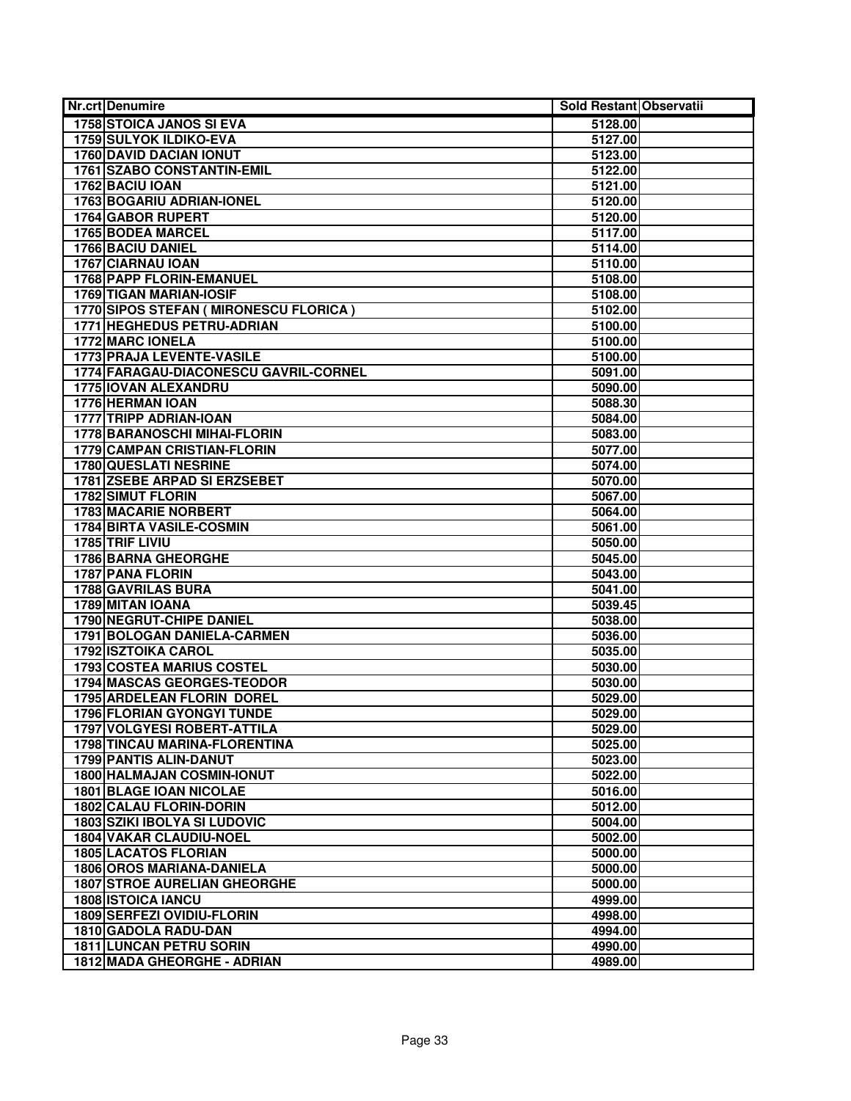| <b>Nr.crt Denumire</b>                  | Sold Restant Observatii |  |
|-----------------------------------------|-------------------------|--|
| <b>1758 STOICA JANOS SI EVA</b>         | 5128.00                 |  |
| <b>1759 SULYOK ILDIKO-EVA</b>           | 5127.00                 |  |
| <b>1760 DAVID DACIAN IONUT</b>          | 5123.00                 |  |
| 1761 SZABO CONSTANTIN-EMIL              | 5122.00                 |  |
| 1762 BACIU IOAN                         | 5121.00                 |  |
| 1763 BOGARIU ADRIAN-IONEL               | 5120.00                 |  |
| <b>1764 GABOR RUPERT</b>                | 5120.00                 |  |
| 1765 BODEA MARCEL                       | 5117.00                 |  |
| 1766 BACIU DANIEL                       | 5114.00                 |  |
| <b>1767 CIARNAU IOAN</b>                | 5110.00                 |  |
| 1768 PAPP FLORIN-EMANUEL                | 5108.00                 |  |
| 1769 TIGAN MARIAN-IOSIF                 | 5108.00                 |  |
| 1770 SIPOS STEFAN ( MIRONESCU FLORICA ) | 5102.00                 |  |
| 1771 HEGHEDUS PETRU-ADRIAN              | 5100.00                 |  |
| <b>1772 MARC IONELA</b>                 | 5100.00                 |  |
| 1773 PRAJA LEVENTE-VASILE               | 5100.00                 |  |
| 1774 FARAGAU-DIACONESCU GAVRIL-CORNEL   | 5091.00                 |  |
| <b>1775 IOVAN ALEXANDRU</b>             | 5090.00                 |  |
| 1776 HERMAN IOAN                        | 5088.30                 |  |
| 1777 TRIPP ADRIAN-IOAN                  | 5084.00                 |  |
| 1778 BARANOSCHI MIHAI-FLORIN            | 5083.00                 |  |
| 1779 CAMPAN CRISTIAN-FLORIN             | 5077.00                 |  |
| 1780 QUESLATI NESRINE                   | 5074.00                 |  |
| 1781 ZSEBE ARPAD SI ERZSEBET            | 5070.00                 |  |
| <b>1782 SIMUT FLORIN</b>                | 5067.00                 |  |
| <b>1783 MACARIE NORBERT</b>             | 5064.00                 |  |
| <b>1784 BIRTA VASILE-COSMIN</b>         | 5061.00                 |  |
| 1785 TRIF LIVIU                         | 5050.00                 |  |
| 1786 BARNA GHEORGHE                     | 5045.00                 |  |
| 1787 PANA FLORIN                        | 5043.00                 |  |
| 1788 GAVRILAS BURA                      | 5041.00                 |  |
| 1789 MITAN IOANA                        | 5039.45                 |  |
| <b>1790 NEGRUT-CHIPE DANIEL</b>         | 5038.00                 |  |
| 1791 BOLOGAN DANIELA-CARMEN             | 5036.00                 |  |
| <b>1792 ISZTOIKA CAROL</b>              | 5035.00                 |  |
| <b>1793 COSTEA MARIUS COSTEL</b>        | 5030.00                 |  |
| 1794 MASCAS GEORGES-TEODOR              | 5030.00                 |  |
| 1795 ARDELEAN FLORIN DOREL              | 5029.00                 |  |
| <b>1796 FLORIAN GYONGYI TUNDE</b>       | 5029.00                 |  |
| <b>1797 VOLGYESI ROBERT-ATTILA</b>      | 5029.00                 |  |
| 1798 TINCAU MARINA-FLORENTINA           | 5025.00                 |  |
| 1799 PANTIS ALIN-DANUT                  | 5023.00                 |  |
| <b>1800 HALMAJAN COSMIN-IONUT</b>       | 5022.00                 |  |
| <b>1801 BLAGE IOAN NICOLAE</b>          | 5016.00                 |  |
| 1802 CALAU FLORIN-DORIN                 | 5012.00                 |  |
| 1803 SZIKI IBOLYA SI LUDOVIC            | 5004.00                 |  |
| 1804 VAKAR CLAUDIU-NOEL                 | 5002.00                 |  |
| <b>1805 LACATOS FLORIAN</b>             | 5000.00                 |  |
| <b>1806 OROS MARIANA-DANIELA</b>        | 5000.00                 |  |
| <b>1807 STROE AURELIAN GHEORGHE</b>     | 5000.00                 |  |
| <b>1808 ISTOICA IANCU</b>               | 4999.00                 |  |
| <b>1809 SERFEZI OVIDIU-FLORIN</b>       | 4998.00                 |  |
| 1810 GADOLA RADU-DAN                    | 4994.00                 |  |
| <b>1811 LUNCAN PETRU SORIN</b>          | 4990.00                 |  |
| 1812 MADA GHEORGHE - ADRIAN             | 4989.00                 |  |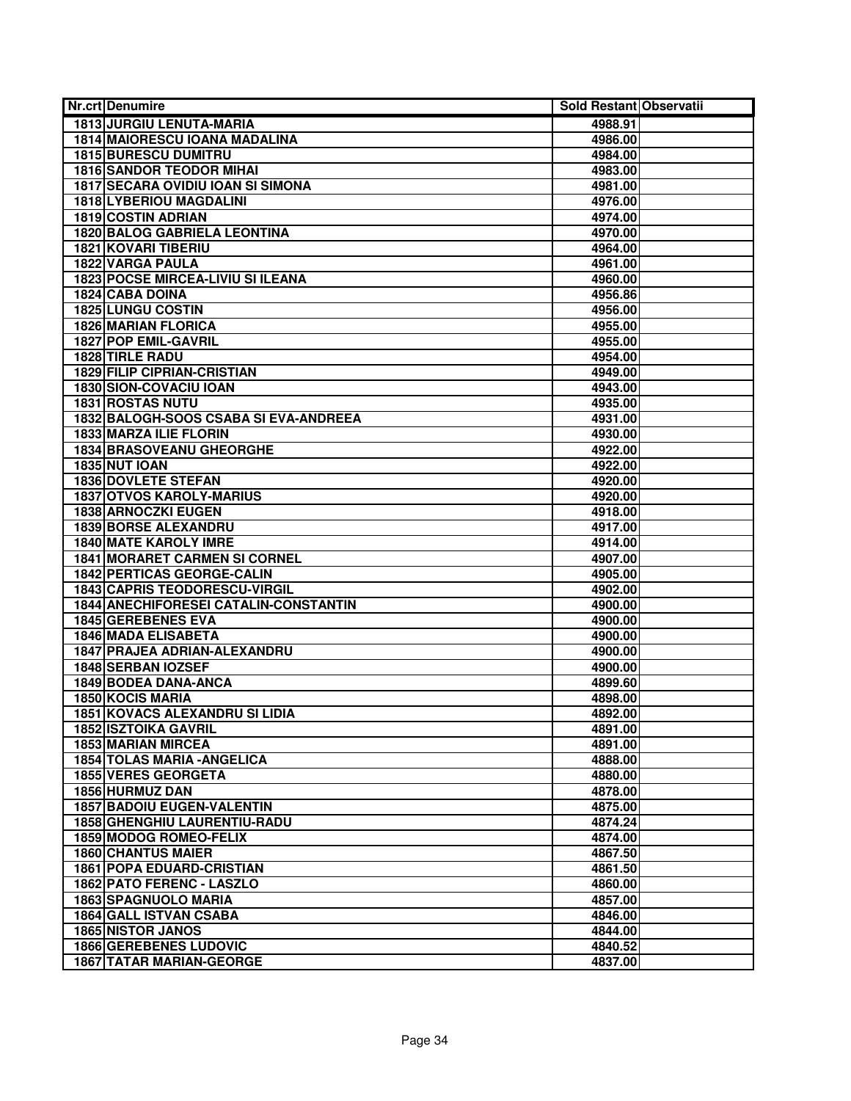| Nr.crt Denumire                              | Sold Restant Observatii |  |
|----------------------------------------------|-------------------------|--|
| <b>1813 JURGIU LENUTA-MARIA</b>              | 4988.91                 |  |
| <b>1814 MAIORESCU IOANA MADALINA</b>         | 4986.00                 |  |
| <b>1815 BURESCU DUMITRU</b>                  | 4984.00                 |  |
| <b>1816 SANDOR TEODOR MIHAI</b>              | 4983.00                 |  |
| <b>1817 SECARA OVIDIU IOAN SI SIMONA</b>     | 4981.00                 |  |
| <b>1818 LYBERIOU MAGDALINI</b>               | 4976.00                 |  |
| 1819 COSTIN ADRIAN                           | 4974.00                 |  |
| 1820 BALOG GABRIELA LEONTINA                 | 4970.00                 |  |
| <b>1821 KOVARI TIBERIU</b>                   | 4964.00                 |  |
| <b>1822 VARGA PAULA</b>                      | 4961.00                 |  |
| <b>1823 POCSE MIRCEA-LIVIU SI ILEANA</b>     | 4960.00                 |  |
| 1824 CABA DOINA                              | 4956.86                 |  |
| <b>1825 LUNGU COSTIN</b>                     | 4956.00                 |  |
| <b>1826 MARIAN FLORICA</b>                   | 4955.00                 |  |
| <b>1827 POP EMIL-GAVRIL</b>                  | 4955.00                 |  |
| 1828 TIRLE RADU                              | 4954.00                 |  |
| <b>1829 FILIP CIPRIAN-CRISTIAN</b>           | 4949.00                 |  |
| 1830 SION-COVACIU IOAN                       | 4943.00                 |  |
| <b>1831 ROSTAS NUTU</b>                      | 4935.00                 |  |
| 1832 BALOGH-SOOS CSABA SI EVA-ANDREEA        | 4931.00                 |  |
| <b>1833 MARZA ILIE FLORIN</b>                | 4930.00                 |  |
| <b>1834 BRASOVEANU GHEORGHE</b>              | 4922.00                 |  |
| <b>1835 NUT IOAN</b>                         | 4922.00                 |  |
| <b>1836 DOVLETE STEFAN</b>                   | 4920.00                 |  |
| <b>1837 OTVOS KAROLY-MARIUS</b>              | 4920.00                 |  |
| <b>1838 ARNOCZKI EUGEN</b>                   | 4918.00                 |  |
| <b>1839 BORSE ALEXANDRU</b>                  | 4917.00                 |  |
| <b>1840 MATE KAROLY IMRE</b>                 | 4914.00                 |  |
| <b>1841 MORARET CARMEN SI CORNEL</b>         | 4907.00                 |  |
| <b>1842 PERTICAS GEORGE-CALIN</b>            | 4905.00                 |  |
| <b>1843 CAPRIS TEODORESCU-VIRGIL</b>         | 4902.00                 |  |
| <b>1844 ANECHIFORESEI CATALIN-CONSTANTIN</b> | 4900.00                 |  |
| 1845 GEREBENES EVA                           | 4900.00                 |  |
| 1846 MADA ELISABETA                          | 4900.00                 |  |
| 1847 PRAJEA ADRIAN-ALEXANDRU                 | 4900.00                 |  |
| 1848 SERBAN IOZSEF                           | 4900.00                 |  |
| 1849 BODEA DANA-ANCA                         | 4899.60                 |  |
| 1850 KOCIS MARIA                             | 4898.00                 |  |
| <b>1851 KOVACS ALEXANDRU SI LIDIA</b>        | 4892.00                 |  |
| <b>1852 ISZTOIKA GAVRIL</b>                  | 4891.00                 |  |
| <b>1853 MARIAN MIRCEA</b>                    | 4891.00                 |  |
| <b>1854 TOLAS MARIA - ANGELICA</b>           | 4888.00                 |  |
| <b>1855 VERES GEORGETA</b>                   | 4880.00                 |  |
| 1856 HURMUZ DAN                              | 4878.00                 |  |
| <b>1857 BADOIU EUGEN-VALENTIN</b>            | 4875.00                 |  |
| 1858 GHENGHIU LAURENTIU-RADU                 | 4874.24                 |  |
| 1859 MODOG ROMEO-FELIX                       | 4874.00                 |  |
| <b>1860 CHANTUS MAIER</b>                    | 4867.50                 |  |
| <b>1861 POPA EDUARD-CRISTIAN</b>             | 4861.50                 |  |
| 1862 PATO FERENC - LASZLO                    | 4860.00                 |  |
| 1863 SPAGNUOLO MARIA                         | 4857.00                 |  |
| <b>1864 GALL ISTVAN CSABA</b>                | 4846.00                 |  |
| <b>1865 NISTOR JANOS</b>                     | 4844.00                 |  |
| <b>1866 GEREBENES LUDOVIC</b>                | 4840.52                 |  |
| <b>1867 TATAR MARIAN-GEORGE</b>              | 4837.00                 |  |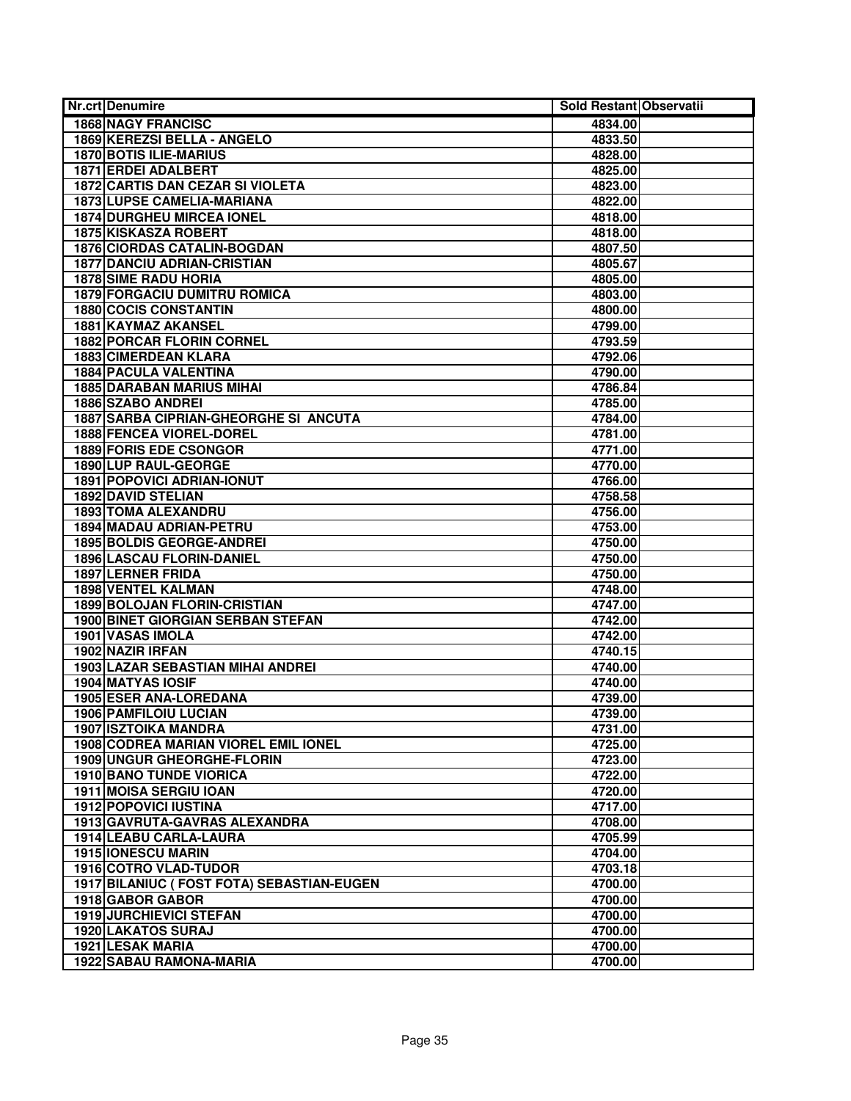| <b>Nr.crt Denumire</b>                    | Sold Restant Observatii |  |
|-------------------------------------------|-------------------------|--|
| <b>1868 NAGY FRANCISC</b>                 | 4834.00                 |  |
| 1869 KEREZSI BELLA - ANGELO               | 4833.50                 |  |
| <b>1870 BOTIS ILIE-MARIUS</b>             | 4828.00                 |  |
| 1871 ERDEI ADALBERT                       | 4825.00                 |  |
| 1872 CARTIS DAN CEZAR SI VIOLETA          | 4823.00                 |  |
| 1873 LUPSE CAMELIA-MARIANA                | 4822.00                 |  |
| <b>1874 DURGHEU MIRCEA IONEL</b>          | 4818.00                 |  |
| 1875 KISKASZA ROBERT                      | 4818.00                 |  |
| 1876 CIORDAS CATALIN-BOGDAN               | 4807.50                 |  |
| <b>1877 DANCIU ADRIAN-CRISTIAN</b>        | 4805.67                 |  |
| <b>1878 SIME RADU HORIA</b>               | 4805.00                 |  |
| <b>1879 FORGACIU DUMITRU ROMICA</b>       | 4803.00                 |  |
| <b>1880 COCIS CONSTANTIN</b>              | 4800.00                 |  |
| 1881 KAYMAZ AKANSEL                       | 4799.00                 |  |
| <b>1882 PORCAR FLORIN CORNEL</b>          | 4793.59                 |  |
| 1883 CIMERDEAN KLARA                      | 4792.06                 |  |
| 1884 PACULA VALENTINA                     | 4790.00                 |  |
| <b>1885 DARABAN MARIUS MIHAI</b>          | 4786.84                 |  |
| 1886 SZABO ANDREI                         | 4785.00                 |  |
| 1887 SARBA CIPRIAN-GHEORGHE SI ANCUTA     | 4784.00                 |  |
| <b>1888 FENCEA VIOREL-DOREL</b>           | 4781.00                 |  |
| <b>1889 FORIS EDE CSONGOR</b>             | 4771.00                 |  |
| 1890 LUP RAUL-GEORGE                      | 4770.00                 |  |
| <b>1891 POPOVICI ADRIAN-IONUT</b>         | 4766.00                 |  |
| <b>1892 DAVID STELIAN</b>                 | 4758.58                 |  |
| <b>1893 TOMA ALEXANDRU</b>                | 4756.00                 |  |
| <b>1894 MADAU ADRIAN-PETRU</b>            | 4753.00                 |  |
| <b>1895 BOLDIS GEORGE-ANDREI</b>          | 4750.00                 |  |
| 1896 LASCAU FLORIN-DANIEL                 | 4750.00                 |  |
| 1897 LERNER FRIDA                         | 4750.00                 |  |
| <b>1898 VENTEL KALMAN</b>                 | 4748.00                 |  |
| <b>1899 BOLOJAN FLORIN-CRISTIAN</b>       | 4747.00                 |  |
| <b>1900 BINET GIORGIAN SERBAN STEFAN</b>  | 4742.00                 |  |
| 1901 VASAS IMOLA                          | 4742.00                 |  |
| 1902 NAZIR IRFAN                          | 4740.15                 |  |
| 1903 LAZAR SEBASTIAN MIHAI ANDREI         | 4740.00                 |  |
| 1904 MATYAS IOSIF                         | 4740.00                 |  |
| <b>1905 ESER ANA-LOREDANA</b>             | 4739.00                 |  |
| 1906 PAMFILOIU LUCIAN                     | 4739.00                 |  |
| <b>1907 ISZTOIKA MANDRA</b>               | 4731.00                 |  |
| 1908 CODREA MARIAN VIOREL EMIL IONEL      | 4725.00                 |  |
| 1909 UNGUR GHEORGHE-FLORIN                | 4723.00                 |  |
| 1910 BANO TUNDE VIORICA                   | 4722.00                 |  |
| 1911 MOISA SERGIU IOAN                    | 4720.00                 |  |
| 1912 POPOVICI IUSTINA                     | 4717.00                 |  |
| 1913 GAVRUTA-GAVRAS ALEXANDRA             | 4708.00                 |  |
| 1914 LEABU CARLA-LAURA                    | 4705.99                 |  |
| <b>1915 IONESCU MARIN</b>                 | 4704.00                 |  |
| <b>1916 COTRO VLAD-TUDOR</b>              | 4703.18                 |  |
| 1917 BILANIUC (FOST FOTA) SEBASTIAN-EUGEN | 4700.00                 |  |
| 1918 GABOR GABOR                          | 4700.00                 |  |
| <b>1919 JURCHIEVICI STEFAN</b>            | 4700.00                 |  |
| 1920 LAKATOS SURAJ                        | 4700.00                 |  |
| 1921 LESAK MARIA                          | 4700.00                 |  |
| 1922 SABAU RAMONA-MARIA                   | 4700.00                 |  |
|                                           |                         |  |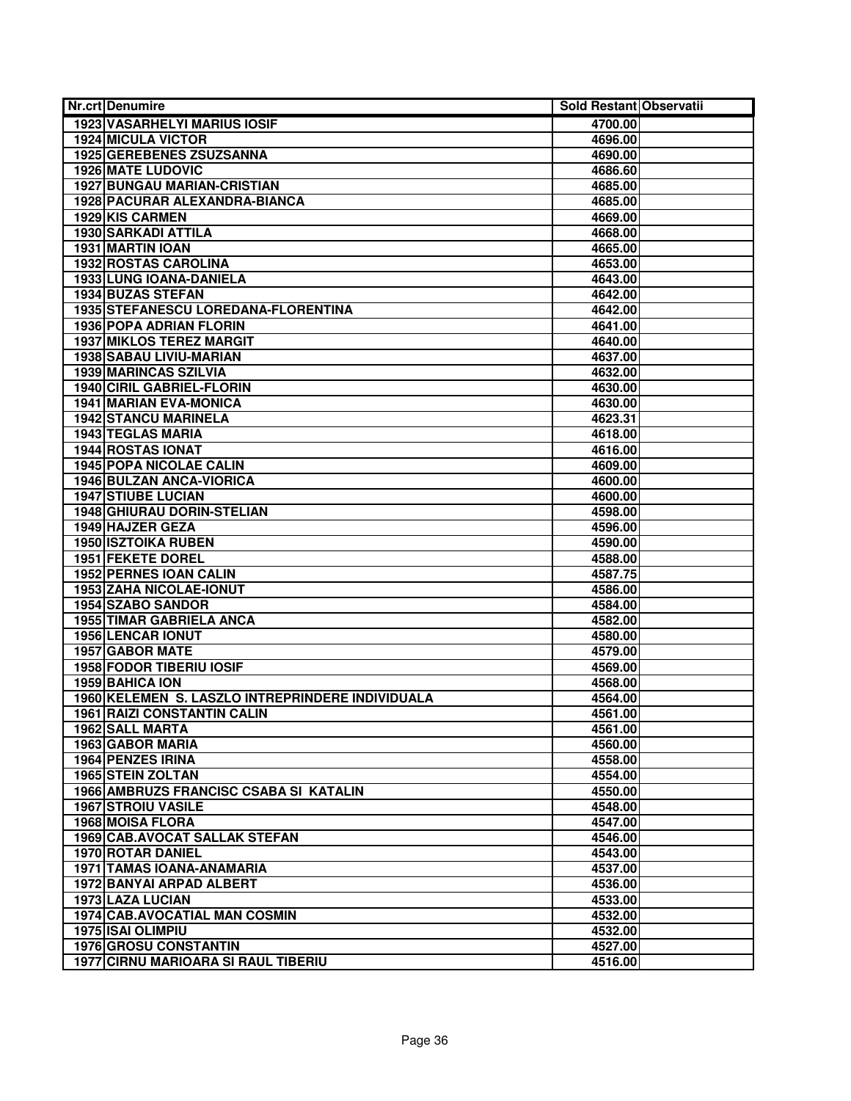| <b>Nr.crt Denumire</b>                           | Sold Restant Observatii |  |
|--------------------------------------------------|-------------------------|--|
| <b>1923 VASARHELYI MARIUS IOSIF</b>              | 4700.00                 |  |
| <b>1924 MICULA VICTOR</b>                        | 4696.00                 |  |
| <b>1925 GEREBENES ZSUZSANNA</b>                  | 4690.00                 |  |
| <b>1926 MATE LUDOVIC</b>                         | 4686.60                 |  |
| <b>1927 BUNGAU MARIAN-CRISTIAN</b>               | 4685.00                 |  |
| 1928 PACURAR ALEXANDRA-BIANCA                    | 4685.00                 |  |
| 1929 KIS CARMEN                                  | 4669.00                 |  |
| 1930 SARKADI ATTILA                              | 4668.00                 |  |
| 1931 MARTIN IOAN                                 | 4665.00                 |  |
| 1932 ROSTAS CAROLINA                             | 4653.00                 |  |
| 1933 LUNG IOANA-DANIELA                          | 4643.00                 |  |
| <b>1934 BUZAS STEFAN</b>                         | 4642.00                 |  |
| 1935 STEFANESCU LOREDANA-FLORENTINA              | 4642.00                 |  |
| 1936 POPA ADRIAN FLORIN                          | 4641.00                 |  |
| <b>1937 MIKLOS TEREZ MARGIT</b>                  | 4640.00                 |  |
| 1938 SABAU LIVIU-MARIAN                          | 4637.00                 |  |
| <b>1939 MARINCAS SZILVIA</b>                     | 4632.00                 |  |
| <b>1940 CIRIL GABRIEL-FLORIN</b>                 | 4630.00                 |  |
| <b>1941 MARIAN EVA-MONICA</b>                    | 4630.00                 |  |
| <b>1942 STANCU MARINELA</b>                      | 4623.31                 |  |
| <b>1943 TEGLAS MARIA</b>                         | 4618.00                 |  |
| <b>1944 ROSTAS IONAT</b>                         | 4616.00                 |  |
| <b>1945 POPA NICOLAE CALIN</b>                   | 4609.00                 |  |
| <b>1946 BULZAN ANCA-VIORICA</b>                  | 4600.00                 |  |
| <b>1947 STIUBE LUCIAN</b>                        | 4600.00                 |  |
| 1948 GHIURAU DORIN-STELIAN                       | 4598.00                 |  |
| 1949 HAJZER GEZA                                 | 4596.00                 |  |
| <b>1950 ISZTOIKA RUBEN</b>                       | 4590.00                 |  |
| <b>1951 FEKETE DOREL</b>                         | 4588.00                 |  |
| 1952 PERNES IOAN CALIN                           | 4587.75                 |  |
| <b>1953 ZAHA NICOLAE-IONUT</b>                   | 4586.00                 |  |
| 1954 SZABO SANDOR                                | 4584.00                 |  |
| <b>1955 TIMAR GABRIELA ANCA</b>                  | 4582.00                 |  |
| 1956 LENCAR IONUT                                | 4580.00                 |  |
| <b>1957 GABOR MATE</b>                           | 4579.00                 |  |
| <b>1958 FODOR TIBERIU IOSIF</b>                  | 4569.00                 |  |
| 1959 BAHICA ION                                  | 4568.00                 |  |
| 1960 KELEMEN S. LASZLO INTREPRINDERE INDIVIDUALA | 4564.00                 |  |
| <b>1961 RAIZI CONSTANTIN CALIN</b>               | 4561.00                 |  |
| 1962 SALL MARTA                                  | 4561.00                 |  |
| 1963 GABOR MARIA                                 | 4560.00                 |  |
| 1964 PENZES IRINA                                | 4558.00                 |  |
| 1965 STEIN ZOLTAN                                | 4554.00                 |  |
| 1966 AMBRUZS FRANCISC CSABA SI KATALIN           | 4550.00                 |  |
| <b>1967 STROIU VASILE</b>                        | 4548.00                 |  |
| <b>1968 MOISA FLORA</b>                          | 4547.00                 |  |
| 1969 CAB.AVOCAT SALLAK STEFAN                    | 4546.00                 |  |
| <b>1970 ROTAR DANIEL</b>                         | 4543.00                 |  |
| <b>1971 TAMAS IOANA-ANAMARIA</b>                 | 4537.00                 |  |
| 1972 BANYAI ARPAD ALBERT                         | 4536.00                 |  |
| 1973 LAZA LUCIAN                                 | 4533.00                 |  |
| <b>1974 CAB.AVOCATIAL MAN COSMIN</b>             | 4532.00                 |  |
| <b>1975 ISAI OLIMPIU</b>                         | 4532.00                 |  |
| 1976 GROSU CONSTANTIN                            | 4527.00                 |  |
| <b>1977 CIRNU MARIOARA SI RAUL TIBERIU</b>       | 4516.00                 |  |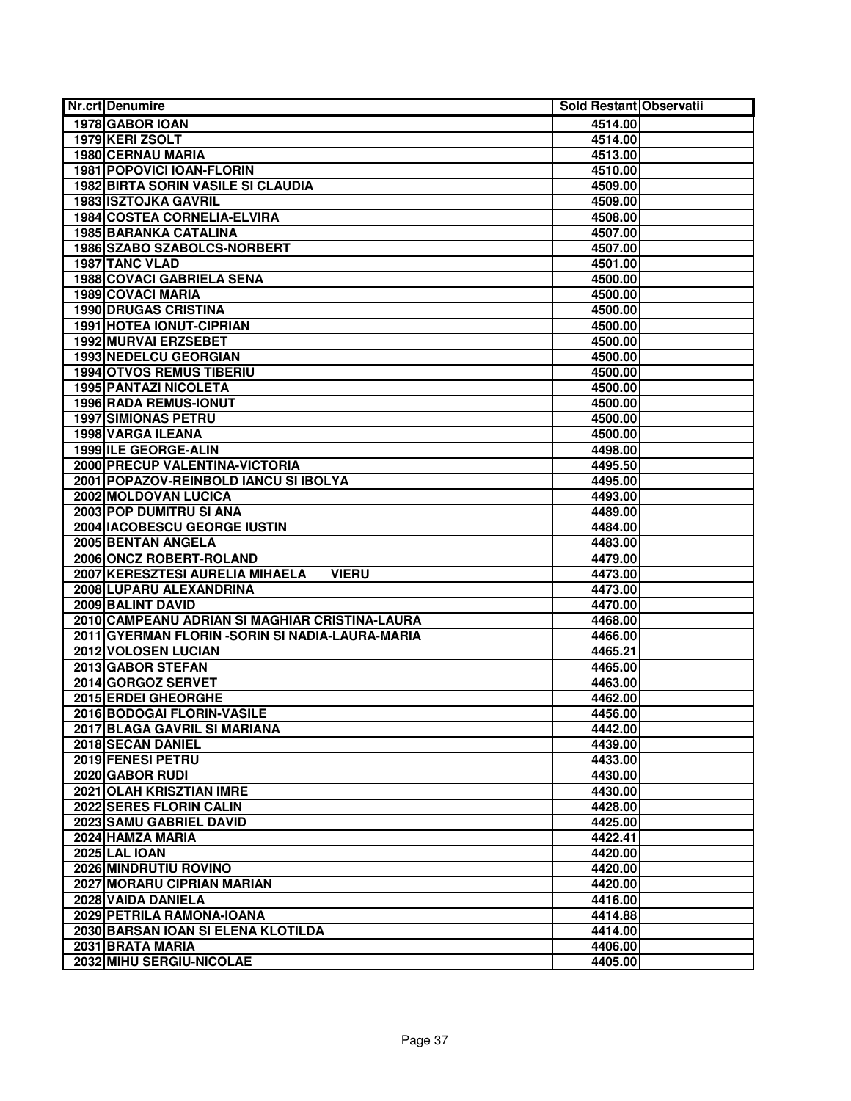| <b>Nr.crt Denumire</b>                           | Sold Restant Observatii |  |
|--------------------------------------------------|-------------------------|--|
| 1978 GABOR IOAN                                  | 4514.00                 |  |
| 1979 KERI ZSOLT                                  | 4514.00                 |  |
| <b>1980 CERNAU MARIA</b>                         | 4513.00                 |  |
| <b>1981 POPOVICI IOAN-FLORIN</b>                 | 4510.00                 |  |
| <b>1982 BIRTA SORIN VASILE SI CLAUDIA</b>        | 4509.00                 |  |
| <b>1983 ISZTOJKA GAVRIL</b>                      | 4509.00                 |  |
| 1984 COSTEA CORNELIA-ELVIRA                      | 4508.00                 |  |
| 1985 BARANKA CATALINA                            | 4507.00                 |  |
| 1986 SZABO SZABOLCS-NORBERT                      | 4507.00                 |  |
| 1987 TANC VLAD                                   | 4501.00                 |  |
| <b>1988 COVACI GABRIELA SENA</b>                 | 4500.00                 |  |
| 1989 COVACI MARIA                                | 4500.00                 |  |
| <b>1990 DRUGAS CRISTINA</b>                      | 4500.00                 |  |
| <b>1991 HOTEA IONUT-CIPRIAN</b>                  | 4500.00                 |  |
| 1992 MURVAI ERZSEBET                             | 4500.00                 |  |
| 1993 NEDELCU GEORGIAN                            | 4500.00                 |  |
| <b>1994 OTVOS REMUS TIBERIU</b>                  | 4500.00                 |  |
| <b>1995 PANTAZI NICOLETA</b>                     | 4500.00                 |  |
| 1996 RADA REMUS-IONUT                            | 4500.00                 |  |
| <b>1997 SIMIONAS PETRU</b>                       | 4500.00                 |  |
| 1998 VARGA ILEANA                                | 4500.00                 |  |
| 1999 ILE GEORGE-ALIN                             | 4498.00                 |  |
| 2000 PRECUP VALENTINA-VICTORIA                   | 4495.50                 |  |
| 2001 POPAZOV-REINBOLD IANCU SI IBOLYA            | 4495.00                 |  |
| 2002 MOLDOVAN LUCICA                             | 4493.00                 |  |
| 2003 POP DUMITRU SI ANA                          | 4489.00                 |  |
| 2004   IACOBESCU GEORGE IUSTIN                   | 4484.00                 |  |
| 2005 BENTAN ANGELA                               | 4483.00                 |  |
| 2006 ONCZ ROBERT-ROLAND                          | 4479.00                 |  |
| 2007 KERESZTESI AURELIA MIHAELA<br><b>VIERU</b>  | 4473.00                 |  |
| 2008 LUPARU ALEXANDRINA                          | 4473.00                 |  |
| 2009 BALINT DAVID                                | 4470.00                 |  |
| 2010 CAMPEANU ADRIAN SI MAGHIAR CRISTINA-LAURA   | 4468.00                 |  |
| 2011 GYERMAN FLORIN - SORIN SI NADIA-LAURA-MARIA | 4466.00                 |  |
| 2012 VOLOSEN LUCIAN                              | 4465.21                 |  |
| 2013 GABOR STEFAN                                | 4465.00                 |  |
| 2014 GORGOZ SERVET                               | 4463.00                 |  |
| 2015 ERDEI GHEORGHE                              | 4462.00                 |  |
| 2016 BODOGAI FLORIN-VASILE                       | 4456.00                 |  |
| 2017 BLAGA GAVRIL SI MARIANA                     | 4442.00                 |  |
| 2018 SECAN DANIEL                                | 4439.00                 |  |
| 2019 FENESI PETRU                                | 4433.00                 |  |
| <b>2020 GABOR RUDI</b>                           | 4430.00                 |  |
| 2021 OLAH KRISZTIAN IMRE                         | 4430.00                 |  |
| 2022 SERES FLORIN CALIN                          | 4428.00                 |  |
| 2023 SAMU GABRIEL DAVID                          | 4425.00                 |  |
| 2024 HAMZA MARIA                                 | 4422.41                 |  |
| <b>2025 LAL IOAN</b>                             | 4420.00                 |  |
| 2026 MINDRUTIU ROVINO                            | 4420.00                 |  |
| 2027 MORARU CIPRIAN MARIAN                       | 4420.00                 |  |
| 2028 VAIDA DANIELA                               | 4416.00                 |  |
| 2029 PETRILA RAMONA-IOANA                        | 4414.88                 |  |
| 2030 BARSAN IOAN SI ELENA KLOTILDA               | 4414.00                 |  |
| 2031 BRATA MARIA                                 | 4406.00                 |  |
| 2032 MIHU SERGIU-NICOLAE                         | 4405.00                 |  |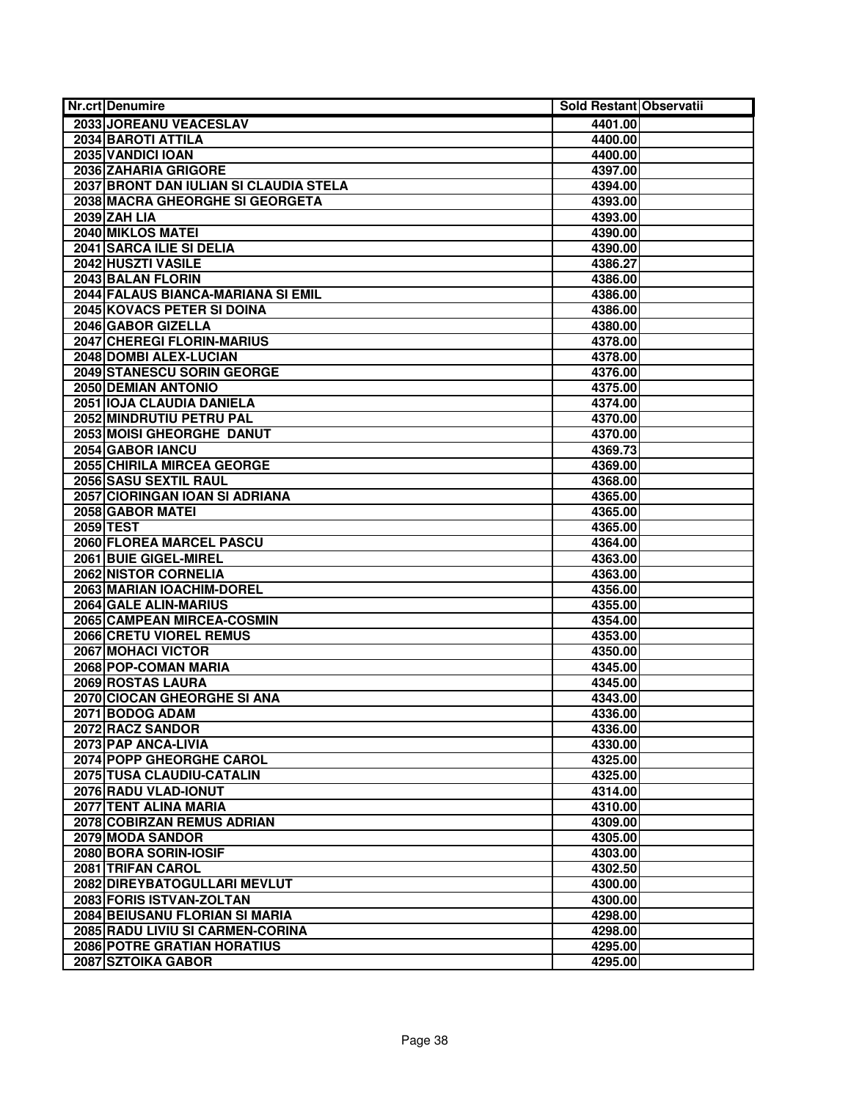| <b>Nr.crt Denumire</b>                 | Sold Restant Observatii |  |
|----------------------------------------|-------------------------|--|
| 2033 JOREANU VEACESLAV                 | 4401.00                 |  |
| <b>2034 BAROTI ATTILA</b>              | 4400.00                 |  |
| 2035 VANDICI IOAN                      | 4400.00                 |  |
| 2036 ZAHARIA GRIGORE                   | 4397.00                 |  |
| 2037 BRONT DAN IULIAN SI CLAUDIA STELA | 4394.00                 |  |
| 2038 MACRA GHEORGHE SI GEORGETA        | 4393.00                 |  |
| 2039 ZAH LIA                           | 4393.00                 |  |
| 2040 MIKLOS MATEI                      | 4390.00                 |  |
| 2041 SARCA ILIE SI DELIA               | 4390.00                 |  |
| 2042 HUSZTI VASILE                     | 4386.27                 |  |
| 2043 BALAN FLORIN                      | 4386.00                 |  |
| 2044 FALAUS BIANCA-MARIANA SI EMIL     | 4386.00                 |  |
| <b>2045 KOVACS PETER SI DOINA</b>      | 4386.00                 |  |
| 2046 GABOR GIZELLA                     | 4380.00                 |  |
| <b>2047 CHEREGI FLORIN-MARIUS</b>      | 4378.00                 |  |
| 2048 DOMBI ALEX-LUCIAN                 | 4378.00                 |  |
| 2049 STANESCU SORIN GEORGE             | 4376.00                 |  |
| <b>2050 DEMIAN ANTONIO</b>             | 4375.00                 |  |
| 2051 IOJA CLAUDIA DANIELA              | 4374.00                 |  |
| 2052 MINDRUTIU PETRU PAL               | 4370.00                 |  |
| 2053 MOISI GHEORGHE DANUT              | 4370.00                 |  |
| 2054 GABOR IANCU                       | 4369.73                 |  |
| 2055 CHIRILA MIRCEA GEORGE             | 4369.00                 |  |
| 2056 SASU SEXTIL RAUL                  | 4368.00                 |  |
| 2057 CIORINGAN IOAN SI ADRIANA         | 4365.00                 |  |
| 2058 GABOR MATEI                       | 4365.00                 |  |
| <b>2059 TEST</b>                       | 4365.00                 |  |
| 2060 FLOREA MARCEL PASCU               | 4364.00                 |  |
| 2061 BUIE GIGEL-MIREL                  | 4363.00                 |  |
| 2062 NISTOR CORNELIA                   | 4363.00                 |  |
| 2063 MARIAN IOACHIM-DOREL              | 4356.00                 |  |
| 2064 GALE ALIN-MARIUS                  | 4355.00                 |  |
| 2065 CAMPEAN MIRCEA-COSMIN             | 4354.00                 |  |
| <b>2066 CRETU VIOREL REMUS</b>         | 4353.00                 |  |
| 2067 MOHACI VICTOR                     | 4350.00                 |  |
| 2068 POP-COMAN MARIA                   | 4345.00                 |  |
| 2069 ROSTAS LAURA                      | 4345.00                 |  |
| 2070 CIOCAN GHEORGHE SI ANA            | 4343.00                 |  |
| 2071 BODOG ADAM                        | 4336.00                 |  |
| 2072 RACZ SANDOR                       | 4336.00                 |  |
| 2073 PAP ANCA-LIVIA                    | 4330.00                 |  |
| 2074 POPP GHEORGHE CAROL               | 4325.00                 |  |
| 2075 TUSA CLAUDIU-CATALIN              | 4325.00                 |  |
| 2076 RADU VLAD-IONUT                   | 4314.00                 |  |
| 2077 TENT ALINA MARIA                  | 4310.00                 |  |
| 2078 COBIRZAN REMUS ADRIAN             | 4309.00                 |  |
| 2079 MODA SANDOR                       | 4305.00                 |  |
| 2080 BORA SORIN-IOSIF                  | 4303.00                 |  |
| 2081 TRIFAN CAROL                      | 4302.50                 |  |
| 2082 DIREYBATOGULLARI MEVLUT           | 4300.00                 |  |
| 2083 FORIS ISTVAN-ZOLTAN               | 4300.00                 |  |
| 2084 BEIUSANU FLORIAN SI MARIA         | 4298.00                 |  |
| 2085 RADU LIVIU SI CARMEN-CORINA       | 4298.00                 |  |
| <b>2086 POTRE GRATIAN HORATIUS</b>     | 4295.00                 |  |
| 2087 SZTOIKA GABOR                     | 4295.00                 |  |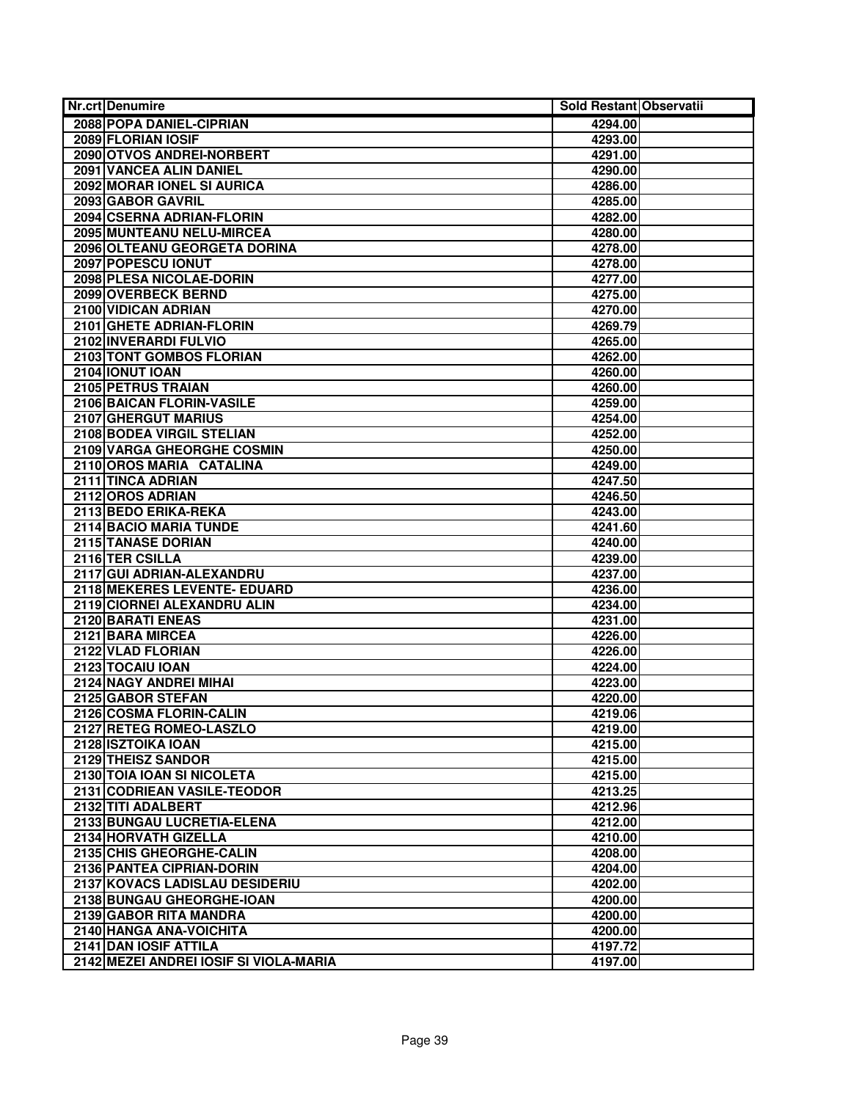| <b>Nr.crt Denumire</b>                 | Sold Restant Observatii |  |
|----------------------------------------|-------------------------|--|
| 2088 POPA DANIEL-CIPRIAN               | 4294.00                 |  |
| 2089 FLORIAN IOSIF                     | 4293.00                 |  |
| 2090 OTVOS ANDREI-NORBERT              | 4291.00                 |  |
| 2091 VANCEA ALIN DANIEL                | 4290.00                 |  |
| 2092 MORAR IONEL SI AURICA             | 4286.00                 |  |
| 2093 GABOR GAVRIL                      | 4285.00                 |  |
| 2094 CSERNA ADRIAN-FLORIN              | 4282.00                 |  |
| 2095 MUNTEANU NELU-MIRCEA              | 4280.00                 |  |
| 2096 OLTEANU GEORGETA DORINA           | 4278.00                 |  |
| 2097 POPESCU IONUT                     | 4278.00                 |  |
| 2098 PLESA NICOLAE-DORIN               | 4277.00                 |  |
| 2099 OVERBECK BERND                    | 4275.00                 |  |
| 2100 VIDICAN ADRIAN                    | 4270.00                 |  |
| 2101 GHETE ADRIAN-FLORIN               | 4269.79                 |  |
| 2102 INVERARDI FULVIO                  | 4265.00                 |  |
| 2103 TONT GOMBOS FLORIAN               | 4262.00                 |  |
| 2104 IONUT IOAN                        | 4260.00                 |  |
| 2105 PETRUS TRAIAN                     | 4260.00                 |  |
| 2106 BAICAN FLORIN-VASILE              | 4259.00                 |  |
| 2107 GHERGUT MARIUS                    | 4254.00                 |  |
| 2108 BODEA VIRGIL STELIAN              | 4252.00                 |  |
| 2109 VARGA GHEORGHE COSMIN             | 4250.00                 |  |
| 2110 OROS MARIA CATALINA               | 4249.00                 |  |
| 2111 TINCA ADRIAN                      | 4247.50                 |  |
| 2112 OROS ADRIAN                       | 4246.50                 |  |
| 2113 BEDO ERIKA-REKA                   | 4243.00                 |  |
| <b>2114 BACIO MARIA TUNDE</b>          | 4241.60                 |  |
| 2115 TANASE DORIAN                     | 4240.00                 |  |
| 2116 TER CSILLA                        | 4239.00                 |  |
| 2117 GUI ADRIAN-ALEXANDRU              | 4237.00                 |  |
| 2118 MEKERES LEVENTE- EDUARD           | 4236.00                 |  |
| 2119 CIORNEI ALEXANDRU ALIN            | 4234.00                 |  |
| 2120 BARATI ENEAS                      | 4231.00                 |  |
| 2121 BARA MIRCEA                       | 4226.00                 |  |
| 2122 VLAD FLORIAN                      | 4226.00                 |  |
| 2123 TOCAIU IOAN                       | 4224.00                 |  |
| 2124 NAGY ANDREI MIHAI                 | 4223.00                 |  |
| 2125 GABOR STEFAN                      | 4220.00                 |  |
| 2126 COSMA FLORIN-CALIN                | 4219.06                 |  |
| 2127 RETEG ROMEO-LASZLO                | 4219.00                 |  |
| 2128 ISZTOIKA IOAN                     | 4215.00                 |  |
| 2129 THEISZ SANDOR                     | 4215.00                 |  |
| 2130 TOIA IOAN SI NICOLETA             | 4215.00                 |  |
| 2131 CODRIEAN VASILE-TEODOR            | 4213.25                 |  |
| 2132 TITI ADALBERT                     | 4212.96                 |  |
| 2133 BUNGAU LUCRETIA-ELENA             | 4212.00                 |  |
| 2134 HORVATH GIZELLA                   | 4210.00                 |  |
| 2135 CHIS GHEORGHE-CALIN               | 4208.00                 |  |
| 2136 PANTEA CIPRIAN-DORIN              | 4204.00                 |  |
| 2137 KOVACS LADISLAU DESIDERIU         | 4202.00                 |  |
| 2138 BUNGAU GHEORGHE-IOAN              | 4200.00                 |  |
| 2139 GABOR RITA MANDRA                 | 4200.00                 |  |
| 2140 HANGA ANA-VOICHITA                | 4200.00                 |  |
| 2141 DAN IOSIF ATTILA                  | 4197.72                 |  |
| 2142 MEZEI ANDREI IOSIF SI VIOLA-MARIA | 4197.00                 |  |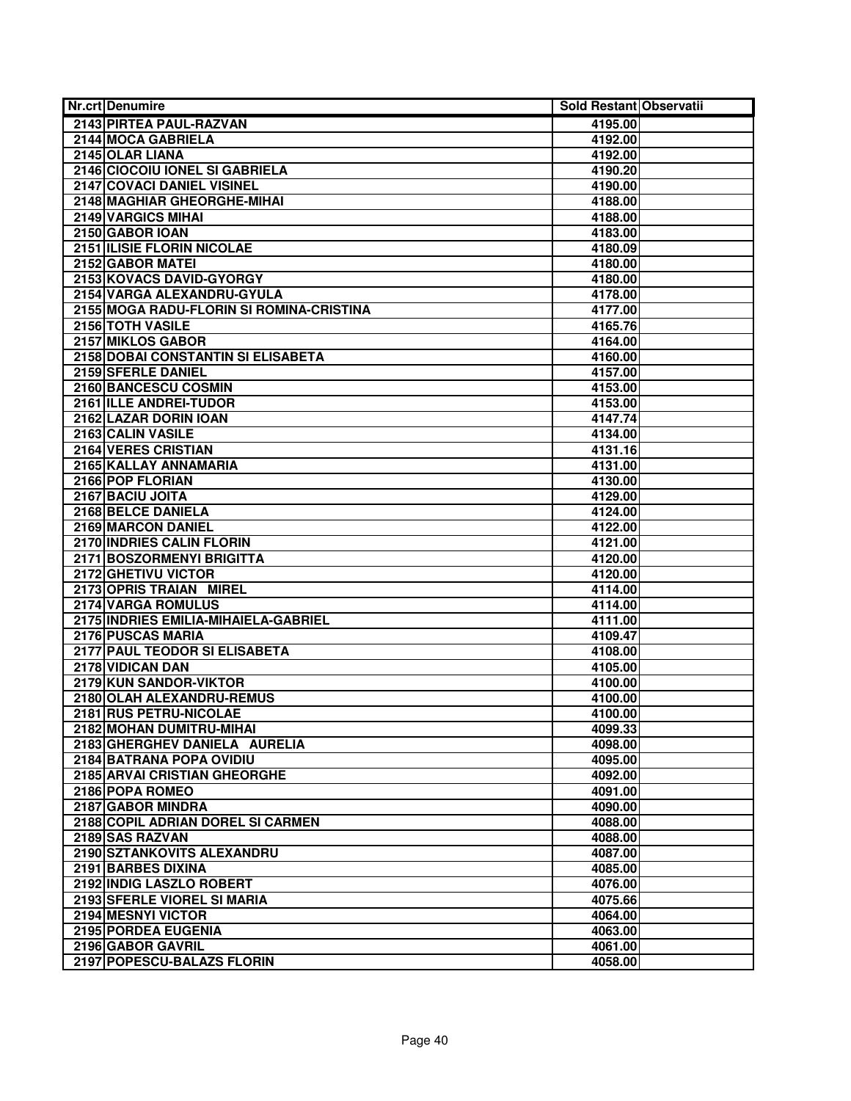| Nr.crt Denumire                                      | Sold Restant Observatii |
|------------------------------------------------------|-------------------------|
| 2143 PIRTEA PAUL-RAZVAN                              | 4195.00                 |
| 2144 MOCA GABRIELA                                   | 4192.00                 |
| 2145 OLAR LIANA                                      | 4192.00                 |
| 2146 CIOCOIU IONEL SI GABRIELA                       | 4190.20                 |
| 2147 COVACI DANIEL VISINEL                           | 4190.00                 |
| 2148 MAGHIAR GHEORGHE-MIHAI                          | 4188.00                 |
| <b>2149 VARGICS MIHAI</b>                            | 4188.00                 |
| 2150 GABOR IOAN                                      | 4183.00                 |
| 2151 ILISIE FLORIN NICOLAE                           | 4180.09                 |
| 2152 GABOR MATEI                                     | 4180.00                 |
| 2153 KOVACS DAVID-GYORGY                             | 4180.00                 |
| 2154 VARGA ALEXANDRU-GYULA                           | 4178.00                 |
| 2155 MOGA RADU-FLORIN SI ROMINA-CRISTINA             | 4177.00                 |
| 2156 TOTH VASILE                                     | 4165.76                 |
| 2157 MIKLOS GABOR                                    | 4164.00                 |
| 2158 DOBAI CONSTANTIN SI ELISABETA                   | 4160.00                 |
| 2159 SFERLE DANIEL                                   | 4157.00                 |
| 2160 BANCESCU COSMIN                                 | 4153.00                 |
| 2161 ILLE ANDREI-TUDOR                               | 4153.00                 |
| 2162 LAZAR DORIN IOAN                                | 4147.74                 |
| 2163 CALIN VASILE                                    | 4134.00                 |
| <b>2164 VERES CRISTIAN</b>                           | 4131.16                 |
| 2165 KALLAY ANNAMARIA                                | 4131.00                 |
| 2166 POP FLORIAN                                     | 4130.00                 |
| 2167 BACIU JOITA                                     | 4129.00                 |
| 2168 BELCE DANIELA                                   | 4124.00                 |
| <b>2169 MARCON DANIEL</b>                            | 4122.00                 |
| 2170 INDRIES CALIN FLORIN                            | 4121.00                 |
| 2171 BOSZORMENYI BRIGITTA                            | 4120.00                 |
| 2172 GHETIVU VICTOR                                  | 4120.00                 |
| 2173 OPRIS TRAIAN MIREL                              | 4114.00                 |
| <b>2174 VARGA ROMULUS</b>                            | 4114.00                 |
| 2175 INDRIES EMILIA-MIHAIELA-GABRIEL                 | 4111.00                 |
| 2176 PUSCAS MARIA                                    | 4109.47                 |
| 2177 PAUL TEODOR SI ELISABETA                        | 4108.00                 |
| 2178 VIDICAN DAN                                     | 4105.00                 |
| 2179 KUN SANDOR-VIKTOR                               | 4100.00                 |
| 2180 OLAH ALEXANDRU-REMUS                            | 4100.00                 |
| 2181 RUS PETRU-NICOLAE                               | 4100.00                 |
| 2182 MOHAN DUMITRU-MIHAI                             | 4099.33                 |
| 2183 GHERGHEV DANIELA AURELIA                        | 4098.00                 |
| 2184 BATRANA POPA OVIDIU                             | 4095.00                 |
| 2185 ARVAI CRISTIAN GHEORGHE                         | 4092.00                 |
| 2186 POPA ROMEO                                      | 4091.00                 |
| 2187 GABOR MINDRA                                    | 4090.00                 |
| 2188 COPIL ADRIAN DOREL SI CARMEN<br>2189 SAS RAZVAN | 4088.00                 |
| 2190 SZTANKOVITS ALEXANDRU                           | 4088.00                 |
| 2191 BARBES DIXINA                                   | 4087.00                 |
| 2192 INDIG LASZLO ROBERT                             | 4085.00                 |
| 2193 SFERLE VIOREL SI MARIA                          | 4076.00                 |
| 2194 MESNYI VICTOR                                   | 4075.66<br>4064.00      |
| 2195 PORDEA EUGENIA                                  | 4063.00                 |
| 2196 GABOR GAVRIL                                    | 4061.00                 |
| 2197 POPESCU-BALAZS FLORIN                           | 4058.00                 |
|                                                      |                         |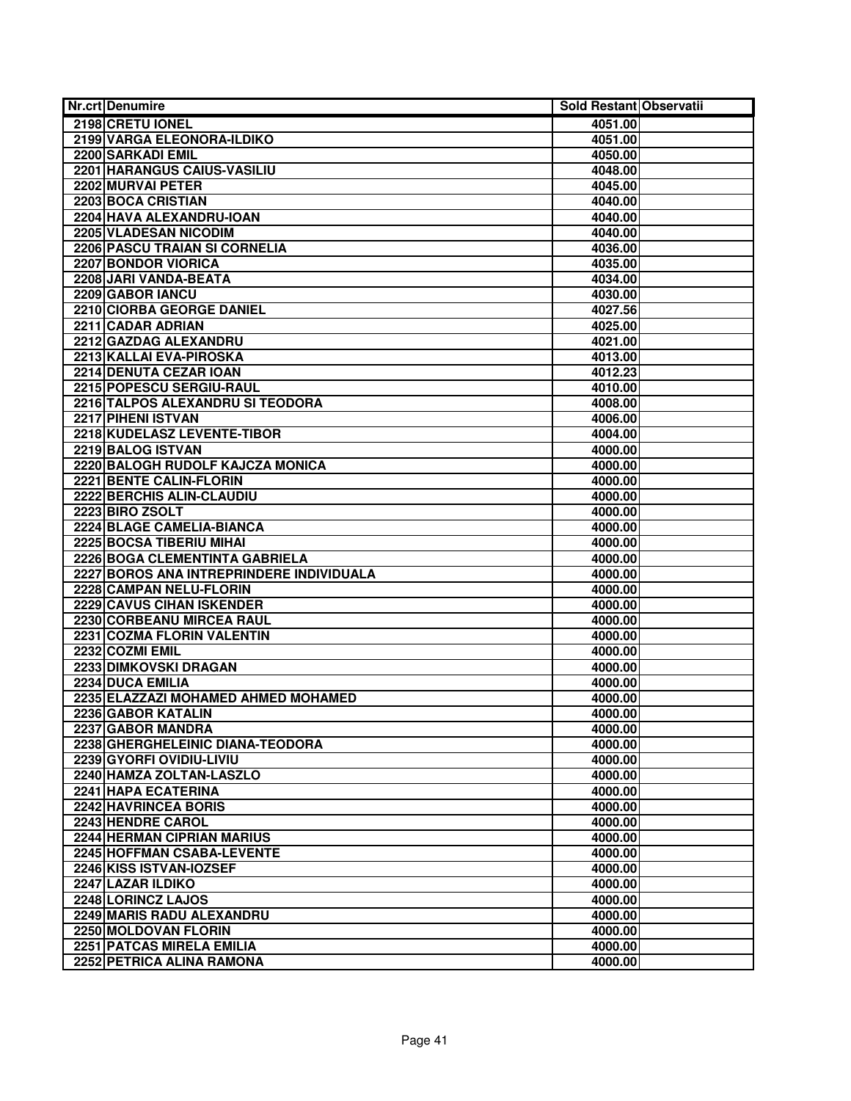| Nr.crt Denumire                          | Sold Restant Observatii |  |
|------------------------------------------|-------------------------|--|
| 2198 CRETU IONEL                         | 4051.00                 |  |
| 2199 VARGA ELEONORA-ILDIKO               | 4051.00                 |  |
| 2200 SARKADI EMIL                        | 4050.00                 |  |
| 2201 HARANGUS CAIUS-VASILIU              | 4048.00                 |  |
| 2202 MURVAI PETER                        | 4045.00                 |  |
| 2203 BOCA CRISTIAN                       | 4040.00                 |  |
| 2204 HAVA ALEXANDRU-IOAN                 | 4040.00                 |  |
| 2205 VLADESAN NICODIM                    | 4040.00                 |  |
| 2206 PASCU TRAIAN SI CORNELIA            | 4036.00                 |  |
| 2207 BONDOR VIORICA                      | 4035.00                 |  |
| 2208 JARI VANDA-BEATA                    | 4034.00                 |  |
| 2209 GABOR IANCU                         | 4030.00                 |  |
| 2210 CIORBA GEORGE DANIEL                | 4027.56                 |  |
| 2211 CADAR ADRIAN                        | 4025.00                 |  |
| 2212 GAZDAG ALEXANDRU                    | 4021.00                 |  |
| 2213 KALLAI EVA-PIROSKA                  | 4013.00                 |  |
| 2214 DENUTA CEZAR IOAN                   | 4012.23                 |  |
| 2215 POPESCU SERGIU-RAUL                 | 4010.00                 |  |
| 2216 TALPOS ALEXANDRU SI TEODORA         | 4008.00                 |  |
| 2217 PIHENI ISTVAN                       | 4006.00                 |  |
| 2218 KUDELASZ LEVENTE-TIBOR              | 4004.00                 |  |
| 2219 BALOG ISTVAN                        | 4000.00                 |  |
| 2220 BALOGH RUDOLF KAJCZA MONICA         | 4000.00                 |  |
| 2221 BENTE CALIN-FLORIN                  | 4000.00                 |  |
| 2222 BERCHIS ALIN-CLAUDIU                | 4000.00                 |  |
| 2223 BIRO ZSOLT                          | 4000.00                 |  |
| 2224 BLAGE CAMELIA-BIANCA                | 4000.00                 |  |
| 2225 BOCSA TIBERIU MIHAI                 | 4000.00                 |  |
| 2226 BOGA CLEMENTINTA GABRIELA           | 4000.00                 |  |
| 2227 BOROS ANA INTREPRINDERE INDIVIDUALA | 4000.00                 |  |
| 2228 CAMPAN NELU-FLORIN                  | 4000.00                 |  |
| <b>2229 CAVUS CIHAN ISKENDER</b>         | 4000.00                 |  |
| 2230 CORBEANU MIRCEA RAUL                | 4000.00                 |  |
| 2231 COZMA FLORIN VALENTIN               | 4000.00                 |  |
| 2232 COZMI EMIL                          | 4000.00                 |  |
| 2233 DIMKOVSKI DRAGAN                    | 4000.00                 |  |
| 2234 DUCA EMILIA                         | 4000.00                 |  |
| 2235 ELAZZAZI MOHAMED AHMED MOHAMED      | 4000.00                 |  |
| 2236 GABOR KATALIN                       | 4000.00                 |  |
| 2237 GABOR MANDRA                        | 4000.00                 |  |
| 2238 GHERGHELEINIC DIANA-TEODORA         | 4000.00                 |  |
| 2239 GYORFI OVIDIU-LIVIU                 | 4000.00                 |  |
| 2240 HAMZA ZOLTAN-LASZLO                 | 4000.00                 |  |
| 2241 HAPA ECATERINA                      | 4000.00                 |  |
| 2242 HAVRINCEA BORIS                     | 4000.00                 |  |
| 2243 HENDRE CAROL                        | 4000.00                 |  |
| 2244 HERMAN CIPRIAN MARIUS               | 4000.00                 |  |
| 2245 HOFFMAN CSABA-LEVENTE               | 4000.00                 |  |
| 2246 KISS ISTVAN-IOZSEF                  | 4000.00                 |  |
| 2247 LAZAR ILDIKO                        | 4000.00                 |  |
| 2248 LORINCZ LAJOS                       | 4000.00                 |  |
| 2249 MARIS RADU ALEXANDRU                | 4000.00                 |  |
| 2250 MOLDOVAN FLORIN                     | 4000.00                 |  |
| 2251 PATCAS MIRELA EMILIA                | 4000.00                 |  |
| 2252 PETRICA ALINA RAMONA                | 4000.00                 |  |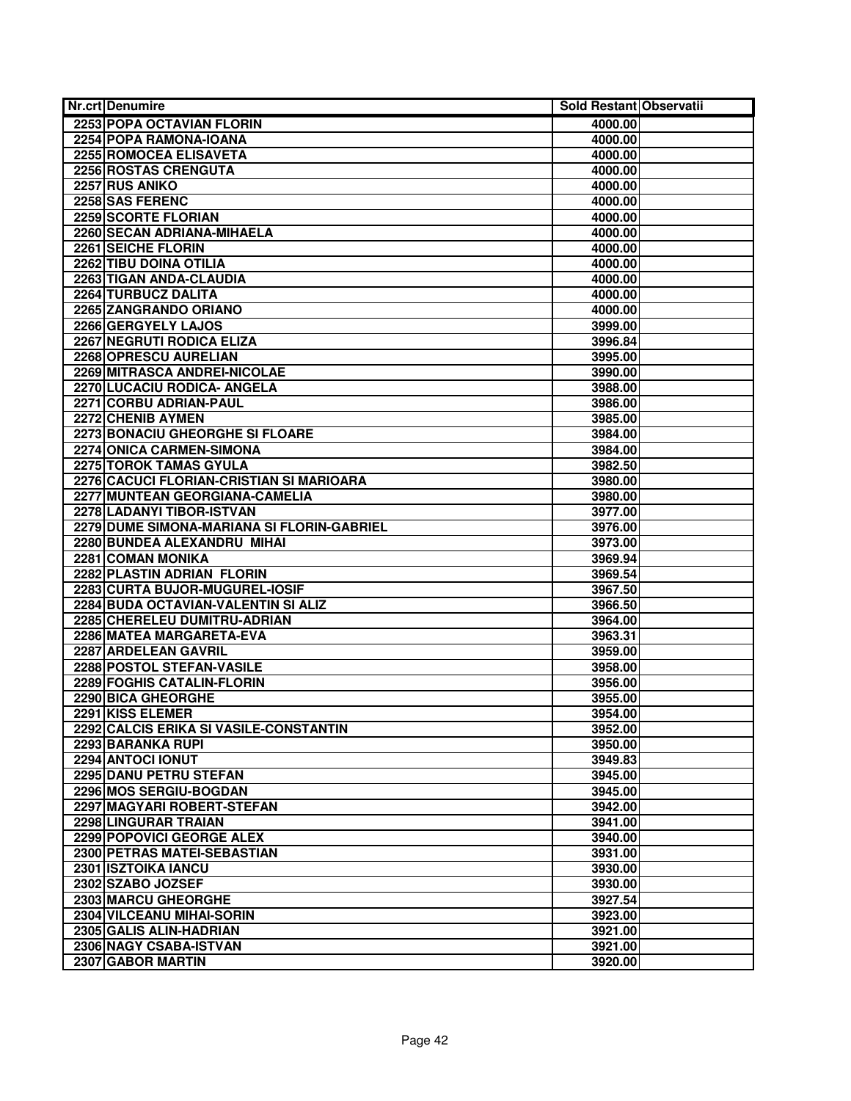| <b>Nr.crt Denumire</b>                     | Sold Restant Observatii |
|--------------------------------------------|-------------------------|
| <b>2253 POPA OCTAVIAN FLORIN</b>           | 4000.00                 |
| 2254 POPA RAMONA-IOANA                     | 4000.00                 |
| 2255 ROMOCEA ELISAVETA                     | 4000.00                 |
| 2256 ROSTAS CRENGUTA                       | 4000.00                 |
| 2257 RUS ANIKO                             | 4000.00                 |
| 2258 SAS FERENC                            | 4000.00                 |
| 2259 SCORTE FLORIAN                        | 4000.00                 |
| 2260 SECAN ADRIANA-MIHAELA                 | 4000.00                 |
| 2261 SEICHE FLORIN                         | 4000.00                 |
| 2262 TIBU DOINA OTILIA                     | 4000.00                 |
| 2263 TIGAN ANDA-CLAUDIA                    | 4000.00                 |
| 2264 TURBUCZ DALITA                        | 4000.00                 |
| 2265 ZANGRANDO ORIANO                      | 4000.00                 |
| 2266 GERGYELY LAJOS                        | 3999.00                 |
| 2267 NEGRUTI RODICA ELIZA                  | 3996.84                 |
| 2268 OPRESCU AURELIAN                      | 3995.00                 |
| 2269 MITRASCA ANDREI-NICOLAE               | 3990.00                 |
| 2270 LUCACIU RODICA- ANGELA                | 3988.00                 |
| 2271 CORBU ADRIAN-PAUL                     | 3986.00                 |
| 2272 CHENIB AYMEN                          | 3985.00                 |
| 2273 BONACIU GHEORGHE SI FLOARE            | 3984.00                 |
| 2274 ONICA CARMEN-SIMONA                   | 3984.00                 |
| 2275 TOROK TAMAS GYULA                     | 3982.50                 |
| 2276 CACUCI FLORIAN-CRISTIAN SI MARIOARA   | 3980.00                 |
| 2277 MUNTEAN GEORGIANA-CAMELIA             | 3980.00                 |
| 2278 LADANYI TIBOR-ISTVAN                  | 3977.00                 |
| 2279 DUME SIMONA-MARIANA SI FLORIN-GABRIEL | 3976.00                 |
| 2280 BUNDEA ALEXANDRU MIHAI                | 3973.00                 |
| 2281 COMAN MONIKA                          | 3969.94                 |
| 2282 PLASTIN ADRIAN FLORIN                 | 3969.54                 |
| 2283 CURTA BUJOR-MUGUREL-IOSIF             | 3967.50                 |
| 2284 BUDA OCTAVIAN-VALENTIN SI ALIZ        | 3966.50                 |
| 2285 CHERELEU DUMITRU-ADRIAN               | 3964.00                 |
| 2286 MATEA MARGARETA-EVA                   | 3963.31                 |
| 2287 ARDELEAN GAVRIL                       | 3959.00                 |
| 2288 POSTOL STEFAN-VASILE                  | 3958.00                 |
| 2289 FOGHIS CATALIN-FLORIN                 | 3956.00                 |
| 2290 BICA GHEORGHE                         | 3955.00                 |
| 2291 KISS ELEMER                           | 3954.00                 |
| 2292 CALCIS ERIKA SI VASILE-CONSTANTIN     | 3952.00                 |
| 2293 BARANKA RUPI                          | 3950.00                 |
| 2294 ANTOCI IONUT                          | 3949.83                 |
| 2295 DANU PETRU STEFAN                     | 3945.00                 |
| 2296 MOS SERGIU-BOGDAN                     | 3945.00                 |
| 2297 MAGYARI ROBERT-STEFAN                 | 3942.00                 |
| 2298 LINGURAR TRAIAN                       | 3941.00                 |
| 2299 POPOVICI GEORGE ALEX                  | 3940.00                 |
| 2300 PETRAS MATEI-SEBASTIAN                | 3931.00                 |
| 2301 ISZTOIKA IANCU                        | 3930.00                 |
| 2302 SZABO JOZSEF                          | 3930.00                 |
| 2303 MARCU GHEORGHE                        | 3927.54                 |
| 2304 VILCEANU MIHAI-SORIN                  | 3923.00                 |
| 2305 GALIS ALIN-HADRIAN                    | 3921.00                 |
| 2306 NAGY CSABA-ISTVAN                     | 3921.00                 |
| 2307 GABOR MARTIN                          | 3920.00                 |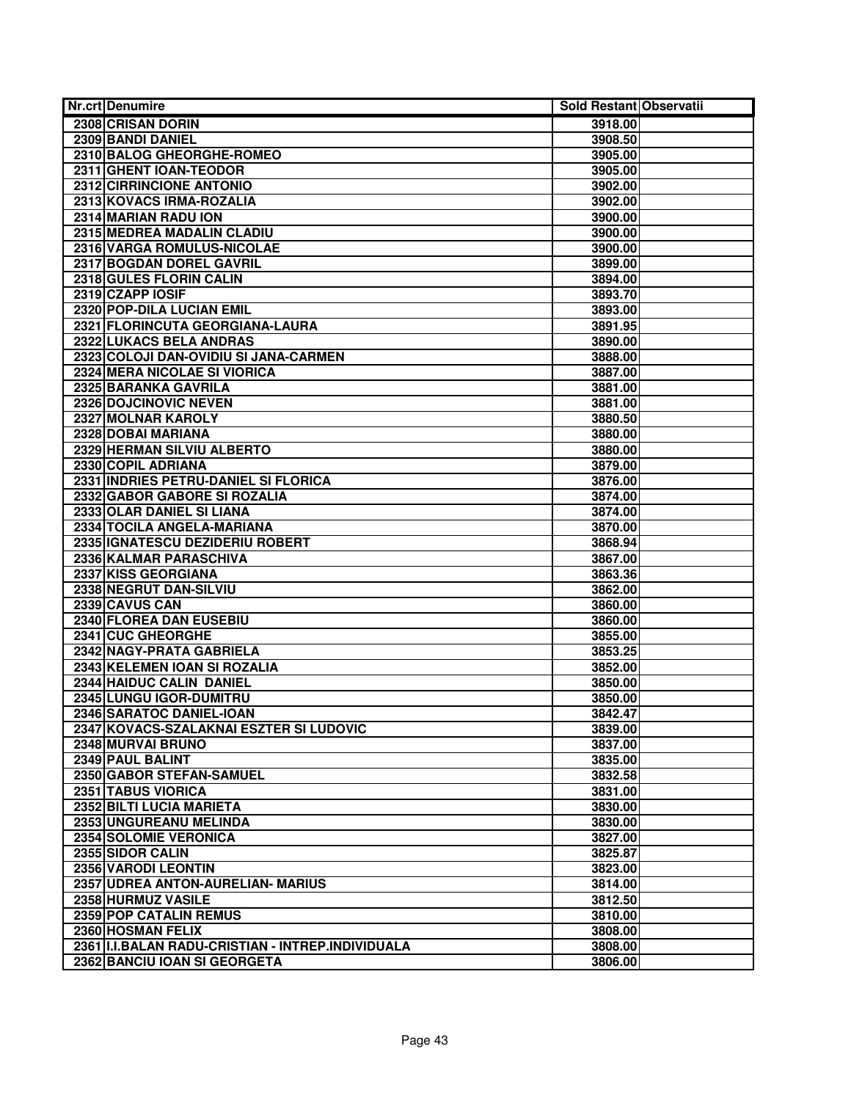| <b>Nr.crt Denumire</b>                             | Sold Restant Observatii |
|----------------------------------------------------|-------------------------|
| 2308 CRISAN DORIN                                  | 3918.00                 |
| 2309 BANDI DANIEL                                  | 3908.50                 |
| 2310 BALOG GHEORGHE-ROMEO                          | 3905.00                 |
| 2311 GHENT IOAN-TEODOR                             | 3905.00                 |
| 2312 CIRRINCIONE ANTONIO                           | 3902.00                 |
| 2313 KOVACS IRMA-ROZALIA                           | 3902.00                 |
| 2314 MARIAN RADU ION                               | 3900.00                 |
| 2315 MEDREA MADALIN CLADIU                         | 3900.00                 |
| 2316 VARGA ROMULUS-NICOLAE                         | 3900.00                 |
| 2317 BOGDAN DOREL GAVRIL                           | 3899.00                 |
| 2318 GULES FLORIN CALIN                            | 3894.00                 |
| 2319 CZAPP IOSIF                                   | 3893.70                 |
| 2320 POP-DILA LUCIAN EMIL                          | 3893.00                 |
| 2321 FLORINCUTA GEORGIANA-LAURA                    | 3891.95                 |
| 2322 LUKACS BELA ANDRAS                            | 3890.00                 |
| 2323 COLOJI DAN-OVIDIU SI JANA-CARMEN              | 3888.00                 |
| 2324 MERA NICOLAE SI VIORICA                       | 3887.00                 |
| 2325 BARANKA GAVRILA                               | 3881.00                 |
| 2326 DOJCINOVIC NEVEN                              | 3881.00                 |
| 2327 MOLNAR KAROLY                                 | 3880.50                 |
| 2328 DOBAI MARIANA                                 | 3880.00                 |
| 2329 HERMAN SILVIU ALBERTO                         | 3880.00                 |
| 2330 COPIL ADRIANA                                 | 3879.00                 |
| 2331 INDRIES PETRU-DANIEL SI FLORICA               | 3876.00                 |
| 2332 GABOR GABORE SI ROZALIA                       | 3874.00                 |
| 2333 OLAR DANIEL SI LIANA                          | 3874.00                 |
| 2334 TOCILA ANGELA-MARIANA                         | 3870.00                 |
| 2335 IGNATESCU DEZIDERIU ROBERT                    | 3868.94                 |
| 2336 KALMAR PARASCHIVA                             | 3867.00                 |
| 2337 KISS GEORGIANA                                | 3863.36                 |
| 2338 NEGRUT DAN-SILVIU                             | 3862.00                 |
| 2339 CAVUS CAN                                     | 3860.00                 |
| 2340 FLOREA DAN EUSEBIU                            | 3860.00                 |
| 2341 CUC GHEORGHE                                  | 3855.00                 |
| 2342 NAGY-PRATA GABRIELA                           | 3853.25                 |
| 2343 KELEMEN IOAN SI ROZALIA                       | 3852.00                 |
| 2344 HAIDUC CALIN DANIEL                           | 3850.00                 |
| 2345 LUNGU IGOR-DUMITRU                            | 3850.00                 |
| 2346 SARATOC DANIEL-IOAN                           | 3842.47                 |
| 2347 KOVACS-SZALAKNAI ESZTER SI LUDOVIC            | 3839.00                 |
| 2348 MURVAI BRUNO                                  | 3837.00                 |
| 2349 PAUL BALINT                                   | 3835.00                 |
| 2350 GABOR STEFAN-SAMUEL                           | 3832.58                 |
| 2351 TABUS VIORICA                                 | 3831.00                 |
| 2352 BILTI LUCIA MARIETA                           | 3830.00                 |
| 2353 UNGUREANU MELINDA                             | 3830.00                 |
| 2354 SOLOMIE VERONICA                              | 3827.00                 |
| 2355 SIDOR CALIN                                   | 3825.87                 |
| 2356 VARODI LEONTIN                                | 3823.00                 |
| 2357 UDREA ANTON-AURELIAN- MARIUS                  | 3814.00                 |
| 2358 HURMUZ VASILE                                 | 3812.50                 |
| 2359 POP CATALIN REMUS                             | 3810.00                 |
| 2360 HOSMAN FELIX                                  | 3808.00                 |
| 2361 II.I.BALAN RADU-CRISTIAN - INTREP.INDIVIDUALA | 3808.00                 |
| 2362 BANCIU IOAN SI GEORGETA                       | 3806.00                 |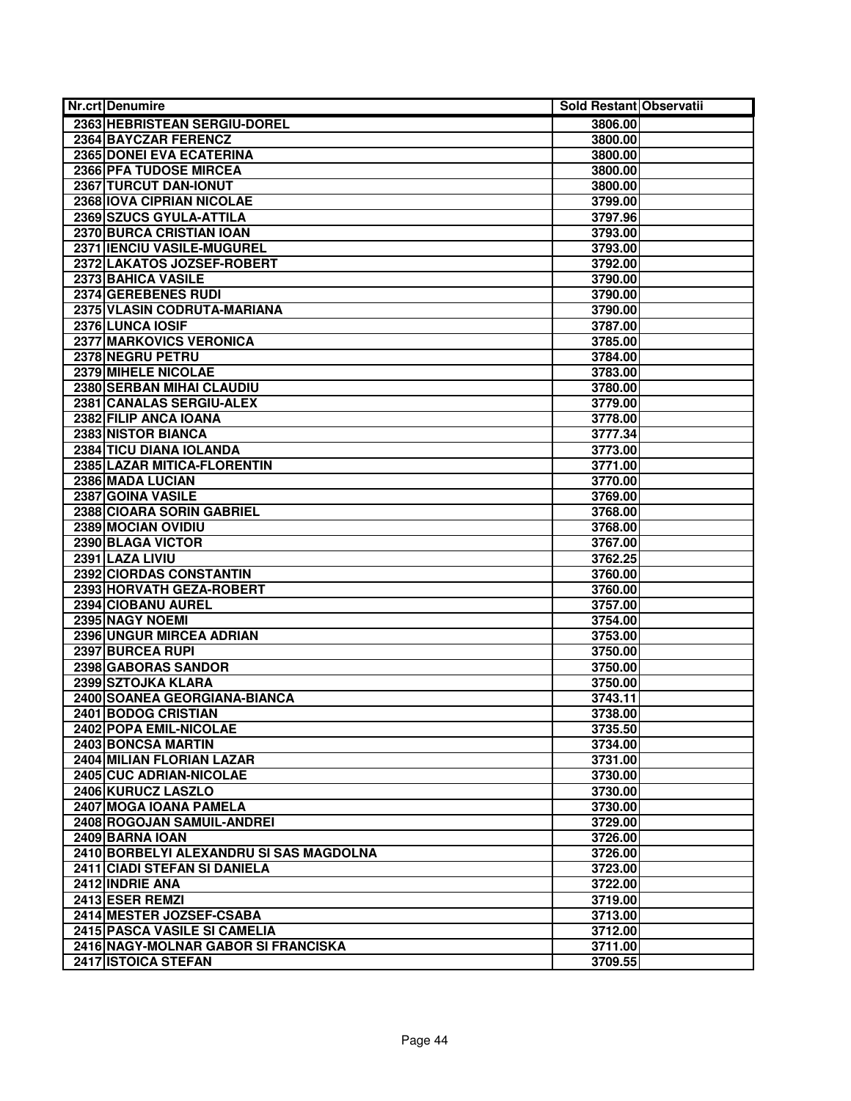| Nr.crt Denumire                         | Sold Restant Observatii |
|-----------------------------------------|-------------------------|
| 2363 HEBRISTEAN SERGIU-DOREL            | 3806.00                 |
| 2364 BAYCZAR FERENCZ                    | 3800.00                 |
| <b>2365 DONEI EVA ECATERINA</b>         | 3800.00                 |
| 2366 PFA TUDOSE MIRCEA                  | 3800.00                 |
| 2367 TURCUT DAN-IONUT                   | 3800.00                 |
| 2368 IOVA CIPRIAN NICOLAE               | 3799.00                 |
| 2369 SZUCS GYULA-ATTILA                 | 3797.96                 |
| 2370 BURCA CRISTIAN IOAN                | 3793.00                 |
| 2371 IENCIU VASILE-MUGUREL              | 3793.00                 |
| 2372 LAKATOS JOZSEF-ROBERT              | 3792.00                 |
| 2373 BAHICA VASILE                      | 3790.00                 |
| 2374 GEREBENES RUDI                     | 3790.00                 |
| 2375 VLASIN CODRUTA-MARIANA             | 3790.00                 |
| 2376 LUNCA IOSIF                        | 3787.00                 |
| <b>2377 MARKOVICS VERONICA</b>          | 3785.00                 |
| 2378 NEGRU PETRU                        | 3784.00                 |
| 2379 MIHELE NICOLAE                     | 3783.00                 |
| <b>2380 SERBAN MIHAI CLAUDIU</b>        | 3780.00                 |
| 2381 CANALAS SERGIU-ALEX                | 3779.00                 |
| 2382 FILIP ANCA IOANA                   | 3778.00                 |
| 2383 NISTOR BIANCA                      | 3777.34                 |
| 2384 TICU DIANA IOLANDA                 | 3773.00                 |
| 2385 LAZAR MITICA-FLORENTIN             | 3771.00                 |
| 2386 MADA LUCIAN                        | 3770.00                 |
| 2387 GOINA VASILE                       | 3769.00                 |
| 2388 CIOARA SORIN GABRIEL               | 3768.00                 |
| 2389 MOCIAN OVIDIU                      | 3768.00                 |
| 2390 BLAGA VICTOR                       | 3767.00                 |
| 2391 LAZA LIVIU                         | 3762.25                 |
| 2392 CIORDAS CONSTANTIN                 | 3760.00                 |
| 2393 HORVATH GEZA-ROBERT                | 3760.00                 |
| 2394 CIOBANU AUREL                      | 3757.00                 |
| 2395 NAGY NOEMI                         | 3754.00                 |
| 2396 UNGUR MIRCEA ADRIAN                | 3753.00                 |
| 2397 BURCEA RUPI                        | 3750.00                 |
| 2398 GABORAS SANDOR                     | 3750.00                 |
| 2399 SZTOJKA KLARA                      | 3750.00                 |
| 2400 SOANEA GEORGIANA-BIANCA            | 3743.11                 |
| 2401 BODOG CRISTIAN                     | 3738.00                 |
| 2402 POPA EMIL-NICOLAE                  | 3735.50                 |
| 2403 BONCSA MARTIN                      | 3734.00                 |
| 2404 MILIAN FLORIAN LAZAR               | 3731.00                 |
| 2405 CUC ADRIAN-NICOLAE                 | 3730.00                 |
| 2406 KURUCZ LASZLO                      | 3730.00                 |
| 2407 MOGA IOANA PAMELA                  | 3730.00                 |
| 2408 ROGOJAN SAMUIL-ANDREI              | 3729.00                 |
| 2409 BARNA IOAN                         | 3726.00                 |
| 2410 BORBELYI ALEXANDRU SI SAS MAGDOLNA | 3726.00                 |
| 2411 CIADI STEFAN SI DANIELA            | 3723.00                 |
| 2412 INDRIE ANA                         | 3722.00                 |
| 2413 ESER REMZI                         | 3719.00                 |
| 2414 MESTER JOZSEF-CSABA                | 3713.00                 |
| 2415 PASCA VASILE SI CAMELIA            | 3712.00                 |
| 2416 NAGY-MOLNAR GABOR SI FRANCISKA     | 3711.00                 |
| 2417 ISTOICA STEFAN                     | 3709.55                 |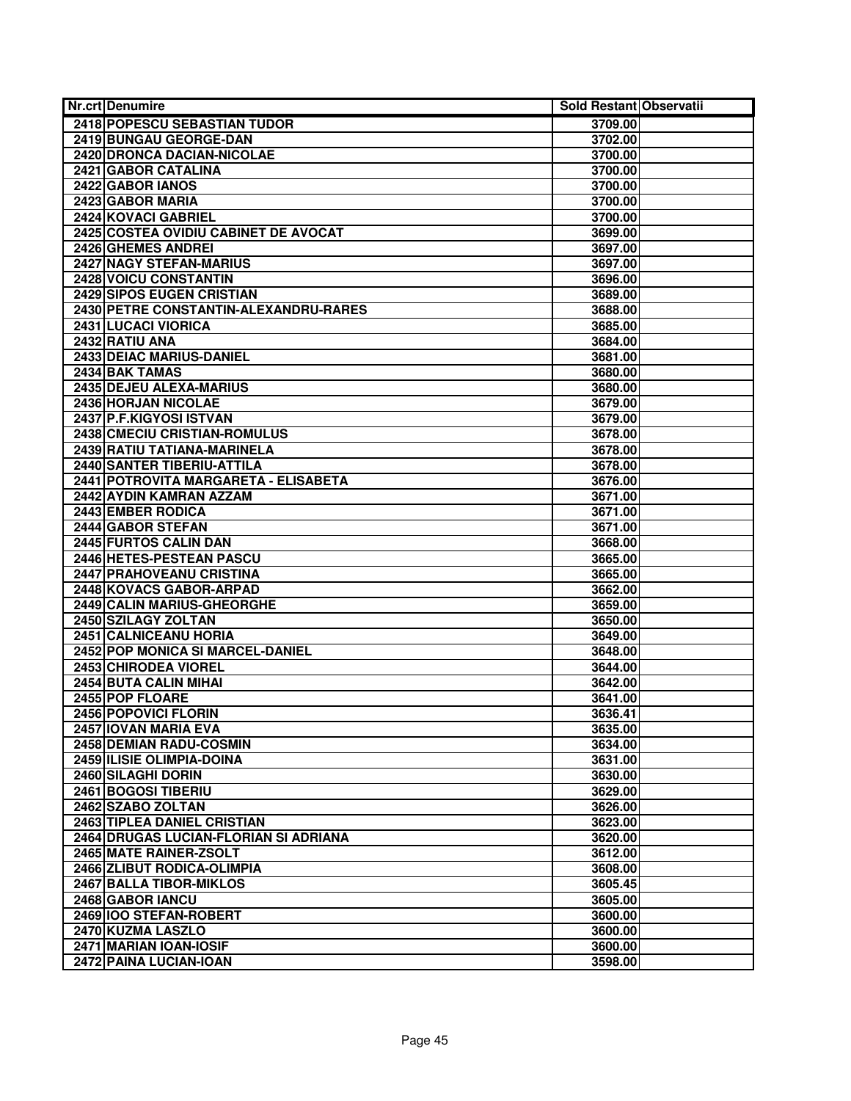| <b>Nr.crt Denumire</b>                        | Sold Restant Observatii |  |
|-----------------------------------------------|-------------------------|--|
| 2418 POPESCU SEBASTIAN TUDOR                  | 3709.00                 |  |
| 2419 BUNGAU GEORGE-DAN                        | 3702.00                 |  |
| <b>2420 DRONCA DACIAN-NICOLAE</b>             | 3700.00                 |  |
| 2421 GABOR CATALINA                           | 3700.00                 |  |
| 2422 GABOR IANOS                              | 3700.00                 |  |
| 2423 GABOR MARIA                              | 3700.00                 |  |
| 2424 KOVACI GABRIEL                           | 3700.00                 |  |
| 2425 COSTEA OVIDIU CABINET DE AVOCAT          | 3699.00                 |  |
| 2426 GHEMES ANDREI                            | 3697.00                 |  |
| 2427 NAGY STEFAN-MARIUS                       | 3697.00                 |  |
| <b>2428 VOICU CONSTANTIN</b>                  | 3696.00                 |  |
| <b>2429 SIPOS EUGEN CRISTIAN</b>              | 3689.00                 |  |
| 2430 PETRE CONSTANTIN-ALEXANDRU-RARES         | 3688.00                 |  |
| 2431 LUCACI VIORICA                           | 3685.00                 |  |
| 2432 RATIU ANA                                | 3684.00                 |  |
| 2433 DEIAC MARIUS-DANIEL                      | 3681.00                 |  |
| 2434 BAK TAMAS                                | 3680.00                 |  |
| 2435 DEJEU ALEXA-MARIUS                       | 3680.00                 |  |
| 2436 HORJAN NICOLAE                           | 3679.00                 |  |
| 2437 P.F.KIGYOSI ISTVAN                       | 3679.00                 |  |
| 2438 CMECIU CRISTIAN-ROMULUS                  | 3678.00                 |  |
| 2439 RATIU TATIANA-MARINELA                   | 3678.00                 |  |
| <b>2440 SANTER TIBERIU-ATTILA</b>             | 3678.00                 |  |
| 2441 POTROVITA MARGARETA - ELISABETA          | 3676.00                 |  |
| 2442 AYDIN KAMRAN AZZAM                       | 3671.00                 |  |
| 2443 EMBER RODICA                             | 3671.00                 |  |
| 2444 GABOR STEFAN                             | 3671.00                 |  |
| 2445 FURTOS CALIN DAN                         | 3668.00                 |  |
| 2446 HETES-PESTEAN PASCU                      | 3665.00                 |  |
| 2447 PRAHOVEANU CRISTINA                      | 3665.00                 |  |
| 2448 KOVACS GABOR-ARPAD                       | 3662.00                 |  |
| 2449 CALIN MARIUS-GHEORGHE                    | 3659.00                 |  |
| 2450 SZILAGY ZOLTAN                           | 3650.00                 |  |
| 2451 CALNICEANU HORIA                         | 3649.00                 |  |
| 2452 POP MONICA SI MARCEL-DANIEL              | 3648.00                 |  |
| 2453 CHIRODEA VIOREL<br>2454 BUTA CALIN MIHAI | 3644.00                 |  |
| 2455 POP FLOARE                               | 3642.00<br>3641.00      |  |
| 2456 POPOVICI FLORIN                          | 3636.41                 |  |
| 2457 IOVAN MARIA EVA                          | 3635.00                 |  |
| <b>2458 DEMIAN RADU-COSMIN</b>                | 3634.00                 |  |
| 2459 ILISIE OLIMPIA-DOINA                     | 3631.00                 |  |
| 2460 SILAGHI DORIN                            | 3630.00                 |  |
| 2461 BOGOSI TIBERIU                           | 3629.00                 |  |
| 2462 SZABO ZOLTAN                             | 3626.00                 |  |
| 2463 TIPLEA DANIEL CRISTIAN                   | 3623.00                 |  |
| 2464 DRUGAS LUCIAN-FLORIAN SI ADRIANA         | 3620.00                 |  |
| 2465 MATE RAINER-ZSOLT                        | 3612.00                 |  |
| 2466 ZLIBUT RODICA-OLIMPIA                    | 3608.00                 |  |
| 2467 BALLA TIBOR-MIKLOS                       | 3605.45                 |  |
| 2468 GABOR IANCU                              | 3605.00                 |  |
| 2469 IOO STEFAN-ROBERT                        | 3600.00                 |  |
| 2470 KUZMA LASZLO                             | 3600.00                 |  |
| 2471 MARIAN IOAN-IOSIF                        | 3600.00                 |  |
| 2472 PAINA LUCIAN-IOAN                        | 3598.00                 |  |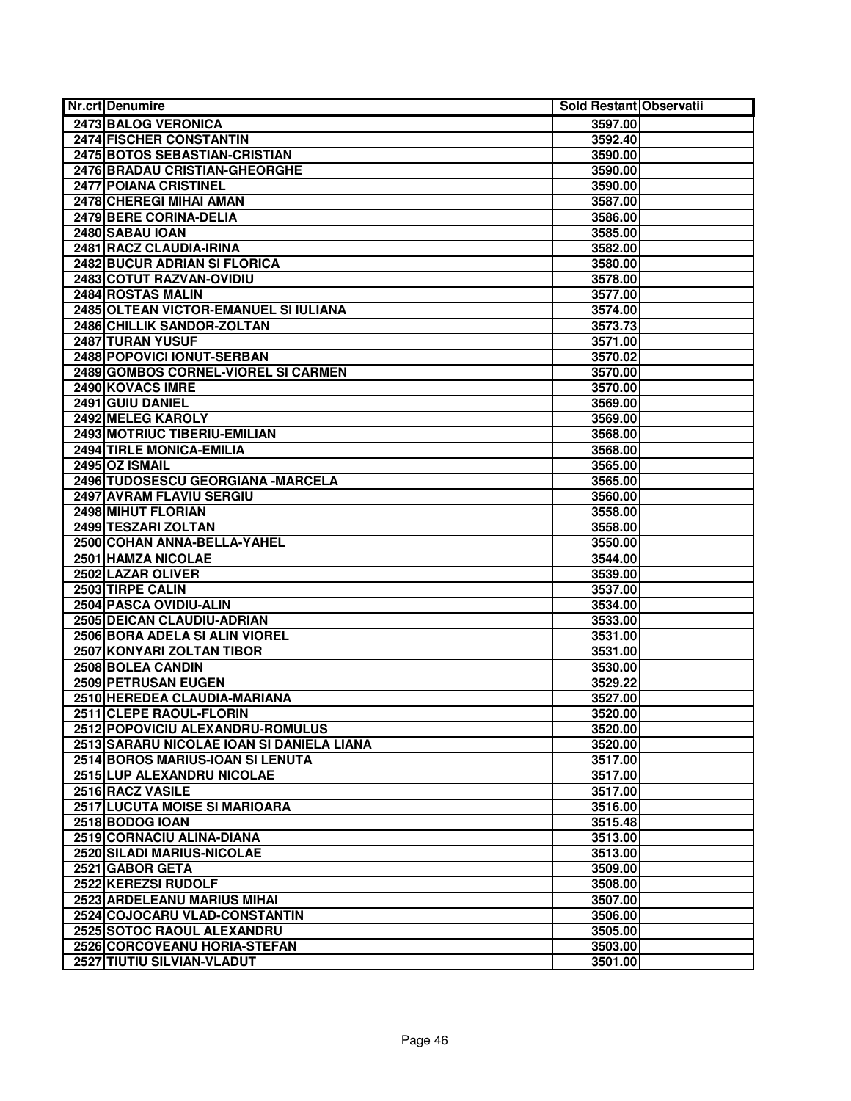| Nr.crt Denumire                                         | Sold Restant Observatii |  |
|---------------------------------------------------------|-------------------------|--|
| 2473 BALOG VERONICA                                     | 3597.00                 |  |
| <b>2474 FISCHER CONSTANTIN</b>                          | 3592.40                 |  |
| 2475 BOTOS SEBASTIAN-CRISTIAN                           | 3590.00                 |  |
| 2476 BRADAU CRISTIAN-GHEORGHE                           | 3590.00                 |  |
| 2477 POIANA CRISTINEL                                   | 3590.00                 |  |
| 2478 CHEREGI MIHAI AMAN                                 | 3587.00                 |  |
| 2479 BERE CORINA-DELIA                                  | 3586.00                 |  |
| 2480 SABAU IOAN                                         | 3585.00                 |  |
| 2481 RACZ CLAUDIA-IRINA                                 | 3582.00                 |  |
| 2482 BUCUR ADRIAN SI FLORICA                            | 3580.00                 |  |
| 2483 COTUT RAZVAN-OVIDIU                                | 3578.00                 |  |
| 2484 ROSTAS MALIN                                       | 3577.00                 |  |
| 2485 OLTEAN VICTOR-EMANUEL SI IULIANA                   | 3574.00                 |  |
| 2486 CHILLIK SANDOR-ZOLTAN                              | 3573.73                 |  |
| 2487 TURAN YUSUF                                        | 3571.00                 |  |
| 2488 POPOVICI IONUT-SERBAN                              | 3570.02                 |  |
| 2489 GOMBOS CORNEL-VIOREL SI CARMEN                     | 3570.00                 |  |
| 2490 KOVACS IMRE                                        | 3570.00                 |  |
| 2491 GUIU DANIEL                                        | 3569.00                 |  |
| 2492 MELEG KAROLY                                       | 3569.00                 |  |
| 2493 MOTRIUC TIBERIU-EMILIAN                            | 3568.00                 |  |
| 2494 TIRLE MONICA-EMILIA                                | 3568.00                 |  |
| 2495 OZ ISMAIL                                          | 3565.00                 |  |
| 2496 TUDOSESCU GEORGIANA - MARCELA                      | 3565.00                 |  |
| 2497 AVRAM FLAVIU SERGIU                                | 3560.00                 |  |
| 2498 MIHUT FLORIAN                                      | 3558.00                 |  |
| 2499 TESZARI ZOLTAN                                     | 3558.00                 |  |
| 2500 COHAN ANNA-BELLA-YAHEL                             | 3550.00                 |  |
| 2501 HAMZA NICOLAE                                      | 3544.00                 |  |
| 2502 LAZAR OLIVER                                       | 3539.00                 |  |
| 2503 TIRPE CALIN                                        | 3537.00                 |  |
| 2504 PASCA OVIDIU-ALIN                                  | 3534.00                 |  |
| <b>2505 DEICAN CLAUDIU-ADRIAN</b>                       | 3533.00                 |  |
| 2506 BORA ADELA SI ALIN VIOREL                          | 3531.00                 |  |
| 2507 KONYARI ZOLTAN TIBOR                               | 3531.00                 |  |
| 2508 BOLEA CANDIN                                       | 3530.00                 |  |
| 2509 PETRUSAN EUGEN                                     | 3529.22                 |  |
| 2510 HEREDEA CLAUDIA-MARIANA                            | 3527.00                 |  |
| 2511 CLEPE RAOUL-FLORIN                                 | 3520.00                 |  |
| 2512 POPOVICIU ALEXANDRU-ROMULUS                        | 3520.00                 |  |
| 2513 SARARU NICOLAE IOAN SI DANIELA LIANA               | 3520.00                 |  |
| 2514 BOROS MARIUS-IOAN SI LENUTA                        | 3517.00                 |  |
| 2515 LUP ALEXANDRU NICOLAE                              | 3517.00                 |  |
| 2516 RACZ VASILE                                        | 3517.00                 |  |
| 2517 LUCUTA MOISE SI MARIOARA                           | 3516.00                 |  |
| 2518 BODOG IOAN                                         | 3515.48                 |  |
| 2519 CORNACIU ALINA-DIANA<br>2520 SILADI MARIUS-NICOLAE | 3513.00                 |  |
| 2521 GABOR GETA                                         | 3513.00                 |  |
| 2522 KEREZSI RUDOLF                                     | 3509.00                 |  |
| 2523 ARDELEANU MARIUS MIHAI                             | 3508.00                 |  |
| 2524 COJOCARU VLAD-CONSTANTIN                           | 3507.00<br>3506.00      |  |
| 2525 SOTOC RAOUL ALEXANDRU                              | 3505.00                 |  |
| 2526 CORCOVEANU HORIA-STEFAN                            | 3503.00                 |  |
| 2527 TIUTIU SILVIAN-VLADUT                              | 3501.00                 |  |
|                                                         |                         |  |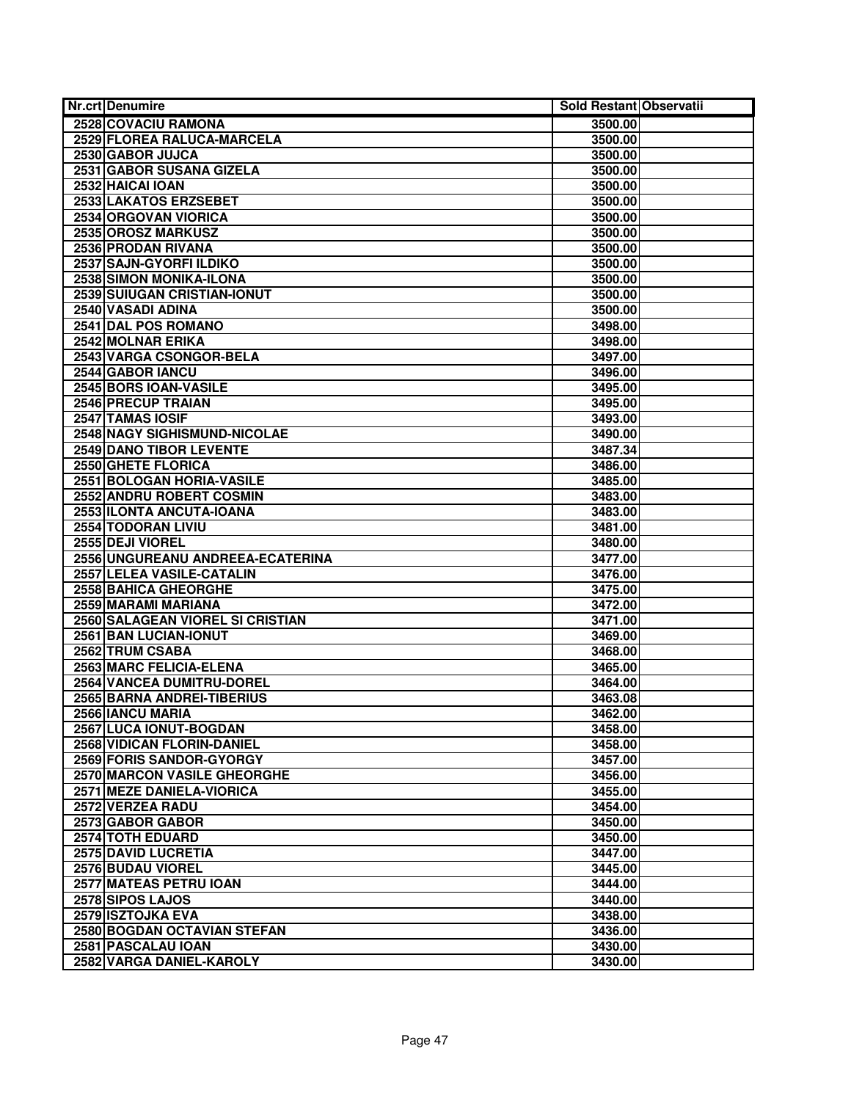| Nr.crt Denumire                    | Sold Restant Observatii |  |
|------------------------------------|-------------------------|--|
| 2528 COVACIU RAMONA                | 3500.00                 |  |
| 2529 FLOREA RALUCA-MARCELA         | 3500.00                 |  |
| 2530 GABOR JUJCA                   | 3500.00                 |  |
| 2531 GABOR SUSANA GIZELA           | 3500.00                 |  |
| 2532 HAICAI IOAN                   | 3500.00                 |  |
| 2533 LAKATOS ERZSEBET              | 3500.00                 |  |
| 2534 ORGOVAN VIORICA               | 3500.00                 |  |
| 2535 OROSZ MARKUSZ                 | 3500.00                 |  |
| 2536 PRODAN RIVANA                 | 3500.00                 |  |
| 2537 SAJN-GYORFI ILDIKO            | 3500.00                 |  |
| <b>2538 SIMON MONIKA-ILONA</b>     | 3500.00                 |  |
| 2539 SUIUGAN CRISTIAN-IONUT        | 3500.00                 |  |
| 2540 VASADI ADINA                  | 3500.00                 |  |
| 2541 DAL POS ROMANO                | 3498.00                 |  |
| 2542 MOLNAR ERIKA                  | 3498.00                 |  |
| 2543 VARGA CSONGOR-BELA            | 3497.00                 |  |
| 2544 GABOR IANCU                   | 3496.00                 |  |
| 2545 BORS IOAN-VASILE              | 3495.00                 |  |
| 2546 PRECUP TRAIAN                 | 3495.00                 |  |
| 2547 TAMAS IOSIF                   | 3493.00                 |  |
| 2548 NAGY SIGHISMUND-NICOLAE       | 3490.00                 |  |
| 2549 DANO TIBOR LEVENTE            | 3487.34                 |  |
| 2550 GHETE FLORICA                 | 3486.00                 |  |
| 2551 BOLOGAN HORIA-VASILE          | 3485.00                 |  |
| 2552 ANDRU ROBERT COSMIN           | 3483.00                 |  |
| 2553 ILONTA ANCUTA-IOANA           | 3483.00                 |  |
| 2554 TODORAN LIVIU                 | 3481.00                 |  |
| 2555 DEJI VIOREL                   | 3480.00                 |  |
| 2556 UNGUREANU ANDREEA-ECATERINA   | 3477.00                 |  |
| 2557 LELEA VASILE-CATALIN          | 3476.00                 |  |
| 2558 BAHICA GHEORGHE               | 3475.00                 |  |
| 2559 MARAMI MARIANA                | 3472.00                 |  |
| 2560 SALAGEAN VIOREL SI CRISTIAN   | 3471.00                 |  |
| 2561 BAN LUCIAN-IONUT              | 3469.00                 |  |
| 2562 TRUM CSABA                    | 3468.00                 |  |
| <b>2563 MARC FELICIA-ELENA</b>     | 3465.00                 |  |
| 2564 VANCEA DUMITRU-DOREL          | 3464.00                 |  |
| 2565 BARNA ANDREI-TIBERIUS         | 3463.08                 |  |
| 2566 IANCU MARIA                   | 3462.00                 |  |
| 2567 LUCA IONUT-BOGDAN             | 3458.00                 |  |
| 2568 VIDICAN FLORIN-DANIEL         | 3458.00                 |  |
| 2569 FORIS SANDOR-GYORGY           | 3457.00                 |  |
| <b>2570 MARCON VASILE GHEORGHE</b> | 3456.00                 |  |
| 2571 MEZE DANIELA-VIORICA          | 3455.00                 |  |
| 2572 VERZEA RADU                   | 3454.00                 |  |
| 2573 GABOR GABOR                   | 3450.00                 |  |
| 2574 TOTH EDUARD                   | 3450.00                 |  |
| <b>2575 DAVID LUCRETIA</b>         | 3447.00                 |  |
| 2576 BUDAU VIOREL                  | 3445.00                 |  |
| 2577 MATEAS PETRU IOAN             | 3444.00                 |  |
| 2578 SIPOS LAJOS                   | 3440.00                 |  |
| 2579 ISZTOJKA EVA                  | 3438.00                 |  |
| 2580 BOGDAN OCTAVIAN STEFAN        | 3436.00                 |  |
| 2581 PASCALAU IOAN                 | 3430.00                 |  |
| 2582 VARGA DANIEL-KAROLY           | 3430.00                 |  |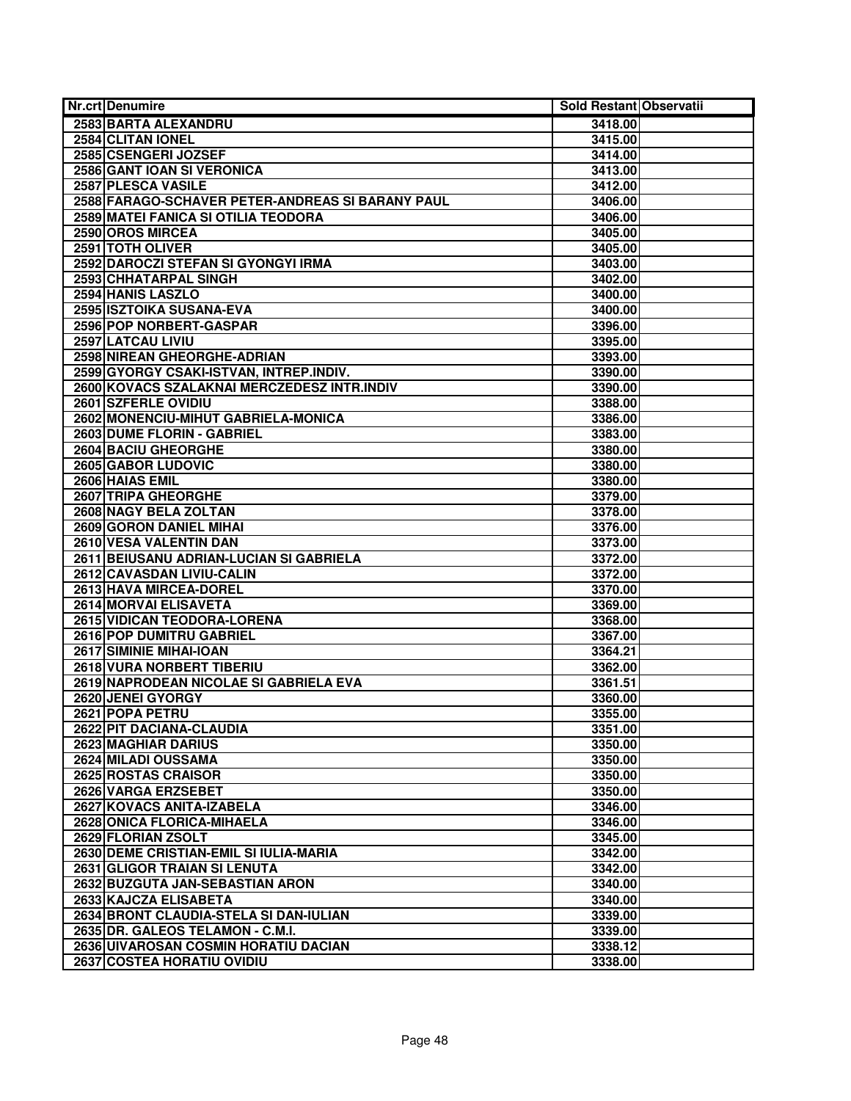| Nr.crt Denumire                                  | Sold Restant Observatii |  |
|--------------------------------------------------|-------------------------|--|
| 2583 BARTA ALEXANDRU                             | 3418.00                 |  |
| 2584 CLITAN IONEL                                | 3415.00                 |  |
| 2585 CSENGERI JOZSEF                             | 3414.00                 |  |
| 2586 GANT IOAN SI VERONICA                       | 3413.00                 |  |
| 2587 PLESCA VASILE                               | 3412.00                 |  |
| 2588 FARAGO-SCHAVER PETER-ANDREAS SI BARANY PAUL | 3406.00                 |  |
| 2589 MATEI FANICA SI OTILIA TEODORA              | 3406.00                 |  |
| 2590 OROS MIRCEA                                 | 3405.00                 |  |
| 2591 TOTH OLIVER                                 | 3405.00                 |  |
| 2592 DAROCZI STEFAN SI GYONGYI IRMA              | 3403.00                 |  |
| 2593 CHHATARPAL SINGH                            | 3402.00                 |  |
| 2594 HANIS LASZLO                                | 3400.00                 |  |
| 2595 ISZTOIKA SUSANA-EVA                         | 3400.00                 |  |
| 2596 POP NORBERT-GASPAR                          | 3396.00                 |  |
| 2597 LATCAU LIVIU                                | 3395.00                 |  |
| 2598 NIREAN GHEORGHE-ADRIAN                      | 3393.00                 |  |
| 2599 GYORGY CSAKI-ISTVAN, INTREP.INDIV.          | 3390.00                 |  |
| 2600 KOVACS SZALAKNAI MERCZEDESZ INTR.INDIV      | 3390.00                 |  |
| 2601 SZFERLE OVIDIU                              | 3388.00                 |  |
| 2602 MONENCIU-MIHUT GABRIELA-MONICA              | 3386.00                 |  |
| 2603 DUME FLORIN - GABRIEL                       | 3383.00                 |  |
| 2604 BACIU GHEORGHE                              | 3380.00                 |  |
| 2605 GABOR LUDOVIC                               | 3380.00                 |  |
| 2606 HAIAS EMIL                                  | 3380.00                 |  |
| 2607 TRIPA GHEORGHE                              | 3379.00                 |  |
| 2608 NAGY BELA ZOLTAN                            | 3378.00                 |  |
| <b>2609 GORON DANIEL MIHAI</b>                   | 3376.00                 |  |
| 2610 VESA VALENTIN DAN                           | 3373.00                 |  |
| 2611 BEIUSANU ADRIAN-LUCIAN SI GABRIELA          | 3372.00                 |  |
| 2612 CAVASDAN LIVIU-CALIN                        | 3372.00                 |  |
| 2613 HAVA MIRCEA-DOREL                           | 3370.00                 |  |
| 2614 MORVAI ELISAVETA                            | 3369.00                 |  |
| 2615 VIDICAN TEODORA-LORENA                      | 3368.00                 |  |
| <b>2616 POP DUMITRU GABRIEL</b>                  | 3367.00                 |  |
| 2617 SIMINIE MIHAI-IOAN                          | 3364.21                 |  |
| <b>2618 VURA NORBERT TIBERIU</b>                 | 3362.00                 |  |
| 2619 NAPRODEAN NICOLAE SI GABRIELA EVA           | 3361.51                 |  |
| 2620 JENEI GYORGY                                | 3360.00                 |  |
| 2621 POPA PETRU                                  | 3355.00                 |  |
| 2622 PIT DACIANA-CLAUDIA                         | 3351.00                 |  |
| 2623 MAGHIAR DARIUS                              | 3350.00                 |  |
| 2624 MILADI OUSSAMA                              | 3350.00                 |  |
| 2625 ROSTAS CRAISOR                              | 3350.00                 |  |
| 2626 VARGA ERZSEBET                              | 3350.00                 |  |
| 2627 KOVACS ANITA-IZABELA                        | 3346.00                 |  |
| 2628 ONICA FLORICA-MIHAELA                       | 3346.00                 |  |
| 2629 FLORIAN ZSOLT                               | 3345.00                 |  |
| 2630 DEME CRISTIAN-EMIL SI IULIA-MARIA           | 3342.00                 |  |
| 2631 GLIGOR TRAIAN SI LENUTA                     | 3342.00                 |  |
| 2632 BUZGUTA JAN-SEBASTIAN ARON                  | 3340.00                 |  |
| 2633 KAJCZA ELISABETA                            | 3340.00                 |  |
| 2634 BRONT CLAUDIA-STELA SI DAN-IULIAN           | 3339.00                 |  |
| 2635 DR. GALEOS TELAMON - C.M.I.                 | 3339.00                 |  |
| 2636 UIVAROSAN COSMIN HORATIU DACIAN             | 3338.12                 |  |
| <b>2637 COSTEA HORATIU OVIDIU</b>                | 3338.00                 |  |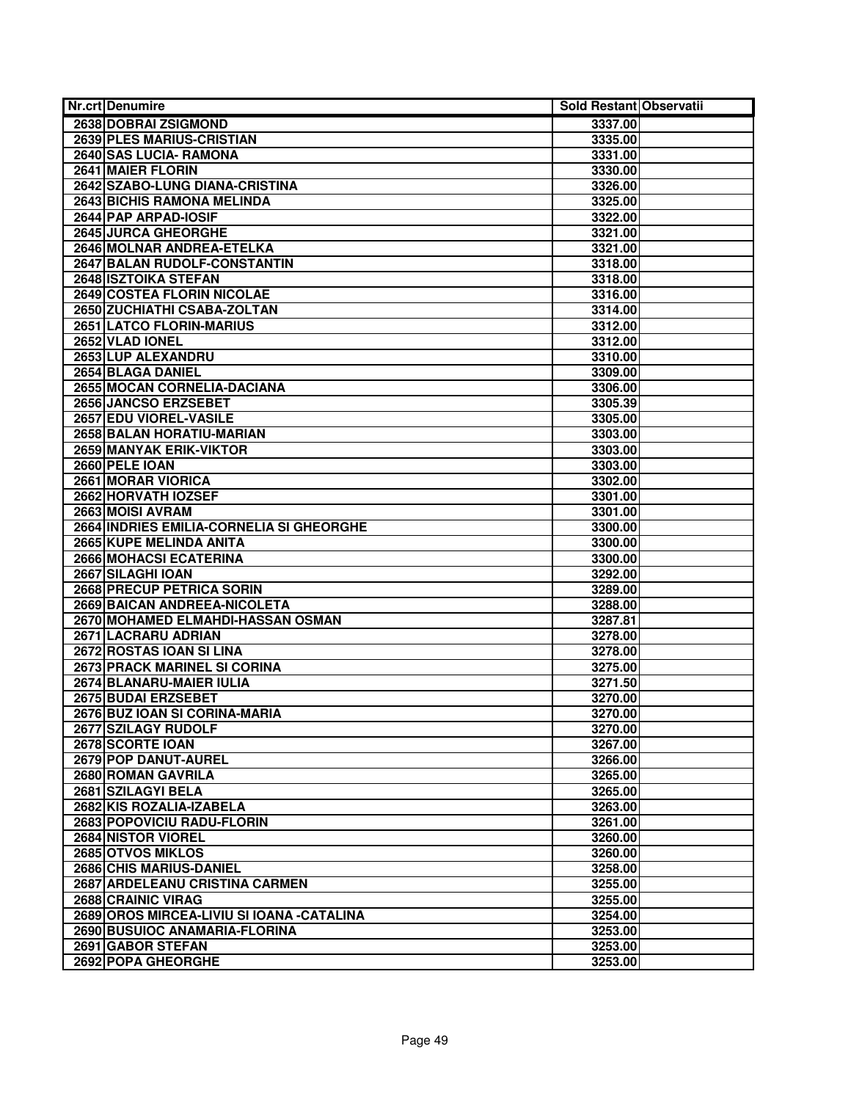| <b>Nr.crt Denumire</b>                     | Sold Restant Observatii |
|--------------------------------------------|-------------------------|
| 2638 DOBRAI ZSIGMOND                       | 3337.00                 |
| <b>2639 PLES MARIUS-CRISTIAN</b>           | 3335.00                 |
| 2640 SAS LUCIA- RAMONA                     | 3331.00                 |
| 2641 MAIER FLORIN                          | 3330.00                 |
| 2642 SZABO-LUNG DIANA-CRISTINA             | 3326.00                 |
| 2643 BICHIS RAMONA MELINDA                 | 3325.00                 |
| 2644 PAP ARPAD-IOSIF                       | 3322.00                 |
| 2645 JURCA GHEORGHE                        | 3321.00                 |
| 2646 MOLNAR ANDREA-ETELKA                  | 3321.00                 |
| 2647 BALAN RUDOLF-CONSTANTIN               | 3318.00                 |
| 2648 ISZTOIKA STEFAN                       | 3318.00                 |
| 2649 COSTEA FLORIN NICOLAE                 | 3316.00                 |
| 2650 ZUCHIATHI CSABA-ZOLTAN                | 3314.00                 |
| 2651 LATCO FLORIN-MARIUS                   | 3312.00                 |
| 2652 VLAD IONEL                            | 3312.00                 |
| 2653 LUP ALEXANDRU                         | 3310.00                 |
| 2654 BLAGA DANIEL                          | 3309.00                 |
| 2655 MOCAN CORNELIA-DACIANA                | 3306.00                 |
| 2656 JANCSO ERZSEBET                       | 3305.39                 |
| 2657 EDU VIOREL-VASILE                     | 3305.00                 |
| 2658 BALAN HORATIU-MARIAN                  | 3303.00                 |
| 2659 MANYAK ERIK-VIKTOR                    | 3303.00                 |
| 2660 PELE IOAN                             | 3303.00                 |
| 2661 MORAR VIORICA                         | 3302.00                 |
| 2662 HORVATH IOZSEF                        | 3301.00                 |
| 2663 MOISI AVRAM                           | 3301.00                 |
| 2664 INDRIES EMILIA-CORNELIA SI GHEORGHE   | 3300.00                 |
| 2665 KUPE MELINDA ANITA                    | 3300.00                 |
| 2666 MOHACSI ECATERINA                     | 3300.00                 |
| 2667 SILAGHI IOAN                          | 3292.00                 |
| 2668 PRECUP PETRICA SORIN                  | 3289.00                 |
| 2669 BAICAN ANDREEA-NICOLETA               | 3288.00                 |
| 2670 MOHAMED ELMAHDI-HASSAN OSMAN          | 3287.81                 |
| 2671 LACRARU ADRIAN                        | 3278.00                 |
| 2672 ROSTAS IOAN SI LINA                   | 3278.00                 |
| 2673 PRACK MARINEL SI CORINA               | 3275.00                 |
| 2674 BLANARU-MAIER IULIA                   | 3271.50                 |
| 2675 BUDAI ERZSEBET                        | 3270.00                 |
| 2676 BUZ IOAN SI CORINA-MARIA              | 3270.00                 |
| 2677 SZILAGY RUDOLF                        | 3270.00                 |
| 2678 SCORTE IOAN                           | 3267.00                 |
| 2679 POP DANUT-AUREL                       | 3266.00                 |
| 2680 ROMAN GAVRILA                         | 3265.00                 |
| 2681 SZILAGYI BELA                         | 3265.00                 |
| 2682 KIS ROZALIA-IZABELA                   | 3263.00                 |
| 2683 POPOVICIU RADU-FLORIN                 | 3261.00                 |
| 2684 NISTOR VIOREL                         | 3260.00                 |
| 2685 OTVOS MIKLOS                          | 3260.00                 |
| 2686 CHIS MARIUS-DANIEL                    | 3258.00                 |
| 2687 ARDELEANU CRISTINA CARMEN             | 3255.00                 |
| 2688 CRAINIC VIRAG                         | 3255.00                 |
| 2689 OROS MIRCEA-LIVIU SI IOANA - CATALINA | 3254.00                 |
| 2690 BUSUIOC ANAMARIA-FLORINA              | 3253.00                 |
| 2691 GABOR STEFAN                          | 3253.00                 |
| 2692 POPA GHEORGHE                         | 3253.00                 |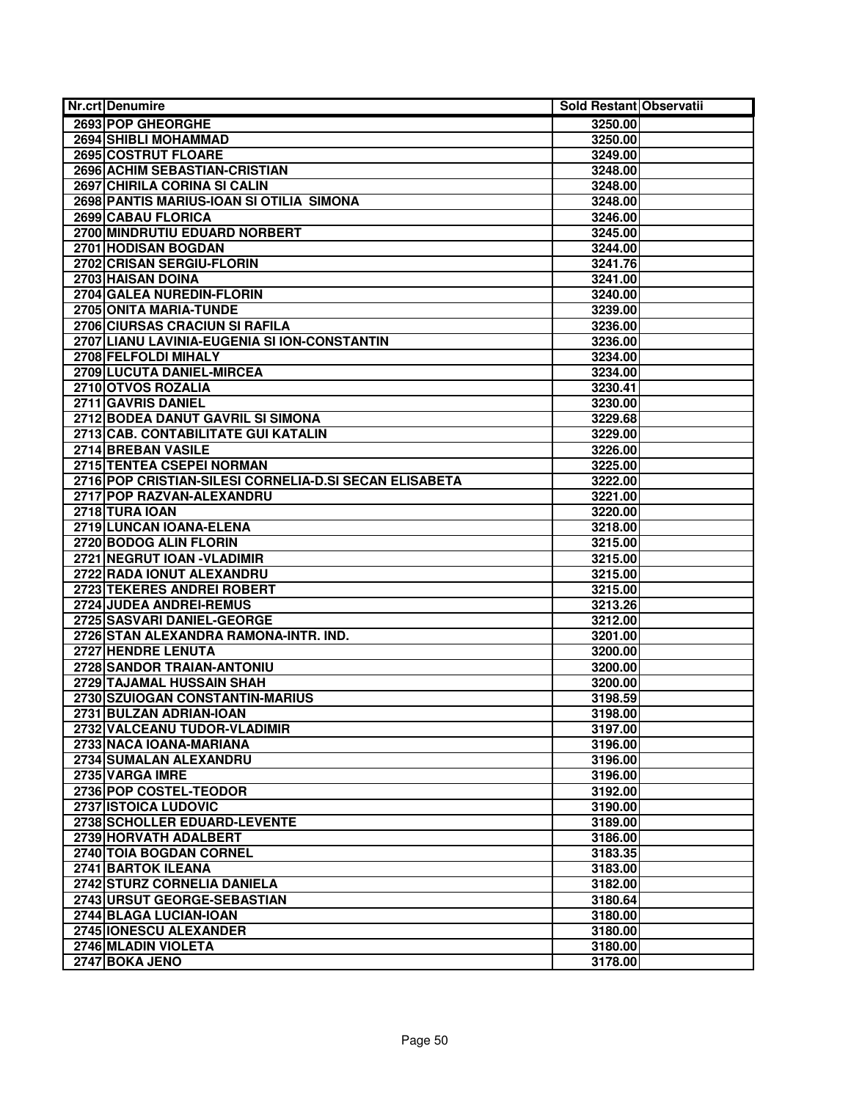| <b>Nr.crt Denumire</b>                                 | Sold Restant Observatii |  |
|--------------------------------------------------------|-------------------------|--|
| 2693 POP GHEORGHE                                      | 3250.00                 |  |
| 2694 SHIBLI MOHAMMAD                                   | 3250.00                 |  |
| 2695 COSTRUT FLOARE                                    | 3249.00                 |  |
| 2696 ACHIM SEBASTIAN-CRISTIAN                          | 3248.00                 |  |
| 2697 CHIRILA CORINA SI CALIN                           | 3248.00                 |  |
| 2698 PANTIS MARIUS-IOAN SI OTILIA SIMONA               | 3248.00                 |  |
| 2699 CABAU FLORICA                                     | 3246.00                 |  |
| 2700 MINDRUTIU EDUARD NORBERT                          | 3245.00                 |  |
| 2701 HODISAN BOGDAN                                    | 3244.00                 |  |
| 2702 CRISAN SERGIU-FLORIN                              | 3241.76                 |  |
| 2703 HAISAN DOINA                                      | 3241.00                 |  |
| 2704 GALEA NUREDIN-FLORIN                              | 3240.00                 |  |
| 2705 ONITA MARIA-TUNDE                                 | 3239.00                 |  |
| 2706 CIURSAS CRACIUN SI RAFILA                         | 3236.00                 |  |
| 2707 LIANU LAVINIA-EUGENIA SI ION-CONSTANTIN           | 3236.00                 |  |
| 2708 FELFOLDI MIHALY                                   | 3234.00                 |  |
| 2709 LUCUTA DANIEL-MIRCEA                              | 3234.00                 |  |
| 2710 OTVOS ROZALIA                                     | 3230.41                 |  |
| 2711 GAVRIS DANIEL                                     | 3230.00                 |  |
| 2712 BODEA DANUT GAVRIL SI SIMONA                      | 3229.68                 |  |
| 2713 CAB. CONTABILITATE GUI KATALIN                    | 3229.00                 |  |
| 2714 BREBAN VASILE                                     | 3226.00                 |  |
| 2715 TENTEA CSEPEI NORMAN                              | 3225.00                 |  |
| 2716 POP CRISTIAN-SILESI CORNELIA-D.SI SECAN ELISABETA | 3222.00                 |  |
| 2717 POP RAZVAN-ALEXANDRU                              | 3221.00                 |  |
| 2718 TURA IOAN                                         | 3220.00                 |  |
| 2719 LUNCAN IOANA-ELENA                                | 3218.00                 |  |
| 2720 BODOG ALIN FLORIN                                 | 3215.00                 |  |
| 2721 NEGRUT IOAN - VLADIMIR                            | 3215.00                 |  |
| 2722 RADA IONUT ALEXANDRU                              | 3215.00                 |  |
| 2723 TEKERES ANDREI ROBERT                             | 3215.00                 |  |
| 2724 JUDEA ANDREI-REMUS                                | 3213.26                 |  |
| 2725 SASVARI DANIEL-GEORGE                             | 3212.00                 |  |
| 2726 STAN ALEXANDRA RAMONA-INTR. IND.                  | 3201.00                 |  |
| 2727 HENDRE LENUTA                                     | 3200.00                 |  |
| <b>2728 SANDOR TRAIAN-ANTONIU</b>                      | 3200.00                 |  |
| 2729 TAJAMAL HUSSAIN SHAH                              | 3200.00                 |  |
| 2730 SZUIOGAN CONSTANTIN-MARIUS                        | 3198.59                 |  |
| 2731 BULZAN ADRIAN-IOAN                                | 3198.00                 |  |
| 2732 VALCEANU TUDOR-VLADIMIR                           | 3197.00                 |  |
| 2733 NACA IOANA-MARIANA                                | 3196.00                 |  |
| 2734 SUMALAN ALEXANDRU                                 | 3196.00                 |  |
| 2735 VARGA IMRE                                        | 3196.00                 |  |
| 2736 POP COSTEL-TEODOR                                 | 3192.00                 |  |
| 2737 ISTOICA LUDOVIC                                   | 3190.00                 |  |
| 2738 SCHOLLER EDUARD-LEVENTE                           | 3189.00                 |  |
| 2739 HORVATH ADALBERT                                  | 3186.00                 |  |
| 2740 TOIA BOGDAN CORNEL                                | 3183.35                 |  |
| 2741 BARTOK ILEANA                                     | 3183.00                 |  |
| 2742 STURZ CORNELIA DANIELA                            | 3182.00                 |  |
| 2743 URSUT GEORGE-SEBASTIAN                            | 3180.64                 |  |
| 2744 BLAGA LUCIAN-IOAN                                 | 3180.00                 |  |
| 2745 IONESCU ALEXANDER                                 | 3180.00                 |  |
| 2746 MLADIN VIOLETA                                    | 3180.00                 |  |
| 2747 BOKA JENO                                         | 3178.00                 |  |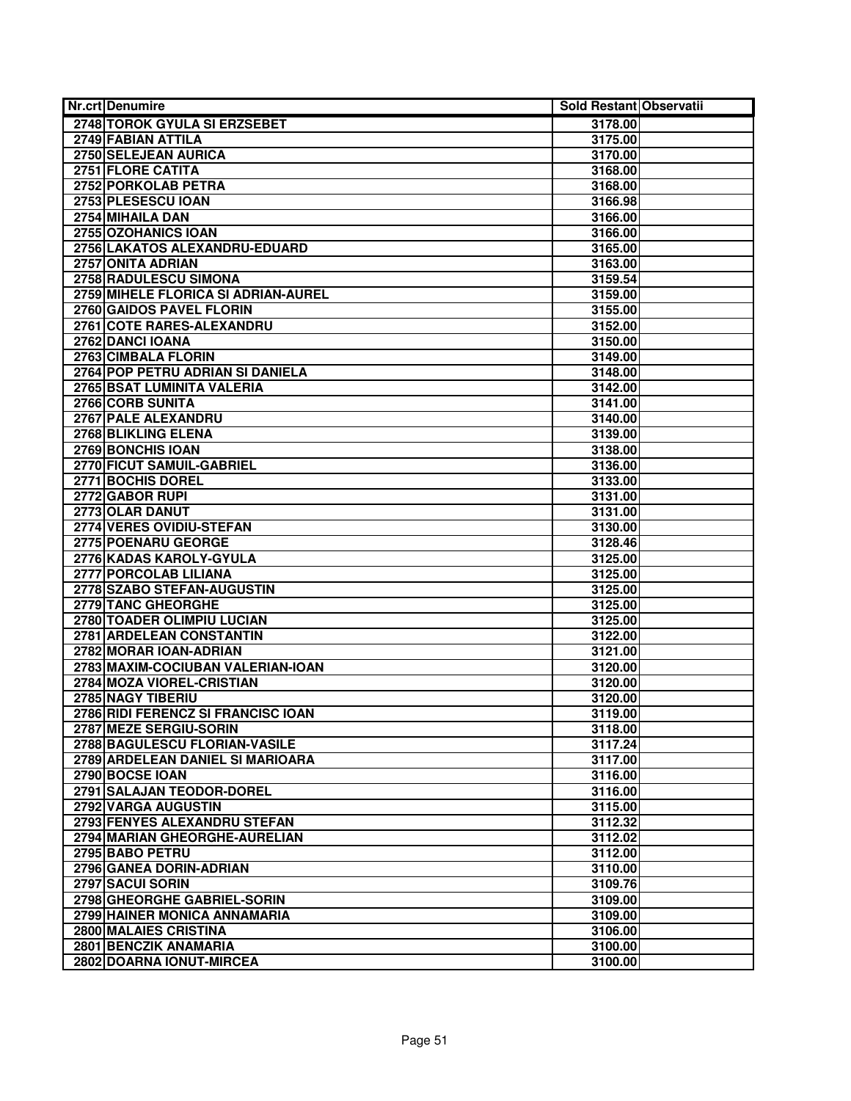| <b>Nr.crt Denumire</b>                          | Sold Restant Observatii |  |
|-------------------------------------------------|-------------------------|--|
| 2748 TOROK GYULA SI ERZSEBET                    | 3178.00                 |  |
| 2749 FABIAN ATTILA                              | 3175.00                 |  |
| 2750 SELEJEAN AURICA                            | 3170.00                 |  |
| 2751 FLORE CATITA                               | 3168.00                 |  |
| 2752 PORKOLAB PETRA                             | 3168.00                 |  |
| 2753 PLESESCU IOAN                              | 3166.98                 |  |
| 2754 MIHAILA DAN                                | 3166.00                 |  |
| 2755 OZOHANICS IOAN                             | 3166.00                 |  |
| 2756 LAKATOS ALEXANDRU-EDUARD                   | 3165.00                 |  |
| 2757 ONITA ADRIAN                               | 3163.00                 |  |
| 2758 RADULESCU SIMONA                           | 3159.54                 |  |
| 2759 MIHELE FLORICA SI ADRIAN-AUREL             | 3159.00                 |  |
| 2760 GAIDOS PAVEL FLORIN                        | 3155.00                 |  |
| 2761 COTE RARES-ALEXANDRU                       | 3152.00                 |  |
| 2762 DANCI IOANA                                | 3150.00                 |  |
| 2763 CIMBALA FLORIN                             | 3149.00                 |  |
| 2764 POP PETRU ADRIAN SI DANIELA                | 3148.00                 |  |
| <b>2765 BSAT LUMINITA VALERIA</b>               | 3142.00                 |  |
| 2766 CORB SUNITA                                | 3141.00                 |  |
| 2767 PALE ALEXANDRU                             | 3140.00                 |  |
| 2768 BLIKLING ELENA                             | 3139.00                 |  |
| 2769 BONCHIS IOAN                               | 3138.00                 |  |
| 2770 FICUT SAMUIL-GABRIEL                       | 3136.00                 |  |
| 2771 BOCHIS DOREL                               | 3133.00                 |  |
| 2772 GABOR RUPI                                 | 3131.00                 |  |
| 2773 OLAR DANUT                                 | 3131.00                 |  |
| 2774 VERES OVIDIU-STEFAN                        | 3130.00                 |  |
| 2775 POENARU GEORGE                             | 3128.46                 |  |
| 2776 KADAS KAROLY-GYULA                         | 3125.00                 |  |
| 2777 PORCOLAB LILIANA                           | 3125.00                 |  |
| 2778 SZABO STEFAN-AUGUSTIN                      | 3125.00                 |  |
| 2779 TANC GHEORGHE                              | 3125.00                 |  |
| 2780 TOADER OLIMPIU LUCIAN                      | 3125.00                 |  |
| 2781 ARDELEAN CONSTANTIN                        | 3122.00                 |  |
| 2782 MORAR IOAN-ADRIAN                          | 3121.00                 |  |
| 2783 MAXIM-COCIUBAN VALERIAN-IOAN               | 3120.00                 |  |
| 2784 MOZA VIOREL-CRISTIAN                       | 3120.00                 |  |
| 2785 NAGY TIBERIU                               | 3120.00                 |  |
| 2786 RIDI FERENCZ SI FRANCISC IOAN              | 3119.00                 |  |
| 2787 MEZE SERGIU-SORIN                          | 3118.00                 |  |
| 2788 BAGULESCU FLORIAN-VASILE                   | 3117.24                 |  |
| 2789 ARDELEAN DANIEL SI MARIOARA                | 3117.00                 |  |
| 2790 BOCSE IOAN                                 | 3116.00                 |  |
| 2791 SALAJAN TEODOR-DOREL                       | 3116.00                 |  |
| 2792 VARGA AUGUSTIN                             | 3115.00                 |  |
| 2793 FENYES ALEXANDRU STEFAN                    | 3112.32                 |  |
| 2794 MARIAN GHEORGHE-AURELIAN                   | 3112.02                 |  |
| 2795 BABO PETRU                                 | 3112.00                 |  |
| 2796 GANEA DORIN-ADRIAN                         | 3110.00                 |  |
| 2797 SACUI SORIN<br>2798 GHEORGHE GABRIEL-SORIN | 3109.76                 |  |
| 2799 HAINER MONICA ANNAMARIA                    | 3109.00                 |  |
| 2800 MALAIES CRISTINA                           | 3109.00<br>3106.00      |  |
| 2801 BENCZIK ANAMARIA                           | 3100.00                 |  |
| 2802 DOARNA IONUT-MIRCEA                        | 3100.00                 |  |
|                                                 |                         |  |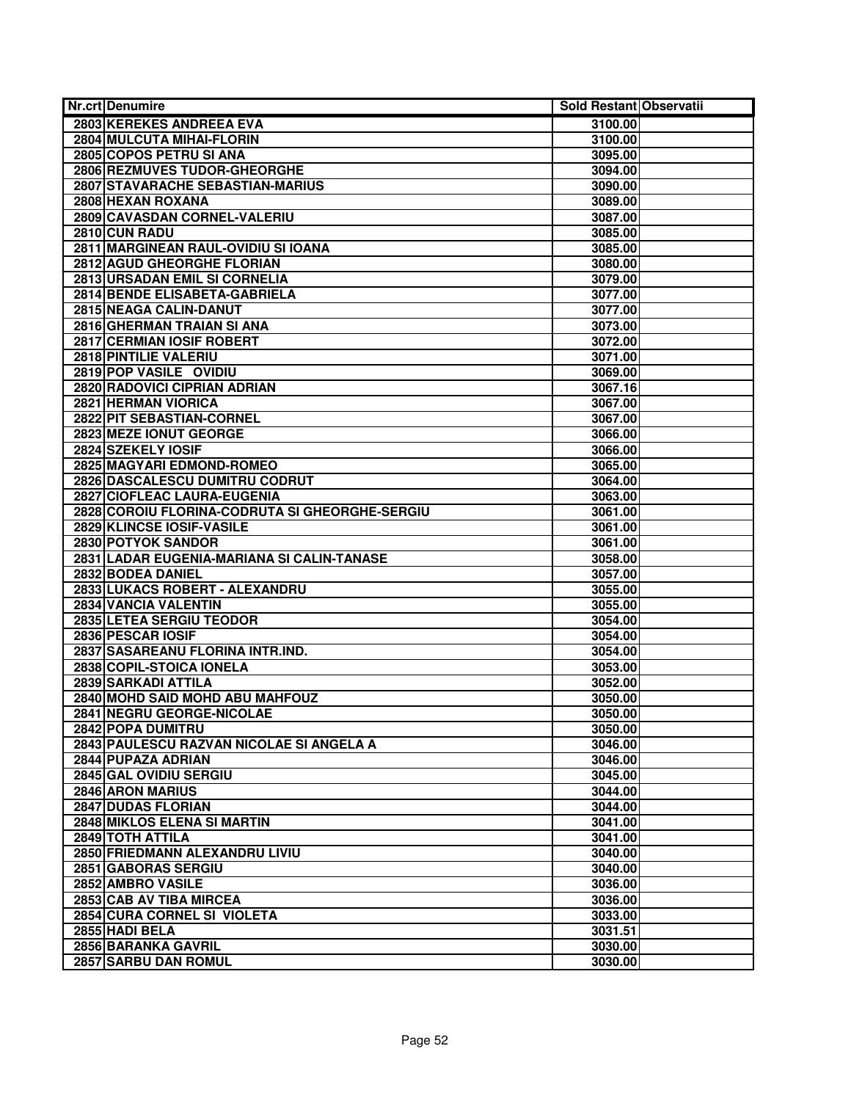| <b>Nr.crt Denumire</b>                         | Sold Restant Observatii |  |
|------------------------------------------------|-------------------------|--|
| 2803 KEREKES ANDREEA EVA                       | 3100.00                 |  |
| <b>2804 MULCUTA MIHAI-FLORIN</b>               | 3100.00                 |  |
| 2805 COPOS PETRU SI ANA                        | 3095.00                 |  |
| 2806 REZMUVES TUDOR-GHEORGHE                   | 3094.00                 |  |
| 2807 STAVARACHE SEBASTIAN-MARIUS               | 3090.00                 |  |
| 2808 HEXAN ROXANA                              | 3089.00                 |  |
| 2809 CAVASDAN CORNEL-VALERIU                   | 3087.00                 |  |
| 2810 CUN RADU                                  | 3085.00                 |  |
| 2811 MARGINEAN RAUL-OVIDIU SI IOANA            | 3085.00                 |  |
| 2812 AGUD GHEORGHE FLORIAN                     | 3080.00                 |  |
| 2813 URSADAN EMIL SI CORNELIA                  | 3079.00                 |  |
| 2814 BENDE ELISABETA-GABRIELA                  | 3077.00                 |  |
| 2815 NEAGA CALIN-DANUT                         | 3077.00                 |  |
| 2816 GHERMAN TRAIAN SI ANA                     | 3073.00                 |  |
| 2817 CERMIAN IOSIF ROBERT                      | 3072.00                 |  |
| 2818 PINTILIE VALERIU                          | 3071.00                 |  |
| 2819 POP VASILE OVIDIU                         | 3069.00                 |  |
| 2820 RADOVICI CIPRIAN ADRIAN                   | 3067.16                 |  |
| 2821 HERMAN VIORICA                            | 3067.00                 |  |
| 2822 PIT SEBASTIAN-CORNEL                      | 3067.00                 |  |
| 2823 MEZE IONUT GEORGE                         | 3066.00                 |  |
| 2824 SZEKELY IOSIF                             | 3066.00                 |  |
| 2825 MAGYARI EDMOND-ROMEO                      | 3065.00                 |  |
| 2826 DASCALESCU DUMITRU CODRUT                 | 3064.00                 |  |
| 2827 CIOFLEAC LAURA-EUGENIA                    | 3063.00                 |  |
| 2828 COROIU FLORINA-CODRUTA SI GHEORGHE-SERGIU | 3061.00                 |  |
| 2829 KLINCSE IOSIF-VASILE                      | 3061.00                 |  |
| 2830 POTYOK SANDOR                             | 3061.00                 |  |
| 2831 LADAR EUGENIA-MARIANA SI CALIN-TANASE     | 3058.00                 |  |
| 2832 BODEA DANIEL                              | 3057.00                 |  |
| 2833 LUKACS ROBERT - ALEXANDRU                 | 3055.00                 |  |
| 2834 VANCIA VALENTIN                           | 3055.00                 |  |
| 2835 LETEA SERGIU TEODOR                       | 3054.00                 |  |
| 2836 PESCAR IOSIF                              | 3054.00                 |  |
| 2837 SASAREANU FLORINA INTR.IND.               | 3054.00                 |  |
| 2838 COPIL-STOICA IONELA                       | 3053.00                 |  |
| 2839 SARKADI ATTILA                            | 3052.00                 |  |
| 2840 MOHD SAID MOHD ABU MAHFOUZ                | 3050.00                 |  |
| 2841 NEGRU GEORGE-NICOLAE                      | 3050.00                 |  |
| 2842 POPA DUMITRU                              | 3050.00                 |  |
| 2843 PAULESCU RAZVAN NICOLAE SI ANGELA A       | 3046.00                 |  |
| 2844 PUPAZA ADRIAN                             | 3046.00                 |  |
| 2845 GAL OVIDIU SERGIU                         | 3045.00                 |  |
| 2846 ARON MARIUS                               | 3044.00                 |  |
| 2847 DUDAS FLORIAN                             | 3044.00                 |  |
| 2848 MIKLOS ELENA SI MARTIN                    | 3041.00                 |  |
| 2849 TOTH ATTILA                               | 3041.00                 |  |
| 2850 FRIEDMANN ALEXANDRU LIVIU                 | 3040.00                 |  |
| 2851 GABORAS SERGIU                            | 3040.00                 |  |
| 2852 AMBRO VASILE                              | 3036.00                 |  |
| 2853 CAB AV TIBA MIRCEA                        | 3036.00                 |  |
| 2854 CURA CORNEL SI VIOLETA                    | 3033.00                 |  |
| 2855 HADI BELA                                 | 3031.51                 |  |
| 2856 BARANKA GAVRIL                            | 3030.00                 |  |
| 2857 SARBU DAN ROMUL                           | 3030.00                 |  |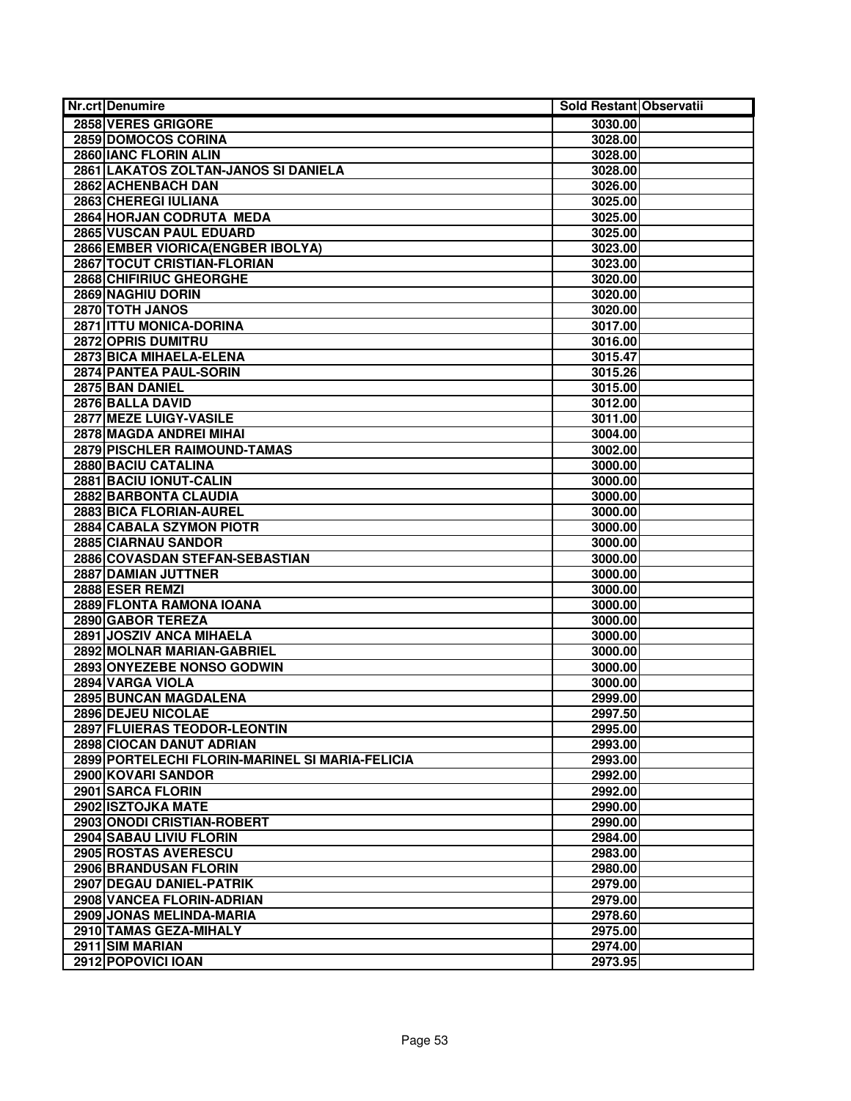| 2858 VERES GRIGORE<br>3030.00<br>2859 DOMOCOS CORINA<br>3028.00<br>2860 IANC FLORIN ALIN<br>3028.00<br>2861 LAKATOS ZOLTAN-JANOS SI DANIELA<br>3028.00<br>2862 ACHENBACH DAN<br>3026.00<br>2863 CHEREGI IULIANA<br>3025.00<br>2864 HORJAN CODRUTA MEDA<br>3025.00<br>2865 VUSCAN PAUL EDUARD<br>3025.00<br>2866 EMBER VIORICA (ENGBER IBOLYA)<br>3023.00<br>2867 TOCUT CRISTIAN-FLORIAN<br>3023.00<br>2868 CHIFIRIUC GHEORGHE<br>3020.00<br>2869 NAGHIU DORIN<br>3020.00<br>2870 TOTH JANOS<br>3020.00<br>2871 ITTU MONICA-DORINA<br>3017.00<br>2872 OPRIS DUMITRU<br>3016.00<br>2873 BICA MIHAELA-ELENA<br>3015.47<br>2874 PANTEA PAUL-SORIN<br>3015.26<br>2875 BAN DANIEL<br>3015.00<br>2876 BALLA DAVID<br>3012.00<br>2877 MEZE LUIGY-VASILE<br>3011.00<br>2878 MAGDA ANDREI MIHAI<br>3004.00<br>2879 PISCHLER RAIMOUND-TAMAS<br>3002.00<br>2880 BACIU CATALINA<br>3000.00<br>2881 BACIU IONUT-CALIN<br>3000.00<br>2882 BARBONTA CLAUDIA<br>3000.00<br>2883 BICA FLORIAN-AUREL<br>3000.00<br><b>2884 CABALA SZYMON PIOTR</b><br>3000.00<br>2885 CIARNAU SANDOR<br>3000.00<br>2886 COVASDAN STEFAN-SEBASTIAN<br>3000.00<br>2887 DAMIAN JUTTNER<br>3000.00<br>2888 ESER REMZI<br>3000.00<br>2889 FLONTA RAMONA IOANA<br>3000.00<br>2890 GABOR TEREZA<br>3000.00<br>2891 JOSZIV ANCA MIHAELA<br>3000.00<br>2892 MOLNAR MARIAN-GABRIEL<br>3000.00<br>2893 ONYEZEBE NONSO GODWIN<br>3000.00<br>2894 VARGA VIOLA<br>3000.00<br>2895 BUNCAN MAGDALENA<br>2999.00<br>2896 DEJEU NICOLAE<br>2997.50<br>2897 FLUIERAS TEODOR-LEONTIN<br>2995.00<br>2898 CIOCAN DANUT ADRIAN<br>2993.00<br>2899 PORTELECHI FLORIN-MARINEL SI MARIA-FELICIA<br>2993.00<br>2900 KOVARI SANDOR<br>2992.00<br>2901 SARCA FLORIN<br>2992.00<br>2902 ISZTOJKA MATE<br>2990.00<br>2903 ONODI CRISTIAN-ROBERT<br>2990.00<br>2904 SABAU LIVIU FLORIN<br>2984.00<br>2905 ROSTAS AVERESCU<br>2983.00<br>2906 BRANDUSAN FLORIN<br>2980.00<br>2907 DEGAU DANIEL-PATRIK<br>2979.00<br>2908 VANCEA FLORIN-ADRIAN<br>2979.00<br>2909 JONAS MELINDA-MARIA<br>2978.60<br>2910 TAMAS GEZA-MIHALY<br>2975.00 | <b>Nr.crt Denumire</b> | Sold Restant Observatii |
|------------------------------------------------------------------------------------------------------------------------------------------------------------------------------------------------------------------------------------------------------------------------------------------------------------------------------------------------------------------------------------------------------------------------------------------------------------------------------------------------------------------------------------------------------------------------------------------------------------------------------------------------------------------------------------------------------------------------------------------------------------------------------------------------------------------------------------------------------------------------------------------------------------------------------------------------------------------------------------------------------------------------------------------------------------------------------------------------------------------------------------------------------------------------------------------------------------------------------------------------------------------------------------------------------------------------------------------------------------------------------------------------------------------------------------------------------------------------------------------------------------------------------------------------------------------------------------------------------------------------------------------------------------------------------------------------------------------------------------------------------------------------------------------------------------------------------------------------------------------------------------------------------------------------------------------------------------------------------------------------------------------------------------------------------------------|------------------------|-------------------------|
|                                                                                                                                                                                                                                                                                                                                                                                                                                                                                                                                                                                                                                                                                                                                                                                                                                                                                                                                                                                                                                                                                                                                                                                                                                                                                                                                                                                                                                                                                                                                                                                                                                                                                                                                                                                                                                                                                                                                                                                                                                                                  |                        |                         |
|                                                                                                                                                                                                                                                                                                                                                                                                                                                                                                                                                                                                                                                                                                                                                                                                                                                                                                                                                                                                                                                                                                                                                                                                                                                                                                                                                                                                                                                                                                                                                                                                                                                                                                                                                                                                                                                                                                                                                                                                                                                                  |                        |                         |
|                                                                                                                                                                                                                                                                                                                                                                                                                                                                                                                                                                                                                                                                                                                                                                                                                                                                                                                                                                                                                                                                                                                                                                                                                                                                                                                                                                                                                                                                                                                                                                                                                                                                                                                                                                                                                                                                                                                                                                                                                                                                  |                        |                         |
|                                                                                                                                                                                                                                                                                                                                                                                                                                                                                                                                                                                                                                                                                                                                                                                                                                                                                                                                                                                                                                                                                                                                                                                                                                                                                                                                                                                                                                                                                                                                                                                                                                                                                                                                                                                                                                                                                                                                                                                                                                                                  |                        |                         |
|                                                                                                                                                                                                                                                                                                                                                                                                                                                                                                                                                                                                                                                                                                                                                                                                                                                                                                                                                                                                                                                                                                                                                                                                                                                                                                                                                                                                                                                                                                                                                                                                                                                                                                                                                                                                                                                                                                                                                                                                                                                                  |                        |                         |
|                                                                                                                                                                                                                                                                                                                                                                                                                                                                                                                                                                                                                                                                                                                                                                                                                                                                                                                                                                                                                                                                                                                                                                                                                                                                                                                                                                                                                                                                                                                                                                                                                                                                                                                                                                                                                                                                                                                                                                                                                                                                  |                        |                         |
|                                                                                                                                                                                                                                                                                                                                                                                                                                                                                                                                                                                                                                                                                                                                                                                                                                                                                                                                                                                                                                                                                                                                                                                                                                                                                                                                                                                                                                                                                                                                                                                                                                                                                                                                                                                                                                                                                                                                                                                                                                                                  |                        |                         |
|                                                                                                                                                                                                                                                                                                                                                                                                                                                                                                                                                                                                                                                                                                                                                                                                                                                                                                                                                                                                                                                                                                                                                                                                                                                                                                                                                                                                                                                                                                                                                                                                                                                                                                                                                                                                                                                                                                                                                                                                                                                                  |                        |                         |
|                                                                                                                                                                                                                                                                                                                                                                                                                                                                                                                                                                                                                                                                                                                                                                                                                                                                                                                                                                                                                                                                                                                                                                                                                                                                                                                                                                                                                                                                                                                                                                                                                                                                                                                                                                                                                                                                                                                                                                                                                                                                  |                        |                         |
|                                                                                                                                                                                                                                                                                                                                                                                                                                                                                                                                                                                                                                                                                                                                                                                                                                                                                                                                                                                                                                                                                                                                                                                                                                                                                                                                                                                                                                                                                                                                                                                                                                                                                                                                                                                                                                                                                                                                                                                                                                                                  |                        |                         |
|                                                                                                                                                                                                                                                                                                                                                                                                                                                                                                                                                                                                                                                                                                                                                                                                                                                                                                                                                                                                                                                                                                                                                                                                                                                                                                                                                                                                                                                                                                                                                                                                                                                                                                                                                                                                                                                                                                                                                                                                                                                                  |                        |                         |
|                                                                                                                                                                                                                                                                                                                                                                                                                                                                                                                                                                                                                                                                                                                                                                                                                                                                                                                                                                                                                                                                                                                                                                                                                                                                                                                                                                                                                                                                                                                                                                                                                                                                                                                                                                                                                                                                                                                                                                                                                                                                  |                        |                         |
|                                                                                                                                                                                                                                                                                                                                                                                                                                                                                                                                                                                                                                                                                                                                                                                                                                                                                                                                                                                                                                                                                                                                                                                                                                                                                                                                                                                                                                                                                                                                                                                                                                                                                                                                                                                                                                                                                                                                                                                                                                                                  |                        |                         |
|                                                                                                                                                                                                                                                                                                                                                                                                                                                                                                                                                                                                                                                                                                                                                                                                                                                                                                                                                                                                                                                                                                                                                                                                                                                                                                                                                                                                                                                                                                                                                                                                                                                                                                                                                                                                                                                                                                                                                                                                                                                                  |                        |                         |
|                                                                                                                                                                                                                                                                                                                                                                                                                                                                                                                                                                                                                                                                                                                                                                                                                                                                                                                                                                                                                                                                                                                                                                                                                                                                                                                                                                                                                                                                                                                                                                                                                                                                                                                                                                                                                                                                                                                                                                                                                                                                  |                        |                         |
|                                                                                                                                                                                                                                                                                                                                                                                                                                                                                                                                                                                                                                                                                                                                                                                                                                                                                                                                                                                                                                                                                                                                                                                                                                                                                                                                                                                                                                                                                                                                                                                                                                                                                                                                                                                                                                                                                                                                                                                                                                                                  |                        |                         |
|                                                                                                                                                                                                                                                                                                                                                                                                                                                                                                                                                                                                                                                                                                                                                                                                                                                                                                                                                                                                                                                                                                                                                                                                                                                                                                                                                                                                                                                                                                                                                                                                                                                                                                                                                                                                                                                                                                                                                                                                                                                                  |                        |                         |
|                                                                                                                                                                                                                                                                                                                                                                                                                                                                                                                                                                                                                                                                                                                                                                                                                                                                                                                                                                                                                                                                                                                                                                                                                                                                                                                                                                                                                                                                                                                                                                                                                                                                                                                                                                                                                                                                                                                                                                                                                                                                  |                        |                         |
|                                                                                                                                                                                                                                                                                                                                                                                                                                                                                                                                                                                                                                                                                                                                                                                                                                                                                                                                                                                                                                                                                                                                                                                                                                                                                                                                                                                                                                                                                                                                                                                                                                                                                                                                                                                                                                                                                                                                                                                                                                                                  |                        |                         |
|                                                                                                                                                                                                                                                                                                                                                                                                                                                                                                                                                                                                                                                                                                                                                                                                                                                                                                                                                                                                                                                                                                                                                                                                                                                                                                                                                                                                                                                                                                                                                                                                                                                                                                                                                                                                                                                                                                                                                                                                                                                                  |                        |                         |
|                                                                                                                                                                                                                                                                                                                                                                                                                                                                                                                                                                                                                                                                                                                                                                                                                                                                                                                                                                                                                                                                                                                                                                                                                                                                                                                                                                                                                                                                                                                                                                                                                                                                                                                                                                                                                                                                                                                                                                                                                                                                  |                        |                         |
|                                                                                                                                                                                                                                                                                                                                                                                                                                                                                                                                                                                                                                                                                                                                                                                                                                                                                                                                                                                                                                                                                                                                                                                                                                                                                                                                                                                                                                                                                                                                                                                                                                                                                                                                                                                                                                                                                                                                                                                                                                                                  |                        |                         |
|                                                                                                                                                                                                                                                                                                                                                                                                                                                                                                                                                                                                                                                                                                                                                                                                                                                                                                                                                                                                                                                                                                                                                                                                                                                                                                                                                                                                                                                                                                                                                                                                                                                                                                                                                                                                                                                                                                                                                                                                                                                                  |                        |                         |
|                                                                                                                                                                                                                                                                                                                                                                                                                                                                                                                                                                                                                                                                                                                                                                                                                                                                                                                                                                                                                                                                                                                                                                                                                                                                                                                                                                                                                                                                                                                                                                                                                                                                                                                                                                                                                                                                                                                                                                                                                                                                  |                        |                         |
|                                                                                                                                                                                                                                                                                                                                                                                                                                                                                                                                                                                                                                                                                                                                                                                                                                                                                                                                                                                                                                                                                                                                                                                                                                                                                                                                                                                                                                                                                                                                                                                                                                                                                                                                                                                                                                                                                                                                                                                                                                                                  |                        |                         |
|                                                                                                                                                                                                                                                                                                                                                                                                                                                                                                                                                                                                                                                                                                                                                                                                                                                                                                                                                                                                                                                                                                                                                                                                                                                                                                                                                                                                                                                                                                                                                                                                                                                                                                                                                                                                                                                                                                                                                                                                                                                                  |                        |                         |
|                                                                                                                                                                                                                                                                                                                                                                                                                                                                                                                                                                                                                                                                                                                                                                                                                                                                                                                                                                                                                                                                                                                                                                                                                                                                                                                                                                                                                                                                                                                                                                                                                                                                                                                                                                                                                                                                                                                                                                                                                                                                  |                        |                         |
|                                                                                                                                                                                                                                                                                                                                                                                                                                                                                                                                                                                                                                                                                                                                                                                                                                                                                                                                                                                                                                                                                                                                                                                                                                                                                                                                                                                                                                                                                                                                                                                                                                                                                                                                                                                                                                                                                                                                                                                                                                                                  |                        |                         |
|                                                                                                                                                                                                                                                                                                                                                                                                                                                                                                                                                                                                                                                                                                                                                                                                                                                                                                                                                                                                                                                                                                                                                                                                                                                                                                                                                                                                                                                                                                                                                                                                                                                                                                                                                                                                                                                                                                                                                                                                                                                                  |                        |                         |
|                                                                                                                                                                                                                                                                                                                                                                                                                                                                                                                                                                                                                                                                                                                                                                                                                                                                                                                                                                                                                                                                                                                                                                                                                                                                                                                                                                                                                                                                                                                                                                                                                                                                                                                                                                                                                                                                                                                                                                                                                                                                  |                        |                         |
|                                                                                                                                                                                                                                                                                                                                                                                                                                                                                                                                                                                                                                                                                                                                                                                                                                                                                                                                                                                                                                                                                                                                                                                                                                                                                                                                                                                                                                                                                                                                                                                                                                                                                                                                                                                                                                                                                                                                                                                                                                                                  |                        |                         |
|                                                                                                                                                                                                                                                                                                                                                                                                                                                                                                                                                                                                                                                                                                                                                                                                                                                                                                                                                                                                                                                                                                                                                                                                                                                                                                                                                                                                                                                                                                                                                                                                                                                                                                                                                                                                                                                                                                                                                                                                                                                                  |                        |                         |
|                                                                                                                                                                                                                                                                                                                                                                                                                                                                                                                                                                                                                                                                                                                                                                                                                                                                                                                                                                                                                                                                                                                                                                                                                                                                                                                                                                                                                                                                                                                                                                                                                                                                                                                                                                                                                                                                                                                                                                                                                                                                  |                        |                         |
|                                                                                                                                                                                                                                                                                                                                                                                                                                                                                                                                                                                                                                                                                                                                                                                                                                                                                                                                                                                                                                                                                                                                                                                                                                                                                                                                                                                                                                                                                                                                                                                                                                                                                                                                                                                                                                                                                                                                                                                                                                                                  |                        |                         |
|                                                                                                                                                                                                                                                                                                                                                                                                                                                                                                                                                                                                                                                                                                                                                                                                                                                                                                                                                                                                                                                                                                                                                                                                                                                                                                                                                                                                                                                                                                                                                                                                                                                                                                                                                                                                                                                                                                                                                                                                                                                                  |                        |                         |
|                                                                                                                                                                                                                                                                                                                                                                                                                                                                                                                                                                                                                                                                                                                                                                                                                                                                                                                                                                                                                                                                                                                                                                                                                                                                                                                                                                                                                                                                                                                                                                                                                                                                                                                                                                                                                                                                                                                                                                                                                                                                  |                        |                         |
|                                                                                                                                                                                                                                                                                                                                                                                                                                                                                                                                                                                                                                                                                                                                                                                                                                                                                                                                                                                                                                                                                                                                                                                                                                                                                                                                                                                                                                                                                                                                                                                                                                                                                                                                                                                                                                                                                                                                                                                                                                                                  |                        |                         |
|                                                                                                                                                                                                                                                                                                                                                                                                                                                                                                                                                                                                                                                                                                                                                                                                                                                                                                                                                                                                                                                                                                                                                                                                                                                                                                                                                                                                                                                                                                                                                                                                                                                                                                                                                                                                                                                                                                                                                                                                                                                                  |                        |                         |
|                                                                                                                                                                                                                                                                                                                                                                                                                                                                                                                                                                                                                                                                                                                                                                                                                                                                                                                                                                                                                                                                                                                                                                                                                                                                                                                                                                                                                                                                                                                                                                                                                                                                                                                                                                                                                                                                                                                                                                                                                                                                  |                        |                         |
|                                                                                                                                                                                                                                                                                                                                                                                                                                                                                                                                                                                                                                                                                                                                                                                                                                                                                                                                                                                                                                                                                                                                                                                                                                                                                                                                                                                                                                                                                                                                                                                                                                                                                                                                                                                                                                                                                                                                                                                                                                                                  |                        |                         |
|                                                                                                                                                                                                                                                                                                                                                                                                                                                                                                                                                                                                                                                                                                                                                                                                                                                                                                                                                                                                                                                                                                                                                                                                                                                                                                                                                                                                                                                                                                                                                                                                                                                                                                                                                                                                                                                                                                                                                                                                                                                                  |                        |                         |
|                                                                                                                                                                                                                                                                                                                                                                                                                                                                                                                                                                                                                                                                                                                                                                                                                                                                                                                                                                                                                                                                                                                                                                                                                                                                                                                                                                                                                                                                                                                                                                                                                                                                                                                                                                                                                                                                                                                                                                                                                                                                  |                        |                         |
|                                                                                                                                                                                                                                                                                                                                                                                                                                                                                                                                                                                                                                                                                                                                                                                                                                                                                                                                                                                                                                                                                                                                                                                                                                                                                                                                                                                                                                                                                                                                                                                                                                                                                                                                                                                                                                                                                                                                                                                                                                                                  |                        |                         |
|                                                                                                                                                                                                                                                                                                                                                                                                                                                                                                                                                                                                                                                                                                                                                                                                                                                                                                                                                                                                                                                                                                                                                                                                                                                                                                                                                                                                                                                                                                                                                                                                                                                                                                                                                                                                                                                                                                                                                                                                                                                                  |                        |                         |
|                                                                                                                                                                                                                                                                                                                                                                                                                                                                                                                                                                                                                                                                                                                                                                                                                                                                                                                                                                                                                                                                                                                                                                                                                                                                                                                                                                                                                                                                                                                                                                                                                                                                                                                                                                                                                                                                                                                                                                                                                                                                  |                        |                         |
|                                                                                                                                                                                                                                                                                                                                                                                                                                                                                                                                                                                                                                                                                                                                                                                                                                                                                                                                                                                                                                                                                                                                                                                                                                                                                                                                                                                                                                                                                                                                                                                                                                                                                                                                                                                                                                                                                                                                                                                                                                                                  |                        |                         |
|                                                                                                                                                                                                                                                                                                                                                                                                                                                                                                                                                                                                                                                                                                                                                                                                                                                                                                                                                                                                                                                                                                                                                                                                                                                                                                                                                                                                                                                                                                                                                                                                                                                                                                                                                                                                                                                                                                                                                                                                                                                                  |                        |                         |
|                                                                                                                                                                                                                                                                                                                                                                                                                                                                                                                                                                                                                                                                                                                                                                                                                                                                                                                                                                                                                                                                                                                                                                                                                                                                                                                                                                                                                                                                                                                                                                                                                                                                                                                                                                                                                                                                                                                                                                                                                                                                  |                        |                         |
|                                                                                                                                                                                                                                                                                                                                                                                                                                                                                                                                                                                                                                                                                                                                                                                                                                                                                                                                                                                                                                                                                                                                                                                                                                                                                                                                                                                                                                                                                                                                                                                                                                                                                                                                                                                                                                                                                                                                                                                                                                                                  |                        |                         |
|                                                                                                                                                                                                                                                                                                                                                                                                                                                                                                                                                                                                                                                                                                                                                                                                                                                                                                                                                                                                                                                                                                                                                                                                                                                                                                                                                                                                                                                                                                                                                                                                                                                                                                                                                                                                                                                                                                                                                                                                                                                                  |                        |                         |
|                                                                                                                                                                                                                                                                                                                                                                                                                                                                                                                                                                                                                                                                                                                                                                                                                                                                                                                                                                                                                                                                                                                                                                                                                                                                                                                                                                                                                                                                                                                                                                                                                                                                                                                                                                                                                                                                                                                                                                                                                                                                  |                        |                         |
|                                                                                                                                                                                                                                                                                                                                                                                                                                                                                                                                                                                                                                                                                                                                                                                                                                                                                                                                                                                                                                                                                                                                                                                                                                                                                                                                                                                                                                                                                                                                                                                                                                                                                                                                                                                                                                                                                                                                                                                                                                                                  |                        |                         |
|                                                                                                                                                                                                                                                                                                                                                                                                                                                                                                                                                                                                                                                                                                                                                                                                                                                                                                                                                                                                                                                                                                                                                                                                                                                                                                                                                                                                                                                                                                                                                                                                                                                                                                                                                                                                                                                                                                                                                                                                                                                                  |                        |                         |
| 2911 SIM MARIAN                                                                                                                                                                                                                                                                                                                                                                                                                                                                                                                                                                                                                                                                                                                                                                                                                                                                                                                                                                                                                                                                                                                                                                                                                                                                                                                                                                                                                                                                                                                                                                                                                                                                                                                                                                                                                                                                                                                                                                                                                                                  |                        | 2974.00                 |
| 2912 POPOVICI IOAN<br>2973.95                                                                                                                                                                                                                                                                                                                                                                                                                                                                                                                                                                                                                                                                                                                                                                                                                                                                                                                                                                                                                                                                                                                                                                                                                                                                                                                                                                                                                                                                                                                                                                                                                                                                                                                                                                                                                                                                                                                                                                                                                                    |                        |                         |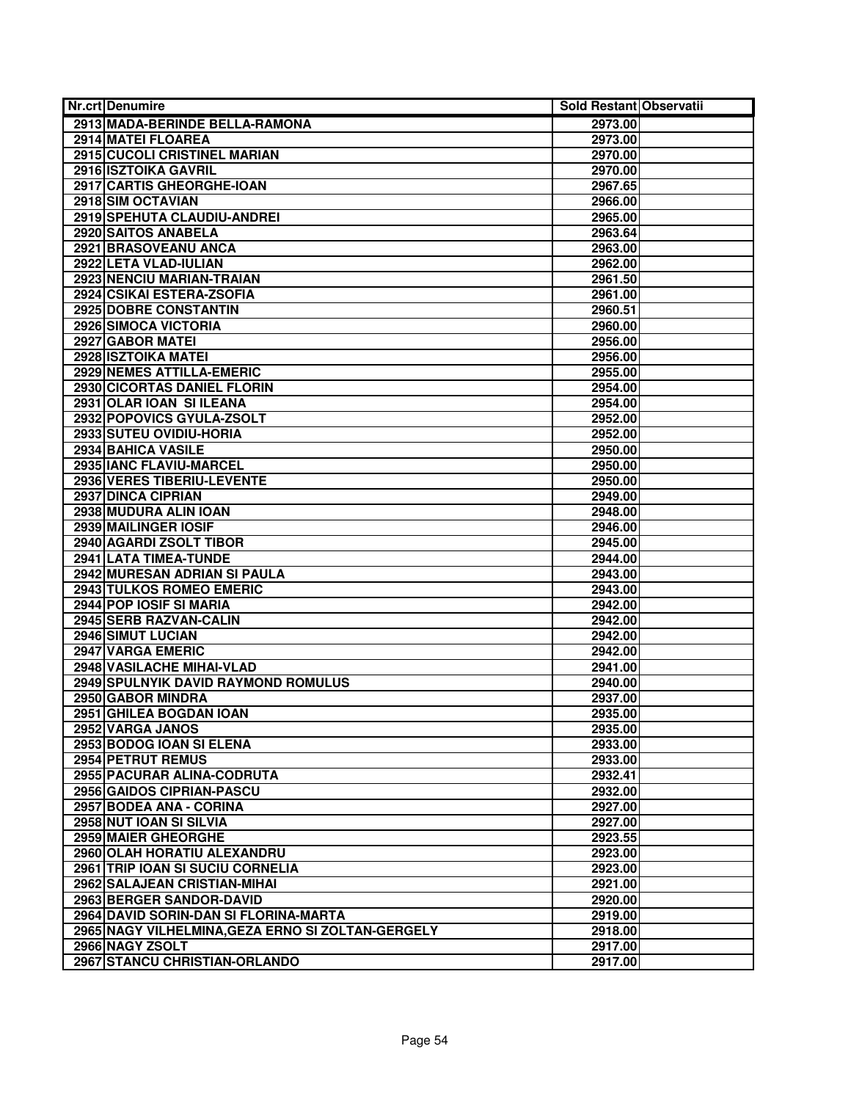| <b>Nr.crt Denumire</b>                                               | Sold Restant Observatii |  |
|----------------------------------------------------------------------|-------------------------|--|
| 2913 MADA-BERINDE BELLA-RAMONA                                       | 2973.00                 |  |
| 2914 MATEI FLOAREA                                                   | 2973.00                 |  |
| 2915 CUCOLI CRISTINEL MARIAN                                         | 2970.00                 |  |
| 2916 ISZTOIKA GAVRIL                                                 | 2970.00                 |  |
| 2917 CARTIS GHEORGHE-IOAN                                            | 2967.65                 |  |
| 2918 SIM OCTAVIAN                                                    | 2966.00                 |  |
| 2919 SPEHUTA CLAUDIU-ANDREI                                          | 2965.00                 |  |
| 2920 SAITOS ANABELA                                                  | 2963.64                 |  |
| 2921 BRASOVEANU ANCA                                                 | 2963.00                 |  |
| 2922 LETA VLAD-IULIAN                                                | 2962.00                 |  |
| <b>2923 NENCIU MARIAN-TRAIAN</b>                                     | 2961.50                 |  |
| 2924 CSIKAI ESTERA-ZSOFIA                                            | 2961.00                 |  |
| 2925 DOBRE CONSTANTIN                                                | 2960.51                 |  |
| 2926 SIMOCA VICTORIA                                                 | 2960.00                 |  |
| 2927 GABOR MATEI                                                     | 2956.00                 |  |
| 2928 ISZTOIKA MATEI                                                  | 2956.00                 |  |
| 2929 NEMES ATTILLA-EMERIC                                            | 2955.00                 |  |
| 2930 CICORTAS DANIEL FLORIN                                          | 2954.00                 |  |
| 2931 OLAR IOAN SI ILEANA                                             | 2954.00                 |  |
| 2932 POPOVICS GYULA-ZSOLT                                            | 2952.00                 |  |
| 2933 SUTEU OVIDIU-HORIA                                              | 2952.00                 |  |
| 2934 BAHICA VASILE                                                   | 2950.00                 |  |
| 2935 IANC FLAVIU-MARCEL                                              | 2950.00                 |  |
| <b>2936 VERES TIBERIU-LEVENTE</b>                                    | 2950.00                 |  |
| 2937 DINCA CIPRIAN                                                   | 2949.00                 |  |
| 2938 MUDURA ALIN IOAN                                                | 2948.00                 |  |
| 2939 MAILINGER IOSIF                                                 | 2946.00                 |  |
| 2940 AGARDI ZSOLT TIBOR                                              | 2945.00                 |  |
| 2941 LATA TIMEA-TUNDE                                                | 2944.00                 |  |
| 2942 MURESAN ADRIAN SI PAULA                                         | 2943.00                 |  |
| <b>2943 TULKOS ROMEO EMERIC</b>                                      | 2943.00                 |  |
| 2944 POP IOSIF SI MARIA                                              | 2942.00                 |  |
| 2945 SERB RAZVAN-CALIN                                               | 2942.00                 |  |
| 2946 SIMUT LUCIAN                                                    | 2942.00                 |  |
| 2947 VARGA EMERIC                                                    | 2942.00                 |  |
| 2948 VASILACHE MIHAI-VLAD                                            | 2941.00                 |  |
| 2949 SPULNYIK DAVID RAYMOND ROMULUS                                  | 2940.00                 |  |
| 2950 GABOR MINDRA                                                    | 2937.00                 |  |
| 2951 GHILEA BOGDAN IOAN                                              | 2935.00                 |  |
| 2952 VARGA JANOS                                                     | 2935.00                 |  |
| 2953 BODOG IOAN SI ELENA                                             | 2933.00                 |  |
| 2954 PETRUT REMUS                                                    | 2933.00                 |  |
| 2955 PACURAR ALINA-CODRUTA                                           | 2932.41                 |  |
| 2956 GAIDOS CIPRIAN-PASCU                                            | 2932.00                 |  |
| 2957 BODEA ANA - CORINA                                              | 2927.00                 |  |
| 2958 NUT IOAN SI SILVIA                                              | 2927.00                 |  |
| 2959 MAIER GHEORGHE                                                  | 2923.55                 |  |
| 2960 OLAH HORATIU ALEXANDRU                                          | 2923.00                 |  |
| 2961 TRIP IOAN SI SUCIU CORNELIA                                     | 2923.00                 |  |
| 2962 SALAJEAN CRISTIAN-MIHAI                                         | 2921.00                 |  |
| 2963 BERGER SANDOR-DAVID                                             | 2920.00                 |  |
| 2964 DAVID SORIN-DAN SI FLORINA-MARTA                                | 2919.00                 |  |
| 2965 NAGY VILHELMINA, GEZA ERNO SI ZOLTAN-GERGELY<br>2966 NAGY ZSOLT | 2918.00                 |  |
| 2967 STANCU CHRISTIAN-ORLANDO                                        | 2917.00<br>2917.00      |  |
|                                                                      |                         |  |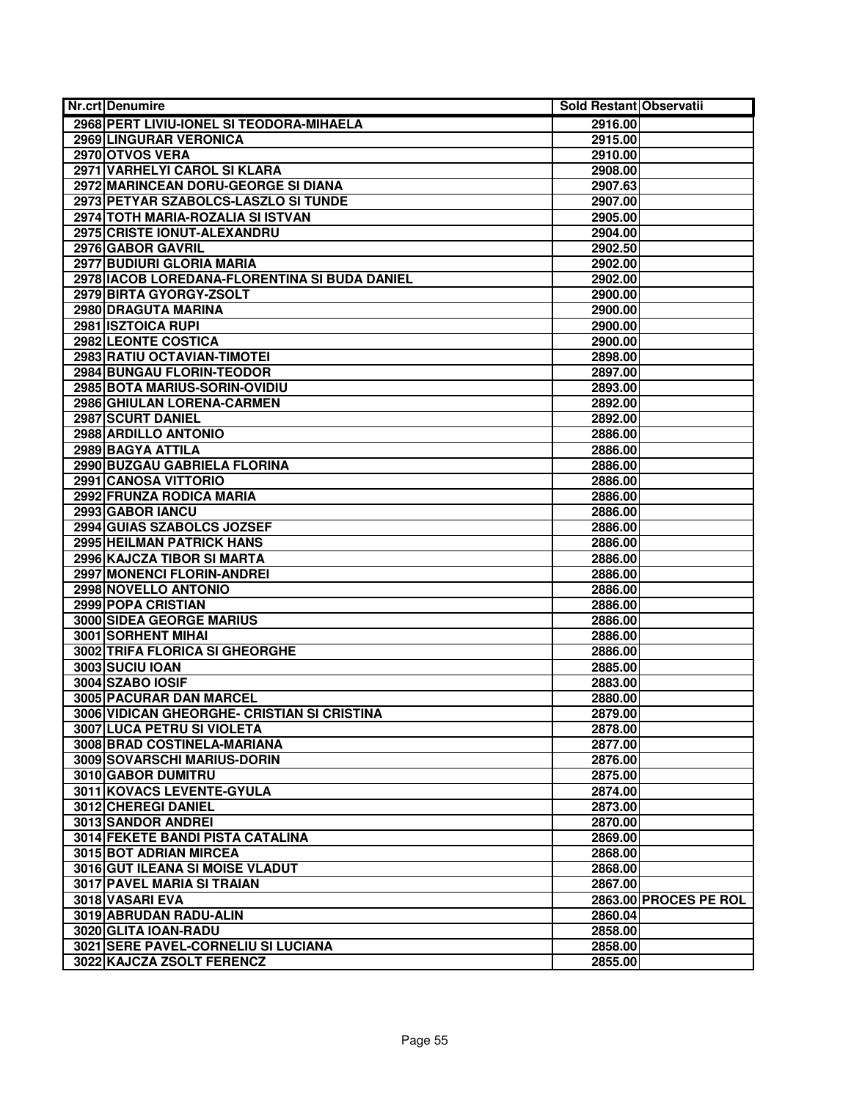| <b>Nr.crt Denumire</b>                         | Sold Restant Observatii |                       |
|------------------------------------------------|-------------------------|-----------------------|
| 2968 PERT LIVIU-IONEL SI TEODORA-MIHAELA       | 2916.00                 |                       |
| <b>2969 LINGURAR VERONICA</b>                  | 2915.00                 |                       |
| 2970 OTVOS VERA                                | 2910.00                 |                       |
| 2971 VARHELYI CAROL SI KLARA                   | 2908.00                 |                       |
| 2972 MARINCEAN DORU-GEORGE SI DIANA            | 2907.63                 |                       |
| 2973 PETYAR SZABOLCS-LASZLO SI TUNDE           | 2907.00                 |                       |
| 2974 TOTH MARIA-ROZALIA SI ISTVAN              | 2905.00                 |                       |
| 2975 CRISTE IONUT-ALEXANDRU                    | 2904.00                 |                       |
| 2976 GABOR GAVRIL                              | 2902.50                 |                       |
| 2977 BUDIURI GLORIA MARIA                      | 2902.00                 |                       |
| 2978 IACOB LOREDANA-FLORENTINA SI BUDA DANIEL  | 2902.00                 |                       |
| 2979 BIRTA GYORGY-ZSOLT                        | 2900.00                 |                       |
| 2980 DRAGUTA MARINA                            | 2900.00                 |                       |
| 2981 ISZTOICA RUPI                             | 2900.00                 |                       |
| 2982 LEONTE COSTICA                            | 2900.00                 |                       |
| 2983 RATIU OCTAVIAN-TIMOTEI                    | 2898.00                 |                       |
| 2984 BUNGAU FLORIN-TEODOR                      | 2897.00                 |                       |
| 2985 BOTA MARIUS-SORIN-OVIDIU                  | 2893.00                 |                       |
| 2986 GHIULAN LORENA-CARMEN                     | 2892.00                 |                       |
| 2987 SCURT DANIEL                              | 2892.00                 |                       |
| 2988 ARDILLO ANTONIO                           | 2886.00                 |                       |
| 2989 BAGYA ATTILA                              | 2886.00                 |                       |
| 2990 BUZGAU GABRIELA FLORINA                   | 2886.00                 |                       |
| 2991 CANOSA VITTORIO                           | 2886.00                 |                       |
| 2992 FRUNZA RODICA MARIA                       | 2886.00                 |                       |
| 2993 GABOR IANCU                               | 2886.00                 |                       |
| 2994 GUIAS SZABOLCS JOZSEF                     | 2886.00                 |                       |
| <b>2995 HEILMAN PATRICK HANS</b>               | 2886.00                 |                       |
| 2996 KAJCZA TIBOR SI MARTA                     | 2886.00                 |                       |
| 2997 MONENCI FLORIN-ANDREI                     | 2886.00                 |                       |
| 2998 NOVELLO ANTONIO<br>2999 POPA CRISTIAN     | 2886.00                 |                       |
|                                                | 2886.00                 |                       |
| 3000 SIDEA GEORGE MARIUS<br>3001 SORHENT MIHAI | 2886.00<br>2886.00      |                       |
| 3002 TRIFA FLORICA SI GHEORGHE                 | 2886.00                 |                       |
| 3003 SUCIU IOAN                                | 2885.00                 |                       |
| 3004 SZABO IOSIF                               | 2883.00                 |                       |
| <b>3005 PACURAR DAN MARCEL</b>                 | 2880.00                 |                       |
| 3006 VIDICAN GHEORGHE- CRISTIAN SI CRISTINA    | 2879.00                 |                       |
| 3007 LUCA PETRU SI VIOLETA                     | 2878.00                 |                       |
| 3008 BRAD COSTINELA-MARIANA                    | 2877.00                 |                       |
| 3009 SOVARSCHI MARIUS-DORIN                    | 2876.00                 |                       |
| 3010 GABOR DUMITRU                             | 2875.00                 |                       |
| 3011 KOVACS LEVENTE-GYULA                      | 2874.00                 |                       |
| 3012 CHEREGI DANIEL                            | 2873.00                 |                       |
| 3013 SANDOR ANDREI                             | 2870.00                 |                       |
| 3014 FEKETE BANDI PISTA CATALINA               | 2869.00                 |                       |
| 3015 BOT ADRIAN MIRCEA                         | 2868.00                 |                       |
| 3016 GUT ILEANA SI MOISE VLADUT                | 2868.00                 |                       |
| 3017 PAVEL MARIA SI TRAIAN                     | 2867.00                 |                       |
| 3018 VASARI EVA                                |                         | 2863.00 PROCES PE ROL |
| 3019 ABRUDAN RADU-ALIN                         | 2860.04                 |                       |
| 3020 GLITA IOAN-RADU                           | 2858.00                 |                       |
| 3021 SERE PAVEL-CORNELIU SI LUCIANA            | 2858.00                 |                       |
| 3022 KAJCZA ZSOLT FERENCZ                      | 2855.00                 |                       |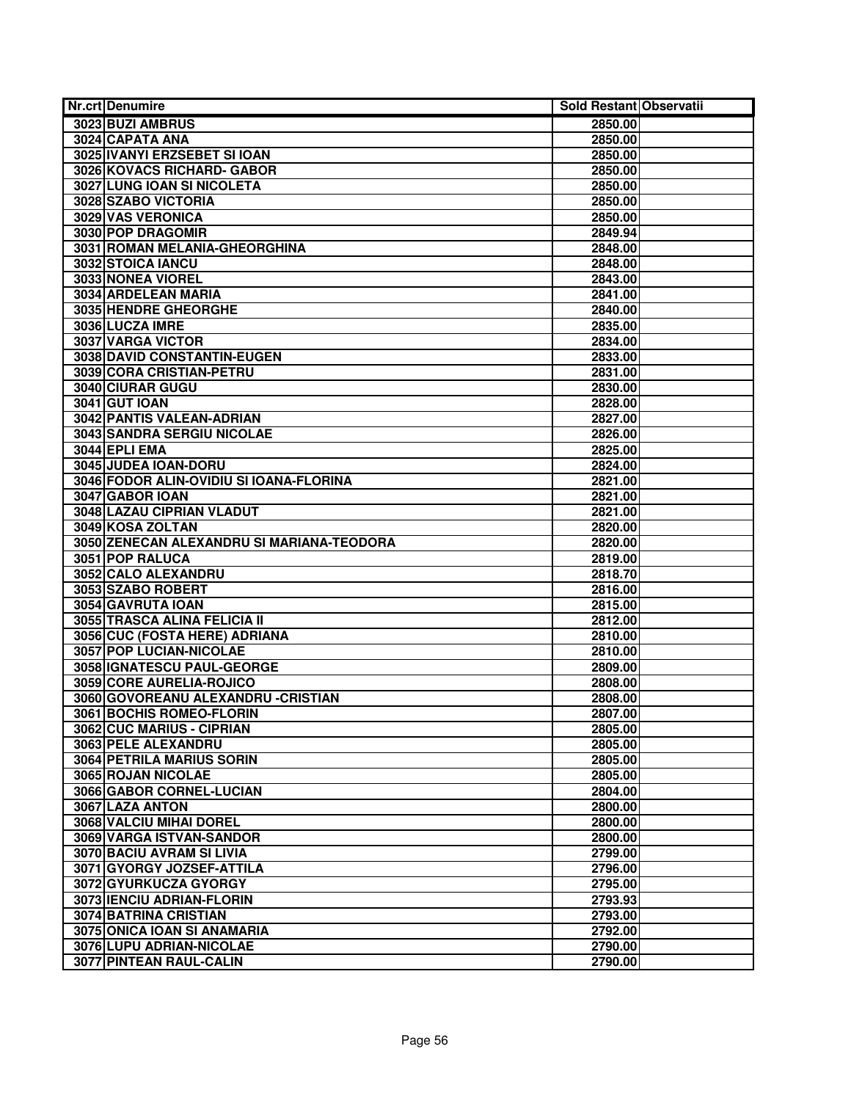| <b>Nr.crt Denumire</b>                    | Sold Restant Observatii |  |
|-------------------------------------------|-------------------------|--|
| 3023 BUZI AMBRUS                          | 2850.00                 |  |
| 3024 CAPATA ANA                           | 2850.00                 |  |
| 3025 IVANYI ERZSEBET SI IOAN              | 2850.00                 |  |
| 3026 KOVACS RICHARD- GABOR                | 2850.00                 |  |
| 3027 LUNG IOAN SI NICOLETA                | 2850.00                 |  |
| 3028 SZABO VICTORIA                       | 2850.00                 |  |
| 3029 VAS VERONICA                         | 2850.00                 |  |
| 3030 POP DRAGOMIR                         | 2849.94                 |  |
| 3031 ROMAN MELANIA-GHEORGHINA             | 2848.00                 |  |
| 3032 STOICA IANCU                         | 2848.00                 |  |
| 3033 NONEA VIOREL                         | 2843.00                 |  |
| 3034 ARDELEAN MARIA                       | 2841.00                 |  |
| 3035 HENDRE GHEORGHE                      | 2840.00                 |  |
| 3036 LUCZA IMRE                           | 2835.00                 |  |
| 3037 VARGA VICTOR                         | 2834.00                 |  |
| 3038 DAVID CONSTANTIN-EUGEN               | 2833.00                 |  |
| 3039 CORA CRISTIAN-PETRU                  | 2831.00                 |  |
| 3040 CIURAR GUGU                          | 2830.00                 |  |
| <b>3041 GUT IOAN</b>                      | 2828.00                 |  |
| 3042 PANTIS VALEAN-ADRIAN                 | 2827.00                 |  |
| 3043 SANDRA SERGIU NICOLAE                | 2826.00                 |  |
| <b>3044 EPLI EMA</b>                      | 2825.00                 |  |
| 3045 JUDEA IOAN-DORU                      | 2824.00                 |  |
| 3046 FODOR ALIN-OVIDIU SI IOANA-FLORINA   | 2821.00                 |  |
| 3047 GABOR IOAN                           | 2821.00                 |  |
| 3048 LAZAU CIPRIAN VLADUT                 | 2821.00                 |  |
| 3049 KOSA ZOLTAN                          | 2820.00                 |  |
| 3050 ZENECAN ALEXANDRU SI MARIANA-TEODORA | 2820.00                 |  |
| 3051 POP RALUCA                           | 2819.00                 |  |
| 3052 CALO ALEXANDRU                       | 2818.70                 |  |
| 3053 SZABO ROBERT                         | 2816.00                 |  |
| 3054 GAVRUTA IOAN                         | 2815.00                 |  |
| 3055 TRASCA ALINA FELICIA II              | 2812.00                 |  |
| 3056 CUC (FOSTA HERE) ADRIANA             | 2810.00                 |  |
| 3057 POP LUCIAN-NICOLAE                   | 2810.00                 |  |
| 3058 GNATESCU PAUL-GEORGE                 | 2809.00                 |  |
| 3059 CORE AURELIA-ROJICO                  | 2808.00                 |  |
| 3060 GOVOREANU ALEXANDRU - CRISTIAN       | 2808.00                 |  |
| 3061 BOCHIS ROMEO-FLORIN                  | 2807.00                 |  |
| 3062 CUC MARIUS - CIPRIAN                 | 2805.00                 |  |
| 3063 PELE ALEXANDRU                       | 2805.00                 |  |
| 3064 PETRILA MARIUS SORIN                 | 2805.00                 |  |
| 3065 ROJAN NICOLAE                        | 2805.00                 |  |
| 3066 GABOR CORNEL-LUCIAN                  | 2804.00                 |  |
| 3067 LAZA ANTON                           | 2800.00                 |  |
| 3068 VALCIU MIHAI DOREL                   | 2800.00                 |  |
| 3069 VARGA ISTVAN-SANDOR                  | 2800.00                 |  |
| 3070 BACIU AVRAM SI LIVIA                 | 2799.00                 |  |
| 3071 GYORGY JOZSEF-ATTILA                 | 2796.00                 |  |
| 3072 GYURKUCZA GYORGY                     | 2795.00                 |  |
| 3073 IENCIU ADRIAN-FLORIN                 | 2793.93                 |  |
| <b>3074 BATRINA CRISTIAN</b>              | 2793.00                 |  |
| 3075 ONICA IOAN SI ANAMARIA               | 2792.00                 |  |
| 3076 LUPU ADRIAN-NICOLAE                  | 2790.00                 |  |
| 3077 PINTEAN RAUL-CALIN                   | 2790.00                 |  |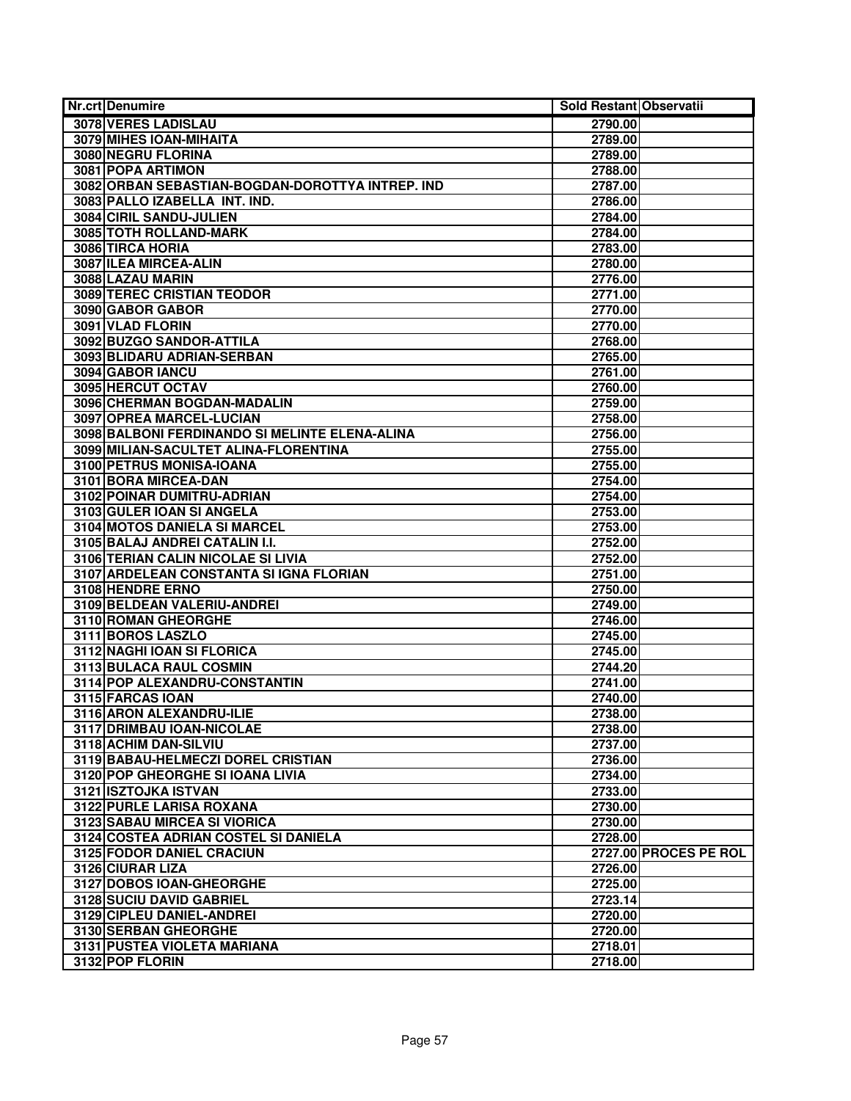| <b>Nr.crt Denumire</b>                                      | Sold Restant Observatii |                       |
|-------------------------------------------------------------|-------------------------|-----------------------|
| 3078 VERES LADISLAU                                         | 2790.00                 |                       |
| 3079 MIHES IOAN-MIHAITA                                     | 2789.00                 |                       |
| 3080 NEGRU FLORINA                                          | 2789.00                 |                       |
| 3081 POPA ARTIMON                                           | 2788.00                 |                       |
| 3082 ORBAN SEBASTIAN-BOGDAN-DOROTTYA INTREP. IND            | 2787.00                 |                       |
| 3083 PALLO IZABELLA INT. IND.                               | 2786.00                 |                       |
| 3084 CIRIL SANDU-JULIEN                                     | 2784.00                 |                       |
| 3085 TOTH ROLLAND-MARK                                      | 2784.00                 |                       |
| 3086 TIRCA HORIA                                            | 2783.00                 |                       |
| 3087 ILEA MIRCEA-ALIN                                       | 2780.00                 |                       |
| 3088 LAZAU MARIN                                            | 2776.00                 |                       |
| 3089 TEREC CRISTIAN TEODOR                                  | 2771.00                 |                       |
| 3090 GABOR GABOR                                            | 2770.00                 |                       |
| 3091 VLAD FLORIN                                            | 2770.00                 |                       |
| 3092 BUZGO SANDOR-ATTILA                                    | 2768.00                 |                       |
| 3093 BLIDARU ADRIAN-SERBAN                                  | 2765.00                 |                       |
| 3094 GABOR IANCU                                            | 2761.00                 |                       |
| 3095 HERCUT OCTAV                                           | 2760.00                 |                       |
| 3096 CHERMAN BOGDAN-MADALIN                                 | 2759.00                 |                       |
| 3097 OPREA MARCEL-LUCIAN                                    | 2758.00                 |                       |
| 3098 BALBONI FERDINANDO SI MELINTE ELENA-ALINA              | 2756.00                 |                       |
| 3099 MILIAN-SACULTET ALINA-FLORENTINA                       | 2755.00                 |                       |
| 3100 PETRUS MONISA-IOANA                                    | 2755.00                 |                       |
| 3101 BORA MIRCEA-DAN                                        | 2754.00                 |                       |
| 3102 POINAR DUMITRU-ADRIAN                                  | 2754.00                 |                       |
| 3103 GULER IOAN SI ANGELA                                   | 2753.00                 |                       |
| 3104 MOTOS DANIELA SI MARCEL                                | 2753.00                 |                       |
| 3105 BALAJ ANDREI CATALIN I.I.                              | 2752.00                 |                       |
| 3106 TERIAN CALIN NICOLAE SI LIVIA                          | 2752.00                 |                       |
| 3107 ARDELEAN CONSTANTA SI IGNA FLORIAN<br>3108 HENDRE ERNO | 2751.00                 |                       |
| 3109 BELDEAN VALERIU-ANDREI                                 | 2750.00                 |                       |
| 3110 ROMAN GHEORGHE                                         | 2749.00<br>2746.00      |                       |
| 3111 BOROS LASZLO                                           | 2745.00                 |                       |
| 3112 NAGHI IOAN SI FLORICA                                  | 2745.00                 |                       |
| 3113 BULACA RAUL COSMIN                                     | 2744.20                 |                       |
| 3114 POP ALEXANDRU-CONSTANTIN                               | 2741.00                 |                       |
| 3115 FARCAS IOAN                                            | 2740.00                 |                       |
| 3116 ARON ALEXANDRU-ILIE                                    | 2738.00                 |                       |
| 3117 DRIMBAU IOAN-NICOLAE                                   | 2738.00                 |                       |
| 3118 ACHIM DAN-SILVIU                                       | 2737.00                 |                       |
| 3119 BABAU-HELMECZI DOREL CRISTIAN                          | 2736.00                 |                       |
| 3120 POP GHEORGHE SI IOANA LIVIA                            | 2734.00                 |                       |
| 3121 ISZTOJKA ISTVAN                                        | 2733.00                 |                       |
| 3122 PURLE LARISA ROXANA                                    | 2730.00                 |                       |
| <b>3123 SABAU MIRCEA SI VIORICA</b>                         | 2730.00                 |                       |
| 3124 COSTEA ADRIAN COSTEL SI DANIELA                        | 2728.00                 |                       |
| <b>3125 FODOR DANIEL CRACIUN</b>                            |                         | 2727.00 PROCES PE ROL |
| 3126 CIURAR LIZA                                            | 2726.00                 |                       |
| 3127 DOBOS IOAN-GHEORGHE                                    | 2725.00                 |                       |
| 3128 SUCIU DAVID GABRIEL                                    | 2723.14                 |                       |
| 3129 CIPLEU DANIEL-ANDREI                                   | 2720.00                 |                       |
| 3130 SERBAN GHEORGHE                                        | 2720.00                 |                       |
| 3131 PUSTEA VIOLETA MARIANA                                 | 2718.01                 |                       |
| 3132 POP FLORIN                                             | 2718.00                 |                       |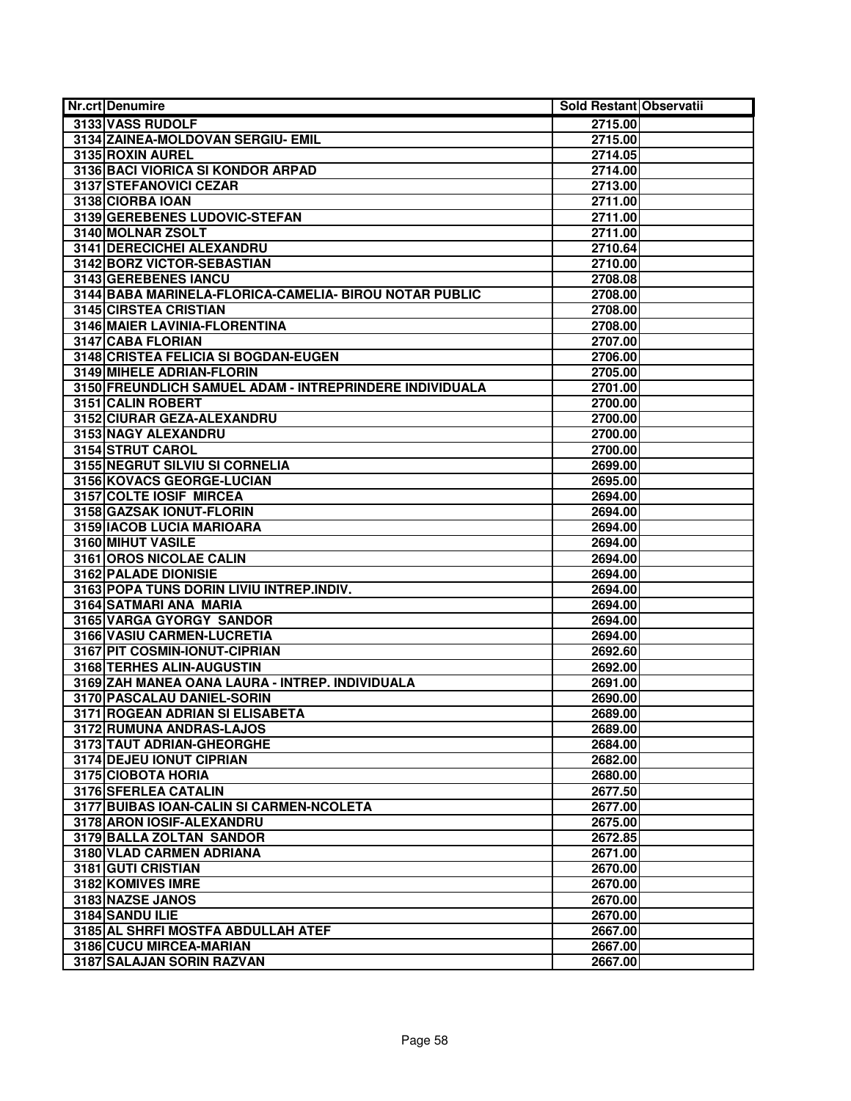| <b>Nr.crt Denumire</b>                                  | Sold Restant Observatii |  |
|---------------------------------------------------------|-------------------------|--|
| 3133 VASS RUDOLF                                        | 2715.00                 |  |
| 3134 ZAINEA-MOLDOVAN SERGIU- EMIL                       | 2715.00                 |  |
| 3135 ROXIN AUREL                                        | 2714.05                 |  |
| 3136 BACI VIORICA SI KONDOR ARPAD                       | 2714.00                 |  |
| 3137 STEFANOVICI CEZAR                                  | 2713.00                 |  |
| 3138 CIORBA IOAN                                        | 2711.00                 |  |
| 3139 GEREBENES LUDOVIC-STEFAN                           | 2711.00                 |  |
| 3140 MOLNAR ZSOLT                                       | 2711.00                 |  |
| <b>3141 DERECICHEI ALEXANDRU</b>                        | 2710.64                 |  |
| 3142 BORZ VICTOR-SEBASTIAN                              | 2710.00                 |  |
| 3143 GEREBENES IANCU                                    | 2708.08                 |  |
| 3144 BABA MARINELA-FLORICA-CAMELIA- BIROU NOTAR PUBLIC  | 2708.00                 |  |
| 3145 CIRSTEA CRISTIAN                                   | 2708.00                 |  |
| 3146 MAIER LAVINIA-FLORENTINA                           | 2708.00                 |  |
| 3147 CABA FLORIAN                                       | 2707.00                 |  |
| 3148 CRISTEA FELICIA SI BOGDAN-EUGEN                    | 2706.00                 |  |
| 3149 MIHELE ADRIAN-FLORIN                               | 2705.00                 |  |
| 3150 FREUNDLICH SAMUEL ADAM - INTREPRINDERE INDIVIDUALA | 2701.00                 |  |
| 3151 CALIN ROBERT                                       | 2700.00                 |  |
| 3152 CIURAR GEZA-ALEXANDRU                              | 2700.00                 |  |
| 3153 NAGY ALEXANDRU                                     | 2700.00                 |  |
| 3154 STRUT CAROL                                        | 2700.00                 |  |
| 3155 NEGRUT SILVIU SI CORNELIA                          | 2699.00                 |  |
| 3156 KOVACS GEORGE-LUCIAN                               | 2695.00                 |  |
| 3157 COLTE IOSIF MIRCEA                                 | 2694.00                 |  |
| 3158 GAZSAK IONUT-FLORIN                                | 2694.00                 |  |
| 3159 IACOB LUCIA MARIOARA                               | 2694.00                 |  |
| 3160 MIHUT VASILE                                       | 2694.00                 |  |
| 3161 OROS NICOLAE CALIN                                 | 2694.00                 |  |
| 3162 PALADE DIONISIE                                    | 2694.00                 |  |
| 3163 POPA TUNS DORIN LIVIU INTREP.INDIV.                | 2694.00                 |  |
| 3164 SATMARI ANA MARIA                                  | 2694.00                 |  |
| 3165 VARGA GYORGY SANDOR                                | 2694.00                 |  |
| 3166 VASIU CARMEN-LUCRETIA                              | 2694.00                 |  |
| 3167 PIT COSMIN-IONUT-CIPRIAN                           | 2692.60                 |  |
| 3168 TERHES ALIN-AUGUSTIN                               | 2692.00                 |  |
| 3169 ZAH MANEA OANA LAURA - INTREP. INDIVIDUALA         | 2691.00                 |  |
| 3170 PASCALAU DANIEL-SORIN                              | 2690.00                 |  |
| 3171 ROGEAN ADRIAN SI ELISABETA                         | 2689.00                 |  |
| 3172 RUMUNA ANDRAS-LAJOS                                | 2689.00                 |  |
| 3173 TAUT ADRIAN-GHEORGHE                               | 2684.00                 |  |
| 3174 DEJEU IONUT CIPRIAN                                | 2682.00                 |  |
| 3175 CIOBOTA HORIA                                      | 2680.00                 |  |
| 3176 SFERLEA CATALIN                                    | 2677.50                 |  |
| 3177 BUIBAS IOAN-CALIN SI CARMEN-NCOLETA                | 2677.00                 |  |
| 3178 ARON IOSIF-ALEXANDRU                               | 2675.00                 |  |
| 3179 BALLA ZOLTAN SANDOR                                | 2672.85                 |  |
| <b>3180 VLAD CARMEN ADRIANA</b>                         | 2671.00                 |  |
| 3181 GUTI CRISTIAN                                      | 2670.00                 |  |
| 3182 KOMIVES IMRE                                       | 2670.00                 |  |
| 3183 NAZSE JANOS                                        | 2670.00                 |  |
| 3184 SANDU ILIE                                         | 2670.00                 |  |
| 3185 AL SHRFI MOSTFA ABDULLAH ATEF                      | 2667.00                 |  |
| 3186 CUCU MIRCEA-MARIAN                                 | 2667.00                 |  |
| 3187 SALAJAN SORIN RAZVAN                               | 2667.00                 |  |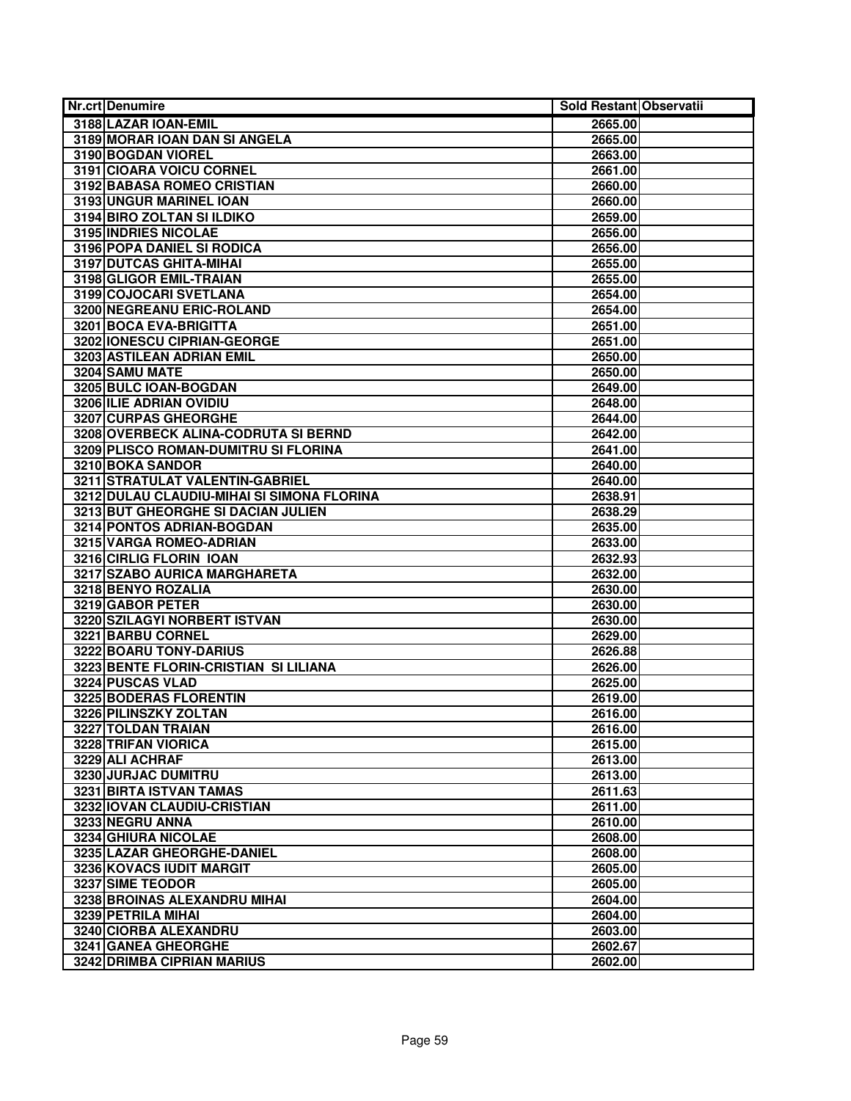| <b>Nr.crt Denumire</b>                     | Sold Restant Observatii |  |
|--------------------------------------------|-------------------------|--|
| 3188 LAZAR IOAN-EMIL                       | 2665.00                 |  |
| 3189 MORAR IOAN DAN SI ANGELA              | 2665.00                 |  |
| 3190 BOGDAN VIOREL                         | 2663.00                 |  |
| 3191 CIOARA VOICU CORNEL                   | 2661.00                 |  |
| 3192 BABASA ROMEO CRISTIAN                 | 2660.00                 |  |
| 3193 UNGUR MARINEL IOAN                    | 2660.00                 |  |
| 3194 BIRO ZOLTAN SI ILDIKO                 | 2659.00                 |  |
| 3195 INDRIES NICOLAE                       | 2656.00                 |  |
| 3196 POPA DANIEL SI RODICA                 | 2656.00                 |  |
| 3197 DUTCAS GHITA-MIHAI                    | 2655.00                 |  |
| 3198 GLIGOR EMIL-TRAIAN                    | 2655.00                 |  |
| 3199 COJOCARI SVETLANA                     | 2654.00                 |  |
| 3200 NEGREANU ERIC-ROLAND                  | 2654.00                 |  |
| 3201 BOCA EVA-BRIGITTA                     | 2651.00                 |  |
| 3202 IONESCU CIPRIAN-GEORGE                | 2651.00                 |  |
| 3203 ASTILEAN ADRIAN EMIL                  | 2650.00                 |  |
| 3204 SAMU MATE                             | 2650.00                 |  |
| 3205 BULC IOAN-BOGDAN                      | 2649.00                 |  |
| 3206 ILIE ADRIAN OVIDIU                    | 2648.00                 |  |
| 3207 CURPAS GHEORGHE                       | 2644.00                 |  |
| 3208 OVERBECK ALINA-CODRUTA SI BERND       | 2642.00                 |  |
| 3209 PLISCO ROMAN-DUMITRU SI FLORINA       | 2641.00                 |  |
| 3210 BOKA SANDOR                           | 2640.00                 |  |
| 3211 STRATULAT VALENTIN-GABRIEL            | 2640.00                 |  |
| 3212 DULAU CLAUDIU-MIHAI SI SIMONA FLORINA | 2638.91                 |  |
| 3213 BUT GHEORGHE SI DACIAN JULIEN         | 2638.29                 |  |
| 3214 PONTOS ADRIAN-BOGDAN                  | 2635.00                 |  |
| 3215 VARGA ROMEO-ADRIAN                    | 2633.00                 |  |
| 3216 CIRLIG FLORIN IOAN                    | 2632.93                 |  |
| 3217 SZABO AURICA MARGHARETA               | 2632.00                 |  |
| 3218 BENYO ROZALIA                         | 2630.00                 |  |
| 3219 GABOR PETER                           | 2630.00                 |  |
| 3220 SZILAGYI NORBERT ISTVAN               | 2630.00                 |  |
| 3221 BARBU CORNEL                          | 2629.00                 |  |
| 3222 BOARU TONY-DARIUS                     | 2626.88                 |  |
| 3223 BENTE FLORIN-CRISTIAN SI LILIANA      | 2626.00                 |  |
| 3224 PUSCAS VLAD                           | 2625.00                 |  |
| <b>3225 BODERAS FLORENTIN</b>              | 2619.00                 |  |
| 3226 PILINSZKY ZOLTAN                      | 2616.00                 |  |
| 3227 TOLDAN TRAIAN                         | 2616.00                 |  |
| 3228 TRIFAN VIORICA                        | 2615.00                 |  |
| 3229 ALI ACHRAF                            | 2613.00                 |  |
| 3230 JURJAC DUMITRU                        | 2613.00                 |  |
| 3231 BIRTA ISTVAN TAMAS                    | 2611.63                 |  |
| 3232 IOVAN CLAUDIU-CRISTIAN                | 2611.00                 |  |
| 3233 NEGRU ANNA                            | 2610.00                 |  |
| 3234 GHIURA NICOLAE                        | 2608.00                 |  |
| 3235 LAZAR GHEORGHE-DANIEL                 | 2608.00                 |  |
| 3236 KOVACS IUDIT MARGIT                   | 2605.00                 |  |
| 3237 SIME TEODOR                           | 2605.00                 |  |
| 3238 BROINAS ALEXANDRU MIHAI               | 2604.00                 |  |
| 3239 PETRILA MIHAI                         | 2604.00                 |  |
| 3240 CIORBA ALEXANDRU                      | 2603.00                 |  |
| 3241 GANEA GHEORGHE                        | 2602.67                 |  |
| 3242 DRIMBA CIPRIAN MARIUS                 | 2602.00                 |  |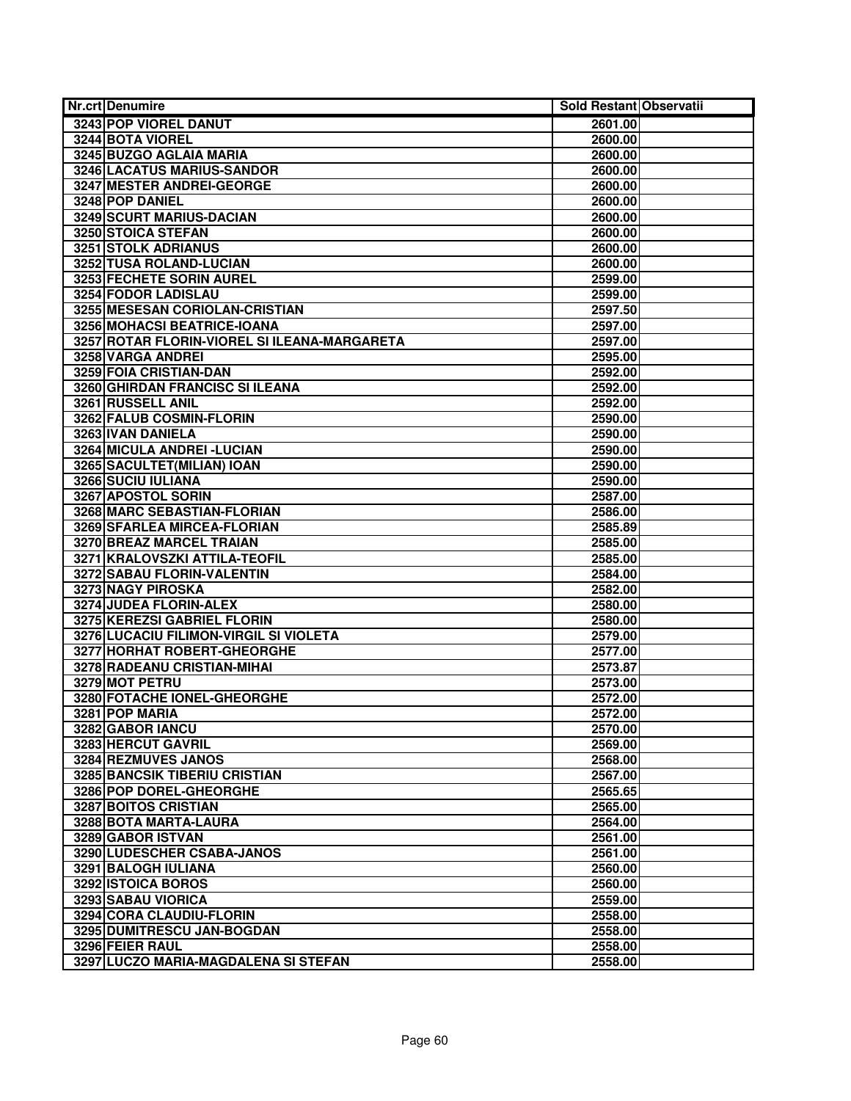| Nr.crt Denumire                              | Sold Restant Observatii |  |
|----------------------------------------------|-------------------------|--|
| 3243 POP VIOREL DANUT                        | 2601.00                 |  |
| 3244 BOTA VIOREL                             | 2600.00                 |  |
| 3245 BUZGO AGLAIA MARIA                      | 2600.00                 |  |
| 3246 LACATUS MARIUS-SANDOR                   | 2600.00                 |  |
| 3247 MESTER ANDREI-GEORGE                    | 2600.00                 |  |
| 3248 POP DANIEL                              | 2600.00                 |  |
| 3249 SCURT MARIUS-DACIAN                     | 2600.00                 |  |
| 3250 STOICA STEFAN                           | 2600.00                 |  |
| 3251 STOLK ADRIANUS                          | 2600.00                 |  |
| 3252 TUSA ROLAND-LUCIAN                      | 2600.00                 |  |
| 3253 FECHETE SORIN AUREL                     | 2599.00                 |  |
| 3254 FODOR LADISLAU                          | 2599.00                 |  |
| 3255 MESESAN CORIOLAN-CRISTIAN               | 2597.50                 |  |
| 3256 MOHACSI BEATRICE-IOANA                  | 2597.00                 |  |
| 3257 ROTAR FLORIN-VIOREL SI ILEANA-MARGARETA | 2597.00                 |  |
| 3258 VARGA ANDREI                            | 2595.00                 |  |
| 3259 FOIA CRISTIAN-DAN                       | 2592.00                 |  |
| 3260 GHIRDAN FRANCISC SI ILEANA              | 2592.00                 |  |
| 3261 RUSSELL ANIL                            | 2592.00                 |  |
| 3262 FALUB COSMIN-FLORIN                     | 2590.00                 |  |
| 3263 IVAN DANIELA                            | 2590.00                 |  |
| 3264 MICULA ANDREI - LUCIAN                  | 2590.00                 |  |
| 3265 SACULTET(MILIAN) IOAN                   | 2590.00                 |  |
| 3266 SUCIU IULIANA                           | 2590.00                 |  |
| 3267 APOSTOL SORIN                           | 2587.00                 |  |
| 3268 MARC SEBASTIAN-FLORIAN                  | 2586.00                 |  |
| 3269 SFARLEA MIRCEA-FLORIAN                  | 2585.89                 |  |
| 3270 BREAZ MARCEL TRAIAN                     | 2585.00                 |  |
| 3271 KRALOVSZKI ATTILA-TEOFIL                | 2585.00                 |  |
| 3272 SABAU FLORIN-VALENTIN                   | 2584.00                 |  |
| 3273 NAGY PIROSKA                            | 2582.00                 |  |
| 3274 JUDEA FLORIN-ALEX                       | 2580.00                 |  |
| 3275 KEREZSI GABRIEL FLORIN                  | 2580.00                 |  |
| 3276 LUCACIU FILIMON-VIRGIL SI VIOLETA       | 2579.00                 |  |
| 3277 HORHAT ROBERT-GHEORGHE                  | 2577.00                 |  |
| 3278 RADEANU CRISTIAN-MIHAI                  | 2573.87                 |  |
| 3279 MOT PETRU                               | 2573.00                 |  |
| 3280 FOTACHE IONEL-GHEORGHE                  | 2572.00                 |  |
| 3281 POP MARIA                               | 2572.00                 |  |
| 3282 GABOR IANCU                             | 2570.00                 |  |
| 3283 HERCUT GAVRIL                           | 2569.00                 |  |
| 3284 REZMUVES JANOS                          | 2568.00                 |  |
| 3285 BANCSIK TIBERIU CRISTIAN                | 2567.00                 |  |
| 3286 POP DOREL-GHEORGHE                      | 2565.65                 |  |
| 3287 BOITOS CRISTIAN                         | 2565.00                 |  |
| 3288 BOTA MARTA-LAURA                        | 2564.00                 |  |
| 3289 GABOR ISTVAN                            | 2561.00                 |  |
| 3290 LUDESCHER CSABA-JANOS                   | 2561.00                 |  |
| 3291 BALOGH IULIANA                          | 2560.00                 |  |
| 3292 ISTOICA BOROS                           | 2560.00                 |  |
| 3293 SABAU VIORICA                           | 2559.00                 |  |
| 3294 CORA CLAUDIU-FLORIN                     | 2558.00                 |  |
| 3295 DUMITRESCU JAN-BOGDAN                   | 2558.00                 |  |
| 3296 FEIER RAUL                              | 2558.00                 |  |
| 3297 LUCZO MARIA-MAGDALENA SI STEFAN         | 2558.00                 |  |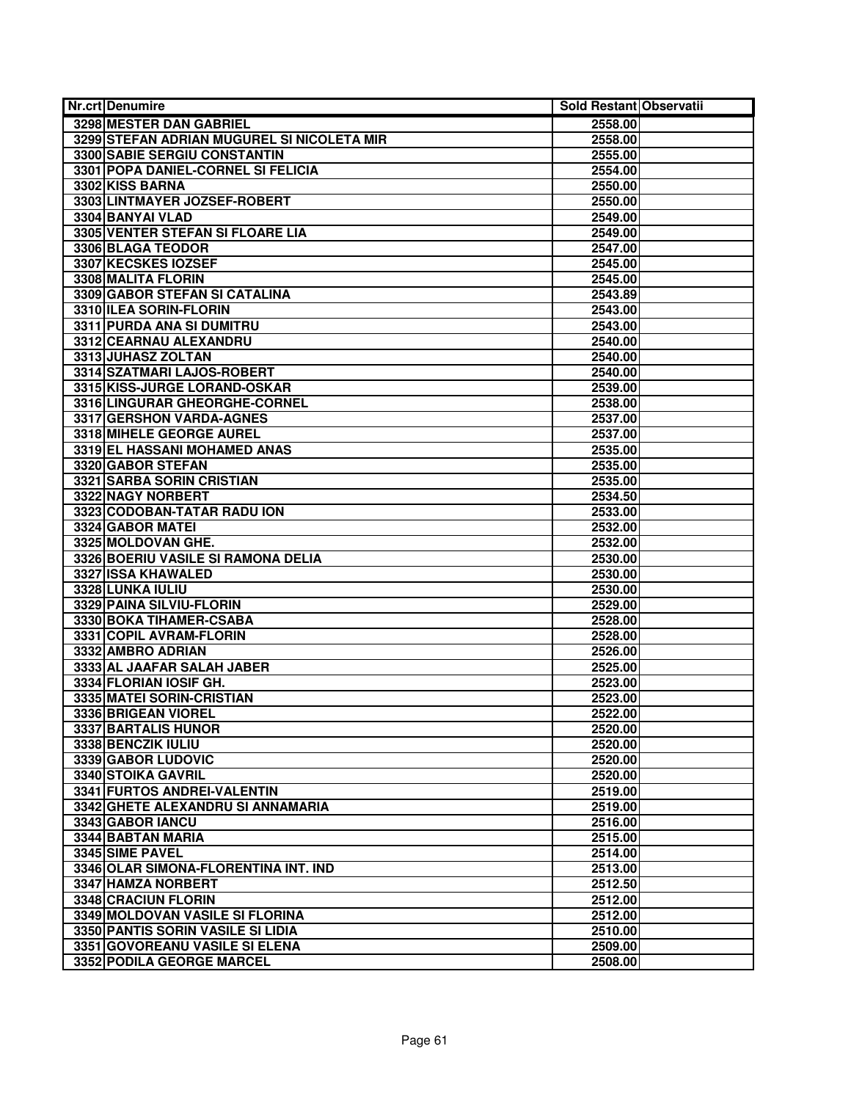| 3298 MESTER DAN GABRIEL<br>2558.00<br>3299 STEFAN ADRIAN MUGUREL SI NICOLETA MIR<br>2558.00<br>3300 SABIE SERGIU CONSTANTIN<br>2555.00<br>3301 POPA DANIEL-CORNEL SI FELICIA<br>2554.00<br>3302 KISS BARNA<br>2550.00<br>3303 LINTMAYER JOZSEF-ROBERT<br>2550.00<br>3304 BANYAI VLAD<br>2549.00<br>3305 VENTER STEFAN SI FLOARE LIA<br>2549.00<br>3306 BLAGA TEODOR<br>2547.00<br>3307 KECSKES IOZSEF<br>2545.00<br>3308 MALITA FLORIN<br>2545.00<br>3309 GABOR STEFAN SI CATALINA<br>2543.89 |
|-----------------------------------------------------------------------------------------------------------------------------------------------------------------------------------------------------------------------------------------------------------------------------------------------------------------------------------------------------------------------------------------------------------------------------------------------------------------------------------------------|
|                                                                                                                                                                                                                                                                                                                                                                                                                                                                                               |
|                                                                                                                                                                                                                                                                                                                                                                                                                                                                                               |
|                                                                                                                                                                                                                                                                                                                                                                                                                                                                                               |
|                                                                                                                                                                                                                                                                                                                                                                                                                                                                                               |
|                                                                                                                                                                                                                                                                                                                                                                                                                                                                                               |
|                                                                                                                                                                                                                                                                                                                                                                                                                                                                                               |
|                                                                                                                                                                                                                                                                                                                                                                                                                                                                                               |
|                                                                                                                                                                                                                                                                                                                                                                                                                                                                                               |
|                                                                                                                                                                                                                                                                                                                                                                                                                                                                                               |
|                                                                                                                                                                                                                                                                                                                                                                                                                                                                                               |
|                                                                                                                                                                                                                                                                                                                                                                                                                                                                                               |
|                                                                                                                                                                                                                                                                                                                                                                                                                                                                                               |
| 3310 ILEA SORIN-FLORIN<br>2543.00                                                                                                                                                                                                                                                                                                                                                                                                                                                             |
| 3311 PURDA ANA SI DUMITRU<br>2543.00                                                                                                                                                                                                                                                                                                                                                                                                                                                          |
| 3312 CEARNAU ALEXANDRU<br>2540.00                                                                                                                                                                                                                                                                                                                                                                                                                                                             |
| 3313 JUHASZ ZOLTAN<br>2540.00                                                                                                                                                                                                                                                                                                                                                                                                                                                                 |
| 3314 SZATMARI LAJOS-ROBERT<br>2540.00                                                                                                                                                                                                                                                                                                                                                                                                                                                         |
| 3315 KISS-JURGE LORAND-OSKAR<br>2539.00                                                                                                                                                                                                                                                                                                                                                                                                                                                       |
| 3316 LINGURAR GHEORGHE-CORNEL<br>2538.00                                                                                                                                                                                                                                                                                                                                                                                                                                                      |
| 3317 GERSHON VARDA-AGNES<br>2537.00                                                                                                                                                                                                                                                                                                                                                                                                                                                           |
| 3318 MIHELE GEORGE AUREL<br>2537.00                                                                                                                                                                                                                                                                                                                                                                                                                                                           |
| 3319 EL HASSANI MOHAMED ANAS<br>2535.00                                                                                                                                                                                                                                                                                                                                                                                                                                                       |
| 3320 GABOR STEFAN<br>2535.00                                                                                                                                                                                                                                                                                                                                                                                                                                                                  |
| 3321 SARBA SORIN CRISTIAN<br>2535.00                                                                                                                                                                                                                                                                                                                                                                                                                                                          |
| 3322 NAGY NORBERT<br>2534.50                                                                                                                                                                                                                                                                                                                                                                                                                                                                  |
| 3323 CODOBAN-TATAR RADU ION<br>2533.00                                                                                                                                                                                                                                                                                                                                                                                                                                                        |
| 3324 GABOR MATEI<br>2532.00                                                                                                                                                                                                                                                                                                                                                                                                                                                                   |
| 3325 MOLDOVAN GHE.<br>2532.00                                                                                                                                                                                                                                                                                                                                                                                                                                                                 |
| 3326 BOERIU VASILE SI RAMONA DELIA<br>2530.00                                                                                                                                                                                                                                                                                                                                                                                                                                                 |
| 3327 ISSA KHAWALED<br>2530.00                                                                                                                                                                                                                                                                                                                                                                                                                                                                 |
| 3328 LUNKA IULIU<br>2530.00                                                                                                                                                                                                                                                                                                                                                                                                                                                                   |
| 3329 PAINA SILVIU-FLORIN<br>2529.00                                                                                                                                                                                                                                                                                                                                                                                                                                                           |
| 3330 BOKA TIHAMER-CSABA<br>2528.00                                                                                                                                                                                                                                                                                                                                                                                                                                                            |
| 3331 COPIL AVRAM-FLORIN<br>2528.00                                                                                                                                                                                                                                                                                                                                                                                                                                                            |
| 3332 AMBRO ADRIAN<br>2526.00                                                                                                                                                                                                                                                                                                                                                                                                                                                                  |
| 3333 AL JAAFAR SALAH JABER<br>2525.00                                                                                                                                                                                                                                                                                                                                                                                                                                                         |
| 3334 FLORIAN IOSIF GH.<br>2523.00                                                                                                                                                                                                                                                                                                                                                                                                                                                             |
| 3335 MATEI SORIN-CRISTIAN<br>2523.00                                                                                                                                                                                                                                                                                                                                                                                                                                                          |
| 3336 BRIGEAN VIOREL<br>2522.00                                                                                                                                                                                                                                                                                                                                                                                                                                                                |
| 3337 BARTALIS HUNOR<br>2520.00<br>3338 BENCZIK IULIU                                                                                                                                                                                                                                                                                                                                                                                                                                          |
| 2520.00<br>3339 GABOR LUDOVIC                                                                                                                                                                                                                                                                                                                                                                                                                                                                 |
| 2520.00                                                                                                                                                                                                                                                                                                                                                                                                                                                                                       |
| 3340 STOIKA GAVRIL<br>2520.00<br>3341 FURTOS ANDREI-VALENTIN<br>2519.00                                                                                                                                                                                                                                                                                                                                                                                                                       |
| 3342 GHETE ALEXANDRU SI ANNAMARIA<br>2519.00                                                                                                                                                                                                                                                                                                                                                                                                                                                  |
| 3343 GABOR IANCU<br>2516.00                                                                                                                                                                                                                                                                                                                                                                                                                                                                   |
| 3344 BABTAN MARIA<br>2515.00                                                                                                                                                                                                                                                                                                                                                                                                                                                                  |
| 3345 SIME PAVEL<br>2514.00                                                                                                                                                                                                                                                                                                                                                                                                                                                                    |
| 3346 OLAR SIMONA-FLORENTINA INT. IND<br>2513.00                                                                                                                                                                                                                                                                                                                                                                                                                                               |
| 3347 HAMZA NORBERT<br>2512.50                                                                                                                                                                                                                                                                                                                                                                                                                                                                 |
| 3348 CRACIUN FLORIN<br>2512.00                                                                                                                                                                                                                                                                                                                                                                                                                                                                |
| 3349 MOLDOVAN VASILE SI FLORINA<br>2512.00                                                                                                                                                                                                                                                                                                                                                                                                                                                    |
| 3350 PANTIS SORIN VASILE SI LIDIA<br>2510.00                                                                                                                                                                                                                                                                                                                                                                                                                                                  |
| 3351 GOVOREANU VASILE SI ELENA<br>2509.00                                                                                                                                                                                                                                                                                                                                                                                                                                                     |
| 3352 PODILA GEORGE MARCEL<br>2508.00                                                                                                                                                                                                                                                                                                                                                                                                                                                          |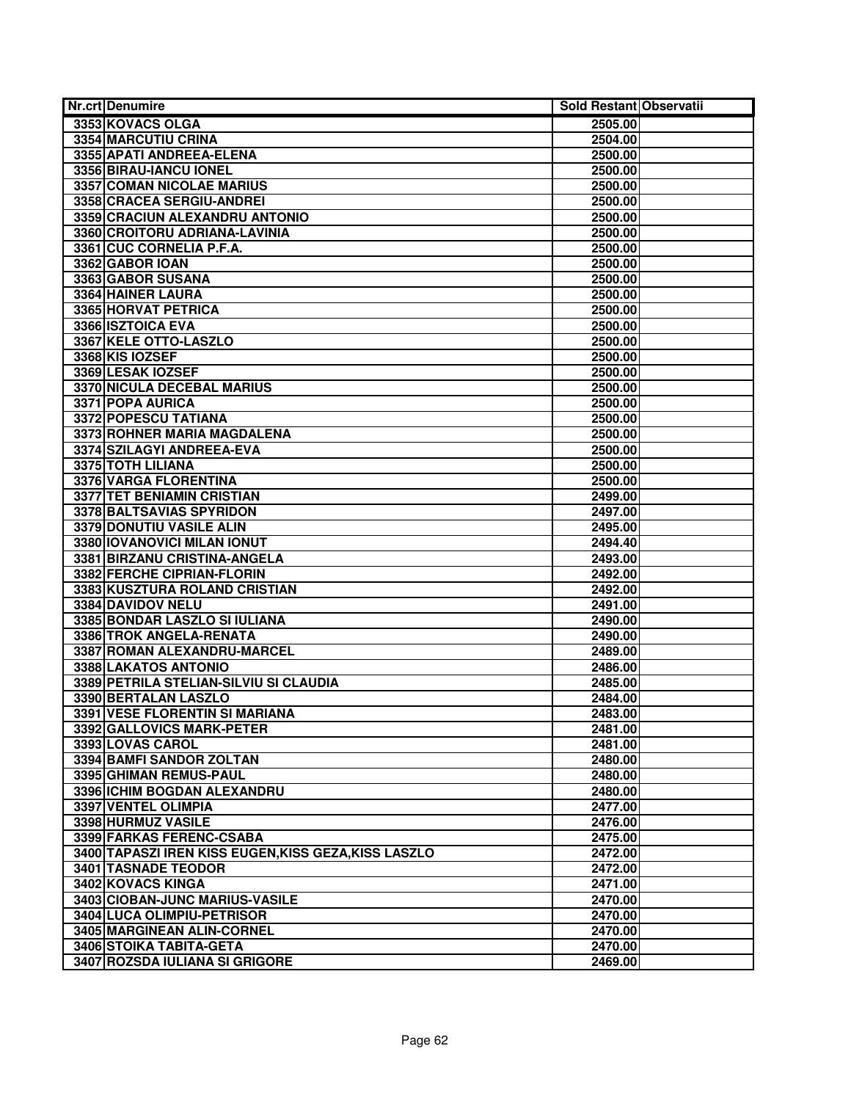| <b>Nr.crt Denumire</b>                               | Sold Restant Observatii |  |
|------------------------------------------------------|-------------------------|--|
| 3353 KOVACS OLGA                                     | 2505.00                 |  |
| 3354 MARCUTIU CRINA                                  | 2504.00                 |  |
| 3355 APATI ANDREEA-ELENA                             | 2500.00                 |  |
| 3356 BIRAU-IANCU IONEL                               | 2500.00                 |  |
| <b>3357 COMAN NICOLAE MARIUS</b>                     | 2500.00                 |  |
| 3358 CRACEA SERGIU-ANDREI                            | 2500.00                 |  |
| 3359 CRACIUN ALEXANDRU ANTONIO                       | 2500.00                 |  |
| 3360 CROITORU ADRIANA-LAVINIA                        | 2500.00                 |  |
| 3361 CUC CORNELIA P.F.A.                             | 2500.00                 |  |
| 3362 GABOR IOAN                                      | 2500.00                 |  |
| 3363 GABOR SUSANA                                    | 2500.00                 |  |
| 3364 HAINER LAURA                                    | 2500.00                 |  |
| 3365 HORVAT PETRICA                                  | 2500.00                 |  |
| 3366 ISZTOICA EVA                                    | 2500.00                 |  |
| 3367 KELE OTTO-LASZLO                                | 2500.00                 |  |
| 3368 KIS IOZSEF                                      | 2500.00                 |  |
| 3369 LESAK IOZSEF                                    | 2500.00                 |  |
| 3370 NICULA DECEBAL MARIUS                           | 2500.00                 |  |
| 3371 POPA AURICA                                     | 2500.00                 |  |
| 3372 POPESCU TATIANA                                 | 2500.00                 |  |
| 3373 ROHNER MARIA MAGDALENA                          | 2500.00                 |  |
| 3374 SZILAGYI ANDREEA-EVA                            | 2500.00                 |  |
| 3375 TOTH LILIANA                                    | 2500.00                 |  |
| 3376 VARGA FLORENTINA                                | 2500.00                 |  |
| 3377 TET BENIAMIN CRISTIAN                           | 2499.00                 |  |
| 3378 BALTSAVIAS SPYRIDON                             | 2497.00                 |  |
| 3379 DONUTIU VASILE ALIN                             | 2495.00                 |  |
| 3380 IOVANOVICI MILAN IONUT                          | 2494.40                 |  |
| 3381 BIRZANU CRISTINA-ANGELA                         | 2493.00                 |  |
| 3382 FERCHE CIPRIAN-FLORIN                           | 2492.00                 |  |
| 3383 KUSZTURA ROLAND CRISTIAN                        | 2492.00                 |  |
| 3384 DAVIDOV NELU                                    | 2491.00                 |  |
| 3385 BONDAR LASZLO SI IULIANA                        | 2490.00                 |  |
| 3386 TROK ANGELA-RENATA                              | 2490.00                 |  |
| 3387 ROMAN ALEXANDRU-MARCEL                          | 2489.00                 |  |
| 3388 LAKATOS ANTONIO                                 | 2486.00                 |  |
| 3389 PETRILA STELIAN-SILVIU SI CLAUDIA               | 2485.00                 |  |
| 3390 BERTALAN LASZLO                                 | 2484.00                 |  |
| 3391 VESE FLORENTIN SI MARIANA                       | 2483.00                 |  |
| 3392 GALLOVICS MARK-PETER                            | 2481.00                 |  |
| 3393 LOVAS CAROL                                     | 2481.00                 |  |
| 3394 BAMFI SANDOR ZOLTAN                             | 2480.00                 |  |
| 3395 GHIMAN REMUS-PAUL                               | 2480.00                 |  |
| 3396 ICHIM BOGDAN ALEXANDRU                          | 2480.00                 |  |
| 3397 VENTEL OLIMPIA                                  | 2477.00                 |  |
| 3398 HURMUZ VASILE                                   | 2476.00                 |  |
| 3399 FARKAS FERENC-CSABA                             | 2475.00                 |  |
| 3400 TAPASZI IREN KISS EUGEN, KISS GEZA, KISS LASZLO | 2472.00                 |  |
| <b>3401 TASNADE TEODOR</b>                           | 2472.00                 |  |
| 3402 KOVACS KINGA                                    | 2471.00                 |  |
| 3403 CIOBAN-JUNC MARIUS-VASILE                       | 2470.00                 |  |
| 3404 LUCA OLIMPIU-PETRISOR                           | 2470.00                 |  |
| 3405 MARGINEAN ALIN-CORNEL                           | 2470.00                 |  |
| 3406 STOIKA TABITA-GETA                              | 2470.00                 |  |
| 3407 ROZSDA IULIANA SI GRIGORE                       | 2469.00                 |  |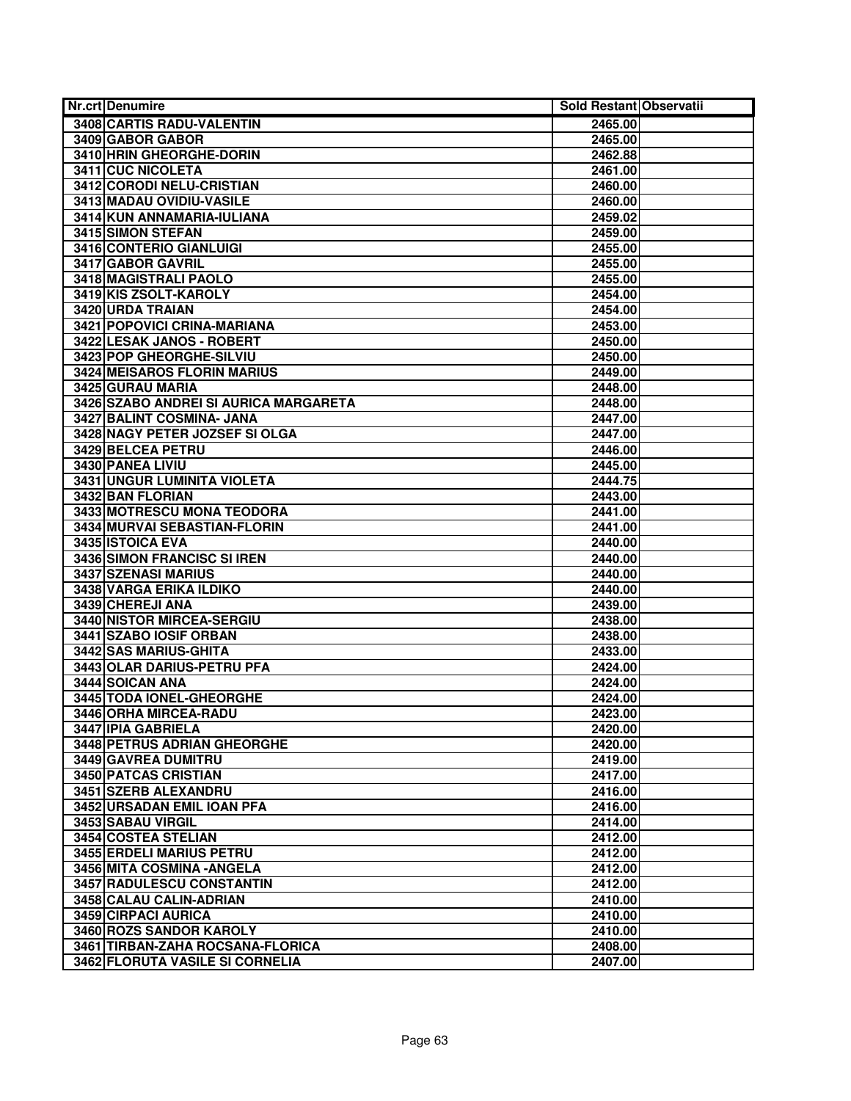| Nr.crt Denumire                       | Sold Restant Observatii |
|---------------------------------------|-------------------------|
| 3408 CARTIS RADU-VALENTIN             | 2465.00                 |
| 3409 GABOR GABOR                      | 2465.00                 |
| 3410 HRIN GHEORGHE-DORIN              | 2462.88                 |
| 3411 CUC NICOLETA                     | 2461.00                 |
| 3412 CORODI NELU-CRISTIAN             | 2460.00                 |
| 3413 MADAU OVIDIU-VASILE              | 2460.00                 |
| 3414 KUN ANNAMARIA-IULIANA            | 2459.02                 |
| 3415 SIMON STEFAN                     | 2459.00                 |
| 3416 CONTERIO GIANLUIGI               | 2455.00                 |
| 3417 GABOR GAVRIL                     | 2455.00                 |
| 3418 MAGISTRALI PAOLO                 | 2455.00                 |
| 3419 KIS ZSOLT-KAROLY                 | 2454.00                 |
| 3420 URDA TRAIAN                      | 2454.00                 |
| 3421 POPOVICI CRINA-MARIANA           | 2453.00                 |
| 3422 LESAK JANOS - ROBERT             | 2450.00                 |
| 3423 POP GHEORGHE-SILVIU              | 2450.00                 |
| 3424 MEISAROS FLORIN MARIUS           | 2449.00                 |
| 3425 GURAU MARIA                      | 2448.00                 |
| 3426 SZABO ANDREI SI AURICA MARGARETA | 2448.00                 |
| 3427 BALINT COSMINA- JANA             | 2447.00                 |
| 3428 NAGY PETER JOZSEF SI OLGA        | 2447.00                 |
| 3429 BELCEA PETRU                     | 2446.00                 |
| 3430 PANEA LIVIU                      | 2445.00                 |
| 3431 UNGUR LUMINITA VIOLETA           | 2444.75                 |
| 3432 BAN FLORIAN                      | 2443.00                 |
| 3433 MOTRESCU MONA TEODORA            | 2441.00                 |
| 3434 MURVAI SEBASTIAN-FLORIN          | 2441.00                 |
| 3435 ISTOICA EVA                      | 2440.00                 |
| 3436 SIMON FRANCISC SI IREN           | 2440.00                 |
| 3437 SZENASI MARIUS                   | 2440.00                 |
| 3438 VARGA ERIKA ILDIKO               | 2440.00                 |
| 3439 CHEREJI ANA                      | 2439.00                 |
| 3440 NISTOR MIRCEA-SERGIU             | 2438.00                 |
| 3441 SZABO IOSIF ORBAN                | 2438.00                 |
| 3442 SAS MARIUS-GHITA                 | 2433.00                 |
| 3443 OLAR DARIUS-PETRU PFA            | 2424.00                 |
| 3444 SOICAN ANA                       | 2424.00                 |
| 3445 TODA IONEL-GHEORGHE              | 2424.00                 |
| 3446 ORHA MIRCEA-RADU                 | 2423.00                 |
| 3447 IPIA GABRIELA                    | 2420.00                 |
| <b>3448 PETRUS ADRIAN GHEORGHE</b>    | 2420.00                 |
| 3449 GAVREA DUMITRU                   | 2419.00                 |
| 3450 PATCAS CRISTIAN                  | 2417.00                 |
| 3451 SZERB ALEXANDRU                  | 2416.00                 |
| 3452 URSADAN EMIL IOAN PFA            | 2416.00                 |
| 3453 SABAU VIRGIL                     | 2414.00                 |
| 3454 COSTEA STELIAN                   | 2412.00                 |
| 3455 ERDELI MARIUS PETRU              | 2412.00                 |
| 3456 MITA COSMINA - ANGELA            | 2412.00                 |
| 3457 RADULESCU CONSTANTIN             | 2412.00                 |
| 3458 CALAU CALIN-ADRIAN               | 2410.00                 |
| 3459 CIRPACI AURICA                   | 2410.00                 |
| 3460 ROZS SANDOR KAROLY               | 2410.00                 |
| 3461 TIRBAN-ZAHA ROCSANA-FLORICA      | 2408.00                 |
| 3462 FLORUTA VASILE SI CORNELIA       | 2407.00                 |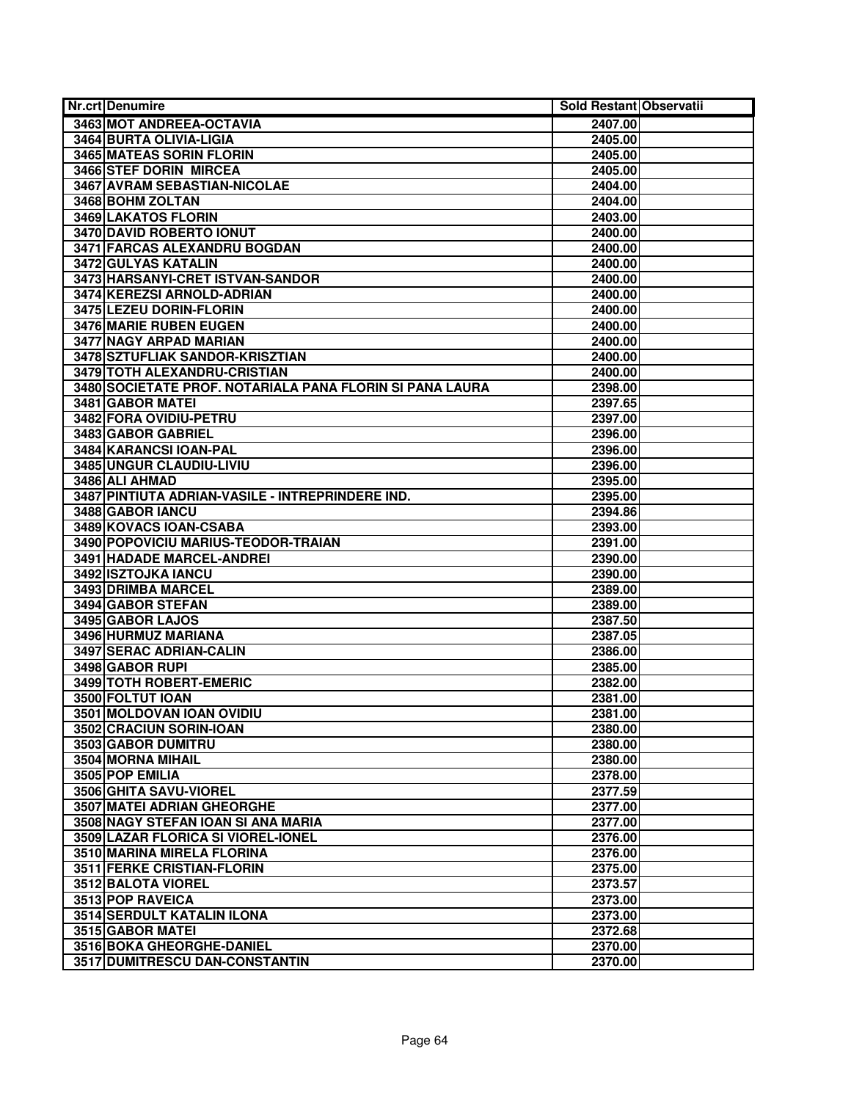| Nr.crt Denumire                                          | Sold Restant Observatii |  |
|----------------------------------------------------------|-------------------------|--|
| 3463 MOT ANDREEA-OCTAVIA                                 | 2407.00                 |  |
| 3464 BURTA OLIVIA-LIGIA                                  | 2405.00                 |  |
| <b>3465 MATEAS SORIN FLORIN</b>                          | 2405.00                 |  |
| 3466 STEF DORIN MIRCEA                                   | 2405.00                 |  |
| 3467 AVRAM SEBASTIAN-NICOLAE                             | 2404.00                 |  |
| 3468 BOHM ZOLTAN                                         | 2404.00                 |  |
| 3469 LAKATOS FLORIN                                      | 2403.00                 |  |
| 3470 DAVID ROBERTO IONUT                                 | 2400.00                 |  |
| 3471 FARCAS ALEXANDRU BOGDAN                             | 2400.00                 |  |
| 3472 GULYAS KATALIN                                      | 2400.00                 |  |
| 3473 HARSANYI-CRET ISTVAN-SANDOR                         | 2400.00                 |  |
| 3474 KEREZSI ARNOLD-ADRIAN                               | 2400.00                 |  |
| 3475 LEZEU DORIN-FLORIN                                  | 2400.00                 |  |
| 3476 MARIE RUBEN EUGEN                                   | 2400.00                 |  |
| 3477 NAGY ARPAD MARIAN                                   | 2400.00                 |  |
| 3478 SZTUFLIAK SANDOR-KRISZTIAN                          | 2400.00                 |  |
| 3479 TOTH ALEXANDRU-CRISTIAN                             | 2400.00                 |  |
| 3480 SOCIETATE PROF. NOTARIALA PANA FLORIN SI PANA LAURA | 2398.00                 |  |
| 3481 GABOR MATEI                                         | 2397.65                 |  |
| 3482 FORA OVIDIU-PETRU                                   | 2397.00                 |  |
| 3483 GABOR GABRIEL                                       | 2396.00                 |  |
| 3484 KARANCSI IOAN-PAL                                   | 2396.00                 |  |
| 3485 UNGUR CLAUDIU-LIVIU                                 | 2396.00                 |  |
| 3486 ALI AHMAD                                           | 2395.00                 |  |
| 3487 PINTIUTA ADRIAN-VASILE - INTREPRINDERE IND.         | 2395.00                 |  |
| 3488 GABOR IANCU                                         | 2394.86                 |  |
| 3489 KOVACS IOAN-CSABA                                   | 2393.00                 |  |
| 3490 POPOVICIU MARIUS-TEODOR-TRAIAN                      | 2391.00                 |  |
| 3491 HADADE MARCEL-ANDREI                                | 2390.00                 |  |
| 3492 ISZTOJKA IANCU                                      | 2390.00                 |  |
| 3493 DRIMBA MARCEL                                       | 2389.00                 |  |
| 3494 GABOR STEFAN                                        | 2389.00                 |  |
| 3495 GABOR LAJOS                                         | 2387.50                 |  |
| 3496 HURMUZ MARIANA                                      | 2387.05                 |  |
| 3497 SERAC ADRIAN-CALIN                                  | 2386.00                 |  |
| 3498 GABOR RUPI                                          | 2385.00                 |  |
| 3499 TOTH ROBERT-EMERIC                                  | 2382.00                 |  |
| 3500 FOLTUT IOAN                                         | 2381.00                 |  |
| 3501 MOLDOVAN IOAN OVIDIU                                | 2381.00                 |  |
| 3502 CRACIUN SORIN-IOAN                                  | 2380.00                 |  |
| 3503 GABOR DUMITRU                                       | 2380.00                 |  |
| 3504 MORNA MIHAIL                                        | 2380.00                 |  |
| 3505 POP EMILIA                                          | 2378.00                 |  |
| 3506 GHITA SAVU-VIOREL                                   | 2377.59                 |  |
| <b>3507 MATEI ADRIAN GHEORGHE</b>                        | 2377.00                 |  |
| 3508 NAGY STEFAN IOAN SI ANA MARIA                       | 2377.00                 |  |
| 3509 LAZAR FLORICA SI VIOREL-IONEL                       | 2376.00                 |  |
| 3510 MARINA MIRELA FLORINA                               | 2376.00                 |  |
| 3511 FERKE CRISTIAN-FLORIN                               | 2375.00                 |  |
| 3512 BALOTA VIOREL                                       | 2373.57                 |  |
| 3513 POP RAVEICA                                         | 2373.00                 |  |
| <b>3514 SERDULT KATALIN ILONA</b>                        | 2373.00                 |  |
| 3515 GABOR MATEI                                         | 2372.68                 |  |
| 3516 BOKA GHEORGHE-DANIEL                                | 2370.00                 |  |
| 3517 DUMITRESCU DAN-CONSTANTIN                           | 2370.00                 |  |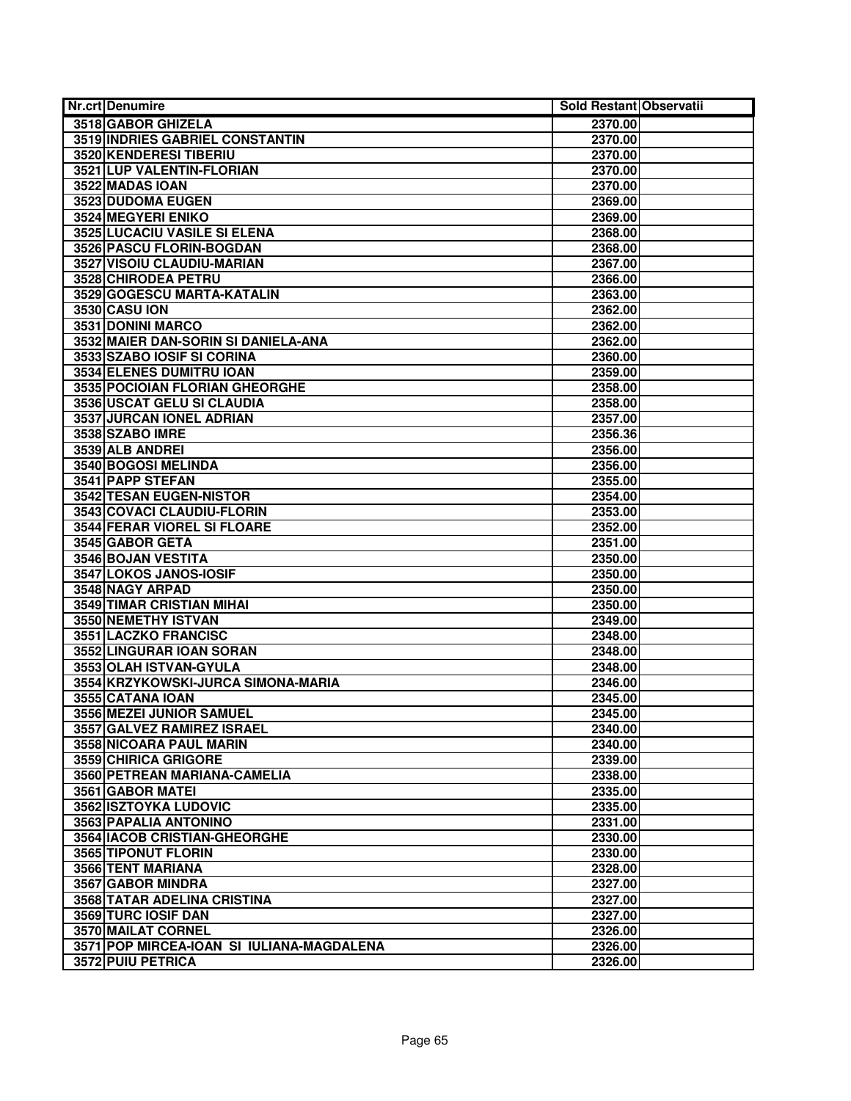| <b>Nr.crt Denumire</b>                    | Sold Restant Observatii |  |
|-------------------------------------------|-------------------------|--|
| 3518 GABOR GHIZELA                        | 2370.00                 |  |
| <b>3519 INDRIES GABRIEL CONSTANTIN</b>    | 2370.00                 |  |
| 3520 KENDERESI TIBERIU                    | 2370.00                 |  |
| 3521 LUP VALENTIN-FLORIAN                 | 2370.00                 |  |
| 3522 MADAS IOAN                           | 2370.00                 |  |
| 3523 DUDOMA EUGEN                         | 2369.00                 |  |
| 3524 MEGYERI ENIKO                        | 2369.00                 |  |
| 3525 LUCACIU VASILE SI ELENA              | 2368.00                 |  |
| 3526 PASCU FLORIN-BOGDAN                  | 2368.00                 |  |
| 3527 VISOIU CLAUDIU-MARIAN                | 2367.00                 |  |
| 3528 CHIRODEA PETRU                       | 2366.00                 |  |
| 3529 GOGESCU MARTA-KATALIN                | 2363.00                 |  |
| 3530 CASU ION                             | 2362.00                 |  |
| 3531 DONINI MARCO                         | 2362.00                 |  |
| 3532 MAIER DAN-SORIN SI DANIELA-ANA       | 2362.00                 |  |
| 3533 SZABO IOSIF SI CORINA                | 2360.00                 |  |
| 3534 ELENES DUMITRU IOAN                  | 2359.00                 |  |
| 3535 POCIOIAN FLORIAN GHEORGHE            | 2358.00                 |  |
| 3536 USCAT GELU SI CLAUDIA                | 2358.00                 |  |
| 3537 JURCAN IONEL ADRIAN                  | 2357.00                 |  |
| 3538 SZABO IMRE                           | 2356.36                 |  |
| 3539 ALB ANDREI                           | 2356.00                 |  |
| 3540 BOGOSI MELINDA                       | 2356.00                 |  |
| 3541 PAPP STEFAN                          | 2355.00                 |  |
| 3542 TESAN EUGEN-NISTOR                   | 2354.00                 |  |
| 3543 COVACI CLAUDIU-FLORIN                | 2353.00                 |  |
| <b>3544 FERAR VIOREL SI FLOARE</b>        | 2352.00                 |  |
| 3545 GABOR GETA                           | 2351.00                 |  |
| 3546 BOJAN VESTITA                        | 2350.00                 |  |
| 3547 LOKOS JANOS-IOSIF                    | 2350.00                 |  |
| 3548 NAGY ARPAD                           | 2350.00                 |  |
| <b>3549 TIMAR CRISTIAN MIHAI</b>          | 2350.00                 |  |
| 3550 NEMETHY ISTVAN                       | 2349.00                 |  |
| 3551 LACZKO FRANCISC                      | 2348.00                 |  |
| 3552 LINGURAR IOAN SORAN                  | 2348.00                 |  |
| 3553 OLAH ISTVAN-GYULA                    | 2348.00                 |  |
| 3554 KRZYKOWSKI-JURCA SIMONA-MARIA        | 2346.00                 |  |
| 3555 CATANA IOAN                          | 2345.00                 |  |
| 3556 MEZEI JUNIOR SAMUEL                  | 2345.00                 |  |
| 3557 GALVEZ RAMIREZ ISRAEL                | 2340.00                 |  |
| 3558 NICOARA PAUL MARIN                   | 2340.00                 |  |
| 3559 CHIRICA GRIGORE                      | 2339.00                 |  |
| 3560 PETREAN MARIANA-CAMELIA              | 2338.00                 |  |
| 3561 GABOR MATEI                          | 2335.00                 |  |
| 3562 ISZTOYKA LUDOVIC                     | 2335.00                 |  |
| 3563 PAPALIA ANTONINO                     | 2331.00                 |  |
| 3564 IACOB CRISTIAN-GHEORGHE              | 2330.00                 |  |
| 3565 TIPONUT FLORIN                       | 2330.00                 |  |
| 3566 TENT MARIANA                         | 2328.00                 |  |
| 3567 GABOR MINDRA                         | 2327.00                 |  |
| 3568 TATAR ADELINA CRISTINA               | 2327.00                 |  |
| 3569 TURC IOSIF DAN                       | 2327.00                 |  |
| 3570 MAILAT CORNEL                        | 2326.00                 |  |
| 3571 POP MIRCEA-IOAN SI IULIANA-MAGDALENA | 2326.00                 |  |
| 3572 PUIU PETRICA                         | 2326.00                 |  |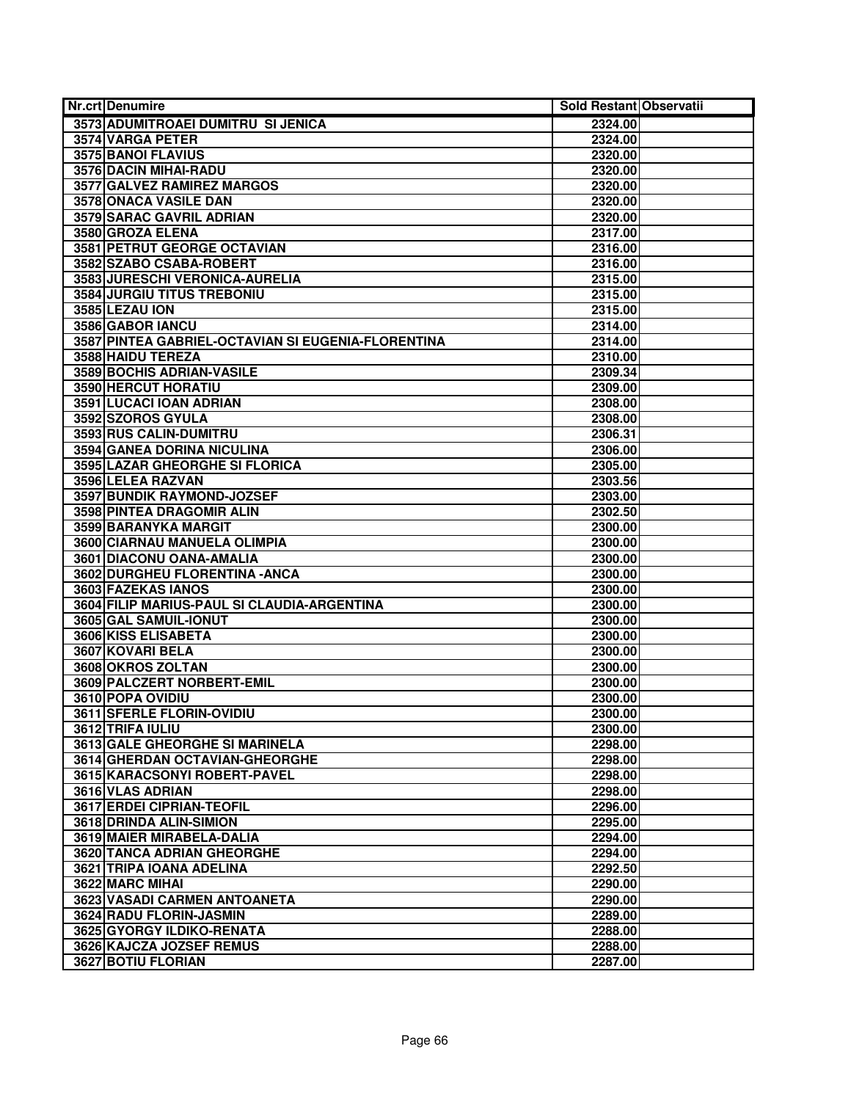| <b>Nr.crt Denumire</b>                             | Sold Restant Observatii |  |
|----------------------------------------------------|-------------------------|--|
| 3573 ADUMITROAEI DUMITRU SI JENICA                 | 2324.00                 |  |
| 3574 VARGA PETER                                   | 2324.00                 |  |
| 3575 BANOI FLAVIUS                                 | 2320.00                 |  |
| 3576 DACIN MIHAI-RADU                              | 2320.00                 |  |
| 3577 GALVEZ RAMIREZ MARGOS                         | 2320.00                 |  |
| 3578 ONACA VASILE DAN                              | 2320.00                 |  |
| <b>3579 SARAC GAVRIL ADRIAN</b>                    | 2320.00                 |  |
| 3580 GROZA ELENA                                   | 2317.00                 |  |
| 3581 PETRUT GEORGE OCTAVIAN                        | 2316.00                 |  |
| 3582 SZABO CSABA-ROBERT                            | 2316.00                 |  |
| 3583 JURESCHI VERONICA-AURELIA                     | 2315.00                 |  |
| 3584 JURGIU TITUS TREBONIU                         | 2315.00                 |  |
| 3585 LEZAU ION                                     | 2315.00                 |  |
| 3586 GABOR IANCU                                   | 2314.00                 |  |
| 3587 PINTEA GABRIEL-OCTAVIAN SI EUGENIA-FLORENTINA | 2314.00                 |  |
| 3588 HAIDU TEREZA                                  | 2310.00                 |  |
| <b>3589 BOCHIS ADRIAN-VASILE</b>                   | 2309.34                 |  |
| 3590 HERCUT HORATIU                                | 2309.00                 |  |
| 3591 LUCACI IOAN ADRIAN                            | 2308.00                 |  |
| 3592 SZOROS GYULA                                  | 2308.00                 |  |
| 3593 RUS CALIN-DUMITRU                             | 2306.31                 |  |
| 3594 GANEA DORINA NICULINA                         | 2306.00                 |  |
| <b>3595 LAZAR GHEORGHE SI FLORICA</b>              | 2305.00                 |  |
| 3596 LELEA RAZVAN                                  | 2303.56                 |  |
| 3597 BUNDIK RAYMOND-JOZSEF                         | 2303.00                 |  |
| 3598 PINTEA DRAGOMIR ALIN                          | 2302.50                 |  |
| 3599 BARANYKA MARGIT                               | 2300.00                 |  |
| 3600 CIARNAU MANUELA OLIMPIA                       | 2300.00                 |  |
| 3601 DIACONU OANA-AMALIA                           | 2300.00                 |  |
| 3602 DURGHEU FLORENTINA - ANCA                     | 2300.00                 |  |
| 3603 FAZEKAS IANOS                                 | 2300.00                 |  |
| 3604 FILIP MARIUS-PAUL SI CLAUDIA-ARGENTINA        | 2300.00                 |  |
| 3605 GAL SAMUIL-IONUT                              | 2300.00                 |  |
| 3606 KISS ELISABETA                                | 2300.00                 |  |
| 3607 KOVARI BELA                                   | 2300.00                 |  |
| 3608 OKROS ZOLTAN                                  | 2300.00                 |  |
| 3609 PALCZERT NORBERT-EMIL                         | 2300.00                 |  |
| 3610 POPA OVIDIU                                   | 2300.00                 |  |
| 3611 SFERLE FLORIN-OVIDIU                          | 2300.00                 |  |
| 3612 TRIFA IULIU                                   | 2300.00                 |  |
| <b>3613 GALE GHEORGHE SI MARINELA</b>              | 2298.00                 |  |
| 3614 GHERDAN OCTAVIAN-GHEORGHE                     | 2298.00                 |  |
| 3615 KARACSONYI ROBERT-PAVEL                       | 2298.00                 |  |
| 3616 VLAS ADRIAN                                   | 2298.00                 |  |
| 3617 ERDEI CIPRIAN-TEOFIL                          | 2296.00                 |  |
| 3618 DRINDA ALIN-SIMION                            | 2295.00                 |  |
| 3619 MAIER MIRABELA-DALIA                          | 2294.00                 |  |
| <b>3620 TANCA ADRIAN GHEORGHE</b>                  | 2294.00                 |  |
| 3621 TRIPA IOANA ADELINA                           | 2292.50                 |  |
| 3622 MARC MIHAI                                    | 2290.00                 |  |
| 3623 VASADI CARMEN ANTOANETA                       | 2290.00                 |  |
| 3624 RADU FLORIN-JASMIN                            | 2289.00                 |  |
| 3625 GYORGY ILDIKO-RENATA                          | 2288.00                 |  |
| 3626 KAJCZA JOZSEF REMUS                           | 2288.00                 |  |
| 3627 BOTIU FLORIAN                                 | 2287.00                 |  |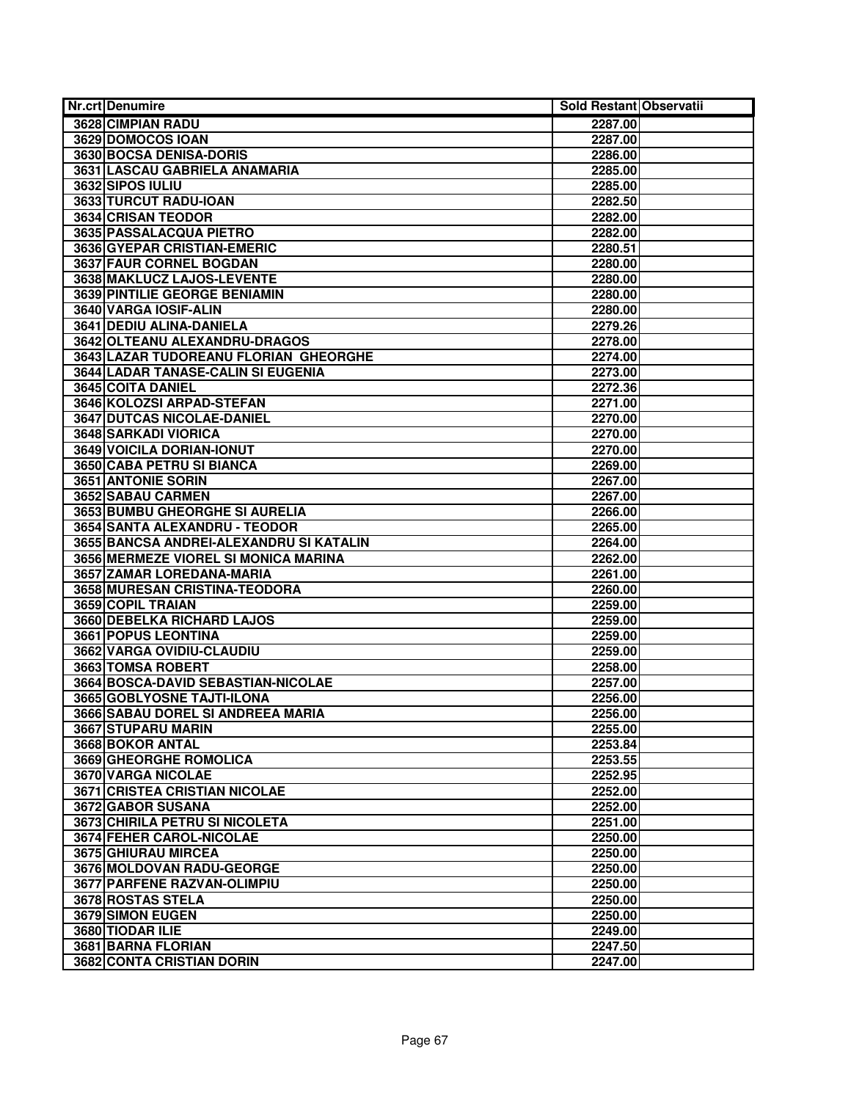| <b>Nr.crt Denumire</b>                           | Sold Restant Observatii |  |
|--------------------------------------------------|-------------------------|--|
| <b>3628 CIMPIAN RADU</b>                         | 2287.00                 |  |
| 3629 DOMOCOS IOAN                                | 2287.00                 |  |
| 3630 BOCSA DENISA-DORIS                          | 2286.00                 |  |
| 3631 LASCAU GABRIELA ANAMARIA                    | 2285.00                 |  |
| 3632 SIPOS IULIU                                 | 2285.00                 |  |
| 3633 TURCUT RADU-IOAN                            | 2282.50                 |  |
| 3634 CRISAN TEODOR                               | 2282.00                 |  |
| 3635 PASSALACQUA PIETRO                          | 2282.00                 |  |
| 3636 GYEPAR CRISTIAN-EMERIC                      | 2280.51                 |  |
| 3637 FAUR CORNEL BOGDAN                          | 2280.00                 |  |
| 3638 MAKLUCZ LAJOS-LEVENTE                       | 2280.00                 |  |
| 3639 PINTILIE GEORGE BENIAMIN                    | 2280.00                 |  |
| 3640 VARGA IOSIF-ALIN                            | 2280.00                 |  |
| 3641 DEDIU ALINA-DANIELA                         | 2279.26                 |  |
| 3642 OLTEANU ALEXANDRU-DRAGOS                    | 2278.00                 |  |
| 3643 LAZAR TUDOREANU FLORIAN GHEORGHE            | 2274.00                 |  |
| 3644 LADAR TANASE-CALIN SI EUGENIA               | 2273.00                 |  |
| 3645 COITA DANIEL                                | 2272.36                 |  |
| 3646 KOLOZSI ARPAD-STEFAN                        | 2271.00                 |  |
| 3647 DUTCAS NICOLAE-DANIEL                       | 2270.00                 |  |
| <b>3648 SARKADI VIORICA</b>                      | 2270.00                 |  |
| 3649 VOICILA DORIAN-IONUT                        | 2270.00                 |  |
| 3650 CABA PETRU SI BIANCA                        | 2269.00                 |  |
| <b>3651 ANTONIE SORIN</b>                        | 2267.00                 |  |
| 3652 SABAU CARMEN                                | 2267.00                 |  |
| 3653 BUMBU GHEORGHE SI AURELIA                   | 2266.00                 |  |
| 3654 SANTA ALEXANDRU - TEODOR                    | 2265.00                 |  |
| 3655 BANCSA ANDREI-ALEXANDRU SI KATALIN          | 2264.00                 |  |
| 3656 MERMEZE VIOREL SI MONICA MARINA             | 2262.00                 |  |
| 3657 ZAMAR LOREDANA-MARIA                        | 2261.00                 |  |
| 3658 MURESAN CRISTINA-TEODORA                    | 2260.00                 |  |
| 3659 COPIL TRAIAN                                | 2259.00                 |  |
| 3660 DEBELKA RICHARD LAJOS                       | 2259.00                 |  |
| 3661 POPUS LEONTINA                              | 2259.00                 |  |
| 3662 VARGA OVIDIU-CLAUDIU                        | 2259.00                 |  |
| 3663 TOMSA ROBERT                                | 2258.00                 |  |
| 3664 BOSCA-DAVID SEBASTIAN-NICOLAE               | 2257.00                 |  |
| 3665 GOBLYOSNE TAJTI-ILONA                       | 2256.00                 |  |
| 3666 SABAU DOREL SI ANDREEA MARIA                | 2256.00                 |  |
| 3667 STUPARU MARIN                               | 2255.00                 |  |
| 3668 BOKOR ANTAL                                 | 2253.84                 |  |
| 3669 GHEORGHE ROMOLICA                           | 2253.55                 |  |
| 3670 VARGA NICOLAE                               | 2252.95                 |  |
| <b>3671 CRISTEA CRISTIAN NICOLAE</b>             | 2252.00                 |  |
| 3672 GABOR SUSANA                                | 2252.00                 |  |
| 3673 CHIRILA PETRU SI NICOLETA                   | 2251.00                 |  |
| 3674 FEHER CAROL-NICOLAE<br>3675 GHIURAU MIRCEA  | 2250.00                 |  |
| 3676 MOLDOVAN RADU-GEORGE                        | 2250.00                 |  |
|                                                  | 2250.00                 |  |
| 3677 PARFENE RAZVAN-OLIMPIU<br>3678 ROSTAS STELA | 2250.00                 |  |
|                                                  | 2250.00                 |  |
| 3679 SIMON EUGEN<br>3680 TIODAR ILIE             | 2250.00                 |  |
| 3681 BARNA FLORIAN                               | 2249.00                 |  |
| 3682 CONTA CRISTIAN DORIN                        | 2247.50                 |  |
|                                                  | 2247.00                 |  |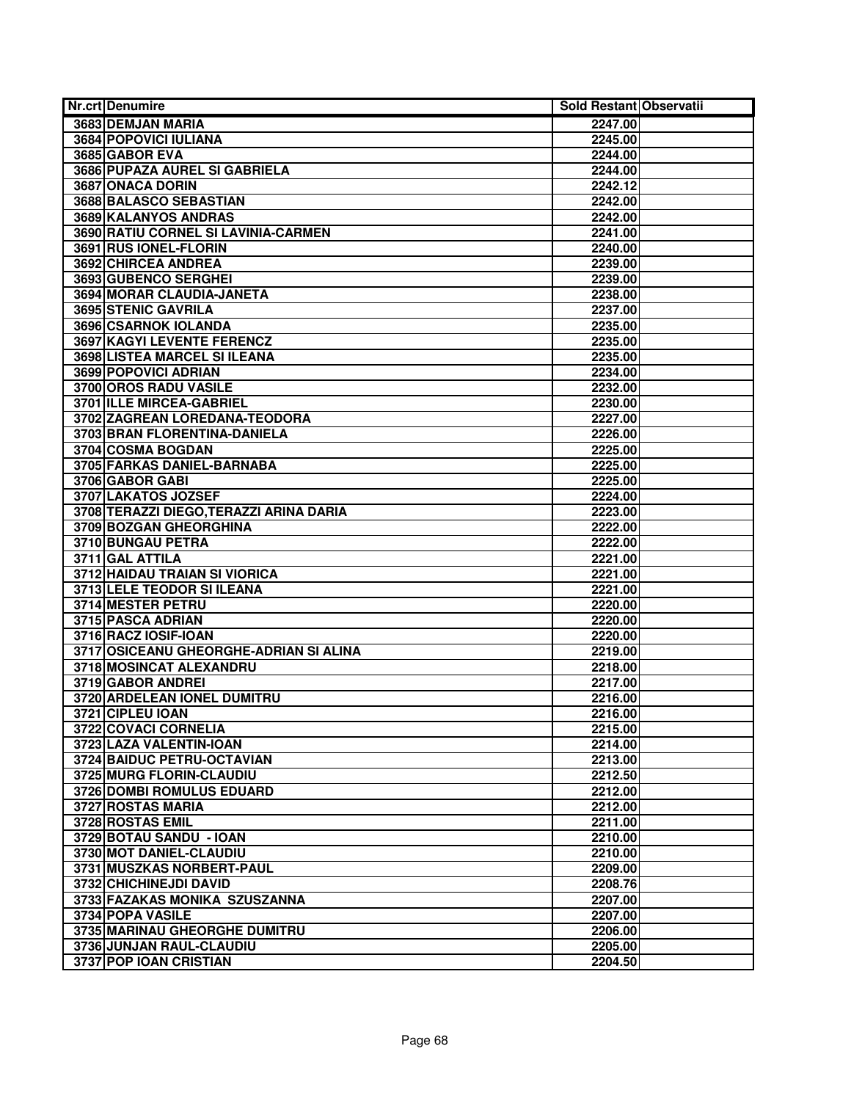| <b>Nr.crt Denumire</b>                  | Sold Restant Observatii |  |
|-----------------------------------------|-------------------------|--|
| 3683 DEMJAN MARIA                       | 2247.00                 |  |
| <b>3684 POPOVICI IULIANA</b>            | 2245.00                 |  |
| 3685 GABOR EVA                          | 2244.00                 |  |
| 3686 PUPAZA AUREL SI GABRIELA           | 2244.00                 |  |
| 3687 ONACA DORIN                        | 2242.12                 |  |
| 3688 BALASCO SEBASTIAN                  | 2242.00                 |  |
| 3689 KALANYOS ANDRAS                    | 2242.00                 |  |
| 3690 RATIU CORNEL SI LAVINIA-CARMEN     | 2241.00                 |  |
| 3691 RUS IONEL-FLORIN                   | 2240.00                 |  |
| 3692 CHIRCEA ANDREA                     | 2239.00                 |  |
| 3693 GUBENCO SERGHEI                    | 2239.00                 |  |
| 3694 MORAR CLAUDIA-JANETA               | 2238.00                 |  |
| 3695 STENIC GAVRILA                     | 2237.00                 |  |
| 3696 CSARNOK IOLANDA                    | 2235.00                 |  |
| 3697 KAGYI LEVENTE FERENCZ              | 2235.00                 |  |
| 3698 LISTEA MARCEL SI ILEANA            | 2235.00                 |  |
| 3699 POPOVICI ADRIAN                    | 2234.00                 |  |
| 3700 OROS RADU VASILE                   | 2232.00                 |  |
| 3701 ILLE MIRCEA-GABRIEL                | 2230.00                 |  |
| 3702 ZAGREAN LOREDANA-TEODORA           | 2227.00                 |  |
| 3703 BRAN FLORENTINA-DANIELA            | 2226.00                 |  |
| 3704 COSMA BOGDAN                       | 2225.00                 |  |
| 3705 FARKAS DANIEL-BARNABA              | 2225.00                 |  |
| 3706 GABOR GABI                         | 2225.00                 |  |
| 3707 LAKATOS JOZSEF                     | 2224.00                 |  |
| 3708 TERAZZI DIEGO, TERAZZI ARINA DARIA | 2223.00                 |  |
| 3709 BOZGAN GHEORGHINA                  | 2222.00                 |  |
| 3710 BUNGAU PETRA                       | 2222.00                 |  |
| 3711 GAL ATTILA                         | 2221.00                 |  |
| 3712 HAIDAU TRAIAN SI VIORICA           | 2221.00                 |  |
| 3713 LELE TEODOR SI ILEANA              | 2221.00                 |  |
| 3714 MESTER PETRU                       | 2220.00                 |  |
| 3715 PASCA ADRIAN                       | 2220.00                 |  |
| 3716 RACZ IOSIF-IOAN                    | 2220.00                 |  |
| 3717 OSICEANU GHEORGHE-ADRIAN SI ALINA  | 2219.00                 |  |
| 3718 MOSINCAT ALEXANDRU                 | 2218.00                 |  |
| 3719 GABOR ANDREI                       | 2217.00                 |  |
| 3720 ARDELEAN IONEL DUMITRU             | 2216.00                 |  |
| 3721 CIPLEU IOAN                        | 2216.00                 |  |
| 3722 COVACI CORNELIA                    | 2215.00                 |  |
| 3723 LAZA VALENTIN-IOAN                 | 2214.00                 |  |
| 3724 BAIDUC PETRU-OCTAVIAN              | 2213.00                 |  |
| 3725 MURG FLORIN-CLAUDIU                | 2212.50                 |  |
| 3726 DOMBI ROMULUS EDUARD               | 2212.00                 |  |
| 3727 ROSTAS MARIA                       | 2212.00                 |  |
| 3728 ROSTAS EMIL                        | 2211.00                 |  |
| 3729 BOTAU SANDU - IOAN                 | 2210.00                 |  |
| 3730 MOT DANIEL-CLAUDIU                 | 2210.00                 |  |
| 3731 MUSZKAS NORBERT-PAUL               | 2209.00                 |  |
| 3732 CHICHINEJDI DAVID                  | 2208.76                 |  |
| 3733 FAZAKAS MONIKA SZUSZANNA           | 2207.00                 |  |
| 3734 POPA VASILE                        | 2207.00                 |  |
| 3735 MARINAU GHEORGHE DUMITRU           | 2206.00                 |  |
| 3736 JUNJAN RAUL-CLAUDIU                | 2205.00                 |  |
| 3737 POP IOAN CRISTIAN                  | 2204.50                 |  |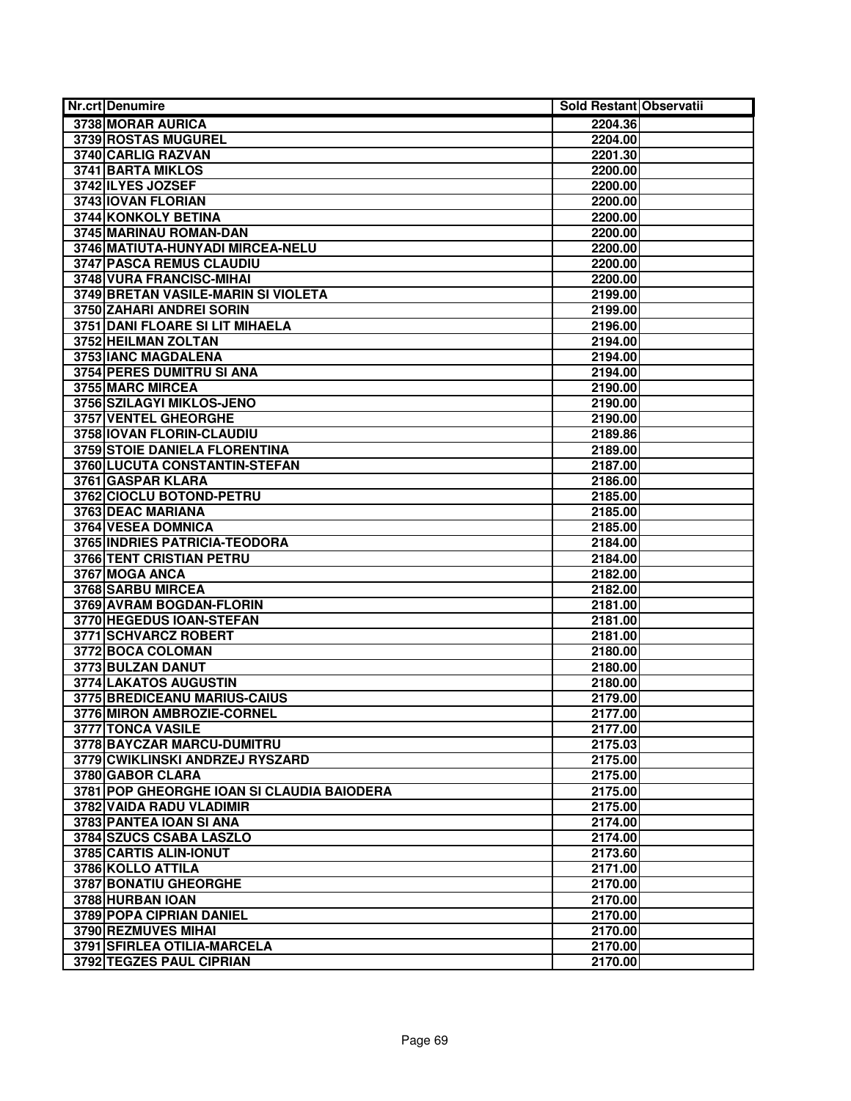| <b>Nr.crt Denumire</b>                     | Sold Restant Observatii |  |
|--------------------------------------------|-------------------------|--|
| 3738 MORAR AURICA                          | 2204.36                 |  |
| 3739 ROSTAS MUGUREL                        | 2204.00                 |  |
| 3740 CARLIG RAZVAN                         | 2201.30                 |  |
| <b>3741 BARTA MIKLOS</b>                   | 2200.00                 |  |
| 3742 ILYES JOZSEF                          | 2200.00                 |  |
| 3743 IOVAN FLORIAN                         | 2200.00                 |  |
| <b>3744 KONKOLY BETINA</b>                 | 2200.00                 |  |
| 3745 MARINAU ROMAN-DAN                     | 2200.00                 |  |
| 3746 MATIUTA-HUNYADI MIRCEA-NELU           | 2200.00                 |  |
| 3747 PASCA REMUS CLAUDIU                   | 2200.00                 |  |
| 3748 VURA FRANCISC-MIHAI                   | 2200.00                 |  |
| 3749 BRETAN VASILE-MARIN SI VIOLETA        | 2199.00                 |  |
| 3750 ZAHARI ANDREI SORIN                   | 2199.00                 |  |
| 3751 DANI FLOARE SI LIT MIHAELA            | 2196.00                 |  |
| 3752 HEILMAN ZOLTAN                        | 2194.00                 |  |
| 3753 IANC MAGDALENA                        | 2194.00                 |  |
| 3754 PERES DUMITRU SI ANA                  | 2194.00                 |  |
| 3755 MARC MIRCEA                           | 2190.00                 |  |
| 3756 SZILAGYI MIKLOS-JENO                  | 2190.00                 |  |
| 3757 VENTEL GHEORGHE                       | 2190.00                 |  |
| 3758 IOVAN FLORIN-CLAUDIU                  | 2189.86                 |  |
| 3759 STOIE DANIELA FLORENTINA              | 2189.00                 |  |
| 3760 LUCUTA CONSTANTIN-STEFAN              | 2187.00                 |  |
| 3761 GASPAR KLARA                          | 2186.00                 |  |
| 3762 CIOCLU BOTOND-PETRU                   | 2185.00                 |  |
| 3763 DEAC MARIANA                          | 2185.00                 |  |
| 3764 VESEA DOMNICA                         | 2185.00                 |  |
| 3765 INDRIES PATRICIA-TEODORA              | 2184.00                 |  |
| 3766 TENT CRISTIAN PETRU                   | 2184.00                 |  |
| 3767 MOGA ANCA                             | 2182.00                 |  |
| 3768 SARBU MIRCEA                          | 2182.00                 |  |
| 3769 AVRAM BOGDAN-FLORIN                   | 2181.00                 |  |
| 3770 HEGEDUS IOAN-STEFAN                   | 2181.00                 |  |
| 3771 SCHVARCZ ROBERT                       | 2181.00                 |  |
| 3772 BOCA COLOMAN                          | 2180.00                 |  |
| 3773 BULZAN DANUT                          | 2180.00                 |  |
| 3774 LAKATOS AUGUSTIN                      | 2180.00                 |  |
| 3775 BREDICEANU MARIUS-CAIUS               | 2179.00                 |  |
| 3776 MIRON AMBROZIE-CORNEL                 | 2177.00                 |  |
| 3777 TONCA VASILE                          | 2177.00                 |  |
| 3778 BAYCZAR MARCU-DUMITRU                 | 2175.03                 |  |
| 3779 CWIKLINSKI ANDRZEJ RYSZARD            | 2175.00                 |  |
| 3780 GABOR CLARA                           | 2175.00                 |  |
| 3781 POP GHEORGHE IOAN SI CLAUDIA BAIODERA | 2175.00                 |  |
| 3782 VAIDA RADU VLADIMIR                   | 2175.00                 |  |
| 3783 PANTEA IOAN SI ANA                    | 2174.00                 |  |
| 3784 SZUCS CSABA LASZLO                    | 2174.00                 |  |
| 3785 CARTIS ALIN-IONUT                     | 2173.60                 |  |
| 3786 KOLLO ATTILA                          | 2171.00                 |  |
| 3787 BONATIU GHEORGHE                      | 2170.00                 |  |
| 3788 HURBAN IOAN                           | 2170.00                 |  |
| 3789 POPA CIPRIAN DANIEL                   | 2170.00                 |  |
| 3790 REZMUVES MIHAI                        | 2170.00                 |  |
| 3791 SFIRLEA OTILIA-MARCELA                | 2170.00                 |  |
| 3792 TEGZES PAUL CIPRIAN                   | 2170.00                 |  |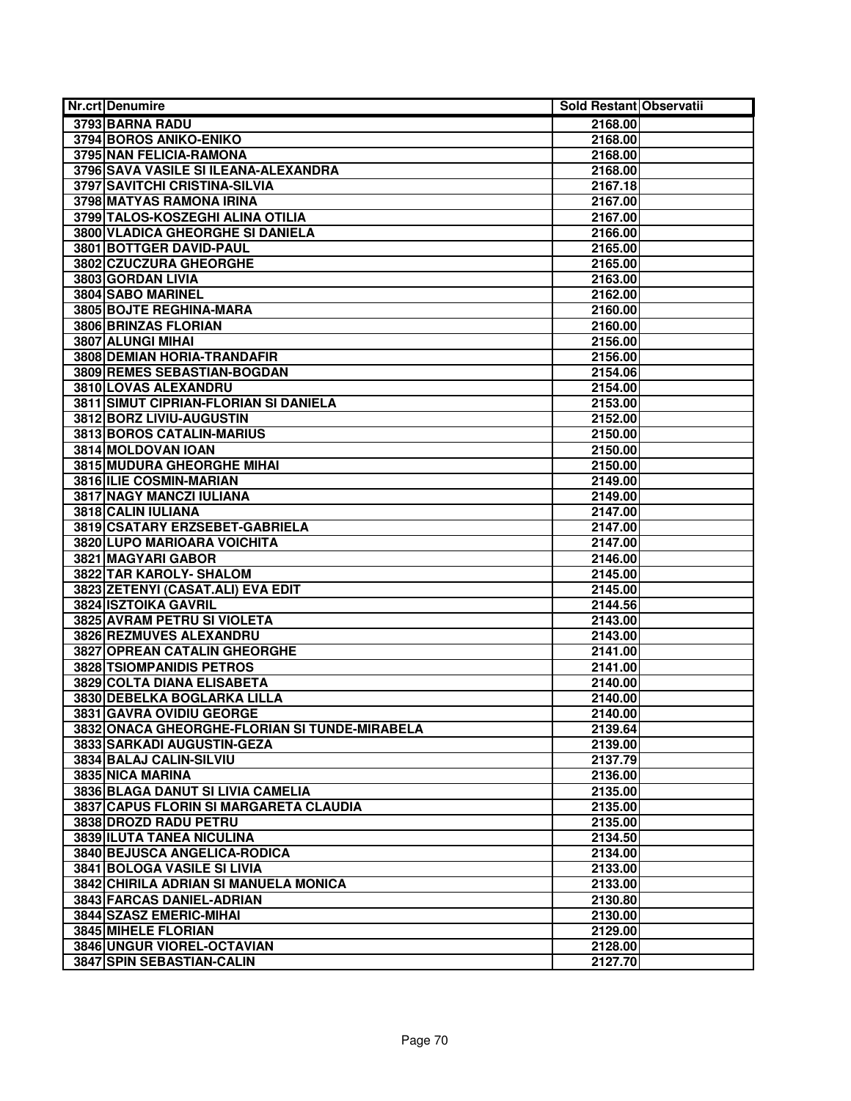| <b>Nr.crt Denumire</b>                        | Sold Restant Observatii |
|-----------------------------------------------|-------------------------|
| 3793 BARNA RADU                               | 2168.00                 |
| 3794 BOROS ANIKO-ENIKO                        | 2168.00                 |
| 3795 NAN FELICIA-RAMONA                       | 2168.00                 |
| 3796 SAVA VASILE SI ILEANA-ALEXANDRA          | 2168.00                 |
| 3797 SAVITCHI CRISTINA-SILVIA                 | 2167.18                 |
| 3798 MATYAS RAMONA IRINA                      | 2167.00                 |
| 3799 TALOS-KOSZEGHI ALINA OTILIA              | 2167.00                 |
| 3800 VLADICA GHEORGHE SI DANIELA              | 2166.00                 |
| 3801 BOTTGER DAVID-PAUL                       | 2165.00                 |
| 3802 CZUCZURA GHEORGHE                        | 2165.00                 |
| 3803 GORDAN LIVIA                             | 2163.00                 |
| 3804 SABO MARINEL                             | 2162.00                 |
| 3805 BOJTE REGHINA-MARA                       | 2160.00                 |
| 3806 BRINZAS FLORIAN                          | 2160.00                 |
| 3807 ALUNGI MIHAI                             | 2156.00                 |
| 3808 DEMIAN HORIA-TRANDAFIR                   | 2156.00                 |
| 3809 REMES SEBASTIAN-BOGDAN                   | 2154.06                 |
| 3810 LOVAS ALEXANDRU                          | 2154.00                 |
| 3811 SIMUT CIPRIAN-FLORIAN SI DANIELA         | 2153.00                 |
| 3812 BORZ LIVIU-AUGUSTIN                      | 2152.00                 |
| 3813 BOROS CATALIN-MARIUS                     | 2150.00                 |
| 3814 MOLDOVAN IOAN                            | 2150.00                 |
| <b>3815 MUDURA GHEORGHE MIHAI</b>             | 2150.00                 |
| 3816 ILIE COSMIN-MARIAN                       | 2149.00                 |
| 3817 NAGY MANCZI IULIANA                      | 2149.00                 |
| 3818 CALIN IULIANA                            | 2147.00                 |
| 3819 CSATARY ERZSEBET-GABRIELA                | 2147.00                 |
| 3820 LUPO MARIOARA VOICHITA                   | 2147.00                 |
| 3821 MAGYARI GABOR                            | 2146.00                 |
| 3822 TAR KAROLY- SHALOM                       | 2145.00                 |
| 3823 ZETENYI (CASAT.ALI) EVA EDIT             | 2145.00                 |
| 3824 ISZTOIKA GAVRIL                          | 2144.56                 |
| 3825 AVRAM PETRU SI VIOLETA                   | 2143.00                 |
| 3826 REZMUVES ALEXANDRU                       | 2143.00                 |
| 3827 OPREAN CATALIN GHEORGHE                  | 2141.00                 |
| <b>3828 TSIOMPANIDIS PETROS</b>               | 2141.00                 |
| 3829 COLTA DIANA ELISABETA                    | 2140.00                 |
| 3830 DEBELKA BOGLARKA LILLA                   | 2140.00                 |
| 3831 GAVRA OVIDIU GEORGE                      | 2140.00                 |
| 3832 ONACA GHEORGHE-FLORIAN SI TUNDE-MIRABELA | 2139.64                 |
| 3833 SARKADI AUGUSTIN-GEZA                    | 2139.00                 |
| 3834 BALAJ CALIN-SILVIU                       | 2137.79                 |
| 3835 NICA MARINA                              | 2136.00                 |
| 3836 BLAGA DANUT SI LIVIA CAMELIA             | 2135.00                 |
| 3837 CAPUS FLORIN SI MARGARETA CLAUDIA        | 2135.00                 |
| 3838 DROZD RADU PETRU                         | 2135.00                 |
| 3839 ILUTA TANEA NICULINA                     | 2134.50                 |
| 3840 BEJUSCA ANGELICA-RODICA                  | 2134.00                 |
| 3841 BOLOGA VASILE SI LIVIA                   | 2133.00                 |
| 3842 CHIRILA ADRIAN SI MANUELA MONICA         | 2133.00                 |
| 3843 FARCAS DANIEL-ADRIAN                     | 2130.80                 |
| 3844 SZASZ EMERIC-MIHAI                       | 2130.00                 |
| <b>3845 MIHELE FLORIAN</b>                    | 2129.00                 |
| 3846 UNGUR VIOREL-OCTAVIAN                    | 2128.00                 |
| 3847 SPIN SEBASTIAN-CALIN                     | 2127.70                 |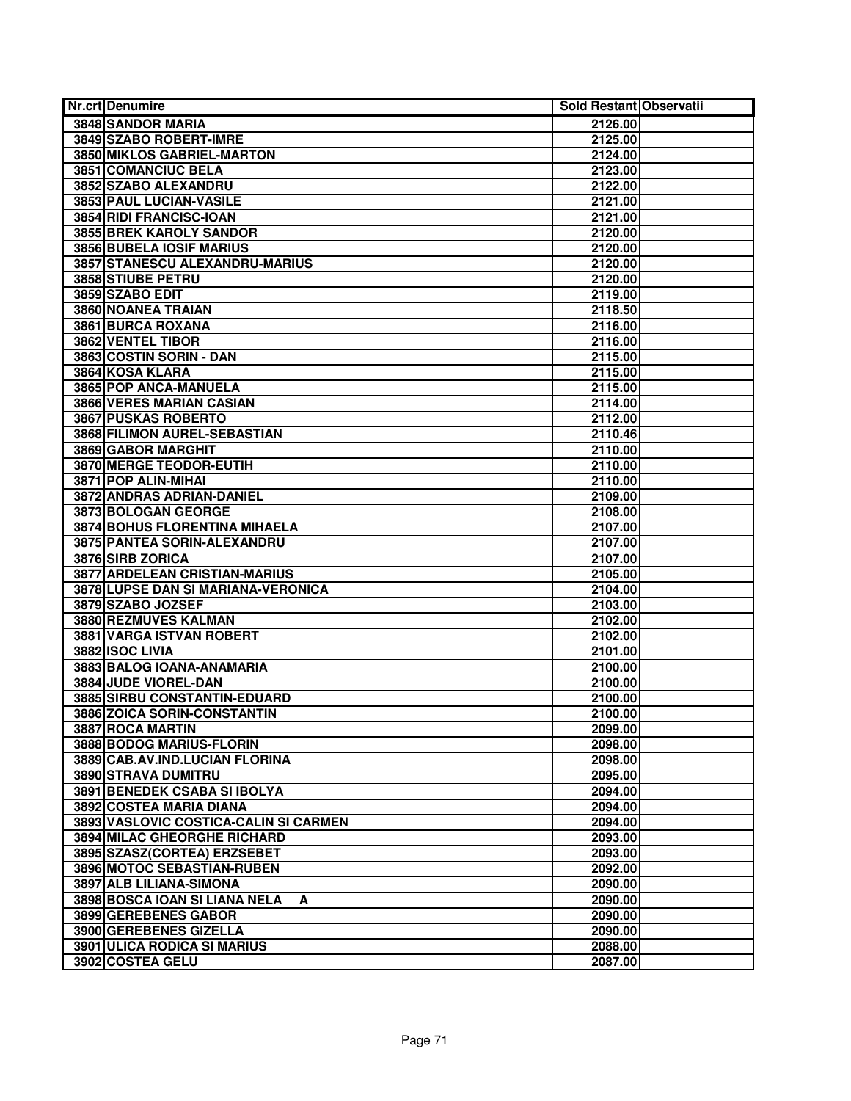| <b>Nr.crt Denumire</b>                | Sold Restant Observatii |
|---------------------------------------|-------------------------|
| 3848 SANDOR MARIA                     | 2126.00                 |
| 3849 SZABO ROBERT-IMRE                | 2125.00                 |
| <b>3850 MIKLOS GABRIEL-MARTON</b>     | 2124.00                 |
| 3851 COMANCIUC BELA                   | 2123.00                 |
| 3852 SZABO ALEXANDRU                  | 2122.00                 |
| 3853 PAUL LUCIAN-VASILE               | 2121.00                 |
| 3854 RIDI FRANCISC-IOAN               | 2121.00                 |
| 3855 BREK KAROLY SANDOR               | 2120.00                 |
| 3856 BUBELA IOSIF MARIUS              | 2120.00                 |
| 3857 STANESCU ALEXANDRU-MARIUS        | 2120.00                 |
| 3858 STIUBE PETRU                     | 2120.00                 |
| 3859 SZABO EDIT                       | 2119.00                 |
| 3860 NOANEA TRAIAN                    | 2118.50                 |
| 3861 BURCA ROXANA                     | 2116.00                 |
| 3862 VENTEL TIBOR                     | 2116.00                 |
| 3863 COSTIN SORIN - DAN               | 2115.00                 |
| 3864 KOSA KLARA                       | 2115.00                 |
| 3865 POP ANCA-MANUELA                 | 2115.00                 |
| 3866 VERES MARIAN CASIAN              | 2114.00                 |
| 3867 PUSKAS ROBERTO                   | 2112.00                 |
| 3868 FILIMON AUREL-SEBASTIAN          | 2110.46                 |
| 3869 GABOR MARGHIT                    | 2110.00                 |
| 3870 MERGE TEODOR-EUTIH               | 2110.00                 |
| 3871 POP ALIN-MIHAI                   | 2110.00                 |
| <b>3872 ANDRAS ADRIAN-DANIEL</b>      | 2109.00                 |
| 3873 BOLOGAN GEORGE                   | 2108.00                 |
| 3874 BOHUS FLORENTINA MIHAELA         | 2107.00                 |
| 3875 PANTEA SORIN-ALEXANDRU           | 2107.00                 |
| 3876 SIRB ZORICA                      | 2107.00                 |
| 3877 ARDELEAN CRISTIAN-MARIUS         | 2105.00                 |
| 3878 LUPSE DAN SI MARIANA-VERONICA    | 2104.00                 |
| 3879 SZABO JOZSEF                     | 2103.00                 |
| 3880 REZMUVES KALMAN                  | 2102.00                 |
| 3881 VARGA ISTVAN ROBERT              | 2102.00                 |
| 3882 ISOC LIVIA                       | 2101.00                 |
| 3883 BALOG IOANA-ANAMARIA             | 2100.00                 |
| 3884 JUDE VIOREL-DAN                  | 2100.00                 |
| 3885 SIRBU CONSTANTIN-EDUARD          | 2100.00                 |
| 3886 ZOICA SORIN-CONSTANTIN           | 2100.00                 |
| 3887 ROCA MARTIN                      | 2099.00                 |
| 3888 BODOG MARIUS-FLORIN              | 2098.00                 |
| 3889 CAB.AV.IND.LUCIAN FLORINA        | 2098.00                 |
| 3890 STRAVA DUMITRU                   | 2095.00                 |
| 3891 BENEDEK CSABA SI IBOLYA          | 2094.00                 |
| 3892 COSTEA MARIA DIANA               | 2094.00                 |
| 3893 VASLOVIC COSTICA-CALIN SI CARMEN | 2094.00                 |
| 3894 MILAC GHEORGHE RICHARD           | 2093.00                 |
| 3895 SZASZ(CORTEA) ERZSEBET           | 2093.00                 |
| 3896 MOTOC SEBASTIAN-RUBEN            | 2092.00                 |
| 3897 ALB LILIANA-SIMONA               | 2090.00                 |
| 3898 BOSCA IOAN SI LIANA NELA<br>A    | 2090.00                 |
| 3899 GEREBENES GABOR                  | 2090.00                 |
| 3900 GEREBENES GIZELLA                | 2090.00                 |
| <b>3901 ULICA RODICA SI MARIUS</b>    | 2088.00                 |
| 3902 COSTEA GELU                      | 2087.00                 |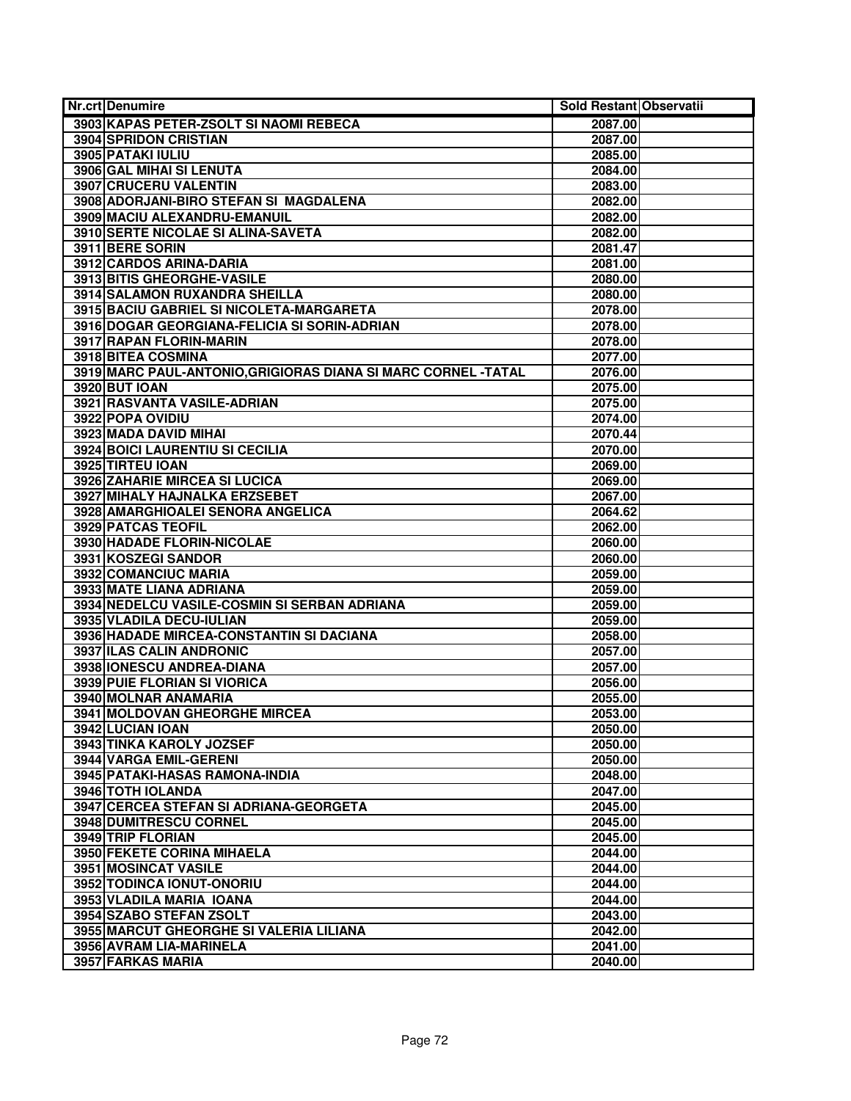| <b>Nr.crt Denumire</b>                                         | Sold Restant Observatii |  |
|----------------------------------------------------------------|-------------------------|--|
| 3903 KAPAS PETER-ZSOLT SI NAOMI REBECA                         | 2087.00                 |  |
| <b>3904 SPRIDON CRISTIAN</b>                                   | 2087.00                 |  |
| 3905 PATAKI IULIU                                              | 2085.00                 |  |
| 3906 GAL MIHAI SI LENUTA                                       | 2084.00                 |  |
| 3907 CRUCERU VALENTIN                                          | 2083.00                 |  |
| 3908 ADORJANI-BIRO STEFAN SI MAGDALENA                         | 2082.00                 |  |
| 3909 MACIU ALEXANDRU-EMANUIL                                   | 2082.00                 |  |
| 3910 SERTE NICOLAE SI ALINA-SAVETA                             | 2082.00                 |  |
| 3911 BERE SORIN                                                | 2081.47                 |  |
| 3912 CARDOS ARINA-DARIA                                        | 2081.00                 |  |
| <b>3913 BITIS GHEORGHE-VASILE</b>                              | 2080.00                 |  |
| 3914 SALAMON RUXANDRA SHEILLA                                  | 2080.00                 |  |
| 3915 BACIU GABRIEL SI NICOLETA-MARGARETA                       | 2078.00                 |  |
| 3916 DOGAR GEORGIANA-FELICIA SI SORIN-ADRIAN                   | 2078.00                 |  |
| 3917 RAPAN FLORIN-MARIN                                        | 2078.00                 |  |
| 3918 BITEA COSMINA                                             | 2077.00                 |  |
| 3919 MARC PAUL-ANTONIO, GRIGIORAS DIANA SI MARC CORNEL - TATAL | 2076.00                 |  |
| 3920 BUT IOAN                                                  | 2075.00                 |  |
| 3921 RASVANTA VASILE-ADRIAN                                    | 2075.00                 |  |
| 3922 POPA OVIDIU                                               | 2074.00                 |  |
| 3923 MADA DAVID MIHAI                                          | 2070.44                 |  |
| 3924 BOICI LAURENTIU SI CECILIA                                | 2070.00                 |  |
| 3925 TIRTEU IOAN                                               | 2069.00                 |  |
| 3926 ZAHARIE MIRCEA SI LUCICA                                  | 2069.00                 |  |
| 3927 MIHALY HAJNALKA ERZSEBET                                  | 2067.00                 |  |
| 3928 AMARGHIOALEI SENORA ANGELICA                              | 2064.62                 |  |
| 3929 PATCAS TEOFIL                                             | 2062.00                 |  |
| 3930 HADADE FLORIN-NICOLAE                                     | 2060.00                 |  |
| 3931 KOSZEGI SANDOR                                            | 2060.00                 |  |
| 3932 COMANCIUC MARIA                                           | 2059.00                 |  |
| 3933 MATE LIANA ADRIANA                                        | 2059.00                 |  |
| 3934 NEDELCU VASILE-COSMIN SI SERBAN ADRIANA                   | 2059.00                 |  |
| 3935 VLADILA DECU-IULIAN                                       | 2059.00                 |  |
| 3936 HADADE MIRCEA-CONSTANTIN SI DACIANA                       | 2058.00                 |  |
| 3937 ILAS CALIN ANDRONIC                                       | 2057.00                 |  |
| 3938 IONESCU ANDREA-DIANA                                      | 2057.00                 |  |
| 3939 PUIE FLORIAN SI VIORICA                                   | 2056.00                 |  |
| 3940 MOLNAR ANAMARIA                                           | 2055.00                 |  |
| 3941 MOLDOVAN GHEORGHE MIRCEA                                  | 2053.00                 |  |
| 3942 LUCIAN IOAN                                               | 2050.00                 |  |
| 3943 TINKA KAROLY JOZSEF                                       | 2050.00                 |  |
| 3944 VARGA EMIL-GERENI                                         | 2050.00                 |  |
| 3945 PATAKI-HASAS RAMONA-INDIA                                 | 2048.00                 |  |
| 3946 TOTH IOLANDA                                              | 2047.00                 |  |
| 3947 CERCEA STEFAN SI ADRIANA-GEORGETA                         | 2045.00                 |  |
| 3948 DUMITRESCU CORNEL                                         | 2045.00                 |  |
| 3949 TRIP FLORIAN                                              | 2045.00                 |  |
| 3950 FEKETE CORINA MIHAELA                                     | 2044.00                 |  |
| 3951 MOSINCAT VASILE                                           | 2044.00                 |  |
| 3952 TODINCA IONUT-ONORIU                                      | 2044.00                 |  |
| 3953 VLADILA MARIA IOANA                                       | 2044.00                 |  |
| 3954 SZABO STEFAN ZSOLT                                        | 2043.00                 |  |
| 3955 MARCUT GHEORGHE SI VALERIA LILIANA                        | 2042.00                 |  |
| 3956 AVRAM LIA-MARINELA                                        | 2041.00                 |  |
| 3957 FARKAS MARIA                                              | 2040.00                 |  |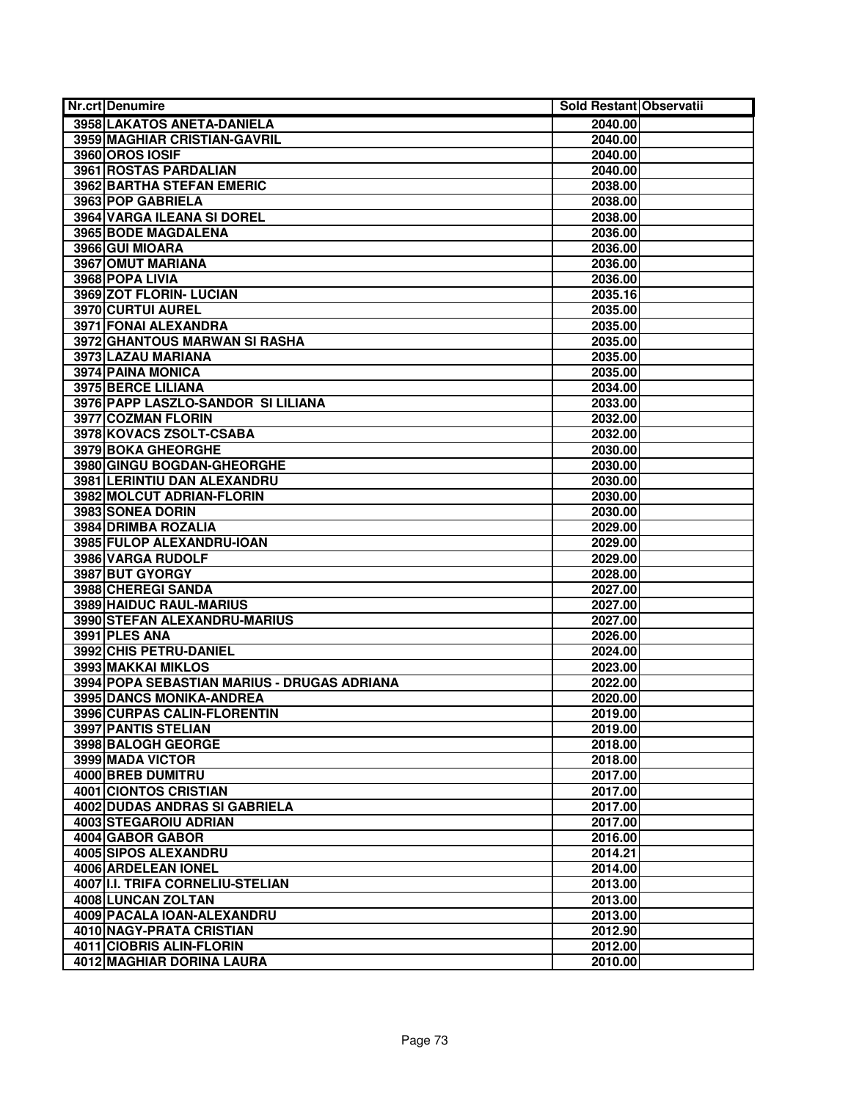| Nr.crt Denumire                             | Sold Restant Observatii |  |
|---------------------------------------------|-------------------------|--|
| 3958 LAKATOS ANETA-DANIELA                  | 2040.00                 |  |
| 3959 MAGHIAR CRISTIAN-GAVRIL                | 2040.00                 |  |
| 3960 OROS IOSIF                             | 2040.00                 |  |
| 3961 ROSTAS PARDALIAN                       | 2040.00                 |  |
| <b>3962 BARTHA STEFAN EMERIC</b>            | 2038.00                 |  |
| 3963 POP GABRIELA                           | 2038.00                 |  |
| 3964 VARGA ILEANA SI DOREL                  | 2038.00                 |  |
| 3965 BODE MAGDALENA                         | 2036.00                 |  |
| 3966 GUI MIOARA                             | 2036.00                 |  |
| 3967 OMUT MARIANA                           | 2036.00                 |  |
| 3968 POPA LIVIA                             | 2036.00                 |  |
| 3969 ZOT FLORIN- LUCIAN                     | 2035.16                 |  |
| 3970 CURTUI AUREL                           | 2035.00                 |  |
| 3971 FONAI ALEXANDRA                        | 2035.00                 |  |
| 3972 GHANTOUS MARWAN SI RASHA               | 2035.00                 |  |
| 3973 LAZAU MARIANA                          | 2035.00                 |  |
| 3974 PAINA MONICA                           | 2035.00                 |  |
| 3975 BERCE LILIANA                          | 2034.00                 |  |
| 3976 PAPP LASZLO-SANDOR SI LILIANA          | 2033.00                 |  |
| 3977 COZMAN FLORIN                          | 2032.00                 |  |
| 3978 KOVACS ZSOLT-CSABA                     | 2032.00                 |  |
| 3979 BOKA GHEORGHE                          | 2030.00                 |  |
| 3980 GINGU BOGDAN-GHEORGHE                  | 2030.00                 |  |
| 3981 LERINTIU DAN ALEXANDRU                 | 2030.00                 |  |
| 3982 MOLCUT ADRIAN-FLORIN                   | 2030.00                 |  |
| 3983 SONEA DORIN                            | 2030.00                 |  |
| 3984 DRIMBA ROZALIA                         | 2029.00                 |  |
| 3985 FULOP ALEXANDRU-IOAN                   | 2029.00                 |  |
| 3986 VARGA RUDOLF                           | 2029.00                 |  |
| 3987 BUT GYORGY                             | 2028.00                 |  |
| 3988 CHEREGI SANDA                          | 2027.00                 |  |
| 3989 HAIDUC RAUL-MARIUS                     | 2027.00                 |  |
| 3990 STEFAN ALEXANDRU-MARIUS                | 2027.00                 |  |
| 3991 PLES ANA                               | 2026.00                 |  |
| 3992 CHIS PETRU-DANIEL                      | 2024.00                 |  |
| 3993 MAKKAI MIKLOS                          | 2023.00                 |  |
| 3994 POPA SEBASTIAN MARIUS - DRUGAS ADRIANA | 2022.00                 |  |
| <b>3995 DANCS MONIKA-ANDREA</b>             | 2020.00                 |  |
| 3996 CURPAS CALIN-FLORENTIN                 | 2019.00                 |  |
| 3997 PANTIS STELIAN                         | 2019.00                 |  |
| 3998 BALOGH GEORGE                          | 2018.00                 |  |
| 3999 MADA VICTOR                            | 2018.00                 |  |
| 4000 BREB DUMITRU                           | 2017.00                 |  |
| 4001 CIONTOS CRISTIAN                       | 2017.00                 |  |
| 4002 DUDAS ANDRAS SI GABRIELA               | 2017.00                 |  |
| 4003 STEGAROIU ADRIAN                       | 2017.00                 |  |
| 4004 GABOR GABOR                            | 2016.00                 |  |
| 4005 SIPOS ALEXANDRU                        | 2014.21                 |  |
| 4006 ARDELEAN IONEL                         | 2014.00                 |  |
| 4007 II.I. TRIFA CORNELIU-STELIAN           | 2013.00                 |  |
| 4008 LUNCAN ZOLTAN                          | 2013.00                 |  |
| 4009 PACALA IOAN-ALEXANDRU                  | 2013.00                 |  |
| <b>4010 NAGY-PRATA CRISTIAN</b>             | 2012.90                 |  |
| 4011 CIOBRIS ALIN-FLORIN                    | 2012.00                 |  |
| 4012 MAGHIAR DORINA LAURA                   | 2010.00                 |  |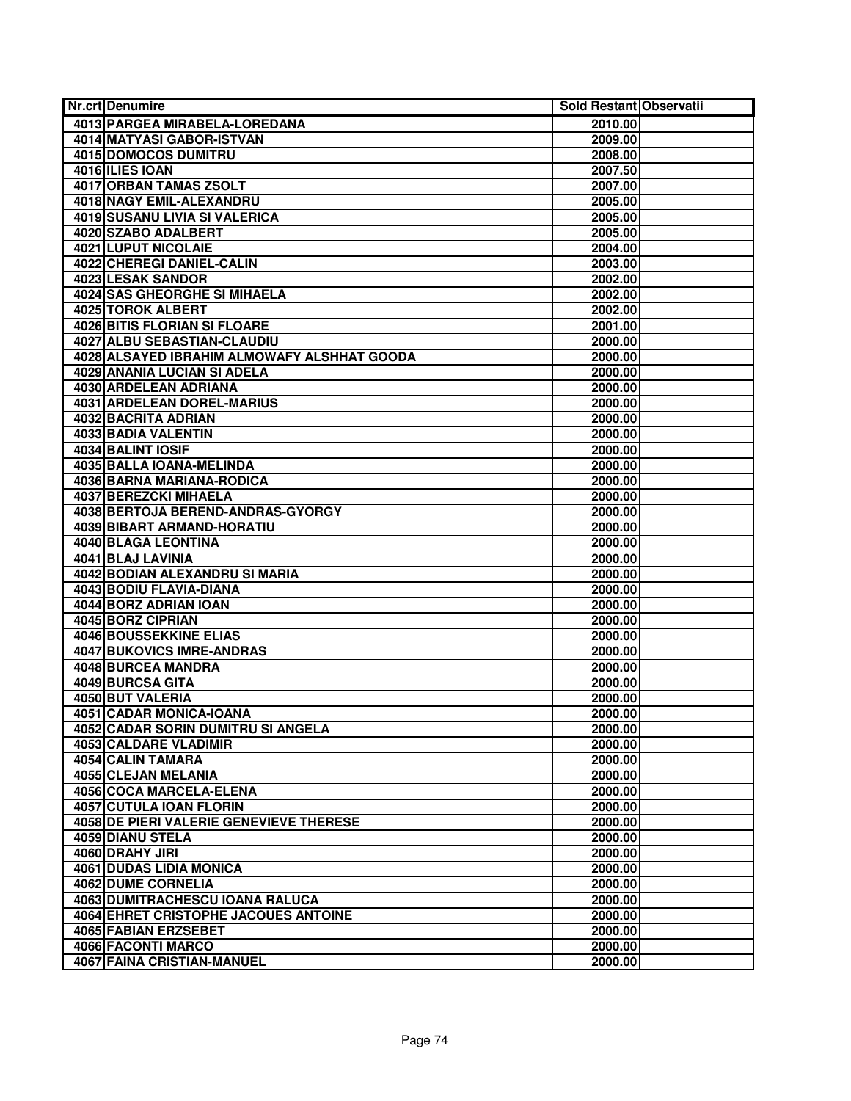| <b>Nr.crt Denumire</b>                      | Sold Restant Observatii |  |
|---------------------------------------------|-------------------------|--|
| 4013 PARGEA MIRABELA-LOREDANA               | 2010.00                 |  |
| <b>4014 MATYASI GABOR-ISTVAN</b>            | 2009.00                 |  |
| 4015 DOMOCOS DUMITRU                        | 2008.00                 |  |
| 4016 ILIES IOAN                             | 2007.50                 |  |
| <b>4017 ORBAN TAMAS ZSOLT</b>               | 2007.00                 |  |
| <b>4018 NAGY EMIL-ALEXANDRU</b>             | 2005.00                 |  |
| 4019 SUSANU LIVIA SI VALERICA               | 2005.00                 |  |
| 4020 SZABO ADALBERT                         | 2005.00                 |  |
| 4021 LUPUT NICOLAIE                         | 2004.00                 |  |
| <b>4022 CHEREGI DANIEL-CALIN</b>            | 2003.00                 |  |
| 4023 LESAK SANDOR                           | 2002.00                 |  |
| 4024 SAS GHEORGHE SI MIHAELA                | 2002.00                 |  |
| 4025 TOROK ALBERT                           | 2002.00                 |  |
| 4026 BITIS FLORIAN SI FLOARE                | 2001.00                 |  |
| 4027 ALBU SEBASTIAN-CLAUDIU                 | 2000.00                 |  |
| 4028 ALSAYED IBRAHIM ALMOWAFY ALSHHAT GOODA | 2000.00                 |  |
| <b>4029 ANANIA LUCIAN SI ADELA</b>          | 2000.00                 |  |
| 4030 ARDELEAN ADRIANA                       | 2000.00                 |  |
| <b>4031 ARDELEAN DOREL-MARIUS</b>           | 2000.00                 |  |
| 4032 BACRITA ADRIAN                         | 2000.00                 |  |
| 4033 BADIA VALENTIN                         | 2000.00                 |  |
| 4034 BALINT IOSIF                           | 2000.00                 |  |
| 4035 BALLA IOANA-MELINDA                    | 2000.00                 |  |
| 4036 BARNA MARIANA-RODICA                   | 2000.00                 |  |
| 4037 BEREZCKI MIHAELA                       | 2000.00                 |  |
| 4038 BERTOJA BEREND-ANDRAS-GYORGY           | 2000.00                 |  |
| 4039 BIBART ARMAND-HORATIU                  | 2000.00                 |  |
| 4040 BLAGA LEONTINA                         | 2000.00                 |  |
| 4041 BLAJ LAVINIA                           | 2000.00                 |  |
| 4042 BODIAN ALEXANDRU SI MARIA              | 2000.00                 |  |
| 4043 BODIU FLAVIA-DIANA                     | 2000.00                 |  |
| 4044 BORZ ADRIAN IOAN                       | 2000.00                 |  |
| 4045 BORZ CIPRIAN                           | 2000.00                 |  |
| <b>4046 BOUSSEKKINE ELIAS</b>               | 2000.00                 |  |
| <b>4047 BUKOVICS IMRE-ANDRAS</b>            | 2000.00                 |  |
| <b>4048 BURCEA MANDRA</b>                   | 2000.00                 |  |
| 4049 BURCSA GITA                            | 2000.00                 |  |
| 4050 BUT VALERIA                            | 2000.00                 |  |
| <b>4051 CADAR MONICA-IOANA</b>              | 2000.00                 |  |
| 4052 CADAR SORIN DUMITRU SI ANGELA          | 2000.00                 |  |
| 4053 CALDARE VLADIMIR                       | 2000.00                 |  |
| 4054 CALIN TAMARA                           | 2000.00                 |  |
| 4055 CLEJAN MELANIA                         | 2000.00                 |  |
| 4056 COCA MARCELA-ELENA                     | 2000.00                 |  |
| 4057 CUTULA IOAN FLORIN                     | 2000.00                 |  |
| 4058 DE PIERI VALERIE GENEVIEVE THERESE     | 2000.00                 |  |
| 4059 DIANU STELA                            | 2000.00                 |  |
| 4060 DRAHY JIRI                             | 2000.00                 |  |
| <b>4061 DUDAS LIDIA MONICA</b>              | 2000.00                 |  |
| 4062 DUME CORNELIA                          | 2000.00                 |  |
| 4063 DUMITRACHESCU IOANA RALUCA             | 2000.00                 |  |
| 4064 EHRET CRISTOPHE JACOUES ANTOINE        | 2000.00                 |  |
| <b>4065 FABIAN ERZSEBET</b>                 | 2000.00                 |  |
| 4066 FACONTI MARCO                          | 2000.00                 |  |
| 4067 FAINA CRISTIAN-MANUEL                  | 2000.00                 |  |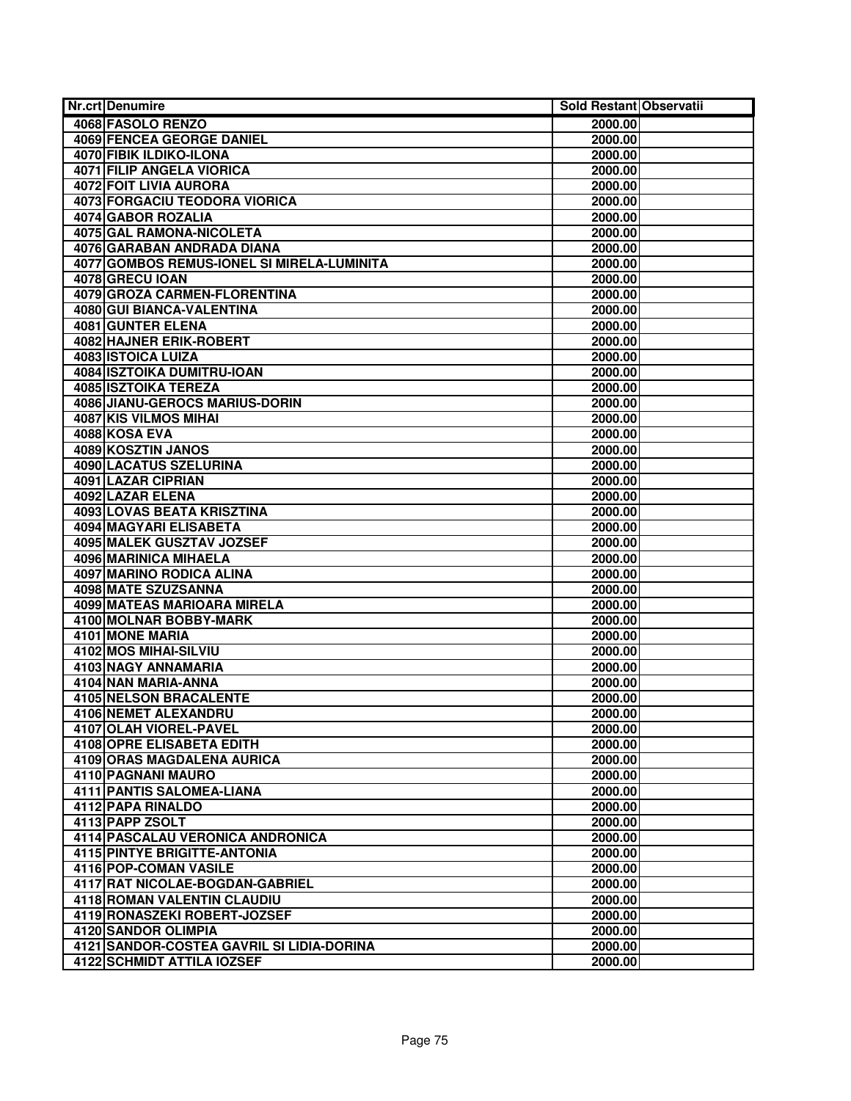| <b>Nr.crt Denumire</b>                                      | Sold Restant Observatii |  |
|-------------------------------------------------------------|-------------------------|--|
| 4068 FASOLO RENZO                                           | 2000.00                 |  |
| <b>4069 FENCEA GEORGE DANIEL</b>                            | 2000.00                 |  |
| 4070 FIBIK ILDIKO-ILONA                                     | 2000.00                 |  |
| <b>4071 FILIP ANGELA VIORICA</b>                            | 2000.00                 |  |
| 4072 FOIT LIVIA AURORA                                      | 2000.00                 |  |
| <b>4073 FORGACIU TEODORA VIORICA</b>                        | 2000.00                 |  |
| 4074 GABOR ROZALIA                                          | 2000.00                 |  |
| 4075 GAL RAMONA-NICOLETA                                    | 2000.00                 |  |
| 4076 GARABAN ANDRADA DIANA                                  | 2000.00                 |  |
| 4077 GOMBOS REMUS-IONEL SI MIRELA-LUMINITA                  | 2000.00                 |  |
| 4078 GRECU IOAN                                             | 2000.00                 |  |
| 4079 GROZA CARMEN-FLORENTINA                                | 2000.00                 |  |
| <b>4080 GUI BIANCA-VALENTINA</b>                            | 2000.00                 |  |
| 4081 GUNTER ELENA                                           | 2000.00                 |  |
| <b>4082 HAJNER ERIK-ROBERT</b>                              | 2000.00                 |  |
| 4083 ISTOICA LUIZA                                          | 2000.00                 |  |
| <b>4084 ISZTOIKA DUMITRU-IOAN</b>                           | 2000.00                 |  |
| <b>4085 ISZTOIKA TEREZA</b>                                 | 2000.00                 |  |
| <b>4086 JIANU-GEROCS MARIUS-DORIN</b>                       | 2000.00                 |  |
| <b>4087 KIS VILMOS MIHAI</b>                                | 2000.00                 |  |
| 4088 KOSA EVA                                               | 2000.00                 |  |
| 4089 KOSZTIN JANOS                                          | 2000.00                 |  |
| <b>4090 LACATUS SZELURINA</b>                               | 2000.00                 |  |
| 4091 LAZAR CIPRIAN                                          | 2000.00                 |  |
| 4092 LAZAR ELENA                                            | 2000.00                 |  |
| <b>4093 LOVAS BEATA KRISZTINA</b>                           | 2000.00                 |  |
| 4094 MAGYARI ELISABETA                                      | 2000.00                 |  |
| 4095 MALEK GUSZTAV JOZSEF                                   | 2000.00                 |  |
| 4096 MARINICA MIHAELA                                       | 2000.00                 |  |
| 4097 MARINO RODICA ALINA                                    | 2000.00                 |  |
| 4098 MATE SZUZSANNA                                         | 2000.00                 |  |
| <b>4099 MATEAS MARIOARA MIRELA</b>                          | 2000.00                 |  |
| 4100 MOLNAR BOBBY-MARK                                      | 2000.00                 |  |
| 4101 MONE MARIA                                             | 2000.00                 |  |
| 4102 MOS MIHAI-SILVIU                                       | 2000.00                 |  |
| 4103 NAGY ANNAMARIA                                         | 2000.00                 |  |
| 4104 NAN MARIA-ANNA                                         | 2000.00                 |  |
| <b>4105 NELSON BRACALENTE</b>                               | 2000.00                 |  |
| 4106 NEMET ALEXANDRU                                        | 2000.00                 |  |
| 4107 OLAH VIOREL-PAVEL                                      | 2000.00                 |  |
| 4108 OPRE ELISABETA EDITH                                   | 2000.00                 |  |
| 4109 ORAS MAGDALENA AURICA                                  | 2000.00                 |  |
| 4110 PAGNANI MAURO                                          | 2000.00                 |  |
| <b>4111 PANTIS SALOMEA-LIANA</b>                            | 2000.00                 |  |
| 4112 PAPA RINALDO                                           | 2000.00                 |  |
| 4113 PAPP ZSOLT                                             | 2000.00                 |  |
| 4114 PASCALAU VERONICA ANDRONICA                            | 2000.00                 |  |
| <b>4115 PINTYE BRIGITTE-ANTONIA</b>                         | 2000.00                 |  |
| 4116 POP-COMAN VASILE                                       | 2000.00                 |  |
| 4117 RAT NICOLAE-BOGDAN-GABRIEL                             | 2000.00                 |  |
| 4118 ROMAN VALENTIN CLAUDIU<br>4119 RONASZEKI ROBERT-JOZSEF | 2000.00                 |  |
| <b>4120 SANDOR OLIMPIA</b>                                  | 2000.00                 |  |
| 4121 SANDOR-COSTEA GAVRIL SI LIDIA-DORINA                   | 2000.00<br>2000.00      |  |
| 4122 SCHMIDT ATTILA IOZSEF                                  | 2000.00                 |  |
|                                                             |                         |  |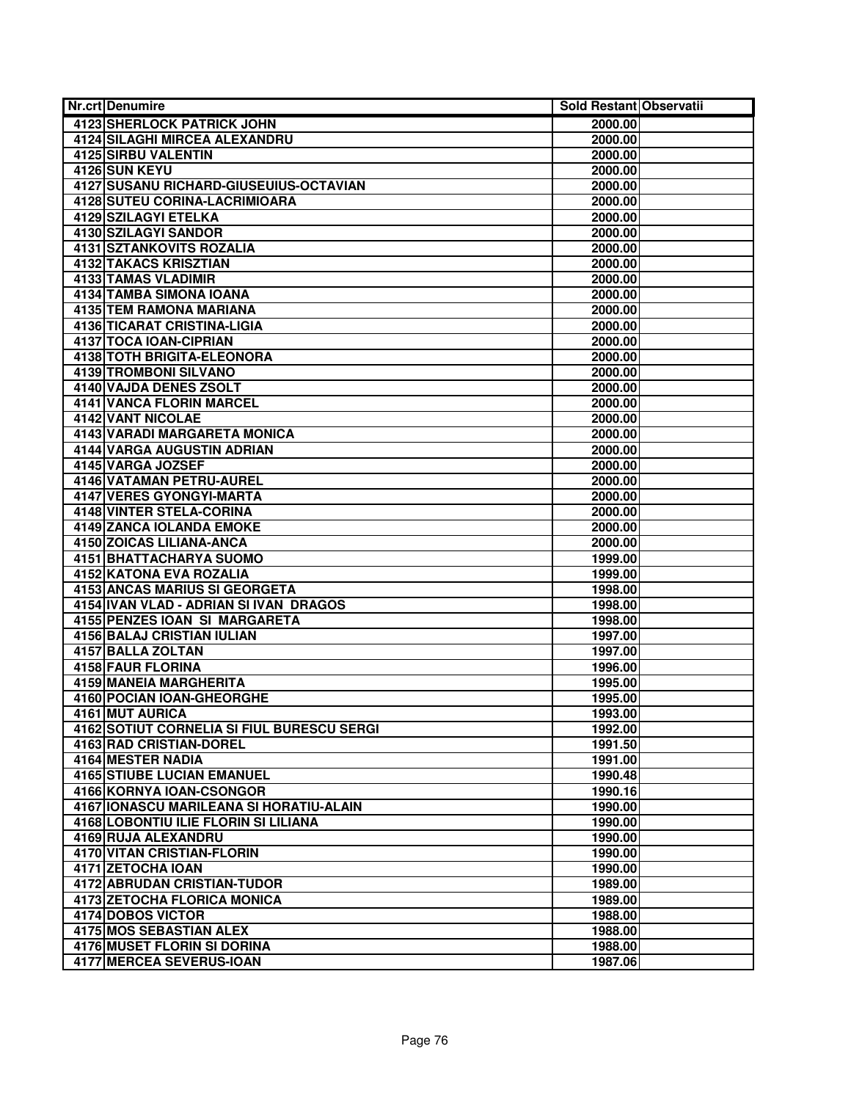| <b>Nr.crt Denumire</b>                       | Sold Restant Observatii |  |
|----------------------------------------------|-------------------------|--|
| 4123 SHERLOCK PATRICK JOHN                   | 2000.00                 |  |
| <b>4124 SILAGHI MIRCEA ALEXANDRU</b>         | 2000.00                 |  |
| 4125 SIRBU VALENTIN                          | 2000.00                 |  |
| 4126 SUN KEYU                                | 2000.00                 |  |
| 4127 SUSANU RICHARD-GIUSEUIUS-OCTAVIAN       | 2000.00                 |  |
| 4128 SUTEU CORINA-LACRIMIOARA                | 2000.00                 |  |
| <b>4129 SZILAGYI ETELKA</b>                  | 2000.00                 |  |
| 4130 SZILAGYI SANDOR                         | 2000.00                 |  |
| 4131 SZTANKOVITS ROZALIA                     | 2000.00                 |  |
| 4132 TAKACS KRISZTIAN                        | 2000.00                 |  |
| <b>4133 TAMAS VLADIMIR</b>                   | 2000.00                 |  |
| 4134 TAMBA SIMONA IOANA                      | 2000.00                 |  |
| <b>4135 TEM RAMONA MARIANA</b>               | 2000.00                 |  |
| 4136 TICARAT CRISTINA-LIGIA                  | 2000.00                 |  |
| 4137 TOCA IOAN-CIPRIAN                       | 2000.00                 |  |
| 4138 TOTH BRIGITA-ELEONORA                   | 2000.00                 |  |
| 4139 TROMBONI SILVANO                        | 2000.00                 |  |
| 4140 VAJDA DENES ZSOLT                       | 2000.00                 |  |
| <b>4141 VANCA FLORIN MARCEL</b>              | 2000.00                 |  |
| 4142 VANT NICOLAE                            | 2000.00                 |  |
| 4143 VARADI MARGARETA MONICA                 | 2000.00                 |  |
| <b>4144 VARGA AUGUSTIN ADRIAN</b>            | 2000.00                 |  |
| 4145 VARGA JOZSEF                            | 2000.00                 |  |
| 4146 VATAMAN PETRU-AUREL                     | 2000.00                 |  |
| <b>4147 VERES GYONGYI-MARTA</b>              | 2000.00                 |  |
| <b>4148 VINTER STELA-CORINA</b>              | 2000.00                 |  |
| <b>4149 ZANCA IOLANDA EMOKE</b>              | 2000.00                 |  |
| 4150 ZOICAS LILIANA-ANCA                     | 2000.00                 |  |
| 4151 BHATTACHARYA SUOMO                      | 1999.00                 |  |
| 4152 KATONA EVA ROZALIA                      | 1999.00                 |  |
| 4153 ANCAS MARIUS SI GEORGETA                | 1998.00                 |  |
| 4154 IVAN VLAD - ADRIAN SI IVAN DRAGOS       | 1998.00                 |  |
| 4155 PENZES IOAN SI MARGARETA                | 1998.00                 |  |
| <b>4156 BALAJ CRISTIAN IULIAN</b>            | 1997.00                 |  |
| 4157 BALLA ZOLTAN                            | 1997.00                 |  |
| <b>4158 FAUR FLORINA</b>                     | 1996.00                 |  |
| 4159 MANEIA MARGHERITA                       | 1995.00                 |  |
| 4160 POCIAN IOAN-GHEORGHE<br>4161 MUT AURICA | 1995.00<br>1993.00      |  |
| 4162 SOTIUT CORNELIA SI FIUL BURESCU SERGI   | 1992.00                 |  |
| 4163 RAD CRISTIAN-DOREL                      | 1991.50                 |  |
| 4164 MESTER NADIA                            | 1991.00                 |  |
| <b>4165 STIUBE LUCIAN EMANUEL</b>            | 1990.48                 |  |
| 4166 KORNYA IOAN-CSONGOR                     | 1990.16                 |  |
| 4167   IONASCU MARILEANA SI HORATIU-ALAIN    | 1990.00                 |  |
| 4168 LOBONTIU ILIE FLORIN SI LILIANA         | 1990.00                 |  |
| 4169 RUJA ALEXANDRU                          | 1990.00                 |  |
| <b>4170 VITAN CRISTIAN-FLORIN</b>            | 1990.00                 |  |
| 4171 ZETOCHA IOAN                            | 1990.00                 |  |
| 4172 ABRUDAN CRISTIAN-TUDOR                  | 1989.00                 |  |
| <b>4173 ZETOCHA FLORICA MONICA</b>           | 1989.00                 |  |
| 4174 DOBOS VICTOR                            | 1988.00                 |  |
| <b>4175 MOS SEBASTIAN ALEX</b>               | 1988.00                 |  |
| 4176 MUSET FLORIN SI DORINA                  | 1988.00                 |  |
| 4177 MERCEA SEVERUS-IOAN                     | 1987.06                 |  |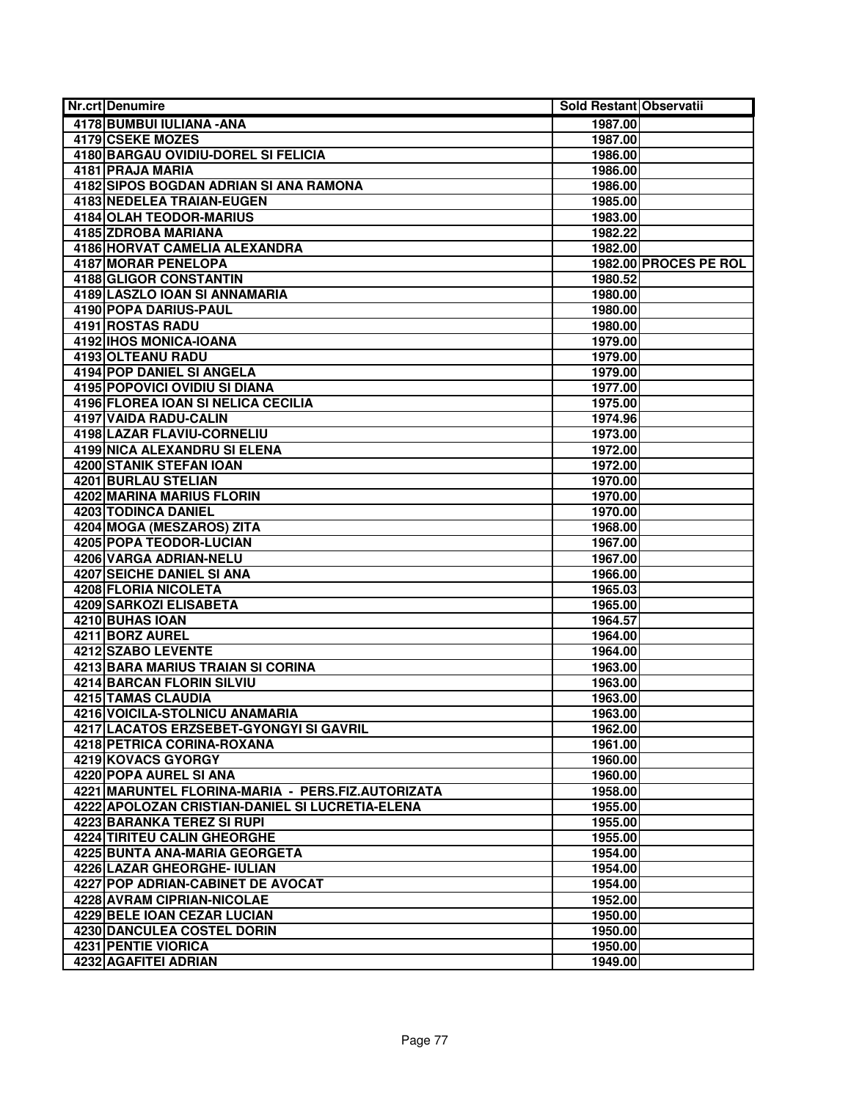| Nr.crtlDenumire                                   | Sold Restant Observatii |                       |
|---------------------------------------------------|-------------------------|-----------------------|
| 4178 BUMBUI IULIANA - ANA                         | 1987.00                 |                       |
| 4179 CSEKE MOZES                                  | 1987.00                 |                       |
| 4180 BARGAU OVIDIU-DOREL SI FELICIA               | 1986.00                 |                       |
| 4181 PRAJA MARIA                                  | 1986.00                 |                       |
| 4182 SIPOS BOGDAN ADRIAN SI ANA RAMONA            | 1986.00                 |                       |
| <b>4183 NEDELEA TRAIAN-EUGEN</b>                  | 1985.00                 |                       |
| <b>4184 OLAH TEODOR-MARIUS</b>                    | 1983.00                 |                       |
| 4185 ZDROBA MARIANA                               | 1982.22                 |                       |
| 4186 HORVAT CAMELIA ALEXANDRA                     | 1982.00                 |                       |
| 4187 MORAR PENELOPA                               |                         | 1982.00 PROCES PE ROL |
| <b>4188 GLIGOR CONSTANTIN</b>                     | 1980.52                 |                       |
| 4189 LASZLO IOAN SI ANNAMARIA                     | 1980.00                 |                       |
| 4190 POPA DARIUS-PAUL                             | 1980.00                 |                       |
| 4191 ROSTAS RADU                                  | 1980.00                 |                       |
| 4192 IHOS MONICA-IOANA                            | 1979.00                 |                       |
| 4193 OLTEANU RADU                                 | 1979.00                 |                       |
| <b>4194 POP DANIEL SI ANGELA</b>                  | 1979.00                 |                       |
| <b>4195 POPOVICI OVIDIU SI DIANA</b>              | 1977.00                 |                       |
| 4196 FLOREA IOAN SI NELICA CECILIA                | 1975.00                 |                       |
| 4197 VAIDA RADU-CALIN                             | 1974.96                 |                       |
| <b>4198 LAZAR FLAVIU-CORNELIU</b>                 | 1973.00                 |                       |
| 4199 NICA ALEXANDRU SI ELENA                      | 1972.00                 |                       |
| 4200 STANIK STEFAN IOAN                           | 1972.00                 |                       |
| <b>4201 BURLAU STELIAN</b>                        | 1970.00                 |                       |
| 4202 MARINA MARIUS FLORIN                         | 1970.00                 |                       |
| <b>4203 TODINCA DANIEL</b>                        | 1970.00                 |                       |
| 4204 MOGA (MESZAROS) ZITA                         | 1968.00                 |                       |
| <b>4205 POPA TEODOR-LUCIAN</b>                    | 1967.00                 |                       |
| 4206 VARGA ADRIAN-NELU                            | 1967.00                 |                       |
| 4207 SEICHE DANIEL SI ANA                         | 1966.00                 |                       |
| <b>4208 FLORIA NICOLETA</b>                       | 1965.03                 |                       |
| 4209 SARKOZI ELISABETA                            | 1965.00                 |                       |
| 4210 BUHAS IOAN                                   | 1964.57                 |                       |
| 4211 BORZ AUREL                                   | 1964.00                 |                       |
| <b>4212 SZABO LEVENTE</b>                         | 1964.00                 |                       |
| <b>4213 BARA MARIUS TRAIAN SI CORINA</b>          | 1963.00                 |                       |
| 4214 BARCAN FLORIN SILVIU                         | 1963.00                 |                       |
| <b>4215 TAMAS CLAUDIA</b>                         | 1963.00                 |                       |
| 4216 VOICILA-STOLNICU ANAMARIA                    | 1963.00                 |                       |
| 4217 LACATOS ERZSEBET-GYONGYI SI GAVRIL           | 1962.00                 |                       |
| 4218 PETRICA CORINA-ROXANA                        | 1961.00                 |                       |
| 4219 KOVACS GYORGY                                | 1960.00                 |                       |
| 4220 POPA AUREL SI ANA                            | 1960.00                 |                       |
| 4221 MARUNTEL FLORINA-MARIA - PERS.FIZ.AUTORIZATA | 1958.00                 |                       |
| 4222 APOLOZAN CRISTIAN-DANIEL SI LUCRETIA-ELENA   | 1955.00                 |                       |
| 4223 BARANKA TEREZ SI RUPI                        | 1955.00                 |                       |
| <b>4224 TIRITEU CALIN GHEORGHE</b>                | 1955.00                 |                       |
| 4225 BUNTA ANA-MARIA GEORGETA                     | 1954.00                 |                       |
| 4226 LAZAR GHEORGHE- IULIAN                       | 1954.00                 |                       |
| 4227 POP ADRIAN-CABINET DE AVOCAT                 | 1954.00                 |                       |
| 4228 AVRAM CIPRIAN-NICOLAE                        | 1952.00                 |                       |
| <b>4229 BELE IOAN CEZAR LUCIAN</b>                | 1950.00                 |                       |
| <b>4230 DANCULEA COSTEL DORIN</b>                 | 1950.00                 |                       |
| 4231 PENTIE VIORICA                               | 1950.00                 |                       |
| 4232 AGAFITEI ADRIAN                              | 1949.00                 |                       |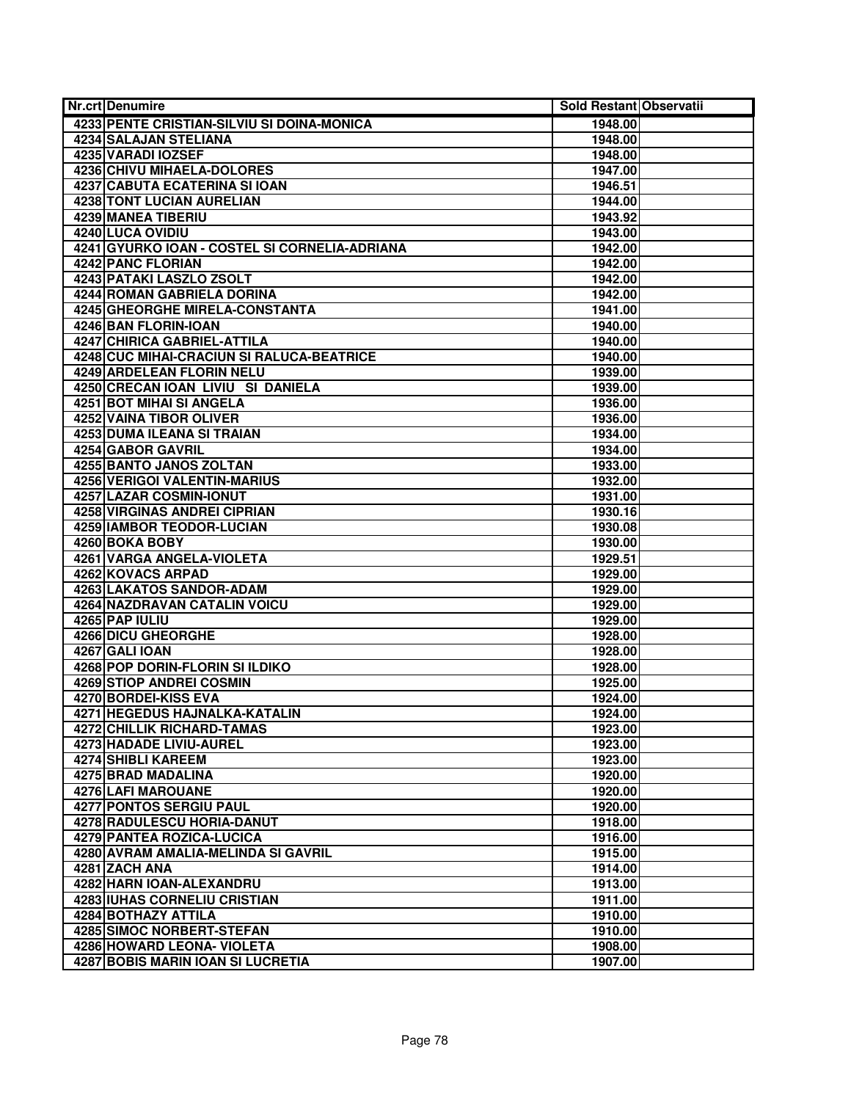| 4233 PENTE CRISTIAN-SILVIU SI DOINA-MONICA<br>1948.00<br><b>4234 SALAJAN STELIANA</b><br>1948.00<br>4235 VARADI IOZSEF<br>1948.00<br>4236 CHIVU MIHAELA-DOLORES<br>1947.00<br>4237 CABUTA ECATERINA SI IOAN<br>1946.51<br><b>4238 TONT LUCIAN AURELIAN</b><br>1944.00<br>4239 MANEA TIBERIU<br>1943.92<br>4240 LUCA OVIDIU<br>1943.00<br>4241 GYURKO IOAN - COSTEL SI CORNELIA-ADRIANA<br>1942.00<br>4242 PANC FLORIAN<br>1942.00<br><b>4243 PATAKI LASZLO ZSOLT</b><br>1942.00<br><b>4244 ROMAN GABRIELA DORINA</b><br>1942.00<br>4245 GHEORGHE MIRELA-CONSTANTA<br>1941.00<br>4246 BAN FLORIN-IOAN<br>1940.00<br><b>4247 CHIRICA GABRIEL-ATTILA</b><br>1940.00<br>4248 CUC MIHAI-CRACIUN SI RALUCA-BEATRICE<br>1940.00<br>4249 ARDELEAN FLORIN NELU<br>1939.00<br>4250 CRECAN IOAN LIVIU SI DANIELA<br>1939.00<br><b>4251 BOT MIHAI SI ANGELA</b><br>1936.00<br><b>4252 VAINA TIBOR OLIVER</b><br>1936.00<br>4253 DUMA ILEANA SI TRAIAN<br>1934.00<br>4254 GABOR GAVRIL<br>1934.00<br><b>4255 BANTO JANOS ZOLTAN</b><br>1933.00<br><b>4256 VERIGOI VALENTIN-MARIUS</b><br>1932.00<br>4257 LAZAR COSMIN-IONUT<br>1931.00<br>4258 VIRGINAS ANDREI CIPRIAN<br>1930.16<br><b>4259 IAMBOR TEODOR-LUCIAN</b><br>1930.08<br>4260 BOKA BOBY<br>1930.00<br>4261 VARGA ANGELA-VIOLETA<br>1929.51<br>4262 KOVACS ARPAD<br>1929.00<br>4263 LAKATOS SANDOR-ADAM<br>1929.00<br><b>4264 NAZDRAVAN CATALIN VOICU</b><br>1929.00<br>4265 PAP IULIU<br>1929.00<br><b>4266 DICU GHEORGHE</b><br>1928.00<br>4267 GALI IOAN<br>1928.00<br>4268 POP DORIN-FLORIN SI ILDIKO<br>1928.00<br>4269 STIOP ANDREI COSMIN<br>1925.00<br>4270 BORDEI-KISS EVA<br>1924.00<br>4271 HEGEDUS HAJNALKA-KATALIN<br>1924.00<br><b>4272 CHILLIK RICHARD-TAMAS</b><br>1923.00<br>4273 HADADE LIVIU-AUREL<br>1923.00<br>4274 SHIBLI KAREEM<br>1923.00<br>4275 BRAD MADALINA<br>1920.00<br>4276 LAFI MAROUANE<br>1920.00<br>4277 PONTOS SERGIU PAUL<br>1920.00<br><b>4278 RADULESCU HORIA-DANUT</b><br>1918.00<br>4279 PANTEA ROZICA-LUCICA<br>1916.00<br>4280 AVRAM AMALIA-MELINDA SI GAVRIL<br>1915.00<br>4281 ZACH ANA<br>1914.00<br><b>4282 HARN IOAN-ALEXANDRU</b><br>1913.00<br><b>4283 IUHAS CORNELIU CRISTIAN</b><br>1911.00<br>4284 BOTHAZY ATTILA<br>1910.00<br><b>4285 SIMOC NORBERT-STEFAN</b><br>1910.00<br>4286 HOWARD LEONA- VIOLETA<br>1908.00 | <b>Nr.crt Denumire</b> | Sold Restant Observatii |  |
|------------------------------------------------------------------------------------------------------------------------------------------------------------------------------------------------------------------------------------------------------------------------------------------------------------------------------------------------------------------------------------------------------------------------------------------------------------------------------------------------------------------------------------------------------------------------------------------------------------------------------------------------------------------------------------------------------------------------------------------------------------------------------------------------------------------------------------------------------------------------------------------------------------------------------------------------------------------------------------------------------------------------------------------------------------------------------------------------------------------------------------------------------------------------------------------------------------------------------------------------------------------------------------------------------------------------------------------------------------------------------------------------------------------------------------------------------------------------------------------------------------------------------------------------------------------------------------------------------------------------------------------------------------------------------------------------------------------------------------------------------------------------------------------------------------------------------------------------------------------------------------------------------------------------------------------------------------------------------------------------------------------------------------------------------------------------------------------------------------------------------------------------------------------------------------------------------------------------------------------------------------------------------------------------------------------------|------------------------|-------------------------|--|
|                                                                                                                                                                                                                                                                                                                                                                                                                                                                                                                                                                                                                                                                                                                                                                                                                                                                                                                                                                                                                                                                                                                                                                                                                                                                                                                                                                                                                                                                                                                                                                                                                                                                                                                                                                                                                                                                                                                                                                                                                                                                                                                                                                                                                                                                                                                        |                        |                         |  |
|                                                                                                                                                                                                                                                                                                                                                                                                                                                                                                                                                                                                                                                                                                                                                                                                                                                                                                                                                                                                                                                                                                                                                                                                                                                                                                                                                                                                                                                                                                                                                                                                                                                                                                                                                                                                                                                                                                                                                                                                                                                                                                                                                                                                                                                                                                                        |                        |                         |  |
|                                                                                                                                                                                                                                                                                                                                                                                                                                                                                                                                                                                                                                                                                                                                                                                                                                                                                                                                                                                                                                                                                                                                                                                                                                                                                                                                                                                                                                                                                                                                                                                                                                                                                                                                                                                                                                                                                                                                                                                                                                                                                                                                                                                                                                                                                                                        |                        |                         |  |
|                                                                                                                                                                                                                                                                                                                                                                                                                                                                                                                                                                                                                                                                                                                                                                                                                                                                                                                                                                                                                                                                                                                                                                                                                                                                                                                                                                                                                                                                                                                                                                                                                                                                                                                                                                                                                                                                                                                                                                                                                                                                                                                                                                                                                                                                                                                        |                        |                         |  |
|                                                                                                                                                                                                                                                                                                                                                                                                                                                                                                                                                                                                                                                                                                                                                                                                                                                                                                                                                                                                                                                                                                                                                                                                                                                                                                                                                                                                                                                                                                                                                                                                                                                                                                                                                                                                                                                                                                                                                                                                                                                                                                                                                                                                                                                                                                                        |                        |                         |  |
|                                                                                                                                                                                                                                                                                                                                                                                                                                                                                                                                                                                                                                                                                                                                                                                                                                                                                                                                                                                                                                                                                                                                                                                                                                                                                                                                                                                                                                                                                                                                                                                                                                                                                                                                                                                                                                                                                                                                                                                                                                                                                                                                                                                                                                                                                                                        |                        |                         |  |
|                                                                                                                                                                                                                                                                                                                                                                                                                                                                                                                                                                                                                                                                                                                                                                                                                                                                                                                                                                                                                                                                                                                                                                                                                                                                                                                                                                                                                                                                                                                                                                                                                                                                                                                                                                                                                                                                                                                                                                                                                                                                                                                                                                                                                                                                                                                        |                        |                         |  |
|                                                                                                                                                                                                                                                                                                                                                                                                                                                                                                                                                                                                                                                                                                                                                                                                                                                                                                                                                                                                                                                                                                                                                                                                                                                                                                                                                                                                                                                                                                                                                                                                                                                                                                                                                                                                                                                                                                                                                                                                                                                                                                                                                                                                                                                                                                                        |                        |                         |  |
|                                                                                                                                                                                                                                                                                                                                                                                                                                                                                                                                                                                                                                                                                                                                                                                                                                                                                                                                                                                                                                                                                                                                                                                                                                                                                                                                                                                                                                                                                                                                                                                                                                                                                                                                                                                                                                                                                                                                                                                                                                                                                                                                                                                                                                                                                                                        |                        |                         |  |
|                                                                                                                                                                                                                                                                                                                                                                                                                                                                                                                                                                                                                                                                                                                                                                                                                                                                                                                                                                                                                                                                                                                                                                                                                                                                                                                                                                                                                                                                                                                                                                                                                                                                                                                                                                                                                                                                                                                                                                                                                                                                                                                                                                                                                                                                                                                        |                        |                         |  |
|                                                                                                                                                                                                                                                                                                                                                                                                                                                                                                                                                                                                                                                                                                                                                                                                                                                                                                                                                                                                                                                                                                                                                                                                                                                                                                                                                                                                                                                                                                                                                                                                                                                                                                                                                                                                                                                                                                                                                                                                                                                                                                                                                                                                                                                                                                                        |                        |                         |  |
|                                                                                                                                                                                                                                                                                                                                                                                                                                                                                                                                                                                                                                                                                                                                                                                                                                                                                                                                                                                                                                                                                                                                                                                                                                                                                                                                                                                                                                                                                                                                                                                                                                                                                                                                                                                                                                                                                                                                                                                                                                                                                                                                                                                                                                                                                                                        |                        |                         |  |
|                                                                                                                                                                                                                                                                                                                                                                                                                                                                                                                                                                                                                                                                                                                                                                                                                                                                                                                                                                                                                                                                                                                                                                                                                                                                                                                                                                                                                                                                                                                                                                                                                                                                                                                                                                                                                                                                                                                                                                                                                                                                                                                                                                                                                                                                                                                        |                        |                         |  |
|                                                                                                                                                                                                                                                                                                                                                                                                                                                                                                                                                                                                                                                                                                                                                                                                                                                                                                                                                                                                                                                                                                                                                                                                                                                                                                                                                                                                                                                                                                                                                                                                                                                                                                                                                                                                                                                                                                                                                                                                                                                                                                                                                                                                                                                                                                                        |                        |                         |  |
|                                                                                                                                                                                                                                                                                                                                                                                                                                                                                                                                                                                                                                                                                                                                                                                                                                                                                                                                                                                                                                                                                                                                                                                                                                                                                                                                                                                                                                                                                                                                                                                                                                                                                                                                                                                                                                                                                                                                                                                                                                                                                                                                                                                                                                                                                                                        |                        |                         |  |
|                                                                                                                                                                                                                                                                                                                                                                                                                                                                                                                                                                                                                                                                                                                                                                                                                                                                                                                                                                                                                                                                                                                                                                                                                                                                                                                                                                                                                                                                                                                                                                                                                                                                                                                                                                                                                                                                                                                                                                                                                                                                                                                                                                                                                                                                                                                        |                        |                         |  |
|                                                                                                                                                                                                                                                                                                                                                                                                                                                                                                                                                                                                                                                                                                                                                                                                                                                                                                                                                                                                                                                                                                                                                                                                                                                                                                                                                                                                                                                                                                                                                                                                                                                                                                                                                                                                                                                                                                                                                                                                                                                                                                                                                                                                                                                                                                                        |                        |                         |  |
|                                                                                                                                                                                                                                                                                                                                                                                                                                                                                                                                                                                                                                                                                                                                                                                                                                                                                                                                                                                                                                                                                                                                                                                                                                                                                                                                                                                                                                                                                                                                                                                                                                                                                                                                                                                                                                                                                                                                                                                                                                                                                                                                                                                                                                                                                                                        |                        |                         |  |
|                                                                                                                                                                                                                                                                                                                                                                                                                                                                                                                                                                                                                                                                                                                                                                                                                                                                                                                                                                                                                                                                                                                                                                                                                                                                                                                                                                                                                                                                                                                                                                                                                                                                                                                                                                                                                                                                                                                                                                                                                                                                                                                                                                                                                                                                                                                        |                        |                         |  |
|                                                                                                                                                                                                                                                                                                                                                                                                                                                                                                                                                                                                                                                                                                                                                                                                                                                                                                                                                                                                                                                                                                                                                                                                                                                                                                                                                                                                                                                                                                                                                                                                                                                                                                                                                                                                                                                                                                                                                                                                                                                                                                                                                                                                                                                                                                                        |                        |                         |  |
|                                                                                                                                                                                                                                                                                                                                                                                                                                                                                                                                                                                                                                                                                                                                                                                                                                                                                                                                                                                                                                                                                                                                                                                                                                                                                                                                                                                                                                                                                                                                                                                                                                                                                                                                                                                                                                                                                                                                                                                                                                                                                                                                                                                                                                                                                                                        |                        |                         |  |
|                                                                                                                                                                                                                                                                                                                                                                                                                                                                                                                                                                                                                                                                                                                                                                                                                                                                                                                                                                                                                                                                                                                                                                                                                                                                                                                                                                                                                                                                                                                                                                                                                                                                                                                                                                                                                                                                                                                                                                                                                                                                                                                                                                                                                                                                                                                        |                        |                         |  |
|                                                                                                                                                                                                                                                                                                                                                                                                                                                                                                                                                                                                                                                                                                                                                                                                                                                                                                                                                                                                                                                                                                                                                                                                                                                                                                                                                                                                                                                                                                                                                                                                                                                                                                                                                                                                                                                                                                                                                                                                                                                                                                                                                                                                                                                                                                                        |                        |                         |  |
|                                                                                                                                                                                                                                                                                                                                                                                                                                                                                                                                                                                                                                                                                                                                                                                                                                                                                                                                                                                                                                                                                                                                                                                                                                                                                                                                                                                                                                                                                                                                                                                                                                                                                                                                                                                                                                                                                                                                                                                                                                                                                                                                                                                                                                                                                                                        |                        |                         |  |
|                                                                                                                                                                                                                                                                                                                                                                                                                                                                                                                                                                                                                                                                                                                                                                                                                                                                                                                                                                                                                                                                                                                                                                                                                                                                                                                                                                                                                                                                                                                                                                                                                                                                                                                                                                                                                                                                                                                                                                                                                                                                                                                                                                                                                                                                                                                        |                        |                         |  |
|                                                                                                                                                                                                                                                                                                                                                                                                                                                                                                                                                                                                                                                                                                                                                                                                                                                                                                                                                                                                                                                                                                                                                                                                                                                                                                                                                                                                                                                                                                                                                                                                                                                                                                                                                                                                                                                                                                                                                                                                                                                                                                                                                                                                                                                                                                                        |                        |                         |  |
|                                                                                                                                                                                                                                                                                                                                                                                                                                                                                                                                                                                                                                                                                                                                                                                                                                                                                                                                                                                                                                                                                                                                                                                                                                                                                                                                                                                                                                                                                                                                                                                                                                                                                                                                                                                                                                                                                                                                                                                                                                                                                                                                                                                                                                                                                                                        |                        |                         |  |
|                                                                                                                                                                                                                                                                                                                                                                                                                                                                                                                                                                                                                                                                                                                                                                                                                                                                                                                                                                                                                                                                                                                                                                                                                                                                                                                                                                                                                                                                                                                                                                                                                                                                                                                                                                                                                                                                                                                                                                                                                                                                                                                                                                                                                                                                                                                        |                        |                         |  |
|                                                                                                                                                                                                                                                                                                                                                                                                                                                                                                                                                                                                                                                                                                                                                                                                                                                                                                                                                                                                                                                                                                                                                                                                                                                                                                                                                                                                                                                                                                                                                                                                                                                                                                                                                                                                                                                                                                                                                                                                                                                                                                                                                                                                                                                                                                                        |                        |                         |  |
|                                                                                                                                                                                                                                                                                                                                                                                                                                                                                                                                                                                                                                                                                                                                                                                                                                                                                                                                                                                                                                                                                                                                                                                                                                                                                                                                                                                                                                                                                                                                                                                                                                                                                                                                                                                                                                                                                                                                                                                                                                                                                                                                                                                                                                                                                                                        |                        |                         |  |
|                                                                                                                                                                                                                                                                                                                                                                                                                                                                                                                                                                                                                                                                                                                                                                                                                                                                                                                                                                                                                                                                                                                                                                                                                                                                                                                                                                                                                                                                                                                                                                                                                                                                                                                                                                                                                                                                                                                                                                                                                                                                                                                                                                                                                                                                                                                        |                        |                         |  |
|                                                                                                                                                                                                                                                                                                                                                                                                                                                                                                                                                                                                                                                                                                                                                                                                                                                                                                                                                                                                                                                                                                                                                                                                                                                                                                                                                                                                                                                                                                                                                                                                                                                                                                                                                                                                                                                                                                                                                                                                                                                                                                                                                                                                                                                                                                                        |                        |                         |  |
|                                                                                                                                                                                                                                                                                                                                                                                                                                                                                                                                                                                                                                                                                                                                                                                                                                                                                                                                                                                                                                                                                                                                                                                                                                                                                                                                                                                                                                                                                                                                                                                                                                                                                                                                                                                                                                                                                                                                                                                                                                                                                                                                                                                                                                                                                                                        |                        |                         |  |
|                                                                                                                                                                                                                                                                                                                                                                                                                                                                                                                                                                                                                                                                                                                                                                                                                                                                                                                                                                                                                                                                                                                                                                                                                                                                                                                                                                                                                                                                                                                                                                                                                                                                                                                                                                                                                                                                                                                                                                                                                                                                                                                                                                                                                                                                                                                        |                        |                         |  |
|                                                                                                                                                                                                                                                                                                                                                                                                                                                                                                                                                                                                                                                                                                                                                                                                                                                                                                                                                                                                                                                                                                                                                                                                                                                                                                                                                                                                                                                                                                                                                                                                                                                                                                                                                                                                                                                                                                                                                                                                                                                                                                                                                                                                                                                                                                                        |                        |                         |  |
|                                                                                                                                                                                                                                                                                                                                                                                                                                                                                                                                                                                                                                                                                                                                                                                                                                                                                                                                                                                                                                                                                                                                                                                                                                                                                                                                                                                                                                                                                                                                                                                                                                                                                                                                                                                                                                                                                                                                                                                                                                                                                                                                                                                                                                                                                                                        |                        |                         |  |
|                                                                                                                                                                                                                                                                                                                                                                                                                                                                                                                                                                                                                                                                                                                                                                                                                                                                                                                                                                                                                                                                                                                                                                                                                                                                                                                                                                                                                                                                                                                                                                                                                                                                                                                                                                                                                                                                                                                                                                                                                                                                                                                                                                                                                                                                                                                        |                        |                         |  |
|                                                                                                                                                                                                                                                                                                                                                                                                                                                                                                                                                                                                                                                                                                                                                                                                                                                                                                                                                                                                                                                                                                                                                                                                                                                                                                                                                                                                                                                                                                                                                                                                                                                                                                                                                                                                                                                                                                                                                                                                                                                                                                                                                                                                                                                                                                                        |                        |                         |  |
|                                                                                                                                                                                                                                                                                                                                                                                                                                                                                                                                                                                                                                                                                                                                                                                                                                                                                                                                                                                                                                                                                                                                                                                                                                                                                                                                                                                                                                                                                                                                                                                                                                                                                                                                                                                                                                                                                                                                                                                                                                                                                                                                                                                                                                                                                                                        |                        |                         |  |
|                                                                                                                                                                                                                                                                                                                                                                                                                                                                                                                                                                                                                                                                                                                                                                                                                                                                                                                                                                                                                                                                                                                                                                                                                                                                                                                                                                                                                                                                                                                                                                                                                                                                                                                                                                                                                                                                                                                                                                                                                                                                                                                                                                                                                                                                                                                        |                        |                         |  |
|                                                                                                                                                                                                                                                                                                                                                                                                                                                                                                                                                                                                                                                                                                                                                                                                                                                                                                                                                                                                                                                                                                                                                                                                                                                                                                                                                                                                                                                                                                                                                                                                                                                                                                                                                                                                                                                                                                                                                                                                                                                                                                                                                                                                                                                                                                                        |                        |                         |  |
|                                                                                                                                                                                                                                                                                                                                                                                                                                                                                                                                                                                                                                                                                                                                                                                                                                                                                                                                                                                                                                                                                                                                                                                                                                                                                                                                                                                                                                                                                                                                                                                                                                                                                                                                                                                                                                                                                                                                                                                                                                                                                                                                                                                                                                                                                                                        |                        |                         |  |
|                                                                                                                                                                                                                                                                                                                                                                                                                                                                                                                                                                                                                                                                                                                                                                                                                                                                                                                                                                                                                                                                                                                                                                                                                                                                                                                                                                                                                                                                                                                                                                                                                                                                                                                                                                                                                                                                                                                                                                                                                                                                                                                                                                                                                                                                                                                        |                        |                         |  |
|                                                                                                                                                                                                                                                                                                                                                                                                                                                                                                                                                                                                                                                                                                                                                                                                                                                                                                                                                                                                                                                                                                                                                                                                                                                                                                                                                                                                                                                                                                                                                                                                                                                                                                                                                                                                                                                                                                                                                                                                                                                                                                                                                                                                                                                                                                                        |                        |                         |  |
|                                                                                                                                                                                                                                                                                                                                                                                                                                                                                                                                                                                                                                                                                                                                                                                                                                                                                                                                                                                                                                                                                                                                                                                                                                                                                                                                                                                                                                                                                                                                                                                                                                                                                                                                                                                                                                                                                                                                                                                                                                                                                                                                                                                                                                                                                                                        |                        |                         |  |
|                                                                                                                                                                                                                                                                                                                                                                                                                                                                                                                                                                                                                                                                                                                                                                                                                                                                                                                                                                                                                                                                                                                                                                                                                                                                                                                                                                                                                                                                                                                                                                                                                                                                                                                                                                                                                                                                                                                                                                                                                                                                                                                                                                                                                                                                                                                        |                        |                         |  |
|                                                                                                                                                                                                                                                                                                                                                                                                                                                                                                                                                                                                                                                                                                                                                                                                                                                                                                                                                                                                                                                                                                                                                                                                                                                                                                                                                                                                                                                                                                                                                                                                                                                                                                                                                                                                                                                                                                                                                                                                                                                                                                                                                                                                                                                                                                                        |                        |                         |  |
|                                                                                                                                                                                                                                                                                                                                                                                                                                                                                                                                                                                                                                                                                                                                                                                                                                                                                                                                                                                                                                                                                                                                                                                                                                                                                                                                                                                                                                                                                                                                                                                                                                                                                                                                                                                                                                                                                                                                                                                                                                                                                                                                                                                                                                                                                                                        |                        |                         |  |
|                                                                                                                                                                                                                                                                                                                                                                                                                                                                                                                                                                                                                                                                                                                                                                                                                                                                                                                                                                                                                                                                                                                                                                                                                                                                                                                                                                                                                                                                                                                                                                                                                                                                                                                                                                                                                                                                                                                                                                                                                                                                                                                                                                                                                                                                                                                        |                        |                         |  |
|                                                                                                                                                                                                                                                                                                                                                                                                                                                                                                                                                                                                                                                                                                                                                                                                                                                                                                                                                                                                                                                                                                                                                                                                                                                                                                                                                                                                                                                                                                                                                                                                                                                                                                                                                                                                                                                                                                                                                                                                                                                                                                                                                                                                                                                                                                                        |                        |                         |  |
|                                                                                                                                                                                                                                                                                                                                                                                                                                                                                                                                                                                                                                                                                                                                                                                                                                                                                                                                                                                                                                                                                                                                                                                                                                                                                                                                                                                                                                                                                                                                                                                                                                                                                                                                                                                                                                                                                                                                                                                                                                                                                                                                                                                                                                                                                                                        |                        |                         |  |
|                                                                                                                                                                                                                                                                                                                                                                                                                                                                                                                                                                                                                                                                                                                                                                                                                                                                                                                                                                                                                                                                                                                                                                                                                                                                                                                                                                                                                                                                                                                                                                                                                                                                                                                                                                                                                                                                                                                                                                                                                                                                                                                                                                                                                                                                                                                        |                        |                         |  |
|                                                                                                                                                                                                                                                                                                                                                                                                                                                                                                                                                                                                                                                                                                                                                                                                                                                                                                                                                                                                                                                                                                                                                                                                                                                                                                                                                                                                                                                                                                                                                                                                                                                                                                                                                                                                                                                                                                                                                                                                                                                                                                                                                                                                                                                                                                                        |                        |                         |  |
|                                                                                                                                                                                                                                                                                                                                                                                                                                                                                                                                                                                                                                                                                                                                                                                                                                                                                                                                                                                                                                                                                                                                                                                                                                                                                                                                                                                                                                                                                                                                                                                                                                                                                                                                                                                                                                                                                                                                                                                                                                                                                                                                                                                                                                                                                                                        |                        |                         |  |
| 4287 BOBIS MARIN IOAN SI LUCRETIA<br>1907.00                                                                                                                                                                                                                                                                                                                                                                                                                                                                                                                                                                                                                                                                                                                                                                                                                                                                                                                                                                                                                                                                                                                                                                                                                                                                                                                                                                                                                                                                                                                                                                                                                                                                                                                                                                                                                                                                                                                                                                                                                                                                                                                                                                                                                                                                           |                        |                         |  |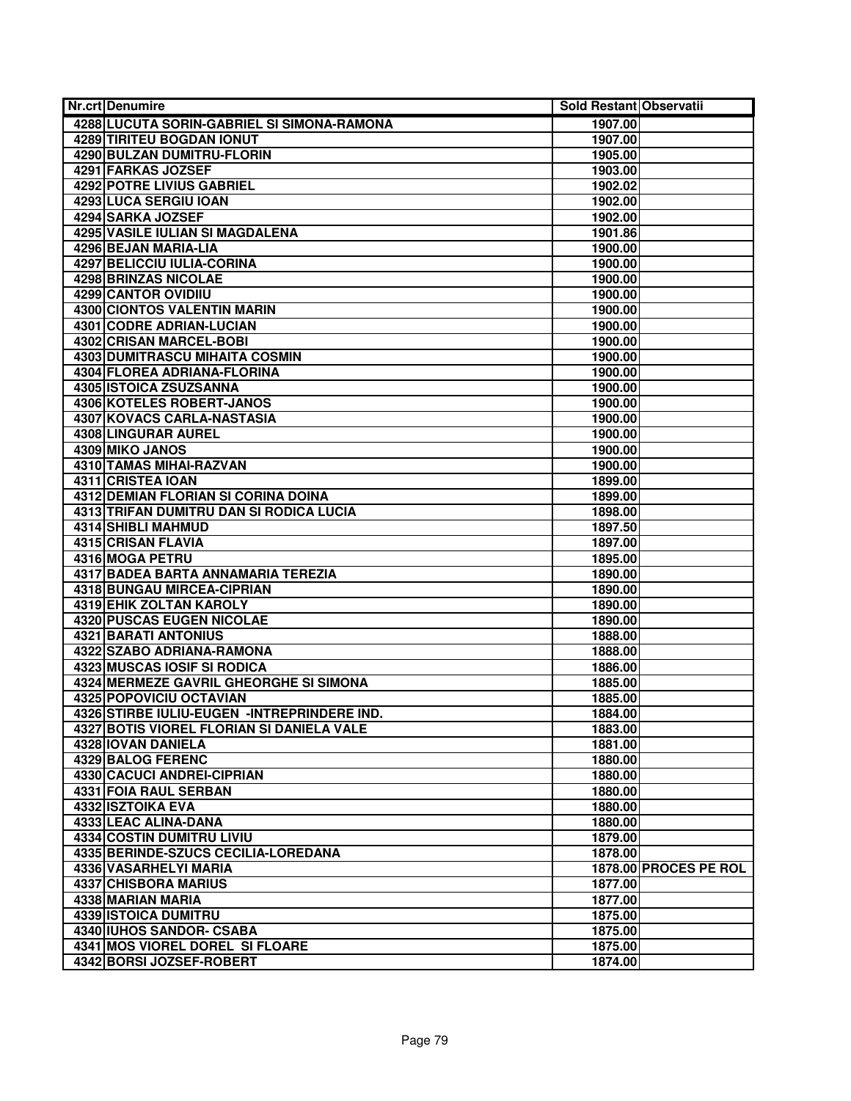| Nr.crt Denumire                              | Sold Restant Observatii |                       |
|----------------------------------------------|-------------------------|-----------------------|
| 4288 LUCUTA SORIN-GABRIEL SI SIMONA-RAMONA   | 1907.00                 |                       |
| <b>4289 TIRITEU BOGDAN IONUT</b>             | 1907.00                 |                       |
| 4290 BULZAN DUMITRU-FLORIN                   | 1905.00                 |                       |
| 4291 FARKAS JOZSEF                           | 1903.00                 |                       |
| <b>4292 POTRE LIVIUS GABRIEL</b>             | 1902.02                 |                       |
| 4293 LUCA SERGIU IOAN                        | 1902.00                 |                       |
| 4294 SARKA JOZSEF                            | 1902.00                 |                       |
| 4295 VASILE IULIAN SI MAGDALENA              | 1901.86                 |                       |
| 4296 BEJAN MARIA-LIA                         | 1900.00                 |                       |
| 4297 BELICCIU IULIA-CORINA                   | 1900.00                 |                       |
| <b>4298 BRINZAS NICOLAE</b>                  | 1900.00                 |                       |
| 4299 CANTOR OVIDIIU                          | 1900.00                 |                       |
| 4300 CIONTOS VALENTIN MARIN                  | 1900.00                 |                       |
| 4301 CODRE ADRIAN-LUCIAN                     | 1900.00                 |                       |
| 4302 CRISAN MARCEL-BOBI                      | 1900.00                 |                       |
| 4303 DUMITRASCU MIHAITA COSMIN               | 1900.00                 |                       |
| 4304 FLOREA ADRIANA-FLORINA                  | 1900.00                 |                       |
| 4305 ISTOICA ZSUZSANNA                       | 1900.00                 |                       |
| 4306 KOTELES ROBERT-JANOS                    | 1900.00                 |                       |
| <b>4307 KOVACS CARLA-NASTASIA</b>            | 1900.00                 |                       |
| <b>4308 LINGURAR AUREL</b>                   | 1900.00                 |                       |
| 4309 MIKO JANOS                              | 1900.00                 |                       |
| 4310 TAMAS MIHAI-RAZVAN                      | 1900.00                 |                       |
| 4311 CRISTEA IOAN                            | 1899.00                 |                       |
| 4312 DEMIAN FLORIAN SI CORINA DOINA          | 1899.00                 |                       |
| 4313 TRIFAN DUMITRU DAN SI RODICA LUCIA      | 1898.00                 |                       |
| 4314 SHIBLI MAHMUD                           | 1897.50                 |                       |
| <b>4315 CRISAN FLAVIA</b>                    | 1897.00                 |                       |
| 4316 MOGA PETRU                              | 1895.00                 |                       |
| 4317 BADEA BARTA ANNAMARIA TEREZIA           | 1890.00                 |                       |
| 4318 BUNGAU MIRCEA-CIPRIAN                   | 1890.00                 |                       |
| <b>4319 EHIK ZOLTAN KAROLY</b>               | 1890.00                 |                       |
| 4320 PUSCAS EUGEN NICOLAE                    | 1890.00                 |                       |
| <b>4321 BARATI ANTONIUS</b>                  | 1888.00                 |                       |
| 4322 SZABO ADRIANA-RAMONA                    | 1888.00                 |                       |
| <b>4323 MUSCAS IOSIF SI RODICA</b>           | 1886.00                 |                       |
| 4324 MERMEZE GAVRIL GHEORGHE SI SIMONA       | 1885.00                 |                       |
| 4325 POPOVICIU OCTAVIAN                      | 1885.00                 |                       |
| 4326 STIRBE IULIU-EUGEN - INTREPRINDERE IND. | 1884.00                 |                       |
| 4327 BOTIS VIOREL FLORIAN SI DANIELA VALE    | 1883.00                 |                       |
| 4328 IOVAN DANIELA                           | 1881.00                 |                       |
| 4329 BALOG FERENC                            | 1880.00                 |                       |
| 4330 CACUCI ANDREI-CIPRIAN                   | 1880.00                 |                       |
| 4331 FOIA RAUL SERBAN                        | 1880.00                 |                       |
| 4332 ISZTOIKA EVA                            | 1880.00                 |                       |
| 4333 LEAC ALINA-DANA                         | 1880.00                 |                       |
| 4334 COSTIN DUMITRU LIVIU                    | 1879.00                 |                       |
| 4335 BERINDE-SZUCS CECILIA-LOREDANA          | 1878.00                 |                       |
| 4336 VASARHELYI MARIA                        |                         | 1878.00 PROCES PE ROL |
| 4337 CHISBORA MARIUS                         | 1877.00                 |                       |
| 4338 MARIAN MARIA                            | 1877.00                 |                       |
| <b>4339 ISTOICA DUMITRU</b>                  | 1875.00                 |                       |
| 4340 IUHOS SANDOR- CSABA                     | 1875.00                 |                       |
| 4341 MOS VIOREL DOREL SI FLOARE              | 1875.00                 |                       |
| 4342 BORSI JOZSEF-ROBERT                     | 1874.00                 |                       |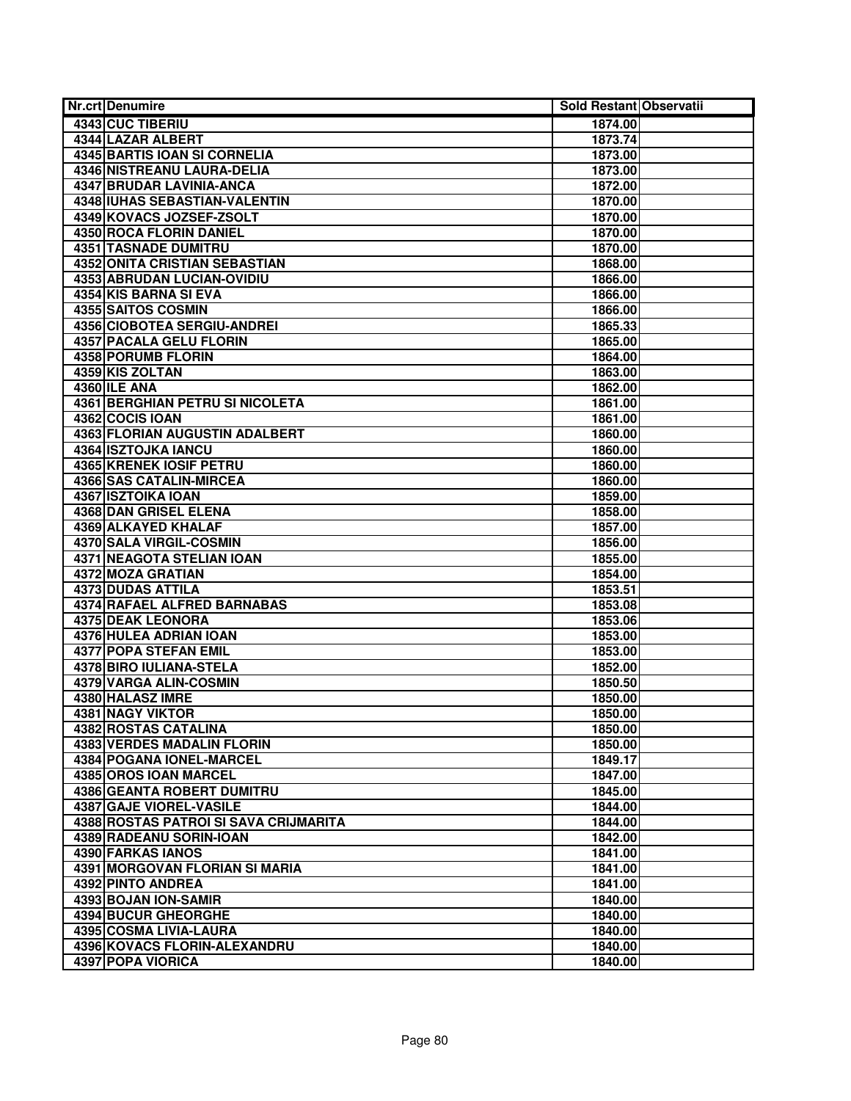| <b>Nr.crt Denumire</b>                                  | Sold Restant Observatii |  |
|---------------------------------------------------------|-------------------------|--|
| 4343 CUC TIBERIU                                        | 1874.00                 |  |
| <b>4344 LAZAR ALBERT</b>                                | 1873.74                 |  |
| <b>4345 BARTIS IOAN SI CORNELIA</b>                     | 1873.00                 |  |
| 4346 NISTREANU LAURA-DELIA                              | 1873.00                 |  |
| 4347 BRUDAR LAVINIA-ANCA                                | 1872.00                 |  |
| 4348 IUHAS SEBASTIAN-VALENTIN                           | 1870.00                 |  |
| 4349 KOVACS JOZSEF-ZSOLT                                | 1870.00                 |  |
| 4350 ROCA FLORIN DANIEL                                 | 1870.00                 |  |
| 4351 TASNADE DUMITRU                                    | 1870.00                 |  |
| 4352 ONITA CRISTIAN SEBASTIAN                           | 1868.00                 |  |
| <b>4353 ABRUDAN LUCIAN-OVIDIU</b>                       | 1866.00                 |  |
| 4354 KIS BARNA SI EVA                                   | 1866.00                 |  |
| 4355 SAITOS COSMIN                                      | 1866.00                 |  |
| 4356 CIOBOTEA SERGIU-ANDREI                             | 1865.33                 |  |
| <b>4357 PACALA GELU FLORIN</b>                          | 1865.00                 |  |
| 4358 PORUMB FLORIN                                      | 1864.00                 |  |
| 4359 KIS ZOLTAN                                         | 1863.00                 |  |
| 4360 ILE ANA                                            | 1862.00                 |  |
| <b>4361 BERGHIAN PETRU SI NICOLETA</b>                  | 1861.00                 |  |
| 4362 COCIS IOAN                                         | 1861.00                 |  |
| 4363 FLORIAN AUGUSTIN ADALBERT                          | 1860.00                 |  |
| 4364 ISZTOJKA IANCU                                     | 1860.00                 |  |
| 4365 KRENEK IOSIF PETRU                                 | 1860.00                 |  |
| <b>4366 SAS CATALIN-MIRCEA</b>                          | 1860.00                 |  |
| 4367 ISZTOIKA IOAN                                      | 1859.00                 |  |
| <b>4368 DAN GRISEL ELENA</b>                            | 1858.00                 |  |
| <b>4369 ALKAYED KHALAF</b>                              | 1857.00                 |  |
| 4370 SALA VIRGIL-COSMIN                                 | 1856.00                 |  |
| 4371 NEAGOTA STELIAN IOAN                               | 1855.00                 |  |
| 4372 MOZA GRATIAN                                       | 1854.00                 |  |
| 4373 DUDAS ATTILA<br><b>4374 RAFAEL ALFRED BARNABAS</b> | 1853.51                 |  |
| <b>4375 DEAK LEONORA</b>                                | 1853.08<br>1853.06      |  |
| 4376 HULEA ADRIAN IOAN                                  | 1853.00                 |  |
| <b>4377 POPA STEFAN EMIL</b>                            | 1853.00                 |  |
| 4378 BIRO IULIANA-STELA                                 | 1852.00                 |  |
| 4379 VARGA ALIN-COSMIN                                  | 1850.50                 |  |
| 4380 HALASZ IMRE                                        | 1850.00                 |  |
| 4381 NAGY VIKTOR                                        | 1850.00                 |  |
| 4382 ROSTAS CATALINA                                    | 1850.00                 |  |
| <b>4383 VERDES MADALIN FLORIN</b>                       | 1850.00                 |  |
| 4384 POGANA IONEL-MARCEL                                | 1849.17                 |  |
| 4385 OROS IOAN MARCEL                                   | 1847.00                 |  |
| 4386 GEANTA ROBERT DUMITRU                              | 1845.00                 |  |
| 4387 GAJE VIOREL-VASILE                                 | 1844.00                 |  |
| 4388 ROSTAS PATROI SI SAVA CRIJMARITA                   | 1844.00                 |  |
| 4389 RADEANU SORIN-IOAN                                 | 1842.00                 |  |
| <b>4390 FARKAS IANOS</b>                                | 1841.00                 |  |
| 4391 MORGOVAN FLORIAN SI MARIA                          | 1841.00                 |  |
| 4392 PINTO ANDREA                                       | 1841.00                 |  |
| 4393 BOJAN ION-SAMIR                                    | 1840.00                 |  |
| <b>4394 BUCUR GHEORGHE</b>                              | 1840.00                 |  |
| 4395 COSMA LIVIA-LAURA                                  | 1840.00                 |  |
| 4396 KOVACS FLORIN-ALEXANDRU                            | 1840.00                 |  |
| 4397 POPA VIORICA                                       | 1840.00                 |  |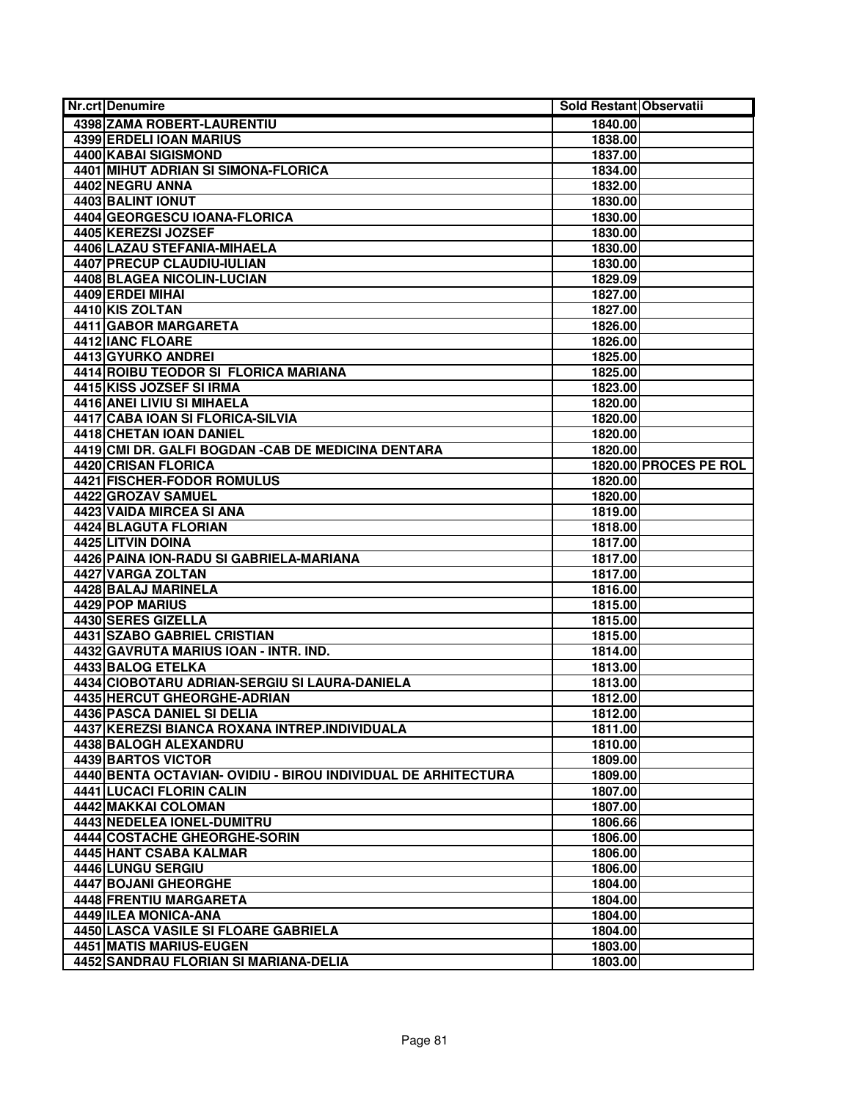| <b>Nr.crt Denumire</b>                                        | Sold Restant Observatii |                       |
|---------------------------------------------------------------|-------------------------|-----------------------|
| <b>4398 ZAMA ROBERT-LAURENTIU</b>                             | 1840.00                 |                       |
| <b>4399 ERDELI IOAN MARIUS</b>                                | 1838.00                 |                       |
| 4400 KABAI SIGISMOND                                          | 1837.00                 |                       |
| 4401 MIHUT ADRIAN SI SIMONA-FLORICA                           | 1834.00                 |                       |
| 4402 NEGRU ANNA                                               | 1832.00                 |                       |
| 4403 BALINT IONUT                                             | 1830.00                 |                       |
| 4404 GEORGESCU IOANA-FLORICA                                  | 1830.00                 |                       |
| 4405 KEREZSI JOZSEF                                           | 1830.00                 |                       |
| <b>4406 LAZAU STEFANIA-MIHAELA</b>                            | 1830.00                 |                       |
| <b>4407 PRECUP CLAUDIU-IULIAN</b>                             | 1830.00                 |                       |
| <b>4408 BLAGEA NICOLIN-LUCIAN</b>                             | 1829.09                 |                       |
| 4409 ERDEI MIHAI                                              | 1827.00                 |                       |
| 4410 KIS ZOLTAN                                               | 1827.00                 |                       |
| 4411 GABOR MARGARETA                                          | 1826.00                 |                       |
| 4412 IANC FLOARE                                              | 1826.00                 |                       |
| 4413 GYURKO ANDREI                                            | 1825.00                 |                       |
| 4414 ROIBU TEODOR SI FLORICA MARIANA                          | 1825.00                 |                       |
| 4415 KISS JOZSEF SI IRMA                                      | 1823.00                 |                       |
| <b>4416 ANEI LIVIU SI MIHAELA</b>                             | 1820.00                 |                       |
| <b>4417 CABA IOAN SI FLORICA-SILVIA</b>                       | 1820.00                 |                       |
| 4418 CHETAN IOAN DANIEL                                       | 1820.00                 |                       |
| 4419 CMI DR. GALFI BOGDAN - CAB DE MEDICINA DENTARA           | 1820.00                 |                       |
| 4420 CRISAN FLORICA                                           |                         | 1820.00 PROCES PE ROL |
| <b>4421 FISCHER-FODOR ROMULUS</b>                             | 1820.00                 |                       |
| 4422 GROZAV SAMUEL                                            | 1820.00                 |                       |
| <b>4423 VAIDA MIRCEA SI ANA</b>                               | 1819.00                 |                       |
| 4424 BLAGUTA FLORIAN                                          | 1818.00                 |                       |
| 4425 LITVIN DOINA                                             | 1817.00                 |                       |
| 4426 PAINA ION-RADU SI GABRIELA-MARIANA                       | 1817.00                 |                       |
| 4427 VARGA ZOLTAN                                             | 1817.00                 |                       |
| 4428 BALAJ MARINELA                                           | 1816.00                 |                       |
| 4429 POP MARIUS                                               | 1815.00                 |                       |
| 4430 SERES GIZELLA                                            | 1815.00                 |                       |
| 4431 SZABO GABRIEL CRISTIAN                                   | 1815.00                 |                       |
| 4432 GAVRUTA MARIUS IOAN - INTR. IND.                         | 1814.00                 |                       |
| 4433 BALOG ETELKA                                             | 1813.00                 |                       |
| 4434 CIOBOTARU ADRIAN-SERGIU SI LAURA-DANIELA                 | 1813.00                 |                       |
| 4435 HERCUT GHEORGHE-ADRIAN                                   | 1812.00                 |                       |
| 4436 PASCA DANIEL SI DELIA                                    | 1812.00                 |                       |
| 4437 KEREZSI BIANCA ROXANA INTREP.INDIVIDUALA                 | 1811.00                 |                       |
| 4438 BALOGH ALEXANDRU                                         | 1810.00                 |                       |
| 4439 BARTOS VICTOR                                            | 1809.00                 |                       |
| 4440 BENTA OCTAVIAN- OVIDIU - BIROU INDIVIDUAL DE ARHITECTURA | 1809.00                 |                       |
| 4441 LUCACI FLORIN CALIN                                      | 1807.00                 |                       |
| 4442 MAKKAI COLOMAN                                           | 1807.00                 |                       |
| 4443 NEDELEA IONEL-DUMITRU                                    | 1806.66                 |                       |
| 4444 COSTACHE GHEORGHE-SORIN                                  | 1806.00                 |                       |
| 4445 HANT CSABA KALMAR                                        | 1806.00                 |                       |
| 4446 LUNGU SERGIU                                             | 1806.00                 |                       |
| <b>4447 BOJANI GHEORGHE</b>                                   | 1804.00                 |                       |
| 4448 FRENTIU MARGARETA                                        | 1804.00                 |                       |
| 4449 ILEA MONICA-ANA                                          | 1804.00                 |                       |
| 4450 LASCA VASILE SI FLOARE GABRIELA                          | 1804.00                 |                       |
| 4451 MATIS MARIUS-EUGEN                                       | 1803.00                 |                       |
| 4452 SANDRAU FLORIAN SI MARIANA-DELIA                         | 1803.00                 |                       |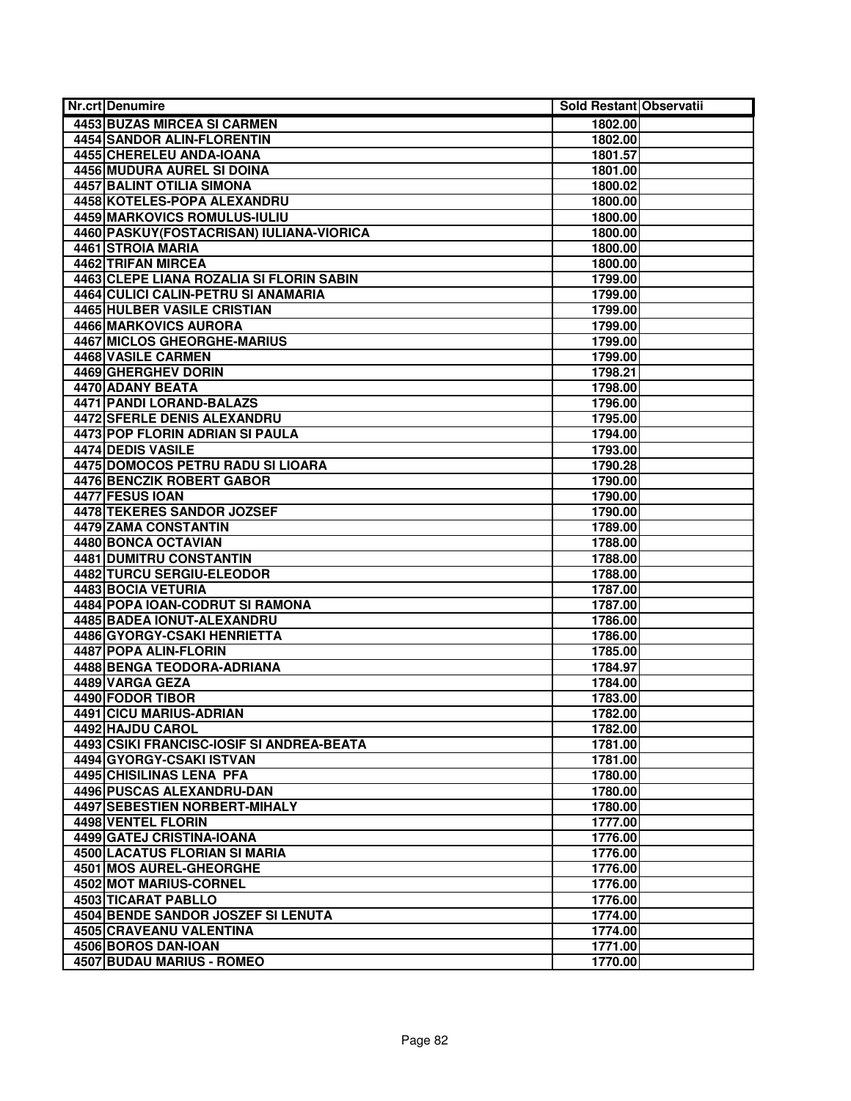| <b>Nr.crt Denumire</b>                                       | Sold Restant Observatii |  |
|--------------------------------------------------------------|-------------------------|--|
| 4453 BUZAS MIRCEA SI CARMEN                                  | 1802.00                 |  |
| <b>4454 SANDOR ALIN-FLORENTIN</b>                            | 1802.00                 |  |
| 4455 CHERELEU ANDA-IOANA                                     | 1801.57                 |  |
| <b>4456 MUDURA AUREL SI DOINA</b>                            | 1801.00                 |  |
| <b>4457 BALINT OTILIA SIMONA</b>                             | 1800.02                 |  |
| 4458 KOTELES-POPA ALEXANDRU                                  | 1800.00                 |  |
| 4459 MARKOVICS ROMULUS-IULIU                                 | 1800.00                 |  |
| 4460 PASKUY (FOSTACRISAN) IULIANA-VIORICA                    | 1800.00                 |  |
| 4461 STROIA MARIA                                            | 1800.00                 |  |
| 4462 TRIFAN MIRCEA                                           | 1800.00                 |  |
| 4463 CLEPE LIANA ROZALIA SI FLORIN SABIN                     | 1799.00                 |  |
| 4464 CULICI CALIN-PETRU SI ANAMARIA                          | 1799.00                 |  |
| <b>4465 HULBER VASILE CRISTIAN</b>                           | 1799.00                 |  |
| 4466 MARKOVICS AURORA                                        | 1799.00                 |  |
| <b>4467 MICLOS GHEORGHE-MARIUS</b>                           | 1799.00                 |  |
| 4468 VASILE CARMEN                                           | 1799.00                 |  |
| <b>4469 GHERGHEV DORIN</b>                                   | 1798.21                 |  |
| 4470 ADANY BEATA                                             | 1798.00                 |  |
| <b>4471 PANDI LORAND-BALAZS</b>                              | 1796.00                 |  |
| 4472 SFERLE DENIS ALEXANDRU                                  | 1795.00                 |  |
| 4473 POP FLORIN ADRIAN SI PAULA                              | 1794.00                 |  |
| <b>4474 DEDIS VASILE</b>                                     | 1793.00                 |  |
| 4475 DOMOCOS PETRU RADU SI LIOARA                            | 1790.28                 |  |
| <b>4476 BENCZIK ROBERT GABOR</b>                             | 1790.00                 |  |
| 4477 FESUS IOAN                                              | 1790.00                 |  |
| 4478 TEKERES SANDOR JOZSEF                                   | 1790.00                 |  |
| <b>4479 ZAMA CONSTANTIN</b>                                  | 1789.00                 |  |
| 4480 BONCA OCTAVIAN                                          | 1788.00                 |  |
| <b>4481 DUMITRU CONSTANTIN</b>                               | 1788.00                 |  |
| 4482 TURCU SERGIU-ELEODOR                                    | 1788.00                 |  |
| 4483 BOCIA VETURIA                                           | 1787.00                 |  |
| 4484 POPA IOAN-CODRUT SI RAMONA                              | 1787.00                 |  |
| 4485 BADEA IONUT-ALEXANDRU                                   | 1786.00                 |  |
| 4486 GYORGY-CSAKI HENRIETTA                                  | 1786.00                 |  |
| 4487 POPA ALIN-FLORIN                                        | 1785.00                 |  |
| 4488 BENGA TEODORA-ADRIANA                                   | 1784.97                 |  |
| 4489 VARGA GEZA                                              | 1784.00                 |  |
| 4490 FODOR TIBOR                                             | 1783.00                 |  |
| 4491 CICU MARIUS-ADRIAN                                      | 1782.00                 |  |
| 4492 HAJDU CAROL                                             | 1782.00                 |  |
| 4493 CSIKI FRANCISC-IOSIF SI ANDREA-BEATA                    | 1781.00                 |  |
| 4494 GYORGY-CSAKI ISTVAN                                     | 1781.00                 |  |
| 4495 CHISILINAS LENA PFA<br><b>4496 PUSCAS ALEXANDRU-DAN</b> | 1780.00<br>1780.00      |  |
| 4497 SEBESTIEN NORBERT-MIHALY                                |                         |  |
|                                                              | 1780.00                 |  |
| 4498 VENTEL FLORIN<br>4499 GATEJ CRISTINA-IOANA              | 1777.00                 |  |
| <b>4500 LACATUS FLORIAN SI MARIA</b>                         | 1776.00<br>1776.00      |  |
| 4501 MOS AUREL-GHEORGHE                                      | 1776.00                 |  |
| 4502 MOT MARIUS-CORNEL                                       | 1776.00                 |  |
| 4503 TICARAT PABLLO                                          | 1776.00                 |  |
| 4504 BENDE SANDOR JOSZEF SI LENUTA                           | 1774.00                 |  |
| 4505 CRAVEANU VALENTINA                                      | 1774.00                 |  |
| 4506 BOROS DAN-IOAN                                          | 1771.00                 |  |
| 4507 BUDAU MARIUS - ROMEO                                    | 1770.00                 |  |
|                                                              |                         |  |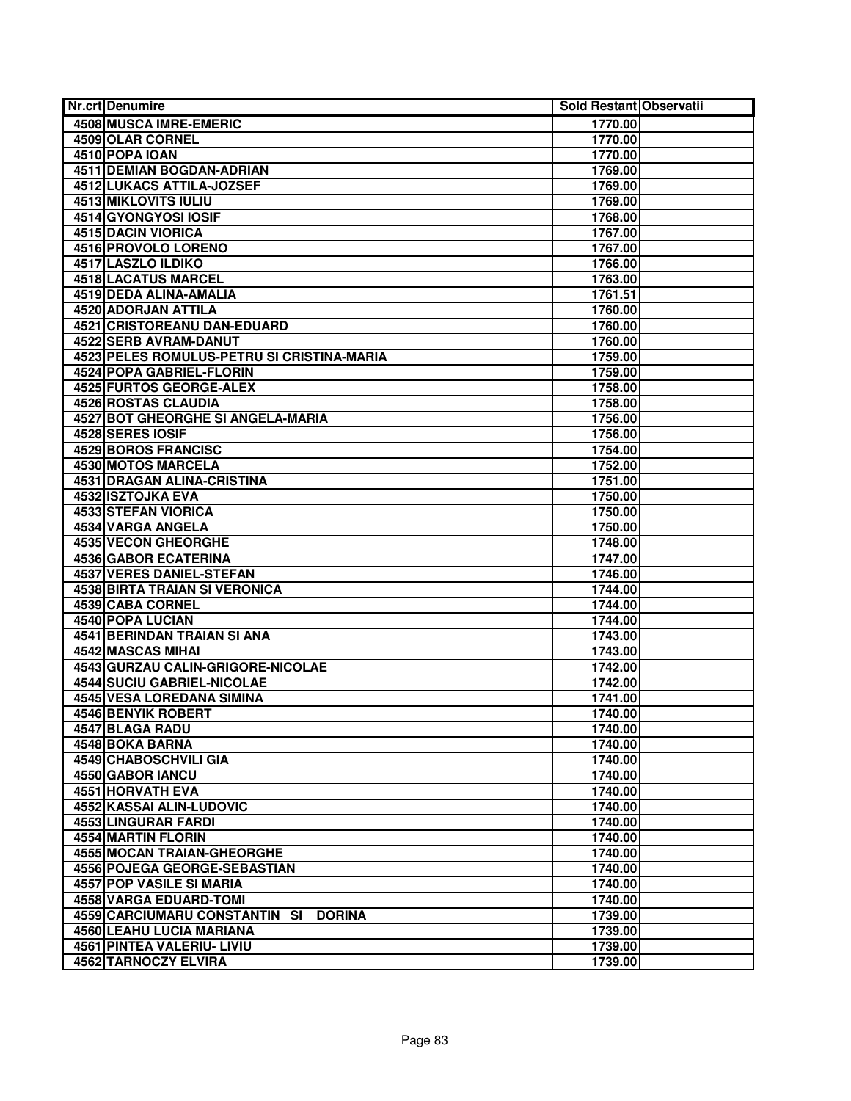| <b>Nr.crt Denumire</b>                         | Sold Restant Observatii |  |
|------------------------------------------------|-------------------------|--|
| <b>4508 MUSCA IMRE-EMERIC</b>                  | 1770.00                 |  |
| 4509 OLAR CORNEL                               | 1770.00                 |  |
| 4510 POPA IOAN                                 | 1770.00                 |  |
| <b>4511 DEMIAN BOGDAN-ADRIAN</b>               | 1769.00                 |  |
| <b>4512 LUKACS ATTILA-JOZSEF</b>               | 1769.00                 |  |
| 4513 MIKLOVITS IULIU                           | 1769.00                 |  |
| 4514 GYONGYOSI IOSIF                           | 1768.00                 |  |
| 4515 DACIN VIORICA                             | 1767.00                 |  |
| 4516 PROVOLO LORENO                            | 1767.00                 |  |
| <b>4517 LASZLO ILDIKO</b>                      | 1766.00                 |  |
| <b>4518 LACATUS MARCEL</b>                     | 1763.00                 |  |
| 4519 DEDA ALINA-AMALIA                         | 1761.51                 |  |
| 4520 ADORJAN ATTILA                            | 1760.00                 |  |
| 4521 CRISTOREANU DAN-EDUARD                    | 1760.00                 |  |
| 4522 SERB AVRAM-DANUT                          | 1760.00                 |  |
| 4523 PELES ROMULUS-PETRU SI CRISTINA-MARIA     | 1759.00                 |  |
| 4524 POPA GABRIEL-FLORIN                       | 1759.00                 |  |
| <b>4525 FURTOS GEORGE-ALEX</b>                 | 1758.00                 |  |
| <b>4526 ROSTAS CLAUDIA</b>                     | 1758.00                 |  |
| <b>4527 BOT GHEORGHE SI ANGELA-MARIA</b>       | 1756.00                 |  |
| 4528 SERES IOSIF                               | 1756.00                 |  |
| 4529 BOROS FRANCISC                            | 1754.00                 |  |
| <b>4530 MOTOS MARCELA</b>                      | 1752.00                 |  |
| <b>4531 DRAGAN ALINA-CRISTINA</b>              | 1751.00                 |  |
| 4532 ISZTOJKA EVA                              | 1750.00                 |  |
| 4533 STEFAN VIORICA                            | 1750.00                 |  |
| 4534 VARGA ANGELA                              | 1750.00                 |  |
| <b>4535 VECON GHEORGHE</b>                     | 1748.00                 |  |
| 4536 GABOR ECATERINA                           | 1747.00                 |  |
| 4537 VERES DANIEL-STEFAN                       | 1746.00                 |  |
| <b>4538 BIRTA TRAIAN SI VERONICA</b>           | 1744.00                 |  |
| 4539 CABA CORNEL                               | 1744.00                 |  |
| 4540 POPA LUCIAN                               | 1744.00                 |  |
| <b>4541 BERINDAN TRAIAN SI ANA</b>             | 1743.00                 |  |
| 4542 MASCAS MIHAI                              | 1743.00                 |  |
| 4543 GURZAU CALIN-GRIGORE-NICOLAE              | 1742.00                 |  |
| <b>4544 SUCIU GABRIEL-NICOLAE</b>              | 1742.00                 |  |
| <b>4545 VESA LOREDANA SIMINA</b>               | 1741.00                 |  |
| 4546 BENYIK ROBERT                             | 1740.00                 |  |
| 4547 BLAGA RADU                                | 1740.00                 |  |
| 4548 BOKA BARNA                                | 1740.00                 |  |
| 4549 CHABOSCHVILI GIA                          | 1740.00                 |  |
| 4550 GABOR IANCU                               | 1740.00                 |  |
| 4551 HORVATH EVA                               | 1740.00                 |  |
| 4552 KASSAI ALIN-LUDOVIC                       | 1740.00                 |  |
| 4553 LINGURAR FARDI                            | 1740.00                 |  |
| 4554 MARTIN FLORIN                             | 1740.00                 |  |
| <b>4555 MOCAN TRAIAN-GHEORGHE</b>              | 1740.00                 |  |
| 4556 POJEGA GEORGE-SEBASTIAN                   | 1740.00                 |  |
| 4557 POP VASILE SI MARIA                       | 1740.00                 |  |
| <b>4558 VARGA EDUARD-TOMI</b>                  | 1740.00                 |  |
| 4559 CARCIUMARU CONSTANTIN SI<br><b>DORINA</b> | 1739.00                 |  |
| <b>4560 LEAHU LUCIA MARIANA</b>                | 1739.00                 |  |
| <b>4561 PINTEA VALERIU- LIVIU</b>              | 1739.00                 |  |
| <b>4562 TARNOCZY ELVIRA</b>                    | 1739.00                 |  |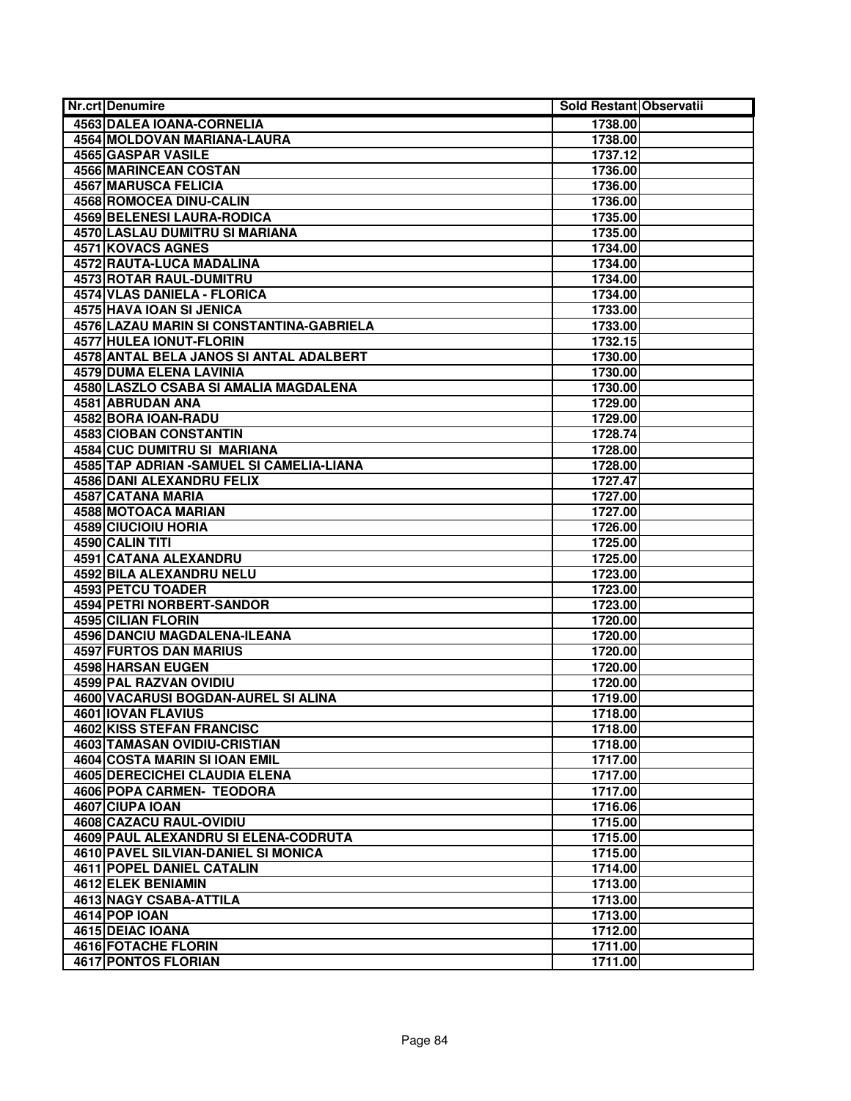| Nr.crt Denumire                            | Sold Restant Observatii |  |
|--------------------------------------------|-------------------------|--|
| <b>4563 DALEA IOANA-CORNELIA</b>           | 1738.00                 |  |
| 4564 MOLDOVAN MARIANA-LAURA                | 1738.00                 |  |
| <b>4565 GASPAR VASILE</b>                  | 1737.12                 |  |
| 4566 MARINCEAN COSTAN                      | 1736.00                 |  |
| <b>4567 MARUSCA FELICIA</b>                | 1736.00                 |  |
| <b>4568 ROMOCEA DINU-CALIN</b>             | 1736.00                 |  |
| <b>4569 BELENESI LAURA-RODICA</b>          | 1735.00                 |  |
| 4570 LASLAU DUMITRU SI MARIANA             | 1735.00                 |  |
| 4571 KOVACS AGNES                          | 1734.00                 |  |
| 4572 RAUTA-LUCA MADALINA                   | 1734.00                 |  |
| <b>4573 ROTAR RAUL-DUMITRU</b>             | 1734.00                 |  |
| <b>4574 VLAS DANIELA - FLORICA</b>         | 1734.00                 |  |
| <b>4575 HAVA IOAN SI JENICA</b>            | 1733.00                 |  |
| 4576 LAZAU MARIN SI CONSTANTINA-GABRIELA   | 1733.00                 |  |
| <b>4577 HULEA IONUT-FLORIN</b>             | 1732.15                 |  |
| 4578 ANTAL BELA JANOS SI ANTAL ADALBERT    | 1730.00                 |  |
| <b>4579 DUMA ELENA LAVINIA</b>             | 1730.00                 |  |
| 4580 LASZLO CSABA SI AMALIA MAGDALENA      | 1730.00                 |  |
| <b>4581 ABRUDAN ANA</b>                    | 1729.00                 |  |
| 4582 BORA IOAN-RADU                        | 1729.00                 |  |
| <b>4583 CIOBAN CONSTANTIN</b>              | 1728.74                 |  |
| 4584 CUC DUMITRU SI MARIANA                | 1728.00                 |  |
| 4585 TAP ADRIAN - SAMUEL SI CAMELIA-LIANA  | 1728.00                 |  |
| <b>4586 DANI ALEXANDRU FELIX</b>           | 1727.47                 |  |
| 4587 CATANA MARIA                          | 1727.00                 |  |
| <b>4588 MOTOACA MARIAN</b>                 | 1727.00                 |  |
| <b>4589 CIUCIOIU HORIA</b>                 | 1726.00                 |  |
| 4590 CALIN TITI                            | 1725.00                 |  |
| 4591 CATANA ALEXANDRU                      | 1725.00                 |  |
| 4592 BILA ALEXANDRU NELU                   | 1723.00                 |  |
| 4593 PETCU TOADER                          | 1723.00                 |  |
| <b>4594 PETRI NORBERT-SANDOR</b>           | 1723.00                 |  |
| 4595 CILIAN FLORIN                         | 1720.00                 |  |
| 4596 DANCIU MAGDALENA-ILEANA               | 1720.00                 |  |
| <b>4597 FURTOS DAN MARIUS</b>              | 1720.00                 |  |
| <b>4598 HARSAN EUGEN</b>                   | 1720.00                 |  |
| 4599 PAL RAZVAN OVIDIU                     | 1720.00                 |  |
| 4600 VACARUSI BOGDAN-AUREL SI ALINA        | 1719.00                 |  |
| <b>4601 IOVAN FLAVIUS</b>                  | 1718.00                 |  |
| 4602 KISS STEFAN FRANCISC                  | 1718.00                 |  |
| 4603 TAMASAN OVIDIU-CRISTIAN               | 1718.00                 |  |
| 4604 COSTA MARIN SI IOAN EMIL              | 1717.00                 |  |
| 4605 DERECICHEI CLAUDIA ELENA              | 1717.00                 |  |
| <b>4606 POPA CARMEN- TEODORA</b>           | 1717.00                 |  |
| 4607 CIUPA IOAN                            | 1716.06                 |  |
| 4608 CAZACU RAUL-OVIDIU                    | 1715.00                 |  |
| 4609 PAUL ALEXANDRU SI ELENA-CODRUTA       | 1715.00                 |  |
| <b>4610 PAVEL SILVIAN-DANIEL SI MONICA</b> | 1715.00                 |  |
| <b>4611 POPEL DANIEL CATALIN</b>           | 1714.00                 |  |
| 4612 ELEK BENIAMIN                         | 1713.00                 |  |
| 4613 NAGY CSABA-ATTILA                     | 1713.00                 |  |
| 4614 POP IOAN                              | 1713.00                 |  |
| 4615 DEIAC IOANA                           | 1712.00                 |  |
| 4616 FOTACHE FLORIN                        | 1711.00                 |  |
| <b>4617 PONTOS FLORIAN</b>                 | 1711.00                 |  |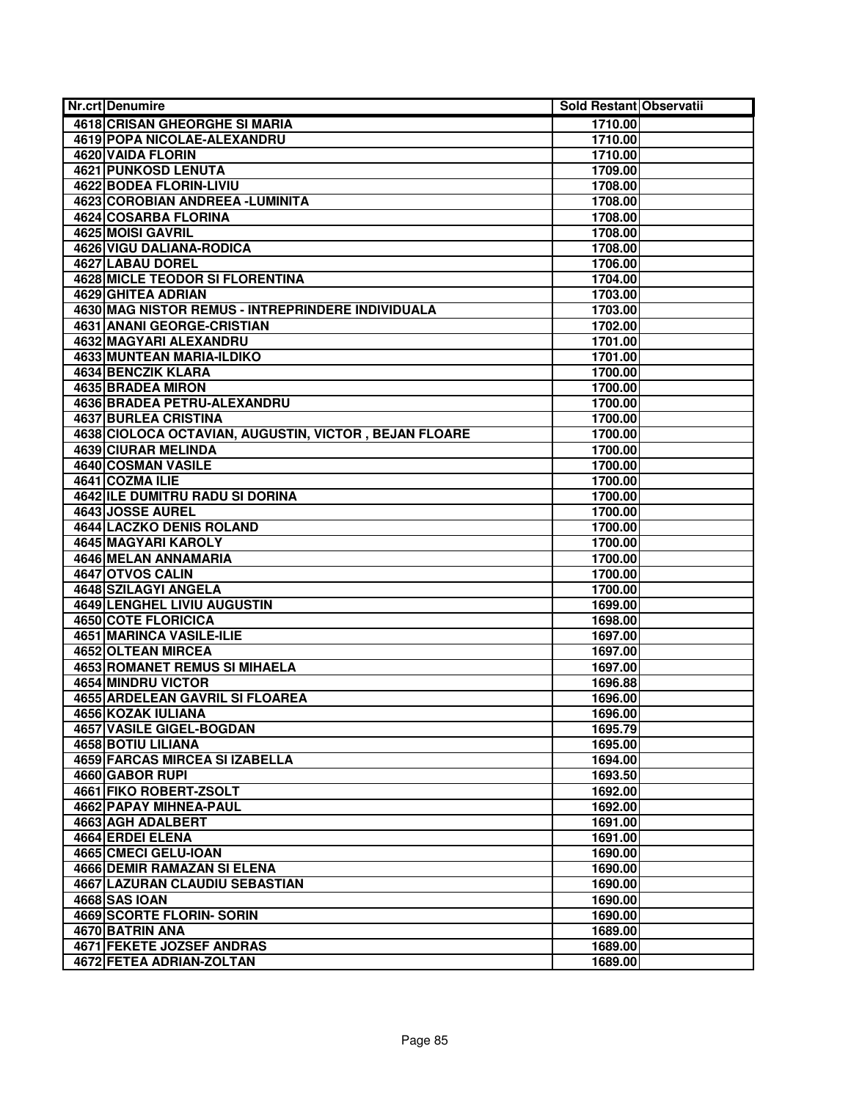| 4618 CRISAN GHEORGHE SI MARIA<br>1710.00<br>4619 POPA NICOLAE-ALEXANDRU<br>1710.00<br><b>4620 VAIDA FLORIN</b><br>1710.00<br><b>4621 PUNKOSD LENUTA</b><br>1709.00<br>4622 BODEA FLORIN-LIVIU<br>1708.00<br>4623 COROBIAN ANDREEA - LUMINITA<br>1708.00<br><b>4624 COSARBA FLORINA</b><br>1708.00<br>4625 MOISI GAVRIL<br>1708.00<br>4626 VIGU DALIANA-RODICA<br>1708.00<br>4627 LABAU DOREL<br>1706.00<br><b>4628 MICLE TEODOR SI FLORENTINA</b><br>1704.00<br>4629 GHITEA ADRIAN<br>1703.00<br>4630 MAG NISTOR REMUS - INTREPRINDERE INDIVIDUALA<br>1703.00<br>4631 ANANI GEORGE-CRISTIAN<br>1702.00<br><b>4632 MAGYARI ALEXANDRU</b><br>1701.00<br><b>4633 MUNTEAN MARIA-ILDIKO</b><br>1701.00 |
|---------------------------------------------------------------------------------------------------------------------------------------------------------------------------------------------------------------------------------------------------------------------------------------------------------------------------------------------------------------------------------------------------------------------------------------------------------------------------------------------------------------------------------------------------------------------------------------------------------------------------------------------------------------------------------------------------|
|                                                                                                                                                                                                                                                                                                                                                                                                                                                                                                                                                                                                                                                                                                   |
|                                                                                                                                                                                                                                                                                                                                                                                                                                                                                                                                                                                                                                                                                                   |
|                                                                                                                                                                                                                                                                                                                                                                                                                                                                                                                                                                                                                                                                                                   |
|                                                                                                                                                                                                                                                                                                                                                                                                                                                                                                                                                                                                                                                                                                   |
|                                                                                                                                                                                                                                                                                                                                                                                                                                                                                                                                                                                                                                                                                                   |
|                                                                                                                                                                                                                                                                                                                                                                                                                                                                                                                                                                                                                                                                                                   |
|                                                                                                                                                                                                                                                                                                                                                                                                                                                                                                                                                                                                                                                                                                   |
|                                                                                                                                                                                                                                                                                                                                                                                                                                                                                                                                                                                                                                                                                                   |
|                                                                                                                                                                                                                                                                                                                                                                                                                                                                                                                                                                                                                                                                                                   |
|                                                                                                                                                                                                                                                                                                                                                                                                                                                                                                                                                                                                                                                                                                   |
|                                                                                                                                                                                                                                                                                                                                                                                                                                                                                                                                                                                                                                                                                                   |
|                                                                                                                                                                                                                                                                                                                                                                                                                                                                                                                                                                                                                                                                                                   |
|                                                                                                                                                                                                                                                                                                                                                                                                                                                                                                                                                                                                                                                                                                   |
|                                                                                                                                                                                                                                                                                                                                                                                                                                                                                                                                                                                                                                                                                                   |
|                                                                                                                                                                                                                                                                                                                                                                                                                                                                                                                                                                                                                                                                                                   |
|                                                                                                                                                                                                                                                                                                                                                                                                                                                                                                                                                                                                                                                                                                   |
| 4634 BENCZIK KLARA<br>1700.00                                                                                                                                                                                                                                                                                                                                                                                                                                                                                                                                                                                                                                                                     |
| <b>4635 BRADEA MIRON</b><br>1700.00                                                                                                                                                                                                                                                                                                                                                                                                                                                                                                                                                                                                                                                               |
| 4636 BRADEA PETRU-ALEXANDRU<br>1700.00                                                                                                                                                                                                                                                                                                                                                                                                                                                                                                                                                                                                                                                            |
| <b>4637 BURLEA CRISTINA</b><br>1700.00                                                                                                                                                                                                                                                                                                                                                                                                                                                                                                                                                                                                                                                            |
| 4638 CIOLOCA OCTAVIAN, AUGUSTIN, VICTOR, BEJAN FLOARE<br>1700.00                                                                                                                                                                                                                                                                                                                                                                                                                                                                                                                                                                                                                                  |
| <b>4639 CIURAR MELINDA</b><br>1700.00                                                                                                                                                                                                                                                                                                                                                                                                                                                                                                                                                                                                                                                             |
| 4640 COSMAN VASILE<br>1700.00                                                                                                                                                                                                                                                                                                                                                                                                                                                                                                                                                                                                                                                                     |
| 4641 COZMA ILIE<br>1700.00                                                                                                                                                                                                                                                                                                                                                                                                                                                                                                                                                                                                                                                                        |
| 4642 ILE DUMITRU RADU SI DORINA<br>1700.00                                                                                                                                                                                                                                                                                                                                                                                                                                                                                                                                                                                                                                                        |
| 4643 JOSSE AUREL<br>1700.00                                                                                                                                                                                                                                                                                                                                                                                                                                                                                                                                                                                                                                                                       |
| <b>4644 LACZKO DENIS ROLAND</b><br>1700.00                                                                                                                                                                                                                                                                                                                                                                                                                                                                                                                                                                                                                                                        |
| <b>4645 MAGYARI KAROLY</b><br>1700.00                                                                                                                                                                                                                                                                                                                                                                                                                                                                                                                                                                                                                                                             |
| 4646 MELAN ANNAMARIA<br>1700.00                                                                                                                                                                                                                                                                                                                                                                                                                                                                                                                                                                                                                                                                   |
| 4647 OTVOS CALIN<br>1700.00                                                                                                                                                                                                                                                                                                                                                                                                                                                                                                                                                                                                                                                                       |
| 4648 SZILAGYI ANGELA<br>1700.00                                                                                                                                                                                                                                                                                                                                                                                                                                                                                                                                                                                                                                                                   |
| 4649 LENGHEL LIVIU AUGUSTIN<br>1699.00                                                                                                                                                                                                                                                                                                                                                                                                                                                                                                                                                                                                                                                            |
| <b>4650 COTE FLORICICA</b><br>1698.00                                                                                                                                                                                                                                                                                                                                                                                                                                                                                                                                                                                                                                                             |
| <b>4651 MARINCA VASILE-ILIE</b><br>1697.00                                                                                                                                                                                                                                                                                                                                                                                                                                                                                                                                                                                                                                                        |
| <b>4652 OLTEAN MIRCEA</b><br>1697.00                                                                                                                                                                                                                                                                                                                                                                                                                                                                                                                                                                                                                                                              |
| <b>4653 ROMANET REMUS SI MIHAELA</b><br>1697.00                                                                                                                                                                                                                                                                                                                                                                                                                                                                                                                                                                                                                                                   |
| 4654 MINDRU VICTOR<br>1696.88                                                                                                                                                                                                                                                                                                                                                                                                                                                                                                                                                                                                                                                                     |
| <b>4655 ARDELEAN GAVRIL SI FLOAREA</b><br>1696.00                                                                                                                                                                                                                                                                                                                                                                                                                                                                                                                                                                                                                                                 |
| 4656 KOZAK IULIANA<br>1696.00                                                                                                                                                                                                                                                                                                                                                                                                                                                                                                                                                                                                                                                                     |
| <b>4657 VASILE GIGEL-BOGDAN</b><br>1695.79                                                                                                                                                                                                                                                                                                                                                                                                                                                                                                                                                                                                                                                        |
| 4658 BOTIU LILIANA<br>1695.00                                                                                                                                                                                                                                                                                                                                                                                                                                                                                                                                                                                                                                                                     |
| 4659 FARCAS MIRCEA SI IZABELLA<br>1694.00                                                                                                                                                                                                                                                                                                                                                                                                                                                                                                                                                                                                                                                         |
| 4660 GABOR RUPI<br>1693.50                                                                                                                                                                                                                                                                                                                                                                                                                                                                                                                                                                                                                                                                        |
| 4661 FIKO ROBERT-ZSOLT<br>1692.00                                                                                                                                                                                                                                                                                                                                                                                                                                                                                                                                                                                                                                                                 |
| 4662 PAPAY MIHNEA-PAUL<br>1692.00                                                                                                                                                                                                                                                                                                                                                                                                                                                                                                                                                                                                                                                                 |
| 4663 AGH ADALBERT<br>1691.00                                                                                                                                                                                                                                                                                                                                                                                                                                                                                                                                                                                                                                                                      |
| 4664 ERDEI ELENA<br>1691.00                                                                                                                                                                                                                                                                                                                                                                                                                                                                                                                                                                                                                                                                       |
| 4665 CMECI GELU-IOAN<br>1690.00                                                                                                                                                                                                                                                                                                                                                                                                                                                                                                                                                                                                                                                                   |
| <b>4666 DEMIR RAMAZAN SI ELENA</b><br>1690.00                                                                                                                                                                                                                                                                                                                                                                                                                                                                                                                                                                                                                                                     |
| 4667 LAZURAN CLAUDIU SEBASTIAN<br>1690.00                                                                                                                                                                                                                                                                                                                                                                                                                                                                                                                                                                                                                                                         |
| <b>4668 SAS IOAN</b><br>1690.00                                                                                                                                                                                                                                                                                                                                                                                                                                                                                                                                                                                                                                                                   |
| <b>4669 SCORTE FLORIN- SORIN</b><br>1690.00                                                                                                                                                                                                                                                                                                                                                                                                                                                                                                                                                                                                                                                       |
| 4670 BATRIN ANA<br>1689.00                                                                                                                                                                                                                                                                                                                                                                                                                                                                                                                                                                                                                                                                        |
| <b>4671 FEKETE JOZSEF ANDRAS</b><br>1689.00                                                                                                                                                                                                                                                                                                                                                                                                                                                                                                                                                                                                                                                       |
| 4672 FETEA ADRIAN-ZOLTAN<br>1689.00                                                                                                                                                                                                                                                                                                                                                                                                                                                                                                                                                                                                                                                               |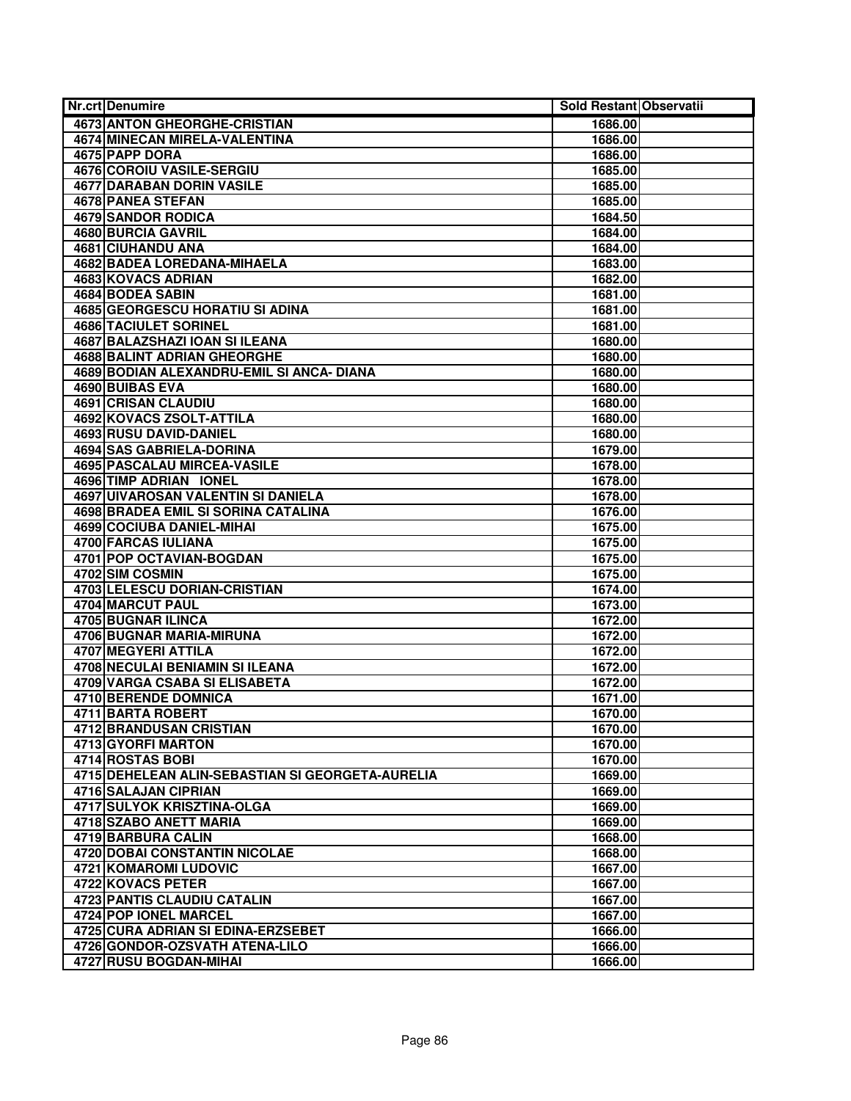| <b>Nr.crt Denumire</b>                           | Sold Restant Observatii |  |
|--------------------------------------------------|-------------------------|--|
| 4673 ANTON GHEORGHE-CRISTIAN                     | 1686.00                 |  |
| <b>4674 MINECAN MIRELA-VALENTINA</b>             | 1686.00                 |  |
| 4675 PAPP DORA                                   | 1686.00                 |  |
| 4676 COROIU VASILE-SERGIU                        | 1685.00                 |  |
| <b>4677 DARABAN DORIN VASILE</b>                 | 1685.00                 |  |
| <b>4678 PANEA STEFAN</b>                         | 1685.00                 |  |
| <b>4679 SANDOR RODICA</b>                        | 1684.50                 |  |
| 4680 BURCIA GAVRIL                               | 1684.00                 |  |
| 4681 CIUHANDU ANA                                | 1684.00                 |  |
| 4682 BADEA LOREDANA-MIHAELA                      | 1683.00                 |  |
| 4683 KOVACS ADRIAN                               | 1682.00                 |  |
| 4684 BODEA SABIN                                 | 1681.00                 |  |
| <b>4685 GEORGESCU HORATIU SI ADINA</b>           | 1681.00                 |  |
| 4686 TACIULET SORINEL                            | 1681.00                 |  |
| 4687 BALAZSHAZI IOAN SI ILEANA                   | 1680.00                 |  |
| 4688 BALINT ADRIAN GHEORGHE                      | 1680.00                 |  |
| 4689 BODIAN ALEXANDRU-EMIL SI ANCA- DIANA        | 1680.00                 |  |
| 4690 BUIBAS EVA                                  | 1680.00                 |  |
| <b>4691 CRISAN CLAUDIU</b>                       | 1680.00                 |  |
| <b>4692 KOVACS ZSOLT-ATTILA</b>                  | 1680.00                 |  |
| 4693 RUSU DAVID-DANIEL                           | 1680.00                 |  |
| <b>4694 SAS GABRIELA-DORINA</b>                  | 1679.00                 |  |
| 4695 PASCALAU MIRCEA-VASILE                      | 1678.00                 |  |
| 4696 TIMP ADRIAN IONEL                           | 1678.00                 |  |
| <b>4697 UIVAROSAN VALENTIN SI DANIELA</b>        | 1678.00                 |  |
| 4698 BRADEA EMIL SI SORINA CATALINA              | 1676.00                 |  |
| <b>4699 COCIUBA DANIEL-MIHAI</b>                 | 1675.00                 |  |
| 4700 FARCAS IULIANA                              | 1675.00                 |  |
| 4701 POP OCTAVIAN-BOGDAN                         | 1675.00                 |  |
| 4702 SIM COSMIN                                  | 1675.00                 |  |
| 4703 LELESCU DORIAN-CRISTIAN                     | 1674.00                 |  |
| <b>4704 MARCUT PAUL</b>                          | 1673.00                 |  |
| 4705 BUGNAR ILINCA                               | 1672.00                 |  |
| <b>4706 BUGNAR MARIA-MIRUNA</b>                  | 1672.00                 |  |
| <b>4707 MEGYERI ATTILA</b>                       | 1672.00                 |  |
| 4708 NECULAI BENIAMIN SI ILEANA                  | 1672.00                 |  |
| 4709 VARGA CSABA SI ELISABETA                    | 1672.00                 |  |
| 4710 BERENDE DOMNICA                             | 1671.00                 |  |
| 4711 BARTA ROBERT                                | 1670.00                 |  |
| 4712 BRANDUSAN CRISTIAN                          | 1670.00                 |  |
| 4713 GYORFI MARTON                               | 1670.00                 |  |
| 4714 ROSTAS BOBI                                 | 1670.00                 |  |
| 4715 DEHELEAN ALIN-SEBASTIAN SI GEORGETA-AURELIA | 1669.00                 |  |
| 4716 SALAJAN CIPRIAN                             | 1669.00                 |  |
| 4717 SULYOK KRISZTINA-OLGA                       | 1669.00                 |  |
| 4718 SZABO ANETT MARIA                           | 1669.00                 |  |
| 4719 BARBURA CALIN                               | 1668.00                 |  |
| <b>4720 DOBAI CONSTANTIN NICOLAE</b>             | 1668.00                 |  |
| 4721 KOMAROMI LUDOVIC                            | 1667.00                 |  |
| 4722 KOVACS PETER                                | 1667.00                 |  |
| 4723 PANTIS CLAUDIU CATALIN                      | 1667.00                 |  |
| 4724 POP IONEL MARCEL                            | 1667.00                 |  |
| 4725 CURA ADRIAN SI EDINA-ERZSEBET               | 1666.00                 |  |
| 4726 GONDOR-OZSVATH ATENA-LILO                   | 1666.00                 |  |
| 4727 RUSU BOGDAN-MIHAI                           | 1666.00                 |  |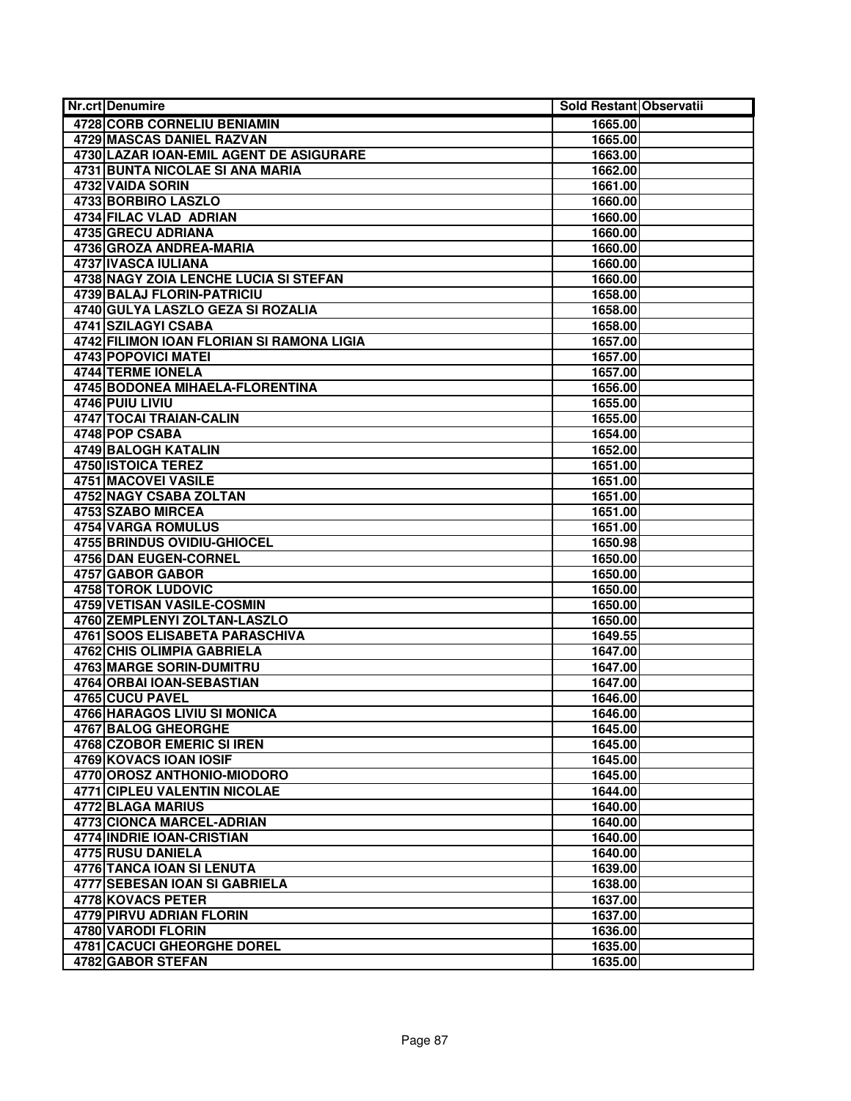| <b>Nr.crt Denumire</b>                                  | Sold Restant Observatii |  |
|---------------------------------------------------------|-------------------------|--|
| 4728 CORB CORNELIU BENIAMIN                             | 1665.00                 |  |
| <b>4729 MASCAS DANIEL RAZVAN</b>                        | 1665.00                 |  |
| 4730 LAZAR IOAN-EMIL AGENT DE ASIGURARE                 | 1663.00                 |  |
| 4731 BUNTA NICOLAE SI ANA MARIA                         | 1662.00                 |  |
| 4732 VAIDA SORIN                                        | 1661.00                 |  |
| <b>4733 BORBIRO LASZLO</b>                              | 1660.00                 |  |
| 4734 FILAC VLAD ADRIAN                                  | 1660.00                 |  |
| 4735 GRECU ADRIANA                                      | 1660.00                 |  |
| 4736 GROZA ANDREA-MARIA                                 | 1660.00                 |  |
| 4737 IVASCA IULIANA                                     | 1660.00                 |  |
| 4738 NAGY ZOIA LENCHE LUCIA SI STEFAN                   | 1660.00                 |  |
| <b>4739 BALAJ FLORIN-PATRICIU</b>                       | 1658.00                 |  |
| 4740 GULYA LASZLO GEZA SI ROZALIA                       | 1658.00                 |  |
| 4741 SZILAGYI CSABA                                     | 1658.00                 |  |
| 4742 FILIMON IOAN FLORIAN SI RAMONA LIGIA               | 1657.00                 |  |
| 4743 POPOVICI MATEI                                     | 1657.00                 |  |
| <b>4744 TERME IONELA</b>                                | 1657.00                 |  |
| 4745 BODONEA MIHAELA-FLORENTINA                         | 1656.00                 |  |
| 4746 PUIU LIVIU                                         | 1655.00                 |  |
| 4747 TOCAI TRAIAN-CALIN                                 | 1655.00                 |  |
| 4748 POP CSABA                                          | 1654.00                 |  |
| 4749 BALOGH KATALIN                                     | 1652.00                 |  |
| <b>4750 ISTOICA TEREZ</b>                               | 1651.00                 |  |
| <b>4751 MACOVEI VASILE</b>                              | 1651.00                 |  |
| 4752 NAGY CSABA ZOLTAN                                  | 1651.00                 |  |
| 4753 SZABO MIRCEA                                       | 1651.00                 |  |
| <b>4754 VARGA ROMULUS</b>                               | 1651.00                 |  |
| <b>4755 BRINDUS OVIDIU-GHIOCEL</b>                      | 1650.98                 |  |
| 4756 DAN EUGEN-CORNEL                                   | 1650.00                 |  |
| 4757 GABOR GABOR                                        | 1650.00                 |  |
| 4758 TOROK LUDOVIC<br><b>4759 VETISAN VASILE-COSMIN</b> | 1650.00                 |  |
| 4760 ZEMPLENYI ZOLTAN-LASZLO                            | 1650.00<br>1650.00      |  |
| 4761 SOOS ELISABETA PARASCHIVA                          | 1649.55                 |  |
| <b>4762 CHIS OLIMPIA GABRIELA</b>                       | 1647.00                 |  |
| <b>4763 MARGE SORIN-DUMITRU</b>                         | 1647.00                 |  |
| 4764 ORBAI IOAN-SEBASTIAN                               | 1647.00                 |  |
| 4765 CUCU PAVEL                                         | 1646.00                 |  |
| 4766 HARAGOS LIVIU SI MONICA                            | 1646.00                 |  |
| <b>4767 BALOG GHEORGHE</b>                              | 1645.00                 |  |
| 4768 CZOBOR EMERIC SI IREN                              | 1645.00                 |  |
| 4769 KOVACS IOAN IOSIF                                  | 1645.00                 |  |
| 4770 OROSZ ANTHONIO-MIODORO                             | 1645.00                 |  |
| <b>4771 CIPLEU VALENTIN NICOLAE</b>                     | 1644.00                 |  |
| 4772 BLAGA MARIUS                                       | 1640.00                 |  |
| <b>4773 CIONCA MARCEL-ADRIAN</b>                        | 1640.00                 |  |
| 4774 INDRIE IOAN-CRISTIAN                               | 1640.00                 |  |
| <b>4775 RUSU DANIELA</b>                                | 1640.00                 |  |
| <b>4776 TANCA IOAN SI LENUTA</b>                        | 1639.00                 |  |
| 4777 SEBESAN IOAN SI GABRIELA                           | 1638.00                 |  |
| 4778 KOVACS PETER                                       | 1637.00                 |  |
| 4779 PIRVU ADRIAN FLORIN                                | 1637.00                 |  |
| 4780 VARODI FLORIN                                      | 1636.00                 |  |
| 4781 CACUCI GHEORGHE DOREL                              | 1635.00                 |  |
| 4782 GABOR STEFAN                                       | 1635.00                 |  |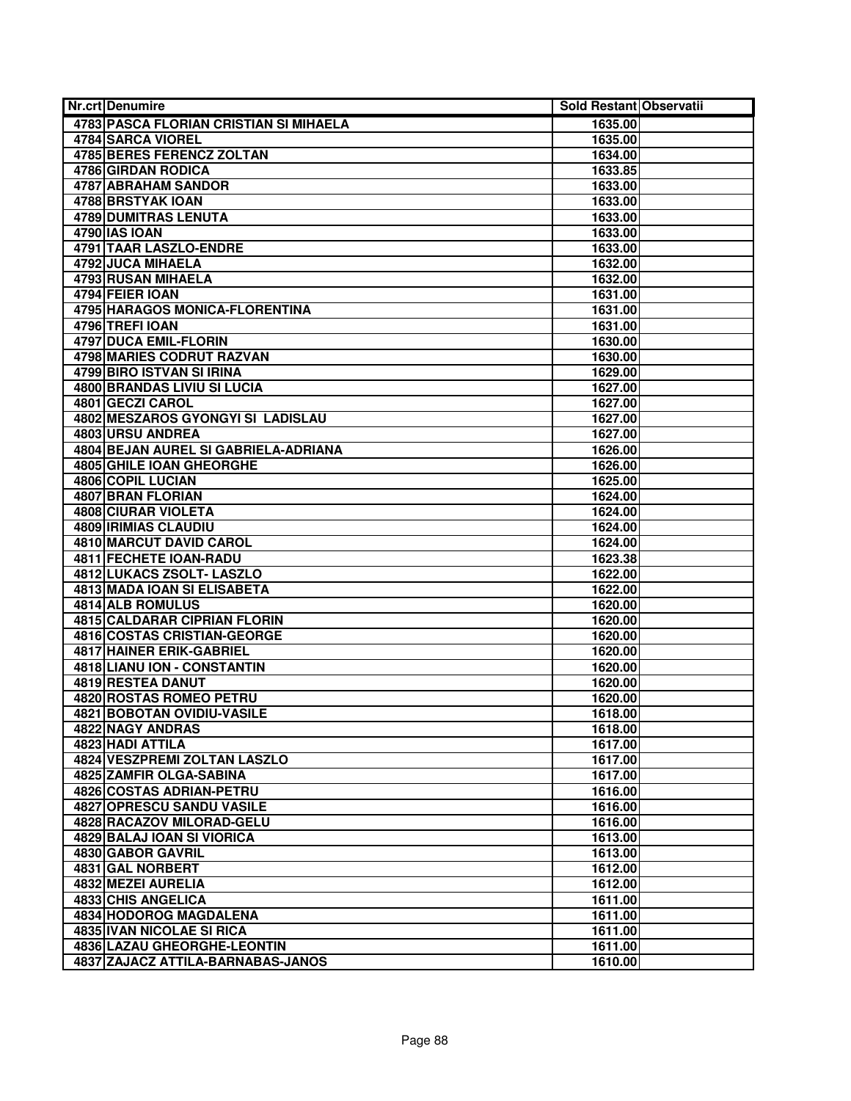| <b>Nr.crt Denumire</b>                 | Sold Restant Observatii |  |
|----------------------------------------|-------------------------|--|
| 4783 PASCA FLORIAN CRISTIAN SI MIHAELA | 1635.00                 |  |
| 4784 SARCA VIOREL                      | 1635.00                 |  |
| <b>4785 BERES FERENCZ ZOLTAN</b>       | 1634.00                 |  |
| 4786 GIRDAN RODICA                     | 1633.85                 |  |
| 4787 ABRAHAM SANDOR                    | 1633.00                 |  |
| <b>4788 BRSTYAK IOAN</b>               | 1633.00                 |  |
| <b>4789 DUMITRAS LENUTA</b>            | 1633.00                 |  |
| 4790 IAS IOAN                          | 1633.00                 |  |
| 4791 TAAR LASZLO-ENDRE                 | 1633.00                 |  |
| 4792 JUCA MIHAELA                      | 1632.00                 |  |
| 4793 RUSAN MIHAELA                     | 1632.00                 |  |
| 4794 FEIER IOAN                        | 1631.00                 |  |
| 4795 HARAGOS MONICA-FLORENTINA         | 1631.00                 |  |
| 4796 TREFI IOAN                        | 1631.00                 |  |
| 4797 DUCA EMIL-FLORIN                  | 1630.00                 |  |
| 4798 MARIES CODRUT RAZVAN              | 1630.00                 |  |
| 4799 BIRO ISTVAN SI IRINA              | 1629.00                 |  |
| <b>4800 BRANDAS LIVIU SI LUCIA</b>     | 1627.00                 |  |
| 4801 GECZI CAROL                       | 1627.00                 |  |
| 4802 MESZAROS GYONGYI SI LADISLAU      | 1627.00                 |  |
| 4803 URSU ANDREA                       | 1627.00                 |  |
| 4804 BEJAN AUREL SI GABRIELA-ADRIANA   | 1626.00                 |  |
| 4805 GHILE IOAN GHEORGHE               | 1626.00                 |  |
| <b>4806 COPIL LUCIAN</b>               | 1625.00                 |  |
| <b>4807 BRAN FLORIAN</b>               | 1624.00                 |  |
| <b>4808 CIURAR VIOLETA</b>             | 1624.00                 |  |
| <b>4809 IRIMIAS CLAUDIU</b>            | 1624.00                 |  |
| <b>4810 MARCUT DAVID CAROL</b>         | 1624.00                 |  |
| <b>4811 FECHETE IOAN-RADU</b>          | 1623.38                 |  |
| 4812 LUKACS ZSOLT- LASZLO              | 1622.00                 |  |
| <b>4813 MADA IOAN SI ELISABETA</b>     | 1622.00                 |  |
| 4814 ALB ROMULUS                       | 1620.00                 |  |
| 4815 CALDARAR CIPRIAN FLORIN           | 1620.00                 |  |
| 4816 COSTAS CRISTIAN-GEORGE            | 1620.00                 |  |
| <b>4817 HAINER ERIK-GABRIEL</b>        | 1620.00                 |  |
| 4818 LIANU ION - CONSTANTIN            | 1620.00                 |  |
| 4819 RESTEA DANUT                      | 1620.00                 |  |
| 4820 ROSTAS ROMEO PETRU                | 1620.00                 |  |
| <b>4821 BOBOTAN OVIDIU-VASILE</b>      | 1618.00                 |  |
| 4822 NAGY ANDRAS                       | 1618.00                 |  |
| 4823 HADI ATTILA                       | 1617.00                 |  |
| 4824 VESZPREMI ZOLTAN LASZLO           | 1617.00                 |  |
| 4825 ZAMFIR OLGA-SABINA                | 1617.00                 |  |
| 4826 COSTAS ADRIAN-PETRU               | 1616.00                 |  |
| 4827 OPRESCU SANDU VASILE              | 1616.00                 |  |
| 4828 RACAZOV MILORAD-GELU              | 1616.00                 |  |
| 4829 BALAJ IOAN SI VIORICA             | 1613.00                 |  |
| 4830 GABOR GAVRIL                      | 1613.00                 |  |
| 4831 GAL NORBERT                       | 1612.00                 |  |
| 4832 MEZEI AURELIA                     | 1612.00                 |  |
| 4833 CHIS ANGELICA                     | 1611.00                 |  |
| <b>4834 HODOROG MAGDALENA</b>          | 1611.00                 |  |
| <b>4835 IVAN NICOLAE SI RICA</b>       | 1611.00                 |  |
| 4836 LAZAU GHEORGHE-LEONTIN            | 1611.00                 |  |
| 4837 ZAJACZ ATTILA-BARNABAS-JANOS      | 1610.00                 |  |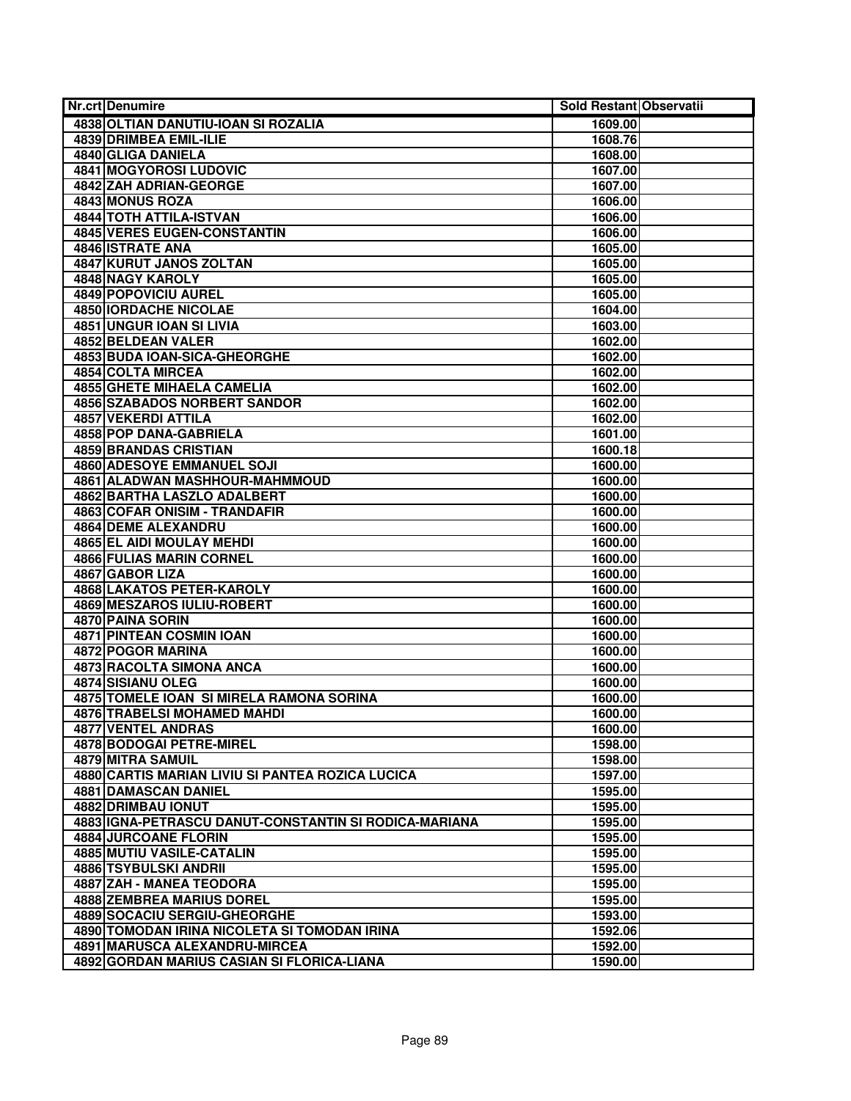| <b>Nr.crt Denumire</b>                                | Sold Restant Observatii |  |
|-------------------------------------------------------|-------------------------|--|
| 4838 OLTIAN DANUTIU-IOAN SI ROZALIA                   | 1609.00                 |  |
| <b>4839 DRIMBEA EMIL-ILIE</b>                         | 1608.76                 |  |
| 4840 GLIGA DANIELA                                    | 1608.00                 |  |
| <b>4841 MOGYOROSI LUDOVIC</b>                         | 1607.00                 |  |
| <b>4842 ZAH ADRIAN-GEORGE</b>                         | 1607.00                 |  |
| 4843 MONUS ROZA                                       | 1606.00                 |  |
| 4844 TOTH ATTILA-ISTVAN                               | 1606.00                 |  |
| <b>4845 VERES EUGEN-CONSTANTIN</b>                    | 1606.00                 |  |
| 4846 ISTRATE ANA                                      | 1605.00                 |  |
| <b>4847 KURUT JANOS ZOLTAN</b>                        | 1605.00                 |  |
| <b>4848 NAGY KAROLY</b>                               | 1605.00                 |  |
| <b>4849 POPOVICIU AUREL</b>                           | 1605.00                 |  |
| 4850 IORDACHE NICOLAE                                 | 1604.00                 |  |
| 4851 UNGUR IOAN SI LIVIA                              | 1603.00                 |  |
| 4852 BELDEAN VALER                                    | 1602.00                 |  |
| 4853 BUDA IOAN-SICA-GHEORGHE                          | 1602.00                 |  |
| 4854 COLTA MIRCEA                                     | 1602.00                 |  |
| <b>4855 GHETE MIHAELA CAMELIA</b>                     | 1602.00                 |  |
| <b>4856 SZABADOS NORBERT SANDOR</b>                   | 1602.00                 |  |
| <b>4857 VEKERDI ATTILA</b>                            | 1602.00                 |  |
| 4858 POP DANA-GABRIELA                                | 1601.00                 |  |
| <b>4859 BRANDAS CRISTIAN</b>                          | 1600.18                 |  |
| <b>4860 ADESOYE EMMANUEL SOJI</b>                     | 1600.00                 |  |
| 4861 ALADWAN MASHHOUR-MAHMMOUD                        | 1600.00                 |  |
| 4862 BARTHA LASZLO ADALBERT                           | 1600.00                 |  |
| 4863 COFAR ONISIM - TRANDAFIR                         | 1600.00                 |  |
| <b>4864 DEME ALEXANDRU</b>                            | 1600.00                 |  |
| 4865 EL AIDI MOULAY MEHDI                             | 1600.00                 |  |
| <b>4866 FULIAS MARIN CORNEL</b>                       | 1600.00                 |  |
| 4867 GABOR LIZA                                       | 1600.00                 |  |
| 4868 LAKATOS PETER-KAROLY                             | 1600.00                 |  |
| <b>4869 MESZAROS IULIU-ROBERT</b>                     | 1600.00                 |  |
| 4870 PAINA SORIN                                      | 1600.00                 |  |
| <b>4871 PINTEAN COSMIN IOAN</b>                       | 1600.00                 |  |
| 4872 POGOR MARINA                                     | 1600.00                 |  |
| <b>4873 RACOLTA SIMONA ANCA</b>                       | 1600.00                 |  |
| 4874 SISIANU OLEG                                     | 1600.00                 |  |
| 4875 TOMELE IOAN SI MIRELA RAMONA SORINA              | 1600.00                 |  |
| 4876 TRABELSI MOHAMED MAHDI                           | 1600.00                 |  |
| 4877 VENTEL ANDRAS                                    | 1600.00                 |  |
| 4878 BODOGAI PETRE-MIREL                              | 1598.00                 |  |
| 4879 MITRA SAMUIL                                     | 1598.00                 |  |
| 4880 CARTIS MARIAN LIVIU SI PANTEA ROZICA LUCICA      | 1597.00                 |  |
| 4881 DAMASCAN DANIEL                                  | 1595.00                 |  |
| 4882 DRIMBAU IONUT                                    | 1595.00                 |  |
| 4883 IGNA-PETRASCU DANUT-CONSTANTIN SI RODICA-MARIANA | 1595.00                 |  |
| <b>4884 JURCOANE FLORIN</b>                           | 1595.00                 |  |
| 4885 MUTIU VASILE-CATALIN                             | 1595.00                 |  |
| 4886 TSYBULSKI ANDRII                                 | 1595.00                 |  |
| 4887 ZAH - MANEA TEODORA                              | 1595.00                 |  |
| 4888 ZEMBREA MARIUS DOREL                             | 1595.00                 |  |
| 4889 SOCACIU SERGIU-GHEORGHE                          | 1593.00                 |  |
| 4890 TOMODAN IRINA NICOLETA SI TOMODAN IRINA          | 1592.06                 |  |
| 4891 MARUSCA ALEXANDRU-MIRCEA                         | 1592.00                 |  |
| 4892 GORDAN MARIUS CASIAN SI FLORICA-LIANA            | 1590.00                 |  |
|                                                       |                         |  |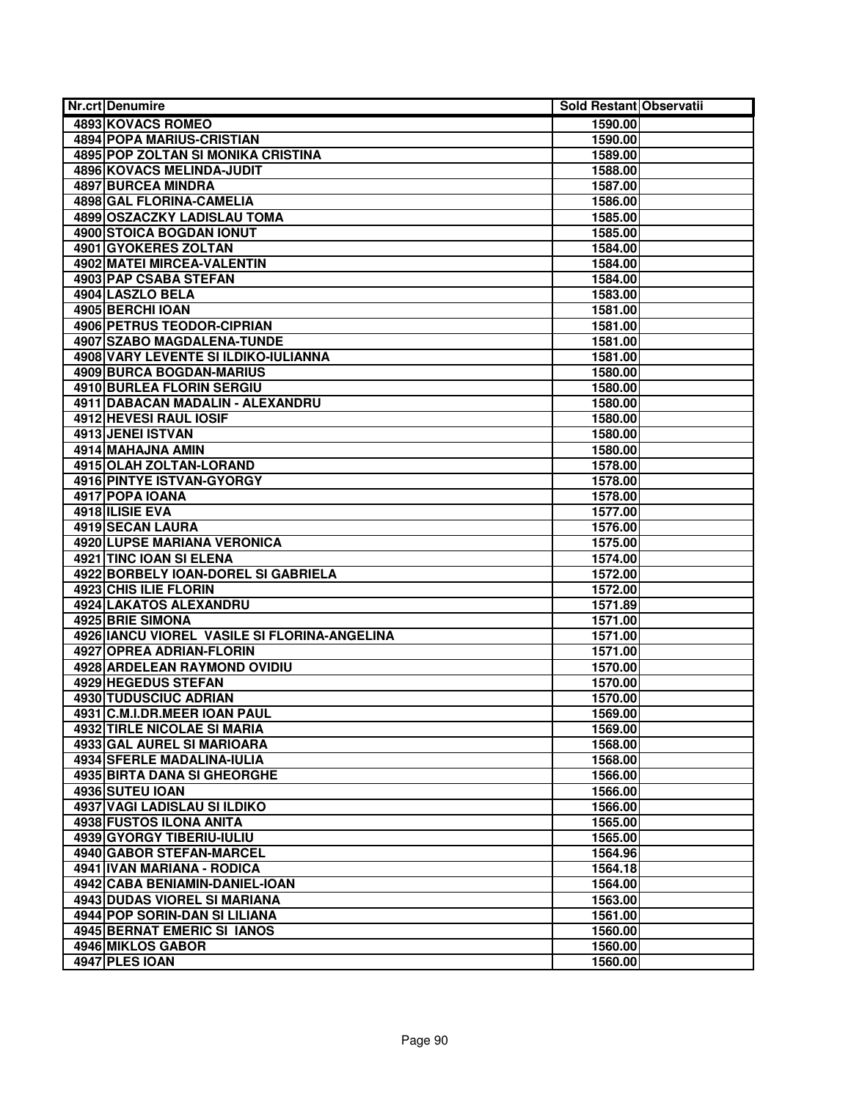| 4893 KOVACS ROMEO<br>1590.00<br><b>4894 POPA MARIUS-CRISTIAN</b><br>1590.00<br><b>4895 POP ZOLTAN SI MONIKA CRISTINA</b><br>1589.00<br>4896 KOVACS MELINDA-JUDIT<br>1588.00<br>4897 BURCEA MINDRA<br>1587.00<br><b>4898 GAL FLORINA-CAMELIA</b><br>1586.00<br>4899 OSZACZKY LADISLAU TOMA<br>1585.00<br>4900 STOICA BOGDAN IONUT<br>1585.00<br>4901 GYOKERES ZOLTAN<br>1584.00<br>4902 MATEI MIRCEA-VALENTIN<br>1584.00<br><b>4903 PAP CSABA STEFAN</b><br>1584.00<br>4904 LASZLO BELA<br>1583.00<br>4905 BERCHI IOAN<br>1581.00<br>4906 PETRUS TEODOR-CIPRIAN<br>1581.00<br>4907 SZABO MAGDALENA-TUNDE<br>1581.00<br>4908 VARY LEVENTE SI ILDIKO-IULIANNA<br>1581.00<br><b>4909 BURCA BOGDAN-MARIUS</b><br>1580.00<br><b>4910 BURLEA FLORIN SERGIU</b><br>1580.00<br>4911 DABACAN MADALIN - ALEXANDRU<br>1580.00<br><b>4912 HEVESI RAUL IOSIF</b><br>1580.00<br><b>4913 JENEI ISTVAN</b><br>1580.00<br>4914 MAHAJNA AMIN<br>1580.00<br>4915 OLAH ZOLTAN-LORAND<br>1578.00<br>4916 PINTYE ISTVAN-GYORGY<br>1578.00<br>4917 POPA IOANA<br>1578.00<br>4918 ILISIE EVA<br>1577.00<br>4919 SECAN LAURA<br>1576.00<br><b>4920 LUPSE MARIANA VERONICA</b><br>1575.00<br>4921 TINC IOAN SI ELENA<br>1574.00<br>4922 BORBELY IOAN-DOREL SI GABRIELA<br>1572.00<br><b>4923 CHIS ILIE FLORIN</b><br>1572.00<br><b>4924 LAKATOS ALEXANDRU</b><br>1571.89<br>4925 BRIE SIMONA<br>1571.00<br>4926 IANCU VIOREL VASILE SI FLORINA-ANGELINA<br>1571.00<br>4927 OPREA ADRIAN-FLORIN<br>1571.00<br><b>4928 ARDELEAN RAYMOND OVIDIU</b><br>1570.00<br>4929 HEGEDUS STEFAN<br>1570.00<br>4930 TUDUSCIUC ADRIAN<br>1570.00<br>4931 C.M.I.DR.MEER IOAN PAUL<br>1569.00<br><b>4932 TIRLE NICOLAE SI MARIA</b><br>1569.00<br>4933 GAL AUREL SI MARIOARA<br>1568.00<br>4934 SFERLE MADALINA-IULIA<br>1568.00<br><b>4935 BIRTA DANA SI GHEORGHE</b><br>1566.00<br>4936 SUTEU IOAN<br>1566.00<br>4937 VAGI LADISLAU SI ILDIKO<br>1566.00<br>4938 FUSTOS ILONA ANITA<br>1565.00<br>4939 GYORGY TIBERIU-IULIU<br>1565.00<br><b>4940 GABOR STEFAN-MARCEL</b><br>1564.96<br>4941 IVAN MARIANA - RODICA<br>1564.18<br>4942 CABA BENIAMIN-DANIEL-IOAN<br>1564.00<br><b>4943 DUDAS VIOREL SI MARIANA</b><br>1563.00<br>4944 POP SORIN-DAN SI LILIANA<br>1561.00<br><b>4945 BERNAT EMERIC SI IANOS</b><br>1560.00<br>4946 MIKLOS GABOR<br>1560.00<br>4947 PLES IOAN | <b>Nr.crt Denumire</b> | Sold Restant Observatii |  |
|-----------------------------------------------------------------------------------------------------------------------------------------------------------------------------------------------------------------------------------------------------------------------------------------------------------------------------------------------------------------------------------------------------------------------------------------------------------------------------------------------------------------------------------------------------------------------------------------------------------------------------------------------------------------------------------------------------------------------------------------------------------------------------------------------------------------------------------------------------------------------------------------------------------------------------------------------------------------------------------------------------------------------------------------------------------------------------------------------------------------------------------------------------------------------------------------------------------------------------------------------------------------------------------------------------------------------------------------------------------------------------------------------------------------------------------------------------------------------------------------------------------------------------------------------------------------------------------------------------------------------------------------------------------------------------------------------------------------------------------------------------------------------------------------------------------------------------------------------------------------------------------------------------------------------------------------------------------------------------------------------------------------------------------------------------------------------------------------------------------------------------------------------------------------------------------------------------------------------------------------------------------------------------------------------------------------------------------|------------------------|-------------------------|--|
|                                                                                                                                                                                                                                                                                                                                                                                                                                                                                                                                                                                                                                                                                                                                                                                                                                                                                                                                                                                                                                                                                                                                                                                                                                                                                                                                                                                                                                                                                                                                                                                                                                                                                                                                                                                                                                                                                                                                                                                                                                                                                                                                                                                                                                                                                                                                   |                        |                         |  |
|                                                                                                                                                                                                                                                                                                                                                                                                                                                                                                                                                                                                                                                                                                                                                                                                                                                                                                                                                                                                                                                                                                                                                                                                                                                                                                                                                                                                                                                                                                                                                                                                                                                                                                                                                                                                                                                                                                                                                                                                                                                                                                                                                                                                                                                                                                                                   |                        |                         |  |
|                                                                                                                                                                                                                                                                                                                                                                                                                                                                                                                                                                                                                                                                                                                                                                                                                                                                                                                                                                                                                                                                                                                                                                                                                                                                                                                                                                                                                                                                                                                                                                                                                                                                                                                                                                                                                                                                                                                                                                                                                                                                                                                                                                                                                                                                                                                                   |                        |                         |  |
|                                                                                                                                                                                                                                                                                                                                                                                                                                                                                                                                                                                                                                                                                                                                                                                                                                                                                                                                                                                                                                                                                                                                                                                                                                                                                                                                                                                                                                                                                                                                                                                                                                                                                                                                                                                                                                                                                                                                                                                                                                                                                                                                                                                                                                                                                                                                   |                        |                         |  |
|                                                                                                                                                                                                                                                                                                                                                                                                                                                                                                                                                                                                                                                                                                                                                                                                                                                                                                                                                                                                                                                                                                                                                                                                                                                                                                                                                                                                                                                                                                                                                                                                                                                                                                                                                                                                                                                                                                                                                                                                                                                                                                                                                                                                                                                                                                                                   |                        |                         |  |
|                                                                                                                                                                                                                                                                                                                                                                                                                                                                                                                                                                                                                                                                                                                                                                                                                                                                                                                                                                                                                                                                                                                                                                                                                                                                                                                                                                                                                                                                                                                                                                                                                                                                                                                                                                                                                                                                                                                                                                                                                                                                                                                                                                                                                                                                                                                                   |                        |                         |  |
|                                                                                                                                                                                                                                                                                                                                                                                                                                                                                                                                                                                                                                                                                                                                                                                                                                                                                                                                                                                                                                                                                                                                                                                                                                                                                                                                                                                                                                                                                                                                                                                                                                                                                                                                                                                                                                                                                                                                                                                                                                                                                                                                                                                                                                                                                                                                   |                        |                         |  |
|                                                                                                                                                                                                                                                                                                                                                                                                                                                                                                                                                                                                                                                                                                                                                                                                                                                                                                                                                                                                                                                                                                                                                                                                                                                                                                                                                                                                                                                                                                                                                                                                                                                                                                                                                                                                                                                                                                                                                                                                                                                                                                                                                                                                                                                                                                                                   |                        |                         |  |
|                                                                                                                                                                                                                                                                                                                                                                                                                                                                                                                                                                                                                                                                                                                                                                                                                                                                                                                                                                                                                                                                                                                                                                                                                                                                                                                                                                                                                                                                                                                                                                                                                                                                                                                                                                                                                                                                                                                                                                                                                                                                                                                                                                                                                                                                                                                                   |                        |                         |  |
|                                                                                                                                                                                                                                                                                                                                                                                                                                                                                                                                                                                                                                                                                                                                                                                                                                                                                                                                                                                                                                                                                                                                                                                                                                                                                                                                                                                                                                                                                                                                                                                                                                                                                                                                                                                                                                                                                                                                                                                                                                                                                                                                                                                                                                                                                                                                   |                        |                         |  |
|                                                                                                                                                                                                                                                                                                                                                                                                                                                                                                                                                                                                                                                                                                                                                                                                                                                                                                                                                                                                                                                                                                                                                                                                                                                                                                                                                                                                                                                                                                                                                                                                                                                                                                                                                                                                                                                                                                                                                                                                                                                                                                                                                                                                                                                                                                                                   |                        |                         |  |
|                                                                                                                                                                                                                                                                                                                                                                                                                                                                                                                                                                                                                                                                                                                                                                                                                                                                                                                                                                                                                                                                                                                                                                                                                                                                                                                                                                                                                                                                                                                                                                                                                                                                                                                                                                                                                                                                                                                                                                                                                                                                                                                                                                                                                                                                                                                                   |                        |                         |  |
|                                                                                                                                                                                                                                                                                                                                                                                                                                                                                                                                                                                                                                                                                                                                                                                                                                                                                                                                                                                                                                                                                                                                                                                                                                                                                                                                                                                                                                                                                                                                                                                                                                                                                                                                                                                                                                                                                                                                                                                                                                                                                                                                                                                                                                                                                                                                   |                        |                         |  |
|                                                                                                                                                                                                                                                                                                                                                                                                                                                                                                                                                                                                                                                                                                                                                                                                                                                                                                                                                                                                                                                                                                                                                                                                                                                                                                                                                                                                                                                                                                                                                                                                                                                                                                                                                                                                                                                                                                                                                                                                                                                                                                                                                                                                                                                                                                                                   |                        |                         |  |
|                                                                                                                                                                                                                                                                                                                                                                                                                                                                                                                                                                                                                                                                                                                                                                                                                                                                                                                                                                                                                                                                                                                                                                                                                                                                                                                                                                                                                                                                                                                                                                                                                                                                                                                                                                                                                                                                                                                                                                                                                                                                                                                                                                                                                                                                                                                                   |                        |                         |  |
|                                                                                                                                                                                                                                                                                                                                                                                                                                                                                                                                                                                                                                                                                                                                                                                                                                                                                                                                                                                                                                                                                                                                                                                                                                                                                                                                                                                                                                                                                                                                                                                                                                                                                                                                                                                                                                                                                                                                                                                                                                                                                                                                                                                                                                                                                                                                   |                        |                         |  |
|                                                                                                                                                                                                                                                                                                                                                                                                                                                                                                                                                                                                                                                                                                                                                                                                                                                                                                                                                                                                                                                                                                                                                                                                                                                                                                                                                                                                                                                                                                                                                                                                                                                                                                                                                                                                                                                                                                                                                                                                                                                                                                                                                                                                                                                                                                                                   |                        |                         |  |
|                                                                                                                                                                                                                                                                                                                                                                                                                                                                                                                                                                                                                                                                                                                                                                                                                                                                                                                                                                                                                                                                                                                                                                                                                                                                                                                                                                                                                                                                                                                                                                                                                                                                                                                                                                                                                                                                                                                                                                                                                                                                                                                                                                                                                                                                                                                                   |                        |                         |  |
|                                                                                                                                                                                                                                                                                                                                                                                                                                                                                                                                                                                                                                                                                                                                                                                                                                                                                                                                                                                                                                                                                                                                                                                                                                                                                                                                                                                                                                                                                                                                                                                                                                                                                                                                                                                                                                                                                                                                                                                                                                                                                                                                                                                                                                                                                                                                   |                        |                         |  |
|                                                                                                                                                                                                                                                                                                                                                                                                                                                                                                                                                                                                                                                                                                                                                                                                                                                                                                                                                                                                                                                                                                                                                                                                                                                                                                                                                                                                                                                                                                                                                                                                                                                                                                                                                                                                                                                                                                                                                                                                                                                                                                                                                                                                                                                                                                                                   |                        |                         |  |
|                                                                                                                                                                                                                                                                                                                                                                                                                                                                                                                                                                                                                                                                                                                                                                                                                                                                                                                                                                                                                                                                                                                                                                                                                                                                                                                                                                                                                                                                                                                                                                                                                                                                                                                                                                                                                                                                                                                                                                                                                                                                                                                                                                                                                                                                                                                                   |                        |                         |  |
|                                                                                                                                                                                                                                                                                                                                                                                                                                                                                                                                                                                                                                                                                                                                                                                                                                                                                                                                                                                                                                                                                                                                                                                                                                                                                                                                                                                                                                                                                                                                                                                                                                                                                                                                                                                                                                                                                                                                                                                                                                                                                                                                                                                                                                                                                                                                   |                        |                         |  |
|                                                                                                                                                                                                                                                                                                                                                                                                                                                                                                                                                                                                                                                                                                                                                                                                                                                                                                                                                                                                                                                                                                                                                                                                                                                                                                                                                                                                                                                                                                                                                                                                                                                                                                                                                                                                                                                                                                                                                                                                                                                                                                                                                                                                                                                                                                                                   |                        |                         |  |
|                                                                                                                                                                                                                                                                                                                                                                                                                                                                                                                                                                                                                                                                                                                                                                                                                                                                                                                                                                                                                                                                                                                                                                                                                                                                                                                                                                                                                                                                                                                                                                                                                                                                                                                                                                                                                                                                                                                                                                                                                                                                                                                                                                                                                                                                                                                                   |                        |                         |  |
|                                                                                                                                                                                                                                                                                                                                                                                                                                                                                                                                                                                                                                                                                                                                                                                                                                                                                                                                                                                                                                                                                                                                                                                                                                                                                                                                                                                                                                                                                                                                                                                                                                                                                                                                                                                                                                                                                                                                                                                                                                                                                                                                                                                                                                                                                                                                   |                        |                         |  |
|                                                                                                                                                                                                                                                                                                                                                                                                                                                                                                                                                                                                                                                                                                                                                                                                                                                                                                                                                                                                                                                                                                                                                                                                                                                                                                                                                                                                                                                                                                                                                                                                                                                                                                                                                                                                                                                                                                                                                                                                                                                                                                                                                                                                                                                                                                                                   |                        |                         |  |
|                                                                                                                                                                                                                                                                                                                                                                                                                                                                                                                                                                                                                                                                                                                                                                                                                                                                                                                                                                                                                                                                                                                                                                                                                                                                                                                                                                                                                                                                                                                                                                                                                                                                                                                                                                                                                                                                                                                                                                                                                                                                                                                                                                                                                                                                                                                                   |                        |                         |  |
|                                                                                                                                                                                                                                                                                                                                                                                                                                                                                                                                                                                                                                                                                                                                                                                                                                                                                                                                                                                                                                                                                                                                                                                                                                                                                                                                                                                                                                                                                                                                                                                                                                                                                                                                                                                                                                                                                                                                                                                                                                                                                                                                                                                                                                                                                                                                   |                        |                         |  |
|                                                                                                                                                                                                                                                                                                                                                                                                                                                                                                                                                                                                                                                                                                                                                                                                                                                                                                                                                                                                                                                                                                                                                                                                                                                                                                                                                                                                                                                                                                                                                                                                                                                                                                                                                                                                                                                                                                                                                                                                                                                                                                                                                                                                                                                                                                                                   |                        |                         |  |
|                                                                                                                                                                                                                                                                                                                                                                                                                                                                                                                                                                                                                                                                                                                                                                                                                                                                                                                                                                                                                                                                                                                                                                                                                                                                                                                                                                                                                                                                                                                                                                                                                                                                                                                                                                                                                                                                                                                                                                                                                                                                                                                                                                                                                                                                                                                                   |                        |                         |  |
|                                                                                                                                                                                                                                                                                                                                                                                                                                                                                                                                                                                                                                                                                                                                                                                                                                                                                                                                                                                                                                                                                                                                                                                                                                                                                                                                                                                                                                                                                                                                                                                                                                                                                                                                                                                                                                                                                                                                                                                                                                                                                                                                                                                                                                                                                                                                   |                        |                         |  |
|                                                                                                                                                                                                                                                                                                                                                                                                                                                                                                                                                                                                                                                                                                                                                                                                                                                                                                                                                                                                                                                                                                                                                                                                                                                                                                                                                                                                                                                                                                                                                                                                                                                                                                                                                                                                                                                                                                                                                                                                                                                                                                                                                                                                                                                                                                                                   |                        |                         |  |
|                                                                                                                                                                                                                                                                                                                                                                                                                                                                                                                                                                                                                                                                                                                                                                                                                                                                                                                                                                                                                                                                                                                                                                                                                                                                                                                                                                                                                                                                                                                                                                                                                                                                                                                                                                                                                                                                                                                                                                                                                                                                                                                                                                                                                                                                                                                                   |                        |                         |  |
|                                                                                                                                                                                                                                                                                                                                                                                                                                                                                                                                                                                                                                                                                                                                                                                                                                                                                                                                                                                                                                                                                                                                                                                                                                                                                                                                                                                                                                                                                                                                                                                                                                                                                                                                                                                                                                                                                                                                                                                                                                                                                                                                                                                                                                                                                                                                   |                        |                         |  |
|                                                                                                                                                                                                                                                                                                                                                                                                                                                                                                                                                                                                                                                                                                                                                                                                                                                                                                                                                                                                                                                                                                                                                                                                                                                                                                                                                                                                                                                                                                                                                                                                                                                                                                                                                                                                                                                                                                                                                                                                                                                                                                                                                                                                                                                                                                                                   |                        |                         |  |
|                                                                                                                                                                                                                                                                                                                                                                                                                                                                                                                                                                                                                                                                                                                                                                                                                                                                                                                                                                                                                                                                                                                                                                                                                                                                                                                                                                                                                                                                                                                                                                                                                                                                                                                                                                                                                                                                                                                                                                                                                                                                                                                                                                                                                                                                                                                                   |                        |                         |  |
|                                                                                                                                                                                                                                                                                                                                                                                                                                                                                                                                                                                                                                                                                                                                                                                                                                                                                                                                                                                                                                                                                                                                                                                                                                                                                                                                                                                                                                                                                                                                                                                                                                                                                                                                                                                                                                                                                                                                                                                                                                                                                                                                                                                                                                                                                                                                   |                        |                         |  |
|                                                                                                                                                                                                                                                                                                                                                                                                                                                                                                                                                                                                                                                                                                                                                                                                                                                                                                                                                                                                                                                                                                                                                                                                                                                                                                                                                                                                                                                                                                                                                                                                                                                                                                                                                                                                                                                                                                                                                                                                                                                                                                                                                                                                                                                                                                                                   |                        |                         |  |
|                                                                                                                                                                                                                                                                                                                                                                                                                                                                                                                                                                                                                                                                                                                                                                                                                                                                                                                                                                                                                                                                                                                                                                                                                                                                                                                                                                                                                                                                                                                                                                                                                                                                                                                                                                                                                                                                                                                                                                                                                                                                                                                                                                                                                                                                                                                                   |                        |                         |  |
|                                                                                                                                                                                                                                                                                                                                                                                                                                                                                                                                                                                                                                                                                                                                                                                                                                                                                                                                                                                                                                                                                                                                                                                                                                                                                                                                                                                                                                                                                                                                                                                                                                                                                                                                                                                                                                                                                                                                                                                                                                                                                                                                                                                                                                                                                                                                   |                        |                         |  |
|                                                                                                                                                                                                                                                                                                                                                                                                                                                                                                                                                                                                                                                                                                                                                                                                                                                                                                                                                                                                                                                                                                                                                                                                                                                                                                                                                                                                                                                                                                                                                                                                                                                                                                                                                                                                                                                                                                                                                                                                                                                                                                                                                                                                                                                                                                                                   |                        |                         |  |
|                                                                                                                                                                                                                                                                                                                                                                                                                                                                                                                                                                                                                                                                                                                                                                                                                                                                                                                                                                                                                                                                                                                                                                                                                                                                                                                                                                                                                                                                                                                                                                                                                                                                                                                                                                                                                                                                                                                                                                                                                                                                                                                                                                                                                                                                                                                                   |                        |                         |  |
|                                                                                                                                                                                                                                                                                                                                                                                                                                                                                                                                                                                                                                                                                                                                                                                                                                                                                                                                                                                                                                                                                                                                                                                                                                                                                                                                                                                                                                                                                                                                                                                                                                                                                                                                                                                                                                                                                                                                                                                                                                                                                                                                                                                                                                                                                                                                   |                        |                         |  |
|                                                                                                                                                                                                                                                                                                                                                                                                                                                                                                                                                                                                                                                                                                                                                                                                                                                                                                                                                                                                                                                                                                                                                                                                                                                                                                                                                                                                                                                                                                                                                                                                                                                                                                                                                                                                                                                                                                                                                                                                                                                                                                                                                                                                                                                                                                                                   |                        |                         |  |
|                                                                                                                                                                                                                                                                                                                                                                                                                                                                                                                                                                                                                                                                                                                                                                                                                                                                                                                                                                                                                                                                                                                                                                                                                                                                                                                                                                                                                                                                                                                                                                                                                                                                                                                                                                                                                                                                                                                                                                                                                                                                                                                                                                                                                                                                                                                                   |                        |                         |  |
|                                                                                                                                                                                                                                                                                                                                                                                                                                                                                                                                                                                                                                                                                                                                                                                                                                                                                                                                                                                                                                                                                                                                                                                                                                                                                                                                                                                                                                                                                                                                                                                                                                                                                                                                                                                                                                                                                                                                                                                                                                                                                                                                                                                                                                                                                                                                   |                        |                         |  |
|                                                                                                                                                                                                                                                                                                                                                                                                                                                                                                                                                                                                                                                                                                                                                                                                                                                                                                                                                                                                                                                                                                                                                                                                                                                                                                                                                                                                                                                                                                                                                                                                                                                                                                                                                                                                                                                                                                                                                                                                                                                                                                                                                                                                                                                                                                                                   |                        |                         |  |
|                                                                                                                                                                                                                                                                                                                                                                                                                                                                                                                                                                                                                                                                                                                                                                                                                                                                                                                                                                                                                                                                                                                                                                                                                                                                                                                                                                                                                                                                                                                                                                                                                                                                                                                                                                                                                                                                                                                                                                                                                                                                                                                                                                                                                                                                                                                                   |                        |                         |  |
|                                                                                                                                                                                                                                                                                                                                                                                                                                                                                                                                                                                                                                                                                                                                                                                                                                                                                                                                                                                                                                                                                                                                                                                                                                                                                                                                                                                                                                                                                                                                                                                                                                                                                                                                                                                                                                                                                                                                                                                                                                                                                                                                                                                                                                                                                                                                   |                        |                         |  |
|                                                                                                                                                                                                                                                                                                                                                                                                                                                                                                                                                                                                                                                                                                                                                                                                                                                                                                                                                                                                                                                                                                                                                                                                                                                                                                                                                                                                                                                                                                                                                                                                                                                                                                                                                                                                                                                                                                                                                                                                                                                                                                                                                                                                                                                                                                                                   |                        |                         |  |
|                                                                                                                                                                                                                                                                                                                                                                                                                                                                                                                                                                                                                                                                                                                                                                                                                                                                                                                                                                                                                                                                                                                                                                                                                                                                                                                                                                                                                                                                                                                                                                                                                                                                                                                                                                                                                                                                                                                                                                                                                                                                                                                                                                                                                                                                                                                                   |                        |                         |  |
|                                                                                                                                                                                                                                                                                                                                                                                                                                                                                                                                                                                                                                                                                                                                                                                                                                                                                                                                                                                                                                                                                                                                                                                                                                                                                                                                                                                                                                                                                                                                                                                                                                                                                                                                                                                                                                                                                                                                                                                                                                                                                                                                                                                                                                                                                                                                   |                        |                         |  |
|                                                                                                                                                                                                                                                                                                                                                                                                                                                                                                                                                                                                                                                                                                                                                                                                                                                                                                                                                                                                                                                                                                                                                                                                                                                                                                                                                                                                                                                                                                                                                                                                                                                                                                                                                                                                                                                                                                                                                                                                                                                                                                                                                                                                                                                                                                                                   |                        |                         |  |
|                                                                                                                                                                                                                                                                                                                                                                                                                                                                                                                                                                                                                                                                                                                                                                                                                                                                                                                                                                                                                                                                                                                                                                                                                                                                                                                                                                                                                                                                                                                                                                                                                                                                                                                                                                                                                                                                                                                                                                                                                                                                                                                                                                                                                                                                                                                                   |                        |                         |  |
|                                                                                                                                                                                                                                                                                                                                                                                                                                                                                                                                                                                                                                                                                                                                                                                                                                                                                                                                                                                                                                                                                                                                                                                                                                                                                                                                                                                                                                                                                                                                                                                                                                                                                                                                                                                                                                                                                                                                                                                                                                                                                                                                                                                                                                                                                                                                   |                        | 1560.00                 |  |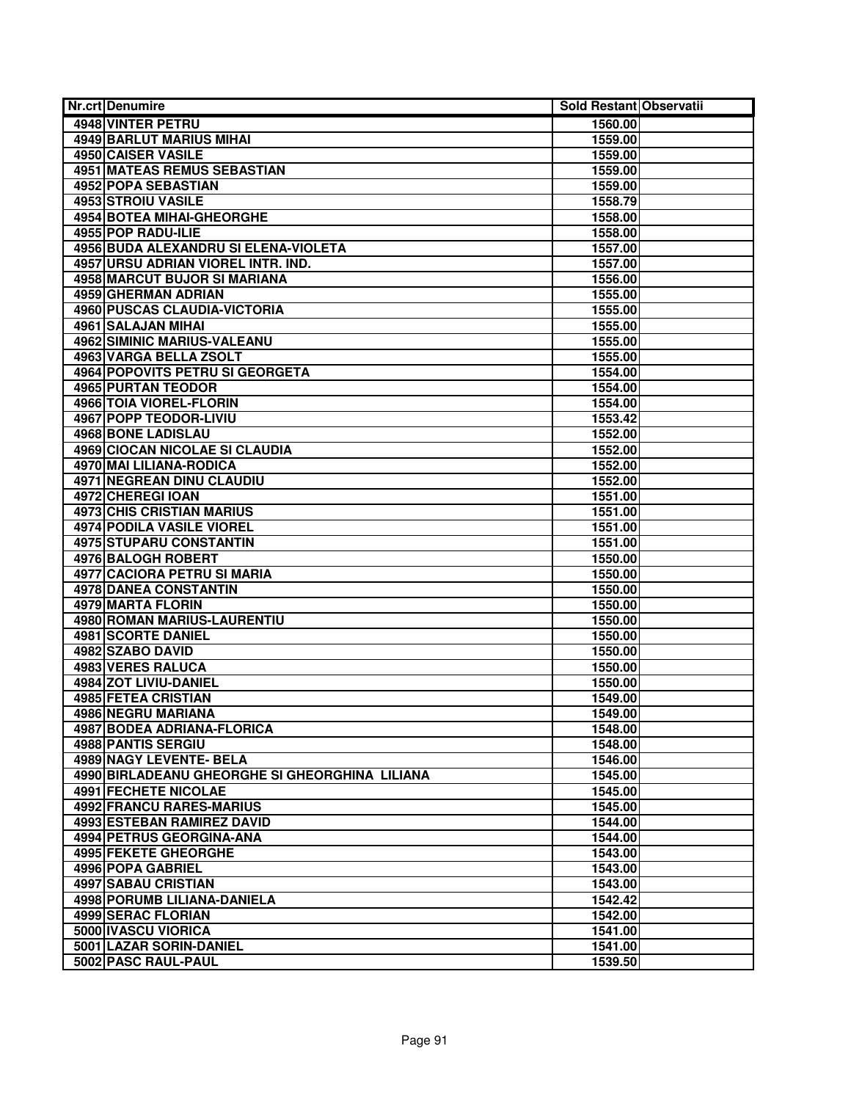| <b>4948 VINTER PETRU</b><br>1560.00<br><b>4949 BARLUT MARIUS MIHAI</b><br>1559.00<br><b>4950 CAISER VASILE</b><br>1559.00<br><b>4951 MATEAS REMUS SEBASTIAN</b><br>1559.00<br>4952 POPA SEBASTIAN<br>1559.00<br><b>4953 STROIU VASILE</b><br>1558.79<br><b>4954 BOTEA MIHAI-GHEORGHE</b><br>1558.00<br>4955 POP RADU-ILIE<br>1558.00<br>4956 BUDA ALEXANDRU SI ELENA-VIOLETA<br>1557.00<br>4957 URSU ADRIAN VIOREL INTR. IND.<br>1557.00<br>4958 MARCUT BUJOR SI MARIANA<br>1556.00<br>4959 GHERMAN ADRIAN<br>1555.00<br>4960 PUSCAS CLAUDIA-VICTORIA<br>1555.00<br>4961 SALAJAN MIHAI<br>1555.00<br>4962 SIMINIC MARIUS-VALEANU<br>1555.00<br>4963 VARGA BELLA ZSOLT<br>1555.00<br><b>4964 POPOVITS PETRU SI GEORGETA</b><br>1554.00<br><b>4965 PURTAN TEODOR</b><br>1554.00<br><b>4966 TOIA VIOREL-FLORIN</b><br>1554.00<br>4967 POPP TEODOR-LIVIU<br>1553.42<br><b>4968 BONE LADISLAU</b><br>1552.00<br>4969 CIOCAN NICOLAE SI CLAUDIA<br>1552.00<br>4970 MAI LILIANA-RODICA<br>1552.00<br><b>4971 NEGREAN DINU CLAUDIU</b><br>1552.00<br>4972 CHEREGI IOAN<br>1551.00<br><b>4973 CHIS CRISTIAN MARIUS</b><br>1551.00<br><b>4974 PODILA VASILE VIOREL</b><br>1551.00<br><b>4975 STUPARU CONSTANTIN</b><br>1551.00<br>4976 BALOGH ROBERT<br>1550.00<br>4977 CACIORA PETRU SI MARIA<br>1550.00<br>4978 DANEA CONSTANTIN<br>1550.00<br><b>4979 MARTA FLORIN</b><br>1550.00<br>4980 ROMAN MARIUS-LAURENTIU<br>1550.00<br><b>4981 SCORTE DANIEL</b><br>1550.00<br>4982 SZABO DAVID<br>1550.00<br>4983 VERES RALUCA<br>1550.00<br>4984 ZOT LIVIU-DANIEL<br>1550.00<br><b>4985 FETEA CRISTIAN</b><br>1549.00<br>4986 NEGRU MARIANA<br>1549.00<br><b>4987 BODEA ADRIANA-FLORICA</b><br>1548.00<br>4988 PANTIS SERGIU<br>1548.00<br>4989 NAGY LEVENTE- BELA<br>1546.00<br>4990 BIRLADEANU GHEORGHE SI GHEORGHINA LILIANA<br>1545.00<br>4991 FECHETE NICOLAE<br>1545.00<br><b>4992 FRANCU RARES-MARIUS</b><br>1545.00<br><b>4993 ESTEBAN RAMIREZ DAVID</b><br>1544.00<br>4994 PETRUS GEORGINA-ANA<br>1544.00<br>4995 FEKETE GHEORGHE<br>1543.00<br>4996 POPA GABRIEL<br>1543.00<br>4997 SABAU CRISTIAN<br>1543.00<br>4998 PORUMB LILIANA-DANIELA<br>1542.42<br>4999 SERAC FLORIAN<br>1542.00<br>5000 IVASCU VIORICA<br>1541.00<br>5001 LAZAR SORIN-DANIEL<br>1541.00 | <b>Nr.crt Denumire</b> | Sold Restant Observatii |  |
|---------------------------------------------------------------------------------------------------------------------------------------------------------------------------------------------------------------------------------------------------------------------------------------------------------------------------------------------------------------------------------------------------------------------------------------------------------------------------------------------------------------------------------------------------------------------------------------------------------------------------------------------------------------------------------------------------------------------------------------------------------------------------------------------------------------------------------------------------------------------------------------------------------------------------------------------------------------------------------------------------------------------------------------------------------------------------------------------------------------------------------------------------------------------------------------------------------------------------------------------------------------------------------------------------------------------------------------------------------------------------------------------------------------------------------------------------------------------------------------------------------------------------------------------------------------------------------------------------------------------------------------------------------------------------------------------------------------------------------------------------------------------------------------------------------------------------------------------------------------------------------------------------------------------------------------------------------------------------------------------------------------------------------------------------------------------------------------------------------------------------------------------------------------------------------------------------------------------------------------------------------------|------------------------|-------------------------|--|
|                                                                                                                                                                                                                                                                                                                                                                                                                                                                                                                                                                                                                                                                                                                                                                                                                                                                                                                                                                                                                                                                                                                                                                                                                                                                                                                                                                                                                                                                                                                                                                                                                                                                                                                                                                                                                                                                                                                                                                                                                                                                                                                                                                                                                                                               |                        |                         |  |
|                                                                                                                                                                                                                                                                                                                                                                                                                                                                                                                                                                                                                                                                                                                                                                                                                                                                                                                                                                                                                                                                                                                                                                                                                                                                                                                                                                                                                                                                                                                                                                                                                                                                                                                                                                                                                                                                                                                                                                                                                                                                                                                                                                                                                                                               |                        |                         |  |
|                                                                                                                                                                                                                                                                                                                                                                                                                                                                                                                                                                                                                                                                                                                                                                                                                                                                                                                                                                                                                                                                                                                                                                                                                                                                                                                                                                                                                                                                                                                                                                                                                                                                                                                                                                                                                                                                                                                                                                                                                                                                                                                                                                                                                                                               |                        |                         |  |
|                                                                                                                                                                                                                                                                                                                                                                                                                                                                                                                                                                                                                                                                                                                                                                                                                                                                                                                                                                                                                                                                                                                                                                                                                                                                                                                                                                                                                                                                                                                                                                                                                                                                                                                                                                                                                                                                                                                                                                                                                                                                                                                                                                                                                                                               |                        |                         |  |
|                                                                                                                                                                                                                                                                                                                                                                                                                                                                                                                                                                                                                                                                                                                                                                                                                                                                                                                                                                                                                                                                                                                                                                                                                                                                                                                                                                                                                                                                                                                                                                                                                                                                                                                                                                                                                                                                                                                                                                                                                                                                                                                                                                                                                                                               |                        |                         |  |
|                                                                                                                                                                                                                                                                                                                                                                                                                                                                                                                                                                                                                                                                                                                                                                                                                                                                                                                                                                                                                                                                                                                                                                                                                                                                                                                                                                                                                                                                                                                                                                                                                                                                                                                                                                                                                                                                                                                                                                                                                                                                                                                                                                                                                                                               |                        |                         |  |
|                                                                                                                                                                                                                                                                                                                                                                                                                                                                                                                                                                                                                                                                                                                                                                                                                                                                                                                                                                                                                                                                                                                                                                                                                                                                                                                                                                                                                                                                                                                                                                                                                                                                                                                                                                                                                                                                                                                                                                                                                                                                                                                                                                                                                                                               |                        |                         |  |
|                                                                                                                                                                                                                                                                                                                                                                                                                                                                                                                                                                                                                                                                                                                                                                                                                                                                                                                                                                                                                                                                                                                                                                                                                                                                                                                                                                                                                                                                                                                                                                                                                                                                                                                                                                                                                                                                                                                                                                                                                                                                                                                                                                                                                                                               |                        |                         |  |
|                                                                                                                                                                                                                                                                                                                                                                                                                                                                                                                                                                                                                                                                                                                                                                                                                                                                                                                                                                                                                                                                                                                                                                                                                                                                                                                                                                                                                                                                                                                                                                                                                                                                                                                                                                                                                                                                                                                                                                                                                                                                                                                                                                                                                                                               |                        |                         |  |
|                                                                                                                                                                                                                                                                                                                                                                                                                                                                                                                                                                                                                                                                                                                                                                                                                                                                                                                                                                                                                                                                                                                                                                                                                                                                                                                                                                                                                                                                                                                                                                                                                                                                                                                                                                                                                                                                                                                                                                                                                                                                                                                                                                                                                                                               |                        |                         |  |
|                                                                                                                                                                                                                                                                                                                                                                                                                                                                                                                                                                                                                                                                                                                                                                                                                                                                                                                                                                                                                                                                                                                                                                                                                                                                                                                                                                                                                                                                                                                                                                                                                                                                                                                                                                                                                                                                                                                                                                                                                                                                                                                                                                                                                                                               |                        |                         |  |
|                                                                                                                                                                                                                                                                                                                                                                                                                                                                                                                                                                                                                                                                                                                                                                                                                                                                                                                                                                                                                                                                                                                                                                                                                                                                                                                                                                                                                                                                                                                                                                                                                                                                                                                                                                                                                                                                                                                                                                                                                                                                                                                                                                                                                                                               |                        |                         |  |
|                                                                                                                                                                                                                                                                                                                                                                                                                                                                                                                                                                                                                                                                                                                                                                                                                                                                                                                                                                                                                                                                                                                                                                                                                                                                                                                                                                                                                                                                                                                                                                                                                                                                                                                                                                                                                                                                                                                                                                                                                                                                                                                                                                                                                                                               |                        |                         |  |
|                                                                                                                                                                                                                                                                                                                                                                                                                                                                                                                                                                                                                                                                                                                                                                                                                                                                                                                                                                                                                                                                                                                                                                                                                                                                                                                                                                                                                                                                                                                                                                                                                                                                                                                                                                                                                                                                                                                                                                                                                                                                                                                                                                                                                                                               |                        |                         |  |
|                                                                                                                                                                                                                                                                                                                                                                                                                                                                                                                                                                                                                                                                                                                                                                                                                                                                                                                                                                                                                                                                                                                                                                                                                                                                                                                                                                                                                                                                                                                                                                                                                                                                                                                                                                                                                                                                                                                                                                                                                                                                                                                                                                                                                                                               |                        |                         |  |
|                                                                                                                                                                                                                                                                                                                                                                                                                                                                                                                                                                                                                                                                                                                                                                                                                                                                                                                                                                                                                                                                                                                                                                                                                                                                                                                                                                                                                                                                                                                                                                                                                                                                                                                                                                                                                                                                                                                                                                                                                                                                                                                                                                                                                                                               |                        |                         |  |
|                                                                                                                                                                                                                                                                                                                                                                                                                                                                                                                                                                                                                                                                                                                                                                                                                                                                                                                                                                                                                                                                                                                                                                                                                                                                                                                                                                                                                                                                                                                                                                                                                                                                                                                                                                                                                                                                                                                                                                                                                                                                                                                                                                                                                                                               |                        |                         |  |
|                                                                                                                                                                                                                                                                                                                                                                                                                                                                                                                                                                                                                                                                                                                                                                                                                                                                                                                                                                                                                                                                                                                                                                                                                                                                                                                                                                                                                                                                                                                                                                                                                                                                                                                                                                                                                                                                                                                                                                                                                                                                                                                                                                                                                                                               |                        |                         |  |
|                                                                                                                                                                                                                                                                                                                                                                                                                                                                                                                                                                                                                                                                                                                                                                                                                                                                                                                                                                                                                                                                                                                                                                                                                                                                                                                                                                                                                                                                                                                                                                                                                                                                                                                                                                                                                                                                                                                                                                                                                                                                                                                                                                                                                                                               |                        |                         |  |
|                                                                                                                                                                                                                                                                                                                                                                                                                                                                                                                                                                                                                                                                                                                                                                                                                                                                                                                                                                                                                                                                                                                                                                                                                                                                                                                                                                                                                                                                                                                                                                                                                                                                                                                                                                                                                                                                                                                                                                                                                                                                                                                                                                                                                                                               |                        |                         |  |
|                                                                                                                                                                                                                                                                                                                                                                                                                                                                                                                                                                                                                                                                                                                                                                                                                                                                                                                                                                                                                                                                                                                                                                                                                                                                                                                                                                                                                                                                                                                                                                                                                                                                                                                                                                                                                                                                                                                                                                                                                                                                                                                                                                                                                                                               |                        |                         |  |
|                                                                                                                                                                                                                                                                                                                                                                                                                                                                                                                                                                                                                                                                                                                                                                                                                                                                                                                                                                                                                                                                                                                                                                                                                                                                                                                                                                                                                                                                                                                                                                                                                                                                                                                                                                                                                                                                                                                                                                                                                                                                                                                                                                                                                                                               |                        |                         |  |
|                                                                                                                                                                                                                                                                                                                                                                                                                                                                                                                                                                                                                                                                                                                                                                                                                                                                                                                                                                                                                                                                                                                                                                                                                                                                                                                                                                                                                                                                                                                                                                                                                                                                                                                                                                                                                                                                                                                                                                                                                                                                                                                                                                                                                                                               |                        |                         |  |
|                                                                                                                                                                                                                                                                                                                                                                                                                                                                                                                                                                                                                                                                                                                                                                                                                                                                                                                                                                                                                                                                                                                                                                                                                                                                                                                                                                                                                                                                                                                                                                                                                                                                                                                                                                                                                                                                                                                                                                                                                                                                                                                                                                                                                                                               |                        |                         |  |
|                                                                                                                                                                                                                                                                                                                                                                                                                                                                                                                                                                                                                                                                                                                                                                                                                                                                                                                                                                                                                                                                                                                                                                                                                                                                                                                                                                                                                                                                                                                                                                                                                                                                                                                                                                                                                                                                                                                                                                                                                                                                                                                                                                                                                                                               |                        |                         |  |
|                                                                                                                                                                                                                                                                                                                                                                                                                                                                                                                                                                                                                                                                                                                                                                                                                                                                                                                                                                                                                                                                                                                                                                                                                                                                                                                                                                                                                                                                                                                                                                                                                                                                                                                                                                                                                                                                                                                                                                                                                                                                                                                                                                                                                                                               |                        |                         |  |
|                                                                                                                                                                                                                                                                                                                                                                                                                                                                                                                                                                                                                                                                                                                                                                                                                                                                                                                                                                                                                                                                                                                                                                                                                                                                                                                                                                                                                                                                                                                                                                                                                                                                                                                                                                                                                                                                                                                                                                                                                                                                                                                                                                                                                                                               |                        |                         |  |
|                                                                                                                                                                                                                                                                                                                                                                                                                                                                                                                                                                                                                                                                                                                                                                                                                                                                                                                                                                                                                                                                                                                                                                                                                                                                                                                                                                                                                                                                                                                                                                                                                                                                                                                                                                                                                                                                                                                                                                                                                                                                                                                                                                                                                                                               |                        |                         |  |
|                                                                                                                                                                                                                                                                                                                                                                                                                                                                                                                                                                                                                                                                                                                                                                                                                                                                                                                                                                                                                                                                                                                                                                                                                                                                                                                                                                                                                                                                                                                                                                                                                                                                                                                                                                                                                                                                                                                                                                                                                                                                                                                                                                                                                                                               |                        |                         |  |
|                                                                                                                                                                                                                                                                                                                                                                                                                                                                                                                                                                                                                                                                                                                                                                                                                                                                                                                                                                                                                                                                                                                                                                                                                                                                                                                                                                                                                                                                                                                                                                                                                                                                                                                                                                                                                                                                                                                                                                                                                                                                                                                                                                                                                                                               |                        |                         |  |
|                                                                                                                                                                                                                                                                                                                                                                                                                                                                                                                                                                                                                                                                                                                                                                                                                                                                                                                                                                                                                                                                                                                                                                                                                                                                                                                                                                                                                                                                                                                                                                                                                                                                                                                                                                                                                                                                                                                                                                                                                                                                                                                                                                                                                                                               |                        |                         |  |
|                                                                                                                                                                                                                                                                                                                                                                                                                                                                                                                                                                                                                                                                                                                                                                                                                                                                                                                                                                                                                                                                                                                                                                                                                                                                                                                                                                                                                                                                                                                                                                                                                                                                                                                                                                                                                                                                                                                                                                                                                                                                                                                                                                                                                                                               |                        |                         |  |
|                                                                                                                                                                                                                                                                                                                                                                                                                                                                                                                                                                                                                                                                                                                                                                                                                                                                                                                                                                                                                                                                                                                                                                                                                                                                                                                                                                                                                                                                                                                                                                                                                                                                                                                                                                                                                                                                                                                                                                                                                                                                                                                                                                                                                                                               |                        |                         |  |
|                                                                                                                                                                                                                                                                                                                                                                                                                                                                                                                                                                                                                                                                                                                                                                                                                                                                                                                                                                                                                                                                                                                                                                                                                                                                                                                                                                                                                                                                                                                                                                                                                                                                                                                                                                                                                                                                                                                                                                                                                                                                                                                                                                                                                                                               |                        |                         |  |
|                                                                                                                                                                                                                                                                                                                                                                                                                                                                                                                                                                                                                                                                                                                                                                                                                                                                                                                                                                                                                                                                                                                                                                                                                                                                                                                                                                                                                                                                                                                                                                                                                                                                                                                                                                                                                                                                                                                                                                                                                                                                                                                                                                                                                                                               |                        |                         |  |
|                                                                                                                                                                                                                                                                                                                                                                                                                                                                                                                                                                                                                                                                                                                                                                                                                                                                                                                                                                                                                                                                                                                                                                                                                                                                                                                                                                                                                                                                                                                                                                                                                                                                                                                                                                                                                                                                                                                                                                                                                                                                                                                                                                                                                                                               |                        |                         |  |
|                                                                                                                                                                                                                                                                                                                                                                                                                                                                                                                                                                                                                                                                                                                                                                                                                                                                                                                                                                                                                                                                                                                                                                                                                                                                                                                                                                                                                                                                                                                                                                                                                                                                                                                                                                                                                                                                                                                                                                                                                                                                                                                                                                                                                                                               |                        |                         |  |
|                                                                                                                                                                                                                                                                                                                                                                                                                                                                                                                                                                                                                                                                                                                                                                                                                                                                                                                                                                                                                                                                                                                                                                                                                                                                                                                                                                                                                                                                                                                                                                                                                                                                                                                                                                                                                                                                                                                                                                                                                                                                                                                                                                                                                                                               |                        |                         |  |
|                                                                                                                                                                                                                                                                                                                                                                                                                                                                                                                                                                                                                                                                                                                                                                                                                                                                                                                                                                                                                                                                                                                                                                                                                                                                                                                                                                                                                                                                                                                                                                                                                                                                                                                                                                                                                                                                                                                                                                                                                                                                                                                                                                                                                                                               |                        |                         |  |
|                                                                                                                                                                                                                                                                                                                                                                                                                                                                                                                                                                                                                                                                                                                                                                                                                                                                                                                                                                                                                                                                                                                                                                                                                                                                                                                                                                                                                                                                                                                                                                                                                                                                                                                                                                                                                                                                                                                                                                                                                                                                                                                                                                                                                                                               |                        |                         |  |
|                                                                                                                                                                                                                                                                                                                                                                                                                                                                                                                                                                                                                                                                                                                                                                                                                                                                                                                                                                                                                                                                                                                                                                                                                                                                                                                                                                                                                                                                                                                                                                                                                                                                                                                                                                                                                                                                                                                                                                                                                                                                                                                                                                                                                                                               |                        |                         |  |
|                                                                                                                                                                                                                                                                                                                                                                                                                                                                                                                                                                                                                                                                                                                                                                                                                                                                                                                                                                                                                                                                                                                                                                                                                                                                                                                                                                                                                                                                                                                                                                                                                                                                                                                                                                                                                                                                                                                                                                                                                                                                                                                                                                                                                                                               |                        |                         |  |
|                                                                                                                                                                                                                                                                                                                                                                                                                                                                                                                                                                                                                                                                                                                                                                                                                                                                                                                                                                                                                                                                                                                                                                                                                                                                                                                                                                                                                                                                                                                                                                                                                                                                                                                                                                                                                                                                                                                                                                                                                                                                                                                                                                                                                                                               |                        |                         |  |
|                                                                                                                                                                                                                                                                                                                                                                                                                                                                                                                                                                                                                                                                                                                                                                                                                                                                                                                                                                                                                                                                                                                                                                                                                                                                                                                                                                                                                                                                                                                                                                                                                                                                                                                                                                                                                                                                                                                                                                                                                                                                                                                                                                                                                                                               |                        |                         |  |
|                                                                                                                                                                                                                                                                                                                                                                                                                                                                                                                                                                                                                                                                                                                                                                                                                                                                                                                                                                                                                                                                                                                                                                                                                                                                                                                                                                                                                                                                                                                                                                                                                                                                                                                                                                                                                                                                                                                                                                                                                                                                                                                                                                                                                                                               |                        |                         |  |
|                                                                                                                                                                                                                                                                                                                                                                                                                                                                                                                                                                                                                                                                                                                                                                                                                                                                                                                                                                                                                                                                                                                                                                                                                                                                                                                                                                                                                                                                                                                                                                                                                                                                                                                                                                                                                                                                                                                                                                                                                                                                                                                                                                                                                                                               |                        |                         |  |
|                                                                                                                                                                                                                                                                                                                                                                                                                                                                                                                                                                                                                                                                                                                                                                                                                                                                                                                                                                                                                                                                                                                                                                                                                                                                                                                                                                                                                                                                                                                                                                                                                                                                                                                                                                                                                                                                                                                                                                                                                                                                                                                                                                                                                                                               |                        |                         |  |
|                                                                                                                                                                                                                                                                                                                                                                                                                                                                                                                                                                                                                                                                                                                                                                                                                                                                                                                                                                                                                                                                                                                                                                                                                                                                                                                                                                                                                                                                                                                                                                                                                                                                                                                                                                                                                                                                                                                                                                                                                                                                                                                                                                                                                                                               |                        |                         |  |
|                                                                                                                                                                                                                                                                                                                                                                                                                                                                                                                                                                                                                                                                                                                                                                                                                                                                                                                                                                                                                                                                                                                                                                                                                                                                                                                                                                                                                                                                                                                                                                                                                                                                                                                                                                                                                                                                                                                                                                                                                                                                                                                                                                                                                                                               |                        |                         |  |
|                                                                                                                                                                                                                                                                                                                                                                                                                                                                                                                                                                                                                                                                                                                                                                                                                                                                                                                                                                                                                                                                                                                                                                                                                                                                                                                                                                                                                                                                                                                                                                                                                                                                                                                                                                                                                                                                                                                                                                                                                                                                                                                                                                                                                                                               |                        |                         |  |
|                                                                                                                                                                                                                                                                                                                                                                                                                                                                                                                                                                                                                                                                                                                                                                                                                                                                                                                                                                                                                                                                                                                                                                                                                                                                                                                                                                                                                                                                                                                                                                                                                                                                                                                                                                                                                                                                                                                                                                                                                                                                                                                                                                                                                                                               |                        |                         |  |
|                                                                                                                                                                                                                                                                                                                                                                                                                                                                                                                                                                                                                                                                                                                                                                                                                                                                                                                                                                                                                                                                                                                                                                                                                                                                                                                                                                                                                                                                                                                                                                                                                                                                                                                                                                                                                                                                                                                                                                                                                                                                                                                                                                                                                                                               |                        |                         |  |
|                                                                                                                                                                                                                                                                                                                                                                                                                                                                                                                                                                                                                                                                                                                                                                                                                                                                                                                                                                                                                                                                                                                                                                                                                                                                                                                                                                                                                                                                                                                                                                                                                                                                                                                                                                                                                                                                                                                                                                                                                                                                                                                                                                                                                                                               |                        |                         |  |
|                                                                                                                                                                                                                                                                                                                                                                                                                                                                                                                                                                                                                                                                                                                                                                                                                                                                                                                                                                                                                                                                                                                                                                                                                                                                                                                                                                                                                                                                                                                                                                                                                                                                                                                                                                                                                                                                                                                                                                                                                                                                                                                                                                                                                                                               |                        |                         |  |
|                                                                                                                                                                                                                                                                                                                                                                                                                                                                                                                                                                                                                                                                                                                                                                                                                                                                                                                                                                                                                                                                                                                                                                                                                                                                                                                                                                                                                                                                                                                                                                                                                                                                                                                                                                                                                                                                                                                                                                                                                                                                                                                                                                                                                                                               | 5002 PASC RAUL-PAUL    | 1539.50                 |  |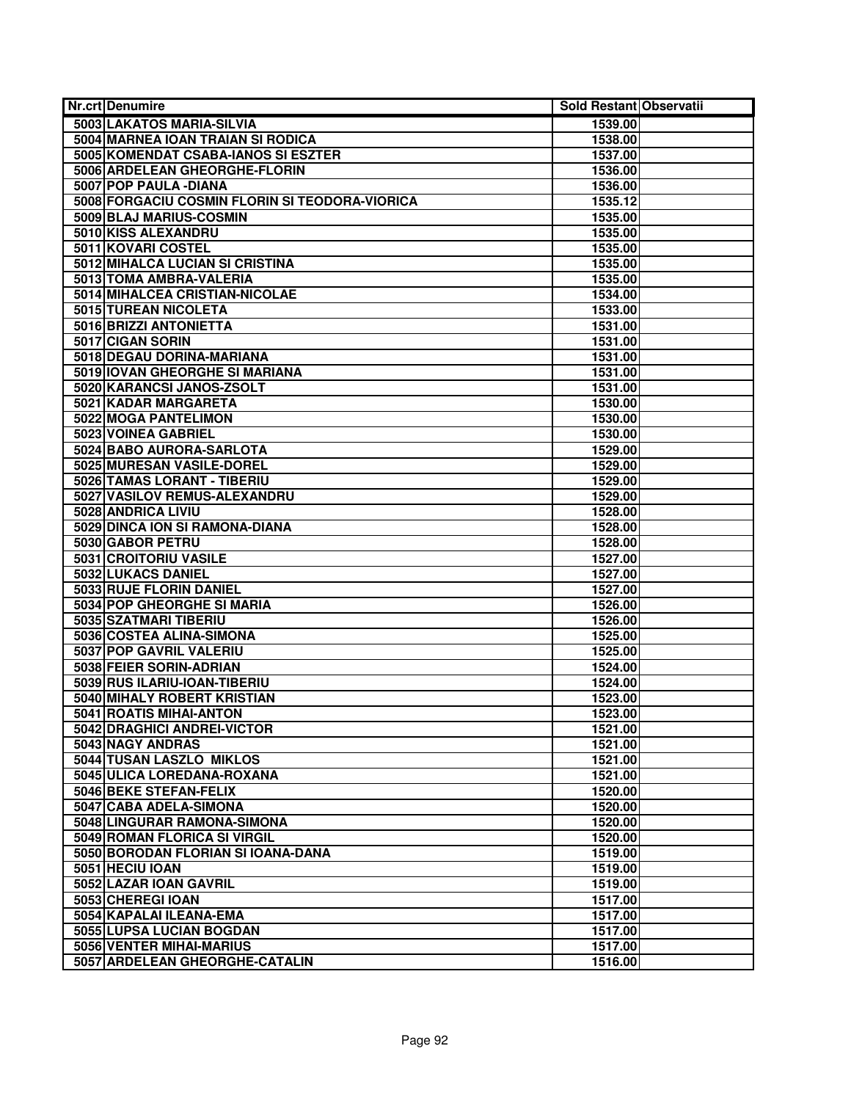| <b>Nr.crt Denumire</b>                          | Sold Restant Observatii |  |
|-------------------------------------------------|-------------------------|--|
| 5003 LAKATOS MARIA-SILVIA                       | 1539.00                 |  |
| 5004 MARNEA IOAN TRAIAN SI RODICA               | 1538.00                 |  |
| 5005 KOMENDAT CSABA-IANOS SI ESZTER             | 1537.00                 |  |
| 5006 ARDELEAN GHEORGHE-FLORIN                   | 1536.00                 |  |
| 5007 POP PAULA - DIANA                          | 1536.00                 |  |
| 5008 FORGACIU COSMIN FLORIN SI TEODORA-VIORICA  | 1535.12                 |  |
| 5009 BLAJ MARIUS-COSMIN                         | 1535.00                 |  |
| 5010 KISS ALEXANDRU                             | 1535.00                 |  |
| 5011 KOVARI COSTEL                              | 1535.00                 |  |
| 5012 MIHALCA LUCIAN SI CRISTINA                 | 1535.00                 |  |
| 5013 TOMA AMBRA-VALERIA                         | 1535.00                 |  |
| 5014 MIHALCEA CRISTIAN-NICOLAE                  | 1534.00                 |  |
| 5015 TUREAN NICOLETA                            | 1533.00                 |  |
| 5016 BRIZZI ANTONIETTA                          | 1531.00                 |  |
| 5017 CIGAN SORIN                                | 1531.00                 |  |
| 5018 DEGAU DORINA-MARIANA                       | 1531.00                 |  |
| 5019 IOVAN GHEORGHE SI MARIANA                  | 1531.00                 |  |
| 5020 KARANCSI JANOS-ZSOLT                       | 1531.00                 |  |
| 5021 KADAR MARGARETA                            | 1530.00                 |  |
| 5022 MOGA PANTELIMON                            | 1530.00                 |  |
| 5023 VOINEA GABRIEL                             | 1530.00                 |  |
| 5024 BABO AURORA-SARLOTA                        | 1529.00                 |  |
| 5025 MURESAN VASILE-DOREL                       | 1529.00                 |  |
| 5026 TAMAS LORANT - TIBERIU                     | 1529.00                 |  |
| 5027 VASILOV REMUS-ALEXANDRU                    | 1529.00                 |  |
| 5028 ANDRICA LIVIU                              | 1528.00                 |  |
| 5029 DINCA ION SI RAMONA-DIANA                  | 1528.00                 |  |
| 5030 GABOR PETRU                                | 1528.00                 |  |
| 5031 CROITORIU VASILE                           | 1527.00                 |  |
| 5032 LUKACS DANIEL                              | 1527.00                 |  |
| 5033 RUJE FLORIN DANIEL                         | 1527.00                 |  |
| 5034 POP GHEORGHE SI MARIA                      | 1526.00                 |  |
| 5035 SZATMARI TIBERIU                           | 1526.00                 |  |
| 5036 COSTEA ALINA-SIMONA                        | 1525.00                 |  |
| 5037 POP GAVRIL VALERIU                         | 1525.00                 |  |
| 5038 FEIER SORIN-ADRIAN                         | 1524.00                 |  |
| 5039 RUS ILARIU-IOAN-TIBERIU                    | 1524.00                 |  |
| <b>5040 MIHALY ROBERT KRISTIAN</b>              | 1523.00                 |  |
| 5041 ROATIS MIHAI-ANTON                         | 1523.00<br>1521.00      |  |
| 5042 DRAGHICI ANDREI-VICTOR<br>5043 NAGY ANDRAS | 1521.00                 |  |
| 5044 TUSAN LASZLO MIKLOS                        |                         |  |
| 5045 ULICA LOREDANA-ROXANA                      | 1521.00<br>1521.00      |  |
| 5046 BEKE STEFAN-FELIX                          | 1520.00                 |  |
| 5047 CABA ADELA-SIMONA                          | 1520.00                 |  |
| 5048 LINGURAR RAMONA-SIMONA                     | 1520.00                 |  |
| 5049 ROMAN FLORICA SI VIRGIL                    | 1520.00                 |  |
| 5050 BORODAN FLORIAN SI IOANA-DANA              | 1519.00                 |  |
| 5051 HECIU IOAN                                 | 1519.00                 |  |
| 5052 LAZAR IOAN GAVRIL                          | 1519.00                 |  |
| 5053 CHEREGI IOAN                               | 1517.00                 |  |
| 5054 KAPALAI ILEANA-EMA                         | 1517.00                 |  |
| 5055 LUPSA LUCIAN BOGDAN                        | 1517.00                 |  |
| 5056 VENTER MIHAI-MARIUS                        | 1517.00                 |  |
| 5057 ARDELEAN GHEORGHE-CATALIN                  | 1516.00                 |  |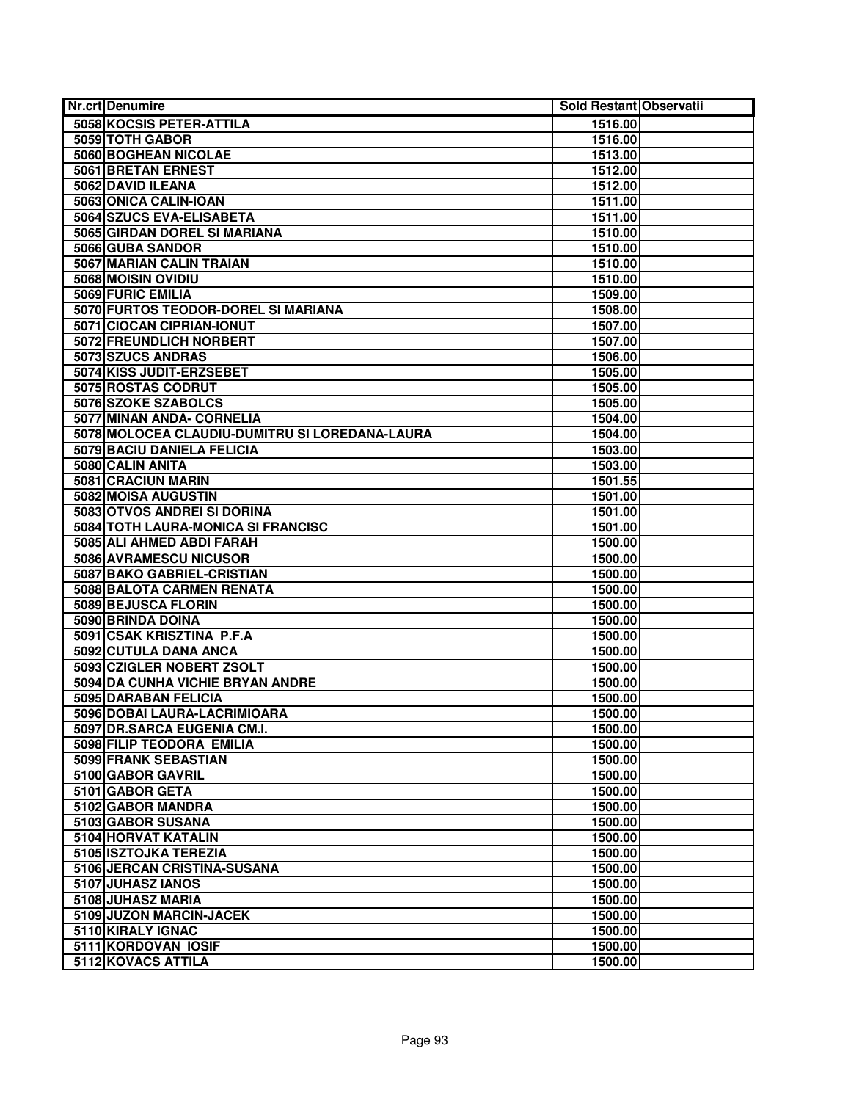| <b>Nr.crt Denumire</b>                         | Sold Restant Observatii |
|------------------------------------------------|-------------------------|
| 5058 KOCSIS PETER-ATTILA                       | 1516.00                 |
| 5059 TOTH GABOR                                | 1516.00                 |
| 5060 BOGHEAN NICOLAE                           | 1513.00                 |
| 5061 BRETAN ERNEST                             | 1512.00                 |
| 5062 DAVID ILEANA                              | 1512.00                 |
| 5063 ONICA CALIN-IOAN                          | 1511.00                 |
| 5064 SZUCS EVA-ELISABETA                       | 1511.00                 |
| 5065 GIRDAN DOREL SI MARIANA                   | 1510.00                 |
| 5066 GUBA SANDOR                               | 1510.00                 |
| 5067 MARIAN CALIN TRAIAN                       | 1510.00                 |
| 5068 MOISIN OVIDIU                             | 1510.00                 |
| 5069 FURIC EMILIA                              | 1509.00                 |
| 5070 FURTOS TEODOR-DOREL SI MARIANA            | 1508.00                 |
| 5071 CIOCAN CIPRIAN-IONUT                      | 1507.00                 |
| 5072 FREUNDLICH NORBERT                        | 1507.00                 |
| 5073 SZUCS ANDRAS                              | 1506.00                 |
| 5074 KISS JUDIT-ERZSEBET                       | 1505.00                 |
| 5075 ROSTAS CODRUT                             | 1505.00                 |
| 5076 SZOKE SZABOLCS                            | 1505.00                 |
| 5077 MINAN ANDA- CORNELIA                      | 1504.00                 |
| 5078 MOLOCEA CLAUDIU-DUMITRU SI LOREDANA-LAURA | 1504.00                 |
| 5079 BACIU DANIELA FELICIA                     | 1503.00                 |
| 5080 CALIN ANITA                               | 1503.00                 |
| 5081 CRACIUN MARIN                             | 1501.55                 |
| 5082 MOISA AUGUSTIN                            | 1501.00                 |
| 5083 OTVOS ANDREI SI DORINA                    | 1501.00                 |
| 5084 TOTH LAURA-MONICA SI FRANCISC             | 1501.00                 |
| 5085 ALI AHMED ABDI FARAH                      | 1500.00                 |
| 5086 AVRAMESCU NICUSOR                         | 1500.00                 |
| 5087 BAKO GABRIEL-CRISTIAN                     | 1500.00                 |
| 5088 BALOTA CARMEN RENATA                      | 1500.00                 |
| 5089 BEJUSCA FLORIN                            | 1500.00                 |
| 5090 BRINDA DOINA                              | 1500.00                 |
| 5091 CSAK KRISZTINA P.F.A                      | 1500.00                 |
| 5092 CUTULA DANA ANCA                          | 1500.00                 |
| 5093 CZIGLER NOBERT ZSOLT                      | 1500.00                 |
| 5094 DA CUNHA VICHIE BRYAN ANDRE               | 1500.00                 |
| 5095 DARABAN FELICIA                           | 1500.00                 |
| 5096 DOBAI LAURA-LACRIMIOARA                   | 1500.00                 |
| 5097 DR.SARCA EUGENIA CM.I.                    | 1500.00                 |
| 5098 FILIP TEODORA EMILIA                      | 1500.00                 |
| 5099 FRANK SEBASTIAN                           | 1500.00                 |
| 5100 GABOR GAVRIL                              | 1500.00                 |
| 5101 GABOR GETA                                | 1500.00                 |
| 5102 GABOR MANDRA                              | 1500.00                 |
| 5103 GABOR SUSANA                              | 1500.00                 |
| 5104 HORVAT KATALIN                            | 1500.00                 |
| 5105 ISZTOJKA TEREZIA                          | 1500.00                 |
| 5106 JERCAN CRISTINA-SUSANA                    | 1500.00                 |
| 5107 JUHASZ IANOS                              | 1500.00                 |
| 5108 JUHASZ MARIA                              | 1500.00                 |
| 5109 JUZON MARCIN-JACEK                        | 1500.00                 |
| 5110 KIRALY IGNAC                              | 1500.00                 |
| 5111 KORDOVAN IOSIF                            | 1500.00                 |
| 5112 KOVACS ATTILA                             | 1500.00                 |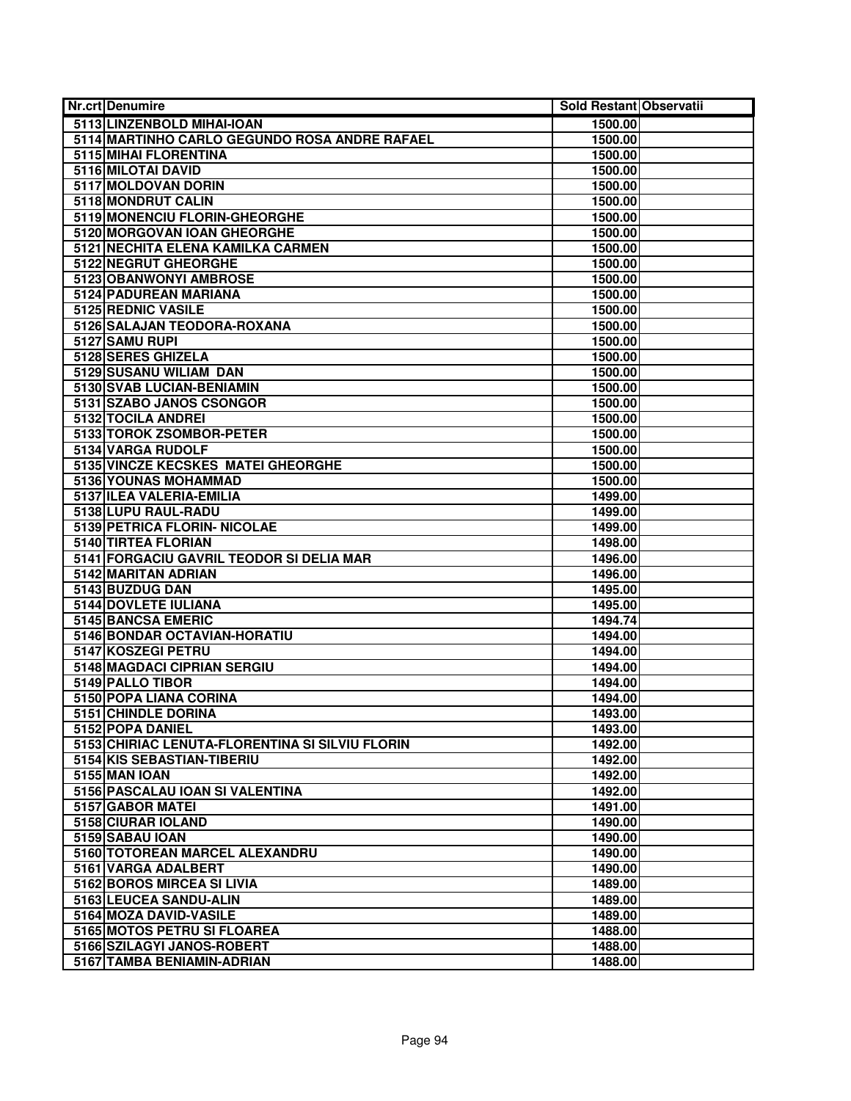| <b>Nr.crt Denumire</b>                          | Sold Restant Observatii |
|-------------------------------------------------|-------------------------|
| 5113 LINZENBOLD MIHAI-IOAN                      | 1500.00                 |
| 5114 MARTINHO CARLO GEGUNDO ROSA ANDRE RAFAEL   | 1500.00                 |
| 5115 MIHAI FLORENTINA                           | 1500.00                 |
| 5116 MILOTAI DAVID                              | 1500.00                 |
| 5117 MOLDOVAN DORIN                             | 1500.00                 |
| 5118 MONDRUT CALIN                              | 1500.00                 |
| 5119 MONENCIU FLORIN-GHEORGHE                   | 1500.00                 |
| 5120 MORGOVAN IOAN GHEORGHE                     | 1500.00                 |
| 5121 NECHITA ELENA KAMILKA CARMEN               | 1500.00                 |
| 5122 NEGRUT GHEORGHE                            | 1500.00                 |
| 5123 OBANWONYI AMBROSE                          | 1500.00                 |
| 5124 PADUREAN MARIANA                           | 1500.00                 |
| 5125 REDNIC VASILE                              | 1500.00                 |
| 5126 SALAJAN TEODORA-ROXANA                     | 1500.00                 |
| 5127 SAMU RUPI                                  | 1500.00                 |
| 5128 SERES GHIZELA                              | 1500.00                 |
| 5129 SUSANU WILIAM DAN                          | 1500.00                 |
| 5130 SVAB LUCIAN-BENIAMIN                       | 1500.00                 |
| 5131 SZABO JANOS CSONGOR                        | 1500.00                 |
| 5132 TOCILA ANDREI                              | 1500.00                 |
| 5133 TOROK ZSOMBOR-PETER                        | 1500.00                 |
| 5134 VARGA RUDOLF                               | 1500.00                 |
| 5135 VINCZE KECSKES MATEI GHEORGHE              | 1500.00                 |
| <b>5136 YOUNAS MOHAMMAD</b>                     | 1500.00                 |
| 5137 ILEA VALERIA-EMILIA                        | 1499.00                 |
| 5138 LUPU RAUL-RADU                             | 1499.00                 |
| 5139 PETRICA FLORIN- NICOLAE                    | 1499.00                 |
| 5140 TIRTEA FLORIAN                             | 1498.00                 |
| 5141 FORGACIU GAVRIL TEODOR SI DELIA MAR        | 1496.00                 |
| 5142 MARITAN ADRIAN                             | 1496.00                 |
| 5143 BUZDUG DAN                                 | 1495.00                 |
| <b>5144 DOVLETE IULIANA</b>                     | 1495.00                 |
| 5145 BANCSA EMERIC                              | 1494.74                 |
| 5146 BONDAR OCTAVIAN-HORATIU                    | 1494.00                 |
| 5147 KOSZEGI PETRU                              | 1494.00                 |
| 5148 MAGDACI CIPRIAN SERGIU                     | 1494.00                 |
| 5149 PALLO TIBOR                                | 1494.00                 |
| 5150 POPA LIANA CORINA                          | 1494.00                 |
| 5151 CHINDLE DORINA                             | 1493.00                 |
| 5152 POPA DANIEL                                | 1493.00                 |
| 5153 CHIRIAC LENUTA-FLORENTINA SI SILVIU FLORIN | 1492.00                 |
| 5154 KIS SEBASTIAN-TIBERIU                      | 1492.00                 |
| <b>5155 MAN IOAN</b>                            | 1492.00                 |
| 5156 PASCALAU IOAN SI VALENTINA                 | 1492.00                 |
| 5157 GABOR MATEI                                | 1491.00                 |
| 5158 CIURAR IOLAND                              | 1490.00                 |
| 5159 SABAU IOAN                                 | 1490.00                 |
| 5160 TOTOREAN MARCEL ALEXANDRU                  | 1490.00                 |
| 5161 VARGA ADALBERT                             | 1490.00                 |
| 5162 BOROS MIRCEA SI LIVIA                      | 1489.00                 |
| 5163 LEUCEA SANDU-ALIN                          | 1489.00                 |
| 5164 MOZA DAVID-VASILE                          | 1489.00                 |
| 5165 MOTOS PETRU SI FLOAREA                     | 1488.00                 |
| 5166 SZILAGYI JANOS-ROBERT                      | 1488.00                 |
| 5167 TAMBA BENIAMIN-ADRIAN                      | 1488.00                 |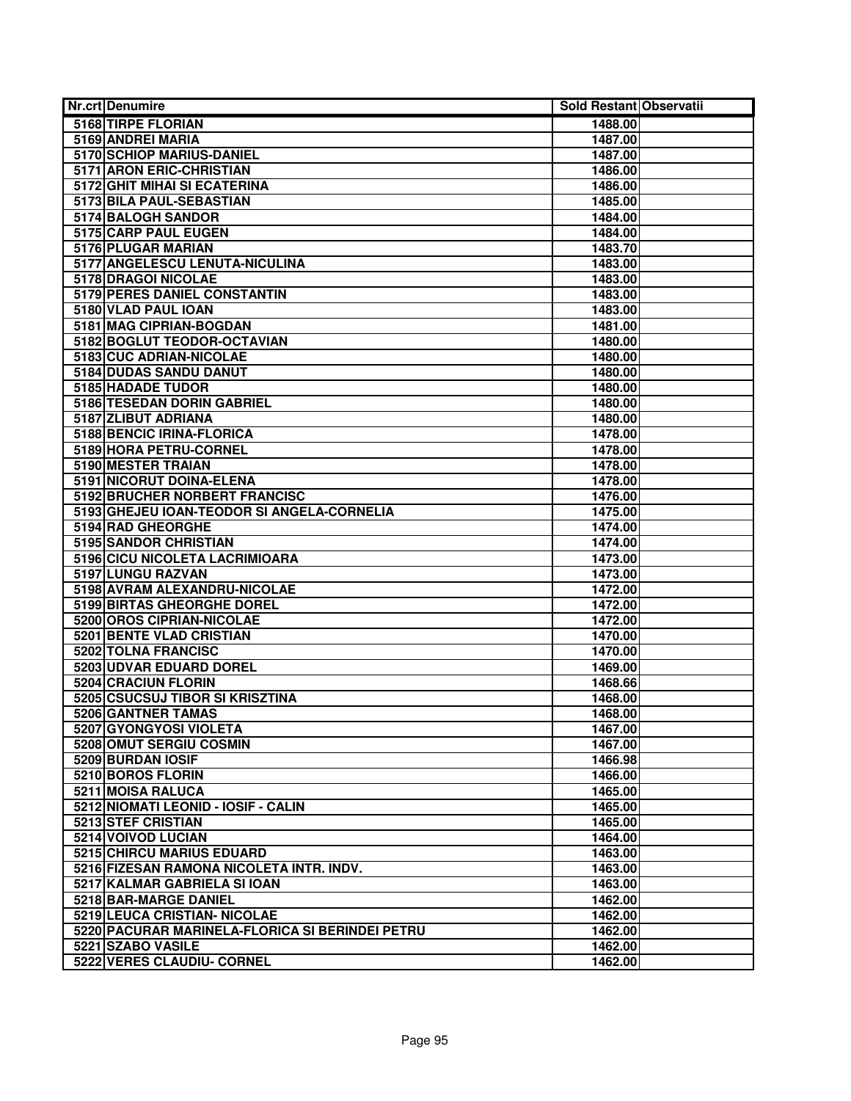| <b>Nr.crt Denumire</b>                          | Sold Restant Observatii |
|-------------------------------------------------|-------------------------|
| 5168 TIRPE FLORIAN                              | 1488.00                 |
| 5169 ANDREI MARIA                               | 1487.00                 |
| 5170 SCHIOP MARIUS-DANIEL                       | 1487.00                 |
| 5171 ARON ERIC-CHRISTIAN                        | 1486.00                 |
| 5172 GHIT MIHAI SI ECATERINA                    | 1486.00                 |
| 5173 BILA PAUL-SEBASTIAN                        | 1485.00                 |
| 5174 BALOGH SANDOR                              | 1484.00                 |
| 5175 CARP PAUL EUGEN                            | 1484.00                 |
| 5176 PLUGAR MARIAN                              | 1483.70                 |
| 5177 ANGELESCU LENUTA-NICULINA                  | 1483.00                 |
| 5178 DRAGOI NICOLAE                             | 1483.00                 |
| 5179 PERES DANIEL CONSTANTIN                    | 1483.00                 |
| 5180 VLAD PAUL IOAN                             | 1483.00                 |
| 5181 MAG CIPRIAN-BOGDAN                         | 1481.00                 |
| 5182 BOGLUT TEODOR-OCTAVIAN                     | 1480.00                 |
| 5183 CUC ADRIAN-NICOLAE                         | 1480.00                 |
| 5184 DUDAS SANDU DANUT                          | 1480.00                 |
| 5185 HADADE TUDOR                               | 1480.00                 |
| <b>5186 TESEDAN DORIN GABRIEL</b>               | 1480.00                 |
| 5187 ZLIBUT ADRIANA                             | 1480.00                 |
| 5188 BENCIC IRINA-FLORICA                       | 1478.00                 |
| 5189 HORA PETRU-CORNEL                          | 1478.00                 |
| 5190 MESTER TRAIAN                              | 1478.00                 |
| 5191 NICORUT DOINA-ELENA                        | 1478.00                 |
| 5192 BRUCHER NORBERT FRANCISC                   | 1476.00                 |
| 5193 GHEJEU IOAN-TEODOR SI ANGELA-CORNELIA      | 1475.00                 |
| 5194 RAD GHEORGHE                               | 1474.00                 |
| 5195 SANDOR CHRISTIAN                           | 1474.00                 |
| 5196 CICU NICOLETA LACRIMIOARA                  | 1473.00                 |
| 5197 LUNGU RAZVAN                               | 1473.00                 |
| 5198 AVRAM ALEXANDRU-NICOLAE                    | 1472.00                 |
| 5199 BIRTAS GHEORGHE DOREL                      | 1472.00                 |
| 5200 OROS CIPRIAN-NICOLAE                       | 1472.00                 |
| <b>5201 BENTE VLAD CRISTIAN</b>                 | 1470.00                 |
| 5202 TOLNA FRANCISC                             | 1470.00                 |
| 5203 UDVAR EDUARD DOREL                         | 1469.00                 |
| 5204 CRACIUN FLORIN                             | 1468.66                 |
| 5205 CSUCSUJ TIBOR SI KRISZTINA                 | 1468.00                 |
| 5206 GANTNER TAMAS                              | 1468.00                 |
| 5207 GYONGYOSI VIOLETA                          | 1467.00                 |
| 5208 OMUT SERGIU COSMIN                         | 1467.00                 |
| 5209 BURDAN IOSIF                               | 1466.98                 |
| 5210 BOROS FLORIN                               | 1466.00                 |
| 5211 MOISA RALUCA                               | 1465.00                 |
| 5212 NIOMATI LEONID - IOSIF - CALIN             | 1465.00                 |
| 5213 STEF CRISTIAN                              | 1465.00                 |
| 5214 VOIVOD LUCIAN                              | 1464.00                 |
| <b>5215 CHIRCU MARIUS EDUARD</b>                | 1463.00                 |
| 5216 FIZESAN RAMONA NICOLETA INTR. INDV.        | 1463.00                 |
| 5217 KALMAR GABRIELA SI IOAN                    | 1463.00                 |
| 5218 BAR-MARGE DANIEL                           | 1462.00                 |
| 5219 LEUCA CRISTIAN- NICOLAE                    | 1462.00                 |
| 5220 PACURAR MARINELA-FLORICA SI BERINDEI PETRU | 1462.00                 |
| 5221 SZABO VASILE                               | 1462.00                 |
| 5222 VERES CLAUDIU- CORNEL                      | 1462.00                 |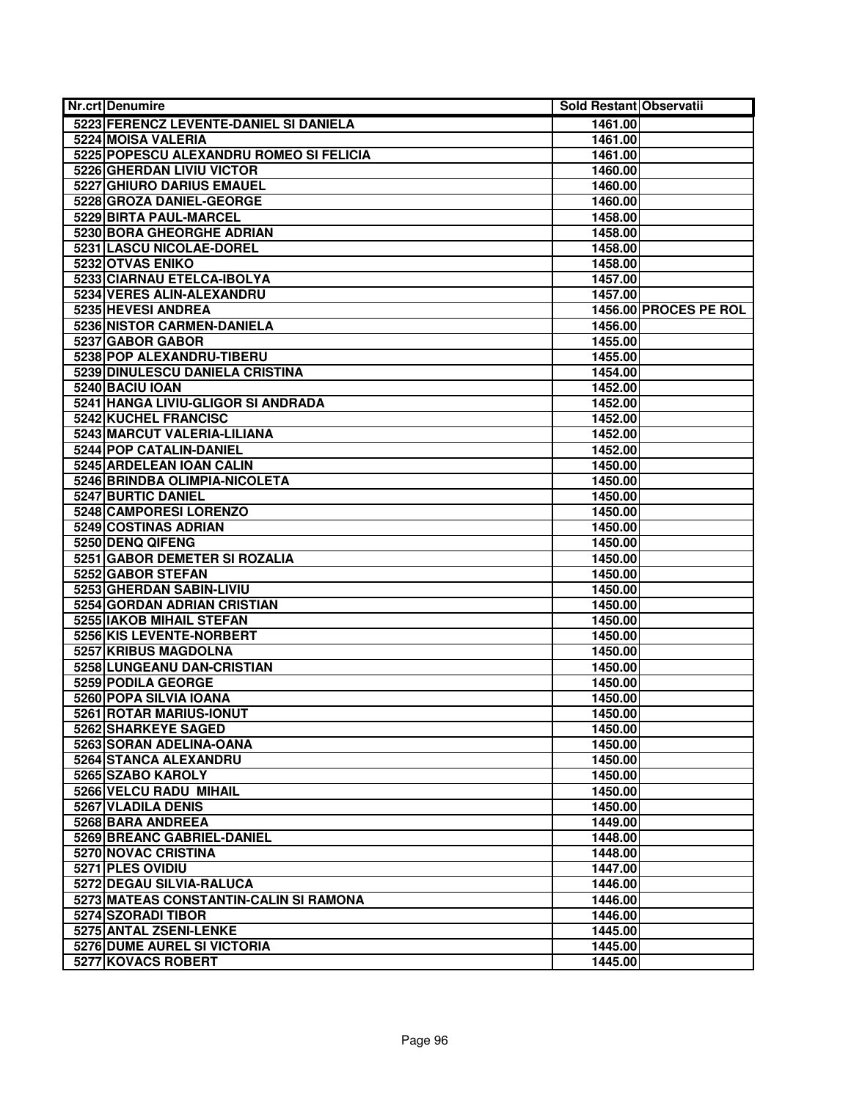| Nr.crt Denumire                         | Sold Restant Observatii |                       |
|-----------------------------------------|-------------------------|-----------------------|
| 5223 FERENCZ LEVENTE-DANIEL SI DANIELA  | 1461.00                 |                       |
| 5224 MOISA VALERIA                      | 1461.00                 |                       |
| 5225 POPESCU ALEXANDRU ROMEO SI FELICIA | 1461.00                 |                       |
| <b>5226 GHERDAN LIVIU VICTOR</b>        | 1460.00                 |                       |
| 5227 GHIURO DARIUS EMAUEL               | 1460.00                 |                       |
| 5228 GROZA DANIEL-GEORGE                | 1460.00                 |                       |
| 5229 BIRTA PAUL-MARCEL                  | 1458.00                 |                       |
| 5230 BORA GHEORGHE ADRIAN               | 1458.00                 |                       |
| 5231 LASCU NICOLAE-DOREL                | 1458.00                 |                       |
| 5232 OTVAS ENIKO                        | 1458.00                 |                       |
| 5233 CIARNAU ETELCA-IBOLYA              | 1457.00                 |                       |
| 5234 VERES ALIN-ALEXANDRU               | 1457.00                 |                       |
| 5235 HEVESI ANDREA                      |                         | 1456.00 PROCES PE ROL |
| 5236 NISTOR CARMEN-DANIELA              | 1456.00                 |                       |
| 5237 GABOR GABOR                        | 1455.00                 |                       |
| 5238 POP ALEXANDRU-TIBERU               | 1455.00                 |                       |
| 5239 DINULESCU DANIELA CRISTINA         | 1454.00                 |                       |
| 5240 BACIU IOAN                         | 1452.00                 |                       |
| 5241 HANGA LIVIU-GLIGOR SI ANDRADA      | 1452.00                 |                       |
| 5242 KUCHEL FRANCISC                    | 1452.00                 |                       |
| 5243 MARCUT VALERIA-LILIANA             | 1452.00                 |                       |
| 5244 POP CATALIN-DANIEL                 | 1452.00                 |                       |
| 5245 ARDELEAN IOAN CALIN                | 1450.00                 |                       |
| 5246 BRINDBA OLIMPIA-NICOLETA           | 1450.00                 |                       |
| 5247 BURTIC DANIEL                      | 1450.00                 |                       |
| 5248 CAMPORESI LORENZO                  | 1450.00                 |                       |
| 5249 COSTINAS ADRIAN                    | 1450.00                 |                       |
| 5250 DENQ QIFENG                        | 1450.00                 |                       |
| 5251 GABOR DEMETER SI ROZALIA           | 1450.00                 |                       |
| 5252 GABOR STEFAN                       | 1450.00                 |                       |
| 5253 GHERDAN SABIN-LIVIU                | 1450.00                 |                       |
| 5254 GORDAN ADRIAN CRISTIAN             | 1450.00                 |                       |
| 5255 IAKOB MIHAIL STEFAN                | 1450.00                 |                       |
| 5256 KIS LEVENTE-NORBERT                | 1450.00                 |                       |
| 5257 KRIBUS MAGDOLNA                    | 1450.00                 |                       |
| 5258 LUNGEANU DAN-CRISTIAN              | 1450.00                 |                       |
| 5259 PODILA GEORGE                      | 1450.00                 |                       |
| 5260 POPA SILVIA IOANA                  | 1450.00                 |                       |
| 5261 ROTAR MARIUS-IONUT                 | 1450.00                 |                       |
| 5262 SHARKEYE SAGED                     | 1450.00                 |                       |
| 5263 SORAN ADELINA-OANA                 | 1450.00                 |                       |
| 5264 STANCA ALEXANDRU                   | 1450.00                 |                       |
| 5265 SZABO KAROLY                       | 1450.00                 |                       |
| 5266 VELCU RADU MIHAIL                  | 1450.00                 |                       |
| 5267 VLADILA DENIS                      | 1450.00                 |                       |
| 5268 BARA ANDREEA                       | 1449.00                 |                       |
| 5269 BREANC GABRIEL-DANIEL              | 1448.00                 |                       |
| 5270 NOVAC CRISTINA                     | 1448.00                 |                       |
| 5271 PLES OVIDIU                        | 1447.00                 |                       |
| 5272 DEGAU SILVIA-RALUCA                | 1446.00                 |                       |
| 5273 MATEAS CONSTANTIN-CALIN SI RAMONA  | 1446.00                 |                       |
| 5274 SZORADI TIBOR                      | 1446.00                 |                       |
| 5275 ANTAL ZSENI-LENKE                  | 1445.00                 |                       |
| 5276 DUME AUREL SI VICTORIA             | 1445.00                 |                       |
| 5277 KOVACS ROBERT                      | 1445.00                 |                       |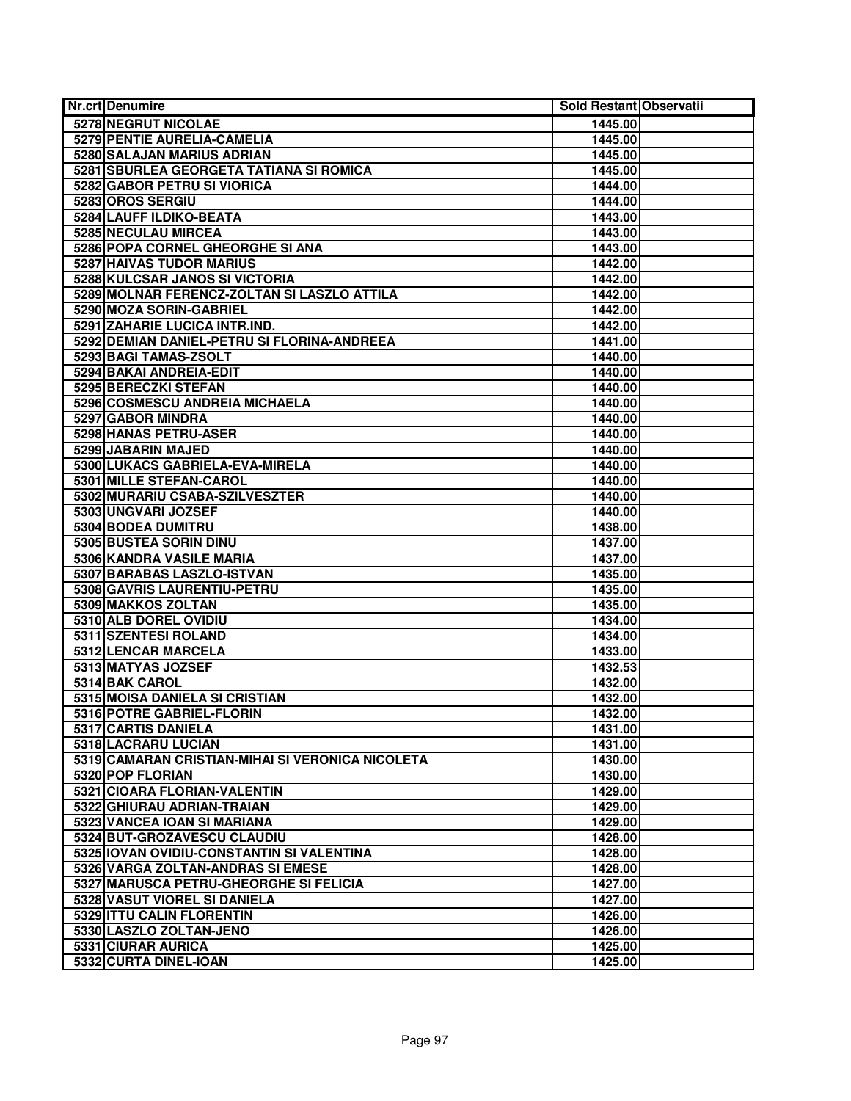| <b>Nr.crt Denumire</b>                           | Sold Restant Observatii |  |
|--------------------------------------------------|-------------------------|--|
| 5278 NEGRUT NICOLAE                              | 1445.00                 |  |
| 5279 PENTIE AURELIA-CAMELIA                      | 1445.00                 |  |
| 5280 SALAJAN MARIUS ADRIAN                       | 1445.00                 |  |
| 5281 SBURLEA GEORGETA TATIANA SI ROMICA          | 1445.00                 |  |
| 5282 GABOR PETRU SI VIORICA                      | 1444.00                 |  |
| 5283 OROS SERGIU                                 | 1444.00                 |  |
| 5284 LAUFF ILDIKO-BEATA                          | 1443.00                 |  |
| 5285 NECULAU MIRCEA                              | 1443.00                 |  |
| 5286 POPA CORNEL GHEORGHE SI ANA                 | 1443.00                 |  |
| <b>5287 HAIVAS TUDOR MARIUS</b>                  | 1442.00                 |  |
| 5288 KULCSAR JANOS SI VICTORIA                   | 1442.00                 |  |
| 5289 MOLNAR FERENCZ-ZOLTAN SI LASZLO ATTILA      | 1442.00                 |  |
| 5290 MOZA SORIN-GABRIEL                          | 1442.00                 |  |
| 5291 ZAHARIE LUCICA INTR.IND.                    | 1442.00                 |  |
| 5292 DEMIAN DANIEL-PETRU SI FLORINA-ANDREEA      | 1441.00                 |  |
| 5293 BAGI TAMAS-ZSOLT                            | 1440.00                 |  |
| 5294 BAKAI ANDREIA-EDIT                          | 1440.00                 |  |
| 5295 BERECZKI STEFAN                             | 1440.00                 |  |
| 5296 COSMESCU ANDREIA MICHAELA                   | 1440.00                 |  |
| 5297 GABOR MINDRA                                | 1440.00                 |  |
| 5298 HANAS PETRU-ASER                            | 1440.00                 |  |
| 5299 JABARIN MAJED                               | 1440.00                 |  |
| 5300 LUKACS GABRIELA-EVA-MIRELA                  | 1440.00                 |  |
| 5301 MILLE STEFAN-CAROL                          | 1440.00                 |  |
| 5302 MURARIU CSABA-SZILVESZTER                   | 1440.00                 |  |
| 5303 UNGVARI JOZSEF                              | 1440.00                 |  |
| 5304 BODEA DUMITRU                               | 1438.00                 |  |
| 5305 BUSTEA SORIN DINU                           | 1437.00                 |  |
| 5306 KANDRA VASILE MARIA                         | 1437.00                 |  |
| 5307 BARABAS LASZLO-ISTVAN                       | 1435.00                 |  |
| 5308 GAVRIS LAURENTIU-PETRU                      | 1435.00                 |  |
| 5309 MAKKOS ZOLTAN                               | 1435.00                 |  |
| 5310 ALB DOREL OVIDIU                            | 1434.00                 |  |
| 5311 SZENTESI ROLAND                             | 1434.00                 |  |
| 5312 LENCAR MARCELA                              | 1433.00                 |  |
| 5313 MATYAS JOZSEF                               | 1432.53                 |  |
| 5314 BAK CAROL                                   | 1432.00                 |  |
| 5315 MOISA DANIELA SI CRISTIAN                   | 1432.00                 |  |
| 5316 POTRE GABRIEL-FLORIN                        | 1432.00                 |  |
| 5317 CARTIS DANIELA                              | 1431.00                 |  |
| 5318 LACRARU LUCIAN                              | 1431.00                 |  |
| 5319 CAMARAN CRISTIAN-MIHAI SI VERONICA NICOLETA | 1430.00                 |  |
| 5320 POP FLORIAN                                 | 1430.00                 |  |
| 5321 CIOARA FLORIAN-VALENTIN                     | 1429.00                 |  |
| 5322 GHIURAU ADRIAN-TRAIAN                       | 1429.00                 |  |
| 5323 VANCEA IOAN SI MARIANA                      | 1429.00                 |  |
| 5324 BUT-GROZAVESCU CLAUDIU                      | 1428.00                 |  |
| 5325   IOVAN OVIDIU-CONSTANTIN SI VALENTINA      | 1428.00                 |  |
| 5326 VARGA ZOLTAN-ANDRAS SI EMESE                | 1428.00                 |  |
| 5327 MARUSCA PETRU-GHEORGHE SI FELICIA           | 1427.00                 |  |
| 5328 VASUT VIOREL SI DANIELA                     | 1427.00                 |  |
| 5329 ITTU CALIN FLORENTIN                        | 1426.00                 |  |
| 5330 LASZLO ZOLTAN-JENO                          | 1426.00                 |  |
| 5331 CIURAR AURICA                               | 1425.00                 |  |
| 5332 CURTA DINEL-IOAN                            | 1425.00                 |  |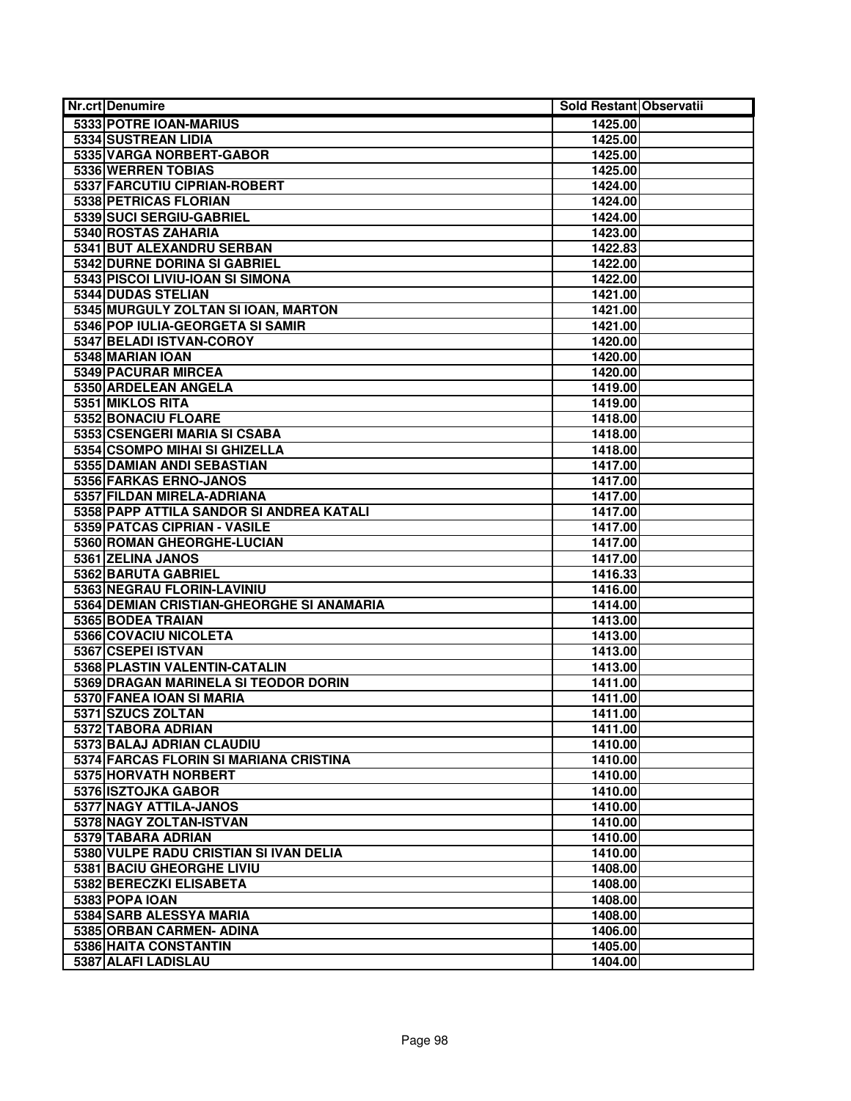| <b>Nr.crt Denumire</b>                                           | Sold Restant Observatii |  |
|------------------------------------------------------------------|-------------------------|--|
| 5333 POTRE IOAN-MARIUS                                           | 1425.00                 |  |
| 5334 SUSTREAN LIDIA                                              | 1425.00                 |  |
| 5335 VARGA NORBERT-GABOR                                         | 1425.00                 |  |
| 5336 WERREN TOBIAS                                               | 1425.00                 |  |
| 5337 FARCUTIU CIPRIAN-ROBERT                                     | 1424.00                 |  |
| 5338 PETRICAS FLORIAN                                            | 1424.00                 |  |
| 5339 SUCI SERGIU-GABRIEL                                         | 1424.00                 |  |
| 5340 ROSTAS ZAHARIA                                              | 1423.00                 |  |
| 5341 BUT ALEXANDRU SERBAN                                        | 1422.83                 |  |
| 5342 DURNE DORINA SI GABRIEL                                     | 1422.00                 |  |
| 5343 PISCOI LIVIU-IOAN SI SIMONA                                 | 1422.00                 |  |
| 5344 DUDAS STELIAN                                               | 1421.00                 |  |
| 5345 MURGULY ZOLTAN SI IOAN, MARTON                              | 1421.00                 |  |
| 5346 POP IULIA-GEORGETA SI SAMIR                                 | 1421.00                 |  |
| 5347 BELADI ISTVAN-COROY                                         | 1420.00                 |  |
| 5348 MARIAN IOAN                                                 | 1420.00                 |  |
| 5349 PACURAR MIRCEA                                              | 1420.00                 |  |
| 5350 ARDELEAN ANGELA                                             | 1419.00                 |  |
| 5351 MIKLOS RITA                                                 | 1419.00                 |  |
| 5352 BONACIU FLOARE                                              | 1418.00                 |  |
| 5353 CSENGERI MARIA SI CSABA                                     | 1418.00                 |  |
| 5354 CSOMPO MIHAI SI GHIZELLA                                    | 1418.00                 |  |
| 5355 DAMIAN ANDI SEBASTIAN                                       | 1417.00                 |  |
| 5356 FARKAS ERNO-JANOS                                           | 1417.00                 |  |
| 5357 FILDAN MIRELA-ADRIANA                                       | 1417.00                 |  |
| 5358 PAPP ATTILA SANDOR SI ANDREA KATALI                         | 1417.00                 |  |
| 5359 PATCAS CIPRIAN - VASILE                                     | 1417.00                 |  |
| 5360 ROMAN GHEORGHE-LUCIAN                                       | 1417.00                 |  |
| 5361 ZELINA JANOS                                                | 1417.00                 |  |
| 5362 BARUTA GABRIEL                                              | 1416.33                 |  |
| 5363 NEGRAU FLORIN-LAVINIU                                       | 1416.00                 |  |
| 5364 DEMIAN CRISTIAN-GHEORGHE SI ANAMARIA                        | 1414.00                 |  |
| 5365 BODEA TRAIAN                                                | 1413.00                 |  |
| 5366 COVACIU NICOLETA<br>5367 CSEPEI ISTVAN                      | 1413.00                 |  |
|                                                                  | 1413.00                 |  |
| 5368 PLASTIN VALENTIN-CATALIN                                    | 1413.00                 |  |
| 5369 DRAGAN MARINELA SI TEODOR DORIN<br>5370 FANEA IOAN SI MARIA | 1411.00                 |  |
| 5371 SZUCS ZOLTAN                                                | 1411.00<br>1411.00      |  |
| 5372 TABORA ADRIAN                                               | 1411.00                 |  |
| 5373 BALAJ ADRIAN CLAUDIU                                        | 1410.00                 |  |
| 5374 FARCAS FLORIN SI MARIANA CRISTINA                           | 1410.00                 |  |
| 5375 HORVATH NORBERT                                             | 1410.00                 |  |
| 5376 ISZTOJKA GABOR                                              | 1410.00                 |  |
| 5377 NAGY ATTILA-JANOS                                           | 1410.00                 |  |
| 5378 NAGY ZOLTAN-ISTVAN                                          | 1410.00                 |  |
| 5379 TABARA ADRIAN                                               | 1410.00                 |  |
| 5380 VULPE RADU CRISTIAN SI IVAN DELIA                           | 1410.00                 |  |
| 5381 BACIU GHEORGHE LIVIU                                        | 1408.00                 |  |
| 5382 BERECZKI ELISABETA                                          | 1408.00                 |  |
| 5383 POPA IOAN                                                   | 1408.00                 |  |
| 5384 SARB ALESSYA MARIA                                          | 1408.00                 |  |
| 5385 ORBAN CARMEN- ADINA                                         | 1406.00                 |  |
| 5386 HAITA CONSTANTIN                                            | 1405.00                 |  |
| 5387 ALAFI LADISLAU                                              | 1404.00                 |  |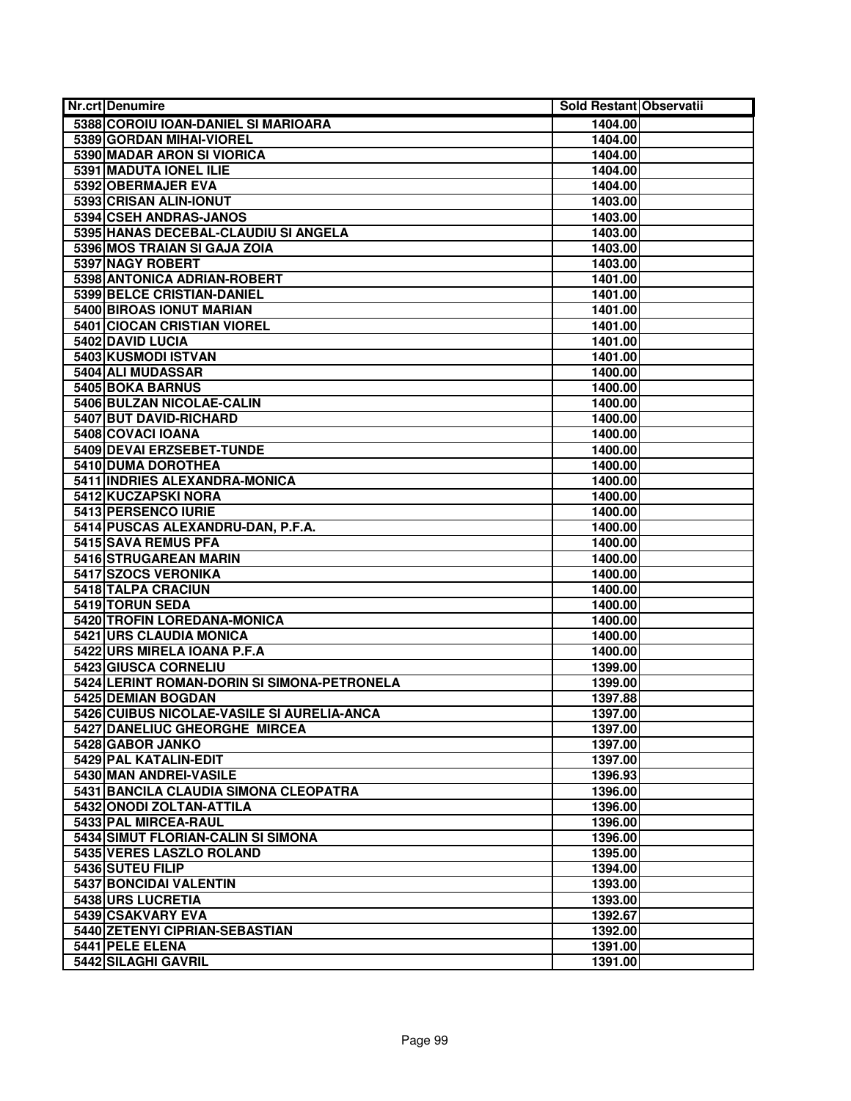| <b>Nr.crt Denumire</b>                      | Sold Restant Observatii |  |
|---------------------------------------------|-------------------------|--|
| 5388 COROIU IOAN-DANIEL SI MARIOARA         | 1404.00                 |  |
| 5389 GORDAN MIHAI-VIOREL                    | 1404.00                 |  |
| 5390 MADAR ARON SI VIORICA                  | 1404.00                 |  |
| 5391 MADUTA IONEL ILIE                      | 1404.00                 |  |
| 5392 OBERMAJER EVA                          | 1404.00                 |  |
| 5393 CRISAN ALIN-IONUT                      | 1403.00                 |  |
| 5394 CSEH ANDRAS-JANOS                      | 1403.00                 |  |
| 5395 HANAS DECEBAL-CLAUDIU SI ANGELA        | 1403.00                 |  |
| 5396 MOS TRAIAN SI GAJA ZOIA                | 1403.00                 |  |
| 5397 NAGY ROBERT                            | 1403.00                 |  |
| 5398 ANTONICA ADRIAN-ROBERT                 | 1401.00                 |  |
| 5399 BELCE CRISTIAN-DANIEL                  | 1401.00                 |  |
| 5400 BIROAS IONUT MARIAN                    | 1401.00                 |  |
| 5401 CIOCAN CRISTIAN VIOREL                 | 1401.00                 |  |
| 5402 DAVID LUCIA                            | 1401.00                 |  |
| 5403 KUSMODI ISTVAN                         | 1401.00                 |  |
| 5404 ALI MUDASSAR                           | 1400.00                 |  |
| <b>5405 BOKA BARNUS</b>                     | 1400.00                 |  |
| 5406 BULZAN NICOLAE-CALIN                   | 1400.00                 |  |
| 5407 BUT DAVID-RICHARD                      | 1400.00                 |  |
| 5408 COVACI IOANA                           | 1400.00                 |  |
| 5409 DEVAI ERZSEBET-TUNDE                   | 1400.00                 |  |
| 5410 DUMA DOROTHEA                          | 1400.00                 |  |
| 5411 INDRIES ALEXANDRA-MONICA               | 1400.00                 |  |
| 5412 KUCZAPSKI NORA                         | 1400.00                 |  |
| 5413 PERSENCO IURIE                         | 1400.00                 |  |
| 5414 PUSCAS ALEXANDRU-DAN, P.F.A.           | 1400.00                 |  |
| 5415 SAVA REMUS PFA                         | 1400.00                 |  |
| 5416 STRUGAREAN MARIN                       | 1400.00                 |  |
| 5417 SZOCS VERONIKA                         | 1400.00                 |  |
| 5418 TALPA CRACIUN                          | 1400.00                 |  |
| 5419 TORUN SEDA                             | 1400.00                 |  |
| 5420 TROFIN LOREDANA-MONICA                 | 1400.00                 |  |
| 5421 URS CLAUDIA MONICA                     | 1400.00                 |  |
| 5422 URS MIRELA IOANA P.F.A                 | 1400.00                 |  |
| 5423 GIUSCA CORNELIU                        | 1399.00                 |  |
| 5424 LERINT ROMAN-DORIN SI SIMONA-PETRONELA | 1399.00                 |  |
| 5425 DEMIAN BOGDAN                          | 1397.88                 |  |
| 5426 CUIBUS NICOLAE-VASILE SI AURELIA-ANCA  | 1397.00                 |  |
| 5427 DANELIUC GHEORGHE MIRCEA               | 1397.00                 |  |
| 5428 GABOR JANKO                            | 1397.00                 |  |
| 5429 PAL KATALIN-EDIT                       | 1397.00                 |  |
| 5430 MAN ANDREI-VASILE                      | 1396.93                 |  |
| 5431 BANCILA CLAUDIA SIMONA CLEOPATRA       | 1396.00                 |  |
| 5432 ONODI ZOLTAN-ATTILA                    | 1396.00                 |  |
| 5433 PAL MIRCEA-RAUL                        | 1396.00                 |  |
| 5434 SIMUT FLORIAN-CALIN SI SIMONA          | 1396.00                 |  |
| <b>5435 VERES LASZLO ROLAND</b>             | 1395.00                 |  |
| 5436 SUTEU FILIP                            | 1394.00                 |  |
| 5437 BONCIDAI VALENTIN                      | 1393.00                 |  |
| 5438 URS LUCRETIA                           | 1393.00                 |  |
| 5439 CSAKVARY EVA                           | 1392.67                 |  |
| 5440 ZETENYI CIPRIAN-SEBASTIAN              | 1392.00                 |  |
| 5441 PELE ELENA                             | 1391.00                 |  |
| 5442 SILAGHI GAVRIL                         | 1391.00                 |  |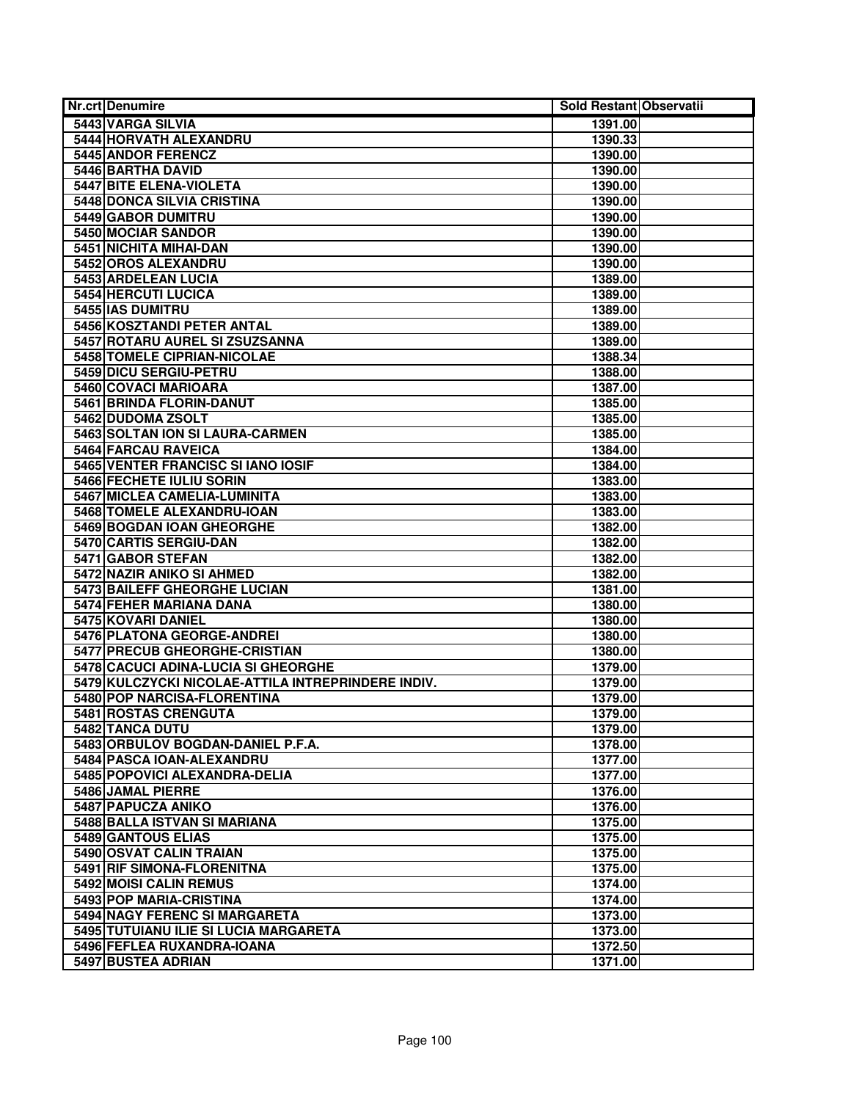| <b>Nr.crt Denumire</b>                             | Sold Restant Observatii |  |
|----------------------------------------------------|-------------------------|--|
| 5443 VARGA SILVIA                                  | 1391.00                 |  |
| <b>5444 HORVATH ALEXANDRU</b>                      | 1390.33                 |  |
| 5445 ANDOR FERENCZ                                 | 1390.00                 |  |
| 5446 BARTHA DAVID                                  | 1390.00                 |  |
| 5447 BITE ELENA-VIOLETA                            | 1390.00                 |  |
| <b>5448 DONCA SILVIA CRISTINA</b>                  | 1390.00                 |  |
| 5449 GABOR DUMITRU                                 | 1390.00                 |  |
| 5450 MOCIAR SANDOR                                 | 1390.00                 |  |
| 5451 NICHITA MIHAI-DAN                             | 1390.00                 |  |
| 5452 OROS ALEXANDRU                                | 1390.00                 |  |
| 5453 ARDELEAN LUCIA                                | 1389.00                 |  |
| 5454 HERCUTI LUCICA                                | 1389.00                 |  |
| 5455 IAS DUMITRU                                   | 1389.00                 |  |
| 5456 KOSZTANDI PETER ANTAL                         | 1389.00                 |  |
| 5457 ROTARU AUREL SI ZSUZSANNA                     | 1389.00                 |  |
| 5458 TOMELE CIPRIAN-NICOLAE                        | 1388.34                 |  |
| 5459 DICU SERGIU-PETRU                             | 1388.00                 |  |
| 5460 COVACI MARIOARA                               | 1387.00                 |  |
| 5461 BRINDA FLORIN-DANUT                           | 1385.00                 |  |
| 5462 DUDOMA ZSOLT                                  | 1385.00                 |  |
| 5463 SOLTAN ION SI LAURA-CARMEN                    | 1385.00                 |  |
| 5464 FARCAU RAVEICA                                | 1384.00                 |  |
| 5465 VENTER FRANCISC SI IANO IOSIF                 | 1384.00                 |  |
| 5466 FECHETE IULIU SORIN                           | 1383.00                 |  |
| 5467 MICLEA CAMELIA-LUMINITA                       | 1383.00                 |  |
| 5468 TOMELE ALEXANDRU-IOAN                         | 1383.00                 |  |
| <b>5469 BOGDAN IOAN GHEORGHE</b>                   | 1382.00                 |  |
| 5470 CARTIS SERGIU-DAN                             | 1382.00                 |  |
| 5471 GABOR STEFAN                                  | 1382.00                 |  |
| 5472 NAZIR ANIKO SI AHMED                          | 1382.00                 |  |
| 5473 BAILEFF GHEORGHE LUCIAN                       | 1381.00                 |  |
| 5474 FEHER MARIANA DANA                            | 1380.00                 |  |
| 5475 KOVARI DANIEL                                 | 1380.00                 |  |
| 5476 PLATONA GEORGE-ANDREI                         | 1380.00                 |  |
| 5477 PRECUB GHEORGHE-CRISTIAN                      | 1380.00                 |  |
| 5478 CACUCI ADINA-LUCIA SI GHEORGHE                | 1379.00                 |  |
| 5479 KULCZYCKI NICOLAE-ATTILA INTREPRINDERE INDIV. | 1379.00                 |  |
| 5480 POP NARCISA-FLORENTINA                        | 1379.00                 |  |
| 5481 ROSTAS CRENGUTA                               | 1379.00                 |  |
| 5482 TANCA DUTU                                    | 1379.00                 |  |
| 5483 ORBULOV BOGDAN-DANIEL P.F.A.                  | 1378.00                 |  |
| 5484 PASCA IOAN-ALEXANDRU                          | 1377.00                 |  |
| 5485 POPOVICI ALEXANDRA-DELIA                      | 1377.00                 |  |
| 5486 JAMAL PIERRE                                  | 1376.00                 |  |
| 5487 PAPUCZA ANIKO                                 | 1376.00                 |  |
| 5488 BALLA ISTVAN SI MARIANA                       | 1375.00                 |  |
| 5489 GANTOUS ELIAS                                 | 1375.00                 |  |
| 5490 OSVAT CALIN TRAIAN                            | 1375.00                 |  |
| 5491 RIF SIMONA-FLORENITNA                         | 1375.00                 |  |
| 5492 MOISI CALIN REMUS                             | 1374.00                 |  |
| 5493 POP MARIA-CRISTINA                            | 1374.00                 |  |
| 5494 NAGY FERENC SI MARGARETA                      | 1373.00                 |  |
| 5495 TUTUIANU ILIE SI LUCIA MARGARETA              | 1373.00                 |  |
| 5496 FEFLEA RUXANDRA-IOANA                         | 1372.50                 |  |
| 5497 BUSTEA ADRIAN                                 | 1371.00                 |  |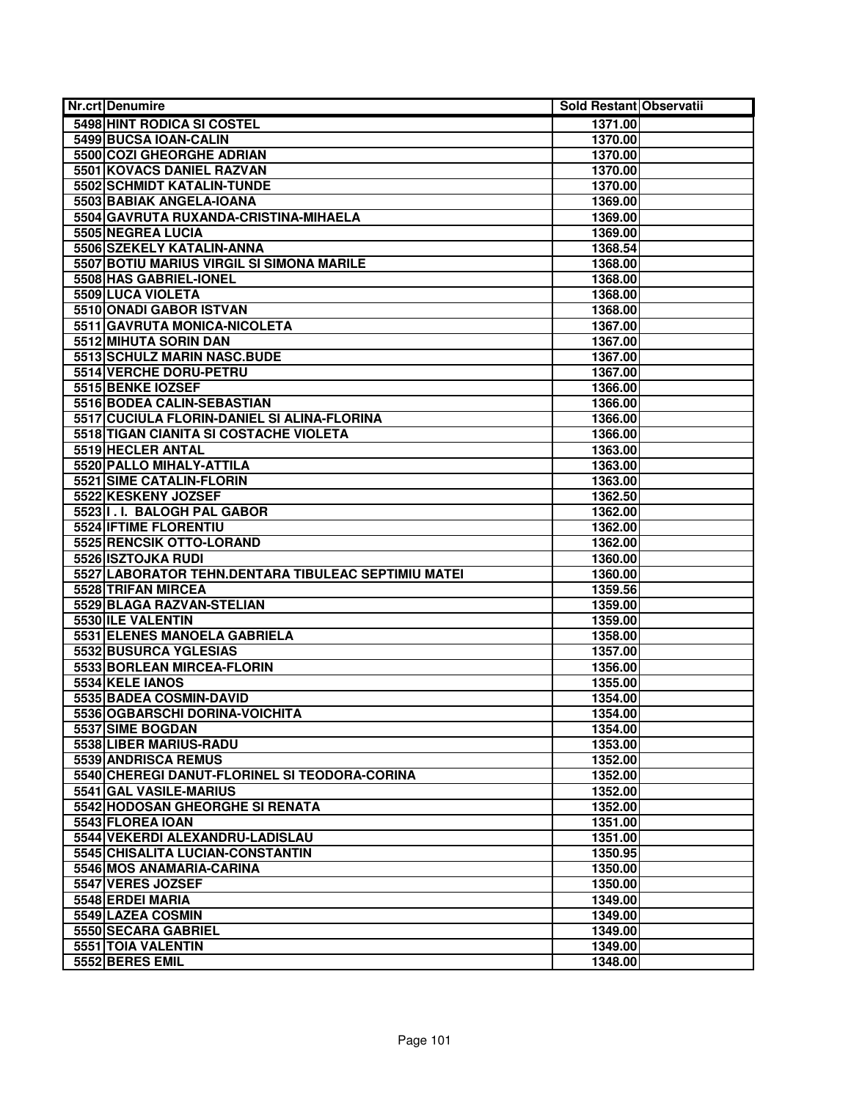| <b>Nr.crt Denumire</b>                              | Sold Restant Observatii |  |
|-----------------------------------------------------|-------------------------|--|
| 5498 HINT RODICA SI COSTEL                          | 1371.00                 |  |
| 5499 BUCSA IOAN-CALIN                               | 1370.00                 |  |
| <b>5500 COZI GHEORGHE ADRIAN</b>                    | 1370.00                 |  |
| 5501 KOVACS DANIEL RAZVAN                           | 1370.00                 |  |
| 5502 SCHMIDT KATALIN-TUNDE                          | 1370.00                 |  |
| 5503 BABIAK ANGELA-IOANA                            | 1369.00                 |  |
| 5504 GAVRUTA RUXANDA-CRISTINA-MIHAELA               | 1369.00                 |  |
| 5505 NEGREA LUCIA                                   | 1369.00                 |  |
| 5506 SZEKELY KATALIN-ANNA                           | 1368.54                 |  |
| 5507 BOTIU MARIUS VIRGIL SI SIMONA MARILE           | 1368.00                 |  |
| 5508 HAS GABRIEL-IONEL                              | 1368.00                 |  |
| 5509 LUCA VIOLETA                                   | 1368.00                 |  |
| 5510 ONADI GABOR ISTVAN                             | 1368.00                 |  |
| 5511 GAVRUTA MONICA-NICOLETA                        | 1367.00                 |  |
| 5512 MIHUTA SORIN DAN                               | 1367.00                 |  |
| 5513 SCHULZ MARIN NASC.BUDE                         | 1367.00                 |  |
| 5514 VERCHE DORU-PETRU                              | 1367.00                 |  |
| 5515 BENKE IOZSEF                                   | 1366.00                 |  |
| 5516 BODEA CALIN-SEBASTIAN                          | 1366.00                 |  |
| 5517 CUCIULA FLORIN-DANIEL SI ALINA-FLORINA         | 1366.00                 |  |
| 5518 TIGAN CIANITA SI COSTACHE VIOLETA              | 1366.00                 |  |
| 5519 HECLER ANTAL                                   | 1363.00                 |  |
| 5520 PALLO MIHALY-ATTILA                            | 1363.00                 |  |
| 5521 SIME CATALIN-FLORIN                            | 1363.00                 |  |
| 5522 KESKENY JOZSEF                                 | 1362.50                 |  |
| 5523 I.I. BALOGH PAL GABOR                          | 1362.00                 |  |
| 5524 IFTIME FLORENTIU                               | 1362.00                 |  |
| 5525 RENCSIK OTTO-LORAND                            | 1362.00                 |  |
| 5526 ISZTOJKA RUDI                                  | 1360.00                 |  |
| 5527 LABORATOR TEHN.DENTARA TIBULEAC SEPTIMIU MATEI | 1360.00                 |  |
| 5528 TRIFAN MIRCEA                                  | 1359.56                 |  |
| 5529 BLAGA RAZVAN-STELIAN                           | 1359.00                 |  |
| 5530 ILE VALENTIN                                   | 1359.00                 |  |
| 5531 ELENES MANOELA GABRIELA                        | 1358.00                 |  |
| 5532 BUSURCA YGLESIAS                               | 1357.00                 |  |
| 5533 BORLEAN MIRCEA-FLORIN                          | 1356.00                 |  |
| 5534 KELE IANOS                                     | 1355.00                 |  |
| 5535 BADEA COSMIN-DAVID                             | 1354.00                 |  |
| 5536 OGBARSCHI DORINA-VOICHITA                      | 1354.00                 |  |
| 5537 SIME BOGDAN                                    | 1354.00                 |  |
| 5538 LIBER MARIUS-RADU                              | 1353.00                 |  |
| 5539 ANDRISCA REMUS                                 | 1352.00                 |  |
| 5540 CHEREGI DANUT-FLORINEL SI TEODORA-CORINA       | 1352.00                 |  |
| 5541 GAL VASILE-MARIUS                              | 1352.00                 |  |
| 5542 HODOSAN GHEORGHE SI RENATA                     | 1352.00                 |  |
| 5543 FLOREA IOAN                                    | 1351.00                 |  |
| 5544 VEKERDI ALEXANDRU-LADISLAU                     | 1351.00                 |  |
| 5545 CHISALITA LUCIAN-CONSTANTIN                    | 1350.95                 |  |
| 5546 MOS ANAMARIA-CARINA                            | 1350.00                 |  |
| 5547 VERES JOZSEF                                   | 1350.00                 |  |
| 5548 ERDEI MARIA                                    | 1349.00                 |  |
| 5549 LAZEA COSMIN                                   | 1349.00                 |  |
| 5550 SECARA GABRIEL                                 | 1349.00                 |  |
| 5551 TOIA VALENTIN                                  | 1349.00                 |  |
| 5552 BERES EMIL                                     | 1348.00                 |  |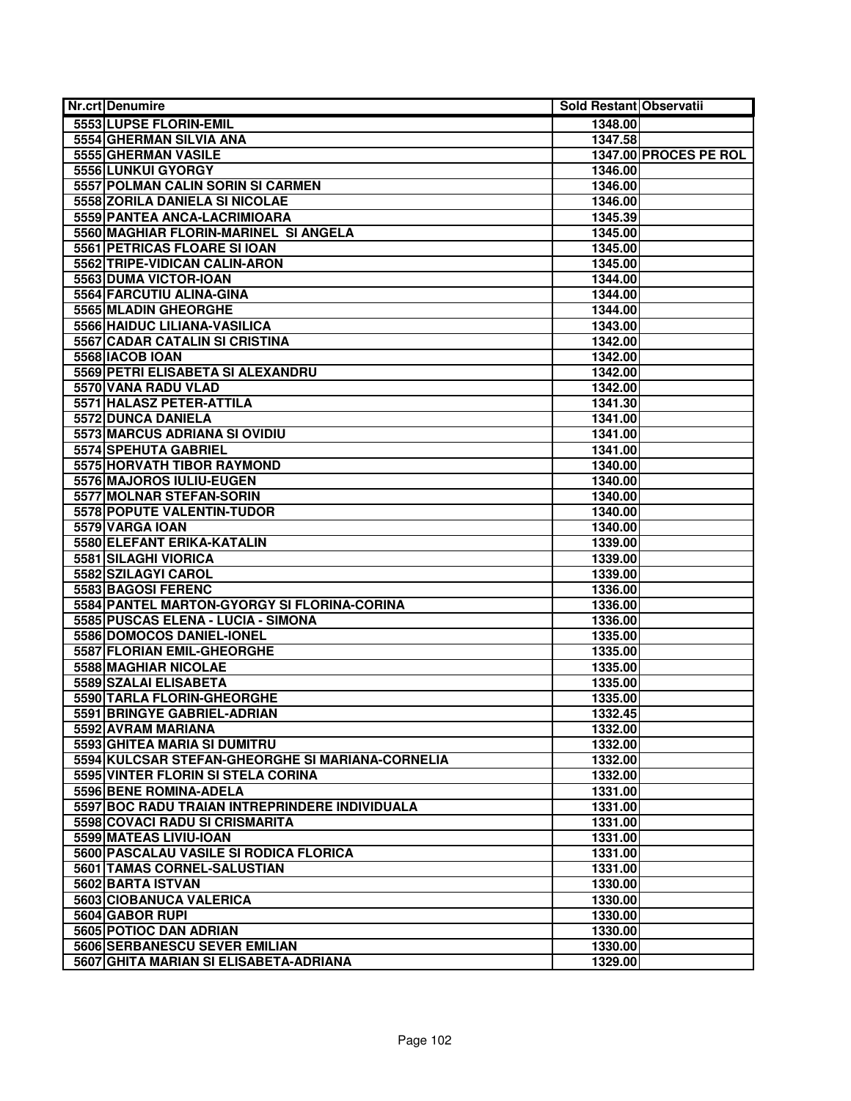| <b>Nr.crt Denumire</b>                           | Sold Restant Observatii |                       |
|--------------------------------------------------|-------------------------|-----------------------|
| 5553 LUPSE FLORIN-EMIL                           | 1348.00                 |                       |
| 5554 GHERMAN SILVIA ANA                          | 1347.58                 |                       |
| 5555 GHERMAN VASILE                              |                         | 1347.00 PROCES PE ROL |
| 5556 LUNKUI GYORGY                               | 1346.00                 |                       |
| 5557 POLMAN CALIN SORIN SI CARMEN                | 1346.00                 |                       |
| 5558 ZORILA DANIELA SI NICOLAE                   | 1346.00                 |                       |
| 5559 PANTEA ANCA-LACRIMIOARA                     | 1345.39                 |                       |
| 5560 MAGHIAR FLORIN-MARINEL SI ANGELA            | 1345.00                 |                       |
| 5561 PETRICAS FLOARE SI IOAN                     | 1345.00                 |                       |
| 5562 TRIPE-VIDICAN CALIN-ARON                    | 1345.00                 |                       |
| 5563 DUMA VICTOR-IOAN                            | 1344.00                 |                       |
| 5564 FARCUTIU ALINA-GINA                         | 1344.00                 |                       |
| 5565 MLADIN GHEORGHE                             | 1344.00                 |                       |
| 5566 HAIDUC LILIANA-VASILICA                     | 1343.00                 |                       |
| 5567 CADAR CATALIN SI CRISTINA                   | 1342.00                 |                       |
| 5568 IACOB IOAN                                  | 1342.00                 |                       |
| 5569 PETRI ELISABETA SI ALEXANDRU                | 1342.00                 |                       |
| 5570 VANA RADU VLAD                              | 1342.00                 |                       |
| 5571 HALASZ PETER-ATTILA                         | 1341.30                 |                       |
| 5572 DUNCA DANIELA                               | 1341.00                 |                       |
| 5573 MARCUS ADRIANA SI OVIDIU                    | 1341.00                 |                       |
| 5574 SPEHUTA GABRIEL                             | 1341.00                 |                       |
| 5575 HORVATH TIBOR RAYMOND                       | 1340.00                 |                       |
| 5576 MAJOROS IULIU-EUGEN                         | 1340.00                 |                       |
| 5577 MOLNAR STEFAN-SORIN                         | 1340.00                 |                       |
| 5578 POPUTE VALENTIN-TUDOR                       | 1340.00                 |                       |
| 5579 VARGA IOAN                                  | 1340.00                 |                       |
| 5580 ELEFANT ERIKA-KATALIN                       | 1339.00                 |                       |
| 5581 SILAGHI VIORICA                             | 1339.00                 |                       |
| 5582 SZILAGYI CAROL                              | 1339.00                 |                       |
| 5583 BAGOSI FERENC                               | 1336.00                 |                       |
| 5584 PANTEL MARTON-GYORGY SI FLORINA-CORINA      | 1336.00                 |                       |
| 5585 PUSCAS ELENA - LUCIA - SIMONA               | 1336.00                 |                       |
| 5586 DOMOCOS DANIEL-IONEL                        | 1335.00                 |                       |
| 5587 FLORIAN EMIL-GHEORGHE                       | 1335.00                 |                       |
| <b>5588 MAGHIAR NICOLAE</b>                      | 1335.00                 |                       |
| 5589 SZALAI ELISABETA                            | 1335.00                 |                       |
| 5590 TARLA FLORIN-GHEORGHE                       | 1335.00                 |                       |
| 5591 BRINGYE GABRIEL-ADRIAN                      | 1332.45                 |                       |
| 5592 AVRAM MARIANA                               | 1332.00                 |                       |
| 5593 GHITEA MARIA SI DUMITRU                     | 1332.00                 |                       |
| 5594 KULCSAR STEFAN-GHEORGHE SI MARIANA-CORNELIA | 1332.00                 |                       |
| 5595 VINTER FLORIN SI STELA CORINA               | 1332.00                 |                       |
| 5596 BENE ROMINA-ADELA                           | 1331.00                 |                       |
| 5597 BOC RADU TRAIAN INTREPRINDERE INDIVIDUALA   | 1331.00                 |                       |
| 5598 COVACI RADU SI CRISMARITA                   | 1331.00                 |                       |
| 5599 MATEAS LIVIU-IOAN                           | 1331.00                 |                       |
| 5600 PASCALAU VASILE SI RODICA FLORICA           | 1331.00                 |                       |
| 5601 TAMAS CORNEL-SALUSTIAN                      | 1331.00                 |                       |
| 5602 BARTA ISTVAN                                | 1330.00                 |                       |
| 5603 CIOBANUCA VALERICA                          | 1330.00                 |                       |
| 5604 GABOR RUPI                                  | 1330.00                 |                       |
| 5605 POTIOC DAN ADRIAN                           | 1330.00                 |                       |
| 5606 SERBANESCU SEVER EMILIAN                    | 1330.00                 |                       |
| 5607 GHITA MARIAN SI ELISABETA-ADRIANA           | 1329.00                 |                       |
|                                                  |                         |                       |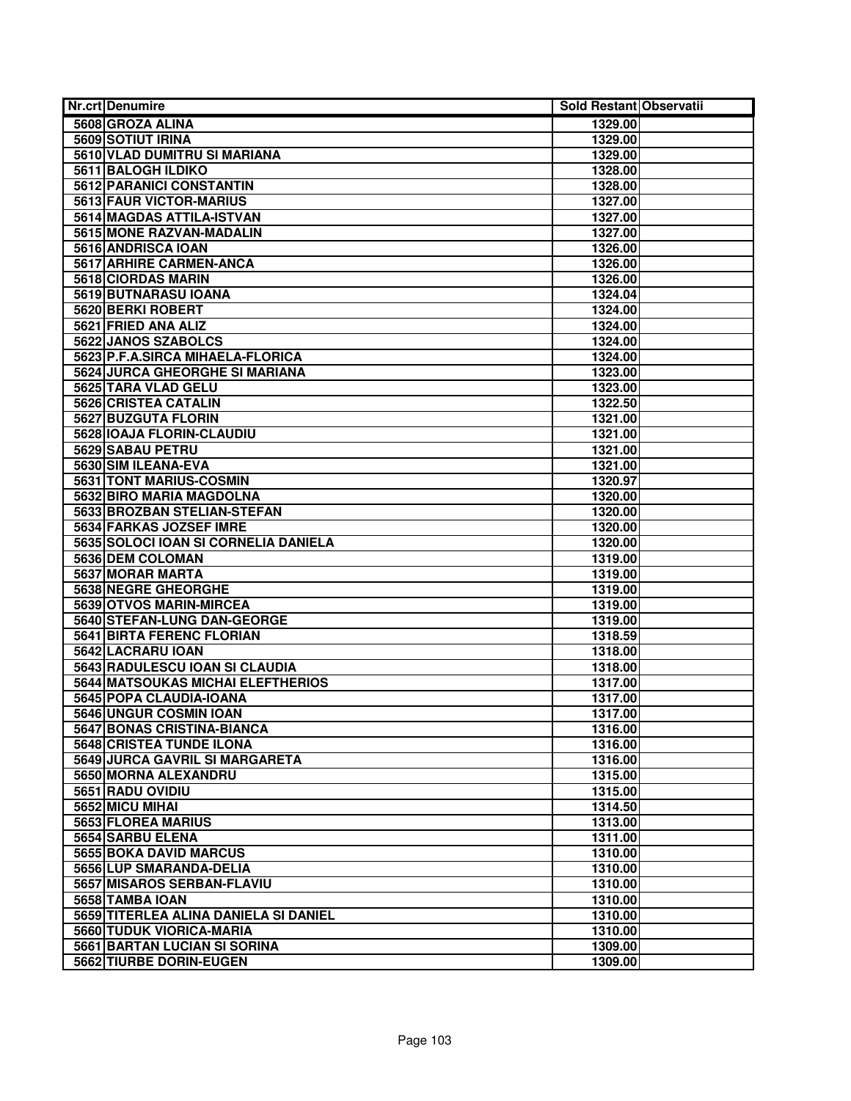| <b>Nr.crt Denumire</b>                | Sold Restant Observatii |  |
|---------------------------------------|-------------------------|--|
| 5608 GROZA ALINA                      | 1329.00                 |  |
| <b>5609 SOTIUT IRINA</b>              | 1329.00                 |  |
| 5610 VLAD DUMITRU SI MARIANA          | 1329.00                 |  |
| 5611 BALOGH ILDIKO                    | 1328.00                 |  |
| <b>5612 PARANICI CONSTANTIN</b>       | 1328.00                 |  |
| 5613 FAUR VICTOR-MARIUS               | 1327.00                 |  |
| 5614 MAGDAS ATTILA-ISTVAN             | 1327.00                 |  |
| 5615 MONE RAZVAN-MADALIN              | 1327.00                 |  |
| 5616 ANDRISCA IOAN                    | 1326.00                 |  |
| 5617 ARHIRE CARMEN-ANCA               | 1326.00                 |  |
| 5618 CIORDAS MARIN                    | 1326.00                 |  |
| 5619 BUTNARASU IOANA                  | 1324.04                 |  |
| 5620 BERKI ROBERT                     | 1324.00                 |  |
| 5621 FRIED ANA ALIZ                   | 1324.00                 |  |
| 5622 JANOS SZABOLCS                   | 1324.00                 |  |
| 5623 P.F.A.SIRCA MIHAELA-FLORICA      | 1324.00                 |  |
| 5624 JURCA GHEORGHE SI MARIANA        | 1323.00                 |  |
| 5625 TARA VLAD GELU                   | 1323.00                 |  |
| 5626 CRISTEA CATALIN                  | 1322.50                 |  |
| 5627 BUZGUTA FLORIN                   | 1321.00                 |  |
| 5628 IOAJA FLORIN-CLAUDIU             | 1321.00                 |  |
| 5629 SABAU PETRU                      | 1321.00                 |  |
| 5630 SIM ILEANA-EVA                   | 1321.00                 |  |
| 5631 TONT MARIUS-COSMIN               | 1320.97                 |  |
| 5632 BIRO MARIA MAGDOLNA              | 1320.00                 |  |
| 5633 BROZBAN STELIAN-STEFAN           | 1320.00                 |  |
| 5634 FARKAS JOZSEF IMRE               | 1320.00                 |  |
| 5635 SOLOCI IOAN SI CORNELIA DANIELA  | 1320.00                 |  |
| 5636 DEM COLOMAN                      | 1319.00                 |  |
| 5637 MORAR MARTA                      | 1319.00                 |  |
| 5638 NEGRE GHEORGHE                   | 1319.00                 |  |
| 5639 OTVOS MARIN-MIRCEA               | 1319.00                 |  |
| 5640 STEFAN-LUNG DAN-GEORGE           | 1319.00                 |  |
| <b>5641 BIRTA FERENC FLORIAN</b>      | 1318.59                 |  |
| 5642 LACRARU IOAN                     | 1318.00                 |  |
| 5643 RADULESCU IOAN SI CLAUDIA        | 1318.00                 |  |
| 5644 MATSOUKAS MICHAI ELEFTHERIOS     | 1317.00                 |  |
| 5645 POPA CLAUDIA-IOANA               | 1317.00                 |  |
| 5646 UNGUR COSMIN IOAN                | 1317.00                 |  |
| 5647 BONAS CRISTINA-BIANCA            | 1316.00                 |  |
| <b>5648 CRISTEA TUNDE ILONA</b>       | 1316.00                 |  |
| 5649 JURCA GAVRIL SI MARGARETA        | 1316.00                 |  |
| 5650 MORNA ALEXANDRU                  | 1315.00                 |  |
| 5651 RADU OVIDIU                      | 1315.00                 |  |
| 5652 MICU MIHAI                       | 1314.50                 |  |
| 5653 FLOREA MARIUS                    | 1313.00                 |  |
| 5654 SARBU ELENA                      | 1311.00                 |  |
| 5655 BOKA DAVID MARCUS                | 1310.00                 |  |
| 5656 LUP SMARANDA-DELIA               | 1310.00                 |  |
| 5657 MISAROS SERBAN-FLAVIU            | 1310.00                 |  |
| 5658 TAMBA IOAN                       | 1310.00                 |  |
| 5659 TITERLEA ALINA DANIELA SI DANIEL | 1310.00                 |  |
| <b>5660 TUDUK VIORICA-MARIA</b>       | 1310.00                 |  |
| 5661 BARTAN LUCIAN SI SORINA          | 1309.00                 |  |
| 5662 TIURBE DORIN-EUGEN               | 1309.00                 |  |
|                                       |                         |  |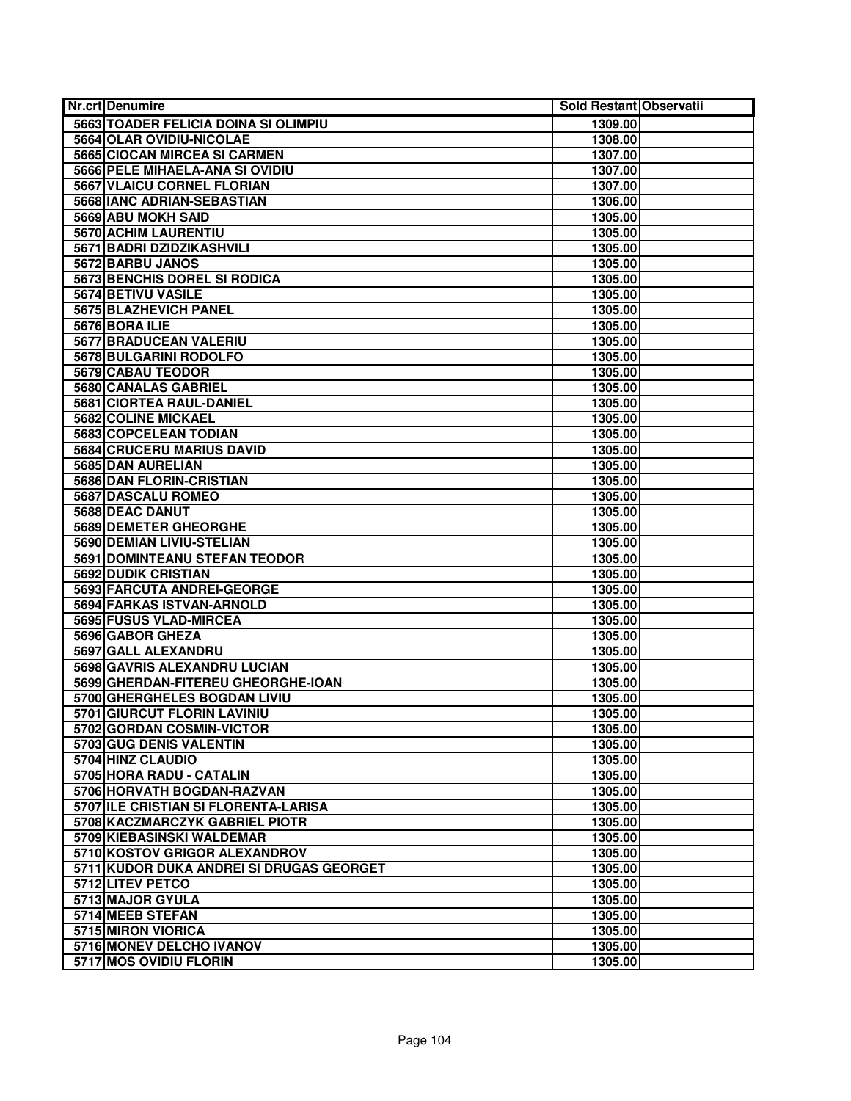| <b>Nr.crt Denumire</b>                                                 | Sold Restant Observatii |  |
|------------------------------------------------------------------------|-------------------------|--|
| 5663 TOADER FELICIA DOINA SI OLIMPIU                                   | 1309.00                 |  |
| 5664 OLAR OVIDIU-NICOLAE                                               | 1308.00                 |  |
| 5665 CIOCAN MIRCEA SI CARMEN                                           | 1307.00                 |  |
| 5666 PELE MIHAELA-ANA SI OVIDIU                                        | 1307.00                 |  |
| 5667 VLAICU CORNEL FLORIAN                                             | 1307.00                 |  |
| 5668 IANC ADRIAN-SEBASTIAN                                             | 1306.00                 |  |
| 5669 ABU MOKH SAID                                                     | 1305.00                 |  |
| 5670 ACHIM LAURENTIU                                                   | 1305.00                 |  |
| 5671 BADRI DZIDZIKASHVILI                                              | 1305.00                 |  |
| 5672 BARBU JANOS                                                       | 1305.00                 |  |
| 5673 BENCHIS DOREL SI RODICA                                           | 1305.00                 |  |
| 5674 BETIVU VASILE                                                     | 1305.00                 |  |
| 5675 BLAZHEVICH PANEL                                                  | 1305.00                 |  |
| 5676 BORA ILIE                                                         | 1305.00                 |  |
| 5677 BRADUCEAN VALERIU                                                 | 1305.00                 |  |
| 5678 BULGARINI RODOLFO                                                 | 1305.00                 |  |
| 5679 CABAU TEODOR                                                      | 1305.00                 |  |
| 5680 CANALAS GABRIEL                                                   | 1305.00                 |  |
| 5681 CIORTEA RAUL-DANIEL                                               | 1305.00                 |  |
| 5682 COLINE MICKAEL                                                    | 1305.00                 |  |
| 5683 COPCELEAN TODIAN                                                  | 1305.00                 |  |
| 5684 CRUCERU MARIUS DAVID                                              | 1305.00                 |  |
| 5685 DAN AURELIAN                                                      | 1305.00                 |  |
| 5686 DAN FLORIN-CRISTIAN                                               | 1305.00                 |  |
| 5687 DASCALU ROMEO                                                     | 1305.00                 |  |
| 5688 DEAC DANUT                                                        | 1305.00                 |  |
| <b>5689 DEMETER GHEORGHE</b>                                           | 1305.00                 |  |
| <b>5690 DEMIAN LIVIU-STELIAN</b>                                       | 1305.00                 |  |
| 5691 DOMINTEANU STEFAN TEODOR                                          | 1305.00                 |  |
| 5692 DUDIK CRISTIAN                                                    | 1305.00                 |  |
| 5693 FARCUTA ANDREI-GEORGE                                             | 1305.00                 |  |
| <b>5694 FARKAS ISTVAN-ARNOLD</b>                                       | 1305.00                 |  |
| 5695 FUSUS VLAD-MIRCEA                                                 | 1305.00                 |  |
| 5696 GABOR GHEZA                                                       | 1305.00                 |  |
| 5697 GALL ALEXANDRU                                                    | 1305.00                 |  |
| 5698 GAVRIS ALEXANDRU LUCIAN                                           | 1305.00                 |  |
| 5699 GHERDAN-FITEREU GHEORGHE-IOAN                                     | 1305.00                 |  |
| 5700 GHERGHELES BOGDAN LIVIU                                           | 1305.00                 |  |
| 5701 GIURCUT FLORIN LAVINIU                                            | 1305.00                 |  |
| 5702 GORDAN COSMIN-VICTOR                                              | 1305.00                 |  |
| 5703 GUG DENIS VALENTIN                                                | 1305.00                 |  |
| 5704 HINZ CLAUDIO                                                      | 1305.00                 |  |
| 5705 HORA RADU - CATALIN                                               | 1305.00                 |  |
| 5706 HORVATH BOGDAN-RAZVAN                                             | 1305.00                 |  |
| 5707 ILE CRISTIAN SI FLORENTA-LARISA<br>5708 KACZMARCZYK GABRIEL PIOTR | 1305.00                 |  |
|                                                                        | 1305.00                 |  |
| 5709 KIEBASINSKI WALDEMAR<br>5710 KOSTOV GRIGOR ALEXANDROV             | 1305.00<br>1305.00      |  |
| 5711 KUDOR DUKA ANDREI SI DRUGAS GEORGET                               |                         |  |
| 5712 LITEV PETCO                                                       | 1305.00                 |  |
| 5713 MAJOR GYULA                                                       | 1305.00                 |  |
| 5714 MEEB STEFAN                                                       | 1305.00<br>1305.00      |  |
| 5715 MIRON VIORICA                                                     | 1305.00                 |  |
| 5716 MONEV DELCHO IVANOV                                               | 1305.00                 |  |
| 5717 MOS OVIDIU FLORIN                                                 | 1305.00                 |  |
|                                                                        |                         |  |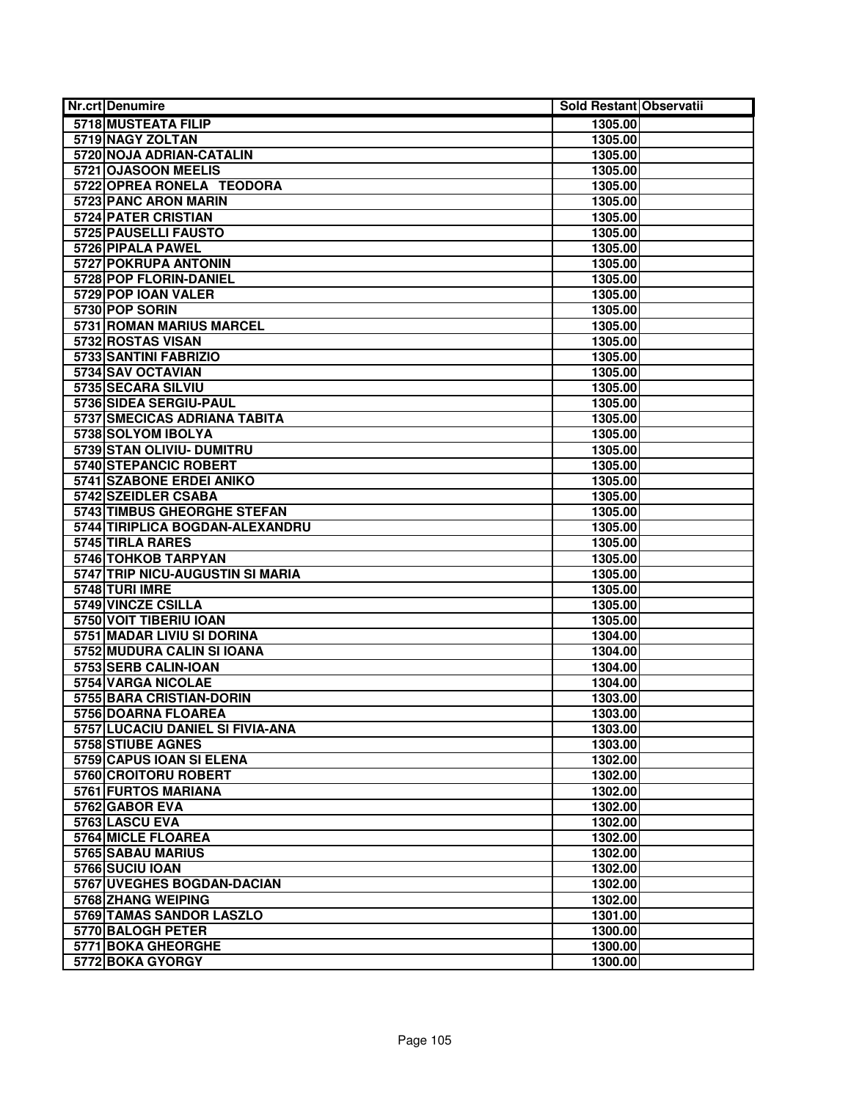| Nr.crt Denumire                                | Sold Restant Observatii |  |
|------------------------------------------------|-------------------------|--|
| 5718 MUSTEATA FILIP                            | 1305.00                 |  |
| 5719 NAGY ZOLTAN                               | 1305.00                 |  |
| 5720 NOJA ADRIAN-CATALIN                       | 1305.00                 |  |
| 5721 OJASOON MEELIS                            | 1305.00                 |  |
| 5722 OPREA RONELA TEODORA                      | 1305.00                 |  |
| 5723 PANC ARON MARIN                           | 1305.00                 |  |
| 5724 PATER CRISTIAN                            | 1305.00                 |  |
| 5725 PAUSELLI FAUSTO                           | 1305.00                 |  |
| 5726 PIPALA PAWEL                              | 1305.00                 |  |
| 5727 POKRUPA ANTONIN                           | 1305.00                 |  |
| 5728 POP FLORIN-DANIEL                         | 1305.00                 |  |
| 5729 POP IOAN VALER                            | 1305.00                 |  |
| 5730 POP SORIN                                 | 1305.00                 |  |
| <b>5731 ROMAN MARIUS MARCEL</b>                | 1305.00                 |  |
| 5732 ROSTAS VISAN                              | 1305.00                 |  |
| 5733 SANTINI FABRIZIO                          | 1305.00                 |  |
| 5734 SAV OCTAVIAN                              | 1305.00                 |  |
| 5735 SECARA SILVIU                             | 1305.00                 |  |
| 5736 SIDEA SERGIU-PAUL                         | 1305.00                 |  |
| 5737 SMECICAS ADRIANA TABITA                   | 1305.00                 |  |
| 5738 SOLYOM IBOLYA                             | 1305.00                 |  |
| 5739 STAN OLIVIU- DUMITRU                      | 1305.00                 |  |
| 5740 STEPANCIC ROBERT                          | 1305.00                 |  |
| 5741 SZABONE ERDEI ANIKO                       | 1305.00                 |  |
| 5742 SZEIDLER CSABA                            | 1305.00                 |  |
| 5743 TIMBUS GHEORGHE STEFAN                    | 1305.00                 |  |
| 5744 TIRIPLICA BOGDAN-ALEXANDRU                | 1305.00                 |  |
| 5745 TIRLA RARES                               | 1305.00                 |  |
| 5746 TOHKOB TARPYAN                            | 1305.00                 |  |
| 5747 TRIP NICU-AUGUSTIN SI MARIA               | 1305.00                 |  |
| 5748 TURI IMRE                                 | 1305.00                 |  |
| 5749 VINCZE CSILLA                             | 1305.00                 |  |
| 5750 VOIT TIBERIU IOAN                         | 1305.00                 |  |
| 5751 MADAR LIVIU SI DORINA                     | 1304.00                 |  |
| 5752 MUDURA CALIN SI IOANA                     | 1304.00                 |  |
| 5753 SERB CALIN-IOAN                           | 1304.00                 |  |
| 5754 VARGA NICOLAE<br>5755 BARA CRISTIAN-DORIN | 1304.00                 |  |
| 5756 DOARNA FLOAREA                            | 1303.00<br>1303.00      |  |
| 5757 LUCACIU DANIEL SI FIVIA-ANA               | 1303.00                 |  |
| 5758 STIUBE AGNES                              | 1303.00                 |  |
| 5759 CAPUS IOAN SI ELENA                       | 1302.00                 |  |
| 5760 CROITORU ROBERT                           | 1302.00                 |  |
| 5761 FURTOS MARIANA                            | 1302.00                 |  |
| 5762 GABOR EVA                                 | 1302.00                 |  |
| 5763 LASCU EVA                                 | 1302.00                 |  |
| 5764 MICLE FLOAREA                             | 1302.00                 |  |
| 5765 SABAU MARIUS                              | 1302.00                 |  |
| 5766 SUCIU IOAN                                | 1302.00                 |  |
| 5767 UVEGHES BOGDAN-DACIAN                     | 1302.00                 |  |
| 5768 ZHANG WEIPING                             | 1302.00                 |  |
| 5769 TAMAS SANDOR LASZLO                       | 1301.00                 |  |
| 5770 BALOGH PETER                              | 1300.00                 |  |
| 5771 BOKA GHEORGHE                             | 1300.00                 |  |
| 5772 BOKA GYORGY                               | 1300.00                 |  |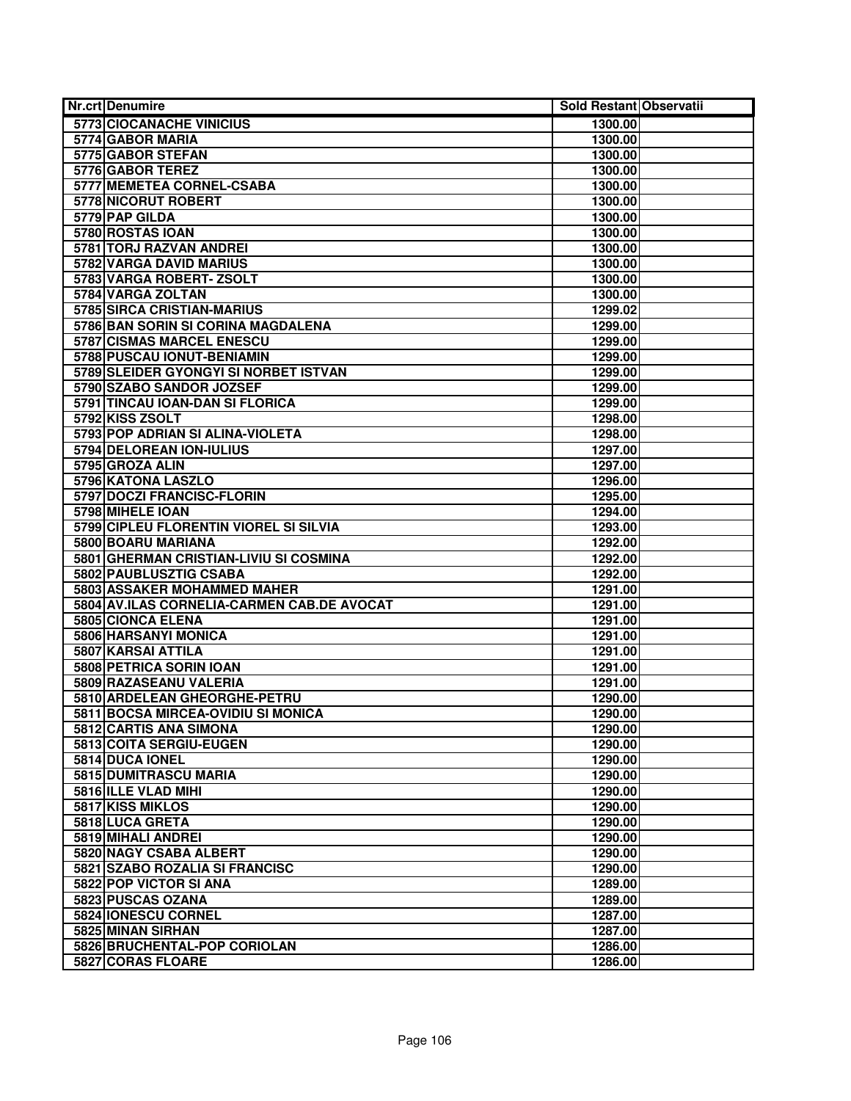| <b>Nr.crt Denumire</b>                     | Sold Restant Observatii |  |
|--------------------------------------------|-------------------------|--|
| 5773 CIOCANACHE VINICIUS                   | 1300.00                 |  |
| 5774 GABOR MARIA                           | 1300.00                 |  |
| 5775 GABOR STEFAN                          | 1300.00                 |  |
| 5776 GABOR TEREZ                           | 1300.00                 |  |
| 5777 MEMETEA CORNEL-CSABA                  | 1300.00                 |  |
| 5778 NICORUT ROBERT                        | 1300.00                 |  |
| 5779 PAP GILDA                             | 1300.00                 |  |
| 5780 ROSTAS IOAN                           | 1300.00                 |  |
| 5781 TORJ RAZVAN ANDREI                    | 1300.00                 |  |
| 5782 VARGA DAVID MARIUS                    | 1300.00                 |  |
| 5783 VARGA ROBERT-ZSOLT                    | 1300.00                 |  |
| 5784 VARGA ZOLTAN                          | 1300.00                 |  |
| 5785 SIRCA CRISTIAN-MARIUS                 | 1299.02                 |  |
| 5786 BAN SORIN SI CORINA MAGDALENA         | 1299.00                 |  |
| 5787 CISMAS MARCEL ENESCU                  | 1299.00                 |  |
| 5788 PUSCAU IONUT-BENIAMIN                 | 1299.00                 |  |
| 5789 SLEIDER GYONGYI SI NORBET ISTVAN      | 1299.00                 |  |
| 5790 SZABO SANDOR JOZSEF                   | 1299.00                 |  |
| 5791 TINCAU IOAN-DAN SI FLORICA            | 1299.00                 |  |
| 5792 KISS ZSOLT                            | 1298.00                 |  |
| 5793 POP ADRIAN SI ALINA-VIOLETA           | 1298.00                 |  |
| 5794 DELOREAN ION-IULIUS                   | 1297.00                 |  |
| 5795 GROZA ALIN                            | 1297.00                 |  |
| 5796 KATONA LASZLO                         | 1296.00                 |  |
| 5797 DOCZI FRANCISC-FLORIN                 | 1295.00                 |  |
| 5798 MIHELE IOAN                           | 1294.00                 |  |
| 5799 CIPLEU FLORENTIN VIOREL SI SILVIA     | 1293.00                 |  |
| 5800 BOARU MARIANA                         | 1292.00                 |  |
| 5801 GHERMAN CRISTIAN-LIVIU SI COSMINA     | 1292.00                 |  |
| 5802 PAUBLUSZTIG CSABA                     | 1292.00                 |  |
| 5803 ASSAKER MOHAMMED MAHER                | 1291.00                 |  |
| 5804 AV.ILAS CORNELIA-CARMEN CAB.DE AVOCAT | 1291.00                 |  |
| 5805 CIONCA ELENA                          | 1291.00                 |  |
| 5806 HARSANYI MONICA                       | 1291.00                 |  |
| 5807 KARSAI ATTILA                         | 1291.00                 |  |
| 5808 PETRICA SORIN IOAN                    | 1291.00                 |  |
| 5809 RAZASEANU VALERIA                     | 1291.00                 |  |
| 5810 ARDELEAN GHEORGHE-PETRU               | 1290.00                 |  |
| 5811 BOCSA MIRCEA-OVIDIU SI MONICA         | 1290.00                 |  |
| 5812 CARTIS ANA SIMONA                     | 1290.00                 |  |
| 5813 COITA SERGIU-EUGEN                    | 1290.00                 |  |
| 5814 DUCA IONEL                            | 1290.00                 |  |
| 5815 DUMITRASCU MARIA                      | 1290.00                 |  |
| 5816 ILLE VLAD MIHI                        | 1290.00                 |  |
| 5817 KISS MIKLOS                           | 1290.00                 |  |
| 5818 LUCA GRETA                            | 1290.00                 |  |
| 5819 MIHALI ANDREI                         | 1290.00                 |  |
| 5820 NAGY CSABA ALBERT                     | 1290.00                 |  |
| 5821 SZABO ROZALIA SI FRANCISC             | 1290.00                 |  |
| 5822 POP VICTOR SI ANA                     | 1289.00                 |  |
| 5823 PUSCAS OZANA                          | 1289.00                 |  |
| 5824 IONESCU CORNEL                        | 1287.00                 |  |
| 5825 MINAN SIRHAN                          | 1287.00                 |  |
| 5826 BRUCHENTAL-POP CORIOLAN               | 1286.00                 |  |
| 5827 CORAS FLOARE                          | 1286.00                 |  |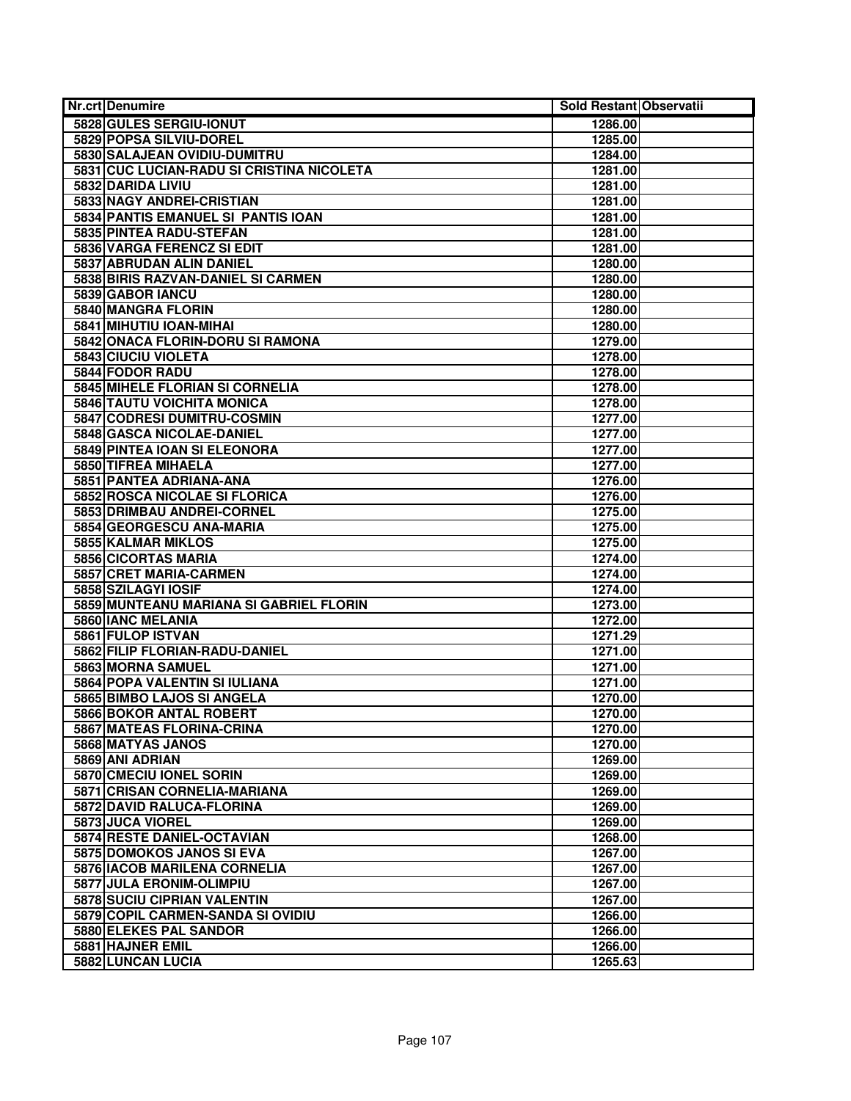| <b>Nr.crt Denumire</b>                                  | Sold Restant Observatii |  |
|---------------------------------------------------------|-------------------------|--|
| 5828 GULES SERGIU-IONUT                                 | 1286.00                 |  |
| 5829 POPSA SILVIU-DOREL                                 | 1285.00                 |  |
| 5830 SALAJEAN OVIDIU-DUMITRU                            | 1284.00                 |  |
| 5831 CUC LUCIAN-RADU SI CRISTINA NICOLETA               | 1281.00                 |  |
| 5832 DARIDA LIVIU                                       | 1281.00                 |  |
| 5833 NAGY ANDREI-CRISTIAN                               | 1281.00                 |  |
| 5834 PANTIS EMANUEL SI PANTIS IOAN                      | 1281.00                 |  |
| 5835 PINTEA RADU-STEFAN                                 | 1281.00                 |  |
| 5836 VARGA FERENCZ SI EDIT                              | 1281.00                 |  |
| 5837 ABRUDAN ALIN DANIEL                                | 1280.00                 |  |
| 5838 BIRIS RAZVAN-DANIEL SI CARMEN                      | 1280.00                 |  |
| 5839 GABOR IANCU                                        | 1280.00                 |  |
| 5840 MANGRA FLORIN                                      | 1280.00                 |  |
| 5841 MIHUTIU IOAN-MIHAI                                 | 1280.00                 |  |
| 5842 ONACA FLORIN-DORU SI RAMONA                        | 1279.00                 |  |
| 5843 CIUCIU VIOLETA                                     | 1278.00                 |  |
| 5844 FODOR RADU                                         | 1278.00                 |  |
| 5845 MIHELE FLORIAN SI CORNELIA                         | 1278.00                 |  |
| 5846 TAUTU VOICHITA MONICA                              | 1278.00                 |  |
| 5847 CODRESI DUMITRU-COSMIN                             | 1277.00                 |  |
| 5848 GASCA NICOLAE-DANIEL                               | 1277.00                 |  |
| 5849 PINTEA IOAN SI ELEONORA                            | 1277.00                 |  |
| 5850 TIFREA MIHAELA                                     | 1277.00                 |  |
| 5851 PANTEA ADRIANA-ANA                                 | 1276.00                 |  |
| 5852 ROSCA NICOLAE SI FLORICA                           | 1276.00                 |  |
| 5853 DRIMBAU ANDREI-CORNEL                              | 1275.00                 |  |
| 5854 GEORGESCU ANA-MARIA                                | 1275.00                 |  |
| 5855 KALMAR MIKLOS                                      | 1275.00                 |  |
| 5856 CICORTAS MARIA                                     | 1274.00                 |  |
| 5857 CRET MARIA-CARMEN                                  | 1274.00                 |  |
| 5858 SZILAGYI IOSIF                                     | 1274.00                 |  |
| 5859 MUNTEANU MARIANA SI GABRIEL FLORIN                 | 1273.00                 |  |
| 5860 IANC MELANIA                                       | 1272.00                 |  |
| 5861 FULOP ISTVAN                                       | 1271.29                 |  |
| 5862 FILIP FLORIAN-RADU-DANIEL                          | 1271.00                 |  |
| 5863 MORNA SAMUEL                                       | 1271.00                 |  |
| 5864 POPA VALENTIN SI IULIANA                           | 1271.00                 |  |
| 5865 BIMBO LAJOS SI ANGELA                              | 1270.00                 |  |
| 5866 BOKOR ANTAL ROBERT                                 | 1270.00                 |  |
| <b>5867 MATEAS FLORINA-CRINA</b>                        | 1270.00                 |  |
| 5868 MATYAS JANOS<br>5869 ANI ADRIAN                    | 1270.00                 |  |
|                                                         | 1269.00                 |  |
| 5870 CMECIU IONEL SORIN<br>5871 CRISAN CORNELIA-MARIANA | 1269.00                 |  |
| 5872 DAVID RALUCA-FLORINA                               | 1269.00                 |  |
| 5873 JUCA VIOREL                                        | 1269.00                 |  |
| 5874 RESTE DANIEL-OCTAVIAN                              | 1269.00<br>1268.00      |  |
| 5875 DOMOKOS JANOS SI EVA                               | 1267.00                 |  |
| 5876 IACOB MARILENA CORNELIA                            | 1267.00                 |  |
| 5877 JULA ERONIM-OLIMPIU                                | 1267.00                 |  |
| <b>5878 SUCIU CIPRIAN VALENTIN</b>                      |                         |  |
| 5879 COPIL CARMEN-SANDA SI OVIDIU                       | 1267.00<br>1266.00      |  |
| 5880 ELEKES PAL SANDOR                                  | 1266.00                 |  |
| 5881 HAJNER EMIL                                        | 1266.00                 |  |
| 5882 LUNCAN LUCIA                                       | 1265.63                 |  |
|                                                         |                         |  |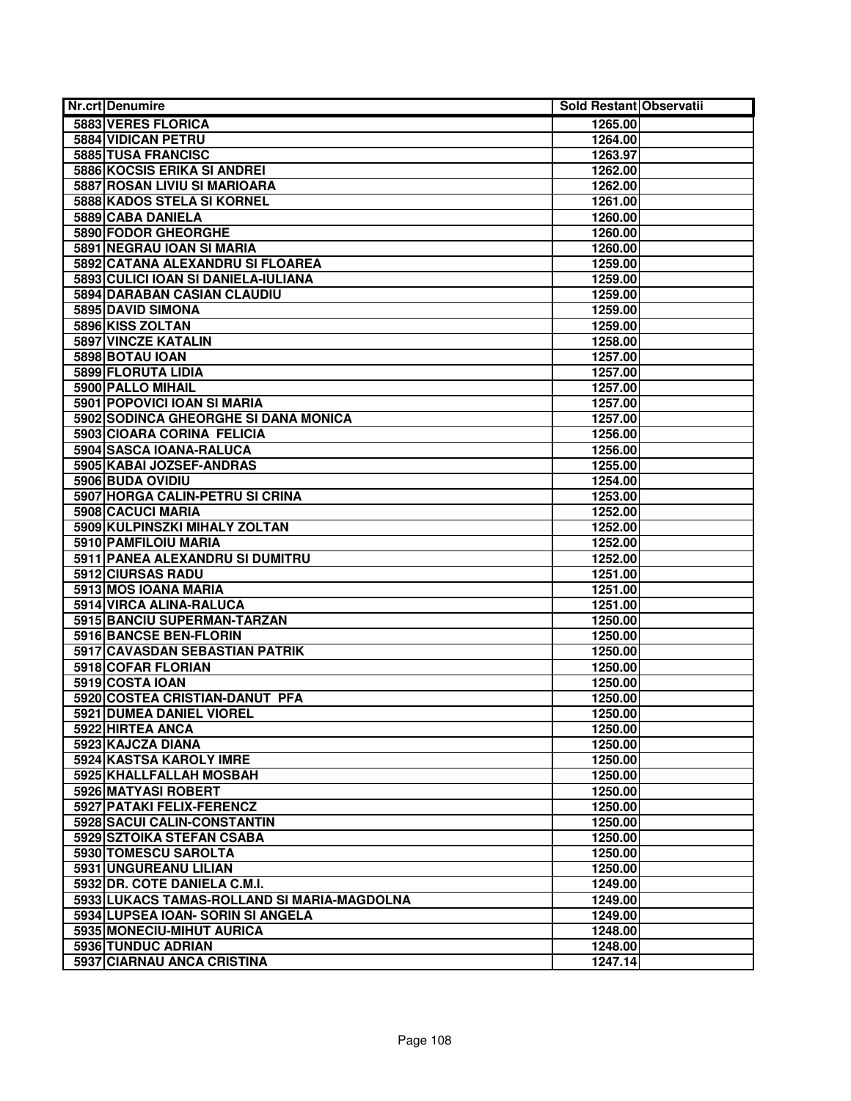| <b>Nr.crt Denumire</b>                      | Sold Restant Observatii |  |
|---------------------------------------------|-------------------------|--|
| 5883 VERES FLORICA                          | 1265.00                 |  |
| 5884 VIDICAN PETRU                          | 1264.00                 |  |
| 5885 TUSA FRANCISC                          | 1263.97                 |  |
| <b>5886 KOCSIS ERIKA SI ANDREI</b>          | 1262.00                 |  |
| 5887 ROSAN LIVIU SI MARIOARA                | 1262.00                 |  |
| 5888 KADOS STELA SI KORNEL                  | 1261.00                 |  |
| 5889 CABA DANIELA                           | 1260.00                 |  |
| 5890 FODOR GHEORGHE                         | 1260.00                 |  |
| 5891 NEGRAU IOAN SI MARIA                   | 1260.00                 |  |
| 5892 CATANA ALEXANDRU SI FLOAREA            | 1259.00                 |  |
| 5893 CULICI IOAN SI DANIELA-IULIANA         | 1259.00                 |  |
| 5894 DARABAN CASIAN CLAUDIU                 | 1259.00                 |  |
| 5895 DAVID SIMONA                           | 1259.00                 |  |
| 5896 KISS ZOLTAN                            | 1259.00                 |  |
| 5897 VINCZE KATALIN                         | 1258.00                 |  |
| 5898 BOTAU IOAN                             | 1257.00                 |  |
| 5899 FLORUTA LIDIA                          | 1257.00                 |  |
| 5900 PALLO MIHAIL                           | 1257.00                 |  |
| 5901 POPOVICI IOAN SI MARIA                 | 1257.00                 |  |
| 5902 SODINCA GHEORGHE SI DANA MONICA        | 1257.00                 |  |
| 5903 CIOARA CORINA FELICIA                  | 1256.00                 |  |
| 5904 SASCA IOANA-RALUCA                     | 1256.00                 |  |
| 5905 KABAI JOZSEF-ANDRAS                    | 1255.00                 |  |
| 5906 BUDA OVIDIU                            | 1254.00                 |  |
| 5907 HORGA CALIN-PETRU SI CRINA             | 1253.00                 |  |
| 5908 CACUCI MARIA                           | 1252.00                 |  |
| 5909 KULPINSZKI MIHALY ZOLTAN               | 1252.00                 |  |
| 5910 PAMFILOIU MARIA                        | 1252.00                 |  |
| 5911 PANEA ALEXANDRU SI DUMITRU             | 1252.00                 |  |
| 5912 CIURSAS RADU                           | 1251.00                 |  |
| 5913 MOS IOANA MARIA                        | 1251.00                 |  |
| 5914 VIRCA ALINA-RALUCA                     | 1251.00                 |  |
| 5915 BANCIU SUPERMAN-TARZAN                 | 1250.00                 |  |
| 5916 BANCSE BEN-FLORIN                      | 1250.00                 |  |
| 5917 CAVASDAN SEBASTIAN PATRIK              | 1250.00                 |  |
| 5918 COFAR FLORIAN                          | 1250.00                 |  |
| 5919 COSTA IOAN                             | 1250.00                 |  |
| 5920 COSTEA CRISTIAN-DANUT PFA              | 1250.00                 |  |
| 5921 DUMEA DANIEL VIOREL                    | 1250.00                 |  |
| 5922 HIRTEA ANCA                            | 1250.00                 |  |
| 5923 KAJCZA DIANA                           | 1250.00                 |  |
| 5924 KASTSA KAROLY IMRE                     | 1250.00                 |  |
| 5925 KHALLFALLAH MOSBAH                     | 1250.00                 |  |
| 5926 MATYASI ROBERT                         | 1250.00                 |  |
| <b>5927 PATAKI FELIX-FERENCZ</b>            | 1250.00                 |  |
| 5928 SACUI CALIN-CONSTANTIN                 | 1250.00                 |  |
| 5929 SZTOIKA STEFAN CSABA                   | 1250.00                 |  |
| 5930 TOMESCU SAROLTA                        | 1250.00                 |  |
| 5931 UNGUREANU LILIAN                       | 1250.00                 |  |
| 5932 DR. COTE DANIELA C.M.I.                | 1249.00                 |  |
| 5933 LUKACS TAMAS-ROLLAND SI MARIA-MAGDOLNA | 1249.00                 |  |
| 5934 LUPSEA IOAN- SORIN SI ANGELA           | 1249.00                 |  |
| 5935 MONECIU-MIHUT AURICA                   | 1248.00                 |  |
| 5936 TUNDUC ADRIAN                          | 1248.00                 |  |
| 5937 CIARNAU ANCA CRISTINA                  | 1247.14                 |  |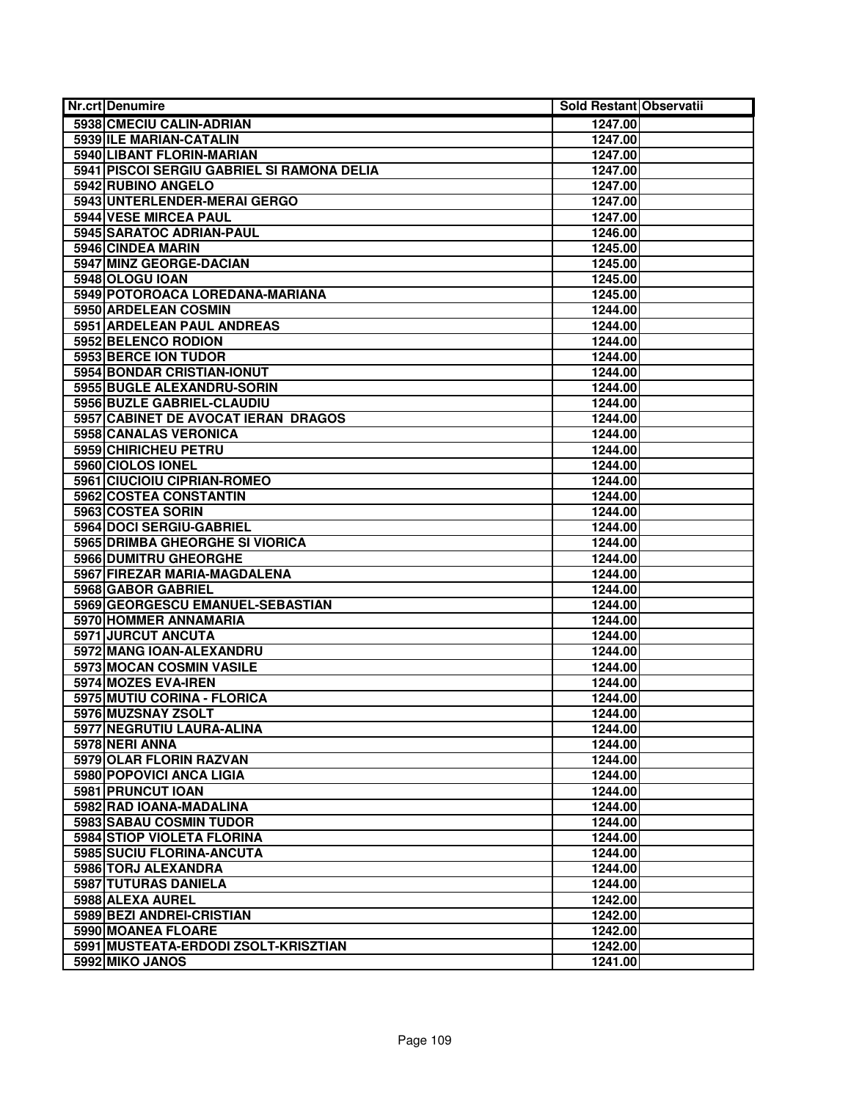| <b>Nr.crt Denumire</b>                     | Sold Restant Observatii |  |
|--------------------------------------------|-------------------------|--|
| 5938 CMECIU CALIN-ADRIAN                   | 1247.00                 |  |
| 5939 ILE MARIAN-CATALIN                    | 1247.00                 |  |
| <b>5940 LIBANT FLORIN-MARIAN</b>           | 1247.00                 |  |
| 5941 PISCOI SERGIU GABRIEL SI RAMONA DELIA | 1247.00                 |  |
| 5942 RUBINO ANGELO                         | 1247.00                 |  |
| 5943 UNTERLENDER-MERAI GERGO               | 1247.00                 |  |
| 5944 VESE MIRCEA PAUL                      | 1247.00                 |  |
| 5945 SARATOC ADRIAN-PAUL                   | 1246.00                 |  |
| 5946 CINDEA MARIN                          | 1245.00                 |  |
| 5947 MINZ GEORGE-DACIAN                    | 1245.00                 |  |
| 5948 OLOGU IOAN                            | 1245.00                 |  |
| 5949 POTOROACA LOREDANA-MARIANA            | 1245.00                 |  |
| 5950 ARDELEAN COSMIN                       | 1244.00                 |  |
| 5951 ARDELEAN PAUL ANDREAS                 | 1244.00                 |  |
| 5952 BELENCO RODION                        | 1244.00                 |  |
| 5953 BERCE ION TUDOR                       | 1244.00                 |  |
| 5954 BONDAR CRISTIAN-IONUT                 | 1244.00                 |  |
| 5955 BUGLE ALEXANDRU-SORIN                 | 1244.00                 |  |
| 5956 BUZLE GABRIEL-CLAUDIU                 | 1244.00                 |  |
| 5957 CABINET DE AVOCAT IERAN DRAGOS        | 1244.00                 |  |
| 5958 CANALAS VERONICA                      | 1244.00                 |  |
| 5959 CHIRICHEU PETRU                       | 1244.00                 |  |
| 5960 CIOLOS IONEL                          | 1244.00                 |  |
| 5961 CIUCIOIU CIPRIAN-ROMEO                | 1244.00                 |  |
| 5962 COSTEA CONSTANTIN                     | 1244.00                 |  |
| 5963 COSTEA SORIN                          | 1244.00                 |  |
| 5964 DOCI SERGIU-GABRIEL                   | 1244.00                 |  |
| 5965 DRIMBA GHEORGHE SI VIORICA            | 1244.00                 |  |
| 5966 DUMITRU GHEORGHE                      | 1244.00                 |  |
| 5967 FIREZAR MARIA-MAGDALENA               | 1244.00                 |  |
| 5968 GABOR GABRIEL                         | 1244.00                 |  |
| 5969 GEORGESCU EMANUEL-SEBASTIAN           | 1244.00                 |  |
| 5970 HOMMER ANNAMARIA                      | 1244.00                 |  |
| 5971 JURCUT ANCUTA                         | 1244.00                 |  |
| 5972 MANG IOAN-ALEXANDRU                   | 1244.00                 |  |
| 5973 MOCAN COSMIN VASILE                   | 1244.00                 |  |
| 5974 MOZES EVA-IREN                        | 1244.00                 |  |
| 5975 MUTIU CORINA - FLORICA                | 1244.00                 |  |
| 5976 MUZSNAY ZSOLT                         | 1244.00                 |  |
| 5977 NEGRUTIU LAURA-ALINA                  | 1244.00                 |  |
| 5978 NERI ANNA                             | 1244.00                 |  |
| 5979 OLAR FLORIN RAZVAN                    | 1244.00                 |  |
| 5980 POPOVICI ANCA LIGIA                   | 1244.00                 |  |
| 5981 PRUNCUT IOAN                          | 1244.00                 |  |
| 5982 RAD IOANA-MADALINA                    | 1244.00                 |  |
| 5983 SABAU COSMIN TUDOR                    | 1244.00                 |  |
| <b>5984 STIOP VIOLETA FLORINA</b>          | 1244.00                 |  |
| 5985 SUCIU FLORINA-ANCUTA                  | 1244.00                 |  |
| 5986 TORJ ALEXANDRA                        | 1244.00                 |  |
| 5987 TUTURAS DANIELA                       | 1244.00                 |  |
| 5988 ALEXA AUREL                           | 1242.00                 |  |
| 5989 BEZI ANDREI-CRISTIAN                  | 1242.00                 |  |
| 5990 MOANEA FLOARE                         | 1242.00                 |  |
| 5991 MUSTEATA-ERDODI ZSOLT-KRISZTIAN       | 1242.00                 |  |
| 5992 MIKO JANOS                            | 1241.00                 |  |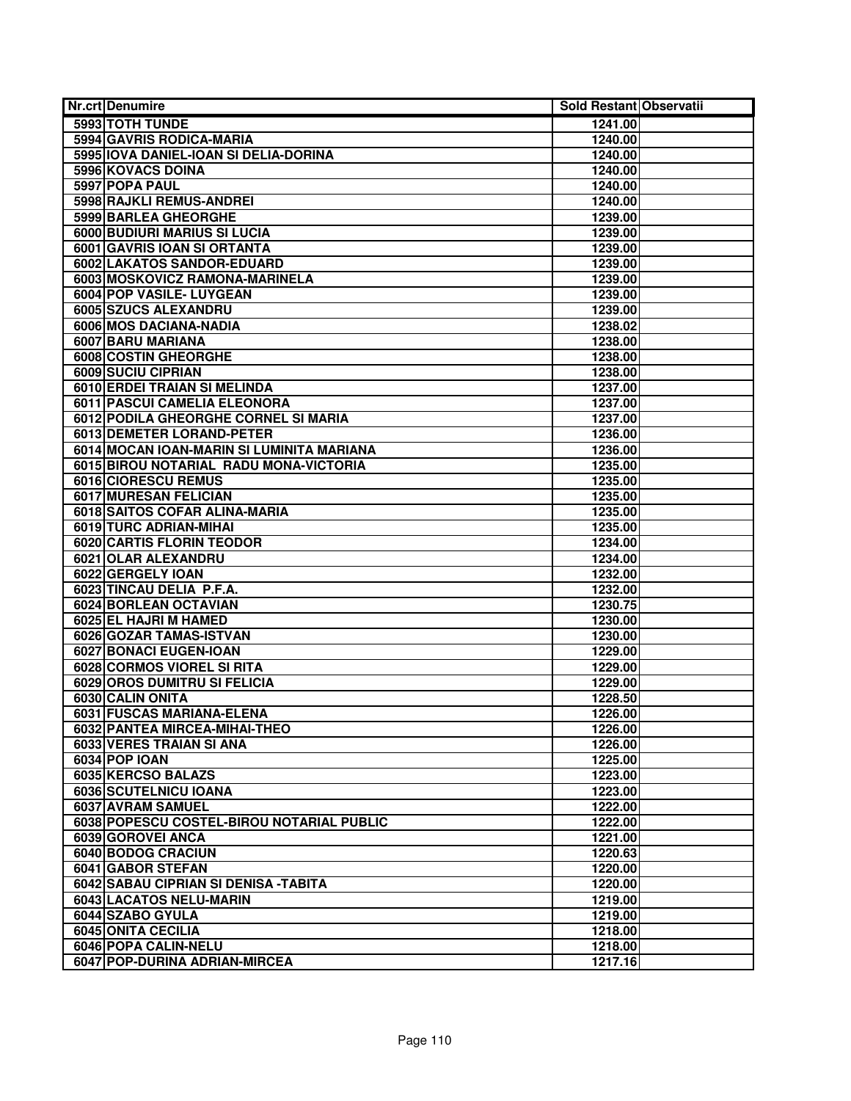| Nr.crt Denumire                             | Sold Restant Observatii |  |
|---------------------------------------------|-------------------------|--|
| 5993 TOTH TUNDE                             | 1241.00                 |  |
| 5994 GAVRIS RODICA-MARIA                    | 1240.00                 |  |
| 5995 IOVA DANIEL-IOAN SI DELIA-DORINA       | 1240.00                 |  |
| 5996 KOVACS DOINA                           | 1240.00                 |  |
| 5997 POPA PAUL                              | 1240.00                 |  |
| 5998 RAJKLI REMUS-ANDREI                    | 1240.00                 |  |
| 5999 BARLEA GHEORGHE                        | 1239.00                 |  |
| 6000 BUDIURI MARIUS SI LUCIA                | 1239.00                 |  |
| 6001 GAVRIS IOAN SI ORTANTA                 | 1239.00                 |  |
| 6002 LAKATOS SANDOR-EDUARD                  | 1239.00                 |  |
| 6003 MOSKOVICZ RAMONA-MARINELA              | 1239.00                 |  |
| 6004 POP VASILE- LUYGEAN                    | 1239.00                 |  |
| 6005 SZUCS ALEXANDRU                        | 1239.00                 |  |
| 6006 MOS DACIANA-NADIA                      | 1238.02                 |  |
| 6007 BARU MARIANA                           | 1238.00                 |  |
| 6008 COSTIN GHEORGHE                        | 1238.00                 |  |
| 6009 SUCIU CIPRIAN                          | 1238.00                 |  |
| 6010 ERDEI TRAIAN SI MELINDA                | 1237.00                 |  |
| 6011 PASCUI CAMELIA ELEONORA                | 1237.00                 |  |
| 6012 PODILA GHEORGHE CORNEL SI MARIA        | 1237.00                 |  |
| 6013 DEMETER LORAND-PETER                   | 1236.00                 |  |
| 6014 MOCAN IOAN-MARIN SI LUMINITA MARIANA   | 1236.00                 |  |
| 6015 BIROU NOTARIAL RADU MONA-VICTORIA      | 1235.00                 |  |
| 6016 CIORESCU REMUS                         | 1235.00                 |  |
| 6017 MURESAN FELICIAN                       | 1235.00                 |  |
| 6018 SAITOS COFAR ALINA-MARIA               | 1235.00                 |  |
| 6019 TURC ADRIAN-MIHAI                      | 1235.00                 |  |
| <b>6020 CARTIS FLORIN TEODOR</b>            | 1234.00                 |  |
| 6021 OLAR ALEXANDRU                         | 1234.00                 |  |
| 6022 GERGELY IOAN                           | 1232.00                 |  |
| 6023 TINCAU DELIA P.F.A.                    | 1232.00                 |  |
| 6024 BORLEAN OCTAVIAN                       | 1230.75                 |  |
| 6025 EL HAJRI M HAMED                       | 1230.00                 |  |
| 6026 GOZAR TAMAS-ISTVAN                     | 1230.00                 |  |
| 6027 BONACI EUGEN-IOAN                      | 1229.00                 |  |
| <b>6028 CORMOS VIOREL SI RITA</b>           | 1229.00                 |  |
| 6029 OROS DUMITRU SI FELICIA                | 1229.00                 |  |
| 6030 CALIN ONITA                            | 1228.50                 |  |
| 6031 FUSCAS MARIANA-ELENA                   | 1226.00                 |  |
| 6032 PANTEA MIRCEA-MIHAI-THEO               | 1226.00                 |  |
| 6033 VERES TRAIAN SI ANA                    | 1226.00                 |  |
| 6034 POP IOAN                               | 1225.00                 |  |
| 6035 KERCSO BALAZS                          | 1223.00                 |  |
| 6036 SCUTELNICU IOANA                       | 1223.00                 |  |
| 6037 AVRAM SAMUEL                           | 1222.00                 |  |
| 6038 POPESCU COSTEL-BIROU NOTARIAL PUBLIC   | 1222.00                 |  |
| 6039 GOROVEI ANCA                           | 1221.00                 |  |
| 6040 BODOG CRACIUN                          | 1220.63                 |  |
| 6041 GABOR STEFAN                           | 1220.00                 |  |
| 6042 SABAU CIPRIAN SI DENISA - TABITA       | 1220.00                 |  |
| 6043 LACATOS NELU-MARIN<br>6044 SZABO GYULA | 1219.00                 |  |
| 6045 ONITA CECILIA                          | 1219.00<br>1218.00      |  |
| 6046 POPA CALIN-NELU                        | 1218.00                 |  |
|                                             |                         |  |
| 6047 POP-DURINA ADRIAN-MIRCEA               | 1217.16                 |  |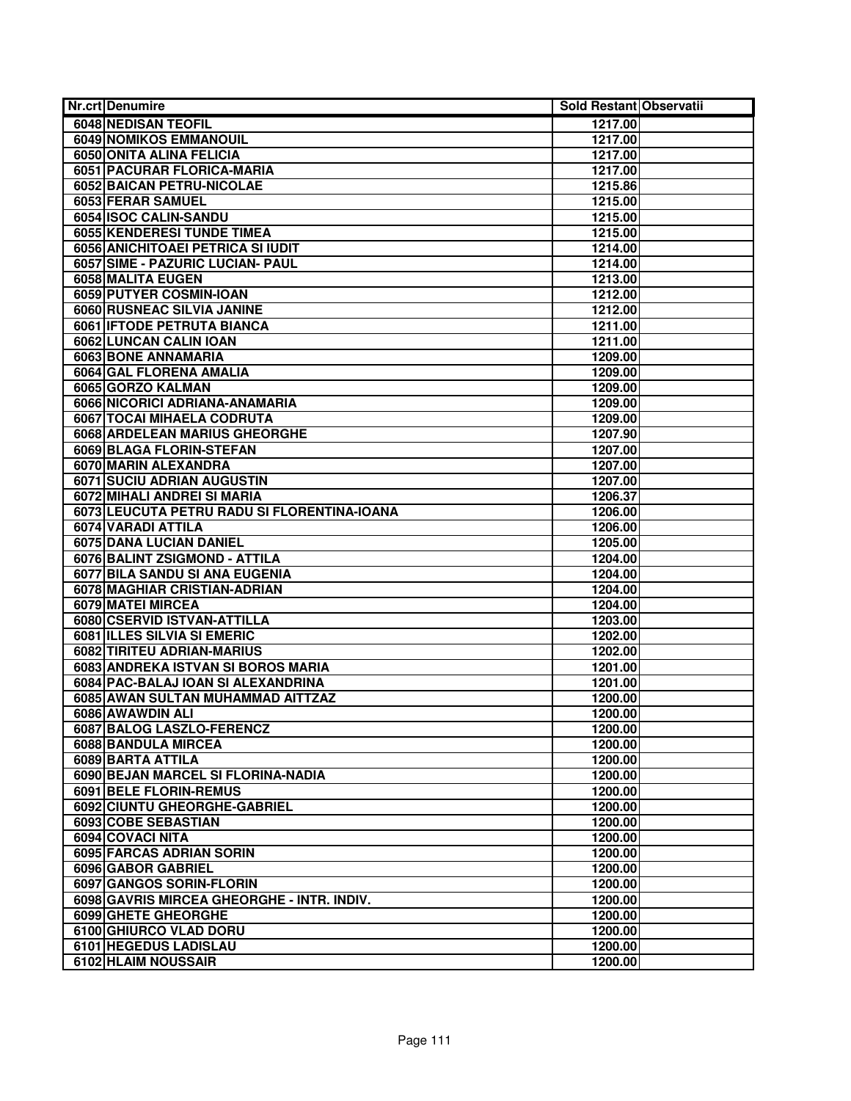| Nr.crt Denumire    |                                                 | Sold Restant Observatii |  |
|--------------------|-------------------------------------------------|-------------------------|--|
|                    | 6048 NEDISAN TEOFIL                             | 1217.00                 |  |
|                    | <b>6049 NOMIKOS EMMANOUIL</b>                   | 1217.00                 |  |
|                    | 6050 ONITA ALINA FELICIA                        | 1217.00                 |  |
|                    | 6051 PACURAR FLORICA-MARIA                      | 1217.00                 |  |
|                    | 6052 BAICAN PETRU-NICOLAE                       | 1215.86                 |  |
|                    | 6053 FERAR SAMUEL                               | 1215.00                 |  |
|                    | 6054 ISOC CALIN-SANDU                           | 1215.00                 |  |
|                    | 6055 KENDERESI TUNDE TIMEA                      | 1215.00                 |  |
|                    | 6056 ANICHITOAEI PETRICA SI IUDIT               | 1214.00                 |  |
|                    | 6057 SIME - PAZURIC LUCIAN- PAUL                | 1214.00                 |  |
| 6058 MALITA EUGEN  |                                                 | 1213.00                 |  |
|                    | 6059 PUTYER COSMIN-IOAN                         | 1212.00                 |  |
|                    | 6060 RUSNEAC SILVIA JANINE                      | 1212.00                 |  |
|                    | 6061 IFTODE PETRUTA BIANCA                      | 1211.00                 |  |
|                    | 6062 LUNCAN CALIN IOAN                          | 1211.00                 |  |
|                    | 6063 BONE ANNAMARIA                             | 1209.00                 |  |
|                    | 6064 GAL FLORENA AMALIA                         | 1209.00                 |  |
|                    | 6065 GORZO KALMAN                               | 1209.00                 |  |
|                    | 6066 NICORICI ADRIANA-ANAMARIA                  | 1209.00                 |  |
|                    | 6067 TOCAI MIHAELA CODRUTA                      | 1209.00                 |  |
|                    | 6068 ARDELEAN MARIUS GHEORGHE                   | 1207.90                 |  |
|                    | 6069 BLAGA FLORIN-STEFAN                        | 1207.00                 |  |
|                    | 6070 MARIN ALEXANDRA                            | 1207.00                 |  |
|                    | <b>6071 SUCIU ADRIAN AUGUSTIN</b>               | 1207.00                 |  |
|                    | 6072 MIHALI ANDREI SI MARIA                     | 1206.37                 |  |
|                    | 6073 LEUCUTA PETRU RADU SI FLORENTINA-IOANA     | 1206.00                 |  |
| 6074 VARADI ATTILA |                                                 | 1206.00                 |  |
|                    | 6075 DANA LUCIAN DANIEL                         | 1205.00                 |  |
|                    | 6076 BALINT ZSIGMOND - ATTILA                   | 1204.00                 |  |
|                    | 6077 BILA SANDU SI ANA EUGENIA                  | 1204.00                 |  |
|                    | 6078 MAGHIAR CRISTIAN-ADRIAN                    | 1204.00                 |  |
| 6079 MATEI MIRCEA  |                                                 | 1204.00                 |  |
|                    | 6080 CSERVID ISTVAN-ATTILLA                     | 1203.00                 |  |
|                    | <b>6081 ILLES SILVIA SI EMERIC</b>              | 1202.00                 |  |
|                    | 6082 TIRITEU ADRIAN-MARIUS                      | 1202.00                 |  |
|                    | 6083 ANDREKA ISTVAN SI BOROS MARIA              | 1201.00                 |  |
|                    | 6084 PAC-BALAJ IOAN SI ALEXANDRINA              | 1201.00                 |  |
|                    | 6085 AWAN SULTAN MUHAMMAD AITTZAZ               | 1200.00                 |  |
| 6086 AWAWDIN ALI   |                                                 | 1200.00                 |  |
|                    | 6087 BALOG LASZLO-FERENCZ                       | 1200.00                 |  |
|                    | 6088 BANDULA MIRCEA                             | 1200.00                 |  |
| 6089 BARTA ATTILA  |                                                 | 1200.00                 |  |
|                    | 6090 BEJAN MARCEL SI FLORINA-NADIA              | 1200.00                 |  |
|                    | 6091 BELE FLORIN-REMUS                          | 1200.00                 |  |
|                    | 6092 CIUNTU GHEORGHE-GABRIEL                    | 1200.00                 |  |
|                    | 6093 COBE SEBASTIAN                             | 1200.00                 |  |
| 6094 COVACI NITA   |                                                 | 1200.00                 |  |
|                    | 6095 FARCAS ADRIAN SORIN                        | 1200.00                 |  |
|                    | 6096 GABOR GABRIEL                              | 1200.00                 |  |
|                    | 6097 GANGOS SORIN-FLORIN                        | 1200.00                 |  |
|                    | 6098 GAVRIS MIRCEA GHEORGHE - INTR. INDIV.      | 1200.00                 |  |
|                    | 6099 GHETE GHEORGHE                             | 1200.00                 |  |
|                    | 6100 GHIURCO VLAD DORU<br>6101 HEGEDUS LADISLAU | 1200.00                 |  |
|                    |                                                 | 1200.00                 |  |
|                    | 6102 HLAIM NOUSSAIR                             | 1200.00                 |  |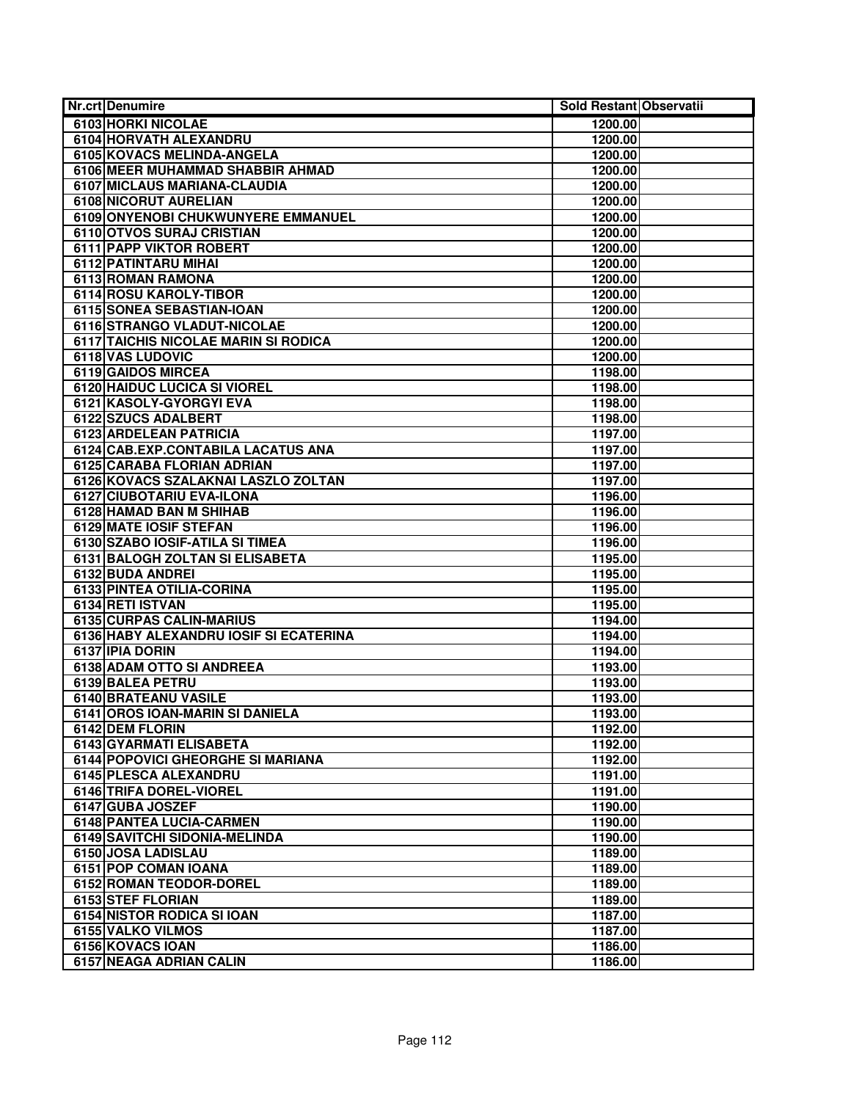| <b>Nr.crt Denumire</b>                        | Sold Restant Observatii |  |
|-----------------------------------------------|-------------------------|--|
| 6103 HORKI NICOLAE                            | 1200.00                 |  |
| 6104 HORVATH ALEXANDRU                        | 1200.00                 |  |
| 6105 KOVACS MELINDA-ANGELA                    | 1200.00                 |  |
| 6106 MEER MUHAMMAD SHABBIR AHMAD              | 1200.00                 |  |
| 6107 MICLAUS MARIANA-CLAUDIA                  | 1200.00                 |  |
| <b>6108 NICORUT AURELIAN</b>                  | 1200.00                 |  |
| 6109 ONYENOBI CHUKWUNYERE EMMANUEL            | 1200.00                 |  |
| 6110 OTVOS SURAJ CRISTIAN                     | 1200.00                 |  |
| <b>6111 PAPP VIKTOR ROBERT</b>                | 1200.00                 |  |
| 6112 PATINTARU MIHAI                          | 1200.00                 |  |
| 6113 ROMAN RAMONA                             | 1200.00                 |  |
| 6114 ROSU KAROLY-TIBOR                        | 1200.00                 |  |
| 6115 SONEA SEBASTIAN-IOAN                     | 1200.00                 |  |
| 6116 STRANGO VLADUT-NICOLAE                   | 1200.00                 |  |
| 6117 TAICHIS NICOLAE MARIN SI RODICA          | 1200.00                 |  |
| 6118 VAS LUDOVIC                              | 1200.00                 |  |
| 6119 GAIDOS MIRCEA                            | 1198.00                 |  |
| 6120 HAIDUC LUCICA SI VIOREL                  | 1198.00                 |  |
| 6121 KASOLY-GYORGYI EVA                       | 1198.00                 |  |
| <b>6122 SZUCS ADALBERT</b>                    | 1198.00                 |  |
| 6123 ARDELEAN PATRICIA                        | 1197.00                 |  |
| 6124 CAB.EXP.CONTABILA LACATUS ANA            | 1197.00                 |  |
| <b>6125 CARABA FLORIAN ADRIAN</b>             | 1197.00                 |  |
| 6126 KOVACS SZALAKNAI LASZLO ZOLTAN           | 1197.00                 |  |
| 6127 CIUBOTARIU EVA-ILONA                     | 1196.00                 |  |
| 6128 HAMAD BAN M SHIHAB                       | 1196.00                 |  |
| <b>6129 MATE IOSIF STEFAN</b>                 | 1196.00                 |  |
| 6130 SZABO IOSIF-ATILA SI TIMEA               | 1196.00                 |  |
| 6131 BALOGH ZOLTAN SI ELISABETA               | 1195.00                 |  |
| 6132 BUDA ANDREI                              | 1195.00                 |  |
| 6133 PINTEA OTILIA-CORINA<br>6134 RETI ISTVAN | 1195.00                 |  |
| <b>6135 CURPAS CALIN-MARIUS</b>               | 1195.00<br>1194.00      |  |
| 6136 HABY ALEXANDRU IOSIF SI ECATERINA        | 1194.00                 |  |
| 6137 IPIA DORIN                               | 1194.00                 |  |
| 6138 ADAM OTTO SI ANDREEA                     | 1193.00                 |  |
| 6139 BALEA PETRU                              | 1193.00                 |  |
| 6140 BRATEANU VASILE                          | 1193.00                 |  |
| 6141 OROS IOAN-MARIN SI DANIELA               | 1193.00                 |  |
| 6142 DEM FLORIN                               | 1192.00                 |  |
| 6143 GYARMATI ELISABETA                       | 1192.00                 |  |
| 6144 POPOVICI GHEORGHE SI MARIANA             | 1192.00                 |  |
| 6145 PLESCA ALEXANDRU                         | 1191.00                 |  |
| 6146 TRIFA DOREL-VIOREL                       | 1191.00                 |  |
| 6147 GUBA JOSZEF                              | 1190.00                 |  |
| 6148 PANTEA LUCIA-CARMEN                      | 1190.00                 |  |
| 6149 SAVITCHI SIDONIA-MELINDA                 | 1190.00                 |  |
| 6150 JOSA LADISLAU                            | 1189.00                 |  |
| <b>6151 POP COMAN IOANA</b>                   | 1189.00                 |  |
| 6152 ROMAN TEODOR-DOREL                       | 1189.00                 |  |
| <b>6153 STEF FLORIAN</b>                      | 1189.00                 |  |
| 6154 NISTOR RODICA SI IOAN                    | 1187.00                 |  |
| <b>6155 VALKO VILMOS</b>                      | 1187.00                 |  |
| 6156 KOVACS IOAN                              | 1186.00                 |  |
| 6157 NEAGA ADRIAN CALIN                       | 1186.00                 |  |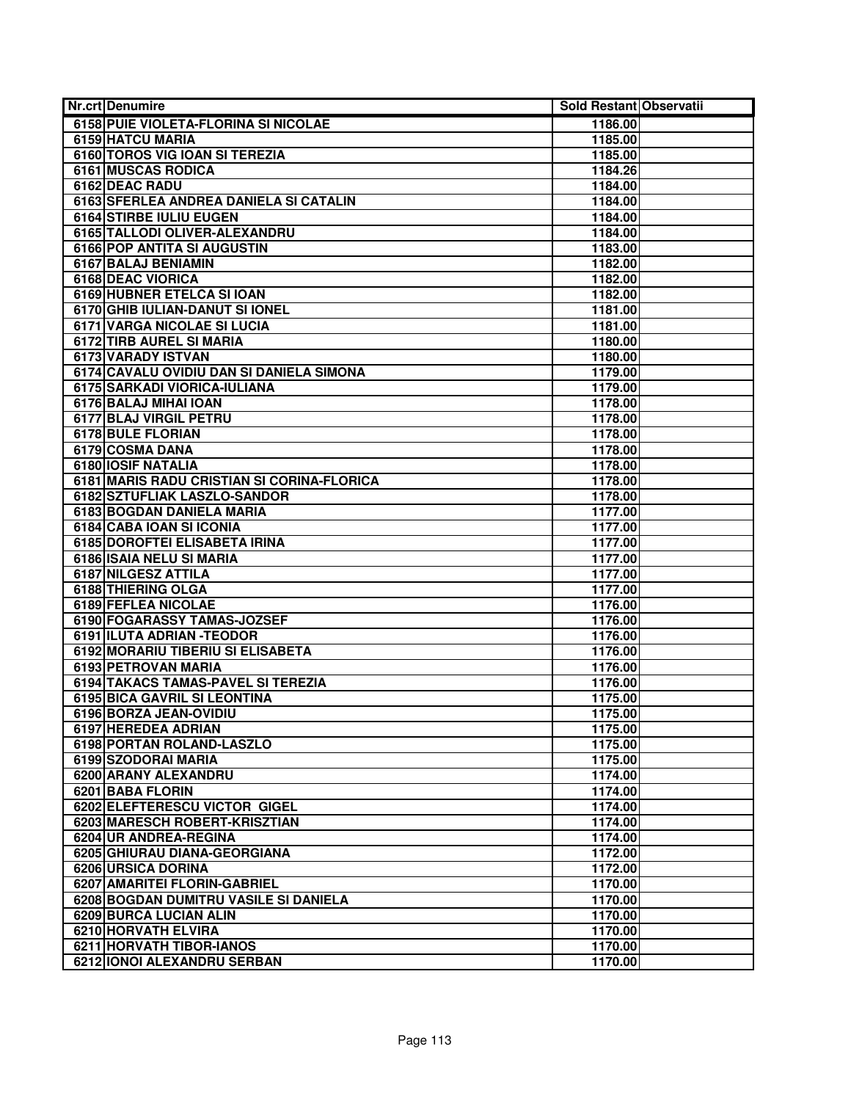| <b>Nr.crt Denumire</b>                     | Sold Restant Observatii |  |
|--------------------------------------------|-------------------------|--|
| 6158 PUIE VIOLETA-FLORINA SI NICOLAE       | 1186.00                 |  |
| <b>6159 HATCU MARIA</b>                    | 1185.00                 |  |
| 6160 TOROS VIG IOAN SI TEREZIA             | 1185.00                 |  |
| <b>6161 MUSCAS RODICA</b>                  | 1184.26                 |  |
| 6162 DEAC RADU                             | 1184.00                 |  |
| 6163 SFERLEA ANDREA DANIELA SI CATALIN     | 1184.00                 |  |
| 6164 STIRBE IULIU EUGEN                    | 1184.00                 |  |
| 6165 TALLODI OLIVER-ALEXANDRU              | 1184.00                 |  |
| <b>6166 POP ANTITA SI AUGUSTIN</b>         | 1183.00                 |  |
| 6167 BALAJ BENIAMIN                        | 1182.00                 |  |
| <b>6168 DEAC VIORICA</b>                   | 1182.00                 |  |
| 6169 HUBNER ETELCA SI IOAN                 | 1182.00                 |  |
| 6170 GHIB IULIAN-DANUT SI IONEL            | 1181.00                 |  |
| 6171 VARGA NICOLAE SI LUCIA                | 1181.00                 |  |
| 6172 TIRB AUREL SI MARIA                   | 1180.00                 |  |
| 6173 VARADY ISTVAN                         | 1180.00                 |  |
| 6174 CAVALU OVIDIU DAN SI DANIELA SIMONA   | 1179.00                 |  |
| 6175 SARKADI VIORICA-IULIANA               | 1179.00                 |  |
| 6176 BALAJ MIHAI IOAN                      | 1178.00                 |  |
| 6177 BLAJ VIRGIL PETRU                     | 1178.00                 |  |
| 6178 BULE FLORIAN                          | 1178.00                 |  |
| 6179 COSMA DANA                            | 1178.00                 |  |
| 6180 IOSIF NATALIA                         | 1178.00                 |  |
| 6181 MARIS RADU CRISTIAN SI CORINA-FLORICA | 1178.00                 |  |
| 6182 SZTUFLIAK LASZLO-SANDOR               | 1178.00                 |  |
| 6183 BOGDAN DANIELA MARIA                  | 1177.00                 |  |
| 6184 CABA IOAN SI ICONIA                   | 1177.00                 |  |
| 6185 DOROFTEI ELISABETA IRINA              | 1177.00                 |  |
| 6186 ISAIA NELU SI MARIA                   | 1177.00                 |  |
| 6187 NILGESZ ATTILA                        | 1177.00                 |  |
| 6188 THIERING OLGA                         | 1177.00                 |  |
| 6189 FEFLEA NICOLAE                        | 1176.00                 |  |
| 6190 FOGARASSY TAMAS-JOZSEF                | 1176.00                 |  |
| 6191 ILUTA ADRIAN - TEODOR                 | 1176.00                 |  |
| 6192 MORARIU TIBERIU SI ELISABETA          | 1176.00                 |  |
| 6193 PETROVAN MARIA                        | 1176.00                 |  |
| 6194 TAKACS TAMAS-PAVEL SI TEREZIA         | 1176.00                 |  |
| 6195 BICA GAVRIL SI LEONTINA               | 1175.00                 |  |
| 6196 BORZA JEAN-OVIDIU                     | 1175.00                 |  |
| 6197 HEREDEA ADRIAN                        | 1175.00                 |  |
| 6198 PORTAN ROLAND-LASZLO                  | 1175.00                 |  |
| 6199 SZODORAI MARIA                        | 1175.00                 |  |
| 6200 ARANY ALEXANDRU                       | 1174.00                 |  |
| 6201 BABA FLORIN                           | 1174.00                 |  |
| 6202 ELEFTERESCU VICTOR GIGEL              | 1174.00                 |  |
| 6203 MARESCH ROBERT-KRISZTIAN              | 1174.00                 |  |
| 6204 UR ANDREA-REGINA                      | 1174.00                 |  |
| 6205 GHIURAU DIANA-GEORGIANA               | 1172.00                 |  |
| 6206 URSICA DORINA                         | 1172.00                 |  |
| 6207 AMARITEI FLORIN-GABRIEL               | 1170.00                 |  |
| 6208 BOGDAN DUMITRU VASILE SI DANIELA      | 1170.00                 |  |
| 6209 BURCA LUCIAN ALIN                     | 1170.00                 |  |
| <b>6210 HORVATH ELVIRA</b>                 | 1170.00                 |  |
| <b>6211 HORVATH TIBOR-IANOS</b>            | 1170.00                 |  |
| 6212 IONOI ALEXANDRU SERBAN                | 1170.00                 |  |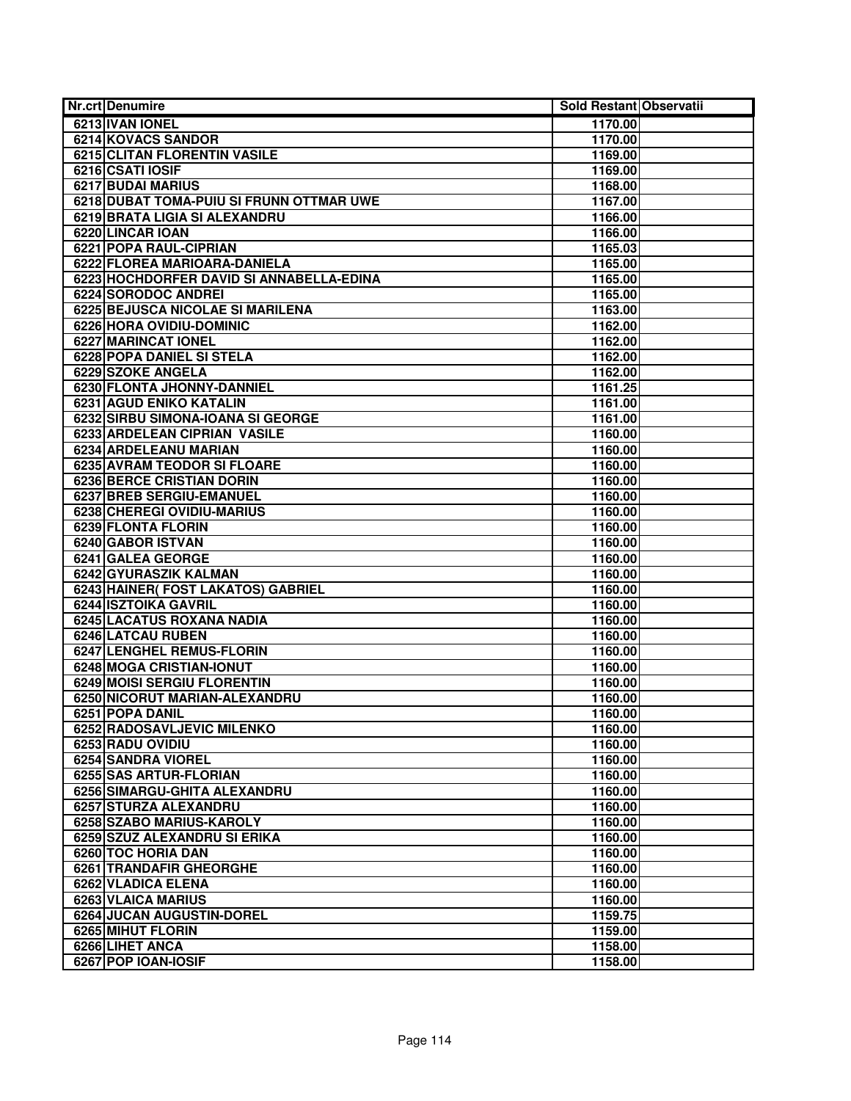| Nr.crt Denumire                                          | Sold Restant Observatii |
|----------------------------------------------------------|-------------------------|
| 6213 IVAN IONEL                                          | 1170.00                 |
| <b>6214 KOVACS SANDOR</b>                                | 1170.00                 |
| 6215 CLITAN FLORENTIN VASILE                             | 1169.00                 |
| 6216 CSATI IOSIF                                         | 1169.00                 |
| 6217 BUDAI MARIUS                                        | 1168.00                 |
| 6218 DUBAT TOMA-PUIU SI FRUNN OTTMAR UWE                 | 1167.00                 |
| 6219 BRATA LIGIA SI ALEXANDRU                            | 1166.00                 |
| 6220 LINCAR IOAN                                         | 1166.00                 |
| 6221 POPA RAUL-CIPRIAN                                   | 1165.03                 |
| 6222 FLOREA MARIOARA-DANIELA                             | 1165.00                 |
| 6223 HOCHDORFER DAVID SI ANNABELLA-EDINA                 | 1165.00                 |
| 6224 SORODOC ANDREI                                      | 1165.00                 |
| 6225 BEJUSCA NICOLAE SI MARILENA                         | 1163.00                 |
| 6226 HORA OVIDIU-DOMINIC                                 | 1162.00                 |
| 6227 MARINCAT IONEL                                      | 1162.00                 |
| 6228 POPA DANIEL SI STELA                                | 1162.00                 |
| 6229 SZOKE ANGELA                                        | 1162.00                 |
| 6230 FLONTA JHONNY-DANNIEL                               | 1161.25                 |
| <b>6231 AGUD ENIKO KATALIN</b>                           | 1161.00                 |
| 6232 SIRBU SIMONA-IOANA SI GEORGE                        | 1161.00                 |
| 6233 ARDELEAN CIPRIAN VASILE                             | 1160.00                 |
| 6234 ARDELEANU MARIAN                                    | 1160.00                 |
| 6235 AVRAM TEODOR SI FLOARE                              | 1160.00                 |
| <b>6236 BERCE CRISTIAN DORIN</b>                         | 1160.00                 |
| <b>6237 BREB SERGIU-EMANUEL</b>                          | 1160.00                 |
| 6238 CHEREGI OVIDIU-MARIUS                               | 1160.00                 |
| 6239 FLONTA FLORIN                                       | 1160.00                 |
| 6240 GABOR ISTVAN                                        | 1160.00                 |
| 6241 GALEA GEORGE                                        | 1160.00                 |
| 6242 GYURASZIK KALMAN                                    | 1160.00                 |
| 6243 HAINER(FOST LAKATOS) GABRIEL                        | 1160.00                 |
| 6244 ISZTOIKA GAVRIL<br><b>6245 LACATUS ROXANA NADIA</b> | 1160.00                 |
| 6246 LATCAU RUBEN                                        | 1160.00<br>1160.00      |
| <b>6247 LENGHEL REMUS-FLORIN</b>                         | 1160.00                 |
| 6248 MOGA CRISTIAN-IONUT                                 | 1160.00                 |
| 6249 MOISI SERGIU FLORENTIN                              | 1160.00                 |
| 6250 NICORUT MARIAN-ALEXANDRU                            | 1160.00                 |
| 6251 POPA DANIL                                          | 1160.00                 |
| 6252 RADOSAVLJEVIC MILENKO                               | 1160.00                 |
| 6253 RADU OVIDIU                                         | 1160.00                 |
| 6254 SANDRA VIOREL                                       | 1160.00                 |
| 6255 SAS ARTUR-FLORIAN                                   | 1160.00                 |
| 6256 SIMARGU-GHITA ALEXANDRU                             | 1160.00                 |
| 6257 STURZA ALEXANDRU                                    | 1160.00                 |
| 6258 SZABO MARIUS-KAROLY                                 | 1160.00                 |
| 6259 SZUZ ALEXANDRU SI ERIKA                             | 1160.00                 |
| 6260 TOC HORIA DAN                                       | 1160.00                 |
| 6261 TRANDAFIR GHEORGHE                                  | 1160.00                 |
| 6262 VLADICA ELENA                                       | 1160.00                 |
| 6263 VLAICA MARIUS                                       | 1160.00                 |
| <b>6264 JUCAN AUGUSTIN-DOREL</b>                         | 1159.75                 |
| 6265 MIHUT FLORIN                                        | 1159.00                 |
| 6266 LIHET ANCA                                          | 1158.00                 |
| 6267 POP IOAN-IOSIF                                      | 1158.00                 |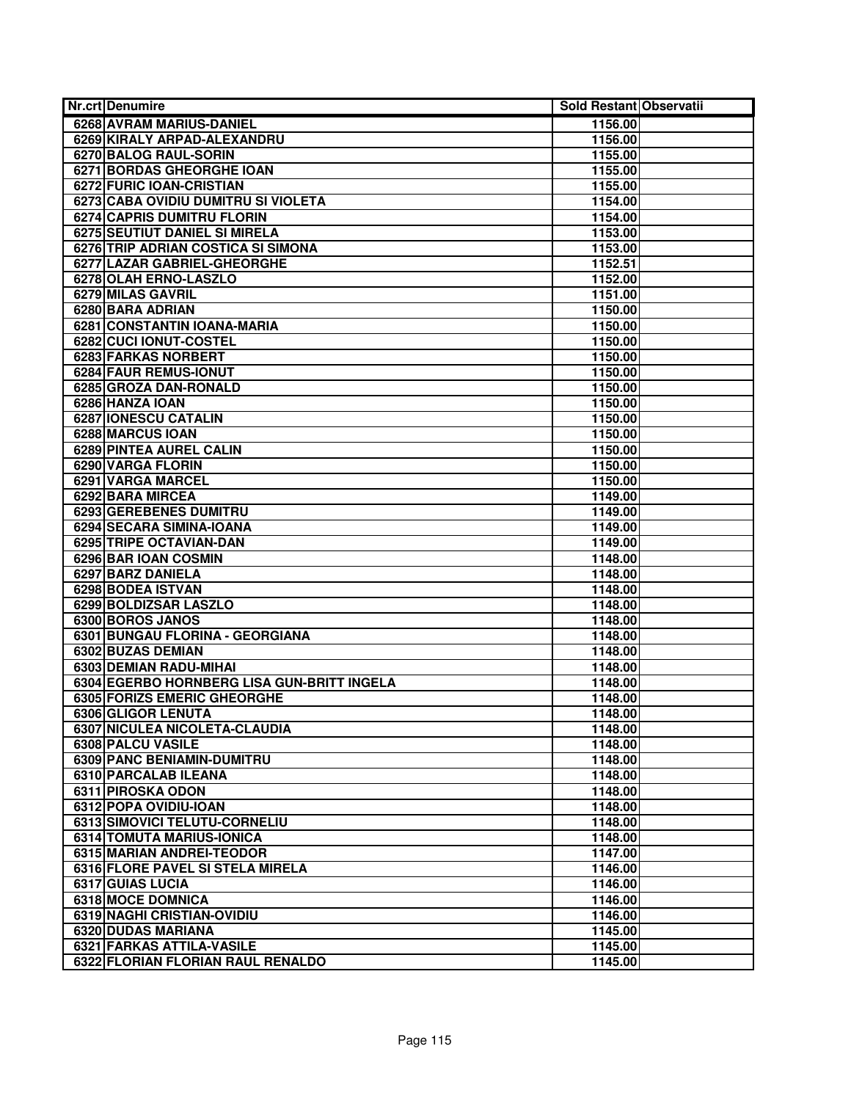| <b>Nr.crt Denumire</b>                     | Sold Restant Observatii |
|--------------------------------------------|-------------------------|
| 6268 AVRAM MARIUS-DANIEL                   | 1156.00                 |
| 6269 KIRALY ARPAD-ALEXANDRU                | 1156.00                 |
| 6270 BALOG RAUL-SORIN                      | 1155.00                 |
| <b>6271 BORDAS GHEORGHE IOAN</b>           | 1155.00                 |
| 6272 FURIC IOAN-CRISTIAN                   | 1155.00                 |
| 6273 CABA OVIDIU DUMITRU SI VIOLETA        | 1154.00                 |
| <b>6274 CAPRIS DUMITRU FLORIN</b>          | 1154.00                 |
| 6275 SEUTIUT DANIEL SI MIRELA              | 1153.00                 |
| 6276 TRIP ADRIAN COSTICA SI SIMONA         | 1153.00                 |
| 6277 LAZAR GABRIEL-GHEORGHE                | 1152.51                 |
| 6278 OLAH ERNO-LASZLO                      | 1152.00                 |
| 6279 MILAS GAVRIL                          | 1151.00                 |
| 6280 BARA ADRIAN                           | 1150.00                 |
| 6281 CONSTANTIN IOANA-MARIA                | 1150.00                 |
| 6282 CUCI IONUT-COSTEL                     | 1150.00                 |
| 6283 FARKAS NORBERT                        | 1150.00                 |
| 6284 FAUR REMUS-IONUT                      | 1150.00                 |
| 6285 GROZA DAN-RONALD                      | 1150.00                 |
| 6286 HANZA IOAN                            | 1150.00                 |
| 6287 IONESCU CATALIN                       | 1150.00                 |
| <b>6288 MARCUS IOAN</b>                    | 1150.00                 |
| 6289 PINTEA AUREL CALIN                    | 1150.00                 |
| 6290 VARGA FLORIN                          | 1150.00                 |
| 6291 VARGA MARCEL                          | 1150.00                 |
| 6292 BARA MIRCEA                           | 1149.00                 |
| 6293 GEREBENES DUMITRU                     | 1149.00                 |
| 6294 SECARA SIMINA-IOANA                   | 1149.00                 |
| 6295 TRIPE OCTAVIAN-DAN                    | 1149.00                 |
| 6296 BAR IOAN COSMIN                       | 1148.00                 |
| 6297 BARZ DANIELA                          | 1148.00                 |
| 6298 BODEA ISTVAN                          | 1148.00                 |
| 6299 BOLDIZSAR LASZLO                      | 1148.00                 |
| 6300 BOROS JANOS                           | 1148.00                 |
| 6301 BUNGAU FLORINA - GEORGIANA            | 1148.00                 |
| 6302 BUZAS DEMIAN                          | 1148.00                 |
| 6303 DEMIAN RADU-MIHAI                     | 1148.00                 |
| 6304 EGERBO HORNBERG LISA GUN-BRITT INGELA | 1148.00                 |
| 6305 FORIZS EMERIC GHEORGHE                | 1148.00                 |
| 6306 GLIGOR LENUTA                         | 1148.00                 |
| 6307 NICULEA NICOLETA-CLAUDIA              | 1148.00                 |
| <b>6308 PALCU VASILE</b>                   | 1148.00                 |
| 6309 PANC BENIAMIN-DUMITRU                 | 1148.00                 |
| 6310 PARCALAB ILEANA                       | 1148.00                 |
| 6311 PIROSKA ODON                          | 1148.00                 |
| 6312 POPA OVIDIU-IOAN                      | 1148.00                 |
| 6313 SIMOVICI TELUTU-CORNELIU              | 1148.00                 |
| 6314 TOMUTA MARIUS-IONICA                  | 1148.00                 |
| 6315 MARIAN ANDREI-TEODOR                  | 1147.00                 |
| 6316 FLORE PAVEL SI STELA MIRELA           | 1146.00                 |
| 6317 GUIAS LUCIA                           | 1146.00                 |
| 6318 MOCE DOMNICA                          | 1146.00                 |
| 6319 NAGHI CRISTIAN-OVIDIU                 | 1146.00                 |
| 6320 DUDAS MARIANA                         | 1145.00                 |
| 6321 FARKAS ATTILA-VASILE                  | 1145.00                 |
| 6322 FLORIAN FLORIAN RAUL RENALDO          | 1145.00                 |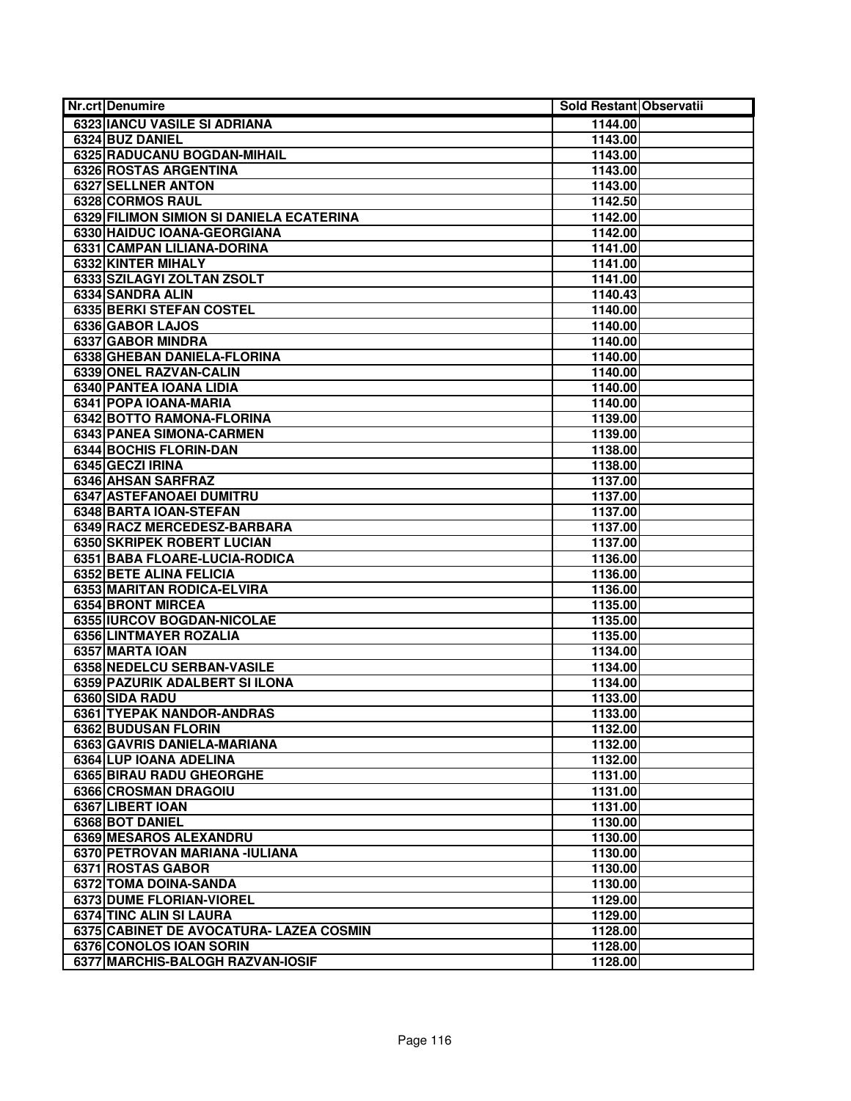| <b>Nr.crt Denumire</b>                   | Sold Restant Observatii |  |
|------------------------------------------|-------------------------|--|
| <b>6323 IANCU VASILE SI ADRIANA</b>      | 1144.00                 |  |
| 6324 BUZ DANIEL                          | 1143.00                 |  |
| 6325 RADUCANU BOGDAN-MIHAIL              | 1143.00                 |  |
| 6326 ROSTAS ARGENTINA                    | 1143.00                 |  |
| <b>6327 SELLNER ANTON</b>                | 1143.00                 |  |
| 6328 CORMOS RAUL                         | 1142.50                 |  |
| 6329 FILIMON SIMION SI DANIELA ECATERINA | 1142.00                 |  |
| 6330 HAIDUC IOANA-GEORGIANA              | 1142.00                 |  |
| 6331 CAMPAN LILIANA-DORINA               | 1141.00                 |  |
| 6332 KINTER MIHALY                       | 1141.00                 |  |
| 6333 SZILAGYI ZOLTAN ZSOLT               | 1141.00                 |  |
| 6334 SANDRA ALIN                         | 1140.43                 |  |
| <b>6335 BERKI STEFAN COSTEL</b>          | 1140.00                 |  |
| 6336 GABOR LAJOS                         | 1140.00                 |  |
| 6337 GABOR MINDRA                        | 1140.00                 |  |
| 6338 GHEBAN DANIELA-FLORINA              | 1140.00                 |  |
| 6339 ONEL RAZVAN-CALIN                   | 1140.00                 |  |
| 6340 PANTEA IOANA LIDIA                  | 1140.00                 |  |
| 6341 POPA IOANA-MARIA                    | 1140.00                 |  |
| 6342 BOTTO RAMONA-FLORINA                | 1139.00                 |  |
| <b>6343 PANEA SIMONA-CARMEN</b>          | 1139.00                 |  |
| 6344 BOCHIS FLORIN-DAN                   | 1138.00                 |  |
| 6345 GECZI IRINA                         | 1138.00                 |  |
| 6346 AHSAN SARFRAZ                       | 1137.00                 |  |
| <b>6347 ASTEFANOAEI DUMITRU</b>          | 1137.00                 |  |
| 6348 BARTA IOAN-STEFAN                   | 1137.00                 |  |
| 6349 RACZ MERCEDESZ-BARBARA              | 1137.00                 |  |
| 6350 SKRIPEK ROBERT LUCIAN               | 1137.00                 |  |
| 6351 BABA FLOARE-LUCIA-RODICA            | 1136.00                 |  |
| 6352 BETE ALINA FELICIA                  | 1136.00                 |  |
| 6353 MARITAN RODICA-ELVIRA               | 1136.00                 |  |
| 6354 BRONT MIRCEA                        | 1135.00                 |  |
| 6355 IURCOV BOGDAN-NICOLAE               | 1135.00                 |  |
| 6356 LINTMAYER ROZALIA                   | 1135.00                 |  |
| 6357 MARTA IOAN                          | 1134.00                 |  |
| 6358 NEDELCU SERBAN-VASILE               | 1134.00                 |  |
| 6359 PAZURIK ADALBERT SI ILONA           | 1134.00                 |  |
| 6360 SIDA RADU                           | 1133.00                 |  |
| 6361 TYEPAK NANDOR-ANDRAS                | 1133.00                 |  |
| 6362 BUDUSAN FLORIN                      | 1132.00                 |  |
| 6363 GAVRIS DANIELA-MARIANA              | 1132.00                 |  |
| 6364 LUP IOANA ADELINA                   | 1132.00                 |  |
| 6365 BIRAU RADU GHEORGHE                 | 1131.00                 |  |
| 6366 CROSMAN DRAGOIU                     | 1131.00                 |  |
| 6367 LIBERT IOAN                         | 1131.00                 |  |
| 6368 BOT DANIEL                          | 1130.00                 |  |
| 6369 MESAROS ALEXANDRU                   | 1130.00                 |  |
| 6370 PETROVAN MARIANA - IULIANA          | 1130.00                 |  |
| 6371 ROSTAS GABOR                        | 1130.00                 |  |
| 6372 TOMA DOINA-SANDA                    | 1130.00                 |  |
| 6373 DUME FLORIAN-VIOREL                 | 1129.00                 |  |
| 6374 TINC ALIN SI LAURA                  | 1129.00                 |  |
| 6375 CABINET DE AVOCATURA- LAZEA COSMIN  | 1128.00                 |  |
| 6376 CONOLOS IOAN SORIN                  | 1128.00                 |  |
| 6377 MARCHIS-BALOGH RAZVAN-IOSIF         | 1128.00                 |  |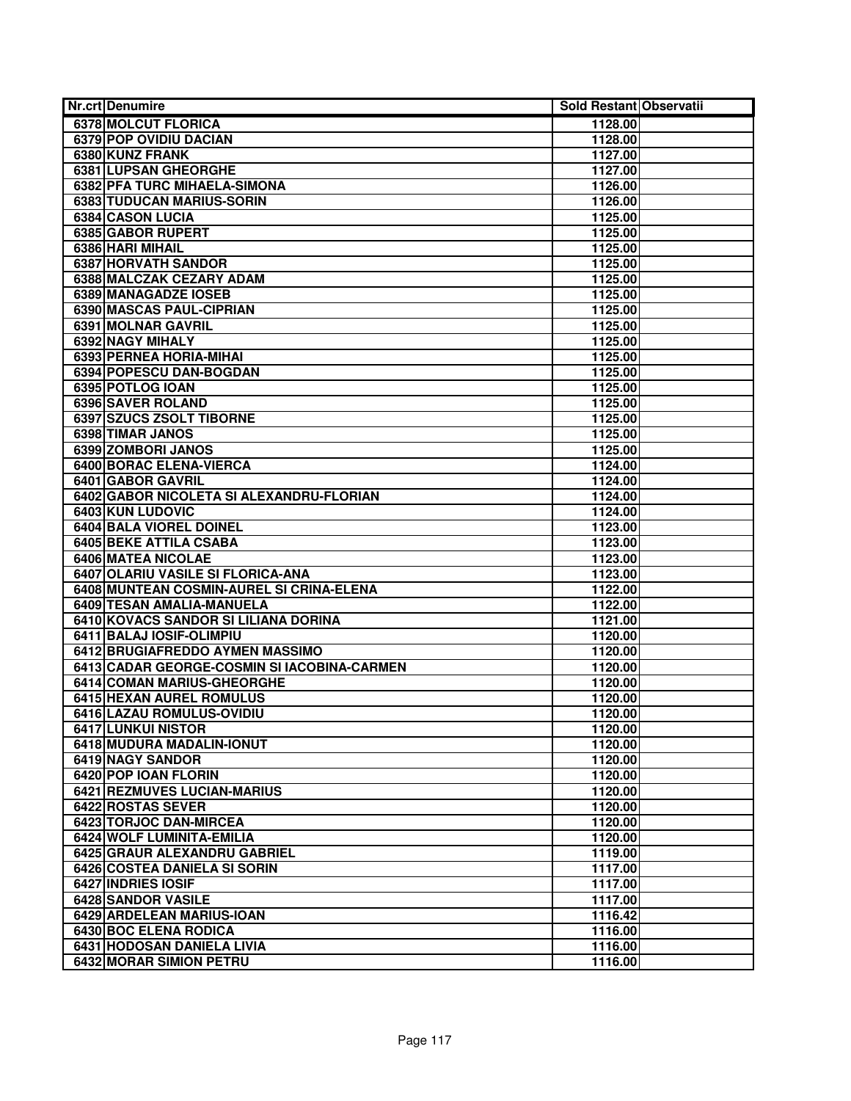| <b>Nr.crt Denumire</b>                      | Sold Restant Observatii |  |
|---------------------------------------------|-------------------------|--|
| 6378 MOLCUT FLORICA                         | 1128.00                 |  |
| 6379 POP OVIDIU DACIAN                      | 1128.00                 |  |
| 6380 KUNZ FRANK                             | 1127.00                 |  |
| 6381 LUPSAN GHEORGHE                        | 1127.00                 |  |
| 6382 PFA TURC MIHAELA-SIMONA                | 1126.00                 |  |
| 6383 TUDUCAN MARIUS-SORIN                   | 1126.00                 |  |
| 6384 CASON LUCIA                            | 1125.00                 |  |
| 6385 GABOR RUPERT                           | 1125.00                 |  |
| 6386 HARI MIHAIL                            | 1125.00                 |  |
| 6387 HORVATH SANDOR                         | 1125.00                 |  |
| <b>6388 MALCZAK CEZARY ADAM</b>             | 1125.00                 |  |
| 6389 MANAGADZE IOSEB                        | 1125.00                 |  |
| 6390 MASCAS PAUL-CIPRIAN                    | 1125.00                 |  |
| 6391 MOLNAR GAVRIL                          | 1125.00                 |  |
| 6392 NAGY MIHALY                            | 1125.00                 |  |
| 6393 PERNEA HORIA-MIHAI                     | 1125.00                 |  |
| 6394 POPESCU DAN-BOGDAN                     | 1125.00                 |  |
| 6395 POTLOG IOAN                            | 1125.00                 |  |
| 6396 SAVER ROLAND                           | 1125.00                 |  |
| 6397 SZUCS ZSOLT TIBORNE                    | 1125.00                 |  |
| 6398 TIMAR JANOS                            | 1125.00                 |  |
| 6399 ZOMBORI JANOS                          | 1125.00                 |  |
| 6400 BORAC ELENA-VIERCA                     | 1124.00                 |  |
| 6401 GABOR GAVRIL                           | 1124.00                 |  |
| 6402 GABOR NICOLETA SI ALEXANDRU-FLORIAN    | 1124.00                 |  |
| 6403 KUN LUDOVIC                            | 1124.00                 |  |
| <b>6404 BALA VIOREL DOINEL</b>              | 1123.00                 |  |
| <b>6405 BEKE ATTILA CSABA</b>               | 1123.00                 |  |
| 6406 MATEA NICOLAE                          | 1123.00                 |  |
| 6407 OLARIU VASILE SI FLORICA-ANA           | 1123.00                 |  |
| 6408 MUNTEAN COSMIN-AUREL SI CRINA-ELENA    | 1122.00                 |  |
| <b>6409 TESAN AMALIA-MANUELA</b>            | 1122.00                 |  |
| 6410 KOVACS SANDOR SI LILIANA DORINA        | 1121.00                 |  |
| 6411 BALAJ IOSIF-OLIMPIU                    | 1120.00                 |  |
| 6412 BRUGIAFREDDO AYMEN MASSIMO             | 1120.00                 |  |
| 6413 CADAR GEORGE-COSMIN SI IACOBINA-CARMEN | 1120.00                 |  |
| 6414 COMAN MARIUS-GHEORGHE                  | 1120.00                 |  |
| 6415 HEXAN AUREL ROMULUS                    | 1120.00                 |  |
| 6416 LAZAU ROMULUS-OVIDIU                   | 1120.00                 |  |
| 6417 LUNKUI NISTOR                          | 1120.00                 |  |
| 6418 MUDURA MADALIN-IONUT                   | 1120.00                 |  |
| 6419 NAGY SANDOR                            | 1120.00                 |  |
| 6420 POP IOAN FLORIN                        | 1120.00                 |  |
| 6421 REZMUVES LUCIAN-MARIUS                 | 1120.00                 |  |
| 6422 ROSTAS SEVER                           | 1120.00                 |  |
| 6423 TORJOC DAN-MIRCEA                      | 1120.00                 |  |
| <b>6424 WOLF LUMINITA-EMILIA</b>            | 1120.00                 |  |
| 6425 GRAUR ALEXANDRU GABRIEL                | 1119.00                 |  |
| 6426 COSTEA DANIELA SI SORIN                | 1117.00                 |  |
| 6427 INDRIES IOSIF                          | 1117.00                 |  |
| 6428 SANDOR VASILE                          | 1117.00                 |  |
| 6429 ARDELEAN MARIUS-IOAN                   | 1116.42                 |  |
| 6430 BOC ELENA RODICA                       | 1116.00                 |  |
| 6431 HODOSAN DANIELA LIVIA                  | 1116.00                 |  |
| 6432 MORAR SIMION PETRU                     | 1116.00                 |  |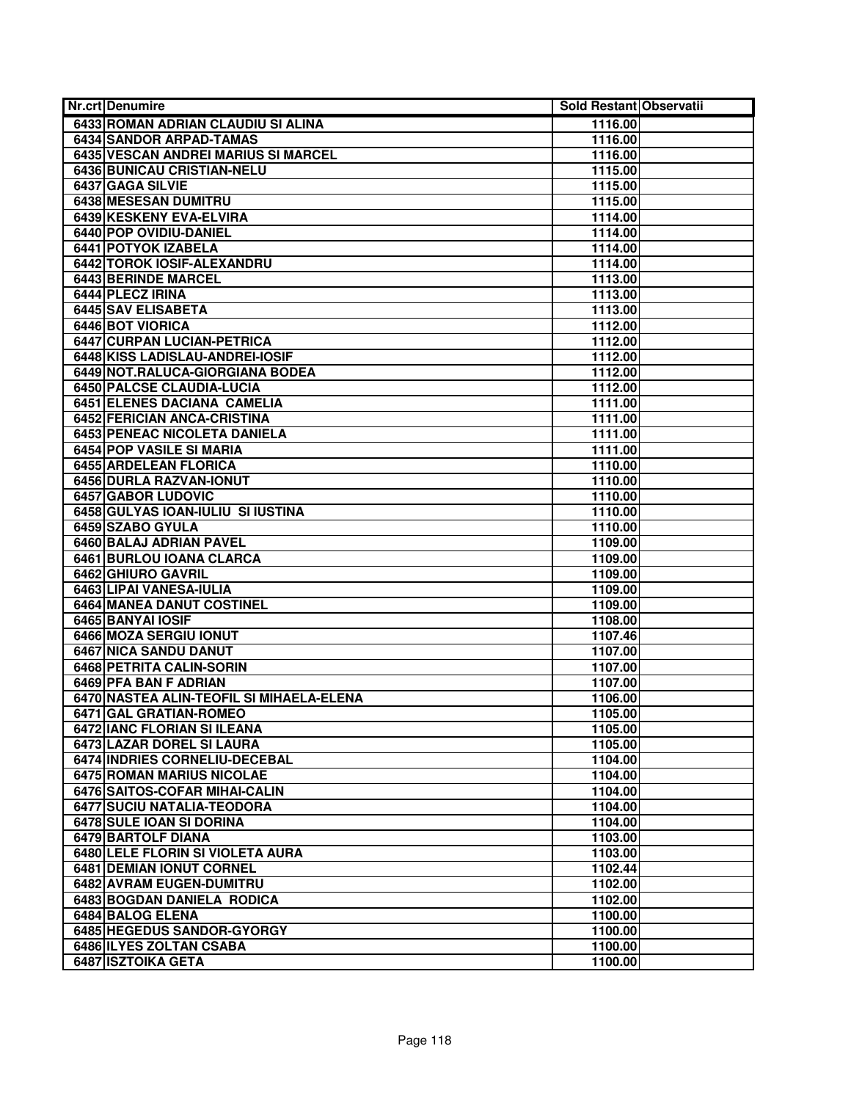| <b>Nr.crt Denumire</b>                                            | Sold Restant Observatii |  |
|-------------------------------------------------------------------|-------------------------|--|
| 6433 ROMAN ADRIAN CLAUDIU SI ALINA                                | 1116.00                 |  |
| <b>6434 SANDOR ARPAD-TAMAS</b>                                    | 1116.00                 |  |
| 6435 VESCAN ANDREI MARIUS SI MARCEL                               | 1116.00                 |  |
| 6436 BUNICAU CRISTIAN-NELU                                        | 1115.00                 |  |
| 6437 GAGA SILVIE                                                  | 1115.00                 |  |
| 6438 MESESAN DUMITRU                                              | 1115.00                 |  |
| 6439 KESKENY EVA-ELVIRA                                           | 1114.00                 |  |
| 6440 POP OVIDIU-DANIEL                                            | 1114.00                 |  |
| 6441 POTYOK IZABELA                                               | 1114.00                 |  |
| 6442 TOROK IOSIF-ALEXANDRU                                        | 1114.00                 |  |
| <b>6443 BERINDE MARCEL</b>                                        | 1113.00                 |  |
| 6444 PLECZ IRINA                                                  | 1113.00                 |  |
| 6445 SAV ELISABETA                                                | 1113.00                 |  |
| 6446 BOT VIORICA                                                  | 1112.00                 |  |
| 6447 CURPAN LUCIAN-PETRICA                                        | 1112.00                 |  |
| 6448 KISS LADISLAU-ANDREI-IOSIF                                   | 1112.00                 |  |
| 6449 NOT.RALUCA-GIORGIANA BODEA                                   | 1112.00                 |  |
| <b>6450 PALCSE CLAUDIA-LUCIA</b>                                  | 1112.00                 |  |
| 6451 ELENES DACIANA CAMELIA                                       | 1111.00                 |  |
| 6452 FERICIAN ANCA-CRISTINA                                       | 1111.00                 |  |
| 6453 PENEAC NICOLETA DANIELA                                      | 1111.00                 |  |
| 6454 POP VASILE SI MARIA                                          | 1111.00                 |  |
| 6455 ARDELEAN FLORICA                                             | 1110.00                 |  |
| 6456 DURLA RAZVAN-IONUT                                           | 1110.00                 |  |
| 6457 GABOR LUDOVIC                                                | 1110.00                 |  |
| 6458 GULYAS IOAN-IULIU SI IUSTINA                                 | 1110.00                 |  |
| 6459 SZABO GYULA                                                  | 1110.00                 |  |
| 6460 BALAJ ADRIAN PAVEL                                           | 1109.00                 |  |
| 6461 BURLOU IOANA CLARCA                                          | 1109.00                 |  |
| 6462 GHIURO GAVRIL                                                | 1109.00                 |  |
| 6463 LIPAI VANESA-IULIA                                           | 1109.00                 |  |
| <b>6464 MANEA DANUT COSTINEL</b>                                  | 1109.00                 |  |
| 6465 BANYAI IOSIF                                                 | 1108.00                 |  |
| 6466 MOZA SERGIU IONUT                                            | 1107.46                 |  |
| 6467 NICA SANDU DANUT<br>6468 PETRITA CALIN-SORIN                 | 1107.00                 |  |
|                                                                   | 1107.00<br>1107.00      |  |
| 6469 PFA BAN F ADRIAN<br>6470 NASTEA ALIN-TEOFIL SI MIHAELA-ELENA |                         |  |
| 6471 GAL GRATIAN-ROMEO                                            | 1106.00<br>1105.00      |  |
| 6472 IANC FLORIAN SI ILEANA                                       | 1105.00                 |  |
| 6473 LAZAR DOREL SI LAURA                                         | 1105.00                 |  |
| 6474 INDRIES CORNELIU-DECEBAL                                     | 1104.00                 |  |
| 6475 ROMAN MARIUS NICOLAE                                         | 1104.00                 |  |
| 6476 SAITOS-COFAR MIHAI-CALIN                                     | 1104.00                 |  |
| 6477 SUCIU NATALIA-TEODORA                                        | 1104.00                 |  |
| 6478 SULE IOAN SI DORINA                                          | 1104.00                 |  |
| 6479 BARTOLF DIANA                                                | 1103.00                 |  |
| 6480 LELE FLORIN SI VIOLETA AURA                                  | 1103.00                 |  |
| 6481 DEMIAN IONUT CORNEL                                          | 1102.44                 |  |
| 6482 AVRAM EUGEN-DUMITRU                                          | 1102.00                 |  |
| 6483 BOGDAN DANIELA RODICA                                        | 1102.00                 |  |
| <b>6484 BALOG ELENA</b>                                           | 1100.00                 |  |
| 6485 HEGEDUS SANDOR-GYORGY                                        | 1100.00                 |  |
| 6486 ILYES ZOLTAN CSABA                                           | 1100.00                 |  |
| <b>6487 ISZTOIKA GETA</b>                                         | 1100.00                 |  |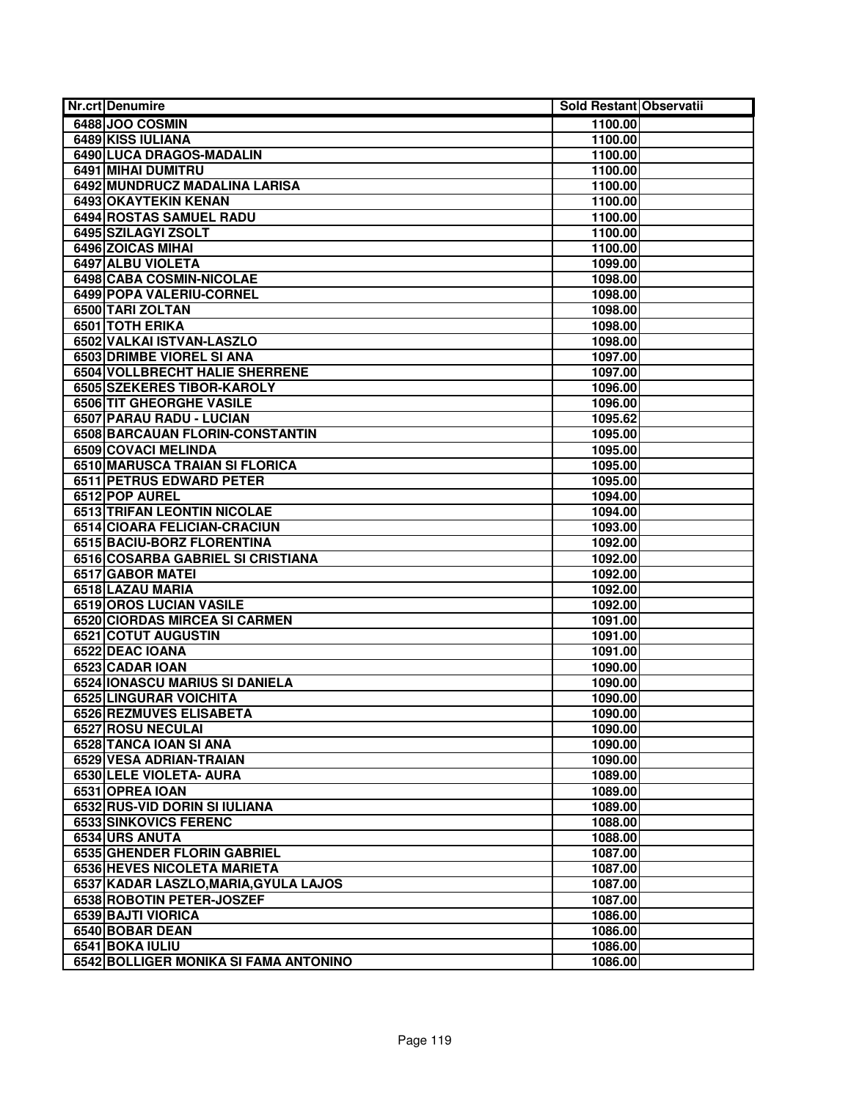| <b>Nr.crt Denumire</b>                | Sold Restant Observatii |
|---------------------------------------|-------------------------|
| 6488 JOO COSMIN                       | 1100.00                 |
| 6489 KISS IULIANA                     | 1100.00                 |
| 6490 LUCA DRAGOS-MADALIN              | 1100.00                 |
| 6491 MIHAI DUMITRU                    | 1100.00                 |
| 6492 MUNDRUCZ MADALINA LARISA         | 1100.00                 |
| 6493 OKAYTEKIN KENAN                  | 1100.00                 |
| <b>6494 ROSTAS SAMUEL RADU</b>        | 1100.00                 |
| 6495 SZILAGYI ZSOLT                   | 1100.00                 |
| 6496 ZOICAS MIHAI                     | 1100.00                 |
| 6497 ALBU VIOLETA                     | 1099.00                 |
| 6498 CABA COSMIN-NICOLAE              | 1098.00                 |
| 6499 POPA VALERIU-CORNEL              | 1098.00                 |
| 6500 TARI ZOLTAN                      | 1098.00                 |
| 6501 TOTH ERIKA                       | 1098.00                 |
| 6502 VALKAI ISTVAN-LASZLO             | 1098.00                 |
| 6503 DRIMBE VIOREL SI ANA             | 1097.00                 |
| <b>6504 VOLLBRECHT HALIE SHERRENE</b> | 1097.00                 |
| 6505 SZEKERES TIBOR-KAROLY            | 1096.00                 |
| <b>6506 TIT GHEORGHE VASILE</b>       | 1096.00                 |
| 6507 PARAU RADU - LUCIAN              | 1095.62                 |
| 6508 BARCAUAN FLORIN-CONSTANTIN       | 1095.00                 |
| 6509 COVACI MELINDA                   | 1095.00                 |
| 6510 MARUSCA TRAIAN SI FLORICA        | 1095.00                 |
| <b>6511 PETRUS EDWARD PETER</b>       | 1095.00                 |
| 6512 POP AUREL                        | 1094.00                 |
| <b>6513 TRIFAN LEONTIN NICOLAE</b>    | 1094.00                 |
| 6514 CIOARA FELICIAN-CRACIUN          | 1093.00                 |
| 6515 BACIU-BORZ FLORENTINA            | 1092.00                 |
| 6516 COSARBA GABRIEL SI CRISTIANA     | 1092.00                 |
| 6517 GABOR MATEI                      | 1092.00                 |
| 6518 LAZAU MARIA                      | 1092.00                 |
| 6519 OROS LUCIAN VASILE               | 1092.00                 |
| 6520 CIORDAS MIRCEA SI CARMEN         | 1091.00                 |
| 6521 COTUT AUGUSTIN                   | 1091.00                 |
| 6522 DEAC IOANA                       | 1091.00                 |
| 6523 CADAR IOAN                       | 1090.00                 |
| 6524 IONASCU MARIUS SI DANIELA        | 1090.00                 |
| 6525 LINGURAR VOICHITA                | 1090.00                 |
| 6526 REZMUVES ELISABETA               | 1090.00                 |
| 6527 ROSU NECULAI                     | 1090.00                 |
| 6528 TANCA IOAN SI ANA                | 1090.00                 |
| 6529 VESA ADRIAN-TRAIAN               | 1090.00                 |
| 6530 LELE VIOLETA- AURA               | 1089.00                 |
| 6531 OPREA IOAN                       | 1089.00                 |
| 6532 RUS-VID DORIN SI IULIANA         | 1089.00                 |
| 6533 SINKOVICS FERENC                 | 1088.00                 |
| 6534 URS ANUTA                        | 1088.00                 |
| 6535 GHENDER FLORIN GABRIEL           | 1087.00                 |
| 6536 HEVES NICOLETA MARIETA           | 1087.00                 |
| 6537 KADAR LASZLO, MARIA, GYULA LAJOS | 1087.00                 |
| 6538 ROBOTIN PETER-JOSZEF             | 1087.00                 |
| 6539 BAJTI VIORICA                    | 1086.00                 |
| 6540 BOBAR DEAN                       | 1086.00                 |
| 6541 BOKA IULIU                       | 1086.00                 |
| 6542 BOLLIGER MONIKA SI FAMA ANTONINO | 1086.00                 |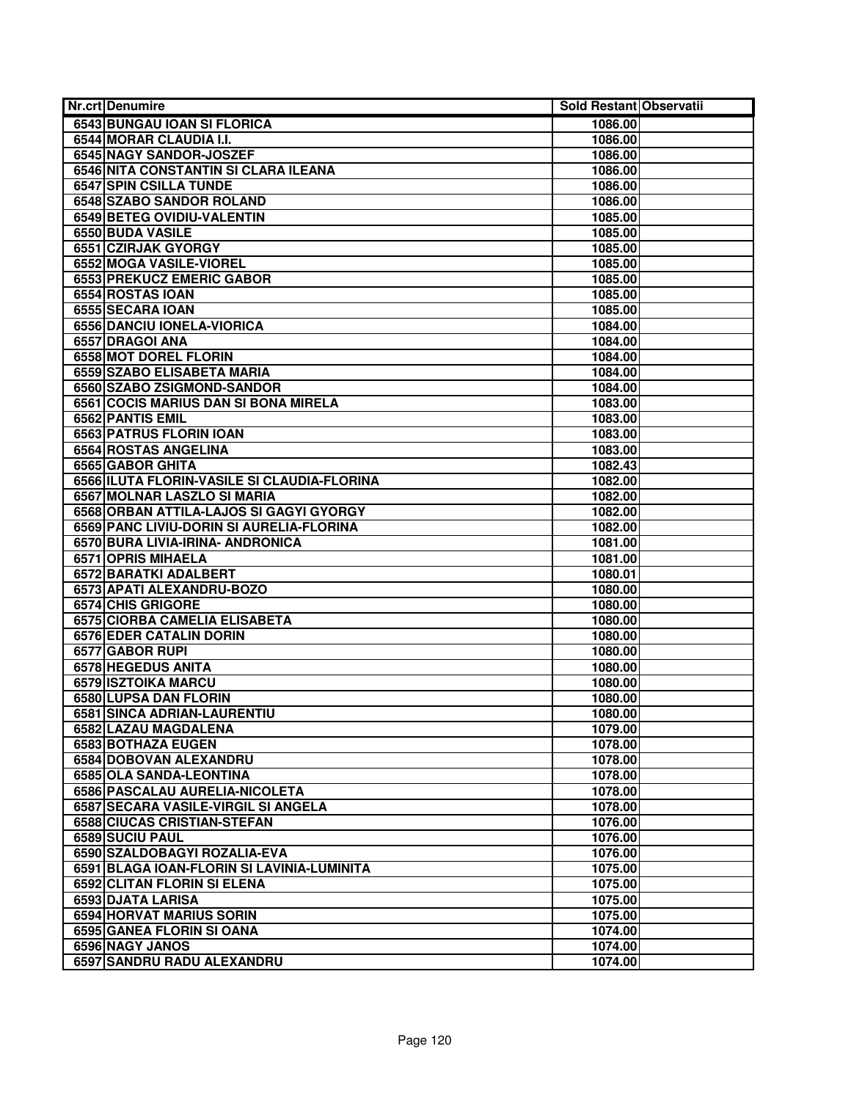| <b>Nr.crt Denumire</b>                             | Sold Restant Observatii |  |
|----------------------------------------------------|-------------------------|--|
| 6543 BUNGAU IOAN SI FLORICA                        | 1086.00                 |  |
| 6544 MORAR CLAUDIA I.I.                            | 1086.00                 |  |
| 6545 NAGY SANDOR-JOSZEF                            | 1086.00                 |  |
| 6546 NITA CONSTANTIN SI CLARA ILEANA               | 1086.00                 |  |
| <b>6547 SPIN CSILLA TUNDE</b>                      | 1086.00                 |  |
| <b>6548 SZABO SANDOR ROLAND</b>                    | 1086.00                 |  |
| 6549 BETEG OVIDIU-VALENTIN                         | 1085.00                 |  |
| 6550 BUDA VASILE                                   | 1085.00                 |  |
| 6551 CZIRJAK GYORGY                                | 1085.00                 |  |
| <b>6552 MOGA VASILE-VIOREL</b>                     | 1085.00                 |  |
| <b>6553 PREKUCZ EMERIC GABOR</b>                   | 1085.00                 |  |
| 6554 ROSTAS IOAN                                   | 1085.00                 |  |
| 6555 SECARA IOAN                                   | 1085.00                 |  |
| 6556 DANCIU IONELA-VIORICA                         | 1084.00                 |  |
| 6557 DRAGOI ANA                                    | 1084.00                 |  |
| 6558 MOT DOREL FLORIN                              | 1084.00                 |  |
| 6559 SZABO ELISABETA MARIA                         | 1084.00                 |  |
| 6560 SZABO ZSIGMOND-SANDOR                         | 1084.00                 |  |
| 6561 COCIS MARIUS DAN SI BONA MIRELA               | 1083.00                 |  |
| 6562 PANTIS EMIL                                   | 1083.00                 |  |
| 6563 PATRUS FLORIN IOAN                            | 1083.00                 |  |
| 6564 ROSTAS ANGELINA                               | 1083.00                 |  |
| 6565 GABOR GHITA                                   | 1082.43                 |  |
| 6566 ILUTA FLORIN-VASILE SI CLAUDIA-FLORINA        | 1082.00                 |  |
| 6567 MOLNAR LASZLO SI MARIA                        | 1082.00                 |  |
| 6568 ORBAN ATTILA-LAJOS SI GAGYI GYORGY            | 1082.00                 |  |
| 6569 PANC LIVIU-DORIN SI AURELIA-FLORINA           | 1082.00                 |  |
| 6570 BURA LIVIA-IRINA- ANDRONICA                   | 1081.00                 |  |
| 6571 OPRIS MIHAELA                                 | 1081.00                 |  |
| 6572 BARATKI ADALBERT<br>6573 APATI ALEXANDRU-BOZO | 1080.01<br>1080.00      |  |
| <b>6574 CHIS GRIGORE</b>                           | 1080.00                 |  |
| 6575 CIORBA CAMELIA ELISABETA                      | 1080.00                 |  |
| <b>6576 EDER CATALIN DORIN</b>                     | 1080.00                 |  |
| 6577 GABOR RUPI                                    | 1080.00                 |  |
| 6578 HEGEDUS ANITA                                 | 1080.00                 |  |
| 6579 ISZTOIKA MARCU                                | 1080.00                 |  |
| 6580 LUPSA DAN FLORIN                              | 1080.00                 |  |
| 6581 SINCA ADRIAN-LAURENTIU                        | 1080.00                 |  |
| 6582 LAZAU MAGDALENA                               | 1079.00                 |  |
| 6583 BOTHAZA EUGEN                                 | 1078.00                 |  |
| 6584 DOBOVAN ALEXANDRU                             | 1078.00                 |  |
| 6585 OLA SANDA-LEONTINA                            | 1078.00                 |  |
| 6586 PASCALAU AURELIA-NICOLETA                     | 1078.00                 |  |
| 6587 SECARA VASILE-VIRGIL SI ANGELA                | 1078.00                 |  |
| <b>6588 CIUCAS CRISTIAN-STEFAN</b>                 | 1076.00                 |  |
| 6589 SUCIU PAUL                                    | 1076.00                 |  |
| 6590 SZALDOBAGYI ROZALIA-EVA                       | 1076.00                 |  |
| 6591 BLAGA IOAN-FLORIN SI LAVINIA-LUMINITA         | 1075.00                 |  |
| 6592 CLITAN FLORIN SI ELENA                        | 1075.00                 |  |
| 6593 DJATA LARISA                                  | 1075.00                 |  |
| 6594 HORVAT MARIUS SORIN                           | 1075.00                 |  |
| 6595 GANEA FLORIN SI OANA                          | 1074.00                 |  |
| 6596 NAGY JANOS                                    | 1074.00                 |  |
| 6597 SANDRU RADU ALEXANDRU                         | 1074.00                 |  |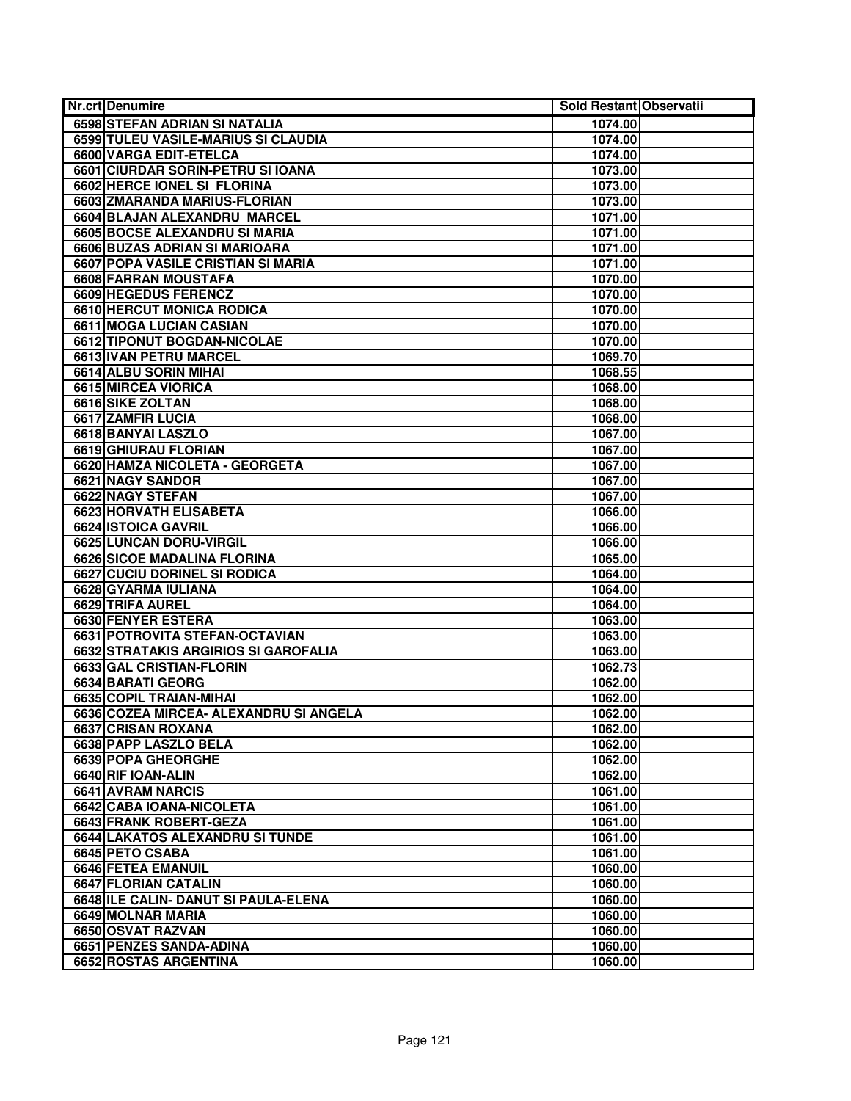| <b>Nr.crt Denumire</b>                 | Sold Restant Observatii |  |
|----------------------------------------|-------------------------|--|
| 6598 STEFAN ADRIAN SI NATALIA          | 1074.00                 |  |
| 6599 TULEU VASILE-MARIUS SI CLAUDIA    | 1074.00                 |  |
| 6600 VARGA EDIT-ETELCA                 | 1074.00                 |  |
| 6601 CIURDAR SORIN-PETRU SI IOANA      | 1073.00                 |  |
| 6602 HERCE IONEL SI FLORINA            | 1073.00                 |  |
| 6603 ZMARANDA MARIUS-FLORIAN           | 1073.00                 |  |
| 6604 BLAJAN ALEXANDRU MARCEL           | 1071.00                 |  |
| 6605 BOCSE ALEXANDRU SI MARIA          | 1071.00                 |  |
| 6606 BUZAS ADRIAN SI MARIOARA          | 1071.00                 |  |
| 6607 POPA VASILE CRISTIAN SI MARIA     | 1071.00                 |  |
| 6608 FARRAN MOUSTAFA                   | 1070.00                 |  |
| 6609 HEGEDUS FERENCZ                   | 1070.00                 |  |
| <b>6610 HERCUT MONICA RODICA</b>       | 1070.00                 |  |
| 6611 MOGA LUCIAN CASIAN                | 1070.00                 |  |
| 6612 TIPONUT BOGDAN-NICOLAE            | 1070.00                 |  |
| 6613 IVAN PETRU MARCEL                 | 1069.70                 |  |
| 6614 ALBU SORIN MIHAI                  | 1068.55                 |  |
| 6615 MIRCEA VIORICA                    | 1068.00                 |  |
| 6616 SIKE ZOLTAN                       | 1068.00                 |  |
| 6617 ZAMFIR LUCIA                      | 1068.00                 |  |
| 6618 BANYAI LASZLO                     | 1067.00                 |  |
| 6619 GHIURAU FLORIAN                   | 1067.00                 |  |
| 6620 HAMZA NICOLETA - GEORGETA         | 1067.00                 |  |
| 6621 NAGY SANDOR                       | 1067.00                 |  |
| 6622 NAGY STEFAN                       | 1067.00                 |  |
| <b>6623 HORVATH ELISABETA</b>          | 1066.00                 |  |
| 6624 ISTOICA GAVRIL                    | 1066.00                 |  |
| 6625 LUNCAN DORU-VIRGIL                | 1066.00                 |  |
| 6626 SICOE MADALINA FLORINA            | 1065.00                 |  |
| <b>6627 CUCIU DORINEL SI RODICA</b>    | 1064.00                 |  |
| 6628 GYARMA IULIANA                    | 1064.00                 |  |
| 6629 TRIFA AUREL                       | 1064.00                 |  |
| 6630 FENYER ESTERA                     | 1063.00                 |  |
| 6631 POTROVITA STEFAN-OCTAVIAN         | 1063.00                 |  |
| 6632 STRATAKIS ARGIRIOS SI GAROFALIA   | 1063.00                 |  |
| 6633 GAL CRISTIAN-FLORIN               | 1062.73                 |  |
| 6634 BARATI GEORG                      | 1062.00                 |  |
| 6635 COPIL TRAIAN-MIHAI                | 1062.00                 |  |
| 6636 COZEA MIRCEA- ALEXANDRU SI ANGELA | 1062.00                 |  |
| 6637 CRISAN ROXANA                     | 1062.00                 |  |
| 6638 PAPP LASZLO BELA                  | 1062.00                 |  |
| 6639 POPA GHEORGHE                     | 1062.00                 |  |
| 6640 RIF IOAN-ALIN                     | 1062.00                 |  |
| 6641 AVRAM NARCIS                      | 1061.00                 |  |
| 6642 CABA IOANA-NICOLETA               | 1061.00                 |  |
| 6643 FRANK ROBERT-GEZA                 | 1061.00                 |  |
| 6644 LAKATOS ALEXANDRU SI TUNDE        | 1061.00                 |  |
| 6645 PETO CSABA                        | 1061.00                 |  |
| 6646 FETEA EMANUIL                     | 1060.00                 |  |
| 6647 FLORIAN CATALIN                   | 1060.00                 |  |
| 6648 ILE CALIN- DANUT SI PAULA-ELENA   | 1060.00                 |  |
| 6649 MOLNAR MARIA                      | 1060.00                 |  |
| 6650 OSVAT RAZVAN                      | 1060.00                 |  |
| 6651 PENZES SANDA-ADINA                | 1060.00                 |  |
| 6652 ROSTAS ARGENTINA                  | 1060.00                 |  |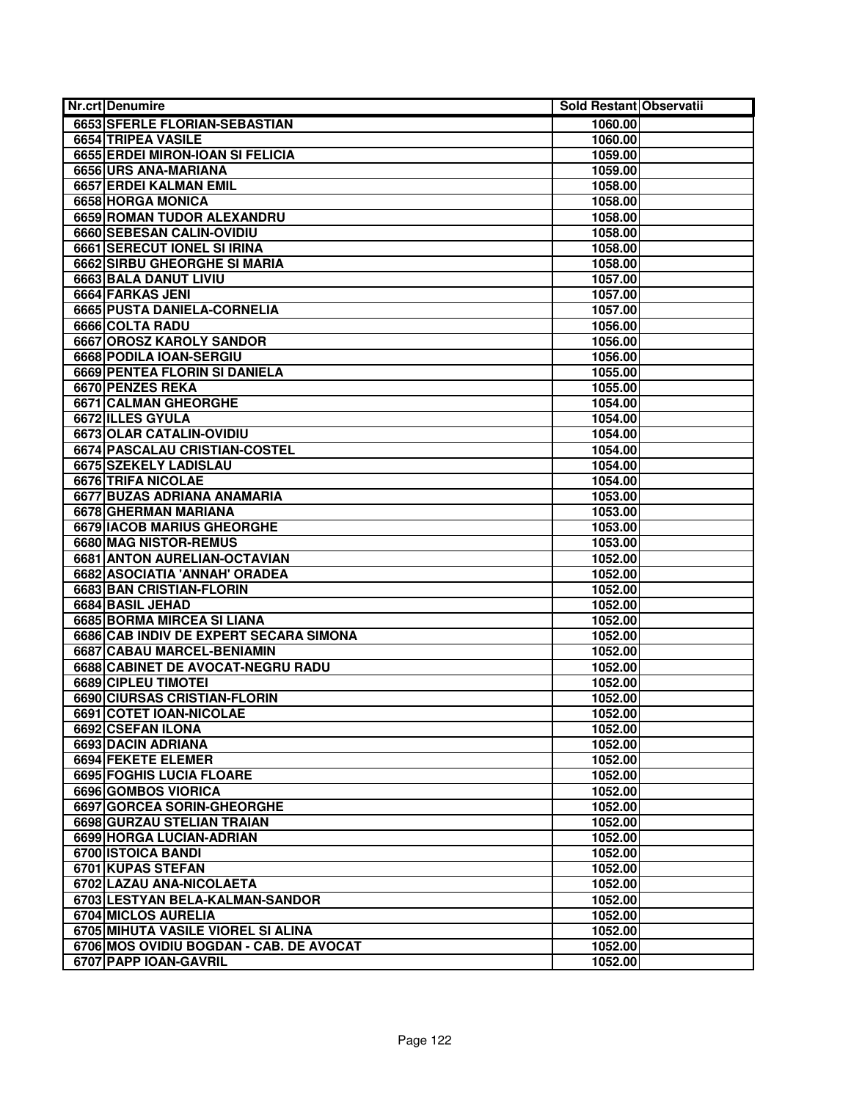| Nr.crt Denumire                    |                                         | Sold Restant Observatii |  |
|------------------------------------|-----------------------------------------|-------------------------|--|
| 6653 SFERLE FLORIAN-SEBASTIAN      |                                         | 1060.00                 |  |
| 6654 TRIPEA VASILE                 |                                         | 1060.00                 |  |
| 6655 ERDEI MIRON-IOAN SI FELICIA   |                                         | 1059.00                 |  |
| 6656 URS ANA-MARIANA               |                                         | 1059.00                 |  |
| 6657 ERDEI KALMAN EMIL             |                                         | 1058.00                 |  |
| 6658 HORGA MONICA                  |                                         | 1058.00                 |  |
| 6659 ROMAN TUDOR ALEXANDRU         |                                         | 1058.00                 |  |
| 6660 SEBESAN CALIN-OVIDIU          |                                         | 1058.00                 |  |
| 6661 SERECUT IONEL SI IRINA        |                                         | 1058.00                 |  |
| 6662 SIRBU GHEORGHE SI MARIA       |                                         | 1058.00                 |  |
| 6663 BALA DANUT LIVIU              |                                         | 1057.00                 |  |
| 6664 FARKAS JENI                   |                                         | 1057.00                 |  |
| 6665 PUSTA DANIELA-CORNELIA        |                                         | 1057.00                 |  |
| 6666 COLTA RADU                    |                                         | 1056.00                 |  |
| 6667 OROSZ KAROLY SANDOR           |                                         | 1056.00                 |  |
| 6668 PODILA IOAN-SERGIU            |                                         | 1056.00                 |  |
| 6669 PENTEA FLORIN SI DANIELA      |                                         | 1055.00                 |  |
| 6670 PENZES REKA                   |                                         | 1055.00                 |  |
| 6671 CALMAN GHEORGHE               |                                         | 1054.00                 |  |
| 6672 ILLES GYULA                   |                                         | 1054.00                 |  |
| 6673 OLAR CATALIN-OVIDIU           |                                         | 1054.00                 |  |
| 6674 PASCALAU CRISTIAN-COSTEL      |                                         | 1054.00                 |  |
| 6675 SZEKELY LADISLAU              |                                         | 1054.00                 |  |
| 6676 TRIFA NICOLAE                 |                                         | 1054.00                 |  |
| 6677 BUZAS ADRIANA ANAMARIA        |                                         | 1053.00                 |  |
| 6678 GHERMAN MARIANA               |                                         | 1053.00                 |  |
| 6679 IACOB MARIUS GHEORGHE         |                                         | 1053.00                 |  |
| 6680 MAG NISTOR-REMUS              |                                         | 1053.00                 |  |
| 6681 ANTON AURELIAN-OCTAVIAN       |                                         | 1052.00                 |  |
| 6682 ASOCIATIA 'ANNAH' ORADEA      |                                         | 1052.00                 |  |
| 6683 BAN CRISTIAN-FLORIN           |                                         | 1052.00                 |  |
| <b>6684 BASIL JEHAD</b>            |                                         | 1052.00                 |  |
| 6685 BORMA MIRCEA SI LIANA         |                                         | 1052.00                 |  |
|                                    | 6686 CAB INDIV DE EXPERT SECARA SIMONA  | 1052.00                 |  |
| 6687 CABAU MARCEL-BENIAMIN         |                                         | 1052.00                 |  |
| 6688 CABINET DE AVOCAT-NEGRU RADU  |                                         | 1052.00                 |  |
| 6689 CIPLEU TIMOTEI                |                                         | 1052.00                 |  |
| 6690 CIURSAS CRISTIAN-FLORIN       |                                         | 1052.00                 |  |
| 6691 COTET IOAN-NICOLAE            |                                         | 1052.00                 |  |
| 6692 CSEFAN ILONA                  |                                         | 1052.00                 |  |
| 6693 DACIN ADRIANA                 |                                         | 1052.00                 |  |
| 6694 FEKETE ELEMER                 |                                         | 1052.00                 |  |
| 6695 FOGHIS LUCIA FLOARE           |                                         | 1052.00                 |  |
| 6696 GOMBOS VIORICA                |                                         | 1052.00                 |  |
| 6697 GORCEA SORIN-GHEORGHE         |                                         | 1052.00                 |  |
| 6698 GURZAU STELIAN TRAIAN         |                                         | 1052.00                 |  |
| 6699 HORGA LUCIAN-ADRIAN           |                                         | 1052.00                 |  |
| 6700 ISTOICA BANDI                 |                                         | 1052.00                 |  |
| 6701 KUPAS STEFAN                  |                                         | 1052.00                 |  |
| 6702 LAZAU ANA-NICOLAETA           |                                         | 1052.00                 |  |
| 6703 LESTYAN BELA-KALMAN-SANDOR    |                                         | 1052.00                 |  |
| 6704 MICLOS AURELIA                |                                         | 1052.00                 |  |
| 6705 MIHUTA VASILE VIOREL SI ALINA |                                         | 1052.00                 |  |
|                                    | 6706 MOS OVIDIU BOGDAN - CAB. DE AVOCAT | 1052.00                 |  |
| 6707 PAPP IOAN-GAVRIL              |                                         | 1052.00                 |  |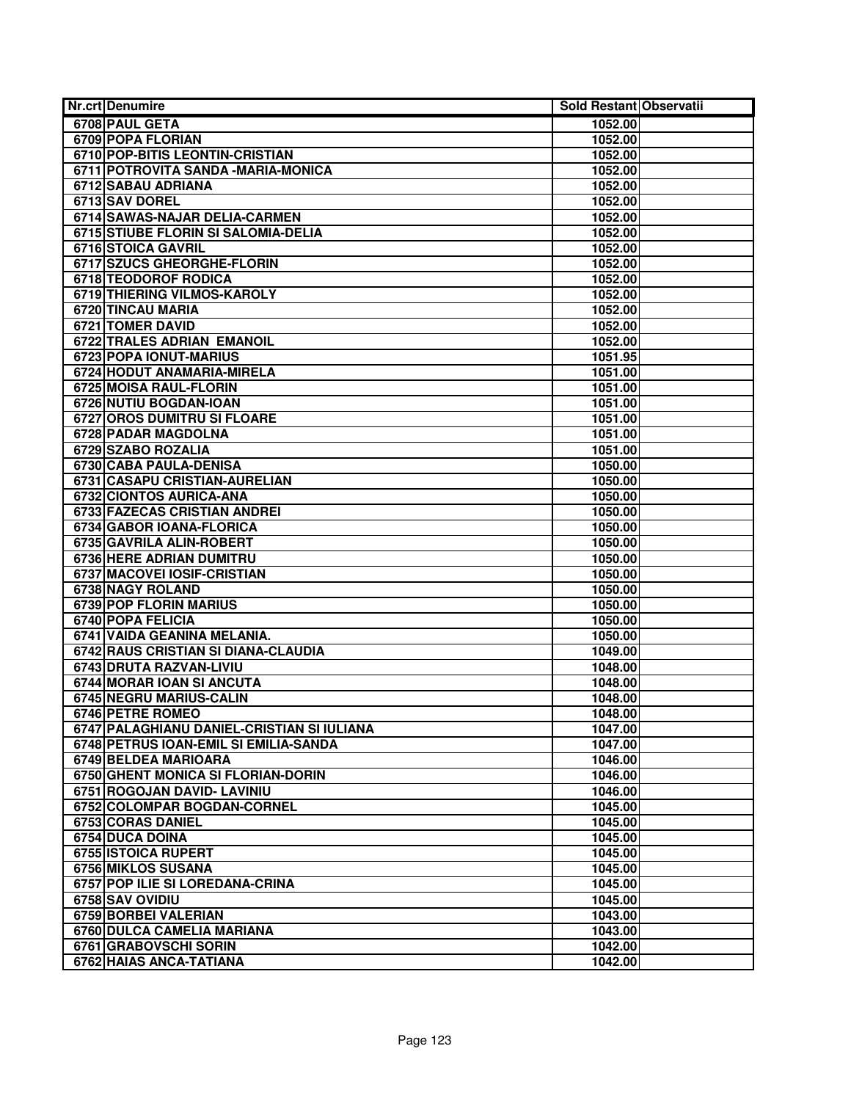| <b>Nr.crt Denumire</b>                     | Sold Restant Observatii |  |
|--------------------------------------------|-------------------------|--|
| 6708 PAUL GETA                             | 1052.00                 |  |
| 6709 POPA FLORIAN                          | 1052.00                 |  |
| 6710 POP-BITIS LEONTIN-CRISTIAN            | 1052.00                 |  |
| 6711 POTROVITA SANDA - MARIA-MONICA        | 1052.00                 |  |
| 6712 SABAU ADRIANA                         | 1052.00                 |  |
| 6713 SAV DOREL                             | 1052.00                 |  |
| 6714 SAWAS-NAJAR DELIA-CARMEN              | 1052.00                 |  |
| 6715 STIUBE FLORIN SI SALOMIA-DELIA        | 1052.00                 |  |
| 6716 STOICA GAVRIL                         | 1052.00                 |  |
| 6717 SZUCS GHEORGHE-FLORIN                 | 1052.00                 |  |
| <b>6718 TEODOROF RODICA</b>                | 1052.00                 |  |
| 6719 THIERING VILMOS-KAROLY                | 1052.00                 |  |
| 6720 TINCAU MARIA                          | 1052.00                 |  |
| <b>6721 TOMER DAVID</b>                    | 1052.00                 |  |
| <b>6722 TRALES ADRIAN EMANOIL</b>          | 1052.00                 |  |
| 6723 POPA IONUT-MARIUS                     | 1051.95                 |  |
| 6724 HODUT ANAMARIA-MIRELA                 | 1051.00                 |  |
| 6725 MOISA RAUL-FLORIN                     | 1051.00                 |  |
| 6726 NUTIU BOGDAN-IOAN                     | 1051.00                 |  |
| 6727 OROS DUMITRU SI FLOARE                | 1051.00                 |  |
| 6728 PADAR MAGDOLNA                        | 1051.00                 |  |
| 6729 SZABO ROZALIA                         | 1051.00                 |  |
| 6730 CABA PAULA-DENISA                     | 1050.00                 |  |
| 6731 CASAPU CRISTIAN-AURELIAN              | 1050.00                 |  |
| 6732 CIONTOS AURICA-ANA                    | 1050.00                 |  |
| 6733 FAZECAS CRISTIAN ANDREI               | 1050.00                 |  |
| <b>6734 GABOR IOANA-FLORICA</b>            | 1050.00                 |  |
| 6735 GAVRILA ALIN-ROBERT                   | 1050.00                 |  |
| 6736 HERE ADRIAN DUMITRU                   | 1050.00                 |  |
| 6737 MACOVEI IOSIF-CRISTIAN                | 1050.00                 |  |
| 6738 NAGY ROLAND                           | 1050.00                 |  |
| <b>6739 POP FLORIN MARIUS</b>              | 1050.00                 |  |
| 6740 POPA FELICIA                          | 1050.00                 |  |
| 6741 VAIDA GEANINA MELANIA.                | 1050.00                 |  |
| 6742 RAUS CRISTIAN SI DIANA-CLAUDIA        | 1049.00                 |  |
| 6743 DRUTA RAZVAN-LIVIU                    | 1048.00                 |  |
| 6744 MORAR IOAN SI ANCUTA                  | 1048.00                 |  |
| 6745 NEGRU MARIUS-CALIN                    | 1048.00                 |  |
| 6746 PETRE ROMEO                           | 1048.00                 |  |
| 6747 PALAGHIANU DANIEL-CRISTIAN SI IULIANA | 1047.00                 |  |
| 6748 PETRUS IOAN-EMIL SI EMILIA-SANDA      | 1047.00                 |  |
| 6749 BELDEA MARIOARA                       | 1046.00                 |  |
| 6750 GHENT MONICA SI FLORIAN-DORIN         | 1046.00                 |  |
| 6751 ROGOJAN DAVID- LAVINIU                | 1046.00                 |  |
| 6752 COLOMPAR BOGDAN-CORNEL                | 1045.00                 |  |
| 6753 CORAS DANIEL                          | 1045.00                 |  |
| 6754 DUCA DOINA                            | 1045.00                 |  |
| 6755 ISTOICA RUPERT                        | 1045.00                 |  |
| 6756 MIKLOS SUSANA                         | 1045.00                 |  |
| 6757 POP ILIE SI LOREDANA-CRINA            | 1045.00                 |  |
| 6758 SAV OVIDIU                            | 1045.00                 |  |
| 6759 BORBEI VALERIAN                       | 1043.00                 |  |
| 6760 DULCA CAMELIA MARIANA                 | 1043.00                 |  |
| 6761 GRABOVSCHI SORIN                      | 1042.00                 |  |
| 6762 HAIAS ANCA-TATIANA                    | 1042.00                 |  |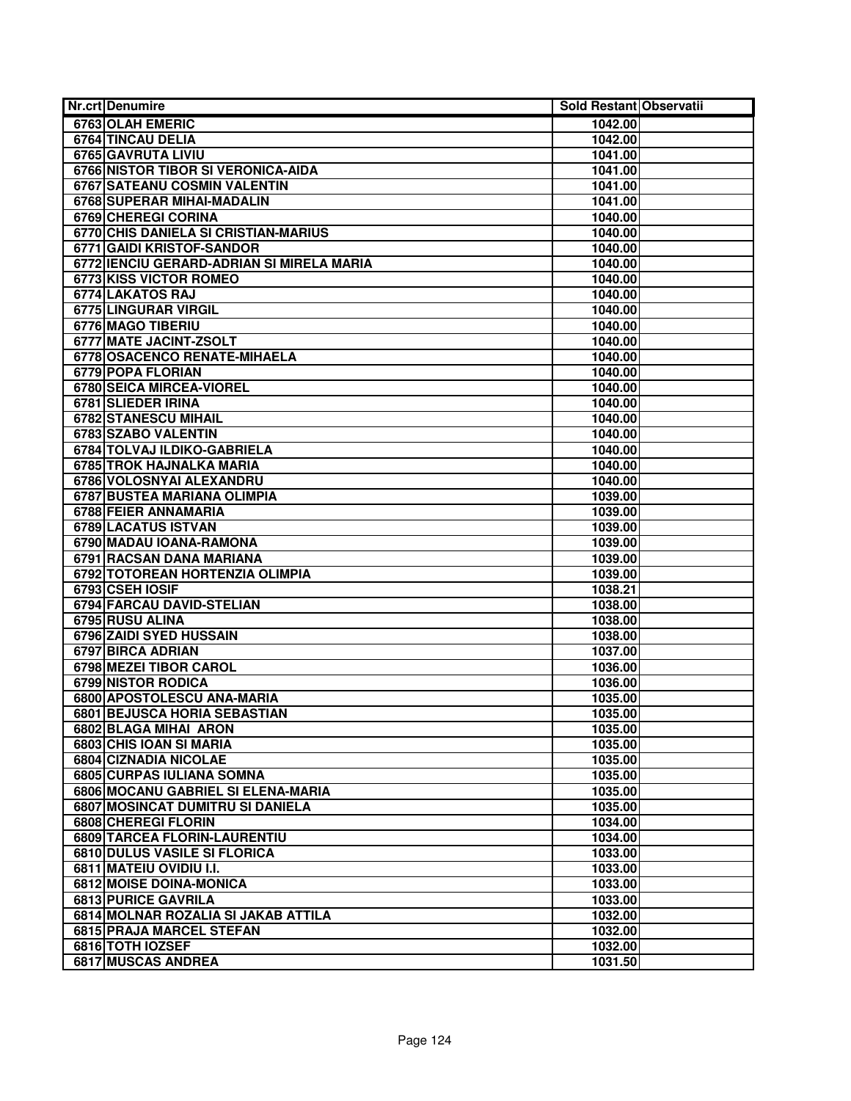| Nr.crt Denumire                                     | Sold Restant Observatii |
|-----------------------------------------------------|-------------------------|
| 6763 OLAH EMERIC                                    | 1042.00                 |
| <b>6764 TINCAU DELIA</b>                            | 1042.00                 |
| 6765 GAVRUTA LIVIU                                  | 1041.00                 |
| 6766 NISTOR TIBOR SI VERONICA-AIDA                  | 1041.00                 |
| 6767 SATEANU COSMIN VALENTIN                        | 1041.00                 |
| 6768 SUPERAR MIHAI-MADALIN                          | 1041.00                 |
| 6769 CHEREGI CORINA                                 | 1040.00                 |
| 6770 CHIS DANIELA SI CRISTIAN-MARIUS                | 1040.00                 |
| 6771 GAIDI KRISTOF-SANDOR                           | 1040.00                 |
| 6772 IENCIU GERARD-ADRIAN SI MIRELA MARIA           | 1040.00                 |
| <b>6773 KISS VICTOR ROMEO</b>                       | 1040.00                 |
| 6774 LAKATOS RAJ                                    | 1040.00                 |
| 6775 LINGURAR VIRGIL                                | 1040.00                 |
| 6776 MAGO TIBERIU                                   | 1040.00                 |
| 6777 MATE JACINT-ZSOLT                              | 1040.00                 |
| 6778 OSACENCO RENATE-MIHAELA                        | 1040.00                 |
| 6779 POPA FLORIAN                                   | 1040.00                 |
| 6780 SEICA MIRCEA-VIOREL                            | 1040.00                 |
| 6781 SLIEDER IRINA                                  | 1040.00                 |
| <b>6782 STANESCU MIHAIL</b>                         | 1040.00                 |
| 6783 SZABO VALENTIN                                 | 1040.00                 |
| 6784 TOLVAJ ILDIKO-GABRIELA                         | 1040.00                 |
| 6785 TROK HAJNALKA MARIA                            | 1040.00                 |
| 6786 VOLOSNYAI ALEXANDRU                            | 1040.00                 |
| <b>6787 BUSTEA MARIANA OLIMPIA</b>                  | 1039.00                 |
| 6788 FEIER ANNAMARIA                                | 1039.00                 |
| 6789 LACATUS ISTVAN                                 | 1039.00                 |
| 6790 MADAU IOANA-RAMONA                             | 1039.00                 |
| 6791 RACSAN DANA MARIANA                            | 1039.00                 |
| 6792 TOTOREAN HORTENZIA OLIMPIA                     | 1039.00                 |
| 6793 CSEH IOSIF                                     | 1038.21                 |
| <b>6794 FARCAU DAVID-STELIAN</b>                    | 1038.00                 |
| 6795 RUSU ALINA                                     | 1038.00                 |
| 6796 ZAIDI SYED HUSSAIN                             | 1038.00                 |
| 6797 BIRCA ADRIAN                                   | 1037.00                 |
| 6798 MEZEI TIBOR CAROL                              | 1036.00                 |
| 6799 NISTOR RODICA                                  | 1036.00                 |
| 6800 APOSTOLESCU ANA-MARIA                          | 1035.00                 |
| 6801 BEJUSCA HORIA SEBASTIAN                        | 1035.00                 |
| 6802 BLAGA MIHAI ARON                               | 1035.00                 |
| 6803 CHIS IOAN SI MARIA                             | 1035.00                 |
| 6804 CIZNADIA NICOLAE                               | 1035.00                 |
| 6805 CURPAS IULIANA SOMNA                           | 1035.00                 |
| 6806 MOCANU GABRIEL SI ELENA-MARIA                  | 1035.00                 |
| 6807 MOSINCAT DUMITRU SI DANIELA                    | 1035.00                 |
| 6808 CHEREGI FLORIN                                 | 1034.00                 |
| 6809 TARCEA FLORIN-LAURENTIU                        | 1034.00                 |
| <b>6810 DULUS VASILE SI FLORICA</b>                 | 1033.00                 |
| 6811 MATEIU OVIDIU I.I.                             | 1033.00                 |
| 6812 MOISE DOINA-MONICA                             | 1033.00                 |
| 6813 PURICE GAVRILA                                 | 1033.00                 |
| 6814 MOLNAR ROZALIA SI JAKAB ATTILA                 | 1032.00                 |
| <b>6815 PRAJA MARCEL STEFAN</b><br>6816 TOTH IOZSEF | 1032.00                 |
|                                                     | 1032.00                 |
| <b>6817 MUSCAS ANDREA</b>                           | 1031.50                 |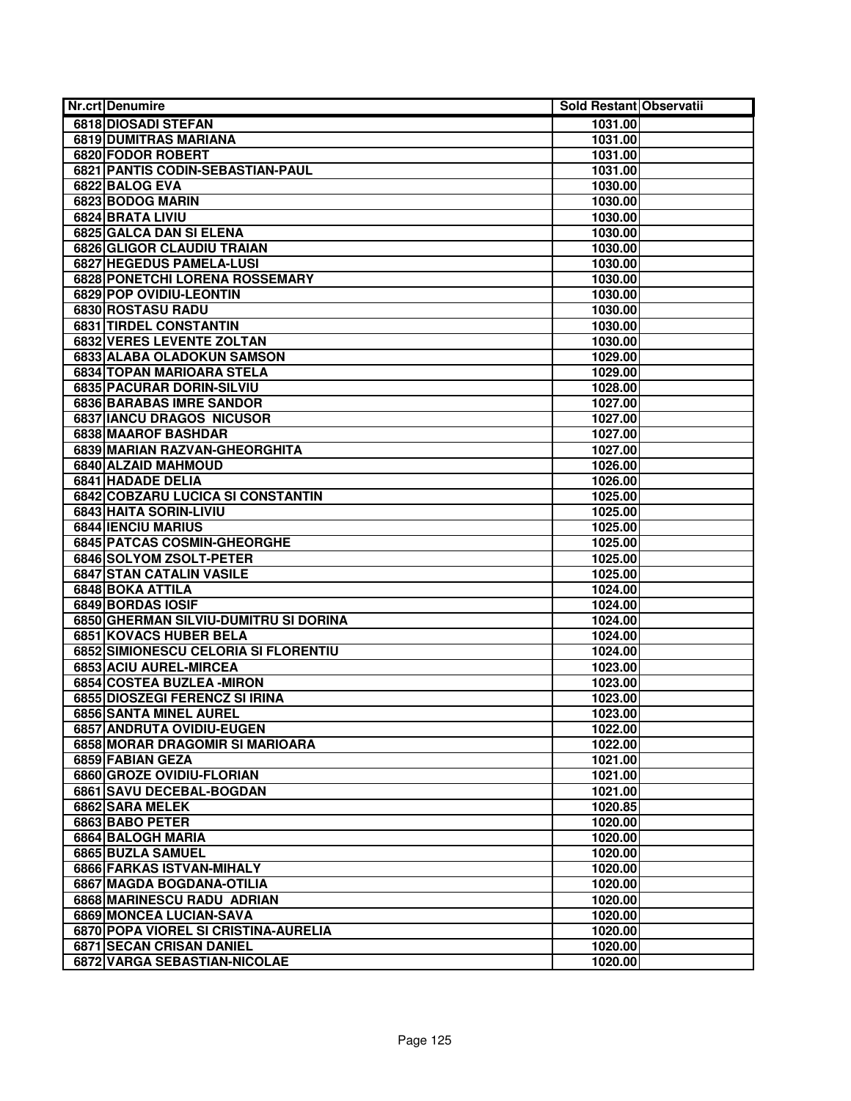| <b>Nr.crt Denumire</b>                                  | Sold Restant Observatii |  |
|---------------------------------------------------------|-------------------------|--|
| 6818 DIOSADI STEFAN                                     | 1031.00                 |  |
| 6819 DUMITRAS MARIANA                                   | 1031.00                 |  |
| 6820 FODOR ROBERT                                       | 1031.00                 |  |
| 6821 PANTIS CODIN-SEBASTIAN-PAUL                        | 1031.00                 |  |
| 6822 BALOG EVA                                          | 1030.00                 |  |
| 6823 BODOG MARIN                                        | 1030.00                 |  |
| 6824 BRATA LIVIU                                        | 1030.00                 |  |
| 6825 GALCA DAN SI ELENA                                 | 1030.00                 |  |
| 6826 GLIGOR CLAUDIU TRAIAN                              | 1030.00                 |  |
| <b>6827 HEGEDUS PAMELA-LUSI</b>                         | 1030.00                 |  |
| 6828 PONETCHI LORENA ROSSEMARY                          | 1030.00                 |  |
| 6829 POP OVIDIU-LEONTIN                                 | 1030.00                 |  |
| 6830 ROSTASU RADU                                       | 1030.00                 |  |
| 6831 TIRDEL CONSTANTIN                                  | 1030.00                 |  |
| 6832 VERES LEVENTE ZOLTAN                               | 1030.00                 |  |
| 6833 ALABA OLADOKUN SAMSON                              | 1029.00                 |  |
| <b>6834 TOPAN MARIOARA STELA</b>                        | 1029.00                 |  |
| 6835 PACURAR DORIN-SILVIU                               | 1028.00                 |  |
| <b>6836 BARABAS IMRE SANDOR</b>                         | 1027.00                 |  |
| 6837 IANCU DRAGOS NICUSOR                               | 1027.00                 |  |
| <b>6838 MAAROF BASHDAR</b>                              | 1027.00                 |  |
| 6839 MARIAN RAZVAN-GHEORGHITA                           | 1027.00                 |  |
| 6840 ALZAID MAHMOUD                                     | 1026.00                 |  |
| 6841 HADADE DELIA                                       | 1026.00                 |  |
| 6842 COBZARU LUCICA SI CONSTANTIN                       | 1025.00                 |  |
| 6843 HAITA SORIN-LIVIU                                  | 1025.00                 |  |
| <b>6844 IENCIU MARIUS</b>                               | 1025.00                 |  |
| 6845 PATCAS COSMIN-GHEORGHE                             | 1025.00                 |  |
| 6846 SOLYOM ZSOLT-PETER                                 | 1025.00                 |  |
| 6847 STAN CATALIN VASILE                                | 1025.00                 |  |
| 6848 BOKA ATTILA                                        | 1024.00                 |  |
| <b>6849 BORDAS IOSIF</b>                                | 1024.00                 |  |
| 6850 GHERMAN SILVIU-DUMITRU SI DORINA                   | 1024.00                 |  |
| 6851 KOVACS HUBER BELA                                  | 1024.00                 |  |
| 6852 SIMIONESCU CELORIA SI FLORENTIU                    | 1024.00                 |  |
| 6853 ACIU AUREL-MIRCEA                                  | 1023.00                 |  |
| 6854 COSTEA BUZLEA - MIRON                              | 1023.00                 |  |
| 6855 DIOSZEGI FERENCZ SI IRINA                          | 1023.00                 |  |
| 6856 SANTA MINEL AUREL                                  | 1023.00                 |  |
| 6857 ANDRUTA OVIDIU-EUGEN                               | 1022.00                 |  |
| 6858 MORAR DRAGOMIR SI MARIOARA                         | 1022.00                 |  |
| 6859 FABIAN GEZA                                        | 1021.00                 |  |
| 6860 GROZE OVIDIU-FLORIAN                               | 1021.00                 |  |
| 6861 SAVU DECEBAL-BOGDAN                                | 1021.00                 |  |
| 6862 SARA MELEK                                         | 1020.85                 |  |
| 6863 BABO PETER                                         | 1020.00                 |  |
| 6864 BALOGH MARIA                                       | 1020.00                 |  |
| 6865 BUZLA SAMUEL                                       | 1020.00                 |  |
| 6866 FARKAS ISTVAN-MIHALY                               | 1020.00<br>1020.00      |  |
| 6867 MAGDA BOGDANA-OTILIA<br>6868 MARINESCU RADU ADRIAN | 1020.00                 |  |
| 6869 MONCEA LUCIAN-SAVA                                 | 1020.00                 |  |
| 6870 POPA VIOREL SI CRISTINA-AURELIA                    | 1020.00                 |  |
| <b>6871 SECAN CRISAN DANIEL</b>                         | 1020.00                 |  |
| 6872 VARGA SEBASTIAN-NICOLAE                            | 1020.00                 |  |
|                                                         |                         |  |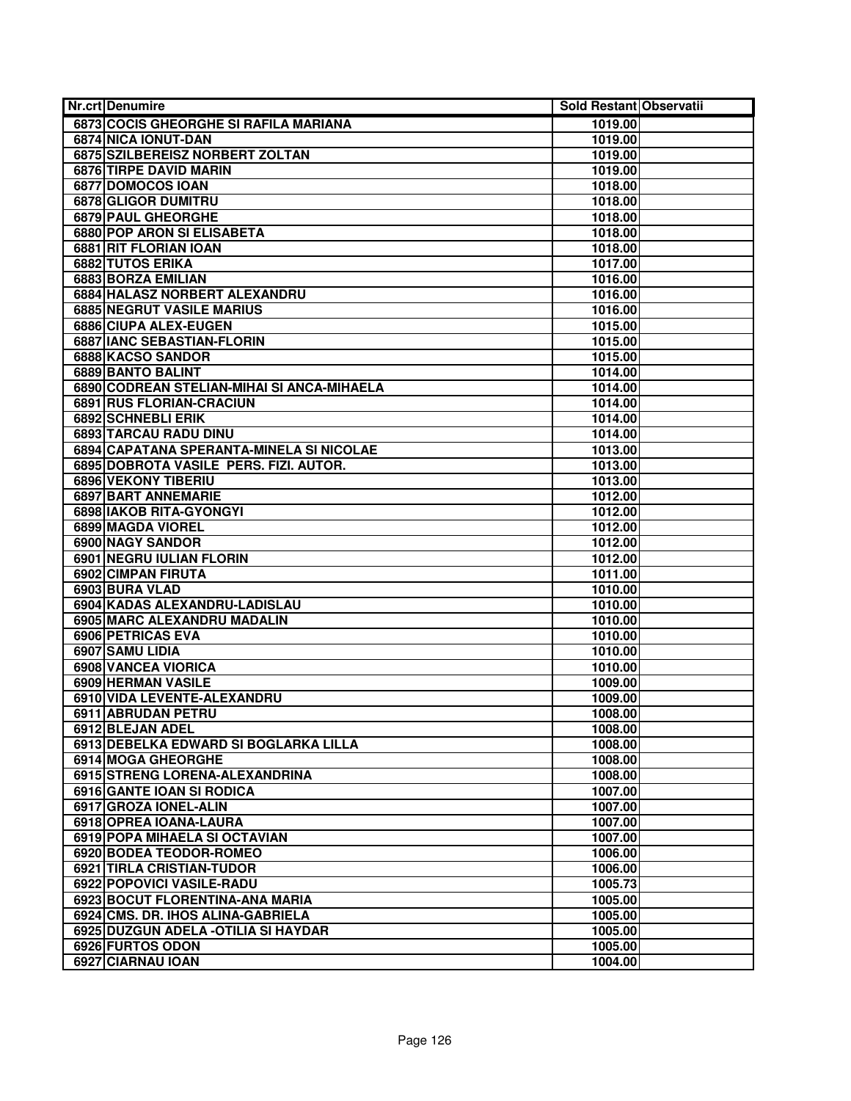| Nr.crt Denumire                            | Sold Restant Observatii |  |
|--------------------------------------------|-------------------------|--|
| 6873 COCIS GHEORGHE SI RAFILA MARIANA      | 1019.00                 |  |
| 6874 NICA IONUT-DAN                        | 1019.00                 |  |
| 6875 SZILBEREISZ NORBERT ZOLTAN            | 1019.00                 |  |
| 6876 TIRPE DAVID MARIN                     | 1019.00                 |  |
| 6877 DOMOCOS IOAN                          | 1018.00                 |  |
| 6878 GLIGOR DUMITRU                        | 1018.00                 |  |
| 6879 PAUL GHEORGHE                         | 1018.00                 |  |
| 6880 POP ARON SI ELISABETA                 | 1018.00                 |  |
| 6881 RIT FLORIAN IOAN                      | 1018.00                 |  |
| 6882 TUTOS ERIKA                           | 1017.00                 |  |
| 6883 BORZA EMILIAN                         | 1016.00                 |  |
| 6884 HALASZ NORBERT ALEXANDRU              | 1016.00                 |  |
| <b>6885 NEGRUT VASILE MARIUS</b>           | 1016.00                 |  |
| 6886 CIUPA ALEX-EUGEN                      | 1015.00                 |  |
| 6887 IANC SEBASTIAN-FLORIN                 | 1015.00                 |  |
| 6888 KACSO SANDOR                          | 1015.00                 |  |
| 6889 BANTO BALINT                          | 1014.00                 |  |
| 6890 CODREAN STELIAN-MIHAI SI ANCA-MIHAELA | 1014.00                 |  |
| <b>6891 RUS FLORIAN-CRACIUN</b>            | 1014.00                 |  |
| 6892 SCHNEBLI ERIK                         | 1014.00                 |  |
| 6893 TARCAU RADU DINU                      | 1014.00                 |  |
| 6894 CAPATANA SPERANTA-MINELA SI NICOLAE   | 1013.00                 |  |
| 6895 DOBROTA VASILE PERS. FIZI. AUTOR.     | 1013.00                 |  |
| 6896 VEKONY TIBERIU                        | 1013.00                 |  |
| <b>6897 BART ANNEMARIE</b>                 | 1012.00                 |  |
| 6898 IAKOB RITA-GYONGYI                    | 1012.00                 |  |
| 6899 MAGDA VIOREL                          | 1012.00                 |  |
| 6900 NAGY SANDOR                           | 1012.00                 |  |
| 6901 NEGRU IULIAN FLORIN                   | 1012.00                 |  |
| 6902 CIMPAN FIRUTA                         | 1011.00                 |  |
| 6903 BURA VLAD                             | 1010.00                 |  |
| 6904 KADAS ALEXANDRU-LADISLAU              | 1010.00                 |  |
| 6905 MARC ALEXANDRU MADALIN                | 1010.00                 |  |
| 6906 PETRICAS EVA                          | 1010.00                 |  |
| 6907 SAMU LIDIA                            | 1010.00                 |  |
| 6908 VANCEA VIORICA                        | 1010.00                 |  |
| 6909 HERMAN VASILE                         | 1009.00                 |  |
| 6910 VIDA LEVENTE-ALEXANDRU                | 1009.00                 |  |
| 6911 ABRUDAN PETRU                         | 1008.00                 |  |
| 6912 BLEJAN ADEL                           | 1008.00                 |  |
| 6913 DEBELKA EDWARD SI BOGLARKA LILLA      | 1008.00                 |  |
| 6914 MOGA GHEORGHE                         | 1008.00                 |  |
| 6915 STRENG LORENA-ALEXANDRINA             | 1008.00                 |  |
| 6916 GANTE IOAN SI RODICA                  | 1007.00                 |  |
| 6917 GROZA IONEL-ALIN                      | 1007.00                 |  |
| 6918 OPREA IOANA-LAURA                     | 1007.00                 |  |
| 6919 POPA MIHAELA SI OCTAVIAN              | 1007.00                 |  |
| <b>6920 BODEA TEODOR-ROMEO</b>             | 1006.00                 |  |
| 6921 TIRLA CRISTIAN-TUDOR                  | 1006.00                 |  |
| 6922 POPOVICI VASILE-RADU                  | 1005.73                 |  |
| 6923 BOCUT FLORENTINA-ANA MARIA            | 1005.00                 |  |
| 6924 CMS. DR. IHOS ALINA-GABRIELA          | 1005.00                 |  |
| 6925 DUZGUN ADELA - OTILIA SI HAYDAR       | 1005.00                 |  |
| 6926 FURTOS ODON                           | 1005.00                 |  |
| 6927 CIARNAU IOAN                          | 1004.00                 |  |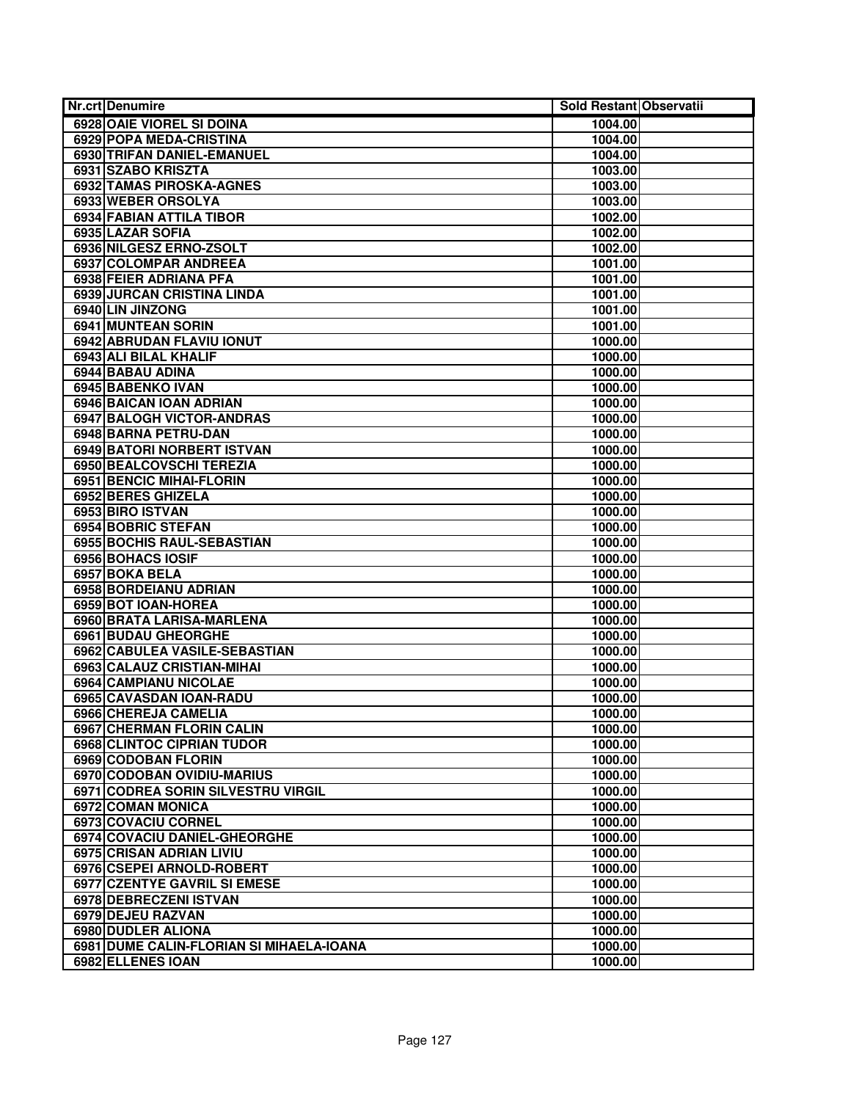| <b>Nr.crt Denumire</b>                   | Sold Restant Observatii |  |
|------------------------------------------|-------------------------|--|
| 6928 OAIE VIOREL SI DOINA                | 1004.00                 |  |
| <b>6929 POPA MEDA-CRISTINA</b>           | 1004.00                 |  |
| 6930 TRIFAN DANIEL-EMANUEL               | 1004.00                 |  |
| 6931 SZABO KRISZTA                       | 1003.00                 |  |
| <b>6932 TAMAS PIROSKA-AGNES</b>          | 1003.00                 |  |
| 6933 WEBER ORSOLYA                       | 1003.00                 |  |
| 6934 FABIAN ATTILA TIBOR                 | 1002.00                 |  |
| 6935 LAZAR SOFIA                         | 1002.00                 |  |
| 6936 NILGESZ ERNO-ZSOLT                  | 1002.00                 |  |
| <b>6937 COLOMPAR ANDREEA</b>             | 1001.00                 |  |
| 6938 FEIER ADRIANA PFA                   | 1001.00                 |  |
| 6939 JURCAN CRISTINA LINDA               | 1001.00                 |  |
| 6940 LIN JINZONG                         | 1001.00                 |  |
| <b>6941 MUNTEAN SORIN</b>                | 1001.00                 |  |
| 6942 ABRUDAN FLAVIU IONUT                | 1000.00                 |  |
| 6943 ALI BILAL KHALIF                    | 1000.00                 |  |
| 6944 BABAU ADINA                         | 1000.00                 |  |
| 6945 BABENKO IVAN                        | 1000.00                 |  |
| 6946 BAICAN IOAN ADRIAN                  | 1000.00                 |  |
| 6947 BALOGH VICTOR-ANDRAS                | 1000.00                 |  |
| 6948 BARNA PETRU-DAN                     | 1000.00                 |  |
| 6949 BATORI NORBERT ISTVAN               | 1000.00                 |  |
| 6950 BEALCOVSCHI TEREZIA                 | 1000.00                 |  |
| <b>6951 BENCIC MIHAI-FLORIN</b>          | 1000.00                 |  |
| 6952 BERES GHIZELA                       | 1000.00                 |  |
| 6953 BIRO ISTVAN                         | 1000.00                 |  |
| 6954 BOBRIC STEFAN                       | 1000.00                 |  |
| 6955 BOCHIS RAUL-SEBASTIAN               | 1000.00                 |  |
| 6956 BOHACS IOSIF                        | 1000.00                 |  |
| 6957 BOKA BELA                           | 1000.00                 |  |
| 6958 BORDEIANU ADRIAN                    | 1000.00                 |  |
| 6959 BOT IOAN-HOREA                      | 1000.00                 |  |
| 6960 BRATA LARISA-MARLENA                | 1000.00                 |  |
| 6961 BUDAU GHEORGHE                      | 1000.00                 |  |
| 6962 CABULEA VASILE-SEBASTIAN            | 1000.00                 |  |
| 6963 CALAUZ CRISTIAN-MIHAI               | 1000.00                 |  |
| 6964 CAMPIANU NICOLAE                    | 1000.00                 |  |
| 6965 CAVASDAN IOAN-RADU                  | 1000.00                 |  |
| 6966 CHEREJA CAMELIA                     | 1000.00                 |  |
| 6967 CHERMAN FLORIN CALIN                | 1000.00                 |  |
| <b>6968 CLINTOC CIPRIAN TUDOR</b>        | 1000.00                 |  |
| 6969 CODOBAN FLORIN                      | 1000.00                 |  |
| 6970 CODOBAN OVIDIU-MARIUS               | 1000.00                 |  |
| 6971 CODREA SORIN SILVESTRU VIRGIL       | 1000.00                 |  |
| 6972 COMAN MONICA                        | 1000.00                 |  |
| 6973 COVACIU CORNEL                      | 1000.00                 |  |
| 6974 COVACIU DANIEL-GHEORGHE             | 1000.00                 |  |
| 6975 CRISAN ADRIAN LIVIU                 | 1000.00                 |  |
| 6976 CSEPEI ARNOLD-ROBERT                | 1000.00                 |  |
| 6977 CZENTYE GAVRIL SI EMESE             | 1000.00                 |  |
| 6978 DEBRECZENI ISTVAN                   | 1000.00                 |  |
| 6979 DEJEU RAZVAN                        | 1000.00                 |  |
| 6980 DUDLER ALIONA                       | 1000.00                 |  |
| 6981 DUME CALIN-FLORIAN SI MIHAELA-IOANA | 1000.00                 |  |
| 6982 ELLENES IOAN                        | 1000.00                 |  |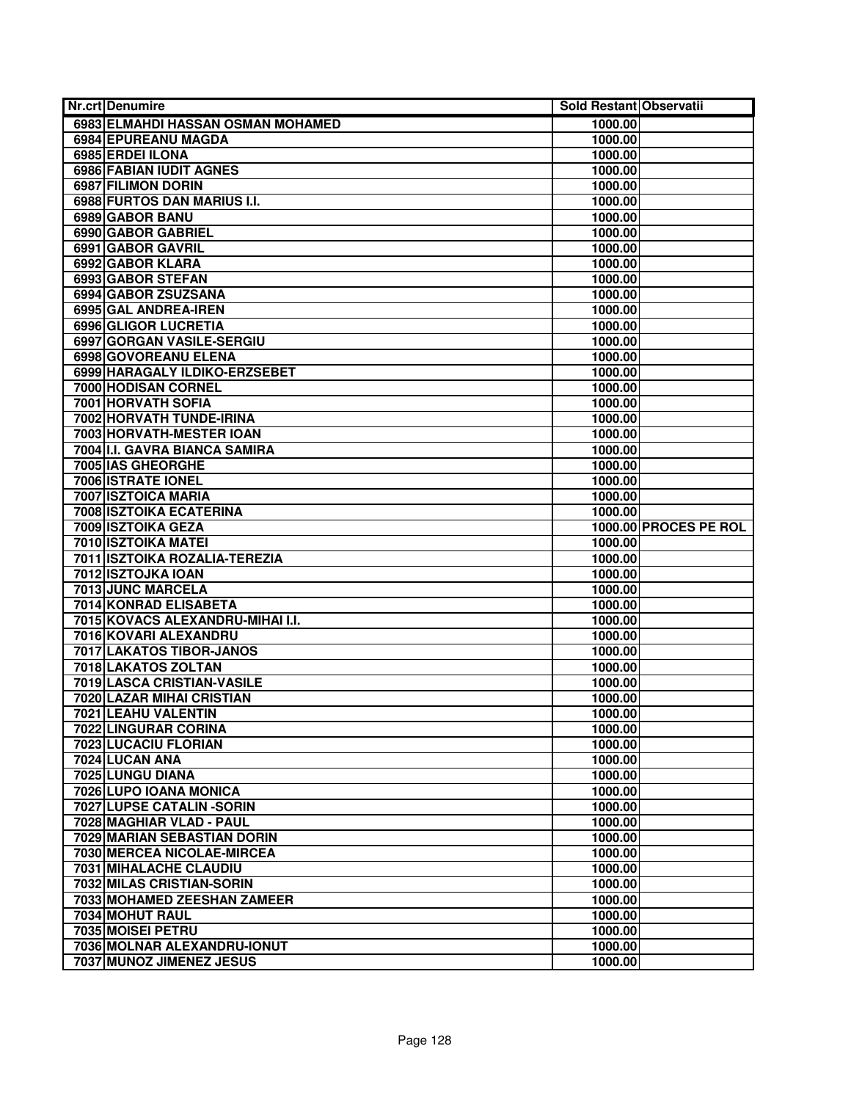| <b>Nr.crt Denumire</b>                         | Sold Restant Observatii |                       |
|------------------------------------------------|-------------------------|-----------------------|
| 6983 ELMAHDI HASSAN OSMAN MOHAMED              | 1000.00                 |                       |
| 6984 EPUREANU MAGDA                            | 1000.00                 |                       |
| 6985 ERDEI ILONA                               | 1000.00                 |                       |
| 6986 FABIAN IUDIT AGNES                        | 1000.00                 |                       |
| 6987 FILIMON DORIN                             | 1000.00                 |                       |
| 6988 FURTOS DAN MARIUS I.I.                    | 1000.00                 |                       |
| 6989 GABOR BANU                                | 1000.00                 |                       |
| 6990 GABOR GABRIEL                             | 1000.00                 |                       |
| 6991 GABOR GAVRIL                              | 1000.00                 |                       |
| 6992 GABOR KLARA                               | 1000.00                 |                       |
| 6993 GABOR STEFAN                              | 1000.00                 |                       |
| 6994 GABOR ZSUZSANA                            | 1000.00                 |                       |
| 6995 GAL ANDREA-IREN                           | 1000.00                 |                       |
| 6996 GLIGOR LUCRETIA                           | 1000.00                 |                       |
| 6997 GORGAN VASILE-SERGIU                      | 1000.00                 |                       |
| 6998 GOVOREANU ELENA                           | 1000.00                 |                       |
| 6999 HARAGALY ILDIKO-ERZSEBET                  | 1000.00                 |                       |
| 7000 HODISAN CORNEL                            | 1000.00                 |                       |
| <b>7001 HORVATH SOFIA</b>                      | 1000.00                 |                       |
| 7002 HORVATH TUNDE-IRINA                       | 1000.00                 |                       |
| 7003 HORVATH-MESTER IOAN                       | 1000.00                 |                       |
| 7004 I.I. GAVRA BIANCA SAMIRA                  | 1000.00                 |                       |
| 7005 IAS GHEORGHE                              | 1000.00                 |                       |
| 7006 ISTRATE IONEL                             | 1000.00                 |                       |
| 7007 ISZTOICA MARIA                            | 1000.00                 |                       |
| 7008 ISZTOIKA ECATERINA                        | 1000.00                 |                       |
| 7009 ISZTOIKA GEZA                             |                         | 1000.00 PROCES PE ROL |
| 7010 ISZTOIKA MATEI                            | 1000.00                 |                       |
| 7011 ISZTOIKA ROZALIA-TEREZIA                  | 1000.00                 |                       |
| 7012 ISZTOJKA IOAN                             | 1000.00                 |                       |
| 7013 JUNC MARCELA                              | 1000.00                 |                       |
| 7014 KONRAD ELISABETA                          | 1000.00                 |                       |
| 7015 KOVACS ALEXANDRU-MIHAI I.I.               | 1000.00                 |                       |
| 7016 KOVARI ALEXANDRU                          | 1000.00                 |                       |
| 7017 LAKATOS TIBOR-JANOS                       | 1000.00                 |                       |
| 7018 LAKATOS ZOLTAN                            | 1000.00                 |                       |
| 7019 LASCA CRISTIAN-VASILE                     | 1000.00                 |                       |
| <b>7020 LAZAR MIHAI CRISTIAN</b>               | 1000.00                 |                       |
| 7021 LEAHU VALENTIN                            | 1000.00                 |                       |
| 7022 LINGURAR CORINA                           | 1000.00                 |                       |
| 7023 LUCACIU FLORIAN                           | 1000.00                 |                       |
| 7024 LUCAN ANA                                 | 1000.00                 |                       |
| 7025 LUNGU DIANA                               | 1000.00                 |                       |
| 7026 LUPO IOANA MONICA                         | 1000.00                 |                       |
| 7027 LUPSE CATALIN - SORIN                     | 1000.00                 |                       |
| 7028 MAGHIAR VLAD - PAUL                       | 1000.00                 |                       |
| 7029 MARIAN SEBASTIAN DORIN                    | 1000.00                 |                       |
| 7030 MERCEA NICOLAE-MIRCEA                     | 1000.00                 |                       |
| 7031 MIHALACHE CLAUDIU                         | 1000.00                 |                       |
| 7032 MILAS CRISTIAN-SORIN                      | 1000.00                 |                       |
| 7033 MOHAMED ZEESHAN ZAMEER<br>7034 MOHUT RAUL | 1000.00                 |                       |
|                                                | 1000.00                 |                       |
| 7035 MOISEI PETRU                              | 1000.00                 |                       |
| 7036 MOLNAR ALEXANDRU-IONUT                    | 1000.00                 |                       |
| 7037 MUNOZ JIMENEZ JESUS                       | 1000.00                 |                       |